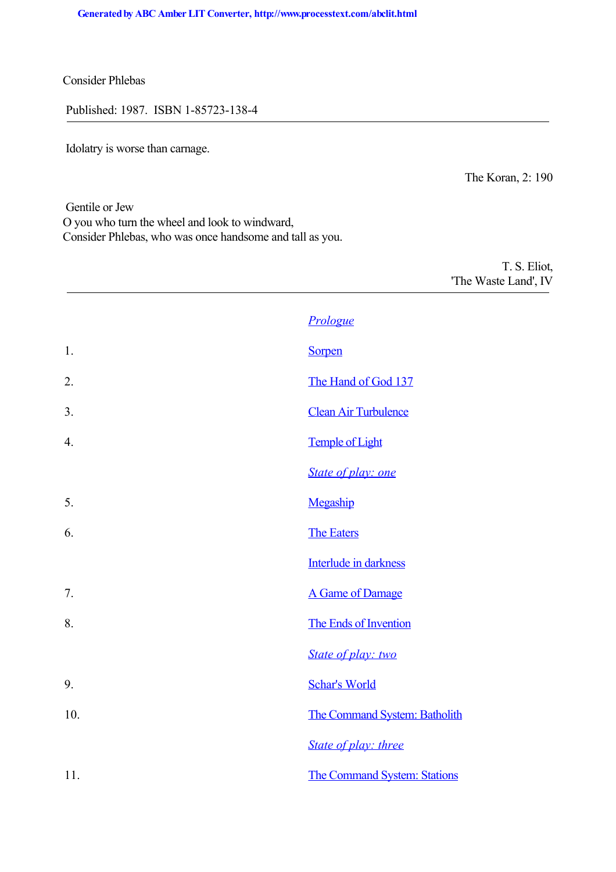# Consider Phlebas

Published: 1987. ISBN 1-85723-138-4

Idolatry is worse than carnage.

The Koran, 2: 190

 Gentile or Jew O you who turn the wheel and look to windward, Consider Phlebas, who was once handsome and tall as you.

> T. S. Eliot, 'The Waste Land', IV

|     | Prologue                            |
|-----|-------------------------------------|
| 1.  | <b>Sorpen</b>                       |
| 2.  | The Hand of God 137                 |
| 3.  | <b>Clean Air Turbulence</b>         |
| 4.  | <b>Temple of Light</b>              |
|     | State of play: one                  |
| 5.  | Megaship                            |
| 6.  | <b>The Eaters</b>                   |
|     | Interlude in darkness               |
| 7.  | <b>A Game of Damage</b>             |
| 8.  | The Ends of Invention               |
|     | State of play: two                  |
| 9.  | <b>Schar's World</b>                |
| 10. | The Command System: Batholith       |
|     | State of play: three                |
| 11. | <b>The Command System: Stations</b> |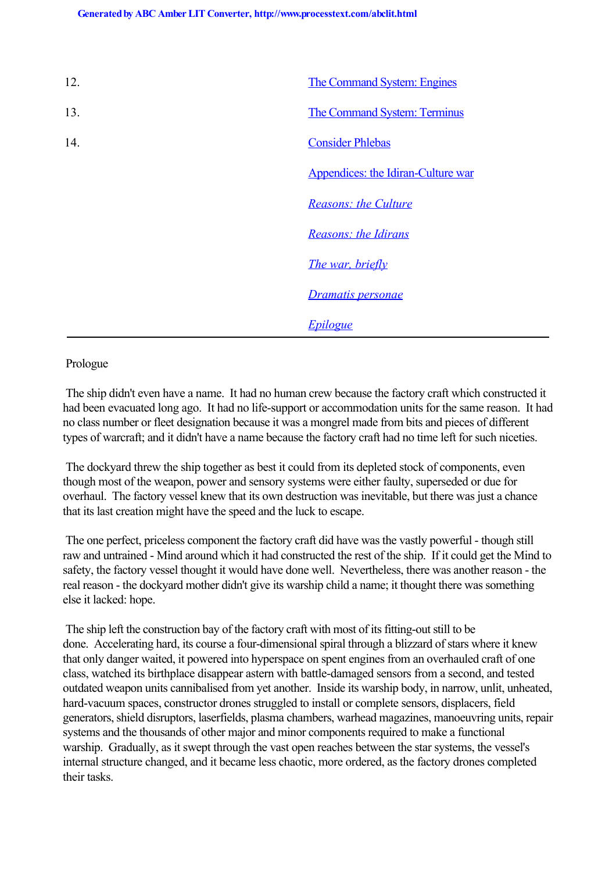| 12. | <b>The Command System: Engines</b>  |
|-----|-------------------------------------|
| 13. | <b>The Command System: Terminus</b> |
| 14. | <b>Consider Phlebas</b>             |
|     | Appendices: the Idiran-Culture war  |
|     | <b>Reasons: the Culture</b>         |
|     | <b>Reasons: the Idirans</b>         |
|     | <i>The war, briefly</i>             |
|     | <b>Dramatis personae</b>            |
|     | <b>Epilogue</b>                     |

# Prologue

 The ship didn't even have a name. It had no human crew because the factory craft which constructed it had been evacuated long ago. It had no life-support or accommodation units for the same reason. It had no class number or fleet designation because it was a mongrel made from bits and pieces of different types of warcraft; and it didn't have a name because the factory craft had no time left for such niceties.

 The dockyard threw the ship together as best it could from its depleted stock of components, even though most of the weapon, power and sensory systems were either faulty, superseded or due for overhaul. The factory vessel knew that its own destruction was inevitable, but there was just a chance that its last creation might have the speed and the luck to escape.

 The one perfect, priceless component the factory craft did have was the vastly powerful - though still raw and untrained - Mind around which it had constructed the rest of the ship. If it could get the Mind to safety, the factory vessel thought it would have done well. Nevertheless, there was another reason - the real reason - the dockyard mother didn't give its warship child a name; it thought there was something else it lacked: hope.

 The ship left the construction bay of the factory craft with most of its fitting-out still to be done. Accelerating hard, its course a four-dimensional spiral through a blizzard of stars where it knew that only danger waited, it powered into hyperspace on spent engines from an overhauled craft of one class, watched its birthplace disappear astern with battle-damaged sensors from a second, and tested outdated weapon units cannibalised from yet another. Inside its warship body, in narrow, unlit, unheated, hard-vacuum spaces, constructor drones struggled to install or complete sensors, displacers, field generators, shield disruptors, laserfields, plasma chambers, warhead magazines, manoeuvring units, repair systems and the thousands of other major and minor components required to make a functional warship. Gradually, as it swept through the vast open reaches between the star systems, the vessel's internal structure changed, and it became less chaotic, more ordered, as the factory drones completed their tasks.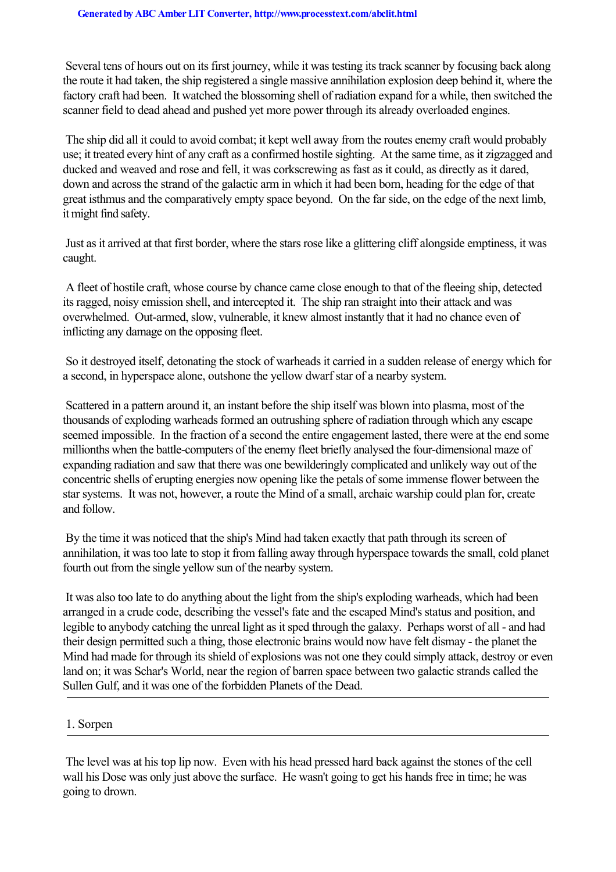Several tens of hours out on its first journey, while it was testing its track scanner by focusing back along the route it had taken, the ship registered a single massive annihilation explosion deep behind it, where the factory craft had been. It watched the blossoming shell of radiation expand for a while, then switched the scanner field to dead ahead and pushed yet more power through its already overloaded engines.

 The ship did all it could to avoid combat; it kept well away from the routes enemy craft would probably use; it treated every hint of any craft as a confirmed hostile sighting. At the same time, as it zigzagged and ducked and weaved and rose and fell, it was corkscrewing as fast as it could, as directly as it dared, down and across the strand of the galactic arm in which it had been born, heading for the edge of that great isthmus and the comparatively empty space beyond. On the far side, on the edge of the next limb, it might find safety.

 Just as it arrived at that first border, where the stars rose like a glittering cliff alongside emptiness, it was caught.

 A fleet of hostile craft, whose course by chance came close enough to that of the fleeing ship, detected its ragged, noisy emission shell, and intercepted it. The ship ran straight into their attack and was overwhelmed. Out-armed, slow, vulnerable, it knew almost instantly that it had no chance even of inflicting any damage on the opposing fleet.

 So it destroyed itself, detonating the stock of warheads it carried in a sudden release of energy which for a second, in hyperspace alone, outshone the yellow dwarf star of a nearby system.

 Scattered in a pattern around it, an instant before the ship itself was blown into plasma, most of the thousands of exploding warheads formed an outrushing sphere of radiation through which any escape seemed impossible. In the fraction of a second the entire engagement lasted, there were at the end some millionths when the battle-computers of the enemy fleet briefly analysed the four-dimensional maze of expanding radiation and saw that there was one bewilderingly complicated and unlikely way out of the concentric shells of erupting energies now opening like the petals of some immense flower between the star systems. It was not, however, a route the Mind of a small, archaic warship could plan for, create and follow.

 By the time it was noticed that the ship's Mind had taken exactly that path through its screen of annihilation, it was too late to stop it from falling away through hyperspace towards the small, cold planet fourth out from the single yellow sun of the nearby system.

 It was also too late to do anything about the light from the ship's exploding warheads, which had been arranged in a crude code, describing the vessel's fate and the escaped Mind's status and position, and legible to anybody catching the unreal light as it sped through the galaxy. Perhaps worst of all - and had their design permitted such a thing, those electronic brains would now have felt dismay - the planet the Mind had made for through its shield of explosions was not one they could simply attack, destroy or even land on; it was Schar's World, near the region of barren space between two galactic strands called the Sullen Gulf, and it was one of the forbidden Planets of the Dead.

## 1. Sorpen

 The level was at his top lip now. Even with his head pressed hard back against the stones of the cell wall his Dose was only just above the surface. He wasn't going to get his hands free in time; he was going to drown.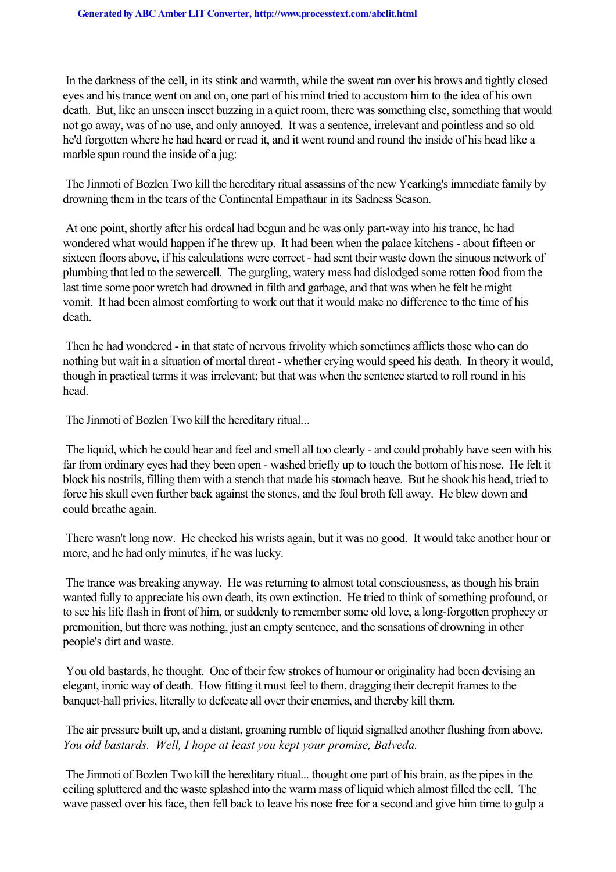In the darkness of the cell, in its stink and warmth, while the sweat ran over his brows and tightly closed eyes and his trance went on and on, one part of his mind tried to accustom him to the idea of his own death. But, like an unseen insect buzzing in a quiet room, there was something else, something that would not go away, was of no use, and only annoyed. It was a sentence, irrelevant and pointless and so old he'd forgotten where he had heard or read it, and it went round and round the inside of his head like a marble spun round the inside of a jug:

 The Jinmoti of Bozlen Two kill the hereditary ritual assassins of the new Yearking's immediate family by drowning them in the tears of the Continental Empathaur in its Sadness Season.

 At one point, shortly after his ordeal had begun and he was only part-way into his trance, he had wondered what would happen if he threw up. It had been when the palace kitchens - about fifteen or sixteen floors above, if his calculations were correct - had sent their waste down the sinuous network of plumbing that led to the sewercell. The gurgling, watery mess had dislodged some rotten food from the last time some poor wretch had drowned in filth and garbage, and that was when he felt he might vomit. It had been almost comforting to work out that it would make no difference to the time of his death.

 Then he had wondered - in that state of nervous frivolity which sometimes afflicts those who can do nothing but wait in a situation of mortal threat - whether crying would speed his death. In theory it would, though in practical terms it was irrelevant; but that was when the sentence started to roll round in his head.

The Jinmoti of Bozlen Two kill the hereditary ritual...

 The liquid, which he could hear and feel and smell all too clearly - and could probably have seen with his far from ordinary eyes had they been open - washed briefly up to touch the bottom of his nose. He felt it block his nostrils, filling them with a stench that made his stomach heave. But he shook his head, tried to force his skull even further back against the stones, and the foul broth fell away. He blew down and could breathe again.

 There wasn't long now. He checked his wrists again, but it was no good. It would take another hour or more, and he had only minutes, if he was lucky.

 The trance was breaking anyway. He was returning to almost total consciousness, as though his brain wanted fully to appreciate his own death, its own extinction. He tried to think of something profound, or to see his life flash in front of him, or suddenly to remember some old love, a long-forgotten prophecy or premonition, but there was nothing, just an empty sentence, and the sensations of drowning in other people's dirt and waste.

 You old bastards, he thought. One of their few strokes of humour or originality had been devising an elegant, ironic way of death. How fitting it must feel to them, dragging their decrepit frames to the banquet-hall privies, literally to defecate all over their enemies, and thereby kill them.

 The air pressure built up, and a distant, groaning rumble of liquid signalled another flushing from above. *You old bastards. Well, I hope at least you kept your promise, Balveda.*

 The Jinmoti of Bozlen Two kill the hereditary ritual... thought one part of his brain, as the pipes in the ceiling spluttered and the waste splashed into the warm mass of liquid which almost filled the cell. The wave passed over his face, then fell back to leave his nose free for a second and give him time to gulp a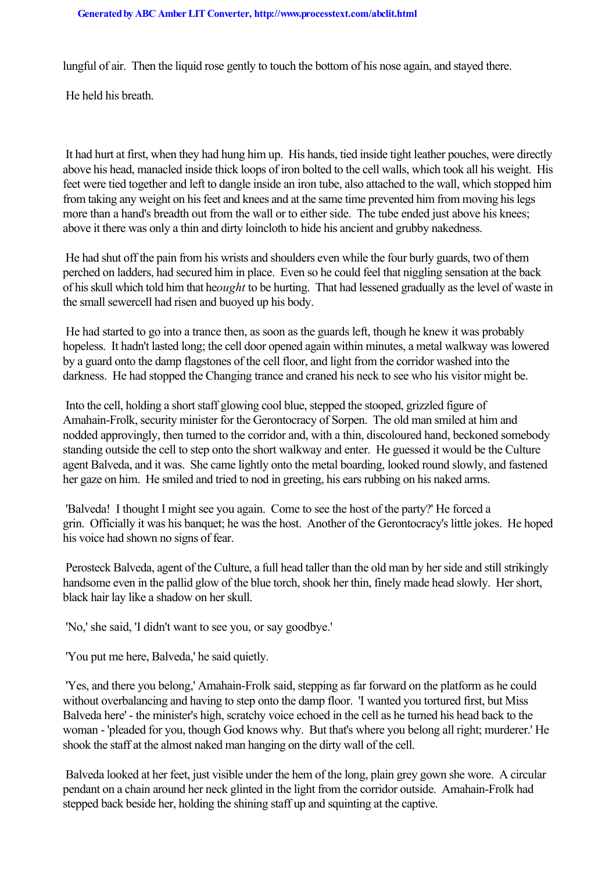#### **Generated by ABC Amber LIT Converter, <http://www.processtext.com/abclit.html>**

lungful of air. Then the liquid rose gently to touch the bottom of his nose again, and stayed there.

He held his breath.

 It had hurt at first, when they had hung him up. His hands, tied inside tight leather pouches, were directly above his head, manacled inside thick loops of iron bolted to the cell walls, which took all his weight. His feet were tied together and left to dangle inside an iron tube, also attached to the wall, which stopped him from taking any weight on his feet and knees and at the same time prevented him from moving his legs more than a hand's breadth out from the wall or to either side. The tube ended just above his knees; above it there was only a thin and dirty loincloth to hide his ancient and grubby nakedness.

 He had shut off the pain from his wrists and shoulders even while the four burly guards, two of them perched on ladders, had secured him in place. Even so he could feel that niggling sensation at the back of his skull which told him that he*ought* to be hurting. That had lessened gradually as the level of waste in the small sewercell had risen and buoyed up his body.

 He had started to go into a trance then, as soon as the guards left, though he knew it was probably hopeless. It hadn't lasted long; the cell door opened again within minutes, a metal walkway was lowered by a guard onto the damp flagstones of the cell floor, and light from the corridor washed into the darkness. He had stopped the Changing trance and craned his neck to see who his visitor might be.

 Into the cell, holding a short staff glowing cool blue, stepped the stooped, grizzled figure of Amahain-Frolk, security minister for the Gerontocracy of Sorpen. The old man smiled at him and nodded approvingly, then turned to the corridor and, with a thin, discoloured hand, beckoned somebody standing outside the cell to step onto the short walkway and enter. He guessed it would be the Culture agent Balveda, and it was. She came lightly onto the metal boarding, looked round slowly, and fastened her gaze on him. He smiled and tried to nod in greeting, his ears rubbing on his naked arms.

 'Balveda! I thought I might see you again. Come to see the host of the party?' He forced a grin. Officially it was his banquet; he was the host. Another of the Gerontocracy's little jokes. He hoped his voice had shown no signs of fear.

 Perosteck Balveda, agent of the Culture, a full head taller than the old man by her side and still strikingly handsome even in the pallid glow of the blue torch, shook her thin, finely made head slowly. Her short, black hair lay like a shadow on her skull.

'No,' she said, 'I didn't want to see you, or say goodbye.'

'You put me here, Balveda,' he said quietly.

 'Yes, and there you belong,' Amahain-Frolk said, stepping as far forward on the platform as he could without overbalancing and having to step onto the damp floor. 'I wanted you tortured first, but Miss Balveda here' - the minister's high, scratchy voice echoed in the cell as he turned his head back to the woman - 'pleaded for you, though God knows why. But that's where you belong all right; murderer.' He shook the staff at the almost naked man hanging on the dirty wall of the cell.

 Balveda looked at her feet, just visible under the hem of the long, plain grey gown she wore. A circular pendant on a chain around her neck glinted in the light from the corridor outside. Amahain-Frolk had stepped back beside her, holding the shining staff up and squinting at the captive.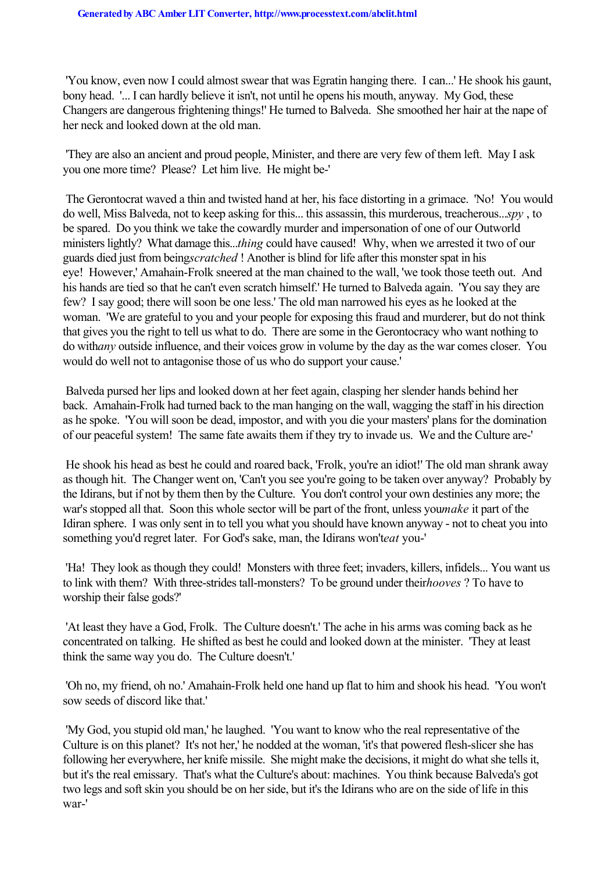'You know, even now I could almost swear that was Egratin hanging there. I can...' He shook his gaunt, bony head. '... I can hardly believe it isn't, not until he opens his mouth, anyway. My God, these Changers are dangerous frightening things!' He turned to Balveda. She smoothed her hair at the nape of her neck and looked down at the old man.

 'They are also an ancient and proud people, Minister, and there are very few of them left. May I ask you one more time? Please? Let him live. He might be-'

 The Gerontocrat waved a thin and twisted hand at her, his face distorting in a grimace. 'No! You would do well, Miss Balveda, not to keep asking for this... this assassin, this murderous, treacherous...*spy* , to be spared. Do you think we take the cowardly murder and impersonation of one of our Outworld ministers lightly? What damage this...*thing* could have caused! Why, when we arrested it two of our guards died just from being*scratched* ! Another is blind for life after this monster spat in his eye! However,' Amahain-Frolk sneered at the man chained to the wall, 'we took those teeth out. And his hands are tied so that he can't even scratch himself.' He turned to Balveda again. 'You say they are few? I say good; there will soon be one less.' The old man narrowed his eyes as he looked at the woman. 'We are grateful to you and your people for exposing this fraud and murderer, but do not think that gives you the right to tell us what to do. There are some in the Gerontocracy who want nothing to do with*any* outside influence, and their voices grow in volume by the day as the war comes closer. You would do well not to antagonise those of us who do support your cause.'

 Balveda pursed her lips and looked down at her feet again, clasping her slender hands behind her back. Amahain-Frolk had turned back to the man hanging on the wall, wagging the staff in his direction as he spoke. 'You will soon be dead, impostor, and with you die your masters' plans for the domination of our peaceful system! The same fate awaits them if they try to invade us. We and the Culture are-'

 He shook his head as best he could and roared back, 'Frolk, you're an idiot!' The old man shrank away as though hit. The Changer went on, 'Can't you see you're going to be taken over anyway? Probably by the Idirans, but if not by them then by the Culture. You don't control your own destinies any more; the war's stopped all that. Soon this whole sector will be part of the front, unless you*make* it part of the Idiran sphere. I was only sent in to tell you what you should have known anyway - not to cheat you into something you'd regret later. For God's sake, man, the Idirans won't*eat* you-'

 'Ha! They look as though they could! Monsters with three feet; invaders, killers, infidels... You want us to link with them? With three-strides tall-monsters? To be ground under their*hooves* ? To have to worship their false gods?'

 'At least they have a God, Frolk. The Culture doesn't.' The ache in his arms was coming back as he concentrated on talking. He shifted as best he could and looked down at the minister. 'They at least think the same way you do. The Culture doesn't.'

 'Oh no, my friend, oh no.' Amahain-Frolk held one hand up flat to him and shook his head. 'You won't sow seeds of discord like that.'

 'My God, you stupid old man,' he laughed. 'You want to know who the real representative of the Culture is on this planet? It's not her,' he nodded at the woman, 'it's that powered flesh-slicer she has following her everywhere, her knife missile. She might make the decisions, it might do what she tells it, but it's the real emissary. That's what the Culture's about: machines. You think because Balveda's got two legs and soft skin you should be on her side, but it's the Idirans who are on the side of life in this war-'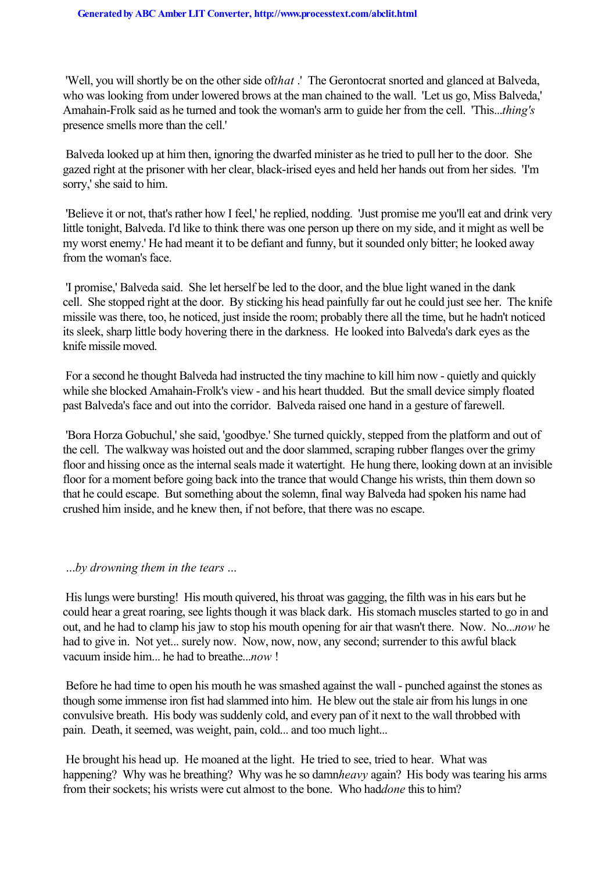'Well, you will shortly be on the other side of*that* .' The Gerontocrat snorted and glanced at Balveda, who was looking from under lowered brows at the man chained to the wall. 'Let us go, Miss Balveda,' Amahain-Frolk said as he turned and took the woman's arm to guide her from the cell. 'This...*thing's* presence smells more than the cell.'

 Balveda looked up at him then, ignoring the dwarfed minister as he tried to pull her to the door. She gazed right at the prisoner with her clear, black-irised eyes and held her hands out from her sides. 'I'm sorry,' she said to him.

 'Believe it or not, that's rather how I feel,' he replied, nodding. 'Just promise me you'll eat and drink very little tonight, Balveda. I'd like to think there was one person up there on my side, and it might as well be my worst enemy.' He had meant it to be defiant and funny, but it sounded only bitter; he looked away from the woman's face.

 'I promise,' Balveda said. She let herself be led to the door, and the blue light waned in the dank cell. She stopped right at the door. By sticking his head painfully far out he could just see her. The knife missile was there, too, he noticed, just inside the room; probably there all the time, but he hadn't noticed its sleek, sharp little body hovering there in the darkness. He looked into Balveda's dark eyes as the knife missile moved.

 For a second he thought Balveda had instructed the tiny machine to kill him now - quietly and quickly while she blocked Amahain-Frolk's view - and his heart thudded. But the small device simply floated past Balveda's face and out into the corridor. Balveda raised one hand in a gesture of farewell.

 'Bora Horza Gobuchul,' she said, 'goodbye.' She turned quickly, stepped from the platform and out of the cell. The walkway was hoisted out and the door slammed, scraping rubber flanges over the grimy floor and hissing once as the internal seals made it watertight. He hung there, looking down at an invisible floor for a moment before going back into the trance that would Change his wrists, thin them down so that he could escape. But something about the solemn, final way Balveda had spoken his name had crushed him inside, and he knew then, if not before, that there was no escape.

#### ...*by drowning them in the tears* ...

 His lungs were bursting! His mouth quivered, his throat was gagging, the filth was in his ears but he could hear a great roaring, see lights though it was black dark. His stomach muscles started to go in and out, and he had to clamp his jaw to stop his mouth opening for air that wasn't there. Now. No...*now* he had to give in. Not yet... surely now. Now, now, now, any second; surrender to this awful black vacuum inside him... he had to breathe...*now* !

 Before he had time to open his mouth he was smashed against the wall - punched against the stones as though some immense iron fist had slammed into him. He blew out the stale air from his lungs in one convulsive breath. His body was suddenly cold, and every pan of it next to the wall throbbed with pain. Death, it seemed, was weight, pain, cold... and too much light...

 He brought his head up. He moaned at the light. He tried to see, tried to hear. What was happening? Why was he breathing? Why was he so damn*heavy* again? His body was tearing his arms from their sockets; his wrists were cut almost to the bone. Who had*done* this to him?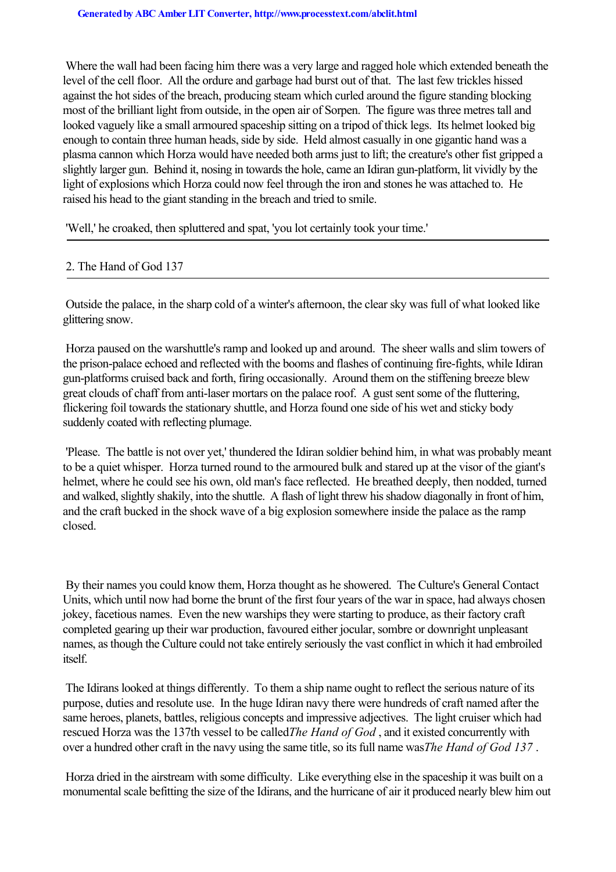Where the wall had been facing him there was a very large and ragged hole which extended beneath the level of the cell floor. All the ordure and garbage had burst out of that. The last few trickles hissed against the hot sides of the breach, producing steam which curled around the figure standing blocking most of the brilliant light from outside, in the open air of Sorpen. The figure was three metres tall and looked vaguely like a small armoured spaceship sitting on a tripod of thick legs. Its helmet looked big enough to contain three human heads, side by side. Held almost casually in one gigantic hand was a plasma cannon which Horza would have needed both arms just to lift; the creature's other fist gripped a slightly larger gun. Behind it, nosing in towards the hole, came an Idiran gun-platform, lit vividly by the light of explosions which Horza could now feel through the iron and stones he was attached to. He raised his head to the giant standing in the breach and tried to smile.

'Well,' he croaked, then spluttered and spat, 'you lot certainly took your time.'

# 2. The Hand of God 137

 Outside the palace, in the sharp cold of a winter's afternoon, the clear sky was full of what looked like glittering snow.

 Horza paused on the warshuttle's ramp and looked up and around. The sheer walls and slim towers of the prison-palace echoed and reflected with the booms and flashes of continuing fire-fights, while Idiran gun-platforms cruised back and forth, firing occasionally. Around them on the stiffening breeze blew great clouds of chaff from anti-laser mortars on the palace roof. A gust sent some of the fluttering, flickering foil towards the stationary shuttle, and Horza found one side of his wet and sticky body suddenly coated with reflecting plumage.

 'Please. The battle is not over yet,' thundered the Idiran soldier behind him, in what was probably meant to be a quiet whisper. Horza turned round to the armoured bulk and stared up at the visor of the giant's helmet, where he could see his own, old man's face reflected. He breathed deeply, then nodded, turned and walked, slightly shakily, into the shuttle. A flash of light threw his shadow diagonally in front of him, and the craft bucked in the shock wave of a big explosion somewhere inside the palace as the ramp closed.

 By their names you could know them, Horza thought as he showered. The Culture's General Contact Units, which until now had borne the brunt of the first four years of the war in space, had always chosen jokey, facetious names. Even the new warships they were starting to produce, as their factory craft completed gearing up their war production, favoured either jocular, sombre or downright unpleasant names, as though the Culture could not take entirely seriously the vast conflict in which it had embroiled itself.

 The Idirans looked at things differently. To them a ship name ought to reflect the serious nature of its purpose, duties and resolute use. In the huge Idiran navy there were hundreds of craft named after the same heroes, planets, battles, religious concepts and impressive adjectives. The light cruiser which had rescued Horza was the 137th vessel to be called*The Hand of God* , and it existed concurrently with over a hundred other craft in the navy using the same title, so its full name was*The Hand of God 137* .

 Horza dried in the airstream with some difficulty. Like everything else in the spaceship it was built on a monumental scale befitting the size of the Idirans, and the hurricane of air it produced nearly blew him out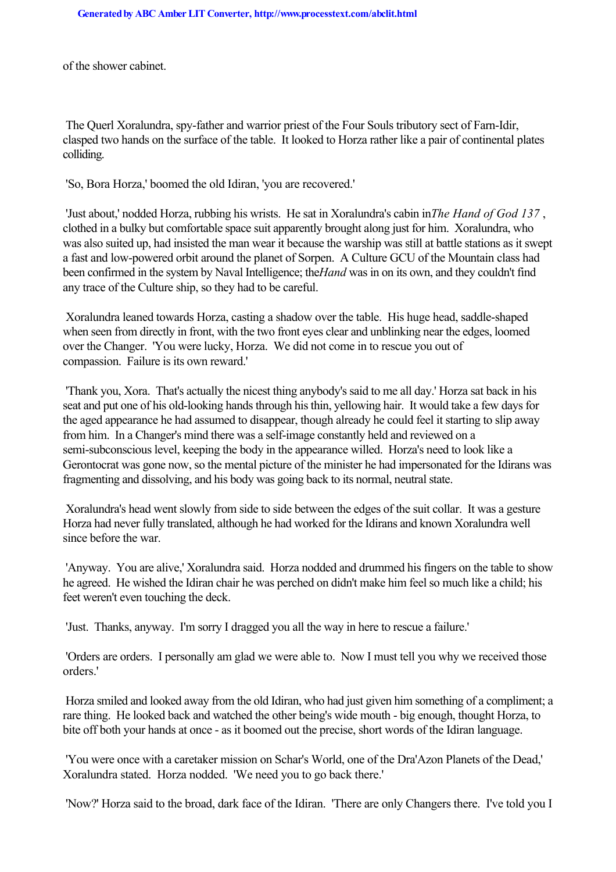of the shower cabinet.

 The Querl Xoralundra, spy-father and warrior priest of the Four Souls tributory sect of Farn-Idir, clasped two hands on the surface of the table. It looked to Horza rather like a pair of continental plates colliding.

'So, Bora Horza,' boomed the old Idiran, 'you are recovered.'

 'Just about,' nodded Horza, rubbing his wrists. He sat in Xoralundra's cabin in*The Hand of God 137* , clothed in a bulky but comfortable space suit apparently brought along just for him. Xoralundra, who was also suited up, had insisted the man wear it because the warship was still at battle stations as it swept a fast and low-powered orbit around the planet of Sorpen. A Culture GCU of the Mountain class had been confirmed in the system by Naval Intelligence; the*Hand* was in on its own, and they couldn't find any trace of the Culture ship, so they had to be careful.

 Xoralundra leaned towards Horza, casting a shadow over the table. His huge head, saddle-shaped when seen from directly in front, with the two front eyes clear and unblinking near the edges, loomed over the Changer. 'You were lucky, Horza. We did not come in to rescue you out of compassion. Failure is its own reward.'

 'Thank you, Xora. That's actually the nicest thing anybody's said to me all day.' Horza sat back in his seat and put one of his old-looking hands through his thin, yellowing hair. It would take a few days for the aged appearance he had assumed to disappear, though already he could feel it starting to slip away from him. In a Changer's mind there was a self-image constantly held and reviewed on a semi-subconscious level, keeping the body in the appearance willed. Horza's need to look like a Gerontocrat was gone now, so the mental picture of the minister he had impersonated for the Idirans was fragmenting and dissolving, and his body was going back to its normal, neutral state.

 Xoralundra's head went slowly from side to side between the edges of the suit collar. It was a gesture Horza had never fully translated, although he had worked for the Idirans and known Xoralundra well since before the war.

 'Anyway. You are alive,' Xoralundra said. Horza nodded and drummed his fingers on the table to show he agreed. He wished the Idiran chair he was perched on didn't make him feel so much like a child; his feet weren't even touching the deck.

'Just. Thanks, anyway. I'm sorry I dragged you all the way in here to rescue a failure.'

 'Orders are orders. I personally am glad we were able to. Now I must tell you why we received those orders.'

 Horza smiled and looked away from the old Idiran, who had just given him something of a compliment; a rare thing. He looked back and watched the other being's wide mouth - big enough, thought Horza, to bite off both your hands at once - as it boomed out the precise, short words of the Idiran language.

 'You were once with a caretaker mission on Schar's World, one of the Dra'Azon Planets of the Dead,' Xoralundra stated. Horza nodded. 'We need you to go back there.'

'Now?' Horza said to the broad, dark face of the Idiran. 'There are only Changers there. I've told you I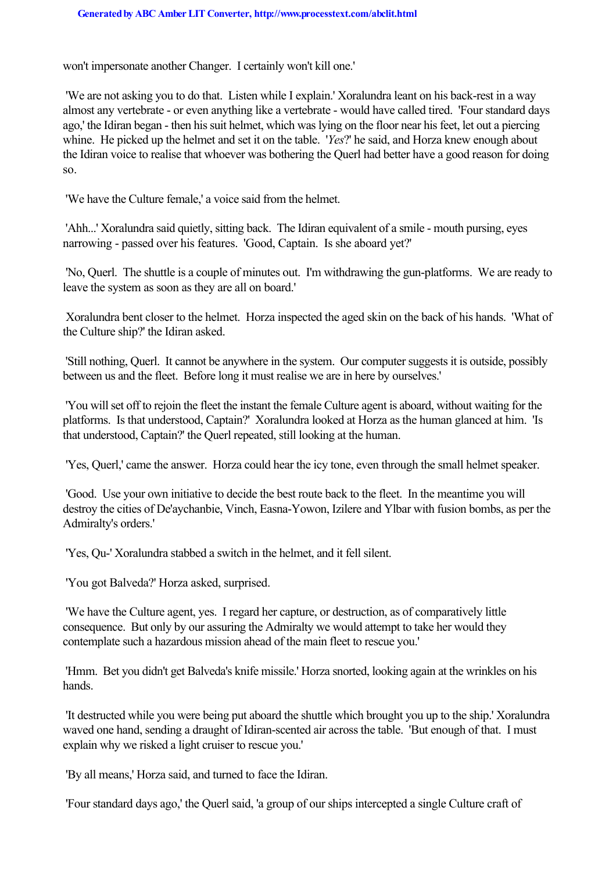won't impersonate another Changer. I certainly won't kill one.'

 'We are not asking you to do that. Listen while I explain.' Xoralundra leant on his back-rest in a way almost any vertebrate - or even anything like a vertebrate - would have called tired. 'Four standard days ago,' the Idiran began - then his suit helmet, which was lying on the floor near his feet, let out a piercing whine. He picked up the helmet and set it on the table. '*Yes*?' he said, and Horza knew enough about the Idiran voice to realise that whoever was bothering the Querl had better have a good reason for doing so.

'We have the Culture female,' a voice said from the helmet.

 'Ahh...' Xoralundra said quietly, sitting back. The Idiran equivalent of a smile - mouth pursing, eyes narrowing - passed over his features. 'Good, Captain. Is she aboard yet?'

 'No, Querl. The shuttle is a couple of minutes out. I'm withdrawing the gun-platforms. We are ready to leave the system as soon as they are all on board.'

 Xoralundra bent closer to the helmet. Horza inspected the aged skin on the back of his hands. 'What of the Culture ship?' the Idiran asked.

 'Still nothing, Querl. It cannot be anywhere in the system. Our computer suggests it is outside, possibly between us and the fleet. Before long it must realise we are in here by ourselves.'

 'You will set off to rejoin the fleet the instant the female Culture agent is aboard, without waiting for the platforms. Is that understood, Captain?' Xoralundra looked at Horza as the human glanced at him. 'Is that understood, Captain?' the Querl repeated, still looking at the human.

'Yes, Querl,' came the answer. Horza could hear the icy tone, even through the small helmet speaker.

 'Good. Use your own initiative to decide the best route back to the fleet. In the meantime you will destroy the cities of De'aychanbie, Vinch, Easna-Yowon, Izilere and Ylbar with fusion bombs, as per the Admiralty's orders.'

'Yes, Qu-' Xoralundra stabbed a switch in the helmet, and it fell silent.

'You got Balveda?' Horza asked, surprised.

 'We have the Culture agent, yes. I regard her capture, or destruction, as of comparatively little consequence. But only by our assuring the Admiralty we would attempt to take her would they contemplate such a hazardous mission ahead of the main fleet to rescue you.'

 'Hmm. Bet you didn't get Balveda's knife missile.' Horza snorted, looking again at the wrinkles on his hands.

 'It destructed while you were being put aboard the shuttle which brought you up to the ship.' Xoralundra waved one hand, sending a draught of Idiran-scented air across the table. 'But enough of that. I must explain why we risked a light cruiser to rescue you.'

'By all means,' Horza said, and turned to face the Idiran.

'Four standard days ago,' the Querl said, 'a group of our ships intercepted a single Culture craft of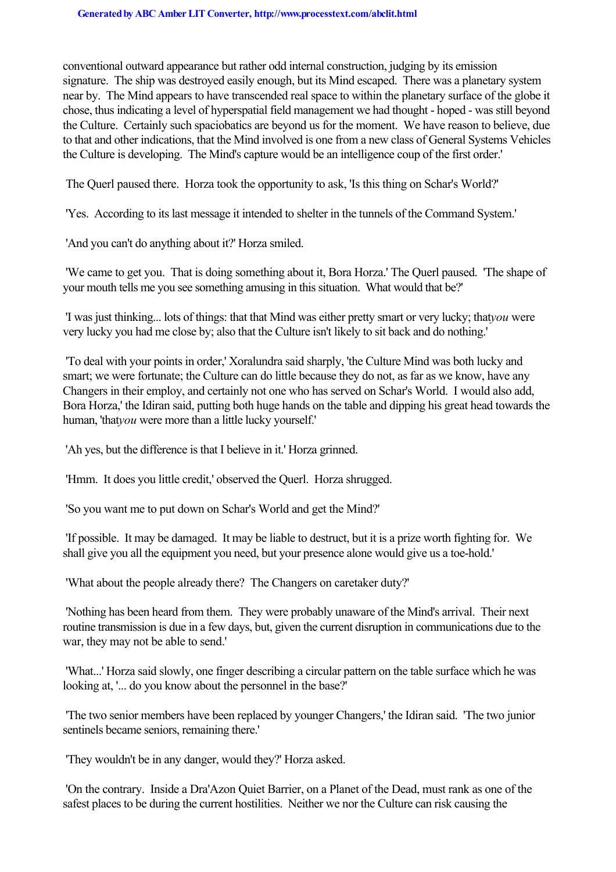conventional outward appearance but rather odd internal construction, judging by its emission signature. The ship was destroyed easily enough, but its Mind escaped. There was a planetary system near by. The Mind appears to have transcended real space to within the planetary surface of the globe it chose, thus indicating a level of hyperspatial field management we had thought - hoped - was still beyond the Culture. Certainly such spaciobatics are beyond us for the moment. We have reason to believe, due to that and other indications, that the Mind involved is one from a new class of General Systems Vehicles the Culture is developing. The Mind's capture would be an intelligence coup of the first order.'

The Querl paused there. Horza took the opportunity to ask, 'Is this thing on Schar's World?'

'Yes. According to its last message it intended to shelter in the tunnels of the Command System.'

'And you can't do anything about it?' Horza smiled.

 'We came to get you. That is doing something about it, Bora Horza.' The Querl paused. 'The shape of your mouth tells me you see something amusing in this situation. What would that be?'

 'I was just thinking... lots of things: that that Mind was either pretty smart or very lucky; that*you* were very lucky you had me close by; also that the Culture isn't likely to sit back and do nothing.'

 'To deal with your points in order,' Xoralundra said sharply, 'the Culture Mind was both lucky and smart; we were fortunate; the Culture can do little because they do not, as far as we know, have any Changers in their employ, and certainly not one who has served on Schar's World. I would also add, Bora Horza,' the Idiran said, putting both huge hands on the table and dipping his great head towards the human, 'that*you* were more than a little lucky yourself.'

'Ah yes, but the difference is that I believe in it.' Horza grinned.

'Hmm. It does you little credit,' observed the Querl. Horza shrugged.

'So you want me to put down on Schar's World and get the Mind?'

 'If possible. It may be damaged. It may be liable to destruct, but it is a prize worth fighting for. We shall give you all the equipment you need, but your presence alone would give us a toe-hold.'

'What about the people already there? The Changers on caretaker duty?'

 'Nothing has been heard from them. They were probably unaware of the Mind's arrival. Their next routine transmission is due in a few days, but, given the current disruption in communications due to the war, they may not be able to send.'

 'What...' Horza said slowly, one finger describing a circular pattern on the table surface which he was looking at, '... do you know about the personnel in the base?'

 'The two senior members have been replaced by younger Changers,' the Idiran said. 'The two junior sentinels became seniors, remaining there.'

'They wouldn't be in any danger, would they?' Horza asked.

 'On the contrary. Inside a Dra'Azon Quiet Barrier, on a Planet of the Dead, must rank as one of the safest places to be during the current hostilities. Neither we nor the Culture can risk causing the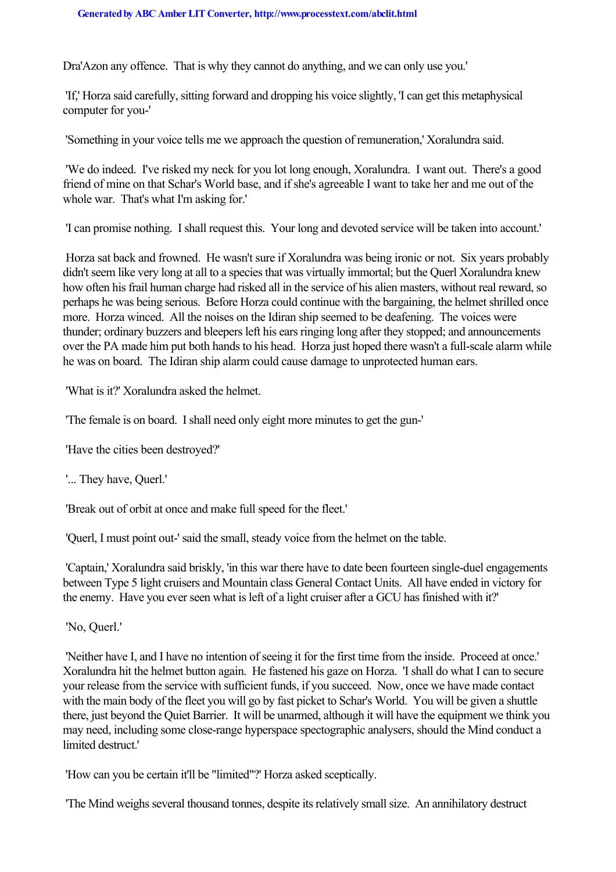Dra'Azon any offence. That is why they cannot do anything, and we can only use you.'

 'If,' Horza said carefully, sitting forward and dropping his voice slightly, 'I can get this metaphysical computer for you-'

'Something in your voice tells me we approach the question of remuneration,' Xoralundra said.

 'We do indeed. I've risked my neck for you lot long enough, Xoralundra. I want out. There's a good friend of mine on that Schar's World base, and if she's agreeable I want to take her and me out of the whole war. That's what I'm asking for.'

'I can promise nothing. I shall request this. Your long and devoted service will be taken into account.'

 Horza sat back and frowned. He wasn't sure if Xoralundra was being ironic or not. Six years probably didn't seem like very long at all to a species that was virtually immortal; but the Querl Xoralundra knew how often his frail human charge had risked all in the service of his alien masters, without real reward, so perhaps he was being serious. Before Horza could continue with the bargaining, the helmet shrilled once more. Horza winced. All the noises on the Idiran ship seemed to be deafening. The voices were thunder; ordinary buzzers and bleepers left his ears ringing long after they stopped; and announcements over the PA made him put both hands to his head. Horza just hoped there wasn't a full-scale alarm while he was on board. The Idiran ship alarm could cause damage to unprotected human ears.

'What is it?' Xoralundra asked the helmet.

'The female is on board. I shall need only eight more minutes to get the gun-'

'Have the cities been destroyed?'

'... They have, Querl.'

'Break out of orbit at once and make full speed for the fleet.'

'Querl, I must point out-' said the small, steady voice from the helmet on the table.

 'Captain,' Xoralundra said briskly, 'in this war there have to date been fourteen single-duel engagements between Type 5 light cruisers and Mountain class General Contact Units. All have ended in victory for the enemy. Have you ever seen what is left of a light cruiser after a GCU has finished with it?'

'No, Querl.'

 'Neither have I, and I have no intention of seeing it for the first time from the inside. Proceed at once.' Xoralundra hit the helmet button again. He fastened his gaze on Horza. 'I shall do what I can to secure your release from the service with sufficient funds, if you succeed. Now, once we have made contact with the main body of the fleet you will go by fast picket to Schar's World. You will be given a shuttle there, just beyond the Quiet Barrier. It will be unarmed, although it will have the equipment we think you may need, including some close-range hyperspace spectographic analysers, should the Mind conduct a limited destruct.'

'How can you be certain it'll be "limited"?' Horza asked sceptically.

'The Mind weighs several thousand tonnes, despite its relatively small size. An annihilatory destruct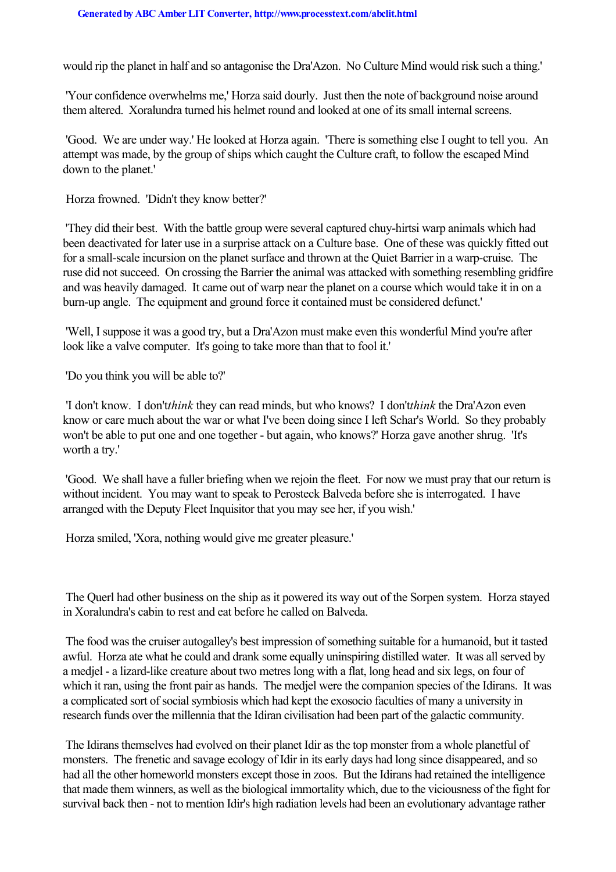would rip the planet in half and so antagonise the Dra'Azon. No Culture Mind would risk such a thing.'

 'Your confidence overwhelms me,' Horza said dourly. Just then the note of background noise around them altered. Xoralundra turned his helmet round and looked at one of its small internal screens.

 'Good. We are under way.' He looked at Horza again. 'There is something else I ought to tell you. An attempt was made, by the group of ships which caught the Culture craft, to follow the escaped Mind down to the planet.'

Horza frowned. 'Didn't they know better?'

 'They did their best. With the battle group were several captured chuy-hirtsi warp animals which had been deactivated for later use in a surprise attack on a Culture base. One of these was quickly fitted out for a small-scale incursion on the planet surface and thrown at the Quiet Barrier in a warp-cruise. The ruse did not succeed. On crossing the Barrier the animal was attacked with something resembling gridfire and was heavily damaged. It came out of warp near the planet on a course which would take it in on a burn-up angle. The equipment and ground force it contained must be considered defunct.'

 'Well, I suppose it was a good try, but a Dra'Azon must make even this wonderful Mind you're after look like a valve computer. It's going to take more than that to fool it.'

'Do you think you will be able to?'

 'I don't know. I don't*think* they can read minds, but who knows? I don't*think* the Dra'Azon even know or care much about the war or what I've been doing since I left Schar's World. So they probably won't be able to put one and one together - but again, who knows?' Horza gave another shrug. 'It's worth a try.'

 'Good. We shall have a fuller briefing when we rejoin the fleet. For now we must pray that our return is without incident. You may want to speak to Perosteck Balveda before she is interrogated. I have arranged with the Deputy Fleet Inquisitor that you may see her, if you wish.'

Horza smiled, 'Xora, nothing would give me greater pleasure.'

 The Querl had other business on the ship as it powered its way out of the Sorpen system. Horza stayed in Xoralundra's cabin to rest and eat before he called on Balveda.

 The food was the cruiser autogalley's best impression of something suitable for a humanoid, but it tasted awful. Horza ate what he could and drank some equally uninspiring distilled water. It was all served by a medjel - a lizard-like creature about two metres long with a flat, long head and six legs, on four of which it ran, using the front pair as hands. The medjel were the companion species of the Idirans. It was a complicated sort of social symbiosis which had kept the exosocio faculties of many a university in research funds over the millennia that the Idiran civilisation had been part of the galactic community.

 The Idirans themselves had evolved on their planet Idir as the top monster from a whole planetful of monsters. The frenetic and savage ecology of Idir in its early days had long since disappeared, and so had all the other homeworld monsters except those in zoos. But the Idirans had retained the intelligence that made them winners, as well as the biological immortality which, due to the viciousness of the fight for survival back then - not to mention Idir's high radiation levels had been an evolutionary advantage rather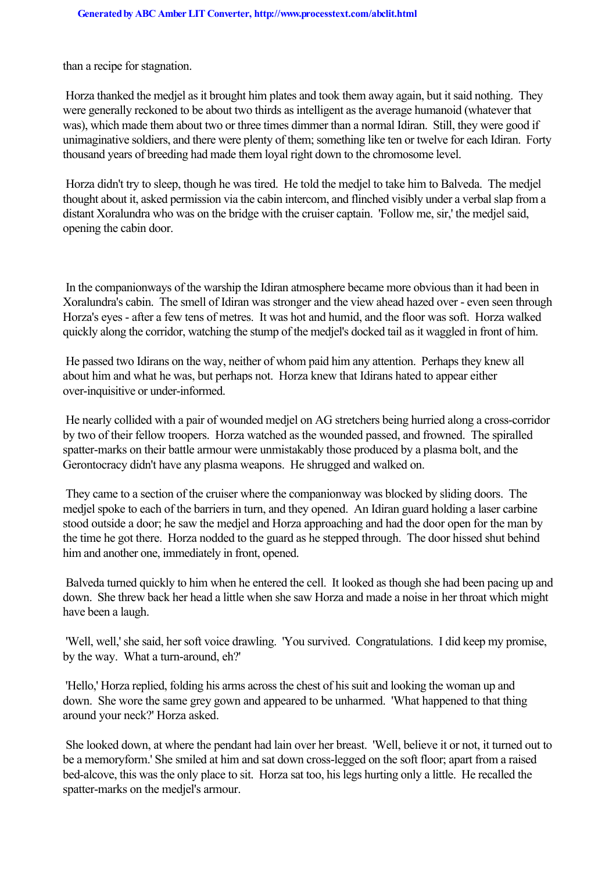than a recipe for stagnation.

 Horza thanked the medjel as it brought him plates and took them away again, but it said nothing. They were generally reckoned to be about two thirds as intelligent as the average humanoid (whatever that was), which made them about two or three times dimmer than a normal Idiran. Still, they were good if unimaginative soldiers, and there were plenty of them; something like ten or twelve for each Idiran. Forty thousand years of breeding had made them loyal right down to the chromosome level.

 Horza didn't try to sleep, though he was tired. He told the medjel to take him to Balveda. The medjel thought about it, asked permission via the cabin intercom, and flinched visibly under a verbal slap from a distant Xoralundra who was on the bridge with the cruiser captain. 'Follow me, sir,' the medjel said, opening the cabin door.

 In the companionways of the warship the Idiran atmosphere became more obvious than it had been in Xoralundra's cabin. The smell of Idiran was stronger and the view ahead hazed over - even seen through Horza's eyes - after a few tens of metres. It was hot and humid, and the floor was soft. Horza walked quickly along the corridor, watching the stump of the mediel's docked tail as it waggled in front of him.

 He passed two Idirans on the way, neither of whom paid him any attention. Perhaps they knew all about him and what he was, but perhaps not. Horza knew that Idirans hated to appear either over-inquisitive or under-informed.

 He nearly collided with a pair of wounded medjel on AG stretchers being hurried along a cross-corridor by two of their fellow troopers. Horza watched as the wounded passed, and frowned. The spiralled spatter-marks on their battle armour were unmistakably those produced by a plasma bolt, and the Gerontocracy didn't have any plasma weapons. He shrugged and walked on.

 They came to a section of the cruiser where the companionway was blocked by sliding doors. The medjel spoke to each of the barriers in turn, and they opened. An Idiran guard holding a laser carbine stood outside a door; he saw the medjel and Horza approaching and had the door open for the man by the time he got there. Horza nodded to the guard as he stepped through. The door hissed shut behind him and another one, immediately in front, opened.

 Balveda turned quickly to him when he entered the cell. It looked as though she had been pacing up and down. She threw back her head a little when she saw Horza and made a noise in her throat which might have been a laugh.

 'Well, well,' she said, her soft voice drawling. 'You survived. Congratulations. I did keep my promise, by the way. What a turn-around, eh?'

 'Hello,' Horza replied, folding his arms across the chest of his suit and looking the woman up and down. She wore the same grey gown and appeared to be unharmed. 'What happened to that thing around your neck?' Horza asked.

 She looked down, at where the pendant had lain over her breast. 'Well, believe it or not, it turned out to be a memoryform.' She smiled at him and sat down cross-legged on the soft floor; apart from a raised bed-alcove, this was the only place to sit. Horza sat too, his legs hurting only a little. He recalled the spatter-marks on the medjel's armour.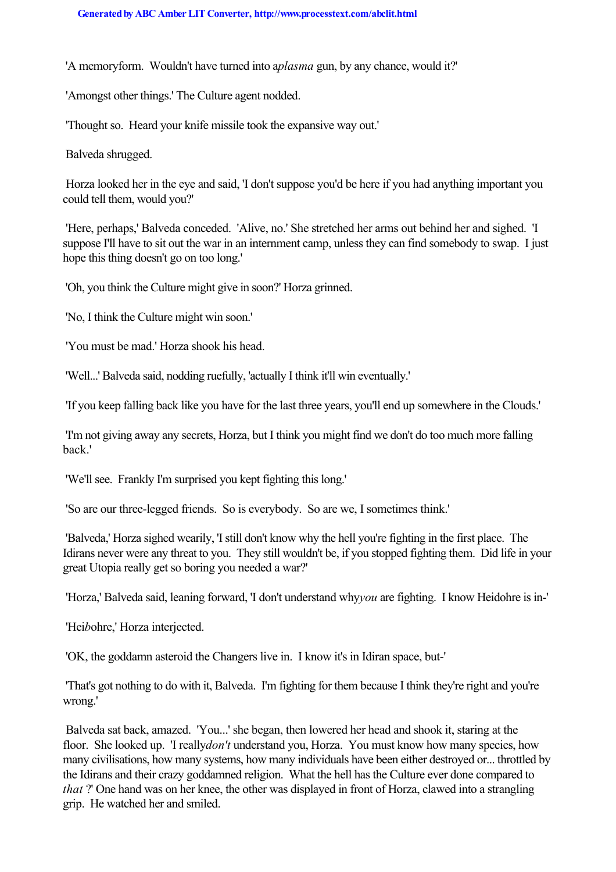#### **Generated by ABC Amber LIT Converter, <http://www.processtext.com/abclit.html>**

'A memoryform. Wouldn't have turned into a*plasma* gun, by any chance, would it?'

'Amongst other things.' The Culture agent nodded.

'Thought so. Heard your knife missile took the expansive way out.'

Balveda shrugged.

 Horza looked her in the eye and said, 'I don't suppose you'd be here if you had anything important you could tell them, would you?'

 'Here, perhaps,' Balveda conceded. 'Alive, no.' She stretched her arms out behind her and sighed. 'I suppose I'll have to sit out the war in an internment camp, unless they can find somebody to swap. I just hope this thing doesn't go on too long.'

'Oh, you think the Culture might give in soon?' Horza grinned.

'No, I think the Culture might win soon.'

'You must be mad.' Horza shook his head.

'Well...' Balveda said, nodding ruefully, 'actually I think it'll win eventually.'

'If you keep falling back like you have for the last three years, you'll end up somewhere in the Clouds.'

 'I'm not giving away any secrets, Horza, but I think you might find we don't do too much more falling back.'

'We'll see. Frankly I'm surprised you kept fighting this long.'

'So are our three-legged friends. So is everybody. So are we, I sometimes think.'

 'Balveda,' Horza sighed wearily, 'I still don't know why the hell you're fighting in the first place. The Idirans never were any threat to you. They still wouldn't be, if you stopped fighting them. Did life in your great Utopia really get so boring you needed a war?'

'Horza,' Balveda said, leaning forward, 'I don't understand why*you* are fighting. I know Heidohre is in-'

'Hei*b*ohre,' Horza interjected.

'OK, the goddamn asteroid the Changers live in. I know it's in Idiran space, but-'

 'That's got nothing to do with it, Balveda. I'm fighting for them because I think they're right and you're wrong.'

 Balveda sat back, amazed. 'You...' she began, then lowered her head and shook it, staring at the floor. She looked up. 'I really*don't* understand you, Horza. You must know how many species, how many civilisations, how many systems, how many individuals have been either destroyed or... throttled by the Idirans and their crazy goddamned religion. What the hell has the Culture ever done compared to *that* ?' One hand was on her knee, the other was displayed in front of Horza, clawed into a strangling grip. He watched her and smiled.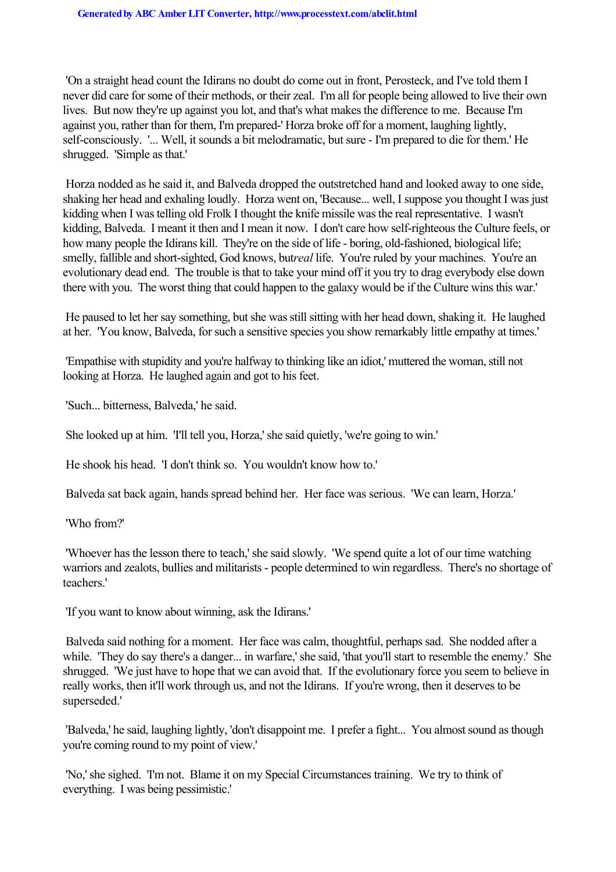'On a straight head count the Idirans no doubt do come out in front, Perosteck, and I've told them I never did care for some of their methods, or their zeal. I'm all for people being allowed to live their own lives. But now they're up against you lot, and that's what makes the difference to me. Because I'm against you, rather than for them, I'm prepared-' Horza broke off for a moment, laughing lightly, self-consciously. '... Well, it sounds a bit melodramatic, but sure - I'm prepared to die for them.' He shrugged. 'Simple as that.'

 Horza nodded as he said it, and Balveda dropped the outstretched hand and looked away to one side, shaking her head and exhaling loudly. Horza went on, 'Because... well, I suppose you thought I was just kidding when I was telling old Frolk I thought the knife missile was the real representative. I wasn't kidding, Balveda. I meant it then and I mean it now. I don't care how self-righteous the Culture feels, or how many people the Idirans kill. They're on the side of life - boring, old-fashioned, biological life; smelly, fallible and short-sighted, God knows, but*real* life. You're ruled by your machines. You're an evolutionary dead end. The trouble is that to take your mind off it you try to drag everybody else down there with you. The worst thing that could happen to the galaxy would be if the Culture wins this war.'

 He paused to let her say something, but she was still sitting with her head down, shaking it. He laughed at her. 'You know, Balveda, for such a sensitive species you show remarkably little empathy at times.'

 'Empathise with stupidity and you're halfway to thinking like an idiot,' muttered the woman, still not looking at Horza. He laughed again and got to his feet.

'Such... bitterness, Balveda,' he said.

She looked up at him. 'I'll tell you, Horza,' she said quietly, 'we're going to win.'

He shook his head. 'I don't think so. You wouldn't know how to.'

Balveda sat back again, hands spread behind her. Her face was serious. 'We can learn, Horza.'

'Who from?'

 'Whoever has the lesson there to teach,' she said slowly. 'We spend quite a lot of our time watching warriors and zealots, bullies and militarists - people determined to win regardless. There's no shortage of teachers.'

'If you want to know about winning, ask the Idirans.'

 Balveda said nothing for a moment. Her face was calm, thoughtful, perhaps sad. She nodded after a while. 'They do say there's a danger... in warfare,' she said, 'that you'll start to resemble the enemy.' She shrugged. 'We just have to hope that we can avoid that. If the evolutionary force you seem to believe in really works, then it'll work through us, and not the Idirans. If you're wrong, then it deserves to be superseded.'

 'Balveda,' he said, laughing lightly, 'don't disappoint me. I prefer a fight... You almost sound as though you're coming round to my point of view.'

 'No,' she sighed. 'I'm not. Blame it on my Special Circumstances training. We try to think of everything. I was being pessimistic.'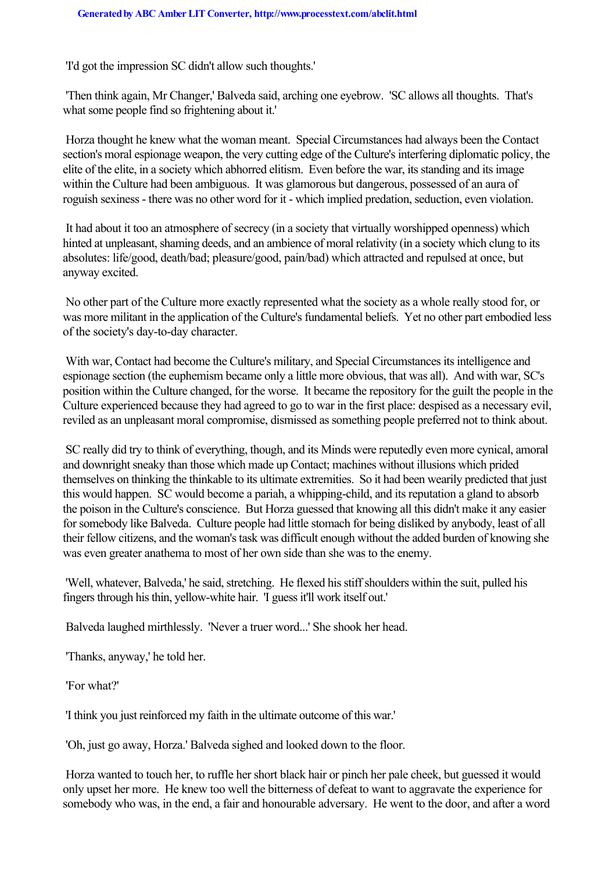'I'd got the impression SC didn't allow such thoughts.'

 'Then think again, Mr Changer,' Balveda said, arching one eyebrow. 'SC allows all thoughts. That's what some people find so frightening about it.'

 Horza thought he knew what the woman meant. Special Circumstances had always been the Contact section's moral espionage weapon, the very cutting edge of the Culture's interfering diplomatic policy, the elite of the elite, in a society which abhorred elitism. Even before the war, its standing and its image within the Culture had been ambiguous. It was glamorous but dangerous, possessed of an aura of roguish sexiness - there was no other word for it - which implied predation, seduction, even violation.

 It had about it too an atmosphere of secrecy (in a society that virtually worshipped openness) which hinted at unpleasant, shaming deeds, and an ambience of moral relativity (in a society which clung to its absolutes: life/good, death/bad; pleasure/good, pain/bad) which attracted and repulsed at once, but anyway excited.

 No other part of the Culture more exactly represented what the society as a whole really stood for, or was more militant in the application of the Culture's fundamental beliefs. Yet no other part embodied less of the society's day-to-day character.

 With war, Contact had become the Culture's military, and Special Circumstances its intelligence and espionage section (the euphemism became only a little more obvious, that was all). And with war, SC's position within the Culture changed, for the worse. It became the repository for the guilt the people in the Culture experienced because they had agreed to go to war in the first place: despised as a necessary evil, reviled as an unpleasant moral compromise, dismissed as something people preferred not to think about.

 SC really did try to think of everything, though, and its Minds were reputedly even more cynical, amoral and downright sneaky than those which made up Contact; machines without illusions which prided themselves on thinking the thinkable to its ultimate extremities. So it had been wearily predicted that just this would happen. SC would become a pariah, a whipping-child, and its reputation a gland to absorb the poison in the Culture's conscience. But Horza guessed that knowing all this didn't make it any easier for somebody like Balveda. Culture people had little stomach for being disliked by anybody, least of all their fellow citizens, and the woman's task was difficult enough without the added burden of knowing she was even greater anathema to most of her own side than she was to the enemy.

 'Well, whatever, Balveda,' he said, stretching. He flexed his stiff shoulders within the suit, pulled his fingers through his thin, yellow-white hair. 'I guess it'll work itself out.'

Balveda laughed mirthlessly. 'Never a truer word...' She shook her head.

'Thanks, anyway,' he told her.

'For what?'

'I think you just reinforced my faith in the ultimate outcome of this war.'

'Oh, just go away, Horza.' Balveda sighed and looked down to the floor.

 Horza wanted to touch her, to ruffle her short black hair or pinch her pale cheek, but guessed it would only upset her more. He knew too well the bitterness of defeat to want to aggravate the experience for somebody who was, in the end, a fair and honourable adversary. He went to the door, and after a word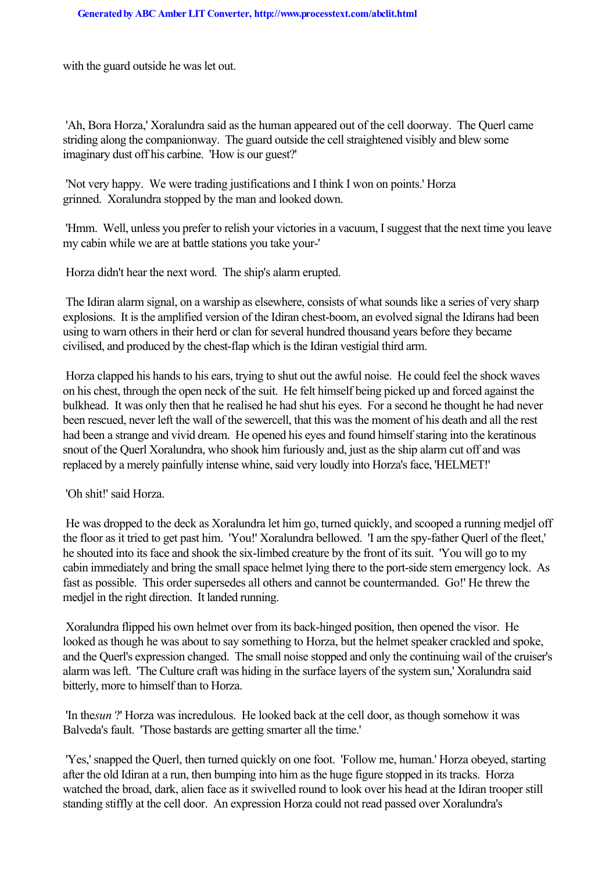with the guard outside he was let out.

 'Ah, Bora Horza,' Xoralundra said as the human appeared out of the cell doorway. The Querl came striding along the companionway. The guard outside the cell straightened visibly and blew some imaginary dust off his carbine. 'How is our guest?'

 'Not very happy. We were trading justifications and I think I won on points.' Horza grinned. Xoralundra stopped by the man and looked down.

 'Hmm. Well, unless you prefer to relish your victories in a vacuum, I suggest that the next time you leave my cabin while we are at battle stations you take your-'

Horza didn't hear the next word. The ship's alarm erupted.

 The Idiran alarm signal, on a warship as elsewhere, consists of what sounds like a series of very sharp explosions. It is the amplified version of the Idiran chest-boom, an evolved signal the Idirans had been using to warn others in their herd or clan for several hundred thousand years before they became civilised, and produced by the chest-flap which is the Idiran vestigial third arm.

 Horza clapped his hands to his ears, trying to shut out the awful noise. He could feel the shock waves on his chest, through the open neck of the suit. He felt himself being picked up and forced against the bulkhead. It was only then that he realised he had shut his eyes. For a second he thought he had never been rescued, never left the wall of the sewercell, that this was the moment of his death and all the rest had been a strange and vivid dream. He opened his eyes and found himself staring into the keratinous snout of the Querl Xoralundra, who shook him furiously and, just as the ship alarm cut off and was replaced by a merely painfully intense whine, said very loudly into Horza's face, 'HELMET!'

'Oh shit!' said Horza.

 He was dropped to the deck as Xoralundra let him go, turned quickly, and scooped a running medjel off the floor as it tried to get past him. 'You!' Xoralundra bellowed. 'I am the spy-father Querl of the fleet,' he shouted into its face and shook the six-limbed creature by the front of its suit. 'You will go to my cabin immediately and bring the small space helmet lying there to the port-side stem emergency lock. As fast as possible. This order supersedes all others and cannot be countermanded. Go!' He threw the medjel in the right direction. It landed running.

 Xoralundra flipped his own helmet over from its back-hinged position, then opened the visor. He looked as though he was about to say something to Horza, but the helmet speaker crackled and spoke, and the Querl's expression changed. The small noise stopped and only the continuing wail of the cruiser's alarm was left. 'The Culture craft was hiding in the surface layers of the system sun,' Xoralundra said bitterly, more to himself than to Horza.

 'In the*sun* ?' Horza was incredulous. He looked back at the cell door, as though somehow it was Balveda's fault. 'Those bastards are getting smarter all the time.'

 'Yes,' snapped the Querl, then turned quickly on one foot. 'Follow me, human.' Horza obeyed, starting after the old Idiran at a run, then bumping into him as the huge figure stopped in its tracks. Horza watched the broad, dark, alien face as it swivelled round to look over his head at the Idiran trooper still standing stiffly at the cell door. An expression Horza could not read passed over Xoralundra's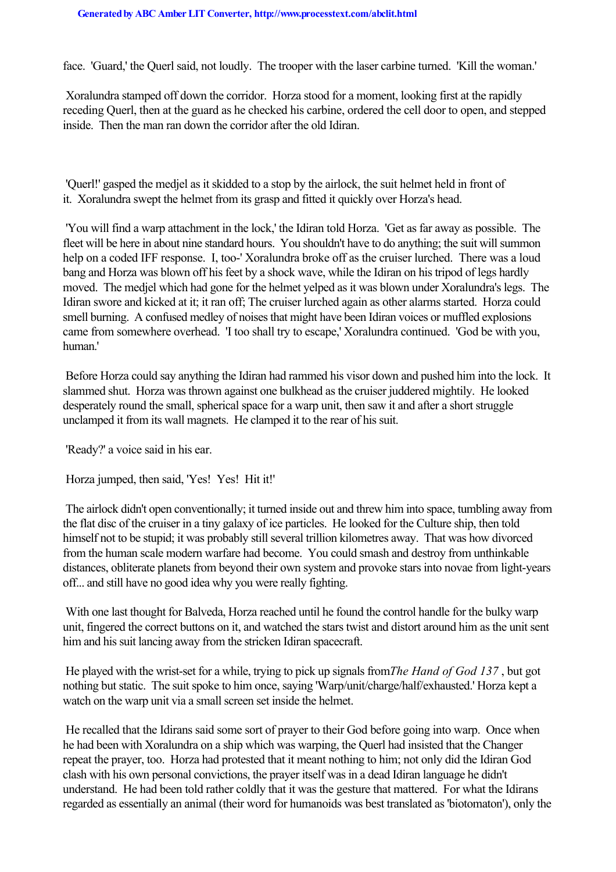face. 'Guard,' the Querl said, not loudly. The trooper with the laser carbine turned. 'Kill the woman.'

 Xoralundra stamped off down the corridor. Horza stood for a moment, looking first at the rapidly receding Querl, then at the guard as he checked his carbine, ordered the cell door to open, and stepped inside. Then the man ran down the corridor after the old Idiran.

 'Querl!' gasped the medjel as it skidded to a stop by the airlock, the suit helmet held in front of it. Xoralundra swept the helmet from its grasp and fitted it quickly over Horza's head.

 'You will find a warp attachment in the lock,' the Idiran told Horza. 'Get as far away as possible. The fleet will be here in about nine standard hours. You shouldn't have to do anything; the suit will summon help on a coded IFF response. I, too-' Xoralundra broke off as the cruiser lurched. There was a loud bang and Horza was blown off his feet by a shock wave, while the Idiran on his tripod of legs hardly moved. The medjel which had gone for the helmet yelped as it was blown under Xoralundra's legs. The Idiran swore and kicked at it; it ran off; The cruiser lurched again as other alarms started. Horza could smell burning. A confused medley of noises that might have been Idiran voices or muffled explosions came from somewhere overhead. 'I too shall try to escape,' Xoralundra continued. 'God be with you, human.'

 Before Horza could say anything the Idiran had rammed his visor down and pushed him into the lock. It slammed shut. Horza was thrown against one bulkhead as the cruiser juddered mightily. He looked desperately round the small, spherical space for a warp unit, then saw it and after a short struggle unclamped it from its wall magnets. He clamped it to the rear of his suit.

'Ready?' a voice said in his ear.

Horza jumped, then said, 'Yes! Yes! Hit it!'

 The airlock didn't open conventionally; it turned inside out and threw him into space, tumbling away from the flat disc of the cruiser in a tiny galaxy of ice particles. He looked for the Culture ship, then told himself not to be stupid; it was probably still several trillion kilometres away. That was how divorced from the human scale modern warfare had become. You could smash and destroy from unthinkable distances, obliterate planets from beyond their own system and provoke stars into novae from light-years off... and still have no good idea why you were really fighting.

 With one last thought for Balveda, Horza reached until he found the control handle for the bulky warp unit, fingered the correct buttons on it, and watched the stars twist and distort around him as the unit sent him and his suit lancing away from the stricken Idiran spacecraft.

 He played with the wrist-set for a while, trying to pick up signals from*The Hand of God 137* , but got nothing but static. The suit spoke to him once, saying 'Warp/unit/charge/half/exhausted.' Horza kept a watch on the warp unit via a small screen set inside the helmet.

 He recalled that the Idirans said some sort of prayer to their God before going into warp. Once when he had been with Xoralundra on a ship which was warping, the Querl had insisted that the Changer repeat the prayer, too. Horza had protested that it meant nothing to him; not only did the Idiran God clash with his own personal convictions, the prayer itself was in a dead Idiran language he didn't understand. He had been told rather coldly that it was the gesture that mattered. For what the Idirans regarded as essentially an animal (their word for humanoids was best translated as 'biotomaton'), only the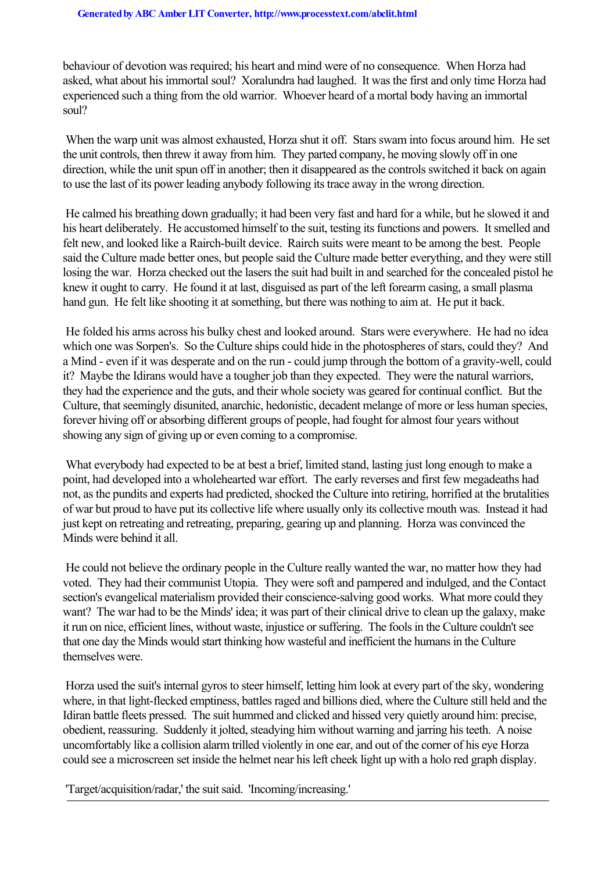behaviour of devotion was required; his heart and mind were of no consequence. When Horza had asked, what about his immortal soul? Xoralundra had laughed. It was the first and only time Horza had experienced such a thing from the old warrior. Whoever heard of a mortal body having an immortal soul?

 When the warp unit was almost exhausted, Horza shut it off. Stars swam into focus around him. He set the unit controls, then threw it away from him. They parted company, he moving slowly off in one direction, while the unit spun off in another; then it disappeared as the controls switched it back on again to use the last of its power leading anybody following its trace away in the wrong direction.

 He calmed his breathing down gradually; it had been very fast and hard for a while, but he slowed it and his heart deliberately. He accustomed himself to the suit, testing its functions and powers. It smelled and felt new, and looked like a Rairch-built device. Rairch suits were meant to be among the best. People said the Culture made better ones, but people said the Culture made better everything, and they were still losing the war. Horza checked out the lasers the suit had built in and searched for the concealed pistol he knew it ought to carry. He found it at last, disguised as part of the left forearm casing, a small plasma hand gun. He felt like shooting it at something, but there was nothing to aim at. He put it back.

 He folded his arms across his bulky chest and looked around. Stars were everywhere. He had no idea which one was Sorpen's. So the Culture ships could hide in the photospheres of stars, could they? And a Mind - even if it was desperate and on the run - could jump through the bottom of a gravity-well, could it? Maybe the Idirans would have a tougher job than they expected. They were the natural warriors, they had the experience and the guts, and their whole society was geared for continual conflict. But the Culture, that seemingly disunited, anarchic, hedonistic, decadent melange of more or less human species, forever hiving off or absorbing different groups of people, had fought for almost four years without showing any sign of giving up or even coming to a compromise.

What everybody had expected to be at best a brief, limited stand, lasting just long enough to make a point, had developed into a wholehearted war effort. The early reverses and first few megadeaths had not, as the pundits and experts had predicted, shocked the Culture into retiring, horrified at the brutalities of war but proud to have put its collective life where usually only its collective mouth was. Instead it had just kept on retreating and retreating, preparing, gearing up and planning. Horza was convinced the Minds were behind it all.

 He could not believe the ordinary people in the Culture really wanted the war, no matter how they had voted. They had their communist Utopia. They were soft and pampered and indulged, and the Contact section's evangelical materialism provided their conscience-salving good works. What more could they want? The war had to be the Minds' idea; it was part of their clinical drive to clean up the galaxy, make it run on nice, efficient lines, without waste, injustice or suffering. The fools in the Culture couldn't see that one day the Minds would start thinking how wasteful and inefficient the humans in the Culture themselves were.

 Horza used the suit's internal gyros to steer himself, letting him look at every part of the sky, wondering where, in that light-flecked emptiness, battles raged and billions died, where the Culture still held and the Idiran battle fleets pressed. The suit hummed and clicked and hissed very quietly around him: precise, obedient, reassuring. Suddenly it jolted, steadying him without warning and jarring his teeth. A noise uncomfortably like a collision alarm trilled violently in one ear, and out of the corner of his eye Horza could see a microscreen set inside the helmet near his left cheek light up with a holo red graph display.

'Target/acquisition/radar,' the suit said. 'Incoming/increasing.'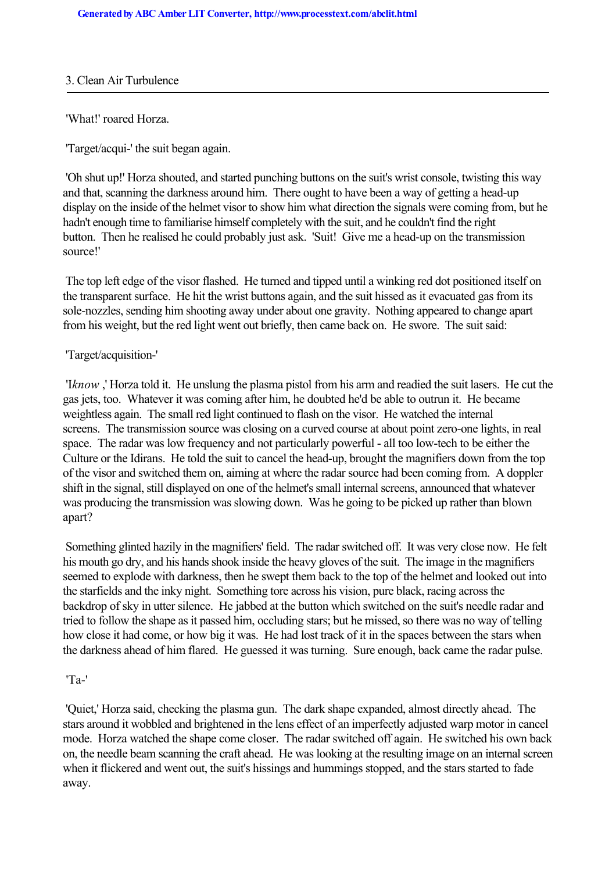## 3. Clean Air Turbulence

# 'What!' roared Horza.

'Target/acqui-' the suit began again.

 'Oh shut up!' Horza shouted, and started punching buttons on the suit's wrist console, twisting this way and that, scanning the darkness around him. There ought to have been a way of getting a head-up display on the inside of the helmet visor to show him what direction the signals were coming from, but he hadn't enough time to familiarise himself completely with the suit, and he couldn't find the right button. Then he realised he could probably just ask. 'Suit! Give me a head-up on the transmission source!'

 The top left edge of the visor flashed. He turned and tipped until a winking red dot positioned itself on the transparent surface. He hit the wrist buttons again, and the suit hissed as it evacuated gas from its sole-nozzles, sending him shooting away under about one gravity. Nothing appeared to change apart from his weight, but the red light went out briefly, then came back on. He swore. The suit said:

# 'Target/acquisition-'

 'I*know* ,' Horza told it. He unslung the plasma pistol from his arm and readied the suit lasers. He cut the gas jets, too. Whatever it was coming after him, he doubted he'd be able to outrun it. He became weightless again. The small red light continued to flash on the visor. He watched the internal screens. The transmission source was closing on a curved course at about point zero-one lights, in real space. The radar was low frequency and not particularly powerful - all too low-tech to be either the Culture or the Idirans. He told the suit to cancel the head-up, brought the magnifiers down from the top of the visor and switched them on, aiming at where the radar source had been coming from. A doppler shift in the signal, still displayed on one of the helmet's small internal screens, announced that whatever was producing the transmission was slowing down. Was he going to be picked up rather than blown apart?

 Something glinted hazily in the magnifiers' field. The radar switched off. It was very close now. He felt his mouth go dry, and his hands shook inside the heavy gloves of the suit. The image in the magnifiers seemed to explode with darkness, then he swept them back to the top of the helmet and looked out into the starfields and the inky night. Something tore across his vision, pure black, racing across the backdrop of sky in utter silence. He jabbed at the button which switched on the suit's needle radar and tried to follow the shape as it passed him, occluding stars; but he missed, so there was no way of telling how close it had come, or how big it was. He had lost track of it in the spaces between the stars when the darkness ahead of him flared. He guessed it was turning. Sure enough, back came the radar pulse.

## 'Ta-'

 'Quiet,' Horza said, checking the plasma gun. The dark shape expanded, almost directly ahead. The stars around it wobbled and brightened in the lens effect of an imperfectly adjusted warp motor in cancel mode. Horza watched the shape come closer. The radar switched off again. He switched his own back on, the needle beam scanning the craft ahead. He was looking at the resulting image on an internal screen when it flickered and went out, the suit's hissings and hummings stopped, and the stars started to fade away.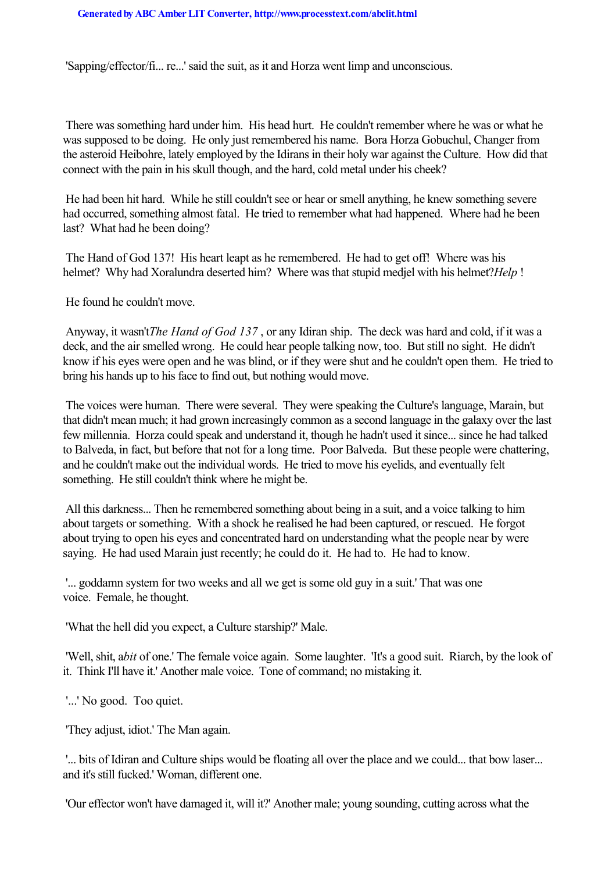'Sapping/effector/fi... re...' said the suit, as it and Horza went limp and unconscious.

 There was something hard under him. His head hurt. He couldn't remember where he was or what he was supposed to be doing. He only just remembered his name. Bora Horza Gobuchul, Changer from the asteroid Heibohre, lately employed by the Idirans in their holy war against the Culture. How did that connect with the pain in his skull though, and the hard, cold metal under his cheek?

 He had been hit hard. While he still couldn't see or hear or smell anything, he knew something severe had occurred, something almost fatal. He tried to remember what had happened. Where had he been last? What had he been doing?

 The Hand of God 137! His heart leapt as he remembered. He had to get off! Where was his helmet? Why had Xoralundra deserted him? Where was that stupid medjel with his helmet?*Help* !

He found he couldn't move.

 Anyway, it wasn't*The Hand of God 137* , or any Idiran ship. The deck was hard and cold, if it was a deck, and the air smelled wrong. He could hear people talking now, too. But still no sight. He didn't know if his eyes were open and he was blind, or if they were shut and he couldn't open them. He tried to bring his hands up to his face to find out, but nothing would move.

 The voices were human. There were several. They were speaking the Culture's language, Marain, but that didn't mean much; it had grown increasingly common as a second language in the galaxy over the last few millennia. Horza could speak and understand it, though he hadn't used it since... since he had talked to Balveda, in fact, but before that not for a long time. Poor Balveda. But these people were chattering, and he couldn't make out the individual words. He tried to move his eyelids, and eventually felt something. He still couldn't think where he might be.

 All this darkness... Then he remembered something about being in a suit, and a voice talking to him about targets or something. With a shock he realised he had been captured, or rescued. He forgot about trying to open his eyes and concentrated hard on understanding what the people near by were saying. He had used Marain just recently; he could do it. He had to. He had to know.

 '... goddamn system for two weeks and all we get is some old guy in a suit.' That was one voice. Female, he thought.

'What the hell did you expect, a Culture starship?' Male.

 'Well, shit, a*bit* of one.' The female voice again. Some laughter. 'It's a good suit. Riarch, by the look of it. Think I'll have it.' Another male voice. Tone of command; no mistaking it.

'...' No good. Too quiet.

'They adjust, idiot.' The Man again.

 '... bits of Idiran and Culture ships would be floating all over the place and we could... that bow laser... and it's still fucked.' Woman, different one.

'Our effector won't have damaged it, will it?' Another male; young sounding, cutting across what the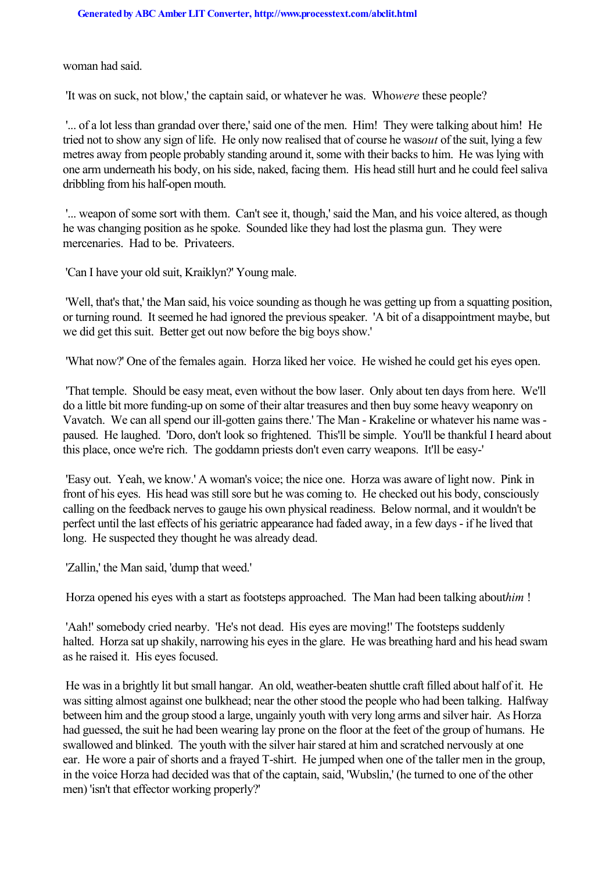woman had said.

'It was on suck, not blow,' the captain said, or whatever he was. Who*were* these people?

 '... of a lot less than grandad over there,' said one of the men. Him! They were talking about him! He tried not to show any sign of life. He only now realised that of course he was*out* of the suit, lying a few metres away from people probably standing around it, some with their backs to him. He was lying with one arm underneath his body, on his side, naked, facing them. His head still hurt and he could feel saliva dribbling from his half-open mouth.

 '... weapon of some sort with them. Can't see it, though,' said the Man, and his voice altered, as though he was changing position as he spoke. Sounded like they had lost the plasma gun. They were mercenaries. Had to be. Privateers.

'Can I have your old suit, Kraiklyn?' Young male.

 'Well, that's that,' the Man said, his voice sounding as though he was getting up from a squatting position, or turning round. It seemed he had ignored the previous speaker. 'A bit of a disappointment maybe, but we did get this suit. Better get out now before the big boys show.'

'What now?' One of the females again. Horza liked her voice. He wished he could get his eyes open.

 'That temple. Should be easy meat, even without the bow laser. Only about ten days from here. We'll do a little bit more funding-up on some of their altar treasures and then buy some heavy weaponry on Vavatch. We can all spend our ill-gotten gains there.' The Man - Krakeline or whatever his name was paused. He laughed. 'Doro, don't look so frightened. This'll be simple. You'll be thankful I heard about this place, once we're rich. The goddamn priests don't even carry weapons. It'll be easy-'

 'Easy out. Yeah, we know.' A woman's voice; the nice one. Horza was aware of light now. Pink in front of his eyes. His head was still sore but he was coming to. He checked out his body, consciously calling on the feedback nerves to gauge his own physical readiness. Below normal, and it wouldn't be perfect until the last effects of his geriatric appearance had faded away, in a few days - if he lived that long. He suspected they thought he was already dead.

'Zallin,' the Man said, 'dump that weed.'

Horza opened his eyes with a start as footsteps approached. The Man had been talking about*him* !

 'Aah!' somebody cried nearby. 'He's not dead. His eyes are moving!' The footsteps suddenly halted. Horza sat up shakily, narrowing his eyes in the glare. He was breathing hard and his head swam as he raised it. His eyes focused.

 He was in a brightly lit but small hangar. An old, weather-beaten shuttle craft filled about half of it. He was sitting almost against one bulkhead; near the other stood the people who had been talking. Halfway between him and the group stood a large, ungainly youth with very long arms and silver hair. As Horza had guessed, the suit he had been wearing lay prone on the floor at the feet of the group of humans. He swallowed and blinked. The youth with the silver hair stared at him and scratched nervously at one ear. He wore a pair of shorts and a frayed T-shirt. He jumped when one of the taller men in the group, in the voice Horza had decided was that of the captain, said, 'Wubslin,' (he turned to one of the other men) 'isn't that effector working properly?'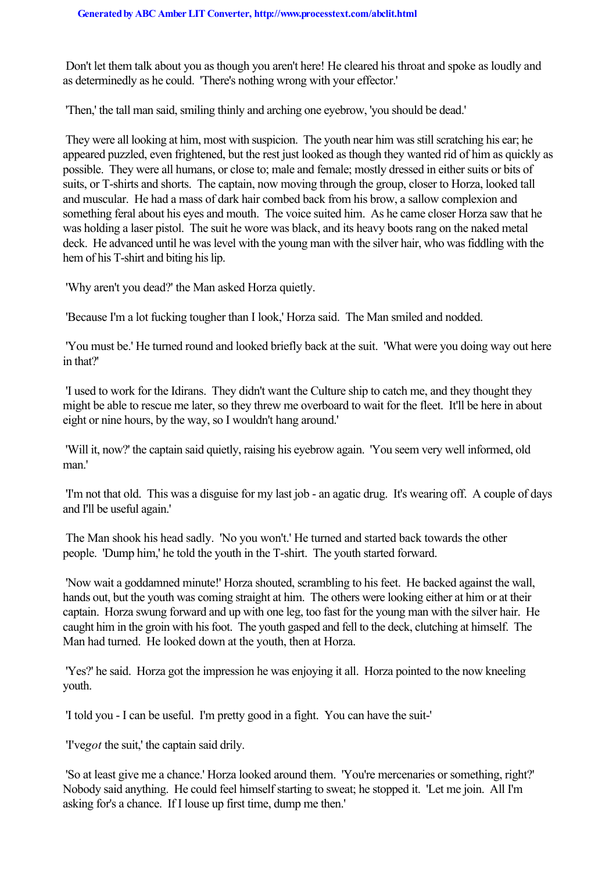Don't let them talk about you as though you aren't here! He cleared his throat and spoke as loudly and as determinedly as he could. 'There's nothing wrong with your effector.'

'Then,' the tall man said, smiling thinly and arching one eyebrow, 'you should be dead.'

 They were all looking at him, most with suspicion. The youth near him was still scratching his ear; he appeared puzzled, even frightened, but the rest just looked as though they wanted rid of him as quickly as possible. They were all humans, or close to; male and female; mostly dressed in either suits or bits of suits, or T-shirts and shorts. The captain, now moving through the group, closer to Horza, looked tall and muscular. He had a mass of dark hair combed back from his brow, a sallow complexion and something feral about his eyes and mouth. The voice suited him. As he came closer Horza saw that he was holding a laser pistol. The suit he wore was black, and its heavy boots rang on the naked metal deck. He advanced until he was level with the young man with the silver hair, who was fiddling with the hem of his T-shirt and biting his lip.

'Why aren't you dead?' the Man asked Horza quietly.

'Because I'm a lot fucking tougher than I look,' Horza said. The Man smiled and nodded.

 'You must be.' He turned round and looked briefly back at the suit. 'What were you doing way out here in that?'

 'I used to work for the Idirans. They didn't want the Culture ship to catch me, and they thought they might be able to rescue me later, so they threw me overboard to wait for the fleet. It'll be here in about eight or nine hours, by the way, so I wouldn't hang around.'

 'Will it, now?' the captain said quietly, raising his eyebrow again. 'You seem very well informed, old man.'

 'I'm not that old. This was a disguise for my last job - an agatic drug. It's wearing off. A couple of days and I'll be useful again.'

 The Man shook his head sadly. 'No you won't.' He turned and started back towards the other people. 'Dump him,' he told the youth in the T-shirt. The youth started forward.

 'Now wait a goddamned minute!' Horza shouted, scrambling to his feet. He backed against the wall, hands out, but the youth was coming straight at him. The others were looking either at him or at their captain. Horza swung forward and up with one leg, too fast for the young man with the silver hair. He caught him in the groin with his foot. The youth gasped and fell to the deck, clutching at himself. The Man had turned. He looked down at the youth, then at Horza.

 'Yes?' he said. Horza got the impression he was enjoying it all. Horza pointed to the now kneeling youth.

'I told you - I can be useful. I'm pretty good in a fight. You can have the suit-'

'I've*got* the suit,' the captain said drily.

 'So at least give me a chance.' Horza looked around them. 'You're mercenaries or something, right?' Nobody said anything. He could feel himself starting to sweat; he stopped it. 'Let me join. All I'm asking for's a chance. If I louse up first time, dump me then.'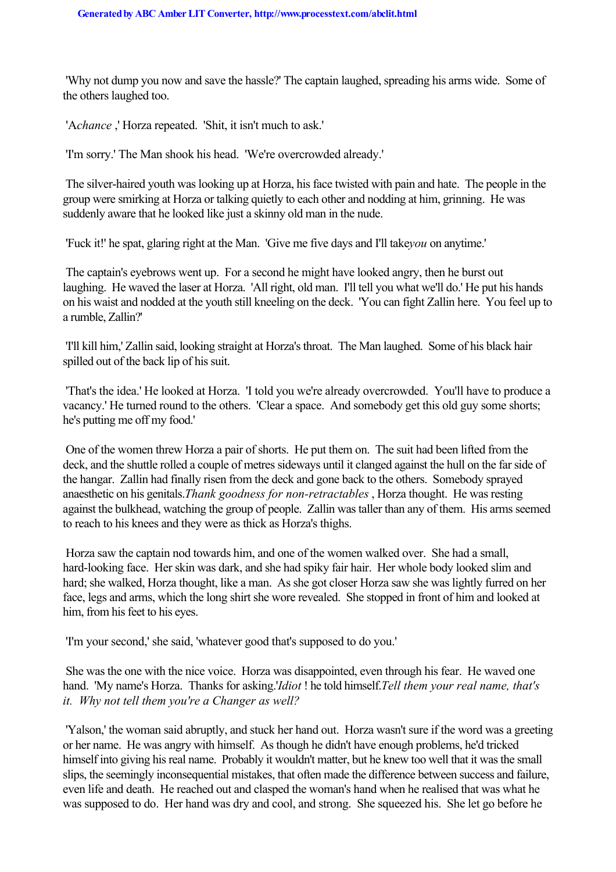'Why not dump you now and save the hassle?' The captain laughed, spreading his arms wide. Some of the others laughed too.

'A*chance*,' Horza repeated. 'Shit, it isn't much to ask.'

'I'm sorry.' The Man shook his head. 'We're overcrowded already.'

 The silver-haired youth was looking up at Horza, his face twisted with pain and hate. The people in the group were smirking at Horza or talking quietly to each other and nodding at him, grinning. He was suddenly aware that he looked like just a skinny old man in the nude.

'Fuck it!' he spat, glaring right at the Man. 'Give me five days and I'll take*you* on anytime.'

 The captain's eyebrows went up. For a second he might have looked angry, then he burst out laughing. He waved the laser at Horza. 'All right, old man. I'll tell you what we'll do.' He put his hands on his waist and nodded at the youth still kneeling on the deck. 'You can fight Zallin here. You feel up to a rumble, Zallin?'

 'I'll kill him,' Zallin said, looking straight at Horza's throat. The Man laughed. Some of his black hair spilled out of the back lip of his suit.

 'That's the idea.' He looked at Horza. 'I told you we're already overcrowded. You'll have to produce a vacancy.' He turned round to the others. 'Clear a space. And somebody get this old guy some shorts; he's putting me off my food.'

 One of the women threw Horza a pair of shorts. He put them on. The suit had been lifted from the deck, and the shuttle rolled a couple of metres sideways until it clanged against the hull on the far side of the hangar. Zallin had finally risen from the deck and gone back to the others. Somebody sprayed anaesthetic on his genitals.*Thank goodness for non-retractables* , Horza thought. He was resting against the bulkhead, watching the group of people. Zallin was taller than any of them. His arms seemed to reach to his knees and they were as thick as Horza's thighs.

 Horza saw the captain nod towards him, and one of the women walked over. She had a small, hard-looking face. Her skin was dark, and she had spiky fair hair. Her whole body looked slim and hard; she walked, Horza thought, like a man. As she got closer Horza saw she was lightly furred on her face, legs and arms, which the long shirt she wore revealed. She stopped in front of him and looked at him, from his feet to his eyes.

'I'm your second,' she said, 'whatever good that's supposed to do you.'

 She was the one with the nice voice. Horza was disappointed, even through his fear. He waved one hand. 'My name's Horza. Thanks for asking.'*Idiot* ! he told himself.*Tell them your real name, that's it. Why not tell them you're a Changer as well?*

 'Yalson,' the woman said abruptly, and stuck her hand out. Horza wasn't sure if the word was a greeting or her name. He was angry with himself. As though he didn't have enough problems, he'd tricked himself into giving his real name. Probably it wouldn't matter, but he knew too well that it was the small slips, the seemingly inconsequential mistakes, that often made the difference between success and failure, even life and death. He reached out and clasped the woman's hand when he realised that was what he was supposed to do. Her hand was dry and cool, and strong. She squeezed his. She let go before he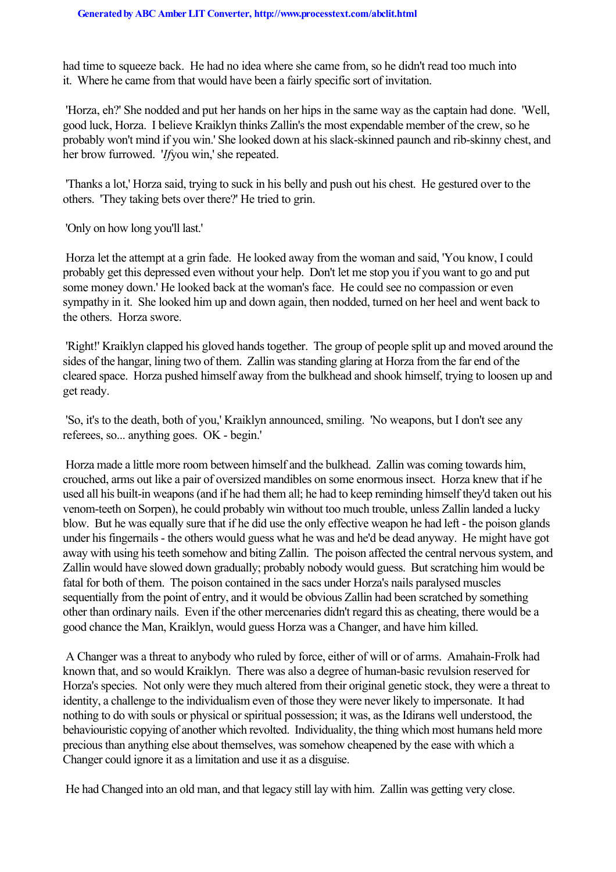had time to squeeze back. He had no idea where she came from, so he didn't read too much into it. Where he came from that would have been a fairly specific sort of invitation.

 'Horza, eh?' She nodded and put her hands on her hips in the same way as the captain had done. 'Well, good luck, Horza. I believe Kraiklyn thinks Zallin's the most expendable member of the crew, so he probably won't mind if you win.' She looked down at his slack-skinned paunch and rib-skinny chest, and her brow furrowed. '*If*you win,' she repeated.

 'Thanks a lot,' Horza said, trying to suck in his belly and push out his chest. He gestured over to the others. 'They taking bets over there?' He tried to grin.

'Only on how long you'll last.'

 Horza let the attempt at a grin fade. He looked away from the woman and said, 'You know, I could probably get this depressed even without your help. Don't let me stop you if you want to go and put some money down.' He looked back at the woman's face. He could see no compassion or even sympathy in it. She looked him up and down again, then nodded, turned on her heel and went back to the others. Horza swore.

 'Right!' Kraiklyn clapped his gloved hands together. The group of people split up and moved around the sides of the hangar, lining two of them. Zallin was standing glaring at Horza from the far end of the cleared space. Horza pushed himself away from the bulkhead and shook himself, trying to loosen up and get ready.

 'So, it's to the death, both of you,' Kraiklyn announced, smiling. 'No weapons, but I don't see any referees, so... anything goes. OK - begin.'

 Horza made a little more room between himself and the bulkhead. Zallin was coming towards him, crouched, arms out like a pair of oversized mandibles on some enormous insect. Horza knew that if he used all his built-in weapons (and if he had them all; he had to keep reminding himself they'd taken out his venom-teeth on Sorpen), he could probably win without too much trouble, unless Zallin landed a lucky blow. But he was equally sure that if he did use the only effective weapon he had left - the poison glands under his fingernails - the others would guess what he was and he'd be dead anyway. He might have got away with using his teeth somehow and biting Zallin. The poison affected the central nervous system, and Zallin would have slowed down gradually; probably nobody would guess. But scratching him would be fatal for both of them. The poison contained in the sacs under Horza's nails paralysed muscles sequentially from the point of entry, and it would be obvious Zallin had been scratched by something other than ordinary nails. Even if the other mercenaries didn't regard this as cheating, there would be a good chance the Man, Kraiklyn, would guess Horza was a Changer, and have him killed.

 A Changer was a threat to anybody who ruled by force, either of will or of arms. Amahain-Frolk had known that, and so would Kraiklyn. There was also a degree of human-basic revulsion reserved for Horza's species. Not only were they much altered from their original genetic stock, they were a threat to identity, a challenge to the individualism even of those they were never likely to impersonate. It had nothing to do with souls or physical or spiritual possession; it was, as the Idirans well understood, the behaviouristic copying of another which revolted. Individuality, the thing which most humans held more precious than anything else about themselves, was somehow cheapened by the ease with which a Changer could ignore it as a limitation and use it as a disguise.

He had Changed into an old man, and that legacy still lay with him. Zallin was getting very close.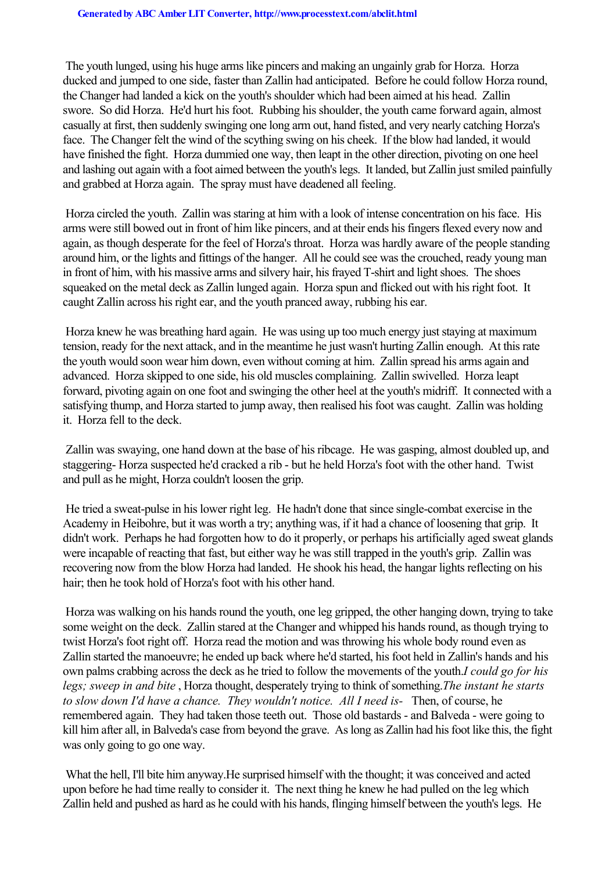The youth lunged, using his huge arms like pincers and making an ungainly grab for Horza. Horza ducked and jumped to one side, faster than Zallin had anticipated. Before he could follow Horza round, the Changer had landed a kick on the youth's shoulder which had been aimed at his head. Zallin swore. So did Horza. He'd hurt his foot. Rubbing his shoulder, the youth came forward again, almost casually at first, then suddenly swinging one long arm out, hand fisted, and very nearly catching Horza's face. The Changer felt the wind of the scything swing on his cheek. If the blow had landed, it would have finished the fight. Horza dummied one way, then leapt in the other direction, pivoting on one heel and lashing out again with a foot aimed between the youth's legs. It landed, but Zallin just smiled painfully and grabbed at Horza again. The spray must have deadened all feeling.

 Horza circled the youth. Zallin was staring at him with a look of intense concentration on his face. His arms were still bowed out in front of him like pincers, and at their ends his fingers flexed every now and again, as though desperate for the feel of Horza's throat. Horza was hardly aware of the people standing around him, or the lights and fittings of the hanger. All he could see was the crouched, ready young man in front of him, with his massive arms and silvery hair, his frayed T-shirt and light shoes. The shoes squeaked on the metal deck as Zallin lunged again. Horza spun and flicked out with his right foot. It caught Zallin across his right ear, and the youth pranced away, rubbing his ear.

 Horza knew he was breathing hard again. He was using up too much energy just staying at maximum tension, ready for the next attack, and in the meantime he just wasn't hurting Zallin enough. At this rate the youth would soon wear him down, even without coming at him. Zallin spread his arms again and advanced. Horza skipped to one side, his old muscles complaining. Zallin swivelled. Horza leapt forward, pivoting again on one foot and swinging the other heel at the youth's midriff. It connected with a satisfying thump, and Horza started to jump away, then realised his foot was caught. Zallin was holding it. Horza fell to the deck.

 Zallin was swaying, one hand down at the base of his ribcage. He was gasping, almost doubled up, and staggering- Horza suspected he'd cracked a rib - but he held Horza's foot with the other hand. Twist and pull as he might, Horza couldn't loosen the grip.

 He tried a sweat-pulse in his lower right leg. He hadn't done that since single-combat exercise in the Academy in Heibohre, but it was worth a try; anything was, if it had a chance of loosening that grip. It didn't work. Perhaps he had forgotten how to do it properly, or perhaps his artificially aged sweat glands were incapable of reacting that fast, but either way he was still trapped in the youth's grip. Zallin was recovering now from the blow Horza had landed. He shook his head, the hangar lights reflecting on his hair; then he took hold of Horza's foot with his other hand.

 Horza was walking on his hands round the youth, one leg gripped, the other hanging down, trying to take some weight on the deck. Zallin stared at the Changer and whipped his hands round, as though trying to twist Horza's foot right off. Horza read the motion and was throwing his whole body round even as Zallin started the manoeuvre; he ended up back where he'd started, his foot held in Zallin's hands and his own palms crabbing across the deck as he tried to follow the movements of the youth.*I could go for his legs; sweep in and bite* , Horza thought, desperately trying to think of something.*The instant he starts to slow down I'd have a chance. They wouldn't notice. All I need is-* Then, of course, he remembered again. They had taken those teeth out. Those old bastards - and Balveda - were going to kill him after all, in Balveda's case from beyond the grave. As long as Zallin had his foot like this, the fight was only going to go one way.

 What the hell, I'll bite him anyway.He surprised himself with the thought; it was conceived and acted upon before he had time really to consider it. The next thing he knew he had pulled on the leg which Zallin held and pushed as hard as he could with his hands, flinging himself between the youth's legs. He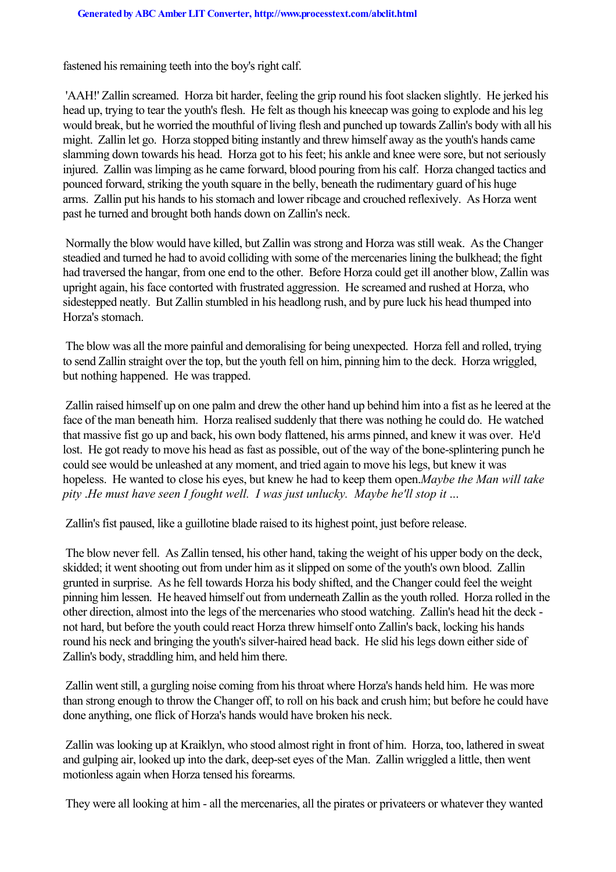fastened his remaining teeth into the boy's right calf.

 'AAH!' Zallin screamed. Horza bit harder, feeling the grip round his foot slacken slightly. He jerked his head up, trying to tear the youth's flesh. He felt as though his kneecap was going to explode and his leg would break, but he worried the mouthful of living flesh and punched up towards Zallin's body with all his might. Zallin let go. Horza stopped biting instantly and threw himself away as the youth's hands came slamming down towards his head. Horza got to his feet; his ankle and knee were sore, but not seriously injured. Zallin was limping as he came forward, blood pouring from his calf. Horza changed tactics and pounced forward, striking the youth square in the belly, beneath the rudimentary guard of his huge arms. Zallin put his hands to his stomach and lower ribcage and crouched reflexively. As Horza went past he turned and brought both hands down on Zallin's neck.

 Normally the blow would have killed, but Zallin was strong and Horza was still weak. As the Changer steadied and turned he had to avoid colliding with some of the mercenaries lining the bulkhead; the fight had traversed the hangar, from one end to the other. Before Horza could get ill another blow, Zallin was upright again, his face contorted with frustrated aggression. He screamed and rushed at Horza, who sidestepped neatly. But Zallin stumbled in his headlong rush, and by pure luck his head thumped into Horza's stomach.

 The blow was all the more painful and demoralising for being unexpected. Horza fell and rolled, trying to send Zallin straight over the top, but the youth fell on him, pinning him to the deck. Horza wriggled, but nothing happened. He was trapped.

 Zallin raised himself up on one palm and drew the other hand up behind him into a fist as he leered at the face of the man beneath him. Horza realised suddenly that there was nothing he could do. He watched that massive fist go up and back, his own body flattened, his arms pinned, and knew it was over. He'd lost. He got ready to move his head as fast as possible, out of the way of the bone-splintering punch he could see would be unleashed at any moment, and tried again to move his legs, but knew it was hopeless. He wanted to close his eyes, but knew he had to keep them open.*Maybe the Man will take pity* .*He must have seen I fought well. I was just unlucky. Maybe he'll stop it* ...

Zallin's fist paused, like a guillotine blade raised to its highest point, just before release.

 The blow never fell. As Zallin tensed, his other hand, taking the weight of his upper body on the deck, skidded; it went shooting out from under him as it slipped on some of the youth's own blood. Zallin grunted in surprise. As he fell towards Horza his body shifted, and the Changer could feel the weight pinning him lessen. He heaved himself out from underneath Zallin as the youth rolled. Horza rolled in the other direction, almost into the legs of the mercenaries who stood watching. Zallin's head hit the deck not hard, but before the youth could react Horza threw himself onto Zallin's back, locking his hands round his neck and bringing the youth's silver-haired head back. He slid his legs down either side of Zallin's body, straddling him, and held him there.

 Zallin went still, a gurgling noise coming from his throat where Horza's hands held him. He was more than strong enough to throw the Changer off, to roll on his back and crush him; but before he could have done anything, one flick of Horza's hands would have broken his neck.

 Zallin was looking up at Kraiklyn, who stood almost right in front of him. Horza, too, lathered in sweat and gulping air, looked up into the dark, deep-set eyes of the Man. Zallin wriggled a little, then went motionless again when Horza tensed his forearms.

They were all looking at him - all the mercenaries, all the pirates or privateers or whatever they wanted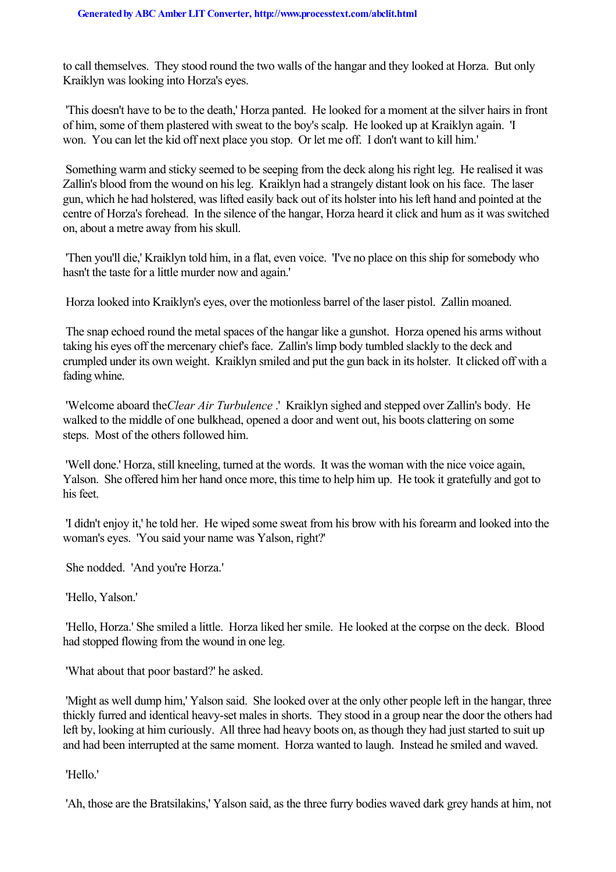to call themselves. They stood round the two walls of the hangar and they looked at Horza. But only Kraiklyn was looking into Horza's eyes.

 'This doesn't have to be to the death,' Horza panted. He looked for a moment at the silver hairs in front of him, some of them plastered with sweat to the boy's scalp. He looked up at Kraiklyn again. 'I won. You can let the kid off next place you stop. Or let me off. I don't want to kill him.'

 Something warm and sticky seemed to be seeping from the deck along his right leg. He realised it was Zallin's blood from the wound on his leg. Kraiklyn had a strangely distant look on his face. The laser gun, which he had holstered, was lifted easily back out of its holster into his left hand and pointed at the centre of Horza's forehead. In the silence of the hangar, Horza heard it click and hum as it was switched on, about a metre away from his skull.

 'Then you'll die,' Kraiklyn told him, in a flat, even voice. 'I've no place on this ship for somebody who hasn't the taste for a little murder now and again.'

Horza looked into Kraiklyn's eyes, over the motionless barrel of the laser pistol. Zallin moaned.

 The snap echoed round the metal spaces of the hangar like a gunshot. Horza opened his arms without taking his eyes off the mercenary chief's face. Zallin's limp body tumbled slackly to the deck and crumpled under its own weight. Kraiklyn smiled and put the gun back in its holster. It clicked off with a fading whine.

 'Welcome aboard the*Clear Air Turbulence* .' Kraiklyn sighed and stepped over Zallin's body. He walked to the middle of one bulkhead, opened a door and went out, his boots clattering on some steps. Most of the others followed him.

 'Well done.' Horza, still kneeling, turned at the words. It was the woman with the nice voice again, Yalson. She offered him her hand once more, this time to help him up. He took it gratefully and got to his feet.

 'I didn't enjoy it,' he told her. He wiped some sweat from his brow with his forearm and looked into the woman's eyes. 'You said your name was Yalson, right?'

She nodded. 'And you're Horza.'

'Hello, Yalson.'

 'Hello, Horza.' She smiled a little. Horza liked her smile. He looked at the corpse on the deck. Blood had stopped flowing from the wound in one leg.

'What about that poor bastard?' he asked.

 'Might as well dump him,' Yalson said. She looked over at the only other people left in the hangar, three thickly furred and identical heavy-set males in shorts. They stood in a group near the door the others had left by, looking at him curiously. All three had heavy boots on, as though they had just started to suit up and had been interrupted at the same moment. Horza wanted to laugh. Instead he smiled and waved.

'Hello.'

'Ah, those are the Bratsilakins,' Yalson said, as the three furry bodies waved dark grey hands at him, not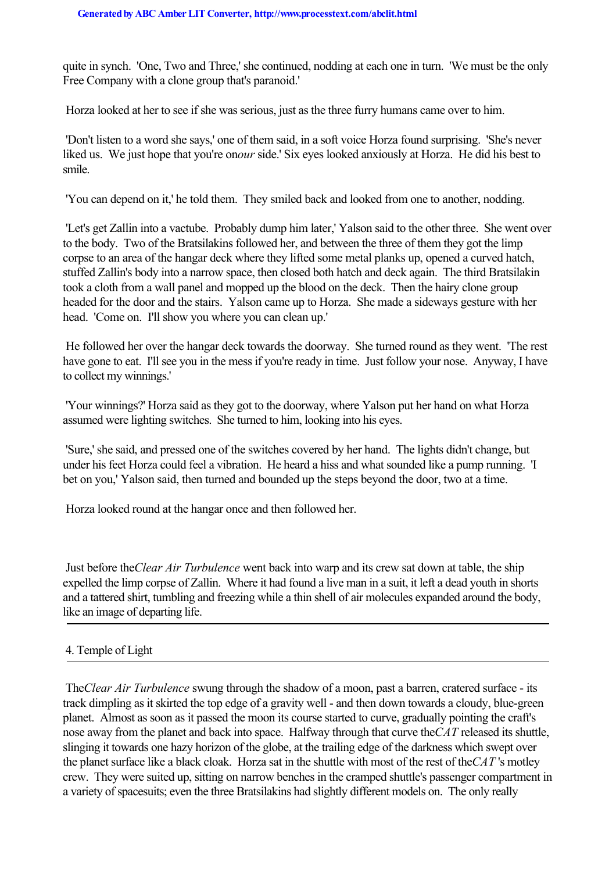quite in synch. 'One, Two and Three,' she continued, nodding at each one in turn. 'We must be the only Free Company with a clone group that's paranoid.'

Horza looked at her to see if she was serious, just as the three furry humans came over to him.

 'Don't listen to a word she says,' one of them said, in a soft voice Horza found surprising. 'She's never liked us. We just hope that you're on*our* side.' Six eyes looked anxiously at Horza. He did his best to smile.

'You can depend on it,' he told them. They smiled back and looked from one to another, nodding.

 'Let's get Zallin into a vactube. Probably dump him later,' Yalson said to the other three. She went over to the body. Two of the Bratsilakins followed her, and between the three of them they got the limp corpse to an area of the hangar deck where they lifted some metal planks up, opened a curved hatch, stuffed Zallin's body into a narrow space, then closed both hatch and deck again. The third Bratsilakin took a cloth from a wall panel and mopped up the blood on the deck. Then the hairy clone group headed for the door and the stairs. Yalson came up to Horza. She made a sideways gesture with her head. 'Come on. I'll show you where you can clean up.'

 He followed her over the hangar deck towards the doorway. She turned round as they went. 'The rest have gone to eat. I'll see you in the mess if you're ready in time. Just follow your nose. Anyway, I have to collect my winnings.'

 'Your winnings?' Horza said as they got to the doorway, where Yalson put her hand on what Horza assumed were lighting switches. She turned to him, looking into his eyes.

 'Sure,' she said, and pressed one of the switches covered by her hand. The lights didn't change, but under his feet Horza could feel a vibration. He heard a hiss and what sounded like a pump running. 'I bet on you,' Yalson said, then turned and bounded up the steps beyond the door, two at a time.

Horza looked round at the hangar once and then followed her.

 Just before the*Clear Air Turbulence* went back into warp and its crew sat down at table, the ship expelled the limp corpse of Zallin. Where it had found a live man in a suit, it left a dead youth in shorts and a tattered shirt, tumbling and freezing while a thin shell of air molecules expanded around the body, like an image of departing life.

## 4. Temple of Light

 The*Clear Air Turbulence* swung through the shadow of a moon, past a barren, cratered surface - its track dimpling as it skirted the top edge of a gravity well - and then down towards a cloudy, blue-green planet. Almost as soon as it passed the moon its course started to curve, gradually pointing the craft's nose away from the planet and back into space. Halfway through that curve the*CAT* released its shuttle, slinging it towards one hazy horizon of the globe, at the trailing edge of the darkness which swept over the planet surface like a black cloak. Horza sat in the shuttle with most of the rest of the*CAT* 's motley crew. They were suited up, sitting on narrow benches in the cramped shuttle's passenger compartment in a variety of spacesuits; even the three Bratsilakins had slightly different models on. The only really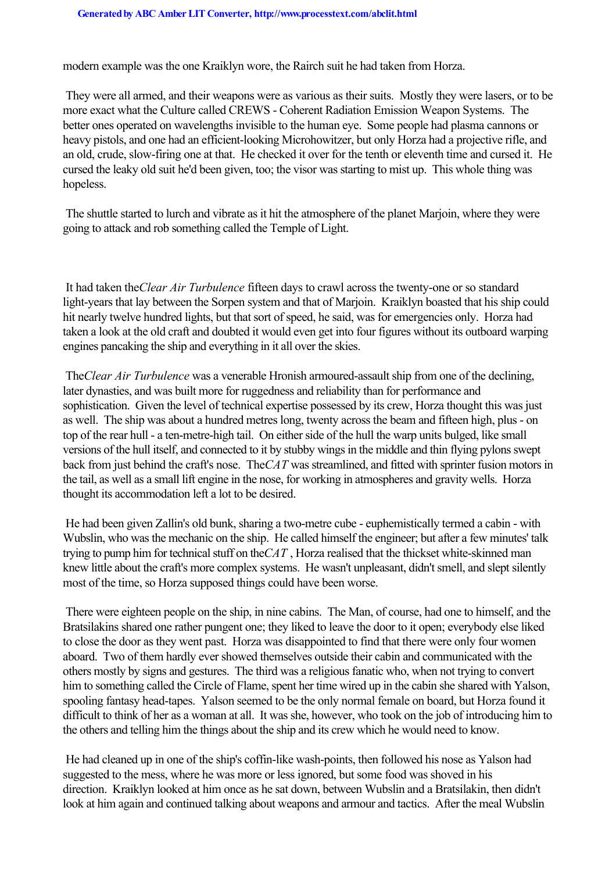modern example was the one Kraiklyn wore, the Rairch suit he had taken from Horza.

 They were all armed, and their weapons were as various as their suits. Mostly they were lasers, or to be more exact what the Culture called CREWS - Coherent Radiation Emission Weapon Systems. The better ones operated on wavelengths invisible to the human eye. Some people had plasma cannons or heavy pistols, and one had an efficient-looking Microhowitzer, but only Horza had a projective rifle, and an old, crude, slow-firing one at that. He checked it over for the tenth or eleventh time and cursed it. He cursed the leaky old suit he'd been given, too; the visor was starting to mist up. This whole thing was hopeless.

 The shuttle started to lurch and vibrate as it hit the atmosphere of the planet Marjoin, where they were going to attack and rob something called the Temple of Light.

 It had taken the*Clear Air Turbulence* fifteen days to crawl across the twenty-one or so standard light-years that lay between the Sorpen system and that of Marjoin. Kraiklyn boasted that his ship could hit nearly twelve hundred lights, but that sort of speed, he said, was for emergencies only. Horza had taken a look at the old craft and doubted it would even get into four figures without its outboard warping engines pancaking the ship and everything in it all over the skies.

 The*Clear Air Turbulence* was a venerable Hronish armoured-assault ship from one of the declining, later dynasties, and was built more for ruggedness and reliability than for performance and sophistication. Given the level of technical expertise possessed by its crew, Horza thought this was just as well. The ship was about a hundred metres long, twenty across the beam and fifteen high, plus - on top of the rear hull - a ten-metre-high tail. On either side of the hull the warp units bulged, like small versions of the hull itself, and connected to it by stubby wings in the middle and thin flying pylons swept back from just behind the craft's nose. The*CAT* was streamlined, and fitted with sprinter fusion motors in the tail, as well as a small lift engine in the nose, for working in atmospheres and gravity wells. Horza thought its accommodation left a lot to be desired.

 He had been given Zallin's old bunk, sharing a two-metre cube - euphemistically termed a cabin - with Wubslin, who was the mechanic on the ship. He called himself the engineer; but after a few minutes' talk trying to pump him for technical stuff on the*CAT* , Horza realised that the thickset white-skinned man knew little about the craft's more complex systems. He wasn't unpleasant, didn't smell, and slept silently most of the time, so Horza supposed things could have been worse.

 There were eighteen people on the ship, in nine cabins. The Man, of course, had one to himself, and the Bratsilakins shared one rather pungent one; they liked to leave the door to it open; everybody else liked to close the door as they went past. Horza was disappointed to find that there were only four women aboard. Two of them hardly ever showed themselves outside their cabin and communicated with the others mostly by signs and gestures. The third was a religious fanatic who, when not trying to convert him to something called the Circle of Flame, spent her time wired up in the cabin she shared with Yalson, spooling fantasy head-tapes. Yalson seemed to be the only normal female on board, but Horza found it difficult to think of her as a woman at all. It was she, however, who took on the job of introducing him to the others and telling him the things about the ship and its crew which he would need to know.

 He had cleaned up in one of the ship's coffin-like wash-points, then followed his nose as Yalson had suggested to the mess, where he was more or less ignored, but some food was shoved in his direction. Kraiklyn looked at him once as he sat down, between Wubslin and a Bratsilakin, then didn't look at him again and continued talking about weapons and armour and tactics. After the meal Wubslin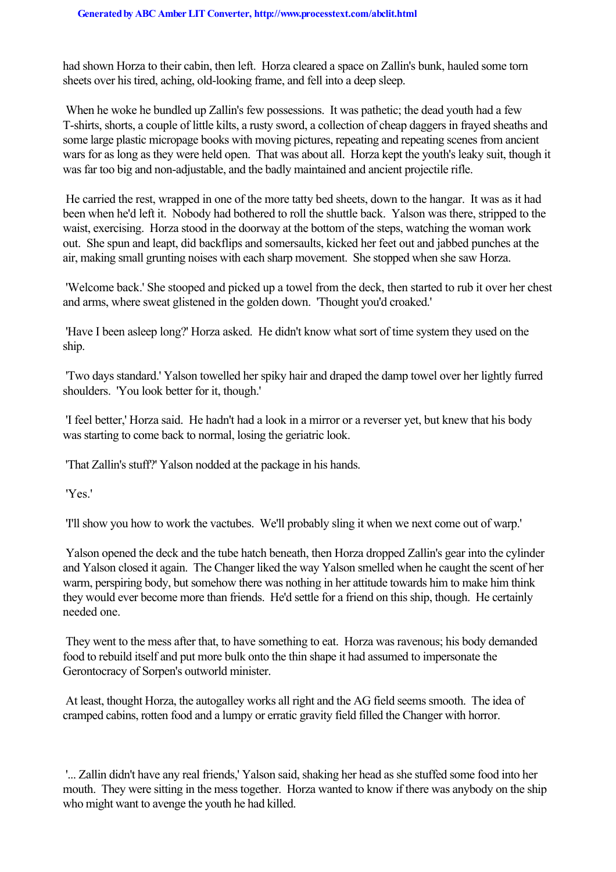had shown Horza to their cabin, then left. Horza cleared a space on Zallin's bunk, hauled some torn sheets over his tired, aching, old-looking frame, and fell into a deep sleep.

When he woke he bundled up Zallin's few possessions. It was pathetic: the dead youth had a few T-shirts, shorts, a couple of little kilts, a rusty sword, a collection of cheap daggers in frayed sheaths and some large plastic micropage books with moving pictures, repeating and repeating scenes from ancient wars for as long as they were held open. That was about all. Horza kept the youth's leaky suit, though it was far too big and non-adjustable, and the badly maintained and ancient projectile rifle.

 He carried the rest, wrapped in one of the more tatty bed sheets, down to the hangar. It was as it had been when he'd left it. Nobody had bothered to roll the shuttle back. Yalson was there, stripped to the waist, exercising. Horza stood in the doorway at the bottom of the steps, watching the woman work out. She spun and leapt, did backflips and somersaults, kicked her feet out and jabbed punches at the air, making small grunting noises with each sharp movement. She stopped when she saw Horza.

 'Welcome back.' She stooped and picked up a towel from the deck, then started to rub it over her chest and arms, where sweat glistened in the golden down. 'Thought you'd croaked.'

 'Have I been asleep long?' Horza asked. He didn't know what sort of time system they used on the ship.

 'Two days standard.' Yalson towelled her spiky hair and draped the damp towel over her lightly furred shoulders. 'You look better for it, though.'

 'I feel better,' Horza said. He hadn't had a look in a mirror or a reverser yet, but knew that his body was starting to come back to normal, losing the geriatric look.

'That Zallin's stuff?' Yalson nodded at the package in his hands.

'Yes.'

'I'll show you how to work the vactubes. We'll probably sling it when we next come out of warp.'

 Yalson opened the deck and the tube hatch beneath, then Horza dropped Zallin's gear into the cylinder and Yalson closed it again. The Changer liked the way Yalson smelled when he caught the scent of her warm, perspiring body, but somehow there was nothing in her attitude towards him to make him think they would ever become more than friends. He'd settle for a friend on this ship, though. He certainly needed one.

 They went to the mess after that, to have something to eat. Horza was ravenous; his body demanded food to rebuild itself and put more bulk onto the thin shape it had assumed to impersonate the Gerontocracy of Sorpen's outworld minister.

 At least, thought Horza, the autogalley works all right and the AG field seems smooth. The idea of cramped cabins, rotten food and a lumpy or erratic gravity field filled the Changer with horror.

 '... Zallin didn't have any real friends,' Yalson said, shaking her head as she stuffed some food into her mouth. They were sitting in the mess together. Horza wanted to know if there was anybody on the ship who might want to avenge the youth he had killed.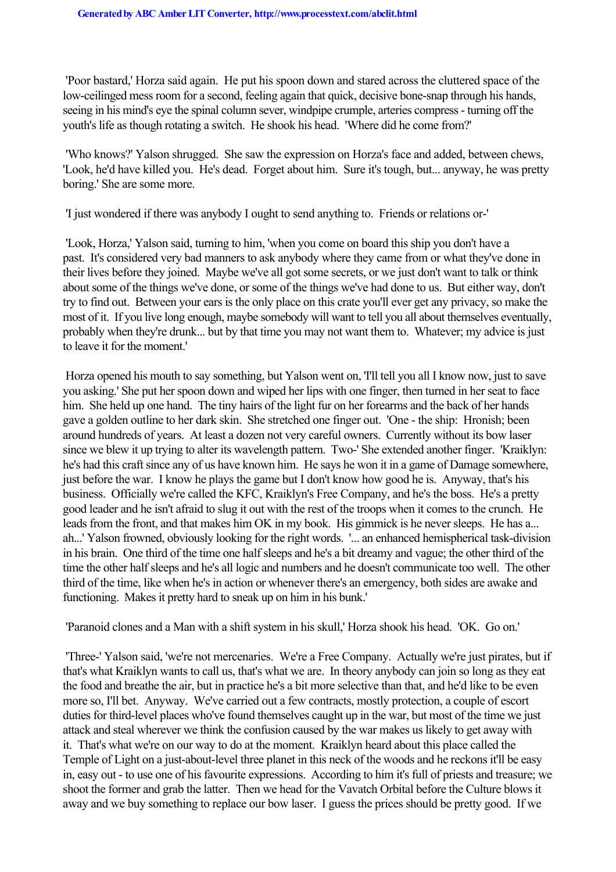'Poor bastard,' Horza said again. He put his spoon down and stared across the cluttered space of the low-ceilinged mess room for a second, feeling again that quick, decisive bone-snap through his hands, seeing in his mind's eye the spinal column sever, windpipe crumple, arteries compress - turning off the youth's life as though rotating a switch. He shook his head. 'Where did he come from?'

 'Who knows?' Yalson shrugged. She saw the expression on Horza's face and added, between chews, 'Look, he'd have killed you. He's dead. Forget about him. Sure it's tough, but... anyway, he was pretty boring.' She are some more.

'I just wondered if there was anybody I ought to send anything to. Friends or relations or-'

 'Look, Horza,' Yalson said, turning to him, 'when you come on board this ship you don't have a past. It's considered very bad manners to ask anybody where they came from or what they've done in their lives before they joined. Maybe we've all got some secrets, or we just don't want to talk or think about some of the things we've done, or some of the things we've had done to us. But either way, don't try to find out. Between your ears is the only place on this crate you'll ever get any privacy, so make the most of it. If you live long enough, maybe somebody will want to tell you all about themselves eventually, probably when they're drunk... but by that time you may not want them to. Whatever; my advice is just to leave it for the moment.'

 Horza opened his mouth to say something, but Yalson went on, 'I'll tell you all I know now, just to save you asking.' She put her spoon down and wiped her lips with one finger, then turned in her seat to face him. She held up one hand. The tiny hairs of the light fur on her forearms and the back of her hands gave a golden outline to her dark skin. She stretched one finger out. 'One - the ship: Hronish; been around hundreds of years. At least a dozen not very careful owners. Currently without its bow laser since we blew it up trying to alter its wavelength pattern. Two-' She extended another finger. 'Kraiklyn: he's had this craft since any of us have known him. He says he won it in a game of Damage somewhere, just before the war. I know he plays the game but I don't know how good he is. Anyway, that's his business. Officially we're called the KFC, Kraiklyn's Free Company, and he's the boss. He's a pretty good leader and he isn't afraid to slug it out with the rest of the troops when it comes to the crunch. He leads from the front, and that makes him OK in my book. His gimmick is he never sleeps. He has a... ah...' Yalson frowned, obviously looking for the right words. '... an enhanced hemispherical task-division in his brain. One third of the time one half sleeps and he's a bit dreamy and vague; the other third of the time the other half sleeps and he's all logic and numbers and he doesn't communicate too well. The other third of the time, like when he's in action or whenever there's an emergency, both sides are awake and functioning. Makes it pretty hard to sneak up on him in his bunk.'

'Paranoid clones and a Man with a shift system in his skull,' Horza shook his head. 'OK. Go on.'

 'Three-' Yalson said, 'we're not mercenaries. We're a Free Company. Actually we're just pirates, but if that's what Kraiklyn wants to call us, that's what we are. In theory anybody can join so long as they eat the food and breathe the air, but in practice he's a bit more selective than that, and he'd like to be even more so, I'll bet. Anyway. We've carried out a few contracts, mostly protection, a couple of escort duties for third-level places who've found themselves caught up in the war, but most of the time we just attack and steal wherever we think the confusion caused by the war makes us likely to get away with it. That's what we're on our way to do at the moment. Kraiklyn heard about this place called the Temple of Light on a just-about-level three planet in this neck of the woods and he reckons it'll be easy in, easy out - to use one of his favourite expressions. According to him it's full of priests and treasure; we shoot the former and grab the latter. Then we head for the Vavatch Orbital before the Culture blows it away and we buy something to replace our bow laser. I guess the prices should be pretty good. If we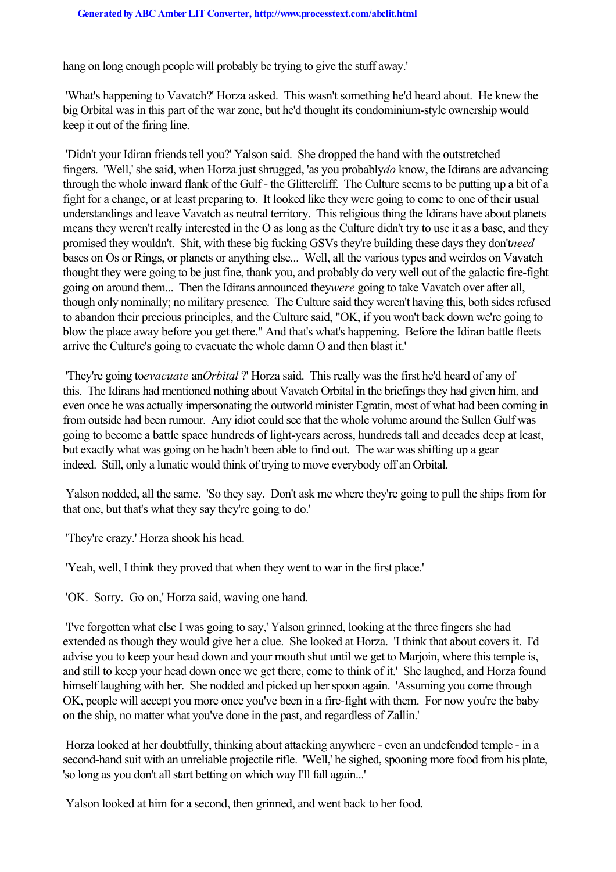hang on long enough people will probably be trying to give the stuff away.'

 'What's happening to Vavatch?' Horza asked. This wasn't something he'd heard about. He knew the big Orbital was in this part of the war zone, but he'd thought its condominium-style ownership would keep it out of the firing line.

 'Didn't your Idiran friends tell you?' Yalson said. She dropped the hand with the outstretched fingers. 'Well,' she said, when Horza just shrugged, 'as you probably*do* know, the Idirans are advancing through the whole inward flank of the Gulf - the Glittercliff. The Culture seems to be putting up a bit of a fight for a change, or at least preparing to. It looked like they were going to come to one of their usual understandings and leave Vavatch as neutral territory. This religious thing the Idirans have about planets means they weren't really interested in the O as long as the Culture didn't try to use it as a base, and they promised they wouldn't. Shit, with these big fucking GSVs they're building these days they don't*need* bases on Os or Rings, or planets or anything else... Well, all the various types and weirdos on Vavatch thought they were going to be just fine, thank you, and probably do very well out of the galactic fire-fight going on around them... Then the Idirans announced they*were* going to take Vavatch over after all, though only nominally; no military presence. The Culture said they weren't having this, both sides refused to abandon their precious principles, and the Culture said, "OK, if you won't back down we're going to blow the place away before you get there." And that's what's happening. Before the Idiran battle fleets arrive the Culture's going to evacuate the whole damn O and then blast it.'

 'They're going to*evacuate* an*Orbital* ?' Horza said. This really was the first he'd heard of any of this. The Idirans had mentioned nothing about Vavatch Orbital in the briefings they had given him, and even once he was actually impersonating the outworld minister Egratin, most of what had been coming in from outside had been rumour. Any idiot could see that the whole volume around the Sullen Gulf was going to become a battle space hundreds of light-years across, hundreds tall and decades deep at least, but exactly what was going on he hadn't been able to find out. The war was shifting up a gear indeed. Still, only a lunatic would think of trying to move everybody off an Orbital.

 Yalson nodded, all the same. 'So they say. Don't ask me where they're going to pull the ships from for that one, but that's what they say they're going to do.'

'They're crazy.' Horza shook his head.

'Yeah, well, I think they proved that when they went to war in the first place.'

'OK. Sorry. Go on,' Horza said, waving one hand.

 'I've forgotten what else I was going to say,' Yalson grinned, looking at the three fingers she had extended as though they would give her a clue. She looked at Horza. 'I think that about covers it. I'd advise you to keep your head down and your mouth shut until we get to Marjoin, where this temple is, and still to keep your head down once we get there, come to think of it.' She laughed, and Horza found himself laughing with her. She nodded and picked up her spoon again. 'Assuming you come through OK, people will accept you more once you've been in a fire-fight with them. For now you're the baby on the ship, no matter what you've done in the past, and regardless of Zallin.'

 Horza looked at her doubtfully, thinking about attacking anywhere - even an undefended temple - in a second-hand suit with an unreliable projectile rifle. 'Well,' he sighed, spooning more food from his plate, 'so long as you don't all start betting on which way I'll fall again...'

Yalson looked at him for a second, then grinned, and went back to her food.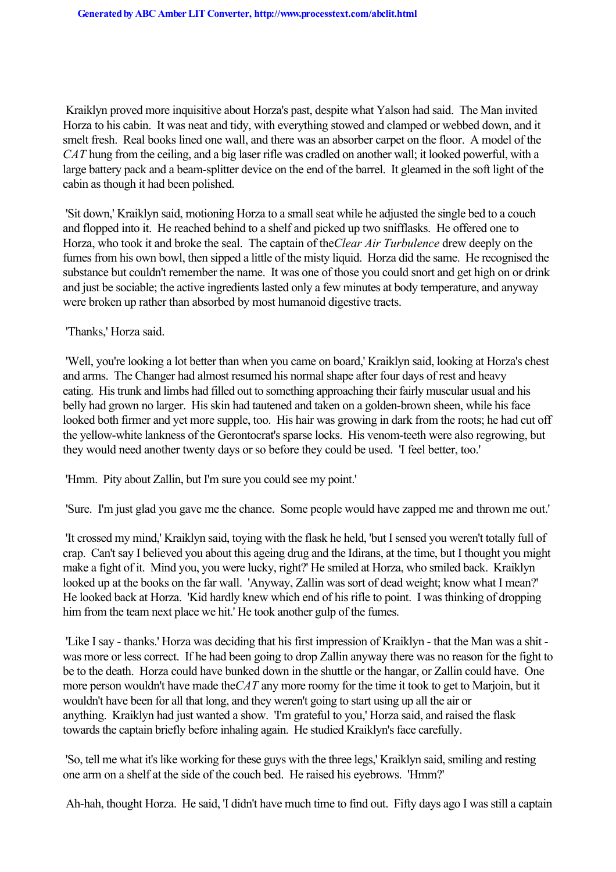Kraiklyn proved more inquisitive about Horza's past, despite what Yalson had said. The Man invited Horza to his cabin. It was neat and tidy, with everything stowed and clamped or webbed down, and it smelt fresh. Real books lined one wall, and there was an absorber carpet on the floor. A model of the *CAT* hung from the ceiling, and a big laser rifle was cradled on another wall; it looked powerful, with a large battery pack and a beam-splitter device on the end of the barrel. It gleamed in the soft light of the cabin as though it had been polished.

 'Sit down,' Kraiklyn said, motioning Horza to a small seat while he adjusted the single bed to a couch and flopped into it. He reached behind to a shelf and picked up two snifflasks. He offered one to Horza, who took it and broke the seal. The captain of the*Clear Air Turbulence* drew deeply on the fumes from his own bowl, then sipped a little of the misty liquid. Horza did the same. He recognised the substance but couldn't remember the name. It was one of those you could snort and get high on or drink and just be sociable; the active ingredients lasted only a few minutes at body temperature, and anyway were broken up rather than absorbed by most humanoid digestive tracts.

#### 'Thanks,' Horza said.

 'Well, you're looking a lot better than when you came on board,' Kraiklyn said, looking at Horza's chest and arms. The Changer had almost resumed his normal shape after four days of rest and heavy eating. His trunk and limbs had filled out to something approaching their fairly muscular usual and his belly had grown no larger. His skin had tautened and taken on a golden-brown sheen, while his face looked both firmer and yet more supple, too. His hair was growing in dark from the roots; he had cut off the yellow-white lankness of the Gerontocrat's sparse locks. His venom-teeth were also regrowing, but they would need another twenty days or so before they could be used. 'I feel better, too.'

'Hmm. Pity about Zallin, but I'm sure you could see my point.'

'Sure. I'm just glad you gave me the chance. Some people would have zapped me and thrown me out.'

 'It crossed my mind,' Kraiklyn said, toying with the flask he held, 'but I sensed you weren't totally full of crap. Can't say I believed you about this ageing drug and the Idirans, at the time, but I thought you might make a fight of it. Mind you, you were lucky, right?' He smiled at Horza, who smiled back. Kraiklyn looked up at the books on the far wall. 'Anyway, Zallin was sort of dead weight; know what I mean?' He looked back at Horza. 'Kid hardly knew which end of his rifle to point. I was thinking of dropping him from the team next place we hit.' He took another gulp of the fumes.

 'Like I say - thanks.' Horza was deciding that his first impression of Kraiklyn - that the Man was a shit was more or less correct. If he had been going to drop Zallin anyway there was no reason for the fight to be to the death. Horza could have bunked down in the shuttle or the hangar, or Zallin could have. One more person wouldn't have made the*CAT* any more roomy for the time it took to get to Marjoin, but it wouldn't have been for all that long, and they weren't going to start using up all the air or anything. Kraiklyn had just wanted a show. 'I'm grateful to you,' Horza said, and raised the flask towards the captain briefly before inhaling again. He studied Kraiklyn's face carefully.

 'So, tell me what it's like working for these guys with the three legs,' Kraiklyn said, smiling and resting one arm on a shelf at the side of the couch bed. He raised his eyebrows. 'Hmm?'

Ah-hah, thought Horza. He said, 'I didn't have much time to find out. Fifty days ago I was still a captain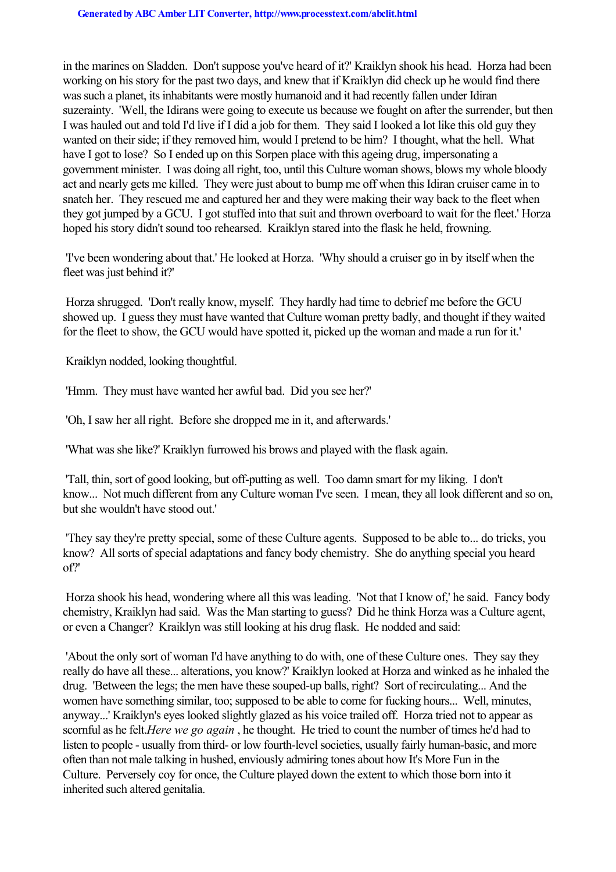in the marines on Sladden. Don't suppose you've heard of it?' Kraiklyn shook his head. Horza had been working on his story for the past two days, and knew that if Kraiklyn did check up he would find there was such a planet, its inhabitants were mostly humanoid and it had recently fallen under Idiran suzerainty. 'Well, the Idirans were going to execute us because we fought on after the surrender, but then I was hauled out and told I'd live if I did a job for them. They said I looked a lot like this old guy they wanted on their side; if they removed him, would I pretend to be him? I thought, what the hell. What have I got to lose? So I ended up on this Sorpen place with this ageing drug, impersonating a government minister. I was doing all right, too, until this Culture woman shows, blows my whole bloody act and nearly gets me killed. They were just about to bump me off when this Idiran cruiser came in to snatch her. They rescued me and captured her and they were making their way back to the fleet when they got jumped by a GCU. I got stuffed into that suit and thrown overboard to wait for the fleet.' Horza hoped his story didn't sound too rehearsed. Kraiklyn stared into the flask he held, frowning.

 'I've been wondering about that.' He looked at Horza. 'Why should a cruiser go in by itself when the fleet was just behind it?'

 Horza shrugged. 'Don't really know, myself. They hardly had time to debrief me before the GCU showed up. I guess they must have wanted that Culture woman pretty badly, and thought if they waited for the fleet to show, the GCU would have spotted it, picked up the woman and made a run for it.'

Kraiklyn nodded, looking thoughtful.

'Hmm. They must have wanted her awful bad. Did you see her?'

'Oh, I saw her all right. Before she dropped me in it, and afterwards.'

'What was she like?' Kraiklyn furrowed his brows and played with the flask again.

 'Tall, thin, sort of good looking, but off-putting as well. Too damn smart for my liking. I don't know... Not much different from any Culture woman I've seen. I mean, they all look different and so on, but she wouldn't have stood out.'

 'They say they're pretty special, some of these Culture agents. Supposed to be able to... do tricks, you know? All sorts of special adaptations and fancy body chemistry. She do anything special you heard of?'

 Horza shook his head, wondering where all this was leading. 'Not that I know of,' he said. Fancy body chemistry, Kraiklyn had said. Was the Man starting to guess? Did he think Horza was a Culture agent, or even a Changer? Kraiklyn was still looking at his drug flask. He nodded and said:

 'About the only sort of woman I'd have anything to do with, one of these Culture ones. They say they really do have all these... alterations, you know?' Kraiklyn looked at Horza and winked as he inhaled the drug. 'Between the legs; the men have these souped-up balls, right? Sort of recirculating... And the women have something similar, too; supposed to be able to come for fucking hours... Well, minutes, anyway...' Kraiklyn's eyes looked slightly glazed as his voice trailed off. Horza tried not to appear as scornful as he felt.*Here we go again* , he thought. He tried to count the number of times he'd had to listen to people - usually from third- or low fourth-level societies, usually fairly human-basic, and more often than not male talking in hushed, enviously admiring tones about how It's More Fun in the Culture. Perversely coy for once, the Culture played down the extent to which those born into it inherited such altered genitalia.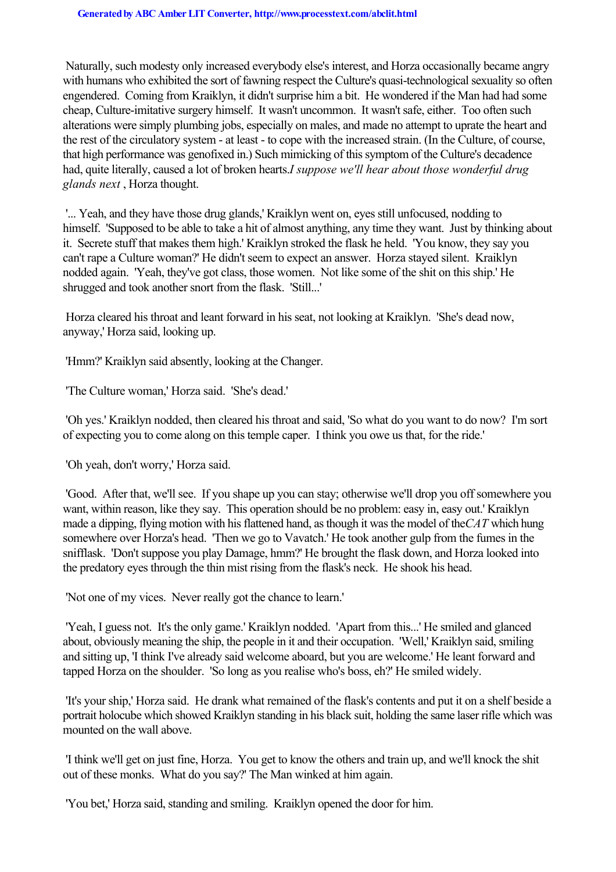Naturally, such modesty only increased everybody else's interest, and Horza occasionally became angry with humans who exhibited the sort of fawning respect the Culture's quasi-technological sexuality so often engendered. Coming from Kraiklyn, it didn't surprise him a bit. He wondered if the Man had had some cheap, Culture-imitative surgery himself. It wasn't uncommon. It wasn't safe, either. Too often such alterations were simply plumbing jobs, especially on males, and made no attempt to uprate the heart and the rest of the circulatory system - at least - to cope with the increased strain. (In the Culture, of course, that high performance was genofixed in.) Such mimicking of this symptom of the Culture's decadence had, quite literally, caused a lot of broken hearts.*I suppose we'll hear about those wonderful drug glands next* , Horza thought.

 '... Yeah, and they have those drug glands,' Kraiklyn went on, eyes still unfocused, nodding to himself. 'Supposed to be able to take a hit of almost anything, any time they want. Just by thinking about it. Secrete stuff that makes them high.' Kraiklyn stroked the flask he held. 'You know, they say you can't rape a Culture woman?' He didn't seem to expect an answer. Horza stayed silent. Kraiklyn nodded again. 'Yeah, they've got class, those women. Not like some of the shit on this ship.' He shrugged and took another snort from the flask. 'Still...'

 Horza cleared his throat and leant forward in his seat, not looking at Kraiklyn. 'She's dead now, anyway,' Horza said, looking up.

'Hmm?' Kraiklyn said absently, looking at the Changer.

'The Culture woman,' Horza said. 'She's dead.'

 'Oh yes.' Kraiklyn nodded, then cleared his throat and said, 'So what do you want to do now? I'm sort of expecting you to come along on this temple caper. I think you owe us that, for the ride.'

'Oh yeah, don't worry,' Horza said.

 'Good. After that, we'll see. If you shape up you can stay; otherwise we'll drop you off somewhere you want, within reason, like they say. This operation should be no problem: easy in, easy out.' Kraiklyn made a dipping, flying motion with his flattened hand, as though it was the model of the*CAT* which hung somewhere over Horza's head. 'Then we go to Vavatch.' He took another gulp from the fumes in the snifflask. 'Don't suppose you play Damage, hmm?' He brought the flask down, and Horza looked into the predatory eyes through the thin mist rising from the flask's neck. He shook his head.

'Not one of my vices. Never really got the chance to learn.'

 'Yeah, I guess not. It's the only game.' Kraiklyn nodded. 'Apart from this...' He smiled and glanced about, obviously meaning the ship, the people in it and their occupation. 'Well,' Kraiklyn said, smiling and sitting up, 'I think I've already said welcome aboard, but you are welcome.' He leant forward and tapped Horza on the shoulder. 'So long as you realise who's boss, eh?' He smiled widely.

 'It's your ship,' Horza said. He drank what remained of the flask's contents and put it on a shelf beside a portrait holocube which showed Kraiklyn standing in his black suit, holding the same laser rifle which was mounted on the wall above.

 'I think we'll get on just fine, Horza. You get to know the others and train up, and we'll knock the shit out of these monks. What do you say?' The Man winked at him again.

'You bet,' Horza said, standing and smiling. Kraiklyn opened the door for him.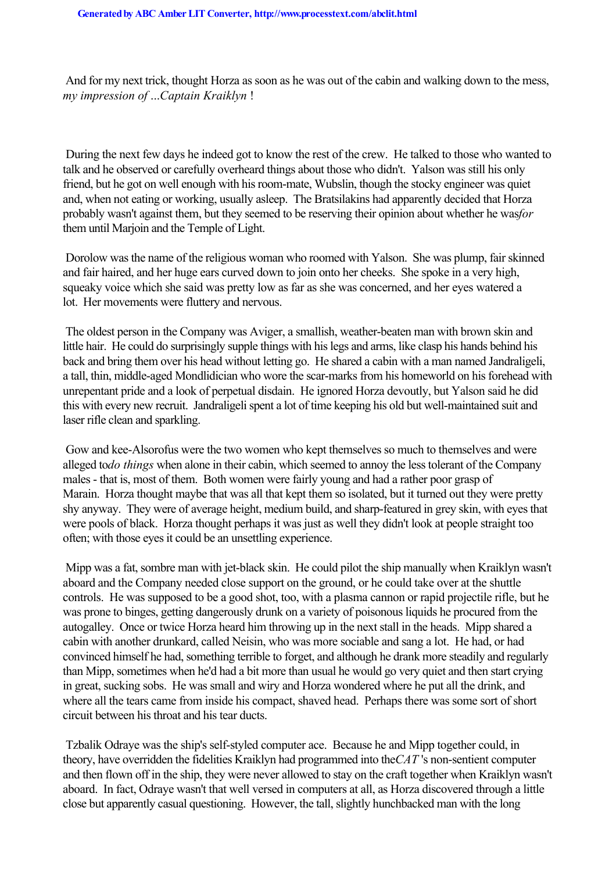And for my next trick, thought Horza as soon as he was out of the cabin and walking down to the mess, *my impression of* ...*Captain Kraiklyn* !

 During the next few days he indeed got to know the rest of the crew. He talked to those who wanted to talk and he observed or carefully overheard things about those who didn't. Yalson was still his only friend, but he got on well enough with his room-mate, Wubslin, though the stocky engineer was quiet and, when not eating or working, usually asleep. The Bratsilakins had apparently decided that Horza probably wasn't against them, but they seemed to be reserving their opinion about whether he was*for* them until Marjoin and the Temple of Light.

 Dorolow was the name of the religious woman who roomed with Yalson. She was plump, fair skinned and fair haired, and her huge ears curved down to join onto her cheeks. She spoke in a very high, squeaky voice which she said was pretty low as far as she was concerned, and her eyes watered a lot. Her movements were fluttery and nervous.

 The oldest person in the Company was Aviger, a smallish, weather-beaten man with brown skin and little hair. He could do surprisingly supple things with his legs and arms, like clasp his hands behind his back and bring them over his head without letting go. He shared a cabin with a man named Jandraligeli, a tall, thin, middle-aged Mondlidician who wore the scar-marks from his homeworld on his forehead with unrepentant pride and a look of perpetual disdain. He ignored Horza devoutly, but Yalson said he did this with every new recruit. Jandraligeli spent a lot of time keeping his old but well-maintained suit and laser rifle clean and sparkling.

 Gow and kee-Alsorofus were the two women who kept themselves so much to themselves and were alleged to*do things* when alone in their cabin, which seemed to annoy the less tolerant of the Company males - that is, most of them. Both women were fairly young and had a rather poor grasp of Marain. Horza thought maybe that was all that kept them so isolated, but it turned out they were pretty shy anyway. They were of average height, medium build, and sharp-featured in grey skin, with eyes that were pools of black. Horza thought perhaps it was just as well they didn't look at people straight too often; with those eyes it could be an unsettling experience.

 Mipp was a fat, sombre man with jet-black skin. He could pilot the ship manually when Kraiklyn wasn't aboard and the Company needed close support on the ground, or he could take over at the shuttle controls. He was supposed to be a good shot, too, with a plasma cannon or rapid projectile rifle, but he was prone to binges, getting dangerously drunk on a variety of poisonous liquids he procured from the autogalley. Once or twice Horza heard him throwing up in the next stall in the heads. Mipp shared a cabin with another drunkard, called Neisin, who was more sociable and sang a lot. He had, or had convinced himself he had, something terrible to forget, and although he drank more steadily and regularly than Mipp, sometimes when he'd had a bit more than usual he would go very quiet and then start crying in great, sucking sobs. He was small and wiry and Horza wondered where he put all the drink, and where all the tears came from inside his compact, shaved head. Perhaps there was some sort of short circuit between his throat and his tear ducts.

 Tzbalik Odraye was the ship's self-styled computer ace. Because he and Mipp together could, in theory, have overridden the fidelities Kraiklyn had programmed into the*CAT* 's non-sentient computer and then flown off in the ship, they were never allowed to stay on the craft together when Kraiklyn wasn't aboard. In fact, Odraye wasn't that well versed in computers at all, as Horza discovered through a little close but apparently casual questioning. However, the tall, slightly hunchbacked man with the long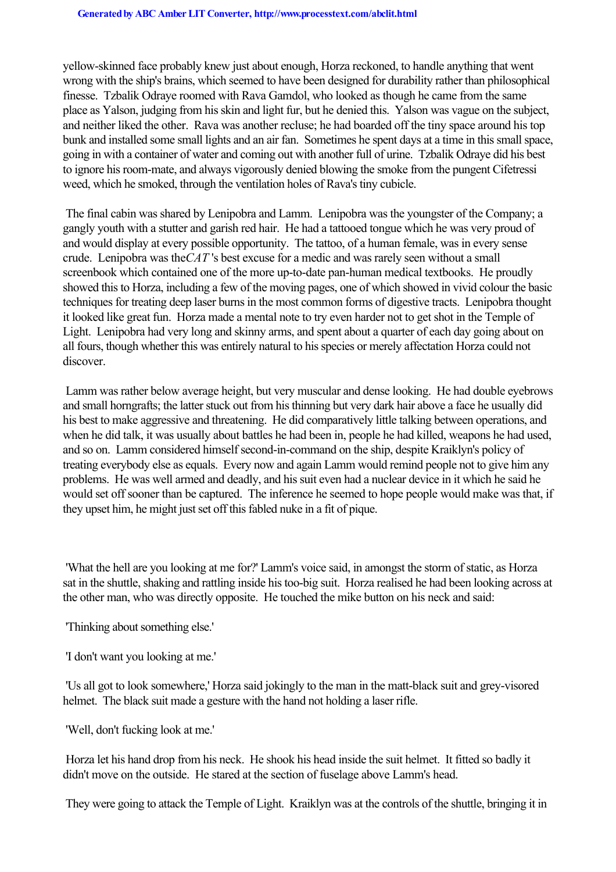yellow-skinned face probably knew just about enough, Horza reckoned, to handle anything that went wrong with the ship's brains, which seemed to have been designed for durability rather than philosophical finesse. Tzbalik Odraye roomed with Rava Gamdol, who looked as though he came from the same place as Yalson, judging from his skin and light fur, but he denied this. Yalson was vague on the subject, and neither liked the other. Rava was another recluse; he had boarded off the tiny space around his top bunk and installed some small lights and an air fan. Sometimes he spent days at a time in this small space, going in with a container of water and coming out with another full of urine. Tzbalik Odraye did his best to ignore his room-mate, and always vigorously denied blowing the smoke from the pungent Cifetressi weed, which he smoked, through the ventilation holes of Rava's tiny cubicle.

 The final cabin was shared by Lenipobra and Lamm. Lenipobra was the youngster of the Company; a gangly youth with a stutter and garish red hair. He had a tattooed tongue which he was very proud of and would display at every possible opportunity. The tattoo, of a human female, was in every sense crude. Lenipobra was the*CAT* 's best excuse for a medic and was rarely seen without a small screenbook which contained one of the more up-to-date pan-human medical textbooks. He proudly showed this to Horza, including a few of the moving pages, one of which showed in vivid colour the basic techniques for treating deep laser burns in the most common forms of digestive tracts. Lenipobra thought it looked like great fun. Horza made a mental note to try even harder not to get shot in the Temple of Light. Lenipobra had very long and skinny arms, and spent about a quarter of each day going about on all fours, though whether this was entirely natural to his species or merely affectation Horza could not discover.

 Lamm was rather below average height, but very muscular and dense looking. He had double eyebrows and small horngrafts; the latter stuck out from his thinning but very dark hair above a face he usually did his best to make aggressive and threatening. He did comparatively little talking between operations, and when he did talk, it was usually about battles he had been in, people he had killed, weapons he had used, and so on. Lamm considered himself second-in-command on the ship, despite Kraiklyn's policy of treating everybody else as equals. Every now and again Lamm would remind people not to give him any problems. He was well armed and deadly, and his suit even had a nuclear device in it which he said he would set off sooner than be captured. The inference he seemed to hope people would make was that, if they upset him, he might just set off this fabled nuke in a fit of pique.

 'What the hell are you looking at me for?' Lamm's voice said, in amongst the storm of static, as Horza sat in the shuttle, shaking and rattling inside his too-big suit. Horza realised he had been looking across at the other man, who was directly opposite. He touched the mike button on his neck and said:

'Thinking about something else.'

'I don't want you looking at me.'

 'Us all got to look somewhere,' Horza said jokingly to the man in the matt-black suit and grey-visored helmet. The black suit made a gesture with the hand not holding a laser rifle.

'Well, don't fucking look at me.'

 Horza let his hand drop from his neck. He shook his head inside the suit helmet. It fitted so badly it didn't move on the outside. He stared at the section of fuselage above Lamm's head.

They were going to attack the Temple of Light. Kraiklyn was at the controls of the shuttle, bringing it in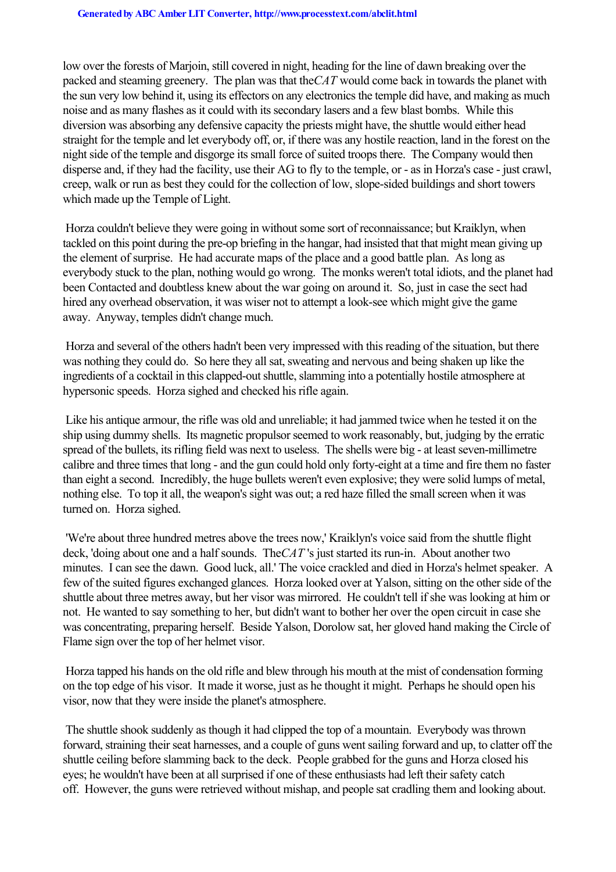low over the forests of Marjoin, still covered in night, heading for the line of dawn breaking over the packed and steaming greenery. The plan was that the*CAT* would come back in towards the planet with the sun very low behind it, using its effectors on any electronics the temple did have, and making as much noise and as many flashes as it could with its secondary lasers and a few blast bombs. While this diversion was absorbing any defensive capacity the priests might have, the shuttle would either head straight for the temple and let everybody off, or, if there was any hostile reaction, land in the forest on the night side of the temple and disgorge its small force of suited troops there. The Company would then disperse and, if they had the facility, use their AG to fly to the temple, or - as in Horza's case - just crawl, creep, walk or run as best they could for the collection of low, slope-sided buildings and short towers which made up the Temple of Light.

 Horza couldn't believe they were going in without some sort of reconnaissance; but Kraiklyn, when tackled on this point during the pre-op briefing in the hangar, had insisted that that might mean giving up the element of surprise. He had accurate maps of the place and a good battle plan. As long as everybody stuck to the plan, nothing would go wrong. The monks weren't total idiots, and the planet had been Contacted and doubtless knew about the war going on around it. So, just in case the sect had hired any overhead observation, it was wiser not to attempt a look-see which might give the game away. Anyway, temples didn't change much.

 Horza and several of the others hadn't been very impressed with this reading of the situation, but there was nothing they could do. So here they all sat, sweating and nervous and being shaken up like the ingredients of a cocktail in this clapped-out shuttle, slamming into a potentially hostile atmosphere at hypersonic speeds. Horza sighed and checked his rifle again.

 Like his antique armour, the rifle was old and unreliable; it had jammed twice when he tested it on the ship using dummy shells. Its magnetic propulsor seemed to work reasonably, but, judging by the erratic spread of the bullets, its rifling field was next to useless. The shells were big - at least seven-millimetre calibre and three times that long - and the gun could hold only forty-eight at a time and fire them no faster than eight a second. Incredibly, the huge bullets weren't even explosive; they were solid lumps of metal, nothing else. To top it all, the weapon's sight was out; a red haze filled the small screen when it was turned on. Horza sighed.

 'We're about three hundred metres above the trees now,' Kraiklyn's voice said from the shuttle flight deck, 'doing about one and a half sounds. The*CAT* 's just started its run-in. About another two minutes. I can see the dawn. Good luck, all.' The voice crackled and died in Horza's helmet speaker. A few of the suited figures exchanged glances. Horza looked over at Yalson, sitting on the other side of the shuttle about three metres away, but her visor was mirrored. He couldn't tell if she was looking at him or not. He wanted to say something to her, but didn't want to bother her over the open circuit in case she was concentrating, preparing herself. Beside Yalson, Dorolow sat, her gloved hand making the Circle of Flame sign over the top of her helmet visor.

 Horza tapped his hands on the old rifle and blew through his mouth at the mist of condensation forming on the top edge of his visor. It made it worse, just as he thought it might. Perhaps he should open his visor, now that they were inside the planet's atmosphere.

 The shuttle shook suddenly as though it had clipped the top of a mountain. Everybody was thrown forward, straining their seat harnesses, and a couple of guns went sailing forward and up, to clatter off the shuttle ceiling before slamming back to the deck. People grabbed for the guns and Horza closed his eyes; he wouldn't have been at all surprised if one of these enthusiasts had left their safety catch off. However, the guns were retrieved without mishap, and people sat cradling them and looking about.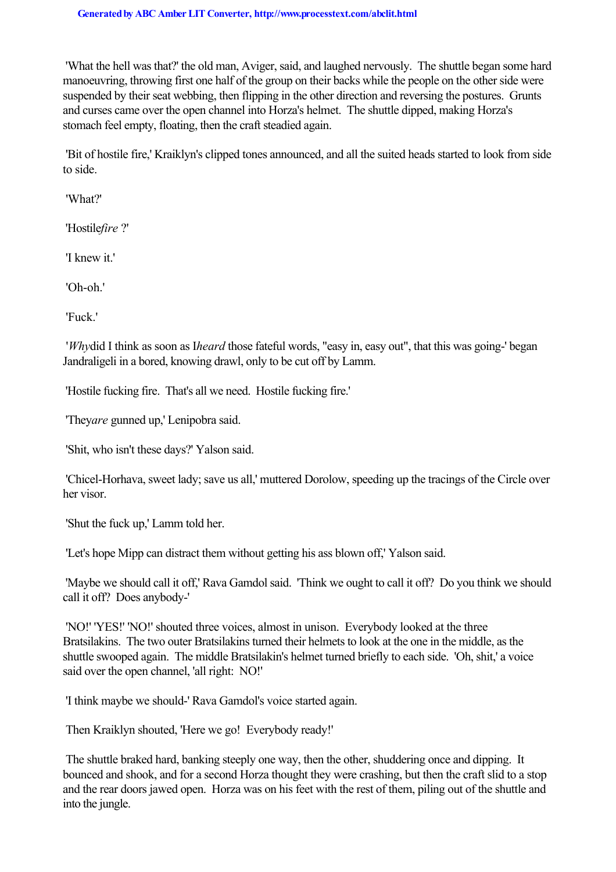'What the hell was that?' the old man, Aviger, said, and laughed nervously. The shuttle began some hard manoeuvring, throwing first one half of the group on their backs while the people on the other side were suspended by their seat webbing, then flipping in the other direction and reversing the postures. Grunts and curses came over the open channel into Horza's helmet. The shuttle dipped, making Horza's stomach feel empty, floating, then the craft steadied again.

 'Bit of hostile fire,' Kraiklyn's clipped tones announced, and all the suited heads started to look from side to side.

'What?'

'Hostile*fire* ?'

'I knew it'

'Oh-oh.'

'Fuck.'

 '*Why*did I think as soon as I*heard* those fateful words, "easy in, easy out", that this was going-' began Jandraligeli in a bored, knowing drawl, only to be cut off by Lamm.

'Hostile fucking fire. That's all we need. Hostile fucking fire.'

'They*are* gunned up,' Lenipobra said.

'Shit, who isn't these days?' Yalson said.

 'Chicel-Horhava, sweet lady; save us all,' muttered Dorolow, speeding up the tracings of the Circle over her visor.

'Shut the fuck up,' Lamm told her.

'Let's hope Mipp can distract them without getting his ass blown off,' Yalson said.

 'Maybe we should call it off,' Rava Gamdol said. 'Think we ought to call it off? Do you think we should call it off? Does anybody-'

 'NO!' 'YES!' 'NO!' shouted three voices, almost in unison. Everybody looked at the three Bratsilakins. The two outer Bratsilakins turned their helmets to look at the one in the middle, as the shuttle swooped again. The middle Bratsilakin's helmet turned briefly to each side. 'Oh, shit,' a voice said over the open channel, 'all right: NO!'

'I think maybe we should-' Rava Gamdol's voice started again.

Then Kraiklyn shouted, 'Here we go! Everybody ready!'

 The shuttle braked hard, banking steeply one way, then the other, shuddering once and dipping. It bounced and shook, and for a second Horza thought they were crashing, but then the craft slid to a stop and the rear doors jawed open. Horza was on his feet with the rest of them, piling out of the shuttle and into the jungle.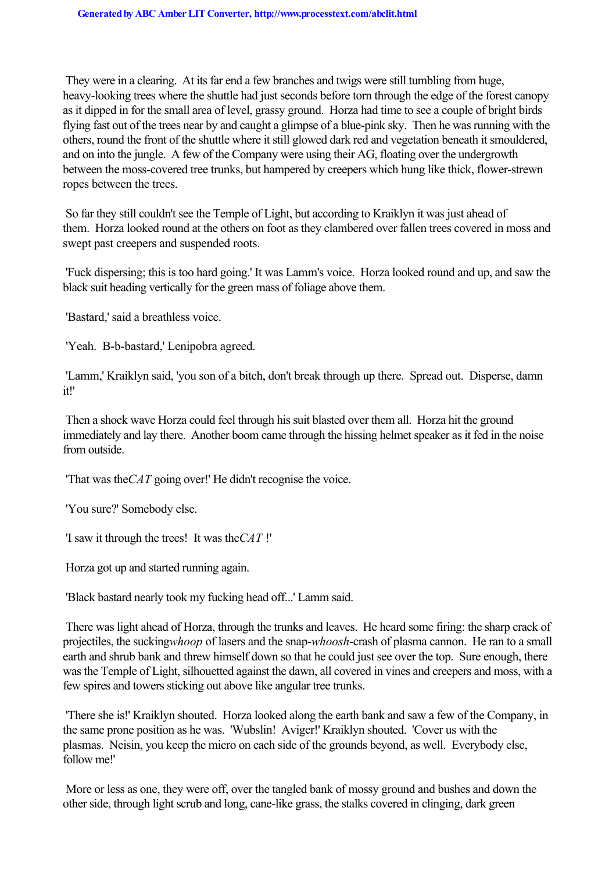They were in a clearing. At its far end a few branches and twigs were still tumbling from huge, heavy-looking trees where the shuttle had just seconds before torn through the edge of the forest canopy as it dipped in for the small area of level, grassy ground. Horza had time to see a couple of bright birds flying fast out of the trees near by and caught a glimpse of a blue-pink sky. Then he was running with the others, round the front of the shuttle where it still glowed dark red and vegetation beneath it smouldered, and on into the jungle. A few of the Company were using their AG, floating over the undergrowth between the moss-covered tree trunks, but hampered by creepers which hung like thick, flower-strewn ropes between the trees.

 So far they still couldn't see the Temple of Light, but according to Kraiklyn it was just ahead of them. Horza looked round at the others on foot as they clambered over fallen trees covered in moss and swept past creepers and suspended roots.

 'Fuck dispersing; this is too hard going.' It was Lamm's voice. Horza looked round and up, and saw the black suit heading vertically for the green mass of foliage above them.

'Bastard,' said a breathless voice.

'Yeah. B-b-bastard,' Lenipobra agreed.

 'Lamm,' Kraiklyn said, 'you son of a bitch, don't break through up there. Spread out. Disperse, damn it!'

 Then a shock wave Horza could feel through his suit blasted over them all. Horza hit the ground immediately and lay there. Another boom came through the hissing helmet speaker as it fed in the noise from outside.

'That was the*CAT* going over!' He didn't recognise the voice.

'You sure?' Somebody else.

'I saw it through the trees! It was the*CAT* !'

Horza got up and started running again.

'Black bastard nearly took my fucking head off...' Lamm said.

 There was light ahead of Horza, through the trunks and leaves. He heard some firing: the sharp crack of projectiles, the sucking*whoop* of lasers and the snap-*whoosh*-crash of plasma cannon. He ran to a small earth and shrub bank and threw himself down so that he could just see over the top. Sure enough, there was the Temple of Light, silhouetted against the dawn, all covered in vines and creepers and moss, with a few spires and towers sticking out above like angular tree trunks.

 'There she is!' Kraiklyn shouted. Horza looked along the earth bank and saw a few of the Company, in the same prone position as he was. 'Wubslin! Aviger!' Kraiklyn shouted. 'Cover us with the plasmas. Neisin, you keep the micro on each side of the grounds beyond, as well. Everybody else, follow me!'

 More or less as one, they were off, over the tangled bank of mossy ground and bushes and down the other side, through light scrub and long, cane-like grass, the stalks covered in clinging, dark green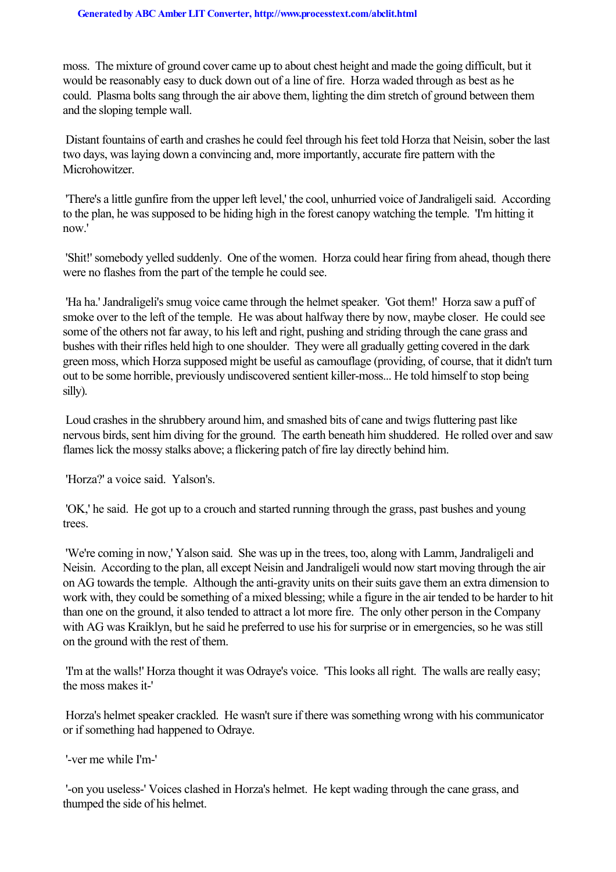moss. The mixture of ground cover came up to about chest height and made the going difficult, but it would be reasonably easy to duck down out of a line of fire. Horza waded through as best as he could. Plasma bolts sang through the air above them, lighting the dim stretch of ground between them and the sloping temple wall.

 Distant fountains of earth and crashes he could feel through his feet told Horza that Neisin, sober the last two days, was laying down a convincing and, more importantly, accurate fire pattern with the **Microhowitzer** 

 'There's a little gunfire from the upper left level,' the cool, unhurried voice of Jandraligeli said. According to the plan, he was supposed to be hiding high in the forest canopy watching the temple. 'I'm hitting it now.'

 'Shit!' somebody yelled suddenly. One of the women. Horza could hear firing from ahead, though there were no flashes from the part of the temple he could see.

 'Ha ha.' Jandraligeli's smug voice came through the helmet speaker. 'Got them!' Horza saw a puff of smoke over to the left of the temple. He was about halfway there by now, maybe closer. He could see some of the others not far away, to his left and right, pushing and striding through the cane grass and bushes with their rifles held high to one shoulder. They were all gradually getting covered in the dark green moss, which Horza supposed might be useful as camouflage (providing, of course, that it didn't turn out to be some horrible, previously undiscovered sentient killer-moss... He told himself to stop being silly).

 Loud crashes in the shrubbery around him, and smashed bits of cane and twigs fluttering past like nervous birds, sent him diving for the ground. The earth beneath him shuddered. He rolled over and saw flames lick the mossy stalks above; a flickering patch of fire lay directly behind him.

'Horza?' a voice said. Yalson's.

 'OK,' he said. He got up to a crouch and started running through the grass, past bushes and young trees.

 'We're coming in now,' Yalson said. She was up in the trees, too, along with Lamm, Jandraligeli and Neisin. According to the plan, all except Neisin and Jandraligeli would now start moving through the air on AG towards the temple. Although the anti-gravity units on their suits gave them an extra dimension to work with, they could be something of a mixed blessing; while a figure in the air tended to be harder to hit than one on the ground, it also tended to attract a lot more fire. The only other person in the Company with AG was Kraiklyn, but he said he preferred to use his for surprise or in emergencies, so he was still on the ground with the rest of them.

 'I'm at the walls!' Horza thought it was Odraye's voice. 'This looks all right. The walls are really easy; the moss makes it-'

 Horza's helmet speaker crackled. He wasn't sure if there was something wrong with his communicator or if something had happened to Odraye.

'-ver me while I'm-'

 '-on you useless-' Voices clashed in Horza's helmet. He kept wading through the cane grass, and thumped the side of his helmet.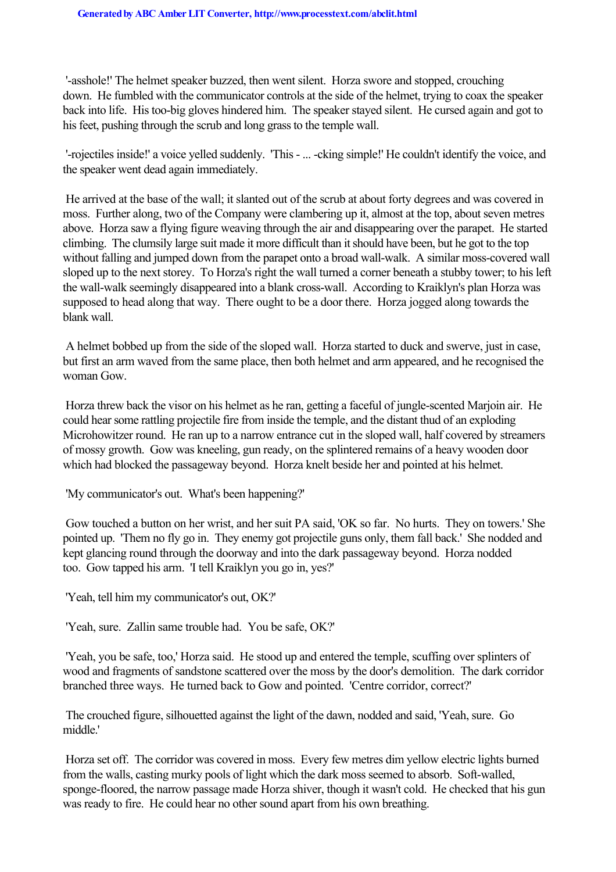'-asshole!' The helmet speaker buzzed, then went silent. Horza swore and stopped, crouching down. He fumbled with the communicator controls at the side of the helmet, trying to coax the speaker back into life. His too-big gloves hindered him. The speaker stayed silent. He cursed again and got to his feet, pushing through the scrub and long grass to the temple wall.

 '-rojectiles inside!' a voice yelled suddenly. 'This - ... -cking simple!' He couldn't identify the voice, and the speaker went dead again immediately.

 He arrived at the base of the wall; it slanted out of the scrub at about forty degrees and was covered in moss. Further along, two of the Company were clambering up it, almost at the top, about seven metres above. Horza saw a flying figure weaving through the air and disappearing over the parapet. He started climbing. The clumsily large suit made it more difficult than it should have been, but he got to the top without falling and jumped down from the parapet onto a broad wall-walk. A similar moss-covered wall sloped up to the next storey. To Horza's right the wall turned a corner beneath a stubby tower; to his left the wall-walk seemingly disappeared into a blank cross-wall. According to Kraiklyn's plan Horza was supposed to head along that way. There ought to be a door there. Horza jogged along towards the blank wall.

 A helmet bobbed up from the side of the sloped wall. Horza started to duck and swerve, just in case, but first an arm waved from the same place, then both helmet and arm appeared, and he recognised the woman Gow.

 Horza threw back the visor on his helmet as he ran, getting a faceful of jungle-scented Marjoin air. He could hear some rattling projectile fire from inside the temple, and the distant thud of an exploding Microhowitzer round. He ran up to a narrow entrance cut in the sloped wall, half covered by streamers of mossy growth. Gow was kneeling, gun ready, on the splintered remains of a heavy wooden door which had blocked the passageway beyond. Horza knelt beside her and pointed at his helmet.

'My communicator's out. What's been happening?'

 Gow touched a button on her wrist, and her suit PA said, 'OK so far. No hurts. They on towers.' She pointed up. 'Them no fly go in. They enemy got projectile guns only, them fall back.' She nodded and kept glancing round through the doorway and into the dark passageway beyond. Horza nodded too. Gow tapped his arm. 'I tell Kraiklyn you go in, yes?'

'Yeah, tell him my communicator's out, OK?'

'Yeah, sure. Zallin same trouble had. You be safe, OK?'

 'Yeah, you be safe, too,' Horza said. He stood up and entered the temple, scuffing over splinters of wood and fragments of sandstone scattered over the moss by the door's demolition. The dark corridor branched three ways. He turned back to Gow and pointed. 'Centre corridor, correct?'

 The crouched figure, silhouetted against the light of the dawn, nodded and said, 'Yeah, sure. Go middle.'

 Horza set off. The corridor was covered in moss. Every few metres dim yellow electric lights burned from the walls, casting murky pools of light which the dark moss seemed to absorb. Soft-walled, sponge-floored, the narrow passage made Horza shiver, though it wasn't cold. He checked that his gun was ready to fire. He could hear no other sound apart from his own breathing.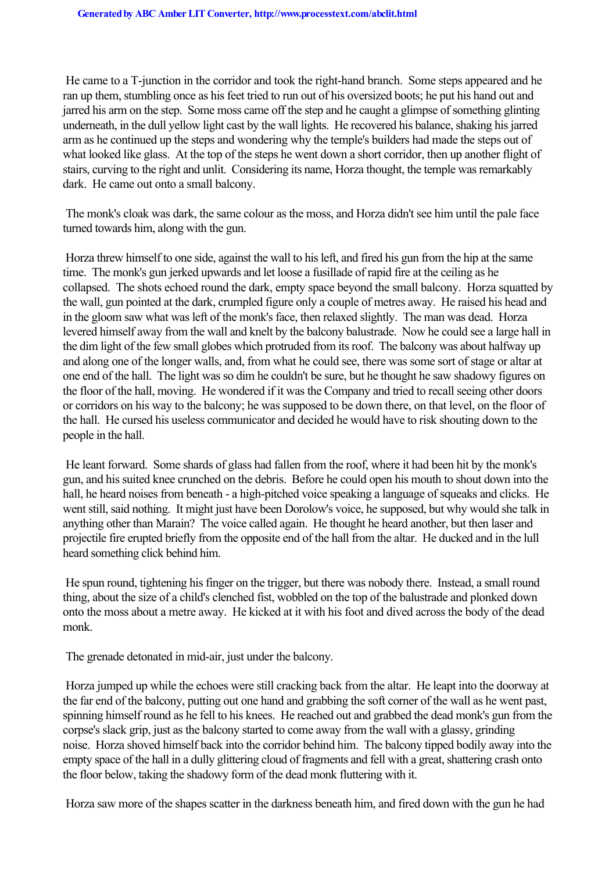He came to a T-junction in the corridor and took the right-hand branch. Some steps appeared and he ran up them, stumbling once as his feet tried to run out of his oversized boots; he put his hand out and jarred his arm on the step. Some moss came off the step and he caught a glimpse of something glinting underneath, in the dull yellow light cast by the wall lights. He recovered his balance, shaking his jarred arm as he continued up the steps and wondering why the temple's builders had made the steps out of what looked like glass. At the top of the steps he went down a short corridor, then up another flight of stairs, curving to the right and unlit. Considering its name, Horza thought, the temple was remarkably dark. He came out onto a small balcony.

 The monk's cloak was dark, the same colour as the moss, and Horza didn't see him until the pale face turned towards him, along with the gun.

 Horza threw himself to one side, against the wall to his left, and fired his gun from the hip at the same time. The monk's gun jerked upwards and let loose a fusillade of rapid fire at the ceiling as he collapsed. The shots echoed round the dark, empty space beyond the small balcony. Horza squatted by the wall, gun pointed at the dark, crumpled figure only a couple of metres away. He raised his head and in the gloom saw what was left of the monk's face, then relaxed slightly. The man was dead. Horza levered himself away from the wall and knelt by the balcony balustrade. Now he could see a large hall in the dim light of the few small globes which protruded from its roof. The balcony was about halfway up and along one of the longer walls, and, from what he could see, there was some sort of stage or altar at one end of the hall. The light was so dim he couldn't be sure, but he thought he saw shadowy figures on the floor of the hall, moving. He wondered if it was the Company and tried to recall seeing other doors or corridors on his way to the balcony; he was supposed to be down there, on that level, on the floor of the hall. He cursed his useless communicator and decided he would have to risk shouting down to the people in the hall.

 He leant forward. Some shards of glass had fallen from the roof, where it had been hit by the monk's gun, and his suited knee crunched on the debris. Before he could open his mouth to shout down into the hall, he heard noises from beneath - a high-pitched voice speaking a language of squeaks and clicks. He went still, said nothing. It might just have been Dorolow's voice, he supposed, but why would she talk in anything other than Marain? The voice called again. He thought he heard another, but then laser and projectile fire erupted briefly from the opposite end of the hall from the altar. He ducked and in the lull heard something click behind him.

 He spun round, tightening his finger on the trigger, but there was nobody there. Instead, a small round thing, about the size of a child's clenched fist, wobbled on the top of the balustrade and plonked down onto the moss about a metre away. He kicked at it with his foot and dived across the body of the dead monk.

The grenade detonated in mid-air, just under the balcony.

 Horza jumped up while the echoes were still cracking back from the altar. He leapt into the doorway at the far end of the balcony, putting out one hand and grabbing the soft corner of the wall as he went past, spinning himself round as he fell to his knees. He reached out and grabbed the dead monk's gun from the corpse's slack grip, just as the balcony started to come away from the wall with a glassy, grinding noise. Horza shoved himself back into the corridor behind him. The balcony tipped bodily away into the empty space of the hall in a dully glittering cloud of fragments and fell with a great, shattering crash onto the floor below, taking the shadowy form of the dead monk fluttering with it.

Horza saw more of the shapes scatter in the darkness beneath him, and fired down with the gun he had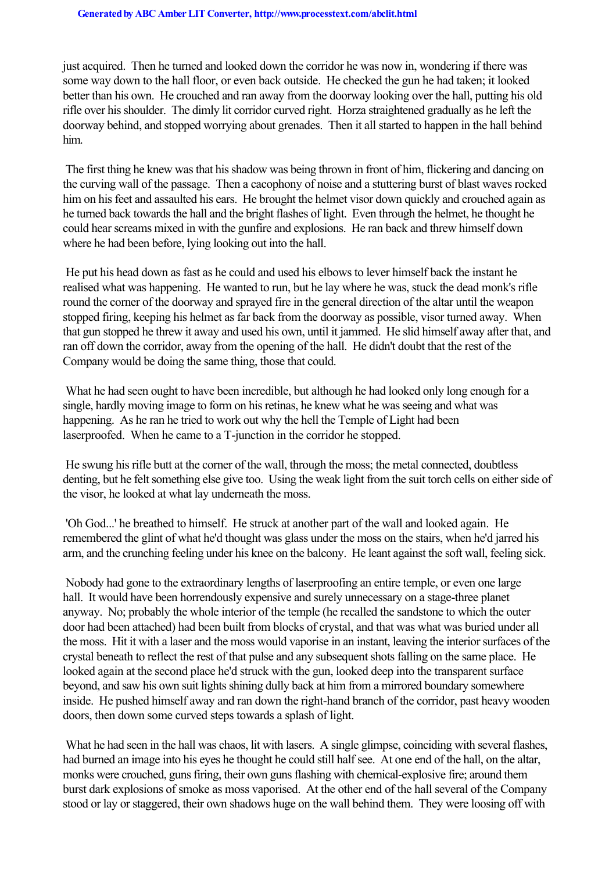just acquired. Then he turned and looked down the corridor he was now in, wondering if there was some way down to the hall floor, or even back outside. He checked the gun he had taken; it looked better than his own. He crouched and ran away from the doorway looking over the hall, putting his old rifle over his shoulder. The dimly lit corridor curved right. Horza straightened gradually as he left the doorway behind, and stopped worrying about grenades. Then it all started to happen in the hall behind him.

 The first thing he knew was that his shadow was being thrown in front of him, flickering and dancing on the curving wall of the passage. Then a cacophony of noise and a stuttering burst of blast waves rocked him on his feet and assaulted his ears. He brought the helmet visor down quickly and crouched again as he turned back towards the hall and the bright flashes of light. Even through the helmet, he thought he could hear screams mixed in with the gunfire and explosions. He ran back and threw himself down where he had been before, lying looking out into the hall.

 He put his head down as fast as he could and used his elbows to lever himself back the instant he realised what was happening. He wanted to run, but he lay where he was, stuck the dead monk's rifle round the corner of the doorway and sprayed fire in the general direction of the altar until the weapon stopped firing, keeping his helmet as far back from the doorway as possible, visor turned away. When that gun stopped he threw it away and used his own, until it jammed. He slid himself away after that, and ran off down the corridor, away from the opening of the hall. He didn't doubt that the rest of the Company would be doing the same thing, those that could.

 What he had seen ought to have been incredible, but although he had looked only long enough for a single, hardly moving image to form on his retinas, he knew what he was seeing and what was happening. As he ran he tried to work out why the hell the Temple of Light had been laserproofed. When he came to a T-junction in the corridor he stopped.

 He swung his rifle butt at the corner of the wall, through the moss; the metal connected, doubtless denting, but he felt something else give too. Using the weak light from the suit torch cells on either side of the visor, he looked at what lay underneath the moss.

 'Oh God...' he breathed to himself. He struck at another part of the wall and looked again. He remembered the glint of what he'd thought was glass under the moss on the stairs, when he'd jarred his arm, and the crunching feeling under his knee on the balcony. He leant against the soft wall, feeling sick.

 Nobody had gone to the extraordinary lengths of laserproofing an entire temple, or even one large hall. It would have been horrendously expensive and surely unnecessary on a stage-three planet anyway. No; probably the whole interior of the temple (he recalled the sandstone to which the outer door had been attached) had been built from blocks of crystal, and that was what was buried under all the moss. Hit it with a laser and the moss would vaporise in an instant, leaving the interior surfaces of the crystal beneath to reflect the rest of that pulse and any subsequent shots falling on the same place. He looked again at the second place he'd struck with the gun, looked deep into the transparent surface beyond, and saw his own suit lights shining dully back at him from a mirrored boundary somewhere inside. He pushed himself away and ran down the right-hand branch of the corridor, past heavy wooden doors, then down some curved steps towards a splash of light.

What he had seen in the hall was chaos, lit with lasers. A single glimpse, coinciding with several flashes, had burned an image into his eyes he thought he could still half see. At one end of the hall, on the altar, monks were crouched, guns firing, their own guns flashing with chemical-explosive fire; around them burst dark explosions of smoke as moss vaporised. At the other end of the hall several of the Company stood or lay or staggered, their own shadows huge on the wall behind them. They were loosing off with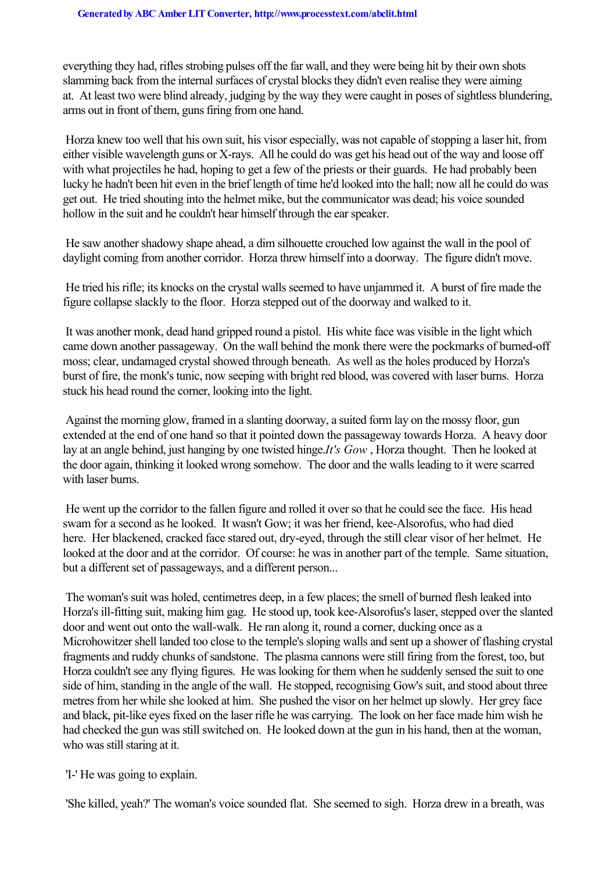everything they had, rifles strobing pulses off the far wall, and they were being hit by their own shots slamming back from the internal surfaces of crystal blocks they didn't even realise they were aiming at. At least two were blind already, judging by the way they were caught in poses of sightless blundering, arms out in front of them, guns firing from one hand.

 Horza knew too well that his own suit, his visor especially, was not capable of stopping a laser hit, from either visible wavelength guns or X-rays. All he could do was get his head out of the way and loose off with what projectiles he had, hoping to get a few of the priests or their guards. He had probably been lucky he hadn't been hit even in the brief length of time he'd looked into the hall; now all he could do was get out. He tried shouting into the helmet mike, but the communicator was dead; his voice sounded hollow in the suit and he couldn't hear himself through the ear speaker.

 He saw another shadowy shape ahead, a dim silhouette crouched low against the wall in the pool of daylight coming from another corridor. Horza threw himself into a doorway. The figure didn't move.

 He tried his rifle; its knocks on the crystal walls seemed to have unjammed it. A burst of fire made the figure collapse slackly to the floor. Horza stepped out of the doorway and walked to it.

 It was another monk, dead hand gripped round a pistol. His white face was visible in the light which came down another passageway. On the wall behind the monk there were the pockmarks of burned-off moss; clear, undamaged crystal showed through beneath. As well as the holes produced by Horza's burst of fire, the monk's tunic, now seeping with bright red blood, was covered with laser burns. Horza stuck his head round the corner, looking into the light.

 Against the morning glow, framed in a slanting doorway, a suited form lay on the mossy floor, gun extended at the end of one hand so that it pointed down the passageway towards Horza. A heavy door lay at an angle behind, just hanging by one twisted hinge.*It's Gow* , Horza thought. Then he looked at the door again, thinking it looked wrong somehow. The door and the walls leading to it were scarred with laser burns.

 He went up the corridor to the fallen figure and rolled it over so that he could see the face. His head swam for a second as he looked. It wasn't Gow; it was her friend, kee-Alsorofus, who had died here. Her blackened, cracked face stared out, dry-eyed, through the still clear visor of her helmet. He looked at the door and at the corridor. Of course: he was in another part of the temple. Same situation, but a different set of passageways, and a different person...

 The woman's suit was holed, centimetres deep, in a few places; the smell of burned flesh leaked into Horza's ill-fitting suit, making him gag. He stood up, took kee-Alsorofus's laser, stepped over the slanted door and went out onto the wall-walk. He ran along it, round a corner, ducking once as a Microhowitzer shell landed too close to the temple's sloping walls and sent up a shower of flashing crystal fragments and ruddy chunks of sandstone. The plasma cannons were still firing from the forest, too, but Horza couldn't see any flying figures. He was looking for them when he suddenly sensed the suit to one side of him, standing in the angle of the wall. He stopped, recognising Gow's suit, and stood about three metres from her while she looked at him. She pushed the visor on her helmet up slowly. Her grey face and black, pit-like eyes fixed on the laser rifle he was carrying. The look on her face made him wish he had checked the gun was still switched on. He looked down at the gun in his hand, then at the woman, who was still staring at it.

'I-' He was going to explain.

'She killed, yeah?' The woman's voice sounded flat. She seemed to sigh. Horza drew in a breath, was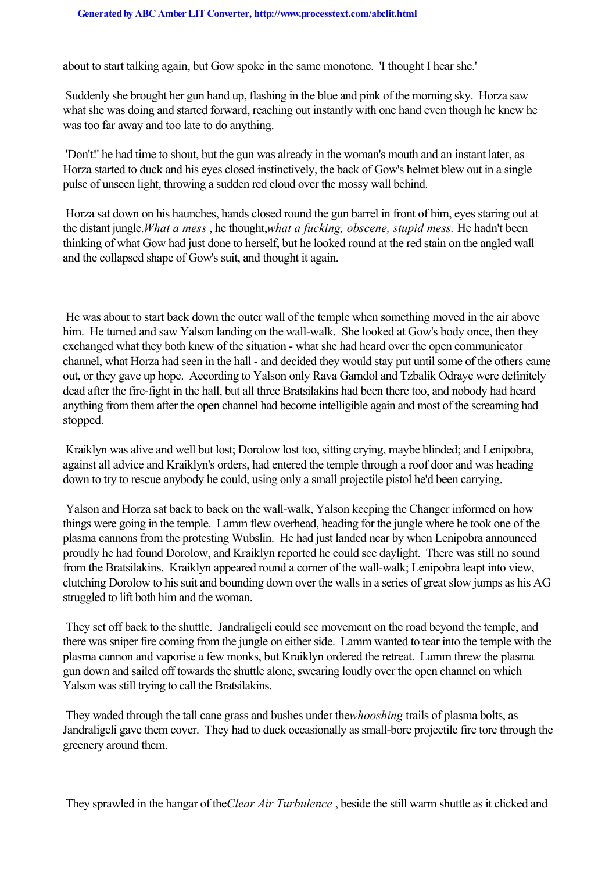about to start talking again, but Gow spoke in the same monotone. 'I thought I hear she.'

 Suddenly she brought her gun hand up, flashing in the blue and pink of the morning sky. Horza saw what she was doing and started forward, reaching out instantly with one hand even though he knew he was too far away and too late to do anything.

 'Don't!' he had time to shout, but the gun was already in the woman's mouth and an instant later, as Horza started to duck and his eyes closed instinctively, the back of Gow's helmet blew out in a single pulse of unseen light, throwing a sudden red cloud over the mossy wall behind.

 Horza sat down on his haunches, hands closed round the gun barrel in front of him, eyes staring out at the distant jungle.*What a mess* , he thought,*what a fucking, obscene, stupid mess.* He hadn't been thinking of what Gow had just done to herself, but he looked round at the red stain on the angled wall and the collapsed shape of Gow's suit, and thought it again.

 He was about to start back down the outer wall of the temple when something moved in the air above him. He turned and saw Yalson landing on the wall-walk. She looked at Gow's body once, then they exchanged what they both knew of the situation - what she had heard over the open communicator channel, what Horza had seen in the hall - and decided they would stay put until some of the others came out, or they gave up hope. According to Yalson only Rava Gamdol and Tzbalik Odraye were definitely dead after the fire-fight in the hall, but all three Bratsilakins had been there too, and nobody had heard anything from them after the open channel had become intelligible again and most of the screaming had stopped.

 Kraiklyn was alive and well but lost; Dorolow lost too, sitting crying, maybe blinded; and Lenipobra, against all advice and Kraiklyn's orders, had entered the temple through a roof door and was heading down to try to rescue anybody he could, using only a small projectile pistol he'd been carrying.

 Yalson and Horza sat back to back on the wall-walk, Yalson keeping the Changer informed on how things were going in the temple. Lamm flew overhead, heading for the jungle where he took one of the plasma cannons from the protesting Wubslin. He had just landed near by when Lenipobra announced proudly he had found Dorolow, and Kraiklyn reported he could see daylight. There was still no sound from the Bratsilakins. Kraiklyn appeared round a corner of the wall-walk; Lenipobra leapt into view, clutching Dorolow to his suit and bounding down over the walls in a series of great slow jumps as his AG struggled to lift both him and the woman.

 They set off back to the shuttle. Jandraligeli could see movement on the road beyond the temple, and there was sniper fire coming from the jungle on either side. Lamm wanted to tear into the temple with the plasma cannon and vaporise a few monks, but Kraiklyn ordered the retreat. Lamm threw the plasma gun down and sailed off towards the shuttle alone, swearing loudly over the open channel on which Yalson was still trying to call the Bratsilakins.

 They waded through the tall cane grass and bushes under the*whooshing* trails of plasma bolts, as Jandraligeli gave them cover. They had to duck occasionally as small-bore projectile fire tore through the greenery around them.

They sprawled in the hangar of the*Clear Air Turbulence* , beside the still warm shuttle as it clicked and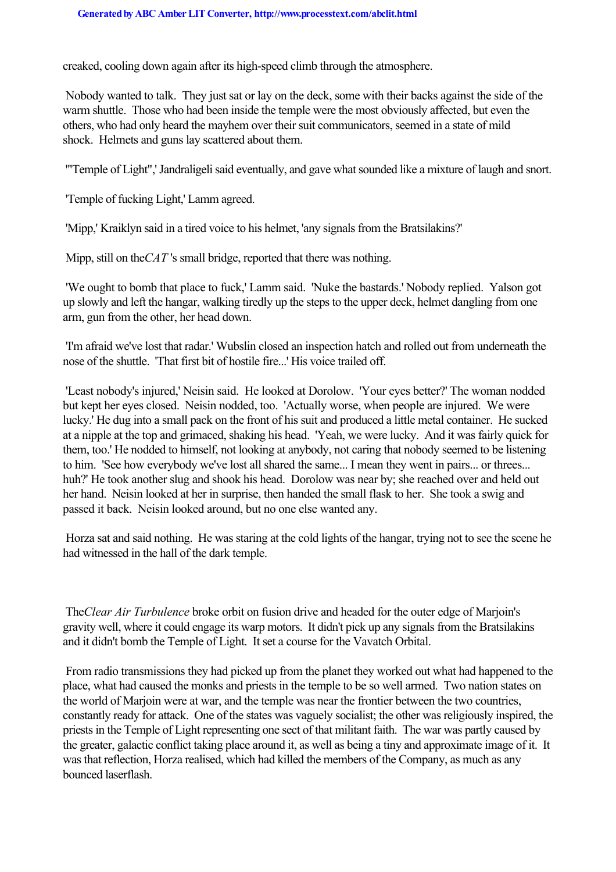creaked, cooling down again after its high-speed climb through the atmosphere.

 Nobody wanted to talk. They just sat or lay on the deck, some with their backs against the side of the warm shuttle. Those who had been inside the temple were the most obviously affected, but even the others, who had only heard the mayhem over their suit communicators, seemed in a state of mild shock. Helmets and guns lay scattered about them.

'"Temple of Light",' Jandraligeli said eventually, and gave what sounded like a mixture of laugh and snort.

'Temple of fucking Light,' Lamm agreed.

'Mipp,' Kraiklyn said in a tired voice to his helmet, 'any signals from the Bratsilakins?'

Mipp, still on the*CAT* 's small bridge, reported that there was nothing.

 'We ought to bomb that place to fuck,' Lamm said. 'Nuke the bastards.' Nobody replied. Yalson got up slowly and left the hangar, walking tiredly up the steps to the upper deck, helmet dangling from one arm, gun from the other, her head down.

 'I'm afraid we've lost that radar.' Wubslin closed an inspection hatch and rolled out from underneath the nose of the shuttle. 'That first bit of hostile fire.' His voice trailed off.

 'Least nobody's injured,' Neisin said. He looked at Dorolow. 'Your eyes better?' The woman nodded but kept her eyes closed. Neisin nodded, too. 'Actually worse, when people are injured. We were lucky.' He dug into a small pack on the front of his suit and produced a little metal container. He sucked at a nipple at the top and grimaced, shaking his head. 'Yeah, we were lucky. And it was fairly quick for them, too.' He nodded to himself, not looking at anybody, not caring that nobody seemed to be listening to him. 'See how everybody we've lost all shared the same... I mean they went in pairs... or threes... huh?' He took another slug and shook his head. Dorolow was near by; she reached over and held out her hand. Neisin looked at her in surprise, then handed the small flask to her. She took a swig and passed it back. Neisin looked around, but no one else wanted any.

 Horza sat and said nothing. He was staring at the cold lights of the hangar, trying not to see the scene he had witnessed in the hall of the dark temple.

 The*Clear Air Turbulence* broke orbit on fusion drive and headed for the outer edge of Marjoin's gravity well, where it could engage its warp motors. It didn't pick up any signals from the Bratsilakins and it didn't bomb the Temple of Light. It set a course for the Vavatch Orbital.

 From radio transmissions they had picked up from the planet they worked out what had happened to the place, what had caused the monks and priests in the temple to be so well armed. Two nation states on the world of Marjoin were at war, and the temple was near the frontier between the two countries, constantly ready for attack. One of the states was vaguely socialist; the other was religiously inspired, the priests in the Temple of Light representing one sect of that militant faith. The war was partly caused by the greater, galactic conflict taking place around it, as well as being a tiny and approximate image of it. It was that reflection, Horza realised, which had killed the members of the Company, as much as any bounced laserflash.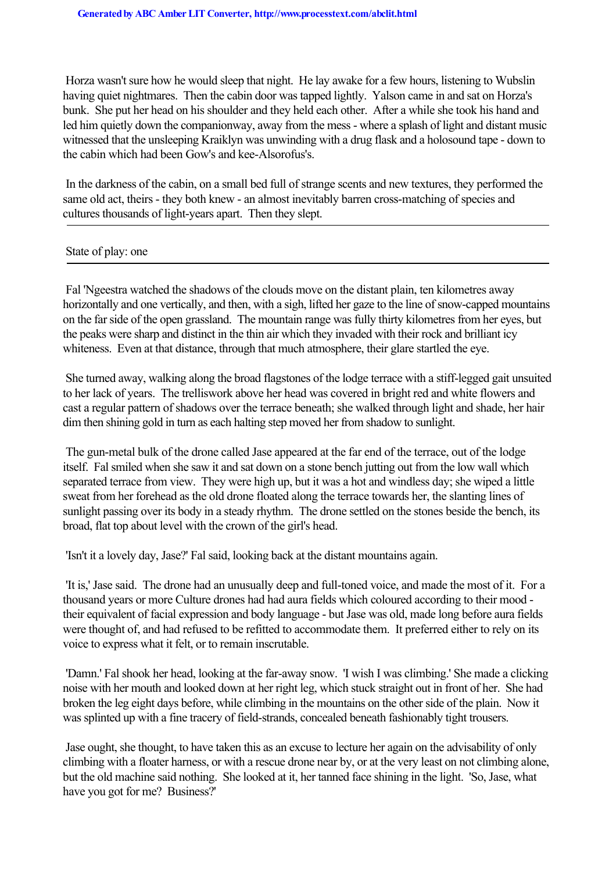Horza wasn't sure how he would sleep that night. He lay awake for a few hours, listening to Wubslin having quiet nightmares. Then the cabin door was tapped lightly. Yalson came in and sat on Horza's bunk. She put her head on his shoulder and they held each other. After a while she took his hand and led him quietly down the companionway, away from the mess - where a splash of light and distant music witnessed that the unsleeping Kraiklyn was unwinding with a drug flask and a holosound tape - down to the cabin which had been Gow's and kee-Alsorofus's.

 In the darkness of the cabin, on a small bed full of strange scents and new textures, they performed the same old act, theirs - they both knew - an almost inevitably barren cross-matching of species and cultures thousands of light-years apart. Then they slept.

State of play: one

 Fal 'Ngeestra watched the shadows of the clouds move on the distant plain, ten kilometres away horizontally and one vertically, and then, with a sigh, lifted her gaze to the line of snow-capped mountains on the far side of the open grassland. The mountain range was fully thirty kilometres from her eyes, but the peaks were sharp and distinct in the thin air which they invaded with their rock and brilliant icy whiteness. Even at that distance, through that much atmosphere, their glare startled the eve.

 She turned away, walking along the broad flagstones of the lodge terrace with a stiff-legged gait unsuited to her lack of years. The trelliswork above her head was covered in bright red and white flowers and cast a regular pattern of shadows over the terrace beneath; she walked through light and shade, her hair dim then shining gold in turn as each halting step moved her from shadow to sunlight.

 The gun-metal bulk of the drone called Jase appeared at the far end of the terrace, out of the lodge itself. Fal smiled when she saw it and sat down on a stone bench jutting out from the low wall which separated terrace from view. They were high up, but it was a hot and windless day; she wiped a little sweat from her forehead as the old drone floated along the terrace towards her, the slanting lines of sunlight passing over its body in a steady rhythm. The drone settled on the stones beside the bench, its broad, flat top about level with the crown of the girl's head.

'Isn't it a lovely day, Jase?' Fal said, looking back at the distant mountains again.

 'It is,' Jase said. The drone had an unusually deep and full-toned voice, and made the most of it. For a thousand years or more Culture drones had had aura fields which coloured according to their mood their equivalent of facial expression and body language - but Jase was old, made long before aura fields were thought of, and had refused to be refitted to accommodate them. It preferred either to rely on its voice to express what it felt, or to remain inscrutable.

 'Damn.' Fal shook her head, looking at the far-away snow. 'I wish I was climbing.' She made a clicking noise with her mouth and looked down at her right leg, which stuck straight out in front of her. She had broken the leg eight days before, while climbing in the mountains on the other side of the plain. Now it was splinted up with a fine tracery of field-strands, concealed beneath fashionably tight trousers.

 Jase ought, she thought, to have taken this as an excuse to lecture her again on the advisability of only climbing with a floater harness, or with a rescue drone near by, or at the very least on not climbing alone, but the old machine said nothing. She looked at it, her tanned face shining in the light. 'So, Jase, what have you got for me? Business?'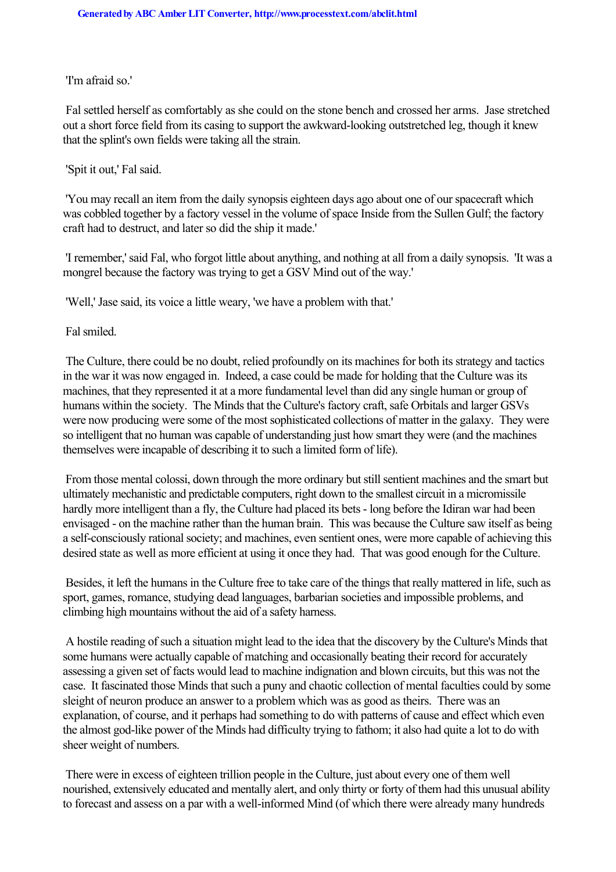'I'm afraid so.'

 Fal settled herself as comfortably as she could on the stone bench and crossed her arms. Jase stretched out a short force field from its casing to support the awkward-looking outstretched leg, though it knew that the splint's own fields were taking all the strain.

'Spit it out,' Fal said.

 'You may recall an item from the daily synopsis eighteen days ago about one of our spacecraft which was cobbled together by a factory vessel in the volume of space Inside from the Sullen Gulf; the factory craft had to destruct, and later so did the ship it made.'

 'I remember,' said Fal, who forgot little about anything, and nothing at all from a daily synopsis. 'It was a mongrel because the factory was trying to get a GSV Mind out of the way.'

'Well,' Jase said, its voice a little weary, 'we have a problem with that.'

Fal smiled.

 The Culture, there could be no doubt, relied profoundly on its machines for both its strategy and tactics in the war it was now engaged in. Indeed, a case could be made for holding that the Culture was its machines, that they represented it at a more fundamental level than did any single human or group of humans within the society. The Minds that the Culture's factory craft, safe Orbitals and larger GSVs were now producing were some of the most sophisticated collections of matter in the galaxy. They were so intelligent that no human was capable of understanding just how smart they were (and the machines themselves were incapable of describing it to such a limited form of life).

 From those mental colossi, down through the more ordinary but still sentient machines and the smart but ultimately mechanistic and predictable computers, right down to the smallest circuit in a micromissile hardly more intelligent than a fly, the Culture had placed its bets - long before the Idiran war had been envisaged - on the machine rather than the human brain. This was because the Culture saw itself as being a self-consciously rational society; and machines, even sentient ones, were more capable of achieving this desired state as well as more efficient at using it once they had. That was good enough for the Culture.

 Besides, it left the humans in the Culture free to take care of the things that really mattered in life, such as sport, games, romance, studying dead languages, barbarian societies and impossible problems, and climbing high mountains without the aid of a safety harness.

 A hostile reading of such a situation might lead to the idea that the discovery by the Culture's Minds that some humans were actually capable of matching and occasionally beating their record for accurately assessing a given set of facts would lead to machine indignation and blown circuits, but this was not the case. It fascinated those Minds that such a puny and chaotic collection of mental faculties could by some sleight of neuron produce an answer to a problem which was as good as theirs. There was an explanation, of course, and it perhaps had something to do with patterns of cause and effect which even the almost god-like power of the Minds had difficulty trying to fathom; it also had quite a lot to do with sheer weight of numbers.

 There were in excess of eighteen trillion people in the Culture, just about every one of them well nourished, extensively educated and mentally alert, and only thirty or forty of them had this unusual ability to forecast and assess on a par with a well-informed Mind (of which there were already many hundreds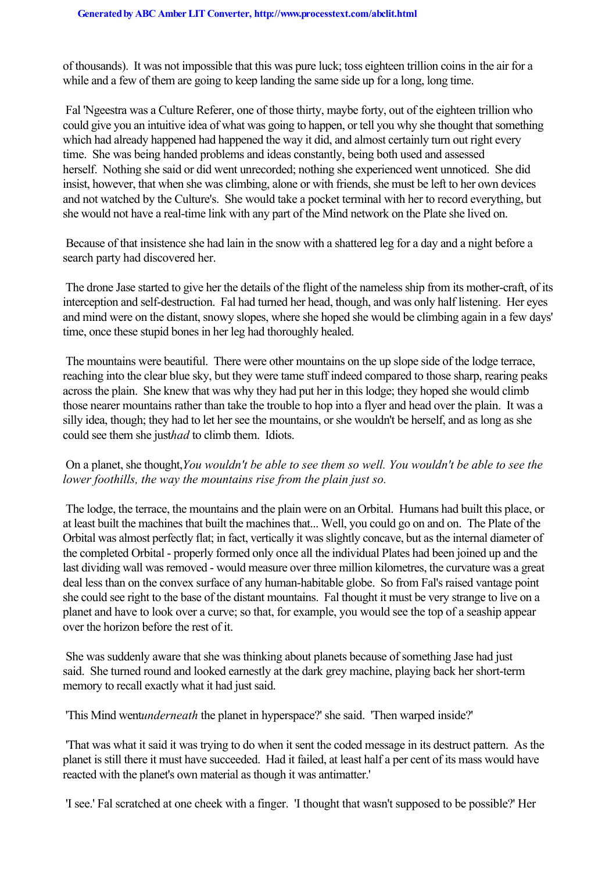of thousands). It was not impossible that this was pure luck; toss eighteen trillion coins in the air for a while and a few of them are going to keep landing the same side up for a long, long time.

 Fal 'Ngeestra was a Culture Referer, one of those thirty, maybe forty, out of the eighteen trillion who could give you an intuitive idea of what was going to happen, or tell you why she thought that something which had already happened had happened the way it did, and almost certainly turn out right every time. She was being handed problems and ideas constantly, being both used and assessed herself. Nothing she said or did went unrecorded; nothing she experienced went unnoticed. She did insist, however, that when she was climbing, alone or with friends, she must be left to her own devices and not watched by the Culture's. She would take a pocket terminal with her to record everything, but she would not have a real-time link with any part of the Mind network on the Plate she lived on.

 Because of that insistence she had lain in the snow with a shattered leg for a day and a night before a search party had discovered her.

 The drone Jase started to give her the details of the flight of the nameless ship from its mother-craft, of its interception and self-destruction. Fal had turned her head, though, and was only half listening. Her eyes and mind were on the distant, snowy slopes, where she hoped she would be climbing again in a few days' time, once these stupid bones in her leg had thoroughly healed.

 The mountains were beautiful. There were other mountains on the up slope side of the lodge terrace, reaching into the clear blue sky, but they were tame stuff indeed compared to those sharp, rearing peaks across the plain. She knew that was why they had put her in this lodge; they hoped she would climb those nearer mountains rather than take the trouble to hop into a flyer and head over the plain. It was a silly idea, though; they had to let her see the mountains, or she wouldn't be herself, and as long as she could see them she just*had* to climb them. Idiots.

## On a planet, she thought,*You wouldn't be able to see them so well. You wouldn't be able to see the lower foothills, the way the mountains rise from the plain just so.*

 The lodge, the terrace, the mountains and the plain were on an Orbital. Humans had built this place, or at least built the machines that built the machines that... Well, you could go on and on. The Plate of the Orbital was almost perfectly flat; in fact, vertically it was slightly concave, but as the internal diameter of the completed Orbital - properly formed only once all the individual Plates had been joined up and the last dividing wall was removed - would measure over three million kilometres, the curvature was a great deal less than on the convex surface of any human-habitable globe. So from Fal's raised vantage point she could see right to the base of the distant mountains. Fal thought it must be very strange to live on a planet and have to look over a curve; so that, for example, you would see the top of a seaship appear over the horizon before the rest of it.

 She was suddenly aware that she was thinking about planets because of something Jase had just said. She turned round and looked earnestly at the dark grey machine, playing back her short-term memory to recall exactly what it had just said.

'This Mind went*underneath* the planet in hyperspace?' she said. 'Then warped inside?'

 'That was what it said it was trying to do when it sent the coded message in its destruct pattern. As the planet is still there it must have succeeded. Had it failed, at least half a per cent of its mass would have reacted with the planet's own material as though it was antimatter.'

'I see.' Fal scratched at one cheek with a finger. 'I thought that wasn't supposed to be possible?' Her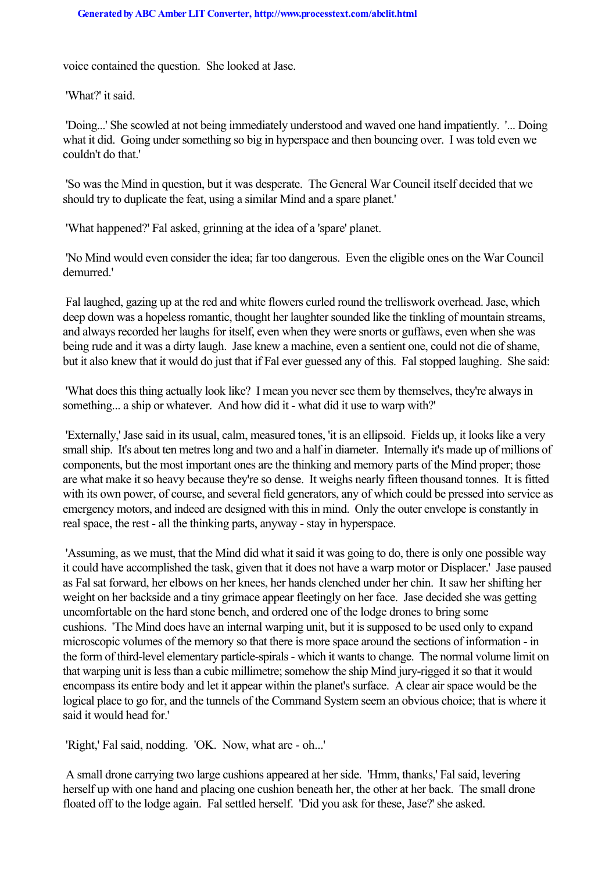voice contained the question. She looked at Jase.

'What?' it said.

 'Doing...' She scowled at not being immediately understood and waved one hand impatiently. '... Doing what it did. Going under something so big in hyperspace and then bouncing over. I was told even we couldn't do that.'

 'So was the Mind in question, but it was desperate. The General War Council itself decided that we should try to duplicate the feat, using a similar Mind and a spare planet.'

'What happened?' Fal asked, grinning at the idea of a 'spare' planet.

 'No Mind would even consider the idea; far too dangerous. Even the eligible ones on the War Council demurred.'

 Fal laughed, gazing up at the red and white flowers curled round the trelliswork overhead. Jase, which deep down was a hopeless romantic, thought her laughter sounded like the tinkling of mountain streams, and always recorded her laughs for itself, even when they were snorts or guffaws, even when she was being rude and it was a dirty laugh. Jase knew a machine, even a sentient one, could not die of shame, but it also knew that it would do just that if Fal ever guessed any of this. Fal stopped laughing. She said:

 'What does this thing actually look like? I mean you never see them by themselves, they're always in something... a ship or whatever. And how did it - what did it use to warp with?'

 'Externally,' Jase said in its usual, calm, measured tones, 'it is an ellipsoid. Fields up, it looks like a very small ship. It's about ten metres long and two and a half in diameter. Internally it's made up of millions of components, but the most important ones are the thinking and memory parts of the Mind proper; those are what make it so heavy because they're so dense. It weighs nearly fifteen thousand tonnes. It is fitted with its own power, of course, and several field generators, any of which could be pressed into service as emergency motors, and indeed are designed with this in mind. Only the outer envelope is constantly in real space, the rest - all the thinking parts, anyway - stay in hyperspace.

 'Assuming, as we must, that the Mind did what it said it was going to do, there is only one possible way it could have accomplished the task, given that it does not have a warp motor or Displacer.' Jase paused as Fal sat forward, her elbows on her knees, her hands clenched under her chin. It saw her shifting her weight on her backside and a tiny grimace appear fleetingly on her face. Jase decided she was getting uncomfortable on the hard stone bench, and ordered one of the lodge drones to bring some cushions. 'The Mind does have an internal warping unit, but it is supposed to be used only to expand microscopic volumes of the memory so that there is more space around the sections of information - in the form of third-level elementary particle-spirals - which it wants to change. The normal volume limit on that warping unit is less than a cubic millimetre; somehow the ship Mind jury-rigged it so that it would encompass its entire body and let it appear within the planet's surface. A clear air space would be the logical place to go for, and the tunnels of the Command System seem an obvious choice; that is where it said it would head for.'

'Right,' Fal said, nodding. 'OK. Now, what are - oh...'

 A small drone carrying two large cushions appeared at her side. 'Hmm, thanks,' Fal said, levering herself up with one hand and placing one cushion beneath her, the other at her back. The small drone floated off to the lodge again. Fal settled herself. 'Did you ask for these, Jase?' she asked.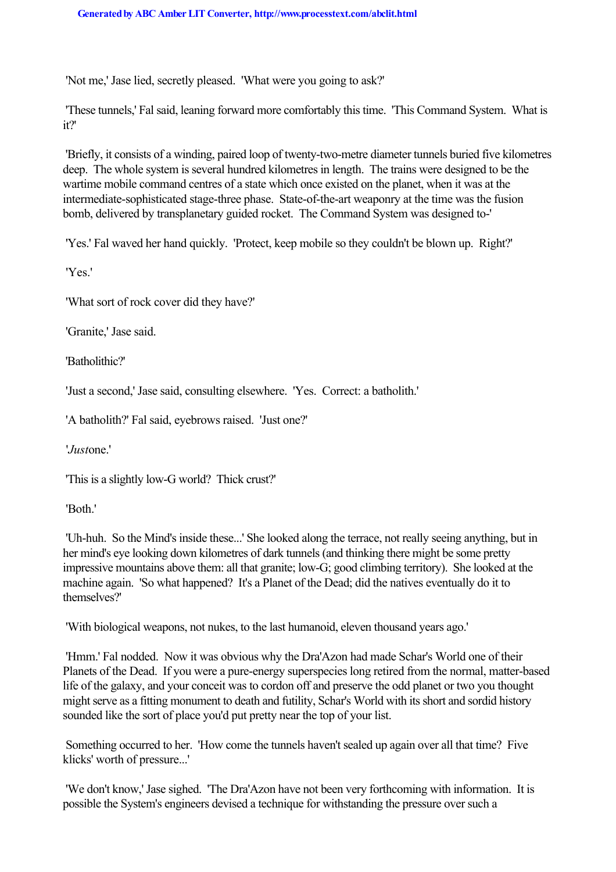'Not me,' Jase lied, secretly pleased. 'What were you going to ask?'

 'These tunnels,' Fal said, leaning forward more comfortably this time. 'This Command System. What is it?'

 'Briefly, it consists of a winding, paired loop of twenty-two-metre diameter tunnels buried five kilometres deep. The whole system is several hundred kilometres in length. The trains were designed to be the wartime mobile command centres of a state which once existed on the planet, when it was at the intermediate-sophisticated stage-three phase. State-of-the-art weaponry at the time was the fusion bomb, delivered by transplanetary guided rocket. The Command System was designed to-'

'Yes.' Fal waved her hand quickly. 'Protect, keep mobile so they couldn't be blown up. Right?'

'Yes.'

'What sort of rock cover did they have?'

'Granite,' Jase said.

'Batholithic?'

'Just a second,' Jase said, consulting elsewhere. 'Yes. Correct: a batholith.'

'A batholith?' Fal said, eyebrows raised. 'Just one?'

'*Just*one.'

'This is a slightly low-G world? Thick crust?'

'Both.'

 'Uh-huh. So the Mind's inside these...' She looked along the terrace, not really seeing anything, but in her mind's eye looking down kilometres of dark tunnels (and thinking there might be some pretty impressive mountains above them: all that granite; low-G; good climbing territory). She looked at the machine again. 'So what happened? It's a Planet of the Dead; did the natives eventually do it to themselves?'

'With biological weapons, not nukes, to the last humanoid, eleven thousand years ago.'

 'Hmm.' Fal nodded. Now it was obvious why the Dra'Azon had made Schar's World one of their Planets of the Dead. If you were a pure-energy superspecies long retired from the normal, matter-based life of the galaxy, and your conceit was to cordon off and preserve the odd planet or two you thought might serve as a fitting monument to death and futility, Schar's World with its short and sordid history sounded like the sort of place you'd put pretty near the top of your list.

 Something occurred to her. 'How come the tunnels haven't sealed up again over all that time? Five klicks' worth of pressure...'

 'We don't know,' Jase sighed. 'The Dra'Azon have not been very forthcoming with information. It is possible the System's engineers devised a technique for withstanding the pressure over such a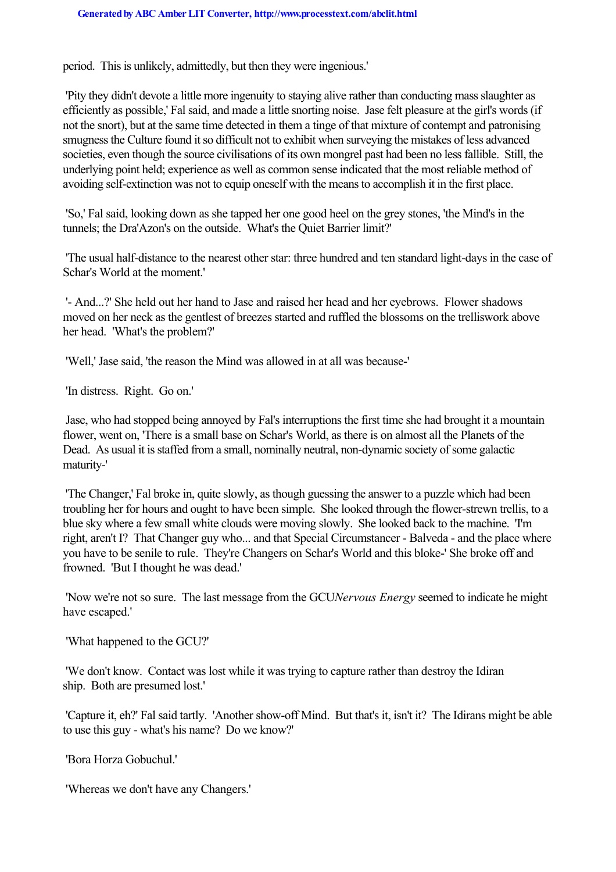period. This is unlikely, admittedly, but then they were ingenious.'

 'Pity they didn't devote a little more ingenuity to staying alive rather than conducting mass slaughter as efficiently as possible,' Fal said, and made a little snorting noise. Jase felt pleasure at the girl's words (if not the snort), but at the same time detected in them a tinge of that mixture of contempt and patronising smugness the Culture found it so difficult not to exhibit when surveying the mistakes of less advanced societies, even though the source civilisations of its own mongrel past had been no less fallible. Still, the underlying point held; experience as well as common sense indicated that the most reliable method of avoiding self-extinction was not to equip oneself with the means to accomplish it in the first place.

 'So,' Fal said, looking down as she tapped her one good heel on the grey stones, 'the Mind's in the tunnels; the Dra'Azon's on the outside. What's the Quiet Barrier limit?'

 'The usual half-distance to the nearest other star: three hundred and ten standard light-days in the case of Schar's World at the moment.'

 '- And...?' She held out her hand to Jase and raised her head and her eyebrows. Flower shadows moved on her neck as the gentlest of breezes started and ruffled the blossoms on the trelliswork above her head. 'What's the problem?'

'Well,' Jase said, 'the reason the Mind was allowed in at all was because-'

'In distress. Right. Go on.'

 Jase, who had stopped being annoyed by Fal's interruptions the first time she had brought it a mountain flower, went on, 'There is a small base on Schar's World, as there is on almost all the Planets of the Dead. As usual it is staffed from a small, nominally neutral, non-dynamic society of some galactic maturity-'

 'The Changer,' Fal broke in, quite slowly, as though guessing the answer to a puzzle which had been troubling her for hours and ought to have been simple. She looked through the flower-strewn trellis, to a blue sky where a few small white clouds were moving slowly. She looked back to the machine. 'I'm right, aren't I? That Changer guy who... and that Special Circumstancer - Balveda - and the place where you have to be senile to rule. They're Changers on Schar's World and this bloke-' She broke off and frowned. 'But I thought he was dead.'

 'Now we're not so sure. The last message from the GCU*Nervous Energy* seemed to indicate he might have escaped.'

'What happened to the GCU?'

 'We don't know. Contact was lost while it was trying to capture rather than destroy the Idiran ship. Both are presumed lost.'

 'Capture it, eh?' Fal said tartly. 'Another show-off Mind. But that's it, isn't it? The Idirans might be able to use this guy - what's his name? Do we know?'

'Bora Horza Gobuchul.'

'Whereas we don't have any Changers.'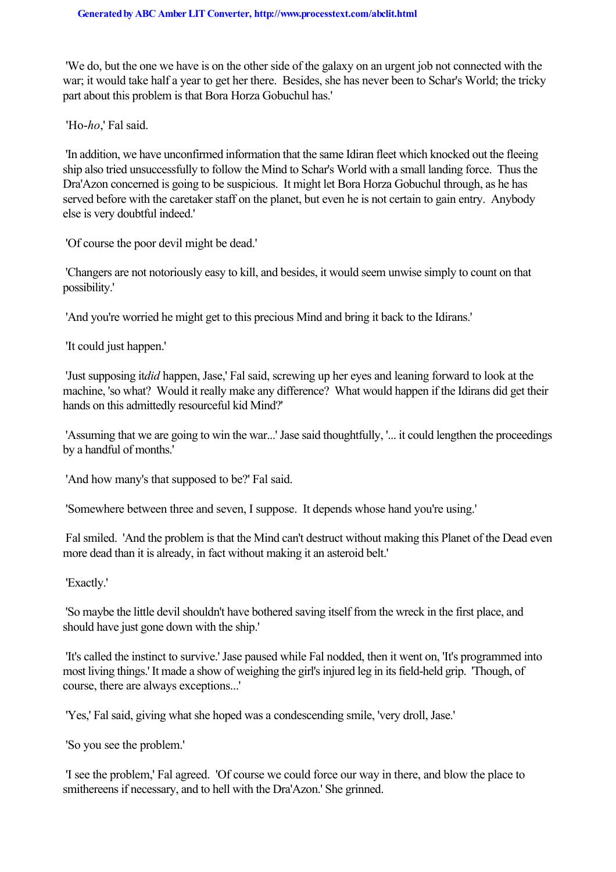'We do, but the one we have is on the other side of the galaxy on an urgent job not connected with the war; it would take half a year to get her there. Besides, she has never been to Schar's World; the tricky part about this problem is that Bora Horza Gobuchul has.'

'Ho-*ho*,' Fal said.

 'In addition, we have unconfirmed information that the same Idiran fleet which knocked out the fleeing ship also tried unsuccessfully to follow the Mind to Schar's World with a small landing force. Thus the Dra'Azon concerned is going to be suspicious. It might let Bora Horza Gobuchul through, as he has served before with the caretaker staff on the planet, but even he is not certain to gain entry. Anybody else is very doubtful indeed.'

'Of course the poor devil might be dead.'

 'Changers are not notoriously easy to kill, and besides, it would seem unwise simply to count on that possibility.'

'And you're worried he might get to this precious Mind and bring it back to the Idirans.'

'It could just happen.'

 'Just supposing it*did* happen, Jase,' Fal said, screwing up her eyes and leaning forward to look at the machine, 'so what? Would it really make any difference? What would happen if the Idirans did get their hands on this admittedly resourceful kid Mind?'

 'Assuming that we are going to win the war...' Jase said thoughtfully, '... it could lengthen the proceedings by a handful of months.'

'And how many's that supposed to be?' Fal said.

'Somewhere between three and seven, I suppose. It depends whose hand you're using.'

 Fal smiled. 'And the problem is that the Mind can't destruct without making this Planet of the Dead even more dead than it is already, in fact without making it an asteroid belt.'

'Exactly.'

 'So maybe the little devil shouldn't have bothered saving itself from the wreck in the first place, and should have just gone down with the ship.'

 'It's called the instinct to survive.' Jase paused while Fal nodded, then it went on, 'It's programmed into most living things.' It made a show of weighing the girl's injured leg in its field-held grip. 'Though, of course, there are always exceptions...'

'Yes,' Fal said, giving what she hoped was a condescending smile, 'very droll, Jase.'

'So you see the problem.'

 'I see the problem,' Fal agreed. 'Of course we could force our way in there, and blow the place to smithereens if necessary, and to hell with the Dra'Azon.' She grinned.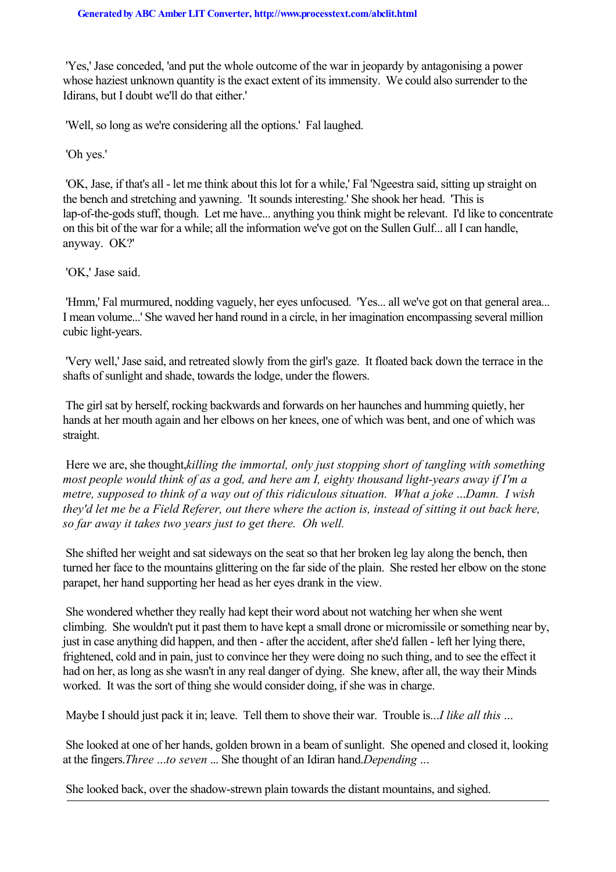'Yes,' Jase conceded, 'and put the whole outcome of the war in jeopardy by antagonising a power whose haziest unknown quantity is the exact extent of its immensity. We could also surrender to the Idirans, but I doubt we'll do that either.'

'Well, so long as we're considering all the options.' Fal laughed.

'Oh yes.'

 'OK, Jase, if that's all - let me think about this lot for a while,' Fal 'Ngeestra said, sitting up straight on the bench and stretching and yawning. 'It sounds interesting.' She shook her head. 'This is lap-of-the-gods stuff, though. Let me have... anything you think might be relevant. I'd like to concentrate on this bit of the war for a while; all the information we've got on the Sullen Gulf... all I can handle, anyway. OK?'

'OK,' Jase said.

 'Hmm,' Fal murmured, nodding vaguely, her eyes unfocused. 'Yes... all we've got on that general area... I mean volume...' She waved her hand round in a circle, in her imagination encompassing several million cubic light-years.

 'Very well,' Jase said, and retreated slowly from the girl's gaze. It floated back down the terrace in the shafts of sunlight and shade, towards the lodge, under the flowers.

 The girl sat by herself, rocking backwards and forwards on her haunches and humming quietly, her hands at her mouth again and her elbows on her knees, one of which was bent, and one of which was straight.

 Here we are, she thought,*killing the immortal, only just stopping short of tangling with something most people would think of as a god, and here am I, eighty thousand light-years away if I'm a metre, supposed to think of a way out of this ridiculous situation. What a joke* ...*Damn. I wish they'd let me be a Field Referer, out there where the action is, instead of sitting it out back here, so far away it takes two years just to get there. Oh well.*

 She shifted her weight and sat sideways on the seat so that her broken leg lay along the bench, then turned her face to the mountains glittering on the far side of the plain. She rested her elbow on the stone parapet, her hand supporting her head as her eyes drank in the view.

 She wondered whether they really had kept their word about not watching her when she went climbing. She wouldn't put it past them to have kept a small drone or micromissile or something near by, just in case anything did happen, and then - after the accident, after she'd fallen - left her lying there, frightened, cold and in pain, just to convince her they were doing no such thing, and to see the effect it had on her, as long as she wasn't in any real danger of dying. She knew, after all, the way their Minds worked. It was the sort of thing she would consider doing, if she was in charge.

Maybe I should just pack it in; leave. Tell them to shove their war. Trouble is...*I like all this* ...

 She looked at one of her hands, golden brown in a beam of sunlight. She opened and closed it, looking at the fingers.*Three* ...*to seven* ... She thought of an Idiran hand.*Depending* ...

She looked back, over the shadow-strewn plain towards the distant mountains, and sighed.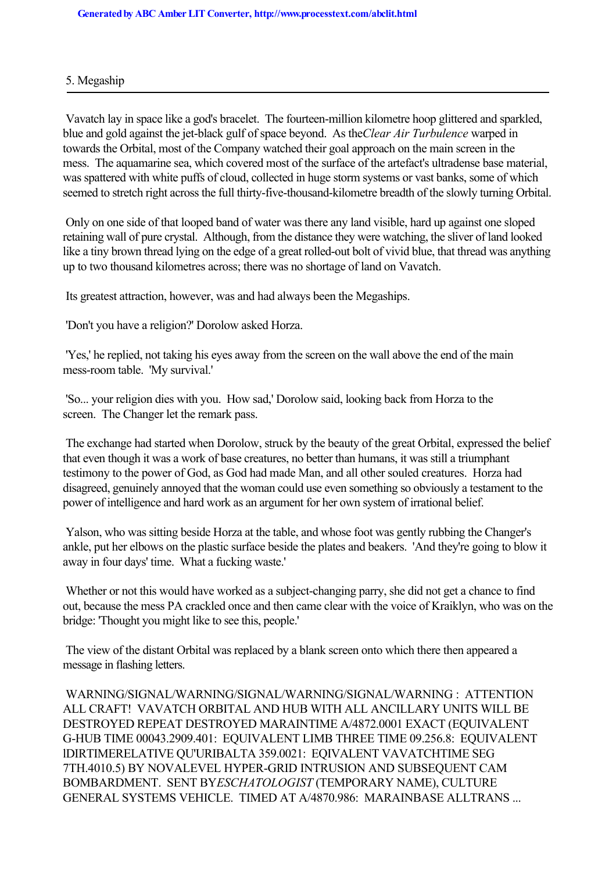## 5. Megaship

 Vavatch lay in space like a god's bracelet. The fourteen-million kilometre hoop glittered and sparkled, blue and gold against the jet-black gulf of space beyond. As the*Clear Air Turbulence* warped in towards the Orbital, most of the Company watched their goal approach on the main screen in the mess. The aquamarine sea, which covered most of the surface of the artefact's ultradense base material, was spattered with white puffs of cloud, collected in huge storm systems or vast banks, some of which seemed to stretch right across the full thirty-five-thousand-kilometre breadth of the slowly turning Orbital.

 Only on one side of that looped band of water was there any land visible, hard up against one sloped retaining wall of pure crystal. Although, from the distance they were watching, the sliver of land looked like a tiny brown thread lying on the edge of a great rolled-out bolt of vivid blue, that thread was anything up to two thousand kilometres across; there was no shortage of land on Vavatch.

Its greatest attraction, however, was and had always been the Megaships.

'Don't you have a religion?' Dorolow asked Horza.

 'Yes,' he replied, not taking his eyes away from the screen on the wall above the end of the main mess-room table. 'My survival.'

 'So... your religion dies with you. How sad,' Dorolow said, looking back from Horza to the screen. The Changer let the remark pass.

 The exchange had started when Dorolow, struck by the beauty of the great Orbital, expressed the belief that even though it was a work of base creatures, no better than humans, it was still a triumphant testimony to the power of God, as God had made Man, and all other souled creatures. Horza had disagreed, genuinely annoyed that the woman could use even something so obviously a testament to the power of intelligence and hard work as an argument for her own system of irrational belief.

 Yalson, who was sitting beside Horza at the table, and whose foot was gently rubbing the Changer's ankle, put her elbows on the plastic surface beside the plates and beakers. 'And they're going to blow it away in four days' time. What a fucking waste.'

 Whether or not this would have worked as a subject-changing parry, she did not get a chance to find out, because the mess PA crackled once and then came clear with the voice of Kraiklyn, who was on the bridge: 'Thought you might like to see this, people.'

 The view of the distant Orbital was replaced by a blank screen onto which there then appeared a message in flashing letters.

 WARNING/SIGNAL/WARNING/SIGNAL/WARNING/SIGNAL/WARNING : ATTENTION ALL CRAFT! VAVATCH ORBITAL AND HUB WITH ALL ANCILLARY UNITS WILL BE DESTROYED REPEAT DESTROYED MARAINTIME A/4872.0001 EXACT (EQUIVALENT G-HUB TIME 00043.2909.401: EQUIVALENT LIMB THREE TIME 09.256.8: EQUIVALENT lDIRTIMERELATIVE QU'URIBALTA 359.0021: EQIVALENT VAVATCHTIME SEG 7TH.4010.5) BY NOVALEVEL HYPER-GRID INTRUSION AND SUBSEQUENT CAM BOMBARDMENT. SENT BY*ESCHATOLOGIST* (TEMPORARY NAME), CULTURE GENERAL SYSTEMS VEHICLE. TIMED AT A/4870.986: MARAINBASE ALLTRANS ...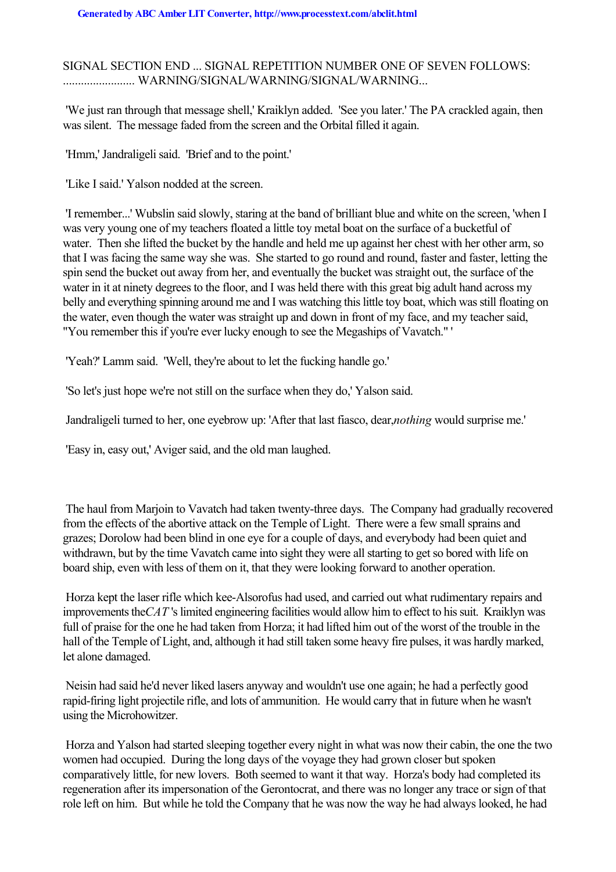SIGNAL SECTION END ... SIGNAL REPETITION NUMBER ONE OF SEVEN FOLLOWS: ........................ WARNING/SIGNAL/WARNING/SIGNAL/WARNING...

 'We just ran through that message shell,' Kraiklyn added. 'See you later.' The PA crackled again, then was silent. The message faded from the screen and the Orbital filled it again.

'Hmm,' Jandraligeli said. 'Brief and to the point.'

'Like I said.' Yalson nodded at the screen.

 'I remember...' Wubslin said slowly, staring at the band of brilliant blue and white on the screen, 'when I was very young one of my teachers floated a little toy metal boat on the surface of a bucketful of water. Then she lifted the bucket by the handle and held me up against her chest with her other arm, so that I was facing the same way she was. She started to go round and round, faster and faster, letting the spin send the bucket out away from her, and eventually the bucket was straight out, the surface of the water in it at ninety degrees to the floor, and I was held there with this great big adult hand across my belly and everything spinning around me and I was watching this little toy boat, which was still floating on the water, even though the water was straight up and down in front of my face, and my teacher said, "You remember this if you're ever lucky enough to see the Megaships of Vavatch." '

'Yeah?' Lamm said. 'Well, they're about to let the fucking handle go.'

'So let's just hope we're not still on the surface when they do,' Yalson said.

Jandraligeli turned to her, one eyebrow up: 'After that last fiasco, dear,*nothing* would surprise me.'

'Easy in, easy out,' Aviger said, and the old man laughed.

 The haul from Marjoin to Vavatch had taken twenty-three days. The Company had gradually recovered from the effects of the abortive attack on the Temple of Light. There were a few small sprains and grazes; Dorolow had been blind in one eye for a couple of days, and everybody had been quiet and withdrawn, but by the time Vavatch came into sight they were all starting to get so bored with life on board ship, even with less of them on it, that they were looking forward to another operation.

 Horza kept the laser rifle which kee-Alsorofus had used, and carried out what rudimentary repairs and improvements the*CAT* 's limited engineering facilities would allow him to effect to his suit. Kraiklyn was full of praise for the one he had taken from Horza; it had lifted him out of the worst of the trouble in the hall of the Temple of Light, and, although it had still taken some heavy fire pulses, it was hardly marked, let alone damaged.

 Neisin had said he'd never liked lasers anyway and wouldn't use one again; he had a perfectly good rapid-firing light projectile rifle, and lots of ammunition. He would carry that in future when he wasn't using the Microhowitzer.

 Horza and Yalson had started sleeping together every night in what was now their cabin, the one the two women had occupied. During the long days of the voyage they had grown closer but spoken comparatively little, for new lovers. Both seemed to want it that way. Horza's body had completed its regeneration after its impersonation of the Gerontocrat, and there was no longer any trace or sign of that role left on him. But while he told the Company that he was now the way he had always looked, he had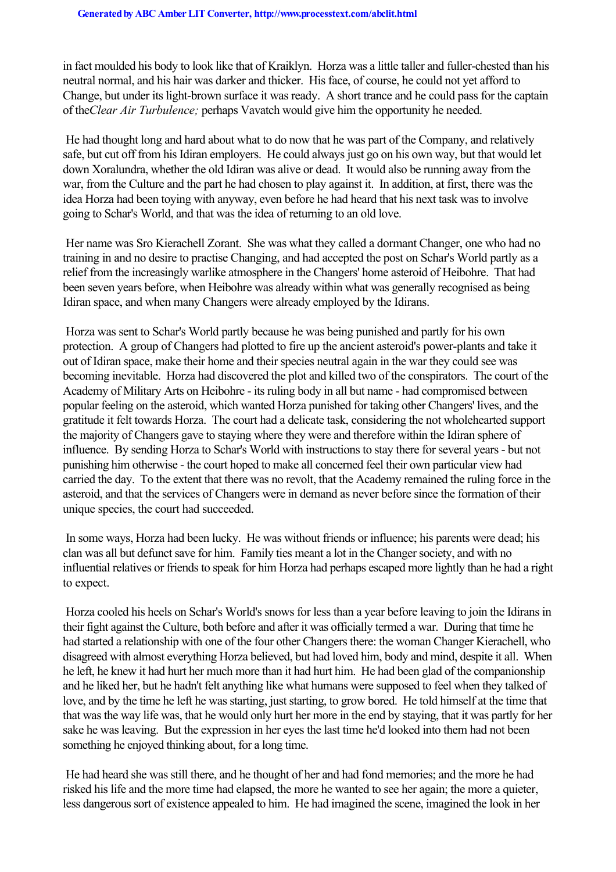in fact moulded his body to look like that of Kraiklyn. Horza was a little taller and fuller-chested than his neutral normal, and his hair was darker and thicker. His face, of course, he could not yet afford to Change, but under its light-brown surface it was ready. A short trance and he could pass for the captain of the*Clear Air Turbulence;* perhaps Vavatch would give him the opportunity he needed.

 He had thought long and hard about what to do now that he was part of the Company, and relatively safe, but cut off from his Idiran employers. He could always just go on his own way, but that would let down Xoralundra, whether the old Idiran was alive or dead. It would also be running away from the war, from the Culture and the part he had chosen to play against it. In addition, at first, there was the idea Horza had been toying with anyway, even before he had heard that his next task was to involve going to Schar's World, and that was the idea of returning to an old love.

 Her name was Sro Kierachell Zorant. She was what they called a dormant Changer, one who had no training in and no desire to practise Changing, and had accepted the post on Schar's World partly as a relief from the increasingly warlike atmosphere in the Changers' home asteroid of Heibohre. That had been seven years before, when Heibohre was already within what was generally recognised as being Idiran space, and when many Changers were already employed by the Idirans.

 Horza was sent to Schar's World partly because he was being punished and partly for his own protection. A group of Changers had plotted to fire up the ancient asteroid's power-plants and take it out of Idiran space, make their home and their species neutral again in the war they could see was becoming inevitable. Horza had discovered the plot and killed two of the conspirators. The court of the Academy of Military Arts on Heibohre - its ruling body in all but name - had compromised between popular feeling on the asteroid, which wanted Horza punished for taking other Changers' lives, and the gratitude it felt towards Horza. The court had a delicate task, considering the not wholehearted support the majority of Changers gave to staying where they were and therefore within the Idiran sphere of influence. By sending Horza to Schar's World with instructions to stay there for several years - but not punishing him otherwise - the court hoped to make all concerned feel their own particular view had carried the day. To the extent that there was no revolt, that the Academy remained the ruling force in the asteroid, and that the services of Changers were in demand as never before since the formation of their unique species, the court had succeeded.

 In some ways, Horza had been lucky. He was without friends or influence; his parents were dead; his clan was all but defunct save for him. Family ties meant a lot in the Changer society, and with no influential relatives or friends to speak for him Horza had perhaps escaped more lightly than he had a right to expect.

 Horza cooled his heels on Schar's World's snows for less than a year before leaving to join the Idirans in their fight against the Culture, both before and after it was officially termed a war. During that time he had started a relationship with one of the four other Changers there: the woman Changer Kierachell, who disagreed with almost everything Horza believed, but had loved him, body and mind, despite it all. When he left, he knew it had hurt her much more than it had hurt him. He had been glad of the companionship and he liked her, but he hadn't felt anything like what humans were supposed to feel when they talked of love, and by the time he left he was starting, just starting, to grow bored. He told himself at the time that that was the way life was, that he would only hurt her more in the end by staying, that it was partly for her sake he was leaving. But the expression in her eyes the last time he'd looked into them had not been something he enjoyed thinking about, for a long time.

 He had heard she was still there, and he thought of her and had fond memories; and the more he had risked his life and the more time had elapsed, the more he wanted to see her again; the more a quieter, less dangerous sort of existence appealed to him. He had imagined the scene, imagined the look in her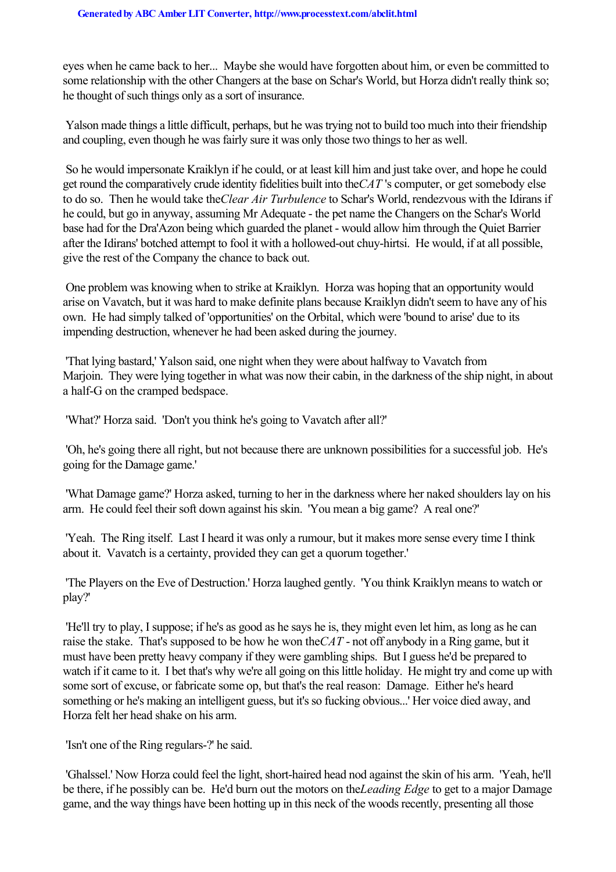eyes when he came back to her... Maybe she would have forgotten about him, or even be committed to some relationship with the other Changers at the base on Schar's World, but Horza didn't really think so; he thought of such things only as a sort of insurance.

 Yalson made things a little difficult, perhaps, but he was trying not to build too much into their friendship and coupling, even though he was fairly sure it was only those two things to her as well.

 So he would impersonate Kraiklyn if he could, or at least kill him and just take over, and hope he could get round the comparatively crude identity fidelities built into the*CAT* 's computer, or get somebody else to do so. Then he would take the*Clear Air Turbulence* to Schar's World, rendezvous with the Idirans if he could, but go in anyway, assuming Mr Adequate - the pet name the Changers on the Schar's World base had for the Dra'Azon being which guarded the planet - would allow him through the Quiet Barrier after the Idirans' botched attempt to fool it with a hollowed-out chuy-hirtsi. He would, if at all possible, give the rest of the Company the chance to back out.

 One problem was knowing when to strike at Kraiklyn. Horza was hoping that an opportunity would arise on Vavatch, but it was hard to make definite plans because Kraiklyn didn't seem to have any of his own. He had simply talked of 'opportunities' on the Orbital, which were 'bound to arise' due to its impending destruction, whenever he had been asked during the journey.

 'That lying bastard,' Yalson said, one night when they were about halfway to Vavatch from Marjoin. They were lying together in what was now their cabin, in the darkness of the ship night, in about a half-G on the cramped bedspace.

'What?' Horza said. 'Don't you think he's going to Vavatch after all?'

 'Oh, he's going there all right, but not because there are unknown possibilities for a successful job. He's going for the Damage game.'

 'What Damage game?' Horza asked, turning to her in the darkness where her naked shoulders lay on his arm. He could feel their soft down against his skin. 'You mean a big game? A real one?'

 'Yeah. The Ring itself. Last I heard it was only a rumour, but it makes more sense every time I think about it. Vavatch is a certainty, provided they can get a quorum together.'

 'The Players on the Eve of Destruction.' Horza laughed gently. 'You think Kraiklyn means to watch or play?'

 'He'll try to play, I suppose; if he's as good as he says he is, they might even let him, as long as he can raise the stake. That's supposed to be how he won the*CAT* - not off anybody in a Ring game, but it must have been pretty heavy company if they were gambling ships. But I guess he'd be prepared to watch if it came to it. I bet that's why we're all going on this little holiday. He might try and come up with some sort of excuse, or fabricate some op, but that's the real reason: Damage. Either he's heard something or he's making an intelligent guess, but it's so fucking obvious...' Her voice died away, and Horza felt her head shake on his arm.

'Isn't one of the Ring regulars-?' he said.

 'Ghalssel.' Now Horza could feel the light, short-haired head nod against the skin of his arm. 'Yeah, he'll be there, if he possibly can be. He'd burn out the motors on the*Leading Edge* to get to a major Damage game, and the way things have been hotting up in this neck of the woods recently, presenting all those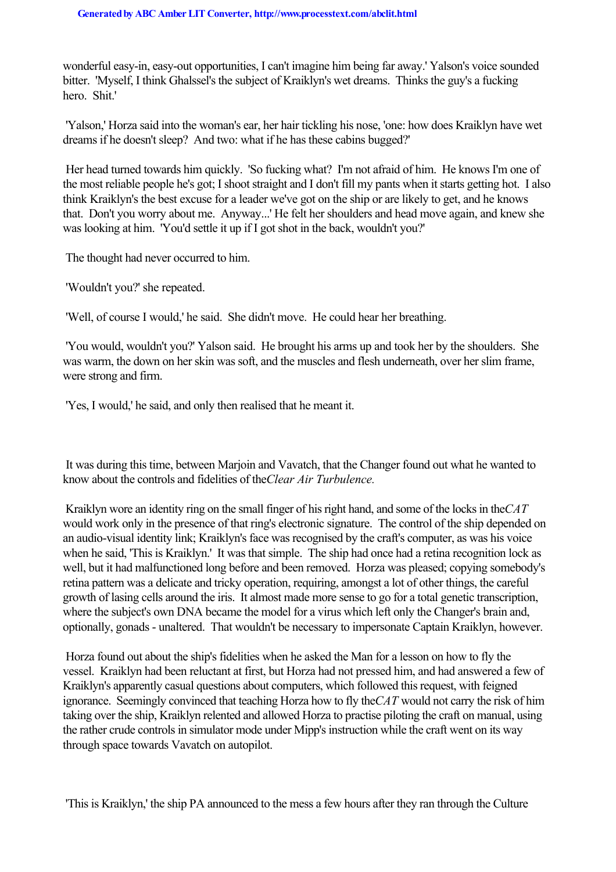## **Generated by ABC Amber LIT Converter, <http://www.processtext.com/abclit.html>**

wonderful easy-in, easy-out opportunities, I can't imagine him being far away.' Yalson's voice sounded bitter. 'Myself, I think Ghalssel's the subject of Kraiklyn's wet dreams. Thinks the guy's a fucking hero. Shit.'

 'Yalson,' Horza said into the woman's ear, her hair tickling his nose, 'one: how does Kraiklyn have wet dreams if he doesn't sleep? And two: what if he has these cabins bugged?'

 Her head turned towards him quickly. 'So fucking what? I'm not afraid of him. He knows I'm one of the most reliable people he's got; I shoot straight and I don't fill my pants when it starts getting hot. I also think Kraiklyn's the best excuse for a leader we've got on the ship or are likely to get, and he knows that. Don't you worry about me. Anyway...' He felt her shoulders and head move again, and knew she was looking at him. 'You'd settle it up if I got shot in the back, wouldn't you?'

The thought had never occurred to him.

'Wouldn't you?' she repeated.

'Well, of course I would,' he said. She didn't move. He could hear her breathing.

 'You would, wouldn't you?' Yalson said. He brought his arms up and took her by the shoulders. She was warm, the down on her skin was soft, and the muscles and flesh underneath, over her slim frame, were strong and firm.

'Yes, I would,' he said, and only then realised that he meant it.

 It was during this time, between Marjoin and Vavatch, that the Changer found out what he wanted to know about the controls and fidelities of the*Clear Air Turbulence.*

 Kraiklyn wore an identity ring on the small finger of his right hand, and some of the locks in the*CAT* would work only in the presence of that ring's electronic signature. The control of the ship depended on an audio-visual identity link; Kraiklyn's face was recognised by the craft's computer, as was his voice when he said, 'This is Kraiklyn.' It was that simple. The ship had once had a retina recognition lock as well, but it had malfunctioned long before and been removed. Horza was pleased; copying somebody's retina pattern was a delicate and tricky operation, requiring, amongst a lot of other things, the careful growth of lasing cells around the iris. It almost made more sense to go for a total genetic transcription, where the subject's own DNA became the model for a virus which left only the Changer's brain and, optionally, gonads - unaltered. That wouldn't be necessary to impersonate Captain Kraiklyn, however.

 Horza found out about the ship's fidelities when he asked the Man for a lesson on how to fly the vessel. Kraiklyn had been reluctant at first, but Horza had not pressed him, and had answered a few of Kraiklyn's apparently casual questions about computers, which followed this request, with feigned ignorance. Seemingly convinced that teaching Horza how to fly the*CAT* would not carry the risk of him taking over the ship, Kraiklyn relented and allowed Horza to practise piloting the craft on manual, using the rather crude controls in simulator mode under Mipp's instruction while the craft went on its way through space towards Vavatch on autopilot.

'This is Kraiklyn,' the ship PA announced to the mess a few hours after they ran through the Culture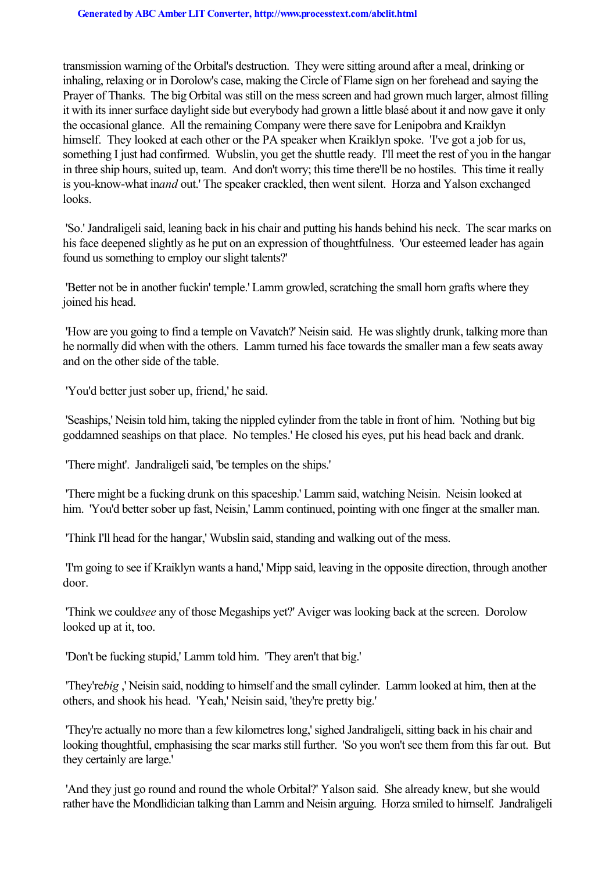transmission warning of the Orbital's destruction. They were sitting around after a meal, drinking or inhaling, relaxing or in Dorolow's case, making the Circle of Flame sign on her forehead and saying the Prayer of Thanks. The big Orbital was still on the mess screen and had grown much larger, almost filling it with its inner surface daylight side but everybody had grown a little blasé about it and now gave it only the occasional glance. All the remaining Company were there save for Lenipobra and Kraiklyn himself. They looked at each other or the PA speaker when Kraiklyn spoke. Tve got a job for us, something I just had confirmed. Wubslin, you get the shuttle ready. I'll meet the rest of you in the hangar in three ship hours, suited up, team. And don't worry; this time there'll be no hostiles. This time it really is you-know-what in*and* out.' The speaker crackled, then went silent. Horza and Yalson exchanged looks.

 'So.' Jandraligeli said, leaning back in his chair and putting his hands behind his neck. The scar marks on his face deepened slightly as he put on an expression of thoughtfulness. 'Our esteemed leader has again found us something to employ our slight talents?'

 'Better not be in another fuckin' temple.' Lamm growled, scratching the small horn grafts where they joined his head.

 'How are you going to find a temple on Vavatch?' Neisin said. He was slightly drunk, talking more than he normally did when with the others. Lamm turned his face towards the smaller man a few seats away and on the other side of the table.

'You'd better just sober up, friend,' he said.

 'Seaships,' Neisin told him, taking the nippled cylinder from the table in front of him. 'Nothing but big goddamned seaships on that place. No temples.' He closed his eyes, put his head back and drank.

'There might'. Jandraligeli said, 'be temples on the ships.'

 'There might be a fucking drunk on this spaceship.' Lamm said, watching Neisin. Neisin looked at him. 'You'd better sober up fast, Neisin,' Lamm continued, pointing with one finger at the smaller man.

'Think I'll head for the hangar,' Wubslin said, standing and walking out of the mess.

 'I'm going to see if Kraiklyn wants a hand,' Mipp said, leaving in the opposite direction, through another door.

 'Think we could*see* any of those Megaships yet?' Aviger was looking back at the screen. Dorolow looked up at it, too.

'Don't be fucking stupid,' Lamm told him. 'They aren't that big.'

 'They're*big* ,' Neisin said, nodding to himself and the small cylinder. Lamm looked at him, then at the others, and shook his head. 'Yeah,' Neisin said, 'they're pretty big.'

 'They're actually no more than a few kilometres long,' sighed Jandraligeli, sitting back in his chair and looking thoughtful, emphasising the scar marks still further. 'So you won't see them from this far out. But they certainly are large.'

 'And they just go round and round the whole Orbital?' Yalson said. She already knew, but she would rather have the Mondlidician talking than Lamm and Neisin arguing. Horza smiled to himself. Jandraligeli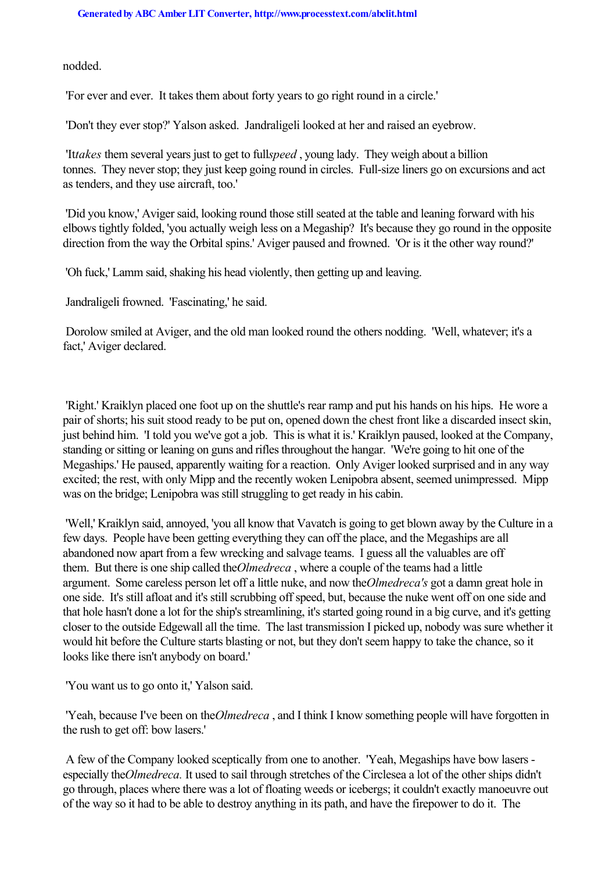nodded.

'For ever and ever. It takes them about forty years to go right round in a circle.'

'Don't they ever stop?' Yalson asked. Jandraligeli looked at her and raised an eyebrow.

 'It*takes* them several years just to get to full*speed* , young lady. They weigh about a billion tonnes. They never stop; they just keep going round in circles. Full-size liners go on excursions and act as tenders, and they use aircraft, too.'

 'Did you know,' Aviger said, looking round those still seated at the table and leaning forward with his elbows tightly folded, 'you actually weigh less on a Megaship? It's because they go round in the opposite direction from the way the Orbital spins.' Aviger paused and frowned. 'Or is it the other way round?'

'Oh fuck,' Lamm said, shaking his head violently, then getting up and leaving.

Jandraligeli frowned. 'Fascinating,' he said.

 Dorolow smiled at Aviger, and the old man looked round the others nodding. 'Well, whatever; it's a fact,' Aviger declared.

 'Right.' Kraiklyn placed one foot up on the shuttle's rear ramp and put his hands on his hips. He wore a pair of shorts; his suit stood ready to be put on, opened down the chest front like a discarded insect skin, just behind him. 'I told you we've got a job. This is what it is.' Kraiklyn paused, looked at the Company, standing or sitting or leaning on guns and rifles throughout the hangar. 'We're going to hit one of the Megaships.' He paused, apparently waiting for a reaction. Only Aviger looked surprised and in any way excited; the rest, with only Mipp and the recently woken Lenipobra absent, seemed unimpressed. Mipp was on the bridge; Lenipobra was still struggling to get ready in his cabin.

 'Well,' Kraiklyn said, annoyed, 'you all know that Vavatch is going to get blown away by the Culture in a few days. People have been getting everything they can off the place, and the Megaships are all abandoned now apart from a few wrecking and salvage teams. I guess all the valuables are off them. But there is one ship called the*Olmedreca* , where a couple of the teams had a little argument. Some careless person let off a little nuke, and now the*Olmedreca's* got a damn great hole in one side. It's still afloat and it's still scrubbing off speed, but, because the nuke went off on one side and that hole hasn't done a lot for the ship's streamlining, it's started going round in a big curve, and it's getting closer to the outside Edgewall all the time. The last transmission I picked up, nobody was sure whether it would hit before the Culture starts blasting or not, but they don't seem happy to take the chance, so it looks like there isn't anybody on board.'

'You want us to go onto it,' Yalson said.

 'Yeah, because I've been on the*Olmedreca* , and I think I know something people will have forgotten in the rush to get off: bow lasers.'

 A few of the Company looked sceptically from one to another. 'Yeah, Megaships have bow lasers especially the*Olmedreca.* It used to sail through stretches of the Circlesea a lot of the other ships didn't go through, places where there was a lot of floating weeds or icebergs; it couldn't exactly manoeuvre out of the way so it had to be able to destroy anything in its path, and have the firepower to do it. The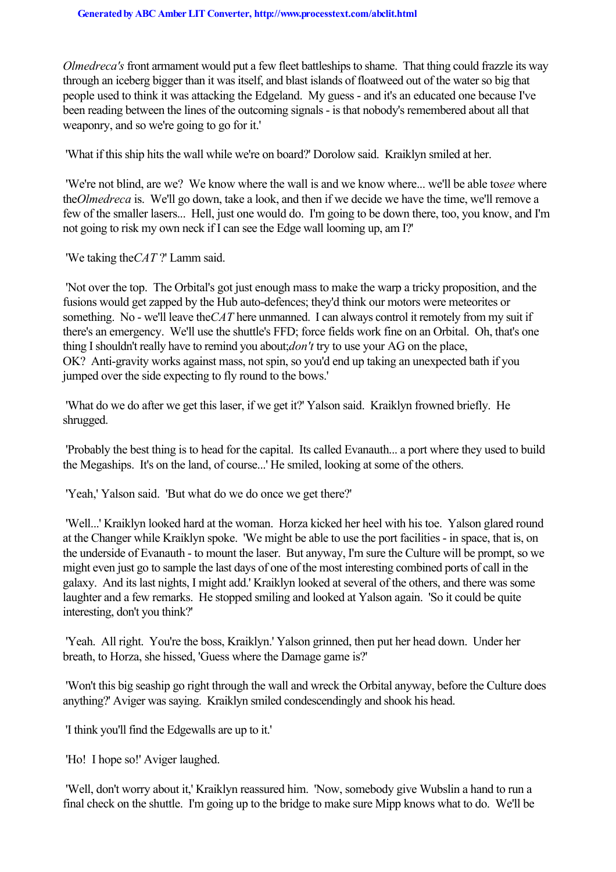*Olmedreca's* front armament would put a few fleet battleships to shame. That thing could frazzle its way through an iceberg bigger than it was itself, and blast islands of floatweed out of the water so big that people used to think it was attacking the Edgeland. My guess - and it's an educated one because I've been reading between the lines of the outcoming signals - is that nobody's remembered about all that weaponry, and so we're going to go for it.'

'What if this ship hits the wall while we're on board?' Dorolow said. Kraiklyn smiled at her.

 'We're not blind, are we? We know where the wall is and we know where... we'll be able to*see* where the*Olmedreca* is. We'll go down, take a look, and then if we decide we have the time, we'll remove a few of the smaller lasers... Hell, just one would do. I'm going to be down there, too, you know, and I'm not going to risk my own neck if I can see the Edge wall looming up, am I?'

'We taking the*CAT* ?' Lamm said.

 'Not over the top. The Orbital's got just enough mass to make the warp a tricky proposition, and the fusions would get zapped by the Hub auto-defences; they'd think our motors were meteorites or something. No - we'll leave the*CAT* here unmanned. I can always control it remotely from my suit if there's an emergency. We'll use the shuttle's FFD; force fields work fine on an Orbital. Oh, that's one thing I shouldn't really have to remind you about;*don't* try to use your AG on the place, OK? Anti-gravity works against mass, not spin, so you'd end up taking an unexpected bath if you jumped over the side expecting to fly round to the bows.'

 'What do we do after we get this laser, if we get it?' Yalson said. Kraiklyn frowned briefly. He shrugged.

 'Probably the best thing is to head for the capital. Its called Evanauth... a port where they used to build the Megaships. It's on the land, of course...' He smiled, looking at some of the others.

'Yeah,' Yalson said. 'But what do we do once we get there?'

 'Well...' Kraiklyn looked hard at the woman. Horza kicked her heel with his toe. Yalson glared round at the Changer while Kraiklyn spoke. 'We might be able to use the port facilities - in space, that is, on the underside of Evanauth - to mount the laser. But anyway, I'm sure the Culture will be prompt, so we might even just go to sample the last days of one of the most interesting combined ports of call in the galaxy. And its last nights, I might add.' Kraiklyn looked at several of the others, and there was some laughter and a few remarks. He stopped smiling and looked at Yalson again. 'So it could be quite interesting, don't you think?'

 'Yeah. All right. You're the boss, Kraiklyn.' Yalson grinned, then put her head down. Under her breath, to Horza, she hissed, 'Guess where the Damage game is?'

 'Won't this big seaship go right through the wall and wreck the Orbital anyway, before the Culture does anything?' Aviger was saying. Kraiklyn smiled condescendingly and shook his head.

'I think you'll find the Edgewalls are up to it.'

'Ho! I hope so!' Aviger laughed.

 'Well, don't worry about it,' Kraiklyn reassured him. 'Now, somebody give Wubslin a hand to run a final check on the shuttle. I'm going up to the bridge to make sure Mipp knows what to do. We'll be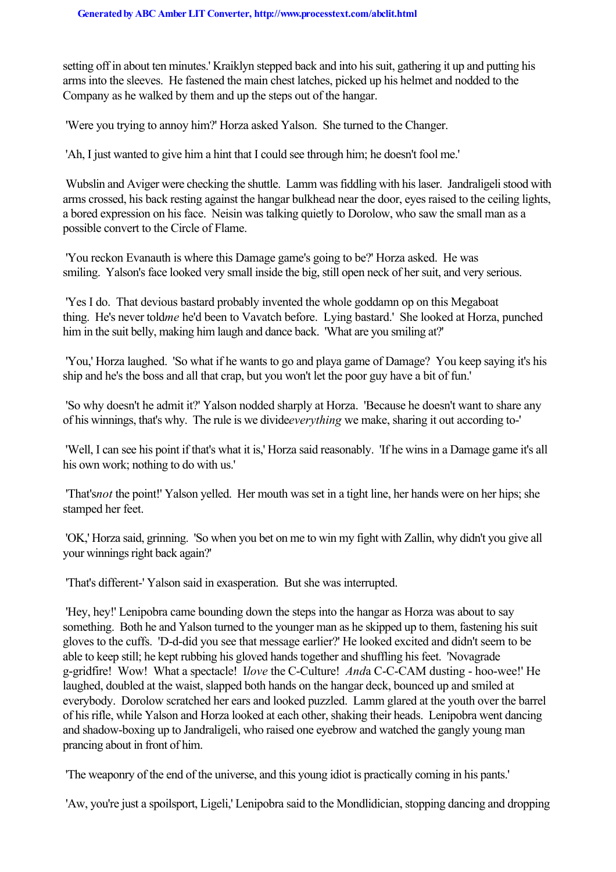setting off in about ten minutes.' Kraiklyn stepped back and into his suit, gathering it up and putting his arms into the sleeves. He fastened the main chest latches, picked up his helmet and nodded to the Company as he walked by them and up the steps out of the hangar.

'Were you trying to annoy him?' Horza asked Yalson. She turned to the Changer.

'Ah, I just wanted to give him a hint that I could see through him; he doesn't fool me.'

 Wubslin and Aviger were checking the shuttle. Lamm was fiddling with his laser. Jandraligeli stood with arms crossed, his back resting against the hangar bulkhead near the door, eyes raised to the ceiling lights, a bored expression on his face. Neisin was talking quietly to Dorolow, who saw the small man as a possible convert to the Circle of Flame.

 'You reckon Evanauth is where this Damage game's going to be?' Horza asked. He was smiling. Yalson's face looked very small inside the big, still open neck of her suit, and very serious.

 'Yes I do. That devious bastard probably invented the whole goddamn op on this Megaboat thing. He's never told*me* he'd been to Vavatch before. Lying bastard.' She looked at Horza, punched him in the suit belly, making him laugh and dance back. 'What are you smiling at?'

 'You,' Horza laughed. 'So what if he wants to go and playa game of Damage? You keep saying it's his ship and he's the boss and all that crap, but you won't let the poor guy have a bit of fun.'

 'So why doesn't he admit it?' Yalson nodded sharply at Horza. 'Because he doesn't want to share any of his winnings, that's why. The rule is we divide*everything* we make, sharing it out according to-'

 'Well, I can see his point if that's what it is,' Horza said reasonably. 'If he wins in a Damage game it's all his own work; nothing to do with us.'

 'That's*not* the point!' Yalson yelled. Her mouth was set in a tight line, her hands were on her hips; she stamped her feet.

 'OK,' Horza said, grinning. 'So when you bet on me to win my fight with Zallin, why didn't you give all your winnings right back again?'

'That's different-' Yalson said in exasperation. But she was interrupted.

 'Hey, hey!' Lenipobra came bounding down the steps into the hangar as Horza was about to say something. Both he and Yalson turned to the younger man as he skipped up to them, fastening his suit gloves to the cuffs. 'D-d-did you see that message earlier?' He looked excited and didn't seem to be able to keep still; he kept rubbing his gloved hands together and shuffling his feet. 'Novagrade g-gridfire! Wow! What a spectacle! I*love* the C-Culture! *And*a C-C-CAM dusting - hoo-wee!' He laughed, doubled at the waist, slapped both hands on the hangar deck, bounced up and smiled at everybody. Dorolow scratched her ears and looked puzzled. Lamm glared at the youth over the barrel of his rifle, while Yalson and Horza looked at each other, shaking their heads. Lenipobra went dancing and shadow-boxing up to Jandraligeli, who raised one eyebrow and watched the gangly young man prancing about in front of him.

'The weaponry of the end of the universe, and this young idiot is practically coming in his pants.'

'Aw, you're just a spoilsport, Ligeli,' Lenipobra said to the Mondlidician, stopping dancing and dropping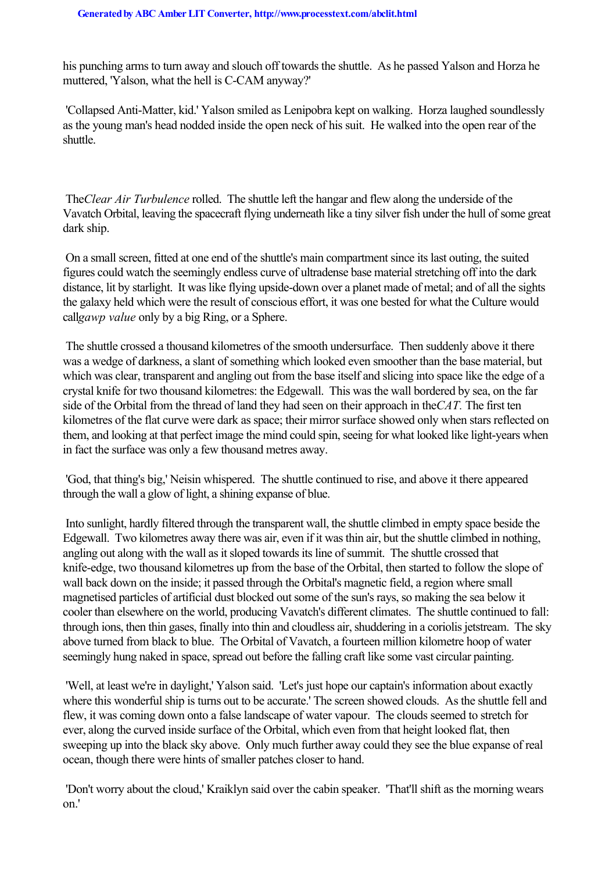his punching arms to turn away and slouch off towards the shuttle. As he passed Yalson and Horza he muttered, 'Yalson, what the hell is C-CAM anyway?'

 'Collapsed Anti-Matter, kid.' Yalson smiled as Lenipobra kept on walking. Horza laughed soundlessly as the young man's head nodded inside the open neck of his suit. He walked into the open rear of the shuttle.

 The*Clear Air Turbulence* rolled. The shuttle left the hangar and flew along the underside of the Vavatch Orbital, leaving the spacecraft flying underneath like a tiny silver fish under the hull of some great dark ship.

 On a small screen, fitted at one end of the shuttle's main compartment since its last outing, the suited figures could watch the seemingly endless curve of ultradense base material stretching off into the dark distance, lit by starlight. It was like flying upside-down over a planet made of metal; and of all the sights the galaxy held which were the result of conscious effort, it was one bested for what the Culture would call*gawp value* only by a big Ring, or a Sphere.

 The shuttle crossed a thousand kilometres of the smooth undersurface. Then suddenly above it there was a wedge of darkness, a slant of something which looked even smoother than the base material, but which was clear, transparent and angling out from the base itself and slicing into space like the edge of a crystal knife for two thousand kilometres: the Edgewall. This was the wall bordered by sea, on the far side of the Orbital from the thread of land they had seen on their approach in the*CAT.* The first ten kilometres of the flat curve were dark as space; their mirror surface showed only when stars reflected on them, and looking at that perfect image the mind could spin, seeing for what looked like light-years when in fact the surface was only a few thousand metres away.

 'God, that thing's big,' Neisin whispered. The shuttle continued to rise, and above it there appeared through the wall a glow of light, a shining expanse of blue.

 Into sunlight, hardly filtered through the transparent wall, the shuttle climbed in empty space beside the Edgewall. Two kilometres away there was air, even if it was thin air, but the shuttle climbed in nothing, angling out along with the wall as it sloped towards its line of summit. The shuttle crossed that knife-edge, two thousand kilometres up from the base of the Orbital, then started to follow the slope of wall back down on the inside; it passed through the Orbital's magnetic field, a region where small magnetised particles of artificial dust blocked out some of the sun's rays, so making the sea below it cooler than elsewhere on the world, producing Vavatch's different climates. The shuttle continued to fall: through ions, then thin gases, finally into thin and cloudless air, shuddering in a coriolis jetstream. The sky above turned from black to blue. The Orbital of Vavatch, a fourteen million kilometre hoop of water seemingly hung naked in space, spread out before the falling craft like some vast circular painting.

 'Well, at least we're in daylight,' Yalson said. 'Let's just hope our captain's information about exactly where this wonderful ship is turns out to be accurate.' The screen showed clouds. As the shuttle fell and flew, it was coming down onto a false landscape of water vapour. The clouds seemed to stretch for ever, along the curved inside surface of the Orbital, which even from that height looked flat, then sweeping up into the black sky above. Only much further away could they see the blue expanse of real ocean, though there were hints of smaller patches closer to hand.

 'Don't worry about the cloud,' Kraiklyn said over the cabin speaker. 'That'll shift as the morning wears on.'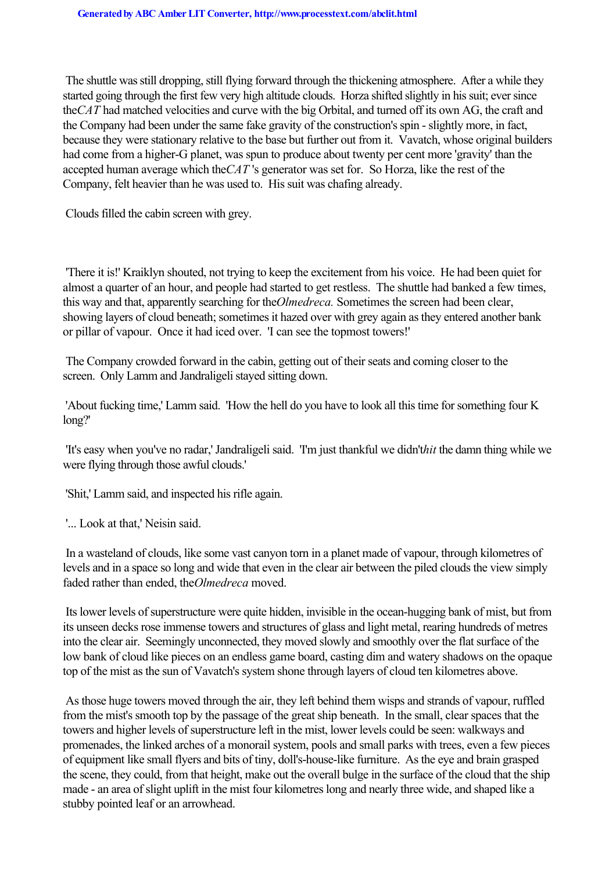The shuttle was still dropping, still flying forward through the thickening atmosphere. After a while they started going through the first few very high altitude clouds. Horza shifted slightly in his suit; ever since the*CAT* had matched velocities and curve with the big Orbital, and turned off its own AG, the craft and the Company had been under the same fake gravity of the construction's spin - slightly more, in fact, because they were stationary relative to the base but further out from it. Vavatch, whose original builders had come from a higher-G planet, was spun to produce about twenty per cent more 'gravity' than the accepted human average which the*CAT* 's generator was set for. So Horza, like the rest of the Company, felt heavier than he was used to. His suit was chafing already.

Clouds filled the cabin screen with grey.

 'There it is!' Kraiklyn shouted, not trying to keep the excitement from his voice. He had been quiet for almost a quarter of an hour, and people had started to get restless. The shuttle had banked a few times, this way and that, apparently searching for the*Olmedreca.* Sometimes the screen had been clear, showing layers of cloud beneath; sometimes it hazed over with grey again as they entered another bank or pillar of vapour. Once it had iced over. 'I can see the topmost towers!'

 The Company crowded forward in the cabin, getting out of their seats and coming closer to the screen. Only Lamm and Jandraligeli stayed sitting down.

 'About fucking time,' Lamm said. 'How the hell do you have to look all this time for something four K long?'

 'It's easy when you've no radar,' Jandraligeli said. 'I'm just thankful we didn't*hit* the damn thing while we were flying through those awful clouds.'

'Shit,' Lamm said, and inspected his rifle again.

'... Look at that,' Neisin said.

 In a wasteland of clouds, like some vast canyon torn in a planet made of vapour, through kilometres of levels and in a space so long and wide that even in the clear air between the piled clouds the view simply faded rather than ended, the*Olmedreca* moved.

 Its lower levels of superstructure were quite hidden, invisible in the ocean-hugging bank of mist, but from its unseen decks rose immense towers and structures of glass and light metal, rearing hundreds of metres into the clear air. Seemingly unconnected, they moved slowly and smoothly over the flat surface of the low bank of cloud like pieces on an endless game board, casting dim and watery shadows on the opaque top of the mist as the sun of Vavatch's system shone through layers of cloud ten kilometres above.

 As those huge towers moved through the air, they left behind them wisps and strands of vapour, ruffled from the mist's smooth top by the passage of the great ship beneath. In the small, clear spaces that the towers and higher levels of superstructure left in the mist, lower levels could be seen: walkways and promenades, the linked arches of a monorail system, pools and small parks with trees, even a few pieces of equipment like small flyers and bits of tiny, doll's-house-like furniture. As the eye and brain grasped the scene, they could, from that height, make out the overall bulge in the surface of the cloud that the ship made - an area of slight uplift in the mist four kilometres long and nearly three wide, and shaped like a stubby pointed leaf or an arrowhead.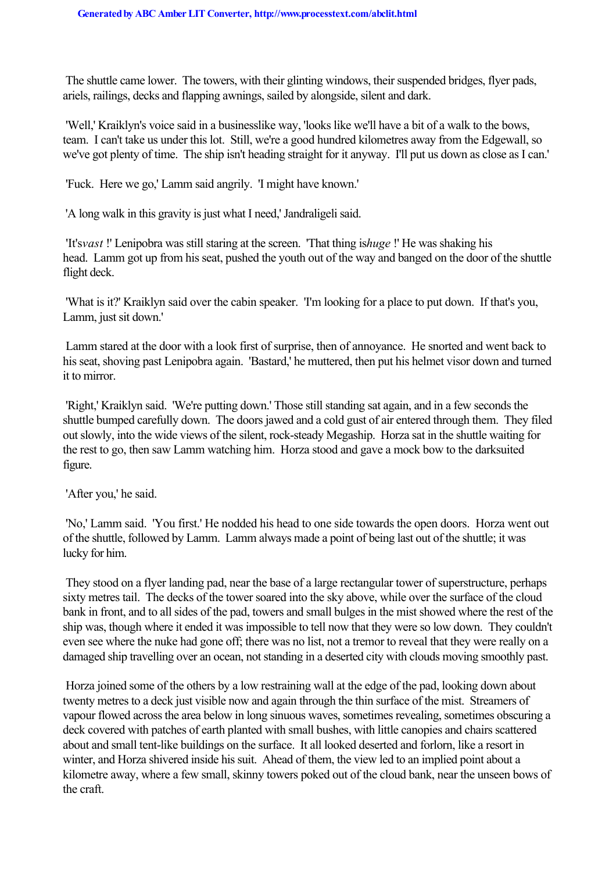The shuttle came lower. The towers, with their glinting windows, their suspended bridges, flyer pads, ariels, railings, decks and flapping awnings, sailed by alongside, silent and dark.

 'Well,' Kraiklyn's voice said in a businesslike way, 'looks like we'll have a bit of a walk to the bows, team. I can't take us under this lot. Still, we're a good hundred kilometres away from the Edgewall, so we've got plenty of time. The ship isn't heading straight for it anyway. I'll put us down as close as I can.'

'Fuck. Here we go,' Lamm said angrily. 'I might have known.'

'A long walk in this gravity is just what I need,' Jandraligeli said.

 'It's*vast* !' Lenipobra was still staring at the screen. 'That thing is*huge* !' He was shaking his head. Lamm got up from his seat, pushed the youth out of the way and banged on the door of the shuttle flight deck.

 'What is it?' Kraiklyn said over the cabin speaker. 'I'm looking for a place to put down. If that's you, Lamm, just sit down.'

 Lamm stared at the door with a look first of surprise, then of annoyance. He snorted and went back to his seat, shoving past Lenipobra again. 'Bastard,' he muttered, then put his helmet visor down and turned it to mirror.

 'Right,' Kraiklyn said. 'We're putting down.' Those still standing sat again, and in a few seconds the shuttle bumped carefully down. The doors jawed and a cold gust of air entered through them. They filed out slowly, into the wide views of the silent, rock-steady Megaship. Horza sat in the shuttle waiting for the rest to go, then saw Lamm watching him. Horza stood and gave a mock bow to the darksuited figure.

'After you,' he said.

 'No,' Lamm said. 'You first.' He nodded his head to one side towards the open doors. Horza went out of the shuttle, followed by Lamm. Lamm always made a point of being last out of the shuttle; it was lucky for him.

 They stood on a flyer landing pad, near the base of a large rectangular tower of superstructure, perhaps sixty metres tail. The decks of the tower soared into the sky above, while over the surface of the cloud bank in front, and to all sides of the pad, towers and small bulges in the mist showed where the rest of the ship was, though where it ended it was impossible to tell now that they were so low down. They couldn't even see where the nuke had gone off; there was no list, not a tremor to reveal that they were really on a damaged ship travelling over an ocean, not standing in a deserted city with clouds moving smoothly past.

 Horza joined some of the others by a low restraining wall at the edge of the pad, looking down about twenty metres to a deck just visible now and again through the thin surface of the mist. Streamers of vapour flowed across the area below in long sinuous waves, sometimes revealing, sometimes obscuring a deck covered with patches of earth planted with small bushes, with little canopies and chairs scattered about and small tent-like buildings on the surface. It all looked deserted and forlorn, like a resort in winter, and Horza shivered inside his suit. Ahead of them, the view led to an implied point about a kilometre away, where a few small, skinny towers poked out of the cloud bank, near the unseen bows of the craft.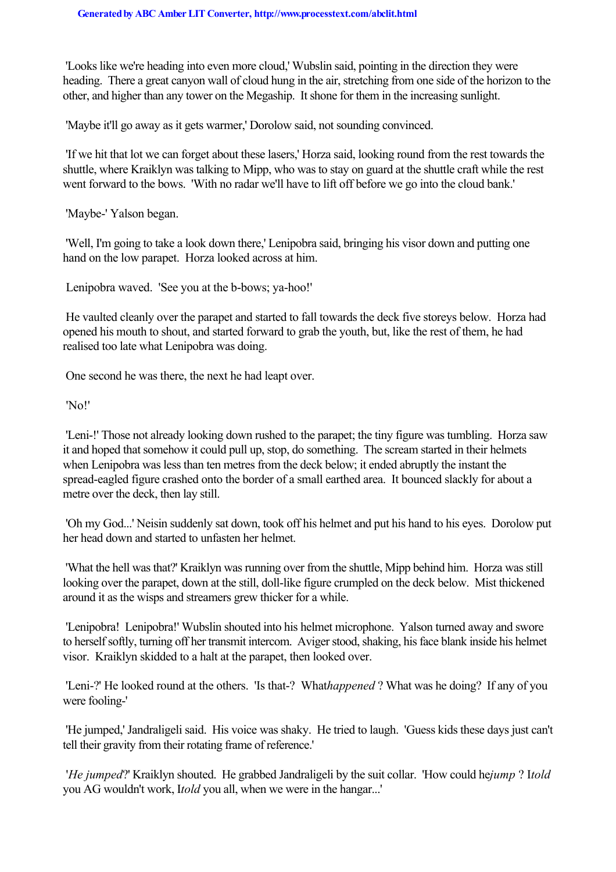'Looks like we're heading into even more cloud,' Wubslin said, pointing in the direction they were heading. There a great canyon wall of cloud hung in the air, stretching from one side of the horizon to the other, and higher than any tower on the Megaship. It shone for them in the increasing sunlight.

'Maybe it'll go away as it gets warmer,' Dorolow said, not sounding convinced.

 'If we hit that lot we can forget about these lasers,' Horza said, looking round from the rest towards the shuttle, where Kraiklyn was talking to Mipp, who was to stay on guard at the shuttle craft while the rest went forward to the bows. 'With no radar we'll have to lift off before we go into the cloud bank.'

'Maybe-' Yalson began.

 'Well, I'm going to take a look down there,' Lenipobra said, bringing his visor down and putting one hand on the low parapet. Horza looked across at him.

Lenipobra waved. 'See you at the b-bows; ya-hoo!'

 He vaulted cleanly over the parapet and started to fall towards the deck five storeys below. Horza had opened his mouth to shout, and started forward to grab the youth, but, like the rest of them, he had realised too late what Lenipobra was doing.

One second he was there, the next he had leapt over.

'No!'

 'Leni-!' Those not already looking down rushed to the parapet; the tiny figure was tumbling. Horza saw it and hoped that somehow it could pull up, stop, do something. The scream started in their helmets when Lenipobra was less than ten metres from the deck below; it ended abruptly the instant the spread-eagled figure crashed onto the border of a small earthed area. It bounced slackly for about a metre over the deck, then lay still.

 'Oh my God...' Neisin suddenly sat down, took off his helmet and put his hand to his eyes. Dorolow put her head down and started to unfasten her helmet.

 'What the hell was that?' Kraiklyn was running over from the shuttle, Mipp behind him. Horza was still looking over the parapet, down at the still, doll-like figure crumpled on the deck below. Mist thickened around it as the wisps and streamers grew thicker for a while.

 'Lenipobra! Lenipobra!' Wubslin shouted into his helmet microphone. Yalson turned away and swore to herself softly, turning off her transmit intercom. Aviger stood, shaking, his face blank inside his helmet visor. Kraiklyn skidded to a halt at the parapet, then looked over.

 'Leni-?' He looked round at the others. 'Is that-? What*happened* ? What was he doing? If any of you were fooling-'

 'He jumped,' Jandraligeli said. His voice was shaky. He tried to laugh. 'Guess kids these days just can't tell their gravity from their rotating frame of reference.'

 '*He jumped*?' Kraiklyn shouted. He grabbed Jandraligeli by the suit collar. 'How could he*jump* ? I*told* you AG wouldn't work, I*told* you all, when we were in the hangar...'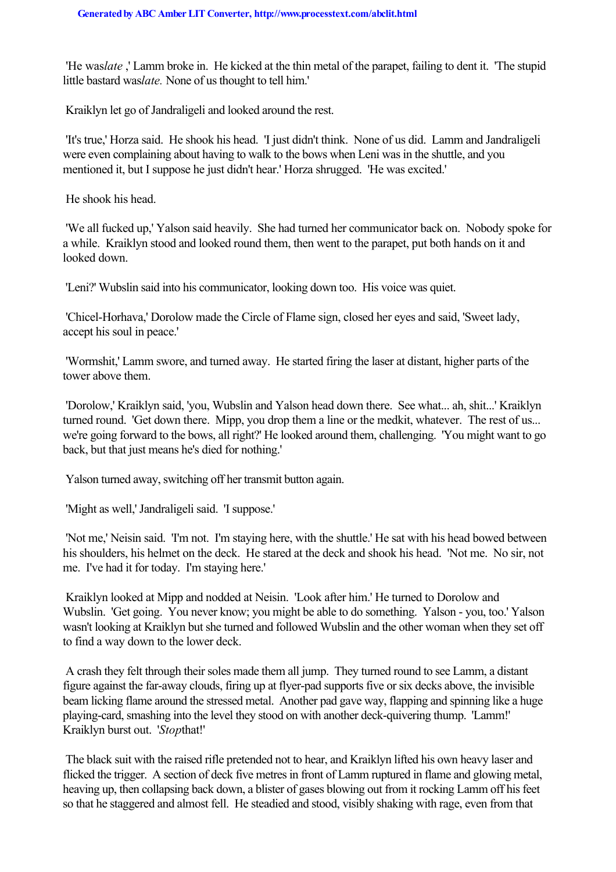'He was*late* ,' Lamm broke in. He kicked at the thin metal of the parapet, failing to dent it. 'The stupid little bastard was*late.* None of us thought to tell him.'

Kraiklyn let go of Jandraligeli and looked around the rest.

 'It's true,' Horza said. He shook his head. 'I just didn't think. None of us did. Lamm and Jandraligeli were even complaining about having to walk to the bows when Leni was in the shuttle, and you mentioned it, but I suppose he just didn't hear.' Horza shrugged. 'He was excited.'

He shook his head.

 'We all fucked up,' Yalson said heavily. She had turned her communicator back on. Nobody spoke for a while. Kraiklyn stood and looked round them, then went to the parapet, put both hands on it and looked down.

'Leni?' Wubslin said into his communicator, looking down too. His voice was quiet.

 'Chicel-Horhava,' Dorolow made the Circle of Flame sign, closed her eyes and said, 'Sweet lady, accept his soul in peace.'

 'Wormshit,' Lamm swore, and turned away. He started firing the laser at distant, higher parts of the tower above them.

 'Dorolow,' Kraiklyn said, 'you, Wubslin and Yalson head down there. See what... ah, shit...' Kraiklyn turned round. 'Get down there. Mipp, you drop them a line or the medkit, whatever. The rest of us... we're going forward to the bows, all right?' He looked around them, challenging. 'You might want to go back, but that just means he's died for nothing.'

Yalson turned away, switching off her transmit button again.

'Might as well,' Jandraligeli said. 'I suppose.'

 'Not me,' Neisin said. 'I'm not. I'm staying here, with the shuttle.' He sat with his head bowed between his shoulders, his helmet on the deck. He stared at the deck and shook his head. 'Not me. No sir, not me. I've had it for today. I'm staying here.'

 Kraiklyn looked at Mipp and nodded at Neisin. 'Look after him.' He turned to Dorolow and Wubslin. 'Get going. You never know; you might be able to do something. Yalson - you, too.' Yalson wasn't looking at Kraiklyn but she turned and followed Wubslin and the other woman when they set off to find a way down to the lower deck.

 A crash they felt through their soles made them all jump. They turned round to see Lamm, a distant figure against the far-away clouds, firing up at flyer-pad supports five or six decks above, the invisible beam licking flame around the stressed metal. Another pad gave way, flapping and spinning like a huge playing-card, smashing into the level they stood on with another deck-quivering thump. 'Lamm!' Kraiklyn burst out. '*Stop*that!'

 The black suit with the raised rifle pretended not to hear, and Kraiklyn lifted his own heavy laser and flicked the trigger. A section of deck five metres in front of Lamm ruptured in flame and glowing metal, heaving up, then collapsing back down, a blister of gases blowing out from it rocking Lamm off his feet so that he staggered and almost fell. He steadied and stood, visibly shaking with rage, even from that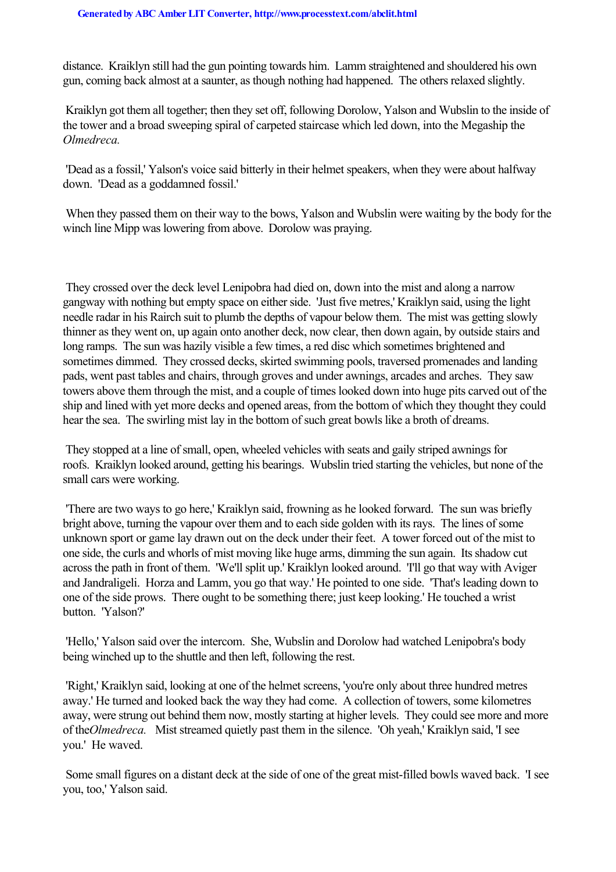distance. Kraiklyn still had the gun pointing towards him. Lamm straightened and shouldered his own gun, coming back almost at a saunter, as though nothing had happened. The others relaxed slightly.

 Kraiklyn got them all together; then they set off, following Dorolow, Yalson and Wubslin to the inside of the tower and a broad sweeping spiral of carpeted staircase which led down, into the Megaship the *Olmedreca.*

 'Dead as a fossil,' Yalson's voice said bitterly in their helmet speakers, when they were about halfway down. 'Dead as a goddamned fossil.'

 When they passed them on their way to the bows, Yalson and Wubslin were waiting by the body for the winch line Mipp was lowering from above. Dorolow was praying.

 They crossed over the deck level Lenipobra had died on, down into the mist and along a narrow gangway with nothing but empty space on either side. 'Just five metres,' Kraiklyn said, using the light needle radar in his Rairch suit to plumb the depths of vapour below them. The mist was getting slowly thinner as they went on, up again onto another deck, now clear, then down again, by outside stairs and long ramps. The sun was hazily visible a few times, a red disc which sometimes brightened and sometimes dimmed. They crossed decks, skirted swimming pools, traversed promenades and landing pads, went past tables and chairs, through groves and under awnings, arcades and arches. They saw towers above them through the mist, and a couple of times looked down into huge pits carved out of the ship and lined with yet more decks and opened areas, from the bottom of which they thought they could hear the sea. The swirling mist lay in the bottom of such great bowls like a broth of dreams.

 They stopped at a line of small, open, wheeled vehicles with seats and gaily striped awnings for roofs. Kraiklyn looked around, getting his bearings. Wubslin tried starting the vehicles, but none of the small cars were working.

 'There are two ways to go here,' Kraiklyn said, frowning as he looked forward. The sun was briefly bright above, turning the vapour over them and to each side golden with its rays. The lines of some unknown sport or game lay drawn out on the deck under their feet. A tower forced out of the mist to one side, the curls and whorls of mist moving like huge arms, dimming the sun again. Its shadow cut across the path in front of them. 'We'll split up.' Kraiklyn looked around. 'I'll go that way with Aviger and Jandraligeli. Horza and Lamm, you go that way.' He pointed to one side. 'That's leading down to one of the side prows. There ought to be something there; just keep looking.' He touched a wrist button. 'Yalson?'

 'Hello,' Yalson said over the intercom. She, Wubslin and Dorolow had watched Lenipobra's body being winched up to the shuttle and then left, following the rest.

 'Right,' Kraiklyn said, looking at one of the helmet screens, 'you're only about three hundred metres away.' He turned and looked back the way they had come. A collection of towers, some kilometres away, were strung out behind them now, mostly starting at higher levels. They could see more and more of the*Olmedreca.* Mist streamed quietly past them in the silence. 'Oh yeah,' Kraiklyn said, 'I see you.' He waved.

 Some small figures on a distant deck at the side of one of the great mist-filled bowls waved back. 'I see you, too,' Yalson said.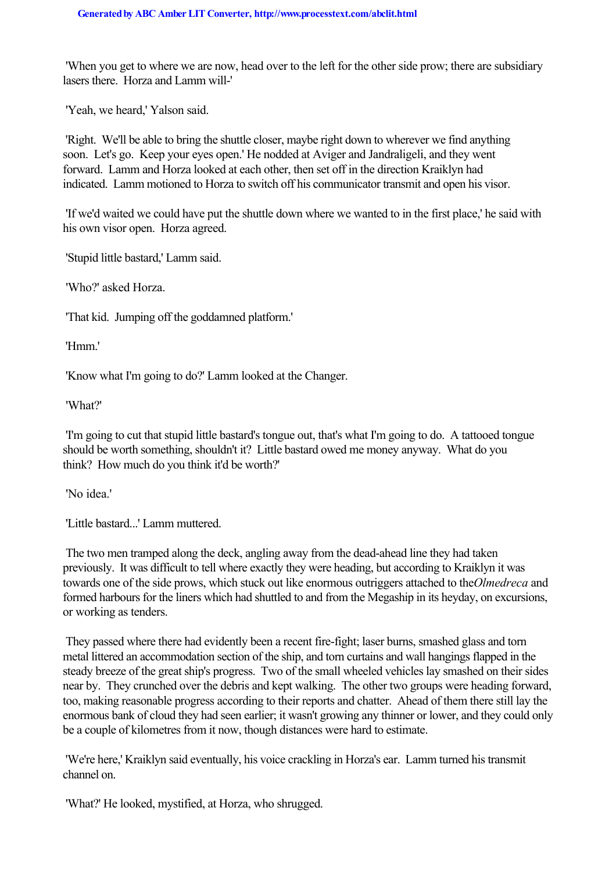'When you get to where we are now, head over to the left for the other side prow; there are subsidiary lasers there. Horza and Lamm will-'

'Yeah, we heard,' Yalson said.

 'Right. We'll be able to bring the shuttle closer, maybe right down to wherever we find anything soon. Let's go. Keep your eyes open.' He nodded at Aviger and Jandraligeli, and they went forward. Lamm and Horza looked at each other, then set off in the direction Kraiklyn had indicated. Lamm motioned to Horza to switch off his communicator transmit and open his visor.

 'If we'd waited we could have put the shuttle down where we wanted to in the first place,' he said with his own visor open. Horza agreed.

'Stupid little bastard,' Lamm said.

'Who?' asked Horza.

'That kid. Jumping off the goddamned platform.'

'Hmm.'

'Know what I'm going to do?' Lamm looked at the Changer.

'What?'

 'I'm going to cut that stupid little bastard's tongue out, that's what I'm going to do. A tattooed tongue should be worth something, shouldn't it? Little bastard owed me money anyway. What do you think? How much do you think it'd be worth?'

'No idea.'

'Little bastard...' Lamm muttered.

 The two men tramped along the deck, angling away from the dead-ahead line they had taken previously. It was difficult to tell where exactly they were heading, but according to Kraiklyn it was towards one of the side prows, which stuck out like enormous outriggers attached to the*Olmedreca* and formed harbours for the liners which had shuttled to and from the Megaship in its heyday, on excursions, or working as tenders.

 They passed where there had evidently been a recent fire-fight; laser burns, smashed glass and torn metal littered an accommodation section of the ship, and torn curtains and wall hangings flapped in the steady breeze of the great ship's progress. Two of the small wheeled vehicles lay smashed on their sides near by. They crunched over the debris and kept walking. The other two groups were heading forward, too, making reasonable progress according to their reports and chatter. Ahead of them there still lay the enormous bank of cloud they had seen earlier; it wasn't growing any thinner or lower, and they could only be a couple of kilometres from it now, though distances were hard to estimate.

 'We're here,' Kraiklyn said eventually, his voice crackling in Horza's ear. Lamm turned his transmit channel on.

'What?' He looked, mystified, at Horza, who shrugged.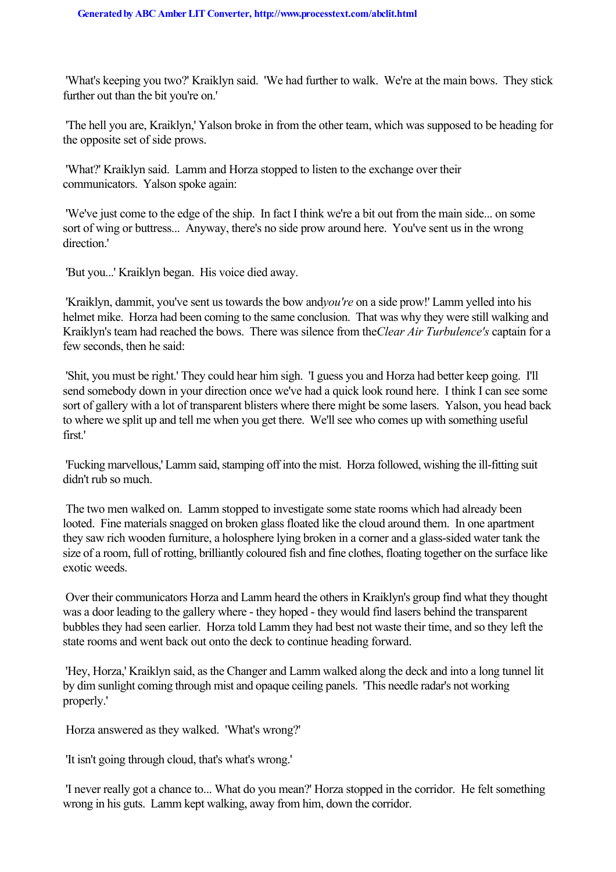'What's keeping you two?' Kraiklyn said. 'We had further to walk. We're at the main bows. They stick further out than the bit you're on.'

 'The hell you are, Kraiklyn,' Yalson broke in from the other team, which was supposed to be heading for the opposite set of side prows.

 'What?' Kraiklyn said. Lamm and Horza stopped to listen to the exchange over their communicators. Yalson spoke again:

 'We've just come to the edge of the ship. In fact I think we're a bit out from the main side... on some sort of wing or buttress... Anyway, there's no side prow around here. You've sent us in the wrong direction.'

'But you...' Kraiklyn began. His voice died away.

 'Kraiklyn, dammit, you've sent us towards the bow and*you're* on a side prow!' Lamm yelled into his helmet mike. Horza had been coming to the same conclusion. That was why they were still walking and Kraiklyn's team had reached the bows. There was silence from the*Clear Air Turbulence's* captain for a few seconds, then he said:

 'Shit, you must be right.' They could hear him sigh. 'I guess you and Horza had better keep going. I'll send somebody down in your direction once we've had a quick look round here. I think I can see some sort of gallery with a lot of transparent blisters where there might be some lasers. Yalson, you head back to where we split up and tell me when you get there. We'll see who comes up with something useful first.'

 'Fucking marvellous,' Lamm said, stamping off into the mist. Horza followed, wishing the ill-fitting suit didn't rub so much.

 The two men walked on. Lamm stopped to investigate some state rooms which had already been looted. Fine materials snagged on broken glass floated like the cloud around them. In one apartment they saw rich wooden furniture, a holosphere lying broken in a corner and a glass-sided water tank the size of a room, full of rotting, brilliantly coloured fish and fine clothes, floating together on the surface like exotic weeds.

 Over their communicators Horza and Lamm heard the others in Kraiklyn's group find what they thought was a door leading to the gallery where - they hoped - they would find lasers behind the transparent bubbles they had seen earlier. Horza told Lamm they had best not waste their time, and so they left the state rooms and went back out onto the deck to continue heading forward.

 'Hey, Horza,' Kraiklyn said, as the Changer and Lamm walked along the deck and into a long tunnel lit by dim sunlight coming through mist and opaque ceiling panels. 'This needle radar's not working properly.'

Horza answered as they walked. 'What's wrong?'

'It isn't going through cloud, that's what's wrong.'

 'I never really got a chance to... What do you mean?' Horza stopped in the corridor. He felt something wrong in his guts. Lamm kept walking, away from him, down the corridor.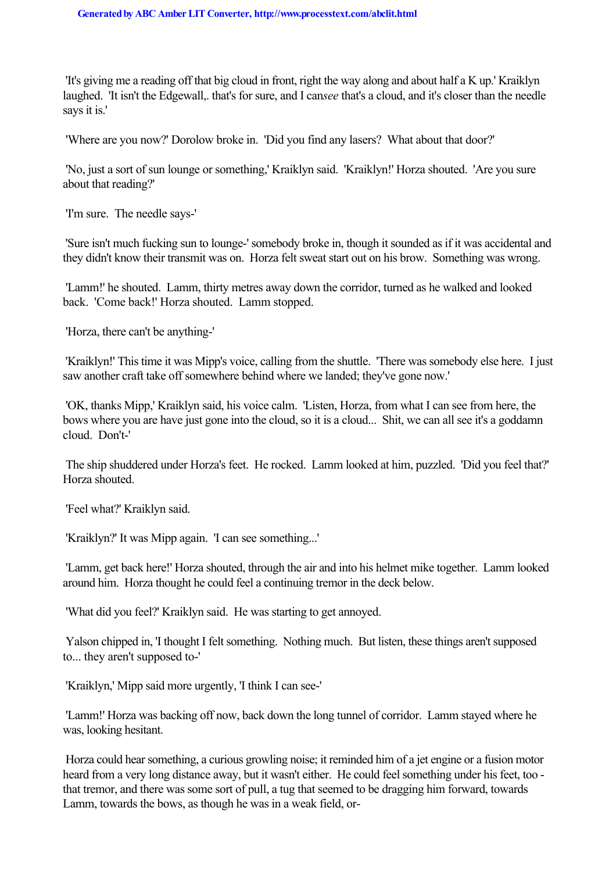## **Generated by ABC Amber LIT Converter, <http://www.processtext.com/abclit.html>**

 'It's giving me a reading off that big cloud in front, right the way along and about half a K up.' Kraiklyn laughed. 'It isn't the Edgewall,. that's for sure, and I can*see* that's a cloud, and it's closer than the needle says it is.'

'Where are you now?' Dorolow broke in. 'Did you find any lasers? What about that door?'

 'No, just a sort of sun lounge or something,' Kraiklyn said. 'Kraiklyn!' Horza shouted. 'Are you sure about that reading?'

'I'm sure. The needle says-'

 'Sure isn't much fucking sun to lounge-' somebody broke in, though it sounded as if it was accidental and they didn't know their transmit was on. Horza felt sweat start out on his brow. Something was wrong.

 'Lamm!' he shouted. Lamm, thirty metres away down the corridor, turned as he walked and looked back. 'Come back!' Horza shouted. Lamm stopped.

'Horza, there can't be anything-'

 'Kraiklyn!' This time it was Mipp's voice, calling from the shuttle. 'There was somebody else here. I just saw another craft take off somewhere behind where we landed; they've gone now.'

 'OK, thanks Mipp,' Kraiklyn said, his voice calm. 'Listen, Horza, from what I can see from here, the bows where you are have just gone into the cloud, so it is a cloud... Shit, we can all see it's a goddamn cloud. Don't-'

 The ship shuddered under Horza's feet. He rocked. Lamm looked at him, puzzled. 'Did you feel that?' Horza shouted.

'Feel what?' Kraiklyn said.

'Kraiklyn?' It was Mipp again. 'I can see something...'

 'Lamm, get back here!' Horza shouted, through the air and into his helmet mike together. Lamm looked around him. Horza thought he could feel a continuing tremor in the deck below.

'What did you feel?' Kraiklyn said. He was starting to get annoyed.

 Yalson chipped in, 'I thought I felt something. Nothing much. But listen, these things aren't supposed to... they aren't supposed to-'

'Kraiklyn,' Mipp said more urgently, 'I think I can see-'

 'Lamm!' Horza was backing off now, back down the long tunnel of corridor. Lamm stayed where he was, looking hesitant.

 Horza could hear something, a curious growling noise; it reminded him of a jet engine or a fusion motor heard from a very long distance away, but it wasn't either. He could feel something under his feet, too that tremor, and there was some sort of pull, a tug that seemed to be dragging him forward, towards Lamm, towards the bows, as though he was in a weak field, or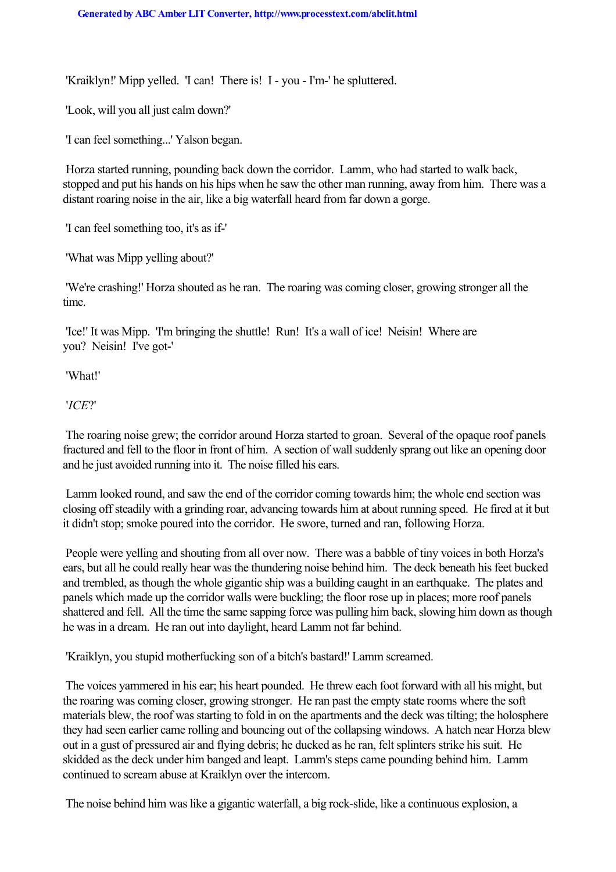'Kraiklyn!' Mipp yelled. 'I can! There is! I - you - I'm-' he spluttered.

'Look, will you all just calm down?'

'I can feel something...' Yalson began.

 Horza started running, pounding back down the corridor. Lamm, who had started to walk back, stopped and put his hands on his hips when he saw the other man running, away from him. There was a distant roaring noise in the air, like a big waterfall heard from far down a gorge.

'I can feel something too, it's as if-'

'What was Mipp yelling about?'

 'We're crashing!' Horza shouted as he ran. The roaring was coming closer, growing stronger all the time.

 'Ice!' It was Mipp. 'I'm bringing the shuttle! Run! It's a wall of ice! Neisin! Where are you? Neisin! I've got-'

'What!'

'*ICE*?'

 The roaring noise grew; the corridor around Horza started to groan. Several of the opaque roof panels fractured and fell to the floor in front of him. A section of wall suddenly sprang out like an opening door and he just avoided running into it. The noise filled his ears.

 Lamm looked round, and saw the end of the corridor coming towards him; the whole end section was closing off steadily with a grinding roar, advancing towards him at about running speed. He fired at it but it didn't stop; smoke poured into the corridor. He swore, turned and ran, following Horza.

 People were yelling and shouting from all over now. There was a babble of tiny voices in both Horza's ears, but all he could really hear was the thundering noise behind him. The deck beneath his feet bucked and trembled, as though the whole gigantic ship was a building caught in an earthquake. The plates and panels which made up the corridor walls were buckling; the floor rose up in places; more roof panels shattered and fell. All the time the same sapping force was pulling him back, slowing him down as though he was in a dream. He ran out into daylight, heard Lamm not far behind.

'Kraiklyn, you stupid motherfucking son of a bitch's bastard!' Lamm screamed.

 The voices yammered in his ear; his heart pounded. He threw each foot forward with all his might, but the roaring was coming closer, growing stronger. He ran past the empty state rooms where the soft materials blew, the roof was starting to fold in on the apartments and the deck was tilting; the holosphere they had seen earlier came rolling and bouncing out of the collapsing windows. A hatch near Horza blew out in a gust of pressured air and flying debris; he ducked as he ran, felt splinters strike his suit. He skidded as the deck under him banged and leapt. Lamm's steps came pounding behind him. Lamm continued to scream abuse at Kraiklyn over the intercom.

The noise behind him was like a gigantic waterfall, a big rock-slide, like a continuous explosion, a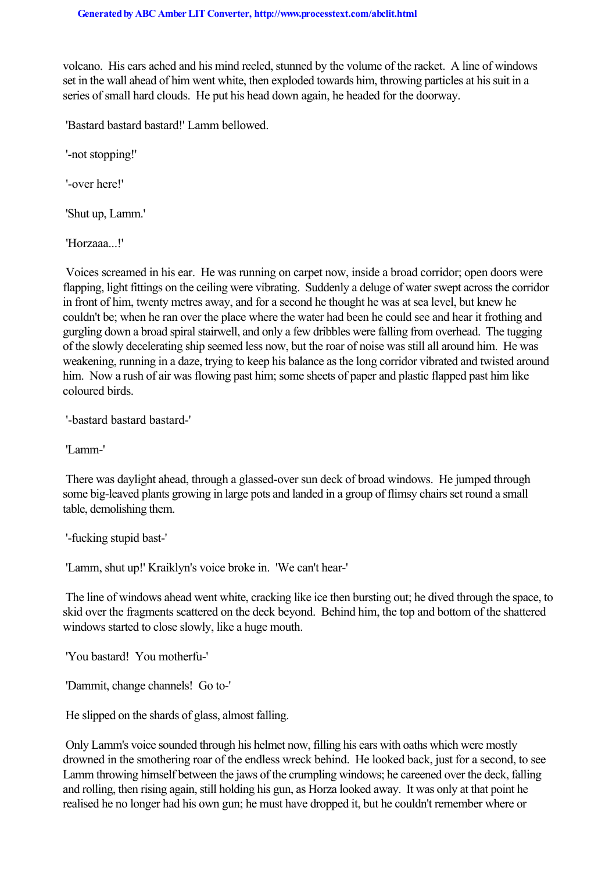volcano. His ears ached and his mind reeled, stunned by the volume of the racket. A line of windows set in the wall ahead of him went white, then exploded towards him, throwing particles at his suit in a series of small hard clouds. He put his head down again, he headed for the doorway.

'Bastard bastard bastard!' Lamm bellowed.

'-not stopping!'

'-over here!'

'Shut up, Lamm.'

'Horzaaa<sup>'</sup>

 Voices screamed in his ear. He was running on carpet now, inside a broad corridor; open doors were flapping, light fittings on the ceiling were vibrating. Suddenly a deluge of water swept across the corridor in front of him, twenty metres away, and for a second he thought he was at sea level, but knew he couldn't be; when he ran over the place where the water had been he could see and hear it frothing and gurgling down a broad spiral stairwell, and only a few dribbles were falling from overhead. The tugging of the slowly decelerating ship seemed less now, but the roar of noise was still all around him. He was weakening, running in a daze, trying to keep his balance as the long corridor vibrated and twisted around him. Now a rush of air was flowing past him; some sheets of paper and plastic flapped past him like coloured birds.

'-bastard bastard bastard-'

'Lamm-'

 There was daylight ahead, through a glassed-over sun deck of broad windows. He jumped through some big-leaved plants growing in large pots and landed in a group of flimsy chairs set round a small table, demolishing them.

'-fucking stupid bast-'

'Lamm, shut up!' Kraiklyn's voice broke in. 'We can't hear-'

 The line of windows ahead went white, cracking like ice then bursting out; he dived through the space, to skid over the fragments scattered on the deck beyond. Behind him, the top and bottom of the shattered windows started to close slowly, like a huge mouth.

'You bastard! You motherfu-'

'Dammit, change channels! Go to-'

He slipped on the shards of glass, almost falling.

 Only Lamm's voice sounded through his helmet now, filling his ears with oaths which were mostly drowned in the smothering roar of the endless wreck behind. He looked back, just for a second, to see Lamm throwing himself between the jaws of the crumpling windows; he careened over the deck, falling and rolling, then rising again, still holding his gun, as Horza looked away. It was only at that point he realised he no longer had his own gun; he must have dropped it, but he couldn't remember where or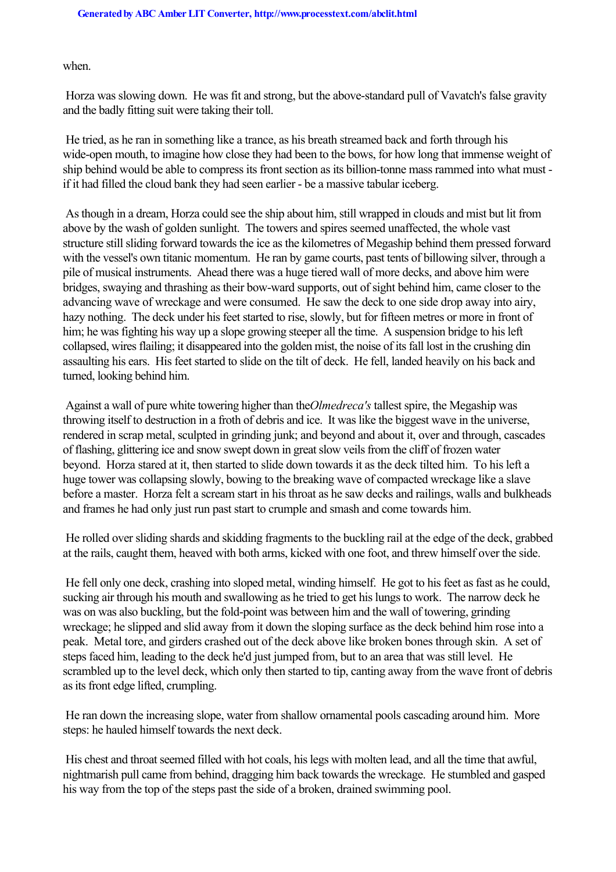when.

 Horza was slowing down. He was fit and strong, but the above-standard pull of Vavatch's false gravity and the badly fitting suit were taking their toll.

 He tried, as he ran in something like a trance, as his breath streamed back and forth through his wide-open mouth, to imagine how close they had been to the bows, for how long that immense weight of ship behind would be able to compress its front section as its billion-tonne mass rammed into what must if it had filled the cloud bank they had seen earlier - be a massive tabular iceberg.

 As though in a dream, Horza could see the ship about him, still wrapped in clouds and mist but lit from above by the wash of golden sunlight. The towers and spires seemed unaffected, the whole vast structure still sliding forward towards the ice as the kilometres of Megaship behind them pressed forward with the vessel's own titanic momentum. He ran by game courts, past tents of billowing silver, through a pile of musical instruments. Ahead there was a huge tiered wall of more decks, and above him were bridges, swaying and thrashing as their bow-ward supports, out of sight behind him, came closer to the advancing wave of wreckage and were consumed. He saw the deck to one side drop away into airy, hazy nothing. The deck under his feet started to rise, slowly, but for fifteen metres or more in front of him; he was fighting his way up a slope growing steeper all the time. A suspension bridge to his left collapsed, wires flailing; it disappeared into the golden mist, the noise of its fall lost in the crushing din assaulting his ears. His feet started to slide on the tilt of deck. He fell, landed heavily on his back and turned, looking behind him.

 Against a wall of pure white towering higher than the*Olmedreca's* tallest spire, the Megaship was throwing itself to destruction in a froth of debris and ice. It was like the biggest wave in the universe, rendered in scrap metal, sculpted in grinding junk; and beyond and about it, over and through, cascades of flashing, glittering ice and snow swept down in great slow veils from the cliff of frozen water beyond. Horza stared at it, then started to slide down towards it as the deck tilted him. To his left a huge tower was collapsing slowly, bowing to the breaking wave of compacted wreckage like a slave before a master. Horza felt a scream start in his throat as he saw decks and railings, walls and bulkheads and frames he had only just run past start to crumple and smash and come towards him.

 He rolled over sliding shards and skidding fragments to the buckling rail at the edge of the deck, grabbed at the rails, caught them, heaved with both arms, kicked with one foot, and threw himself over the side.

 He fell only one deck, crashing into sloped metal, winding himself. He got to his feet as fast as he could, sucking air through his mouth and swallowing as he tried to get his lungs to work. The narrow deck he was on was also buckling, but the fold-point was between him and the wall of towering, grinding wreckage; he slipped and slid away from it down the sloping surface as the deck behind him rose into a peak. Metal tore, and girders crashed out of the deck above like broken bones through skin. A set of steps faced him, leading to the deck he'd just jumped from, but to an area that was still level. He scrambled up to the level deck, which only then started to tip, canting away from the wave front of debris as its front edge lifted, crumpling.

 He ran down the increasing slope, water from shallow ornamental pools cascading around him. More steps: he hauled himself towards the next deck.

 His chest and throat seemed filled with hot coals, his legs with molten lead, and all the time that awful, nightmarish pull came from behind, dragging him back towards the wreckage. He stumbled and gasped his way from the top of the steps past the side of a broken, drained swimming pool.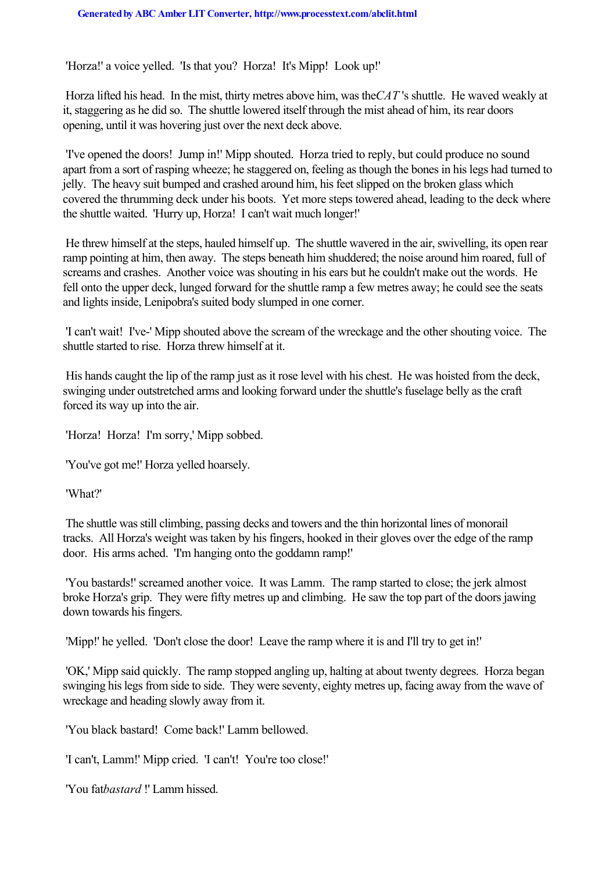'Horza!' a voice yelled. 'Is that you? Horza! It's Mipp! Look up!'

 Horza lifted his head. In the mist, thirty metres above him, was the*CAT* 's shuttle. He waved weakly at it, staggering as he did so. The shuttle lowered itself through the mist ahead of him, its rear doors opening, until it was hovering just over the next deck above.

 'I've opened the doors! Jump in!' Mipp shouted. Horza tried to reply, but could produce no sound apart from a sort of rasping wheeze; he staggered on, feeling as though the bones in his legs had turned to jelly. The heavy suit bumped and crashed around him, his feet slipped on the broken glass which covered the thrumming deck under his boots. Yet more steps towered ahead, leading to the deck where the shuttle waited. 'Hurry up, Horza! I can't wait much longer!'

 He threw himself at the steps, hauled himself up. The shuttle wavered in the air, swivelling, its open rear ramp pointing at him, then away. The steps beneath him shuddered; the noise around him roared, full of screams and crashes. Another voice was shouting in his ears but he couldn't make out the words. He fell onto the upper deck, lunged forward for the shuttle ramp a few metres away; he could see the seats and lights inside, Lenipobra's suited body slumped in one corner.

 'I can't wait! I've-' Mipp shouted above the scream of the wreckage and the other shouting voice. The shuttle started to rise. Horza threw himself at it.

His hands caught the lip of the ramp just as it rose level with his chest. He was hoisted from the deck, swinging under outstretched arms and looking forward under the shuttle's fuselage belly as the craft forced its way up into the air.

'Horza! Horza! I'm sorry,' Mipp sobbed.

'You've got me!' Horza yelled hoarsely.

'What?'

 The shuttle was still climbing, passing decks and towers and the thin horizontal lines of monorail tracks. All Horza's weight was taken by his fingers, hooked in their gloves over the edge of the ramp door. His arms ached. 'I'm hanging onto the goddamn ramp!'

 'You bastards!' screamed another voice. It was Lamm. The ramp started to close; the jerk almost broke Horza's grip. They were fifty metres up and climbing. He saw the top part of the doors jawing down towards his fingers.

'Mipp!' he yelled. 'Don't close the door! Leave the ramp where it is and I'll try to get in!'

 'OK,' Mipp said quickly. The ramp stopped angling up, halting at about twenty degrees. Horza began swinging his legs from side to side. They were seventy, eighty metres up, facing away from the wave of wreckage and heading slowly away from it.

'You black bastard! Come back!' Lamm bellowed.

'I can't, Lamm!' Mipp cried. 'I can't! You're too close!'

'You fat*bastard* !' Lamm hissed.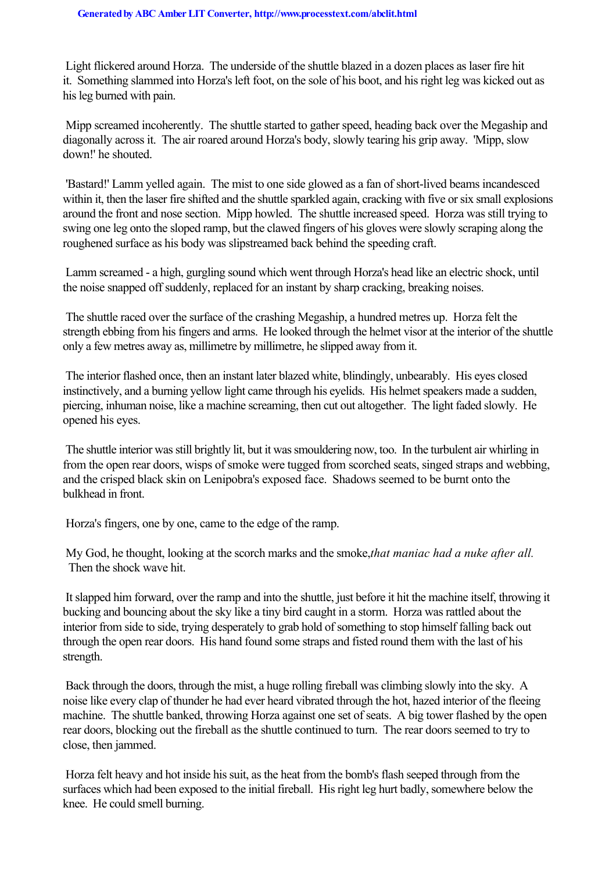Light flickered around Horza. The underside of the shuttle blazed in a dozen places as laser fire hit it. Something slammed into Horza's left foot, on the sole of his boot, and his right leg was kicked out as his leg burned with pain.

 Mipp screamed incoherently. The shuttle started to gather speed, heading back over the Megaship and diagonally across it. The air roared around Horza's body, slowly tearing his grip away. 'Mipp, slow down!' he shouted.

 'Bastard!' Lamm yelled again. The mist to one side glowed as a fan of short-lived beams incandesced within it, then the laser fire shifted and the shuttle sparkled again, cracking with five or six small explosions around the front and nose section. Mipp howled. The shuttle increased speed. Horza was still trying to swing one leg onto the sloped ramp, but the clawed fingers of his gloves were slowly scraping along the roughened surface as his body was slipstreamed back behind the speeding craft.

 Lamm screamed - a high, gurgling sound which went through Horza's head like an electric shock, until the noise snapped off suddenly, replaced for an instant by sharp cracking, breaking noises.

 The shuttle raced over the surface of the crashing Megaship, a hundred metres up. Horza felt the strength ebbing from his fingers and arms. He looked through the helmet visor at the interior of the shuttle only a few metres away as, millimetre by millimetre, he slipped away from it.

The interior flashed once, then an instant later blazed white, blindingly, unbearably. His eyes closed instinctively, and a burning yellow light came through his eyelids. His helmet speakers made a sudden, piercing, inhuman noise, like a machine screaming, then cut out altogether. The light faded slowly. He opened his eyes.

 The shuttle interior was still brightly lit, but it was smouldering now, too. In the turbulent air whirling in from the open rear doors, wisps of smoke were tugged from scorched seats, singed straps and webbing, and the crisped black skin on Lenipobra's exposed face. Shadows seemed to be burnt onto the bulkhead in front.

Horza's fingers, one by one, came to the edge of the ramp.

 My God, he thought, looking at the scorch marks and the smoke,*that maniac had a nuke after all.* Then the shock wave hit.

 It slapped him forward, over the ramp and into the shuttle, just before it hit the machine itself, throwing it bucking and bouncing about the sky like a tiny bird caught in a storm. Horza was rattled about the interior from side to side, trying desperately to grab hold of something to stop himself falling back out through the open rear doors. His hand found some straps and fisted round them with the last of his strength.

 Back through the doors, through the mist, a huge rolling fireball was climbing slowly into the sky. A noise like every clap of thunder he had ever heard vibrated through the hot, hazed interior of the fleeing machine. The shuttle banked, throwing Horza against one set of seats. A big tower flashed by the open rear doors, blocking out the fireball as the shuttle continued to turn. The rear doors seemed to try to close, then jammed.

 Horza felt heavy and hot inside his suit, as the heat from the bomb's flash seeped through from the surfaces which had been exposed to the initial fireball. His right leg hurt badly, somewhere below the knee. He could smell burning.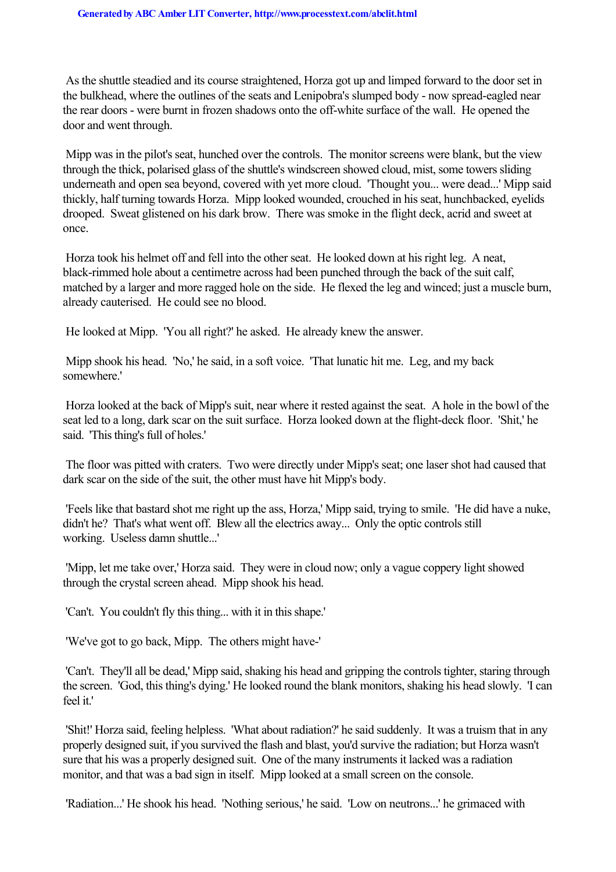As the shuttle steadied and its course straightened, Horza got up and limped forward to the door set in the bulkhead, where the outlines of the seats and Lenipobra's slumped body - now spread-eagled near the rear doors - were burnt in frozen shadows onto the off-white surface of the wall. He opened the door and went through.

 Mipp was in the pilot's seat, hunched over the controls. The monitor screens were blank, but the view through the thick, polarised glass of the shuttle's windscreen showed cloud, mist, some towers sliding underneath and open sea beyond, covered with yet more cloud. 'Thought you... were dead...' Mipp said thickly, half turning towards Horza. Mipp looked wounded, crouched in his seat, hunchbacked, eyelids drooped. Sweat glistened on his dark brow. There was smoke in the flight deck, acrid and sweet at once.

 Horza took his helmet off and fell into the other seat. He looked down at his right leg. A neat, black-rimmed hole about a centimetre across had been punched through the back of the suit calf, matched by a larger and more ragged hole on the side. He flexed the leg and winced; just a muscle burn, already cauterised. He could see no blood.

He looked at Mipp. 'You all right?' he asked. He already knew the answer.

 Mipp shook his head. 'No,' he said, in a soft voice. 'That lunatic hit me. Leg, and my back somewhere.'

 Horza looked at the back of Mipp's suit, near where it rested against the seat. A hole in the bowl of the seat led to a long, dark scar on the suit surface. Horza looked down at the flight-deck floor. 'Shit,' he said. 'This thing's full of holes.'

 The floor was pitted with craters. Two were directly under Mipp's seat; one laser shot had caused that dark scar on the side of the suit, the other must have hit Mipp's body.

 'Feels like that bastard shot me right up the ass, Horza,' Mipp said, trying to smile. 'He did have a nuke, didn't he? That's what went off. Blew all the electrics away... Only the optic controls still working. Useless damn shuttle...'

 'Mipp, let me take over,' Horza said. They were in cloud now; only a vague coppery light showed through the crystal screen ahead. Mipp shook his head.

'Can't. You couldn't fly this thing... with it in this shape.'

'We've got to go back, Mipp. The others might have-'

 'Can't. They'll all be dead,' Mipp said, shaking his head and gripping the controls tighter, staring through the screen. 'God, this thing's dying.' He looked round the blank monitors, shaking his head slowly. 'I can feel it.'

 'Shit!' Horza said, feeling helpless. 'What about radiation?' he said suddenly. It was a truism that in any properly designed suit, if you survived the flash and blast, you'd survive the radiation; but Horza wasn't sure that his was a properly designed suit. One of the many instruments it lacked was a radiation monitor, and that was a bad sign in itself. Mipp looked at a small screen on the console.

'Radiation...' He shook his head. 'Nothing serious,' he said. 'Low on neutrons...' he grimaced with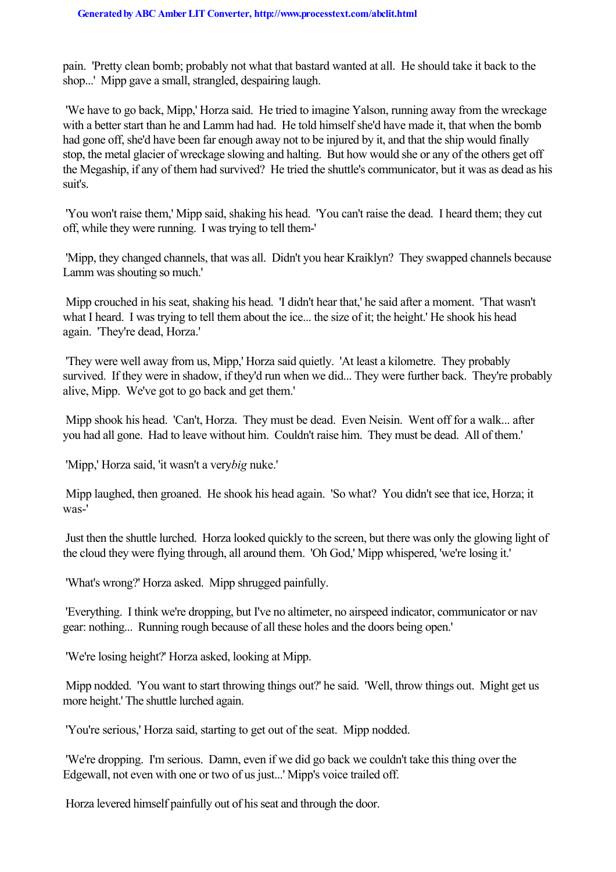pain. 'Pretty clean bomb; probably not what that bastard wanted at all. He should take it back to the shop...' Mipp gave a small, strangled, despairing laugh.

 'We have to go back, Mipp,' Horza said. He tried to imagine Yalson, running away from the wreckage with a better start than he and Lamm had had. He told himself she'd have made it, that when the bomb had gone off, she'd have been far enough away not to be injured by it, and that the ship would finally stop, the metal glacier of wreckage slowing and halting. But how would she or any of the others get off the Megaship, if any of them had survived? He tried the shuttle's communicator, but it was as dead as his suit's.

 'You won't raise them,' Mipp said, shaking his head. 'You can't raise the dead. I heard them; they cut off, while they were running. I was trying to tell them-'

 'Mipp, they changed channels, that was all. Didn't you hear Kraiklyn? They swapped channels because Lamm was shouting so much.'

 Mipp crouched in his seat, shaking his head. 'I didn't hear that,' he said after a moment. 'That wasn't what I heard. I was trying to tell them about the ice... the size of it; the height.' He shook his head again. 'They're dead, Horza.'

 'They were well away from us, Mipp,' Horza said quietly. 'At least a kilometre. They probably survived. If they were in shadow, if they'd run when we did... They were further back. They're probably alive, Mipp. We've got to go back and get them.'

 Mipp shook his head. 'Can't, Horza. They must be dead. Even Neisin. Went off for a walk... after you had all gone. Had to leave without him. Couldn't raise him. They must be dead. All of them.'

'Mipp,' Horza said, 'it wasn't a very*big* nuke.'

 Mipp laughed, then groaned. He shook his head again. 'So what? You didn't see that ice, Horza; it was-'

 Just then the shuttle lurched. Horza looked quickly to the screen, but there was only the glowing light of the cloud they were flying through, all around them. 'Oh God,' Mipp whispered, 'we're losing it.'

'What's wrong?' Horza asked. Mipp shrugged painfully.

 'Everything. I think we're dropping, but I've no altimeter, no airspeed indicator, communicator or nav gear: nothing... Running rough because of all these holes and the doors being open.'

'We're losing height?' Horza asked, looking at Mipp.

 Mipp nodded. 'You want to start throwing things out?' he said. 'Well, throw things out. Might get us more height.' The shuttle lurched again.

'You're serious,' Horza said, starting to get out of the seat. Mipp nodded.

 'We're dropping. I'm serious. Damn, even if we did go back we couldn't take this thing over the Edgewall, not even with one or two of us just...' Mipp's voice trailed off.

Horza levered himself painfully out of his seat and through the door.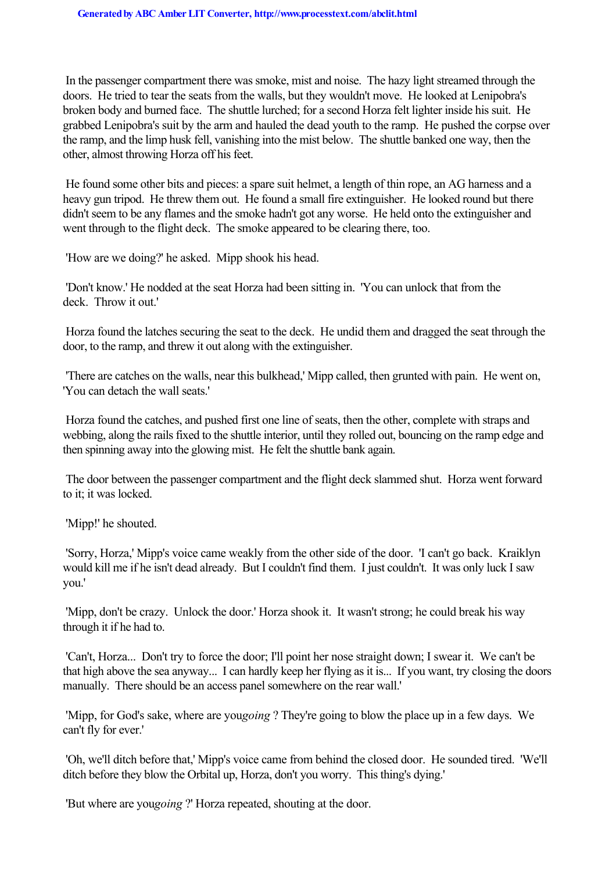In the passenger compartment there was smoke, mist and noise. The hazy light streamed through the doors. He tried to tear the seats from the walls, but they wouldn't move. He looked at Lenipobra's broken body and burned face. The shuttle lurched; for a second Horza felt lighter inside his suit. He grabbed Lenipobra's suit by the arm and hauled the dead youth to the ramp. He pushed the corpse over the ramp, and the limp husk fell, vanishing into the mist below. The shuttle banked one way, then the other, almost throwing Horza off his feet.

 He found some other bits and pieces: a spare suit helmet, a length of thin rope, an AG harness and a heavy gun tripod. He threw them out. He found a small fire extinguisher. He looked round but there didn't seem to be any flames and the smoke hadn't got any worse. He held onto the extinguisher and went through to the flight deck. The smoke appeared to be clearing there, too.

'How are we doing?' he asked. Mipp shook his head.

 'Don't know.' He nodded at the seat Horza had been sitting in. 'You can unlock that from the deck. Throw it out.'

 Horza found the latches securing the seat to the deck. He undid them and dragged the seat through the door, to the ramp, and threw it out along with the extinguisher.

 'There are catches on the walls, near this bulkhead,' Mipp called, then grunted with pain. He went on, 'You can detach the wall seats.'

 Horza found the catches, and pushed first one line of seats, then the other, complete with straps and webbing, along the rails fixed to the shuttle interior, until they rolled out, bouncing on the ramp edge and then spinning away into the glowing mist. He felt the shuttle bank again.

 The door between the passenger compartment and the flight deck slammed shut. Horza went forward to it: it was locked.

'Mipp!' he shouted.

 'Sorry, Horza,' Mipp's voice came weakly from the other side of the door. 'I can't go back. Kraiklyn would kill me if he isn't dead already. But I couldn't find them. I just couldn't. It was only luck I saw you.'

 'Mipp, don't be crazy. Unlock the door.' Horza shook it. It wasn't strong; he could break his way through it if he had to.

 'Can't, Horza... Don't try to force the door; I'll point her nose straight down; I swear it. We can't be that high above the sea anyway... I can hardly keep her flying as it is... If you want, try closing the doors manually. There should be an access panel somewhere on the rear wall.'

 'Mipp, for God's sake, where are you*going* ? They're going to blow the place up in a few days. We can't fly for ever.'

 'Oh, we'll ditch before that,' Mipp's voice came from behind the closed door. He sounded tired. 'We'll ditch before they blow the Orbital up, Horza, don't you worry. This thing's dying.'

'But where are you*going* ?' Horza repeated, shouting at the door.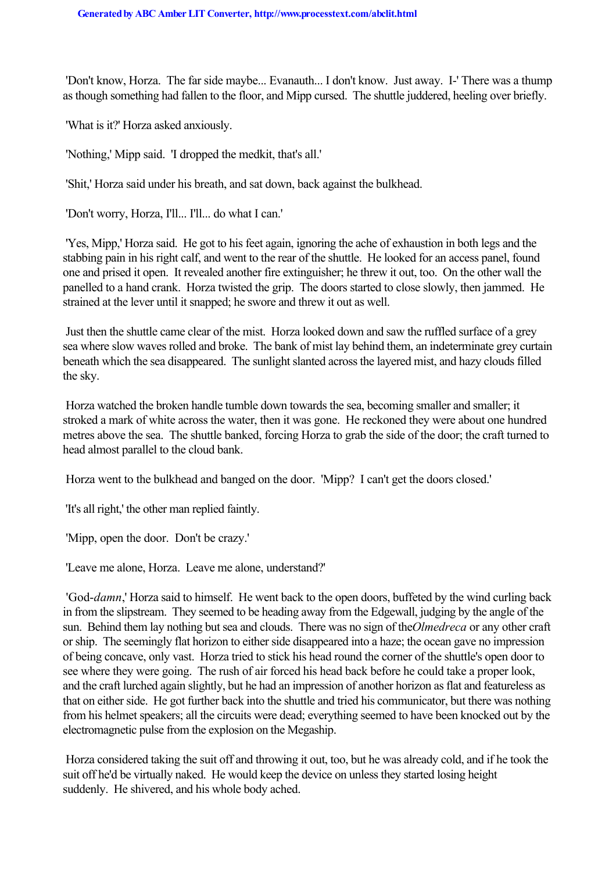'Don't know, Horza. The far side maybe... Evanauth... I don't know. Just away. I-' There was a thump as though something had fallen to the floor, and Mipp cursed. The shuttle juddered, heeling over briefly.

'What is it?' Horza asked anxiously.

'Nothing,' Mipp said. 'I dropped the medkit, that's all.'

'Shit,' Horza said under his breath, and sat down, back against the bulkhead.

'Don't worry, Horza, I'll... I'll... do what I can.'

 'Yes, Mipp,' Horza said. He got to his feet again, ignoring the ache of exhaustion in both legs and the stabbing pain in his right calf, and went to the rear of the shuttle. He looked for an access panel, found one and prised it open. It revealed another fire extinguisher; he threw it out, too. On the other wall the panelled to a hand crank. Horza twisted the grip. The doors started to close slowly, then jammed. He strained at the lever until it snapped; he swore and threw it out as well.

 Just then the shuttle came clear of the mist. Horza looked down and saw the ruffled surface of a grey sea where slow waves rolled and broke. The bank of mist lay behind them, an indeterminate grey curtain beneath which the sea disappeared. The sunlight slanted across the layered mist, and hazy clouds filled the sky.

Horza watched the broken handle tumble down towards the sea, becoming smaller and smaller; it stroked a mark of white across the water, then it was gone. He reckoned they were about one hundred metres above the sea. The shuttle banked, forcing Horza to grab the side of the door; the craft turned to head almost parallel to the cloud bank.

Horza went to the bulkhead and banged on the door. 'Mipp? I can't get the doors closed.'

'It's all right,' the other man replied faintly.

'Mipp, open the door. Don't be crazy.'

'Leave me alone, Horza. Leave me alone, understand?'

 'God-*damn*,' Horza said to himself. He went back to the open doors, buffeted by the wind curling back in from the slipstream. They seemed to be heading away from the Edgewall, judging by the angle of the sun. Behind them lay nothing but sea and clouds. There was no sign of the*Olmedreca* or any other craft or ship. The seemingly flat horizon to either side disappeared into a haze; the ocean gave no impression of being concave, only vast. Horza tried to stick his head round the corner of the shuttle's open door to see where they were going. The rush of air forced his head back before he could take a proper look, and the craft lurched again slightly, but he had an impression of another horizon as flat and featureless as that on either side. He got further back into the shuttle and tried his communicator, but there was nothing from his helmet speakers; all the circuits were dead; everything seemed to have been knocked out by the electromagnetic pulse from the explosion on the Megaship.

 Horza considered taking the suit off and throwing it out, too, but he was already cold, and if he took the suit off he'd be virtually naked. He would keep the device on unless they started losing height suddenly. He shivered, and his whole body ached.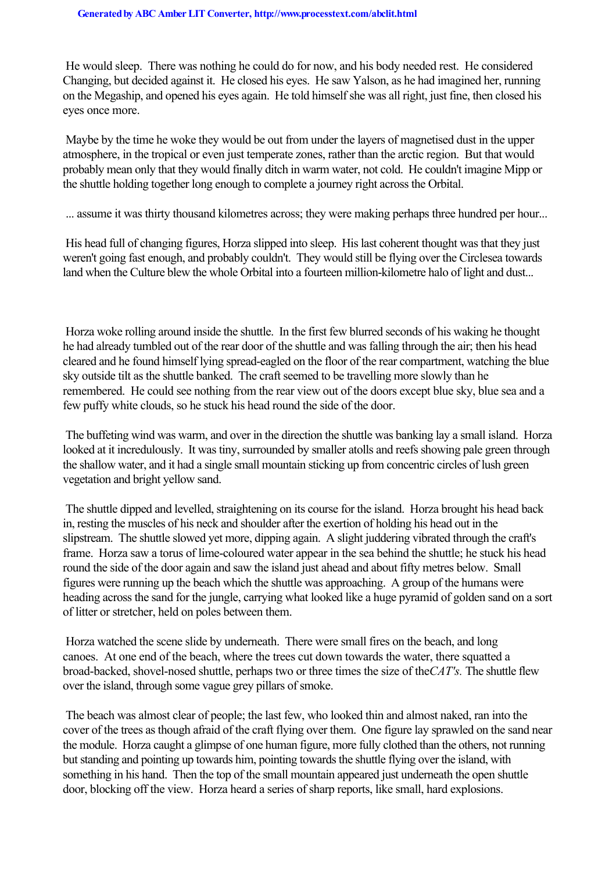He would sleep. There was nothing he could do for now, and his body needed rest. He considered Changing, but decided against it. He closed his eyes. He saw Yalson, as he had imagined her, running on the Megaship, and opened his eyes again. He told himself she was all right, just fine, then closed his eyes once more.

 Maybe by the time he woke they would be out from under the layers of magnetised dust in the upper atmosphere, in the tropical or even just temperate zones, rather than the arctic region. But that would probably mean only that they would finally ditch in warm water, not cold. He couldn't imagine Mipp or the shuttle holding together long enough to complete a journey right across the Orbital.

... assume it was thirty thousand kilometres across; they were making perhaps three hundred per hour...

 His head full of changing figures, Horza slipped into sleep. His last coherent thought was that they just weren't going fast enough, and probably couldn't. They would still be flying over the Circlesea towards land when the Culture blew the whole Orbital into a fourteen million-kilometre halo of light and dust...

 Horza woke rolling around inside the shuttle. In the first few blurred seconds of his waking he thought he had already tumbled out of the rear door of the shuttle and was falling through the air; then his head cleared and he found himself lying spread-eagled on the floor of the rear compartment, watching the blue sky outside tilt as the shuttle banked. The craft seemed to be travelling more slowly than he remembered. He could see nothing from the rear view out of the doors except blue sky, blue sea and a few puffy white clouds, so he stuck his head round the side of the door.

 The buffeting wind was warm, and over in the direction the shuttle was banking lay a small island. Horza looked at it incredulously. It was tiny, surrounded by smaller atolls and reefs showing pale green through the shallow water, and it had a single small mountain sticking up from concentric circles of lush green vegetation and bright yellow sand.

 The shuttle dipped and levelled, straightening on its course for the island. Horza brought his head back in, resting the muscles of his neck and shoulder after the exertion of holding his head out in the slipstream. The shuttle slowed yet more, dipping again. A slight juddering vibrated through the craft's frame. Horza saw a torus of lime-coloured water appear in the sea behind the shuttle; he stuck his head round the side of the door again and saw the island just ahead and about fifty metres below. Small figures were running up the beach which the shuttle was approaching. A group of the humans were heading across the sand for the jungle, carrying what looked like a huge pyramid of golden sand on a sort of litter or stretcher, held on poles between them.

 Horza watched the scene slide by underneath. There were small fires on the beach, and long canoes. At one end of the beach, where the trees cut down towards the water, there squatted a broad-backed, shovel-nosed shuttle, perhaps two or three times the size of the*CAT's.* The shuttle flew over the island, through some vague grey pillars of smoke.

 The beach was almost clear of people; the last few, who looked thin and almost naked, ran into the cover of the trees as though afraid of the craft flying over them. One figure lay sprawled on the sand near the module. Horza caught a glimpse of one human figure, more fully clothed than the others, not running but standing and pointing up towards him, pointing towards the shuttle flying over the island, with something in his hand. Then the top of the small mountain appeared just underneath the open shuttle door, blocking off the view. Horza heard a series of sharp reports, like small, hard explosions.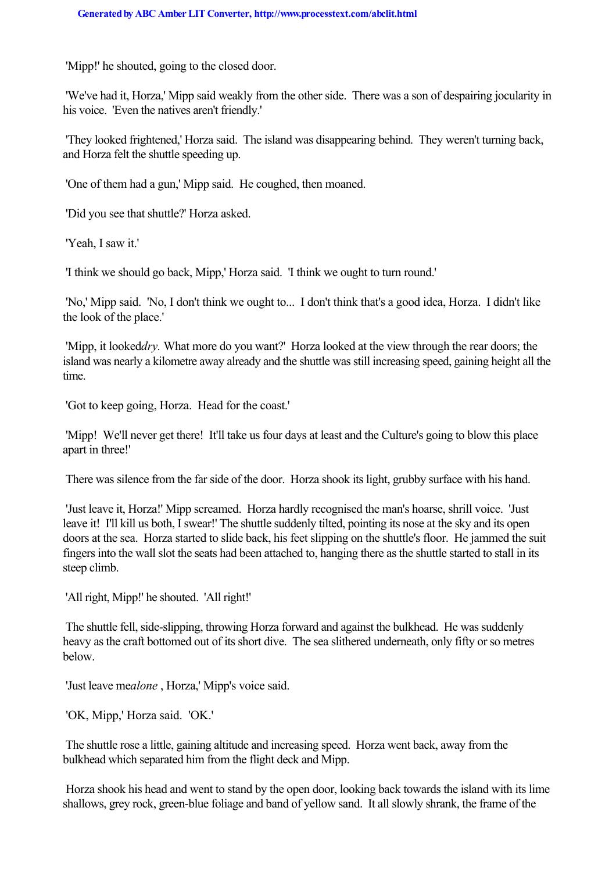## **Generated by ABC Amber LIT Converter, <http://www.processtext.com/abclit.html>**

'Mipp!' he shouted, going to the closed door.

 'We've had it, Horza,' Mipp said weakly from the other side. There was a son of despairing jocularity in his voice. 'Even the natives aren't friendly.'

 'They looked frightened,' Horza said. The island was disappearing behind. They weren't turning back, and Horza felt the shuttle speeding up.

'One of them had a gun,' Mipp said. He coughed, then moaned.

'Did you see that shuttle?' Horza asked.

'Yeah, I saw it.'

'I think we should go back, Mipp,' Horza said. 'I think we ought to turn round.'

 'No,' Mipp said. 'No, I don't think we ought to... I don't think that's a good idea, Horza. I didn't like the look of the place.'

 'Mipp, it looked*dry.* What more do you want?' Horza looked at the view through the rear doors; the island was nearly a kilometre away already and the shuttle was still increasing speed, gaining height all the time.

'Got to keep going, Horza. Head for the coast.'

 'Mipp! We'll never get there! It'll take us four days at least and the Culture's going to blow this place apart in three!'

There was silence from the far side of the door. Horza shook its light, grubby surface with his hand.

 'Just leave it, Horza!' Mipp screamed. Horza hardly recognised the man's hoarse, shrill voice. 'Just leave it! I'll kill us both, I swear!' The shuttle suddenly tilted, pointing its nose at the sky and its open doors at the sea. Horza started to slide back, his feet slipping on the shuttle's floor. He jammed the suit fingers into the wall slot the seats had been attached to, hanging there as the shuttle started to stall in its steep climb.

'All right, Mipp!' he shouted. 'All right!'

 The shuttle fell, side-slipping, throwing Horza forward and against the bulkhead. He was suddenly heavy as the craft bottomed out of its short dive. The sea slithered underneath, only fifty or so metres below.

'Just leave me*alone* , Horza,' Mipp's voice said.

'OK, Mipp,' Horza said. 'OK.'

 The shuttle rose a little, gaining altitude and increasing speed. Horza went back, away from the bulkhead which separated him from the flight deck and Mipp.

 Horza shook his head and went to stand by the open door, looking back towards the island with its lime shallows, grey rock, green-blue foliage and band of yellow sand. It all slowly shrank, the frame of the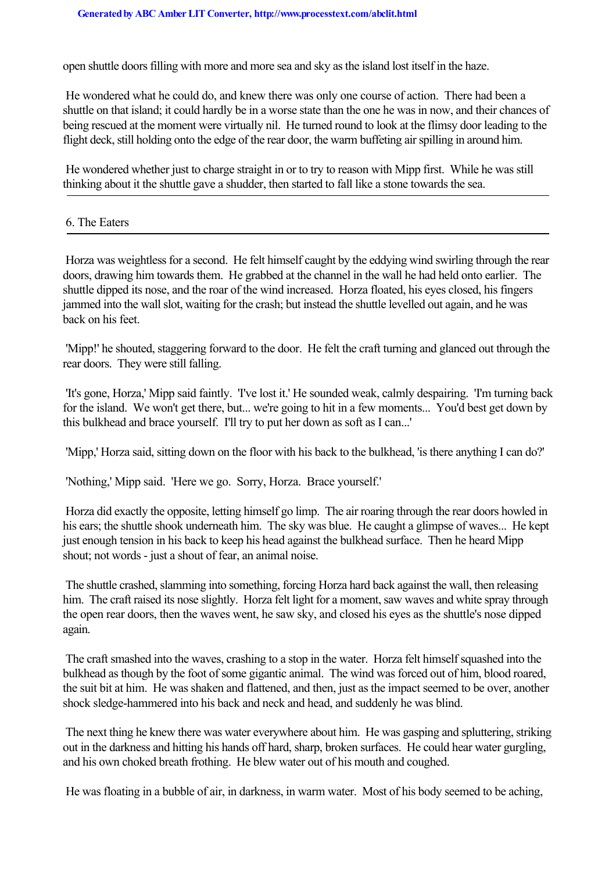open shuttle doors filling with more and more sea and sky as the island lost itself in the haze.

 He wondered what he could do, and knew there was only one course of action. There had been a shuttle on that island; it could hardly be in a worse state than the one he was in now, and their chances of being rescued at the moment were virtually nil. He turned round to look at the flimsy door leading to the flight deck, still holding onto the edge of the rear door, the warm buffeting air spilling in around him.

 He wondered whether just to charge straight in or to try to reason with Mipp first. While he was still thinking about it the shuttle gave a shudder, then started to fall like a stone towards the sea.

## 6. The Eaters

 Horza was weightless for a second. He felt himself caught by the eddying wind swirling through the rear doors, drawing him towards them. He grabbed at the channel in the wall he had held onto earlier. The shuttle dipped its nose, and the roar of the wind increased. Horza floated, his eyes closed, his fingers jammed into the wall slot, waiting for the crash; but instead the shuttle levelled out again, and he was back on his feet.

 'Mipp!' he shouted, staggering forward to the door. He felt the craft turning and glanced out through the rear doors. They were still falling.

 'It's gone, Horza,' Mipp said faintly. 'I've lost it.' He sounded weak, calmly despairing. 'I'm turning back for the island. We won't get there, but... we're going to hit in a few moments... You'd best get down by this bulkhead and brace yourself. I'll try to put her down as soft as I can...'

'Mipp,' Horza said, sitting down on the floor with his back to the bulkhead, 'is there anything I can do?'

'Nothing,' Mipp said. 'Here we go. Sorry, Horza. Brace yourself.'

 Horza did exactly the opposite, letting himself go limp. The air roaring through the rear doors howled in his ears; the shuttle shook underneath him. The sky was blue. He caught a glimpse of waves... He kept just enough tension in his back to keep his head against the bulkhead surface. Then he heard Mipp shout; not words - just a shout of fear, an animal noise.

 The shuttle crashed, slamming into something, forcing Horza hard back against the wall, then releasing him. The craft raised its nose slightly. Horza felt light for a moment, saw waves and white spray through the open rear doors, then the waves went, he saw sky, and closed his eyes as the shuttle's nose dipped again.

 The craft smashed into the waves, crashing to a stop in the water. Horza felt himself squashed into the bulkhead as though by the foot of some gigantic animal. The wind was forced out of him, blood roared, the suit bit at him. He was shaken and flattened, and then, just as the impact seemed to be over, another shock sledge-hammered into his back and neck and head, and suddenly he was blind.

 The next thing he knew there was water everywhere about him. He was gasping and spluttering, striking out in the darkness and hitting his hands off hard, sharp, broken surfaces. He could hear water gurgling, and his own choked breath frothing. He blew water out of his mouth and coughed.

He was floating in a bubble of air, in darkness, in warm water. Most of his body seemed to be aching,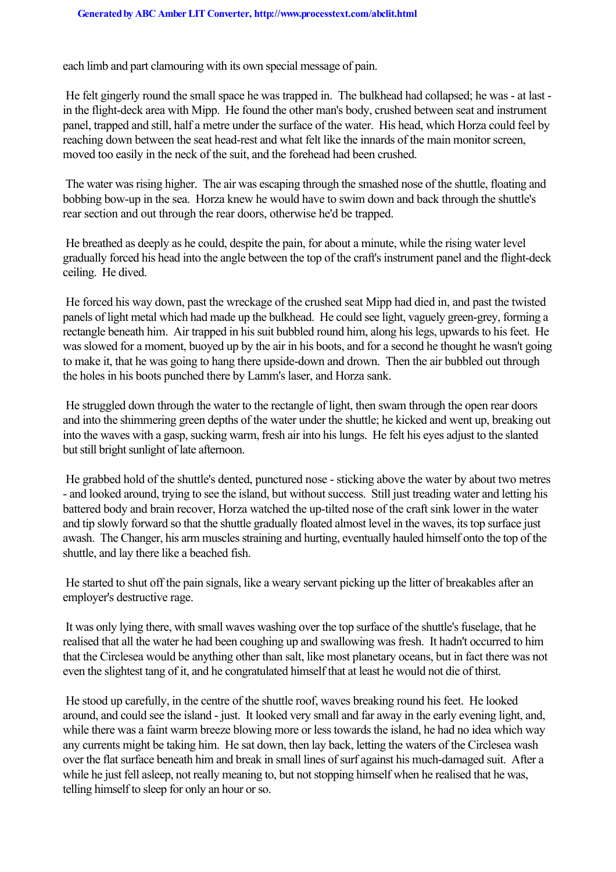each limb and part clamouring with its own special message of pain.

 He felt gingerly round the small space he was trapped in. The bulkhead had collapsed; he was - at last in the flight-deck area with Mipp. He found the other man's body, crushed between seat and instrument panel, trapped and still, half a metre under the surface of the water. His head, which Horza could feel by reaching down between the seat head-rest and what felt like the innards of the main monitor screen, moved too easily in the neck of the suit, and the forehead had been crushed.

 The water was rising higher. The air was escaping through the smashed nose of the shuttle, floating and bobbing bow-up in the sea. Horza knew he would have to swim down and back through the shuttle's rear section and out through the rear doors, otherwise he'd be trapped.

 He breathed as deeply as he could, despite the pain, for about a minute, while the rising water level gradually forced his head into the angle between the top of the craft's instrument panel and the flight-deck ceiling. He dived.

 He forced his way down, past the wreckage of the crushed seat Mipp had died in, and past the twisted panels of light metal which had made up the bulkhead. He could see light, vaguely green-grey, forming a rectangle beneath him. Air trapped in his suit bubbled round him, along his legs, upwards to his feet. He was slowed for a moment, buoyed up by the air in his boots, and for a second he thought he wasn't going to make it, that he was going to hang there upside-down and drown. Then the air bubbled out through the holes in his boots punched there by Lamm's laser, and Horza sank.

 He struggled down through the water to the rectangle of light, then swam through the open rear doors and into the shimmering green depths of the water under the shuttle; he kicked and went up, breaking out into the waves with a gasp, sucking warm, fresh air into his lungs. He felt his eyes adjust to the slanted but still bright sunlight of late afternoon.

 He grabbed hold of the shuttle's dented, punctured nose - sticking above the water by about two metres - and looked around, trying to see the island, but without success. Still just treading water and letting his battered body and brain recover, Horza watched the up-tilted nose of the craft sink lower in the water and tip slowly forward so that the shuttle gradually floated almost level in the waves, its top surface just awash. The Changer, his arm muscles straining and hurting, eventually hauled himself onto the top of the shuttle, and lay there like a beached fish.

 He started to shut off the pain signals, like a weary servant picking up the litter of breakables after an employer's destructive rage.

 It was only lying there, with small waves washing over the top surface of the shuttle's fuselage, that he realised that all the water he had been coughing up and swallowing was fresh. It hadn't occurred to him that the Circlesea would be anything other than salt, like most planetary oceans, but in fact there was not even the slightest tang of it, and he congratulated himself that at least he would not die of thirst.

 He stood up carefully, in the centre of the shuttle roof, waves breaking round his feet. He looked around, and could see the island - just. It looked very small and far away in the early evening light, and, while there was a faint warm breeze blowing more or less towards the island, he had no idea which way any currents might be taking him. He sat down, then lay back, letting the waters of the Circlesea wash over the flat surface beneath him and break in small lines of surf against his much-damaged suit. After a while he just fell asleep, not really meaning to, but not stopping himself when he realised that he was, telling himself to sleep for only an hour or so.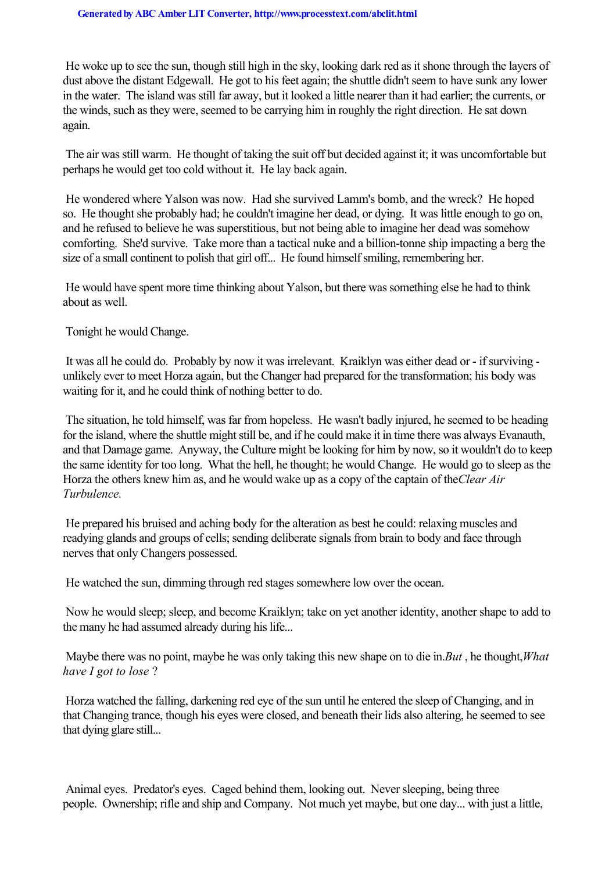He woke up to see the sun, though still high in the sky, looking dark red as it shone through the layers of dust above the distant Edgewall. He got to his feet again; the shuttle didn't seem to have sunk any lower in the water. The island was still far away, but it looked a little nearer than it had earlier; the currents, or the winds, such as they were, seemed to be carrying him in roughly the right direction. He sat down again.

 The air was still warm. He thought of taking the suit off but decided against it; it was uncomfortable but perhaps he would get too cold without it. He lay back again.

 He wondered where Yalson was now. Had she survived Lamm's bomb, and the wreck? He hoped so. He thought she probably had; he couldn't imagine her dead, or dying. It was little enough to go on, and he refused to believe he was superstitious, but not being able to imagine her dead was somehow comforting. She'd survive. Take more than a tactical nuke and a billion-tonne ship impacting a berg the size of a small continent to polish that girl off... He found himself smiling, remembering her.

 He would have spent more time thinking about Yalson, but there was something else he had to think about as well.

Tonight he would Change.

 It was all he could do. Probably by now it was irrelevant. Kraiklyn was either dead or - if surviving unlikely ever to meet Horza again, but the Changer had prepared for the transformation; his body was waiting for it, and he could think of nothing better to do.

 The situation, he told himself, was far from hopeless. He wasn't badly injured, he seemed to be heading for the island, where the shuttle might still be, and if he could make it in time there was always Evanauth, and that Damage game. Anyway, the Culture might be looking for him by now, so it wouldn't do to keep the same identity for too long. What the hell, he thought; he would Change. He would go to sleep as the Horza the others knew him as, and he would wake up as a copy of the captain of the*Clear Air Turbulence.*

 He prepared his bruised and aching body for the alteration as best he could: relaxing muscles and readying glands and groups of cells; sending deliberate signals from brain to body and face through nerves that only Changers possessed.

He watched the sun, dimming through red stages somewhere low over the ocean.

 Now he would sleep; sleep, and become Kraiklyn; take on yet another identity, another shape to add to the many he had assumed already during his life...

 Maybe there was no point, maybe he was only taking this new shape on to die in.*But* , he thought,*What have I got to lose* ?

 Horza watched the falling, darkening red eye of the sun until he entered the sleep of Changing, and in that Changing trance, though his eyes were closed, and beneath their lids also altering, he seemed to see that dying glare still...

 Animal eyes. Predator's eyes. Caged behind them, looking out. Never sleeping, being three people. Ownership; rifle and ship and Company. Not much yet maybe, but one day... with just a little,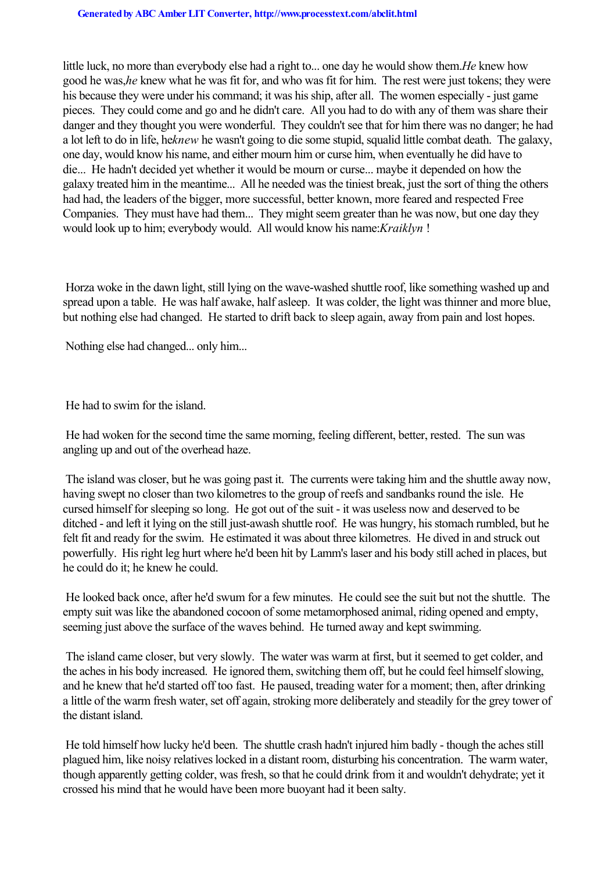little luck, no more than everybody else had a right to... one day he would show them.*He* knew how good he was,*he* knew what he was fit for, and who was fit for him. The rest were just tokens; they were his because they were under his command; it was his ship, after all. The women especially - just game pieces. They could come and go and he didn't care. All you had to do with any of them was share their danger and they thought you were wonderful. They couldn't see that for him there was no danger; he had a lot left to do in life, he*knew* he wasn't going to die some stupid, squalid little combat death. The galaxy, one day, would know his name, and either mourn him or curse him, when eventually he did have to die... He hadn't decided yet whether it would be mourn or curse... maybe it depended on how the galaxy treated him in the meantime... All he needed was the tiniest break, just the sort of thing the others had had, the leaders of the bigger, more successful, better known, more feared and respected Free Companies. They must have had them... They might seem greater than he was now, but one day they would look up to him; everybody would. All would know his name:*Kraiklyn* !

 Horza woke in the dawn light, still lying on the wave-washed shuttle roof, like something washed up and spread upon a table. He was half awake, half asleep. It was colder, the light was thinner and more blue, but nothing else had changed. He started to drift back to sleep again, away from pain and lost hopes.

Nothing else had changed... only him...

He had to swim for the island.

 He had woken for the second time the same morning, feeling different, better, rested. The sun was angling up and out of the overhead haze.

 The island was closer, but he was going past it. The currents were taking him and the shuttle away now, having swept no closer than two kilometres to the group of reefs and sandbanks round the isle. He cursed himself for sleeping so long. He got out of the suit - it was useless now and deserved to be ditched - and left it lying on the still just-awash shuttle roof. He was hungry, his stomach rumbled, but he felt fit and ready for the swim. He estimated it was about three kilometres. He dived in and struck out powerfully. His right leg hurt where he'd been hit by Lamm's laser and his body still ached in places, but he could do it; he knew he could.

 He looked back once, after he'd swum for a few minutes. He could see the suit but not the shuttle. The empty suit was like the abandoned cocoon of some metamorphosed animal, riding opened and empty, seeming just above the surface of the waves behind. He turned away and kept swimming.

 The island came closer, but very slowly. The water was warm at first, but it seemed to get colder, and the aches in his body increased. He ignored them, switching them off, but he could feel himself slowing, and he knew that he'd started off too fast. He paused, treading water for a moment; then, after drinking a little of the warm fresh water, set off again, stroking more deliberately and steadily for the grey tower of the distant island.

 He told himself how lucky he'd been. The shuttle crash hadn't injured him badly - though the aches still plagued him, like noisy relatives locked in a distant room, disturbing his concentration. The warm water, though apparently getting colder, was fresh, so that he could drink from it and wouldn't dehydrate; yet it crossed his mind that he would have been more buoyant had it been salty.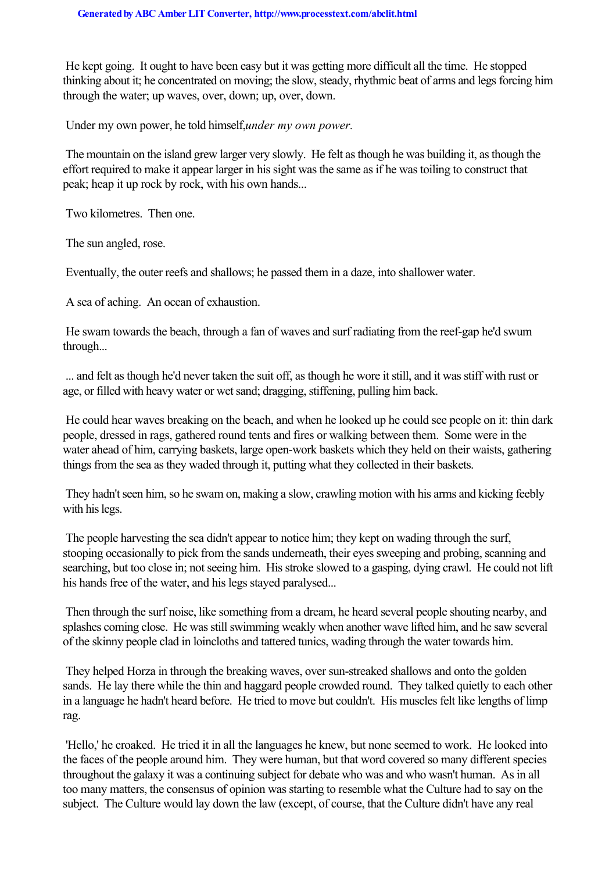He kept going. It ought to have been easy but it was getting more difficult all the time. He stopped thinking about it; he concentrated on moving; the slow, steady, rhythmic beat of arms and legs forcing him through the water; up waves, over, down; up, over, down.

Under my own power, he told himself,*under my own power.*

 The mountain on the island grew larger very slowly. He felt as though he was building it, as though the effort required to make it appear larger in his sight was the same as if he was toiling to construct that peak; heap it up rock by rock, with his own hands...

Two kilometres. Then one.

The sun angled, rose.

Eventually, the outer reefs and shallows; he passed them in a daze, into shallower water.

A sea of aching. An ocean of exhaustion.

 He swam towards the beach, through a fan of waves and surf radiating from the reef-gap he'd swum through...

 ... and felt as though he'd never taken the suit off, as though he wore it still, and it was stiff with rust or age, or filled with heavy water or wet sand; dragging, stiffening, pulling him back.

 He could hear waves breaking on the beach, and when he looked up he could see people on it: thin dark people, dressed in rags, gathered round tents and fires or walking between them. Some were in the water ahead of him, carrying baskets, large open-work baskets which they held on their waists, gathering things from the sea as they waded through it, putting what they collected in their baskets.

 They hadn't seen him, so he swam on, making a slow, crawling motion with his arms and kicking feebly with his legs.

 The people harvesting the sea didn't appear to notice him; they kept on wading through the surf, stooping occasionally to pick from the sands underneath, their eyes sweeping and probing, scanning and searching, but too close in; not seeing him. His stroke slowed to a gasping, dying crawl. He could not lift his hands free of the water, and his legs stayed paralysed...

 Then through the surf noise, like something from a dream, he heard several people shouting nearby, and splashes coming close. He was still swimming weakly when another wave lifted him, and he saw several of the skinny people clad in loincloths and tattered tunics, wading through the water towards him.

 They helped Horza in through the breaking waves, over sun-streaked shallows and onto the golden sands. He lay there while the thin and haggard people crowded round. They talked quietly to each other in a language he hadn't heard before. He tried to move but couldn't. His muscles felt like lengths of limp rag.

 'Hello,' he croaked. He tried it in all the languages he knew, but none seemed to work. He looked into the faces of the people around him. They were human, but that word covered so many different species throughout the galaxy it was a continuing subject for debate who was and who wasn't human. As in all too many matters, the consensus of opinion was starting to resemble what the Culture had to say on the subject. The Culture would lay down the law (except, of course, that the Culture didn't have any real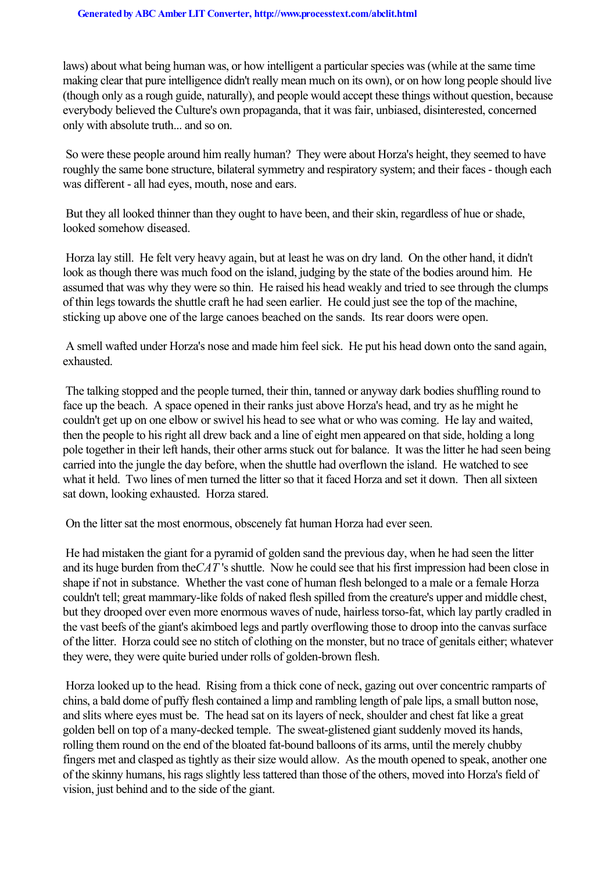laws) about what being human was, or how intelligent a particular species was (while at the same time making clear that pure intelligence didn't really mean much on its own), or on how long people should live (though only as a rough guide, naturally), and people would accept these things without question, because everybody believed the Culture's own propaganda, that it was fair, unbiased, disinterested, concerned only with absolute truth... and so on.

 So were these people around him really human? They were about Horza's height, they seemed to have roughly the same bone structure, bilateral symmetry and respiratory system; and their faces - though each was different - all had eyes, mouth, nose and ears.

 But they all looked thinner than they ought to have been, and their skin, regardless of hue or shade, looked somehow diseased.

 Horza lay still. He felt very heavy again, but at least he was on dry land. On the other hand, it didn't look as though there was much food on the island, judging by the state of the bodies around him. He assumed that was why they were so thin. He raised his head weakly and tried to see through the clumps of thin legs towards the shuttle craft he had seen earlier. He could just see the top of the machine, sticking up above one of the large canoes beached on the sands. Its rear doors were open.

 A smell wafted under Horza's nose and made him feel sick. He put his head down onto the sand again, exhausted.

 The talking stopped and the people turned, their thin, tanned or anyway dark bodies shuffling round to face up the beach. A space opened in their ranks just above Horza's head, and try as he might he couldn't get up on one elbow or swivel his head to see what or who was coming. He lay and waited, then the people to his right all drew back and a line of eight men appeared on that side, holding a long pole together in their left hands, their other arms stuck out for balance. It was the litter he had seen being carried into the jungle the day before, when the shuttle had overflown the island. He watched to see what it held. Two lines of men turned the litter so that it faced Horza and set it down. Then all sixteen sat down, looking exhausted. Horza stared.

On the litter sat the most enormous, obscenely fat human Horza had ever seen.

 He had mistaken the giant for a pyramid of golden sand the previous day, when he had seen the litter and its huge burden from the*CAT* 's shuttle. Now he could see that his first impression had been close in shape if not in substance. Whether the vast cone of human flesh belonged to a male or a female Horza couldn't tell; great mammary-like folds of naked flesh spilled from the creature's upper and middle chest, but they drooped over even more enormous waves of nude, hairless torso-fat, which lay partly cradled in the vast beefs of the giant's akimboed legs and partly overflowing those to droop into the canvas surface of the litter. Horza could see no stitch of clothing on the monster, but no trace of genitals either; whatever they were, they were quite buried under rolls of golden-brown flesh.

 Horza looked up to the head. Rising from a thick cone of neck, gazing out over concentric ramparts of chins, a bald dome of puffy flesh contained a limp and rambling length of pale lips, a small button nose, and slits where eyes must be. The head sat on its layers of neck, shoulder and chest fat like a great golden bell on top of a many-decked temple. The sweat-glistened giant suddenly moved its hands, rolling them round on the end of the bloated fat-bound balloons of its arms, until the merely chubby fingers met and clasped as tightly as their size would allow. As the mouth opened to speak, another one of the skinny humans, his rags slightly less tattered than those of the others, moved into Horza's field of vision, just behind and to the side of the giant.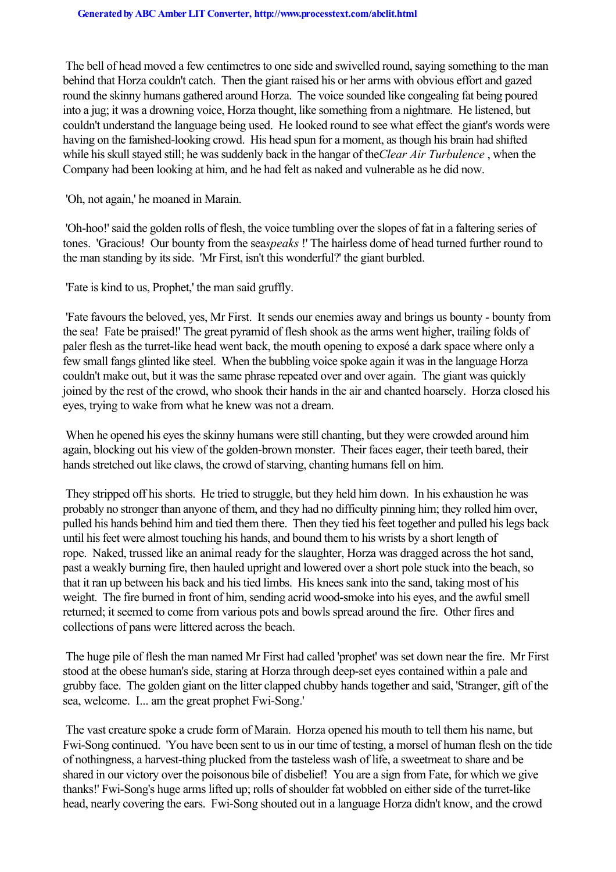The bell of head moved a few centimetres to one side and swivelled round, saying something to the man behind that Horza couldn't catch. Then the giant raised his or her arms with obvious effort and gazed round the skinny humans gathered around Horza. The voice sounded like congealing fat being poured into a jug; it was a drowning voice, Horza thought, like something from a nightmare. He listened, but couldn't understand the language being used. He looked round to see what effect the giant's words were having on the famished-looking crowd. His head spun for a moment, as though his brain had shifted while his skull stayed still; he was suddenly back in the hangar of the*Clear Air Turbulence* , when the Company had been looking at him, and he had felt as naked and vulnerable as he did now.

'Oh, not again,' he moaned in Marain.

 'Oh-hoo!' said the golden rolls of flesh, the voice tumbling over the slopes of fat in a faltering series of tones. 'Gracious! Our bounty from the sea*speaks* !' The hairless dome of head turned further round to the man standing by its side. 'Mr First, isn't this wonderful?' the giant burbled.

'Fate is kind to us, Prophet,' the man said gruffly.

 'Fate favours the beloved, yes, Mr First. It sends our enemies away and brings us bounty - bounty from the sea! Fate be praised!' The great pyramid of flesh shook as the arms went higher, trailing folds of paler flesh as the turret-like head went back, the mouth opening to exposé a dark space where only a few small fangs glinted like steel. When the bubbling voice spoke again it was in the language Horza couldn't make out, but it was the same phrase repeated over and over again. The giant was quickly joined by the rest of the crowd, who shook their hands in the air and chanted hoarsely. Horza closed his eyes, trying to wake from what he knew was not a dream.

 When he opened his eyes the skinny humans were still chanting, but they were crowded around him again, blocking out his view of the golden-brown monster. Their faces eager, their teeth bared, their hands stretched out like claws, the crowd of starving, chanting humans fell on him.

 They stripped off his shorts. He tried to struggle, but they held him down. In his exhaustion he was probably no stronger than anyone of them, and they had no difficulty pinning him; they rolled him over, pulled his hands behind him and tied them there. Then they tied his feet together and pulled his legs back until his feet were almost touching his hands, and bound them to his wrists by a short length of rope. Naked, trussed like an animal ready for the slaughter, Horza was dragged across the hot sand, past a weakly burning fire, then hauled upright and lowered over a short pole stuck into the beach, so that it ran up between his back and his tied limbs. His knees sank into the sand, taking most of his weight. The fire burned in front of him, sending acrid wood-smoke into his eyes, and the awful smell returned; it seemed to come from various pots and bowls spread around the fire. Other fires and collections of pans were littered across the beach.

 The huge pile of flesh the man named Mr First had called 'prophet' was set down near the fire. Mr First stood at the obese human's side, staring at Horza through deep-set eyes contained within a pale and grubby face. The golden giant on the litter clapped chubby hands together and said, 'Stranger, gift of the sea, welcome. I... am the great prophet Fwi-Song.'

 The vast creature spoke a crude form of Marain. Horza opened his mouth to tell them his name, but Fwi-Song continued. 'You have been sent to us in our time of testing, a morsel of human flesh on the tide of nothingness, a harvest-thing plucked from the tasteless wash of life, a sweetmeat to share and be shared in our victory over the poisonous bile of disbelief! You are a sign from Fate, for which we give thanks!' Fwi-Song's huge arms lifted up; rolls of shoulder fat wobbled on either side of the turret-like head, nearly covering the ears. Fwi-Song shouted out in a language Horza didn't know, and the crowd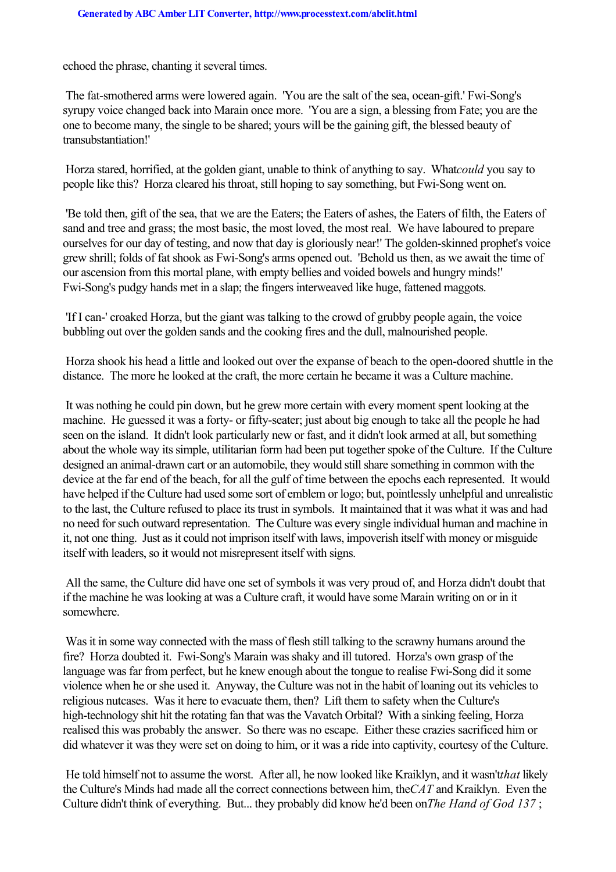echoed the phrase, chanting it several times.

 The fat-smothered arms were lowered again. 'You are the salt of the sea, ocean-gift.' Fwi-Song's syrupy voice changed back into Marain once more. 'You are a sign, a blessing from Fate; you are the one to become many, the single to be shared; yours will be the gaining gift, the blessed beauty of transubstantiation!'

 Horza stared, horrified, at the golden giant, unable to think of anything to say. What*could* you say to people like this? Horza cleared his throat, still hoping to say something, but Fwi-Song went on.

 'Be told then, gift of the sea, that we are the Eaters; the Eaters of ashes, the Eaters of filth, the Eaters of sand and tree and grass; the most basic, the most loved, the most real. We have laboured to prepare ourselves for our day of testing, and now that day is gloriously near!' The golden-skinned prophet's voice grew shrill; folds of fat shook as Fwi-Song's arms opened out. 'Behold us then, as we await the time of our ascension from this mortal plane, with empty bellies and voided bowels and hungry minds!' Fwi-Song's pudgy hands met in a slap; the fingers interweaved like huge, fattened maggots.

 'If I can-' croaked Horza, but the giant was talking to the crowd of grubby people again, the voice bubbling out over the golden sands and the cooking fires and the dull, malnourished people.

 Horza shook his head a little and looked out over the expanse of beach to the open-doored shuttle in the distance. The more he looked at the craft, the more certain he became it was a Culture machine.

 It was nothing he could pin down, but he grew more certain with every moment spent looking at the machine. He guessed it was a forty- or fifty-seater; just about big enough to take all the people he had seen on the island. It didn't look particularly new or fast, and it didn't look armed at all, but something about the whole way its simple, utilitarian form had been put together spoke of the Culture. If the Culture designed an animal-drawn cart or an automobile, they would still share something in common with the device at the far end of the beach, for all the gulf of time between the epochs each represented. It would have helped if the Culture had used some sort of emblem or logo; but, pointlessly unhelpful and unrealistic to the last, the Culture refused to place its trust in symbols. It maintained that it was what it was and had no need for such outward representation. The Culture was every single individual human and machine in it, not one thing. Just as it could not imprison itself with laws, impoverish itself with money or misguide itself with leaders, so it would not misrepresent itself with signs.

 All the same, the Culture did have one set of symbols it was very proud of, and Horza didn't doubt that if the machine he was looking at was a Culture craft, it would have some Marain writing on or in it somewhere.

 Was it in some way connected with the mass of flesh still talking to the scrawny humans around the fire? Horza doubted it. Fwi-Song's Marain was shaky and ill tutored. Horza's own grasp of the language was far from perfect, but he knew enough about the tongue to realise Fwi-Song did it some violence when he or she used it. Anyway, the Culture was not in the habit of loaning out its vehicles to religious nutcases. Was it here to evacuate them, then? Lift them to safety when the Culture's high-technology shit hit the rotating fan that was the Vavatch Orbital? With a sinking feeling, Horza realised this was probably the answer. So there was no escape. Either these crazies sacrificed him or did whatever it was they were set on doing to him, or it was a ride into captivity, courtesy of the Culture.

 He told himself not to assume the worst. After all, he now looked like Kraiklyn, and it wasn't*that* likely the Culture's Minds had made all the correct connections between him, the*CAT* and Kraiklyn. Even the Culture didn't think of everything. But... they probably did know he'd been on*The Hand of God 137* ;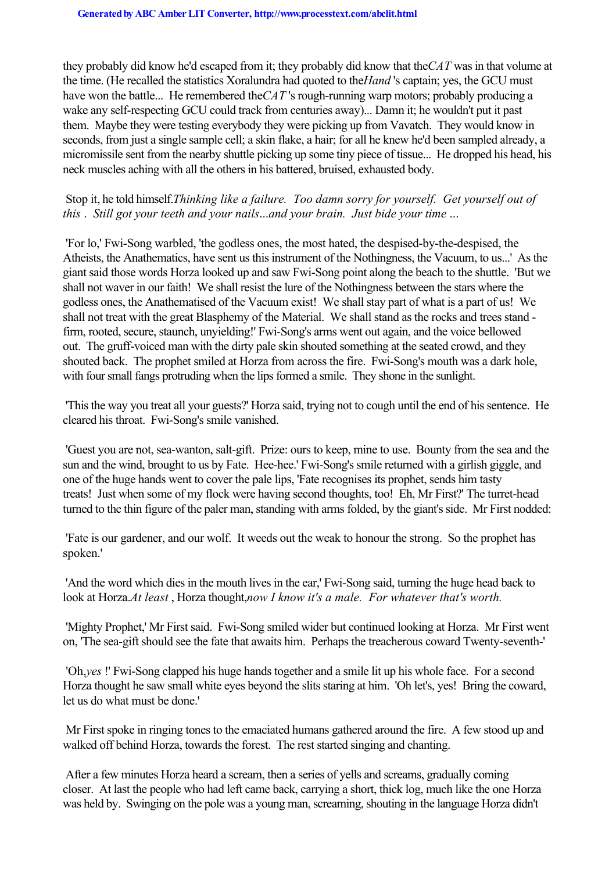they probably did know he'd escaped from it; they probably did know that the*CAT* was in that volume at the time. (He recalled the statistics Xoralundra had quoted to the*Hand* 's captain; yes, the GCU must have won the battle... He remembered the*CAT* 's rough-running warp motors; probably producing a wake any self-respecting GCU could track from centuries away)... Damn it; he wouldn't put it past them. Maybe they were testing everybody they were picking up from Vavatch. They would know in seconds, from just a single sample cell; a skin flake, a hair; for all he knew he'd been sampled already, a micromissile sent from the nearby shuttle picking up some tiny piece of tissue... He dropped his head, his neck muscles aching with all the others in his battered, bruised, exhausted body.

 Stop it, he told himself.*Thinking like a failure. Too damn sorry for yourself. Get yourself out of this* . *Still got your teeth and your nails*...*and your brain. Just bide your time* ...

 'For lo,' Fwi-Song warbled, 'the godless ones, the most hated, the despised-by-the-despised, the Atheists, the Anathematics, have sent us this instrument of the Nothingness, the Vacuum, to us...' As the giant said those words Horza looked up and saw Fwi-Song point along the beach to the shuttle. 'But we shall not waver in our faith! We shall resist the lure of the Nothingness between the stars where the godless ones, the Anathematised of the Vacuum exist! We shall stay part of what is a part of us! We shall not treat with the great Blasphemy of the Material. We shall stand as the rocks and trees stand firm, rooted, secure, staunch, unyielding!' Fwi-Song's arms went out again, and the voice bellowed out. The gruff-voiced man with the dirty pale skin shouted something at the seated crowd, and they shouted back. The prophet smiled at Horza from across the fire. Fwi-Song's mouth was a dark hole, with four small fangs protruding when the lips formed a smile. They shone in the sunlight.

 'This the way you treat all your guests?' Horza said, trying not to cough until the end of his sentence. He cleared his throat. Fwi-Song's smile vanished.

 'Guest you are not, sea-wanton, salt-gift. Prize: ours to keep, mine to use. Bounty from the sea and the sun and the wind, brought to us by Fate. Hee-hee.' Fwi-Song's smile returned with a girlish giggle, and one of the huge hands went to cover the pale lips, 'Fate recognises its prophet, sends him tasty treats! Just when some of my flock were having second thoughts, too! Eh, Mr First?' The turret-head turned to the thin figure of the paler man, standing with arms folded, by the giant's side. Mr First nodded:

 'Fate is our gardener, and our wolf. It weeds out the weak to honour the strong. So the prophet has spoken.'

 'And the word which dies in the mouth lives in the ear,' Fwi-Song said, turning the huge head back to look at Horza.*At least* , Horza thought,*now I know it's a male. For whatever that's worth.*

 'Mighty Prophet,' Mr First said. Fwi-Song smiled wider but continued looking at Horza. Mr First went on, 'The sea-gift should see the fate that awaits him. Perhaps the treacherous coward Twenty-seventh-'

 'Oh,*yes* !' Fwi-Song clapped his huge hands together and a smile lit up his whole face. For a second Horza thought he saw small white eyes beyond the slits staring at him. 'Oh let's, yes! Bring the coward, let us do what must be done.'

 Mr First spoke in ringing tones to the emaciated humans gathered around the fire. A few stood up and walked off behind Horza, towards the forest. The rest started singing and chanting.

 After a few minutes Horza heard a scream, then a series of yells and screams, gradually coming closer. At last the people who had left came back, carrying a short, thick log, much like the one Horza was held by. Swinging on the pole was a young man, screaming, shouting in the language Horza didn't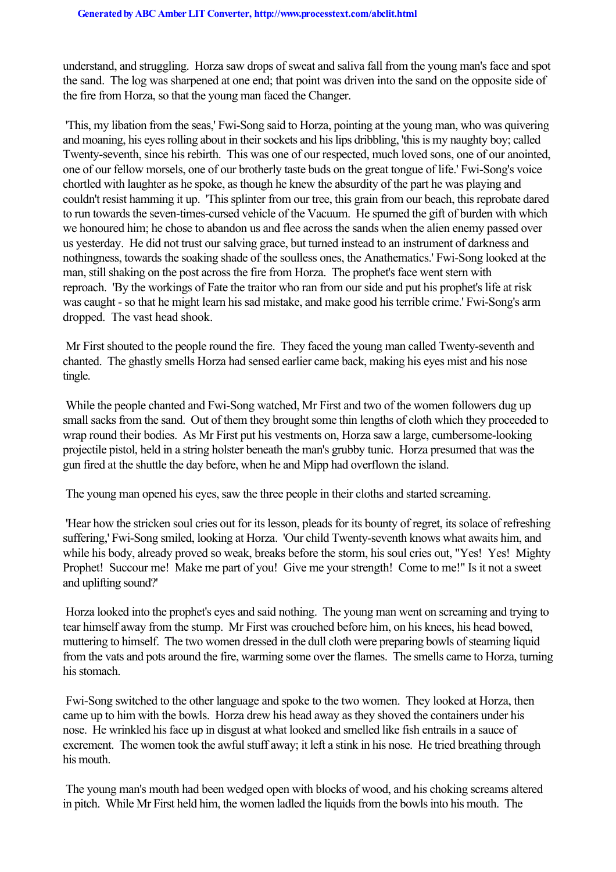understand, and struggling. Horza saw drops of sweat and saliva fall from the young man's face and spot the sand. The log was sharpened at one end; that point was driven into the sand on the opposite side of the fire from Horza, so that the young man faced the Changer.

 'This, my libation from the seas,' Fwi-Song said to Horza, pointing at the young man, who was quivering and moaning, his eyes rolling about in their sockets and his lips dribbling, 'this is my naughty boy; called Twenty-seventh, since his rebirth. This was one of our respected, much loved sons, one of our anointed, one of our fellow morsels, one of our brotherly taste buds on the great tongue of life.' Fwi-Song's voice chortled with laughter as he spoke, as though he knew the absurdity of the part he was playing and couldn't resist hamming it up. 'This splinter from our tree, this grain from our beach, this reprobate dared to run towards the seven-times-cursed vehicle of the Vacuum. He spurned the gift of burden with which we honoured him; he chose to abandon us and flee across the sands when the alien enemy passed over us yesterday. He did not trust our salving grace, but turned instead to an instrument of darkness and nothingness, towards the soaking shade of the soulless ones, the Anathematics.' Fwi-Song looked at the man, still shaking on the post across the fire from Horza. The prophet's face went stern with reproach. 'By the workings of Fate the traitor who ran from our side and put his prophet's life at risk was caught - so that he might learn his sad mistake, and make good his terrible crime.' Fwi-Song's arm dropped. The vast head shook.

 Mr First shouted to the people round the fire. They faced the young man called Twenty-seventh and chanted. The ghastly smells Horza had sensed earlier came back, making his eyes mist and his nose tingle.

 While the people chanted and Fwi-Song watched, Mr First and two of the women followers dug up small sacks from the sand. Out of them they brought some thin lengths of cloth which they proceeded to wrap round their bodies. As Mr First put his vestments on, Horza saw a large, cumbersome-looking projectile pistol, held in a string holster beneath the man's grubby tunic. Horza presumed that was the gun fired at the shuttle the day before, when he and Mipp had overflown the island.

The young man opened his eyes, saw the three people in their cloths and started screaming.

 'Hear how the stricken soul cries out for its lesson, pleads for its bounty of regret, its solace of refreshing suffering,' Fwi-Song smiled, looking at Horza. 'Our child Twenty-seventh knows what awaits him, and while his body, already proved so weak, breaks before the storm, his soul cries out, "Yes! Yes! Mighty Prophet! Succour me! Make me part of you! Give me your strength! Come to me!" Is it not a sweet and uplifting sound?'

 Horza looked into the prophet's eyes and said nothing. The young man went on screaming and trying to tear himself away from the stump. Mr First was crouched before him, on his knees, his head bowed, muttering to himself. The two women dressed in the dull cloth were preparing bowls of steaming liquid from the vats and pots around the fire, warming some over the flames. The smells came to Horza, turning his stomach.

 Fwi-Song switched to the other language and spoke to the two women. They looked at Horza, then came up to him with the bowls. Horza drew his head away as they shoved the containers under his nose. He wrinkled his face up in disgust at what looked and smelled like fish entrails in a sauce of excrement. The women took the awful stuff away; it left a stink in his nose. He tried breathing through his mouth.

 The young man's mouth had been wedged open with blocks of wood, and his choking screams altered in pitch. While Mr First held him, the women ladled the liquids from the bowls into his mouth. The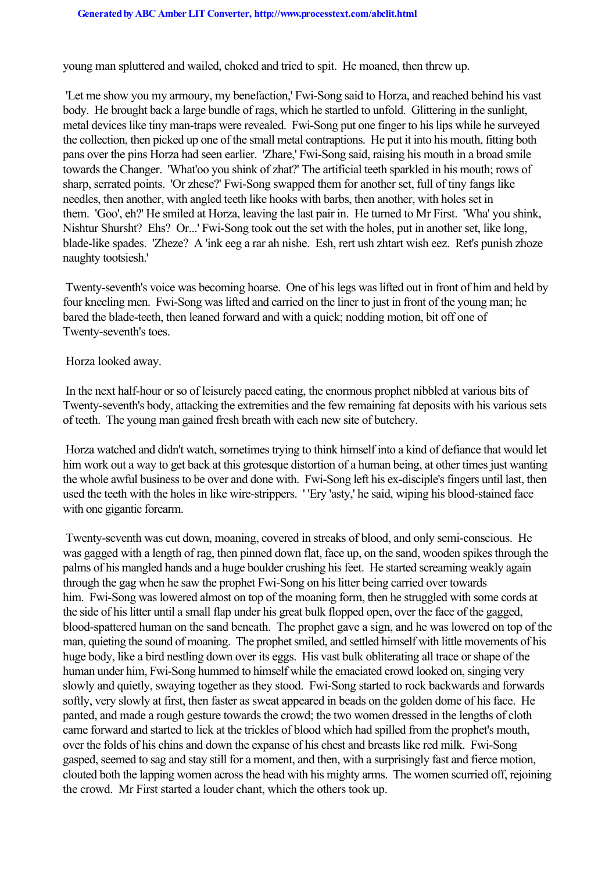young man spluttered and wailed, choked and tried to spit. He moaned, then threw up.

 'Let me show you my armoury, my benefaction,' Fwi-Song said to Horza, and reached behind his vast body. He brought back a large bundle of rags, which he startled to unfold. Glittering in the sunlight, metal devices like tiny man-traps were revealed. Fwi-Song put one finger to his lips while he surveyed the collection, then picked up one of the small metal contraptions. He put it into his mouth, fitting both pans over the pins Horza had seen earlier. 'Zhare,' Fwi-Song said, raising his mouth in a broad smile towards the Changer. 'What'oo you shink of zhat?' The artificial teeth sparkled in his mouth; rows of sharp, serrated points. 'Or zhese?' Fwi-Song swapped them for another set, full of tiny fangs like needles, then another, with angled teeth like hooks with barbs, then another, with holes set in them. 'Goo', eh?' He smiled at Horza, leaving the last pair in. He turned to Mr First. 'Wha' you shink, Nishtur Shursht? Ehs? Or...' Fwi-Song took out the set with the holes, put in another set, like long, blade-like spades. 'Zheze? A 'ink eeg a rar ah nishe. Esh, rert ush zhtart wish eez. Ret's punish zhoze naughty tootsiesh.'

 Twenty-seventh's voice was becoming hoarse. One of his legs was lifted out in front of him and held by four kneeling men. Fwi-Song was lifted and carried on the liner to just in front of the young man; he bared the blade-teeth, then leaned forward and with a quick; nodding motion, bit off one of Twenty-seventh's toes.

## Horza looked away.

 In the next half-hour or so of leisurely paced eating, the enormous prophet nibbled at various bits of Twenty-seventh's body, attacking the extremities and the few remaining fat deposits with his various sets of teeth. The young man gained fresh breath with each new site of butchery.

 Horza watched and didn't watch, sometimes trying to think himself into a kind of defiance that would let him work out a way to get back at this grotesque distortion of a human being, at other times just wanting the whole awful business to be over and done with. Fwi-Song left his ex-disciple's fingers until last, then used the teeth with the holes in like wire-strippers. ' 'Ery 'asty,' he said, wiping his blood-stained face with one gigantic forearm.

 Twenty-seventh was cut down, moaning, covered in streaks of blood, and only semi-conscious. He was gagged with a length of rag, then pinned down flat, face up, on the sand, wooden spikes through the palms of his mangled hands and a huge boulder crushing his feet. He started screaming weakly again through the gag when he saw the prophet Fwi-Song on his litter being carried over towards him. Fwi-Song was lowered almost on top of the moaning form, then he struggled with some cords at the side of his litter until a small flap under his great bulk flopped open, over the face of the gagged, blood-spattered human on the sand beneath. The prophet gave a sign, and he was lowered on top of the man, quieting the sound of moaning. The prophet smiled, and settled himself with little movements of his huge body, like a bird nestling down over its eggs. His vast bulk obliterating all trace or shape of the human under him, Fwi-Song hummed to himself while the emaciated crowd looked on, singing very slowly and quietly, swaying together as they stood. Fwi-Song started to rock backwards and forwards softly, very slowly at first, then faster as sweat appeared in beads on the golden dome of his face. He panted, and made a rough gesture towards the crowd; the two women dressed in the lengths of cloth came forward and started to lick at the trickles of blood which had spilled from the prophet's mouth, over the folds of his chins and down the expanse of his chest and breasts like red milk. Fwi-Song gasped, seemed to sag and stay still for a moment, and then, with a surprisingly fast and fierce motion, clouted both the lapping women across the head with his mighty arms. The women scurried off, rejoining the crowd. Mr First started a louder chant, which the others took up.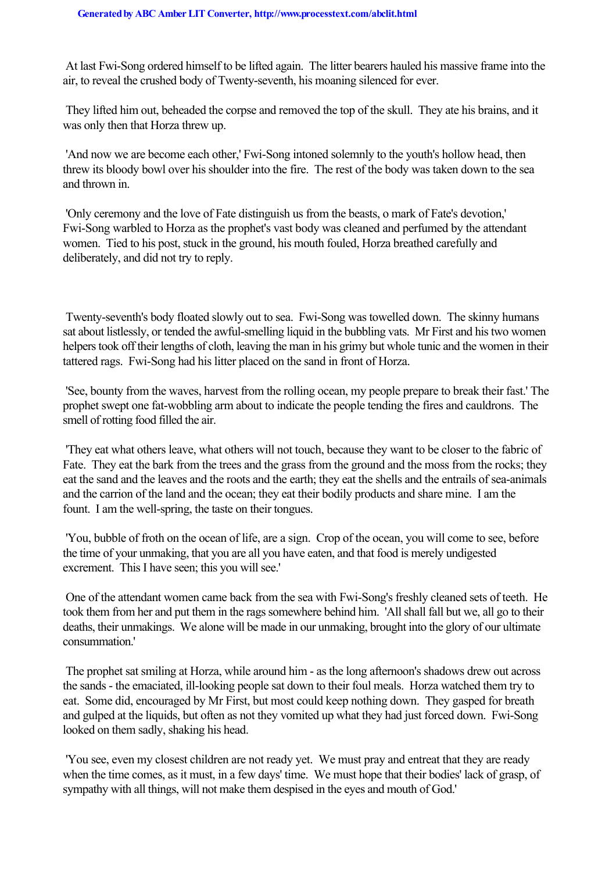At last Fwi-Song ordered himself to be lifted again. The litter bearers hauled his massive frame into the air, to reveal the crushed body of Twenty-seventh, his moaning silenced for ever.

 They lifted him out, beheaded the corpse and removed the top of the skull. They ate his brains, and it was only then that Horza threw up.

 'And now we are become each other,' Fwi-Song intoned solemnly to the youth's hollow head, then threw its bloody bowl over his shoulder into the fire. The rest of the body was taken down to the sea and thrown in.

 'Only ceremony and the love of Fate distinguish us from the beasts, o mark of Fate's devotion,' Fwi-Song warbled to Horza as the prophet's vast body was cleaned and perfumed by the attendant women. Tied to his post, stuck in the ground, his mouth fouled, Horza breathed carefully and deliberately, and did not try to reply.

 Twenty-seventh's body floated slowly out to sea. Fwi-Song was towelled down. The skinny humans sat about listlessly, or tended the awful-smelling liquid in the bubbling vats. Mr First and his two women helpers took off their lengths of cloth, leaving the man in his grimy but whole tunic and the women in their tattered rags. Fwi-Song had his litter placed on the sand in front of Horza.

 'See, bounty from the waves, harvest from the rolling ocean, my people prepare to break their fast.' The prophet swept one fat-wobbling arm about to indicate the people tending the fires and cauldrons. The smell of rotting food filled the air.

 'They eat what others leave, what others will not touch, because they want to be closer to the fabric of Fate. They eat the bark from the trees and the grass from the ground and the moss from the rocks; they eat the sand and the leaves and the roots and the earth; they eat the shells and the entrails of sea-animals and the carrion of the land and the ocean; they eat their bodily products and share mine. I am the fount. I am the well-spring, the taste on their tongues.

 'You, bubble of froth on the ocean of life, are a sign. Crop of the ocean, you will come to see, before the time of your unmaking, that you are all you have eaten, and that food is merely undigested excrement. This I have seen; this you will see.'

 One of the attendant women came back from the sea with Fwi-Song's freshly cleaned sets of teeth. He took them from her and put them in the rags somewhere behind him. 'All shall fall but we, all go to their deaths, their unmakings. We alone will be made in our unmaking, brought into the glory of our ultimate consummation.'

 The prophet sat smiling at Horza, while around him - as the long afternoon's shadows drew out across the sands - the emaciated, ill-looking people sat down to their foul meals. Horza watched them try to eat. Some did, encouraged by Mr First, but most could keep nothing down. They gasped for breath and gulped at the liquids, but often as not they vomited up what they had just forced down. Fwi-Song looked on them sadly, shaking his head.

 'You see, even my closest children are not ready yet. We must pray and entreat that they are ready when the time comes, as it must, in a few days' time. We must hope that their bodies' lack of grasp, of sympathy with all things, will not make them despised in the eyes and mouth of God.'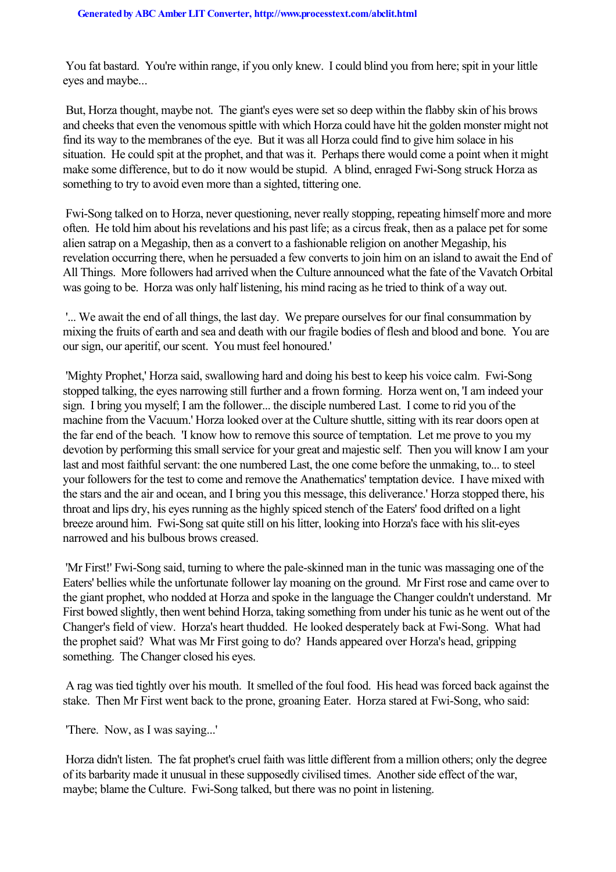You fat bastard. You're within range, if you only knew. I could blind you from here; spit in your little eyes and maybe...

 But, Horza thought, maybe not. The giant's eyes were set so deep within the flabby skin of his brows and cheeks that even the venomous spittle with which Horza could have hit the golden monster might not find its way to the membranes of the eye. But it was all Horza could find to give him solace in his situation. He could spit at the prophet, and that was it. Perhaps there would come a point when it might make some difference, but to do it now would be stupid. A blind, enraged Fwi-Song struck Horza as something to try to avoid even more than a sighted, tittering one.

 Fwi-Song talked on to Horza, never questioning, never really stopping, repeating himself more and more often. He told him about his revelations and his past life; as a circus freak, then as a palace pet for some alien satrap on a Megaship, then as a convert to a fashionable religion on another Megaship, his revelation occurring there, when he persuaded a few converts to join him on an island to await the End of All Things. More followers had arrived when the Culture announced what the fate of the Vavatch Orbital was going to be. Horza was only half listening, his mind racing as he tried to think of a way out.

 '... We await the end of all things, the last day. We prepare ourselves for our final consummation by mixing the fruits of earth and sea and death with our fragile bodies of flesh and blood and bone. You are our sign, our aperitif, our scent. You must feel honoured.'

 'Mighty Prophet,' Horza said, swallowing hard and doing his best to keep his voice calm. Fwi-Song stopped talking, the eyes narrowing still further and a frown forming. Horza went on, 'I am indeed your sign. I bring you myself; I am the follower... the disciple numbered Last. I come to rid you of the machine from the Vacuum.' Horza looked over at the Culture shuttle, sitting with its rear doors open at the far end of the beach. 'I know how to remove this source of temptation. Let me prove to you my devotion by performing this small service for your great and majestic self. Then you will know I am your last and most faithful servant: the one numbered Last, the one come before the unmaking, to... to steel your followers for the test to come and remove the Anathematics' temptation device. I have mixed with the stars and the air and ocean, and I bring you this message, this deliverance.' Horza stopped there, his throat and lips dry, his eyes running as the highly spiced stench of the Eaters' food drifted on a light breeze around him. Fwi-Song sat quite still on his litter, looking into Horza's face with his slit-eyes narrowed and his bulbous brows creased.

 'Mr First!' Fwi-Song said, turning to where the pale-skinned man in the tunic was massaging one of the Eaters' bellies while the unfortunate follower lay moaning on the ground. Mr First rose and came over to the giant prophet, who nodded at Horza and spoke in the language the Changer couldn't understand. Mr First bowed slightly, then went behind Horza, taking something from under his tunic as he went out of the Changer's field of view. Horza's heart thudded. He looked desperately back at Fwi-Song. What had the prophet said? What was Mr First going to do? Hands appeared over Horza's head, gripping something. The Changer closed his eyes.

 A rag was tied tightly over his mouth. It smelled of the foul food. His head was forced back against the stake. Then Mr First went back to the prone, groaning Eater. Horza stared at Fwi-Song, who said:

'There. Now, as I was saying...'

 Horza didn't listen. The fat prophet's cruel faith was little different from a million others; only the degree of its barbarity made it unusual in these supposedly civilised times. Another side effect of the war, maybe; blame the Culture. Fwi-Song talked, but there was no point in listening.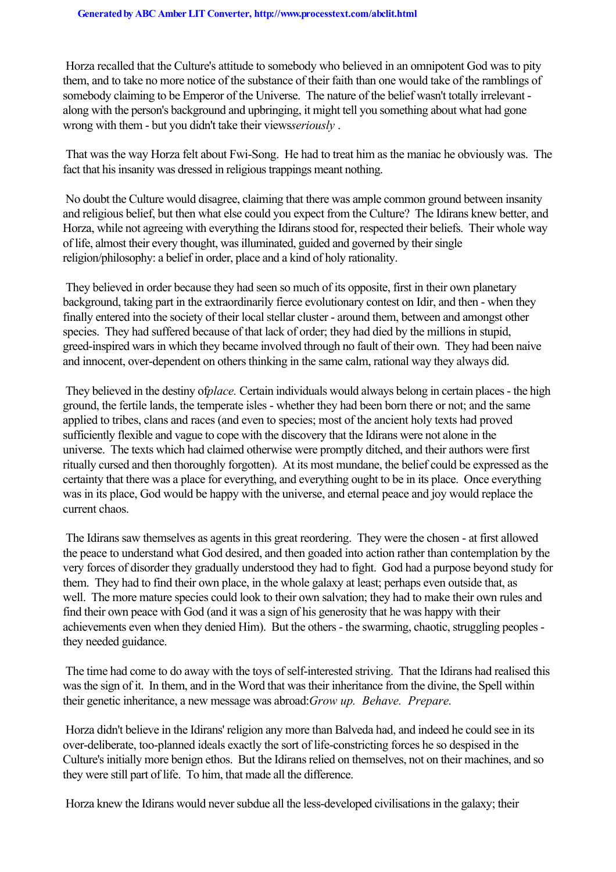Horza recalled that the Culture's attitude to somebody who believed in an omnipotent God was to pity them, and to take no more notice of the substance of their faith than one would take of the ramblings of somebody claiming to be Emperor of the Universe. The nature of the belief wasn't totally irrelevant along with the person's background and upbringing, it might tell you something about what had gone wrong with them - but you didn't take their views*seriously* .

 That was the way Horza felt about Fwi-Song. He had to treat him as the maniac he obviously was. The fact that his insanity was dressed in religious trappings meant nothing.

 No doubt the Culture would disagree, claiming that there was ample common ground between insanity and religious belief, but then what else could you expect from the Culture? The Idirans knew better, and Horza, while not agreeing with everything the Idirans stood for, respected their beliefs. Their whole way of life, almost their every thought, was illuminated, guided and governed by their single religion/philosophy: a belief in order, place and a kind of holy rationality.

 They believed in order because they had seen so much of its opposite, first in their own planetary background, taking part in the extraordinarily fierce evolutionary contest on Idir, and then - when they finally entered into the society of their local stellar cluster - around them, between and amongst other species. They had suffered because of that lack of order; they had died by the millions in stupid, greed-inspired wars in which they became involved through no fault of their own. They had been naive and innocent, over-dependent on others thinking in the same calm, rational way they always did.

 They believed in the destiny of*place.* Certain individuals would always belong in certain places - the high ground, the fertile lands, the temperate isles - whether they had been born there or not; and the same applied to tribes, clans and races (and even to species; most of the ancient holy texts had proved sufficiently flexible and vague to cope with the discovery that the Idirans were not alone in the universe. The texts which had claimed otherwise were promptly ditched, and their authors were first ritually cursed and then thoroughly forgotten). At its most mundane, the belief could be expressed as the certainty that there was a place for everything, and everything ought to be in its place. Once everything was in its place, God would be happy with the universe, and eternal peace and joy would replace the current chaos.

 The Idirans saw themselves as agents in this great reordering. They were the chosen - at first allowed the peace to understand what God desired, and then goaded into action rather than contemplation by the very forces of disorder they gradually understood they had to fight. God had a purpose beyond study for them. They had to find their own place, in the whole galaxy at least; perhaps even outside that, as well. The more mature species could look to their own salvation; they had to make their own rules and find their own peace with God (and it was a sign of his generosity that he was happy with their achievements even when they denied Him). But the others - the swarming, chaotic, struggling peoples they needed guidance.

 The time had come to do away with the toys of self-interested striving. That the Idirans had realised this was the sign of it. In them, and in the Word that was their inheritance from the divine, the Spell within their genetic inheritance, a new message was abroad:*Grow up. Behave. Prepare.*

 Horza didn't believe in the Idirans' religion any more than Balveda had, and indeed he could see in its over-deliberate, too-planned ideals exactly the sort of life-constricting forces he so despised in the Culture's initially more benign ethos. But the Idirans relied on themselves, not on their machines, and so they were still part of life. To him, that made all the difference.

Horza knew the Idirans would never subdue all the less-developed civilisations in the galaxy; their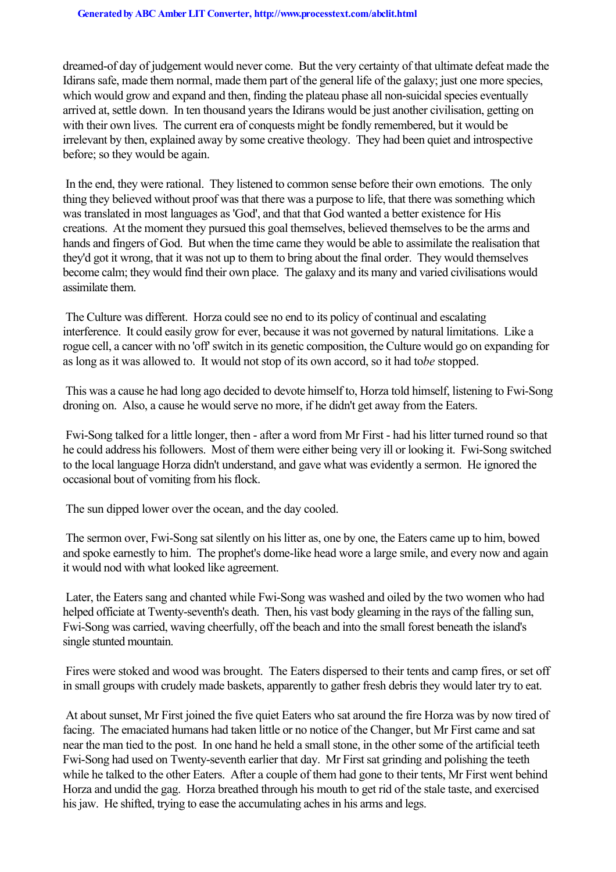dreamed-of day of judgement would never come. But the very certainty of that ultimate defeat made the Idirans safe, made them normal, made them part of the general life of the galaxy; just one more species, which would grow and expand and then, finding the plateau phase all non-suicidal species eventually arrived at, settle down. In ten thousand years the Idirans would be just another civilisation, getting on with their own lives. The current era of conquests might be fondly remembered, but it would be irrelevant by then, explained away by some creative theology. They had been quiet and introspective before; so they would be again.

 In the end, they were rational. They listened to common sense before their own emotions. The only thing they believed without proof was that there was a purpose to life, that there was something which was translated in most languages as 'God', and that that God wanted a better existence for His creations. At the moment they pursued this goal themselves, believed themselves to be the arms and hands and fingers of God. But when the time came they would be able to assimilate the realisation that they'd got it wrong, that it was not up to them to bring about the final order. They would themselves become calm; they would find their own place. The galaxy and its many and varied civilisations would assimilate them.

 The Culture was different. Horza could see no end to its policy of continual and escalating interference. It could easily grow for ever, because it was not governed by natural limitations. Like a rogue cell, a cancer with no 'off' switch in its genetic composition, the Culture would go on expanding for as long as it was allowed to. It would not stop of its own accord, so it had to*be* stopped.

 This was a cause he had long ago decided to devote himself to, Horza told himself, listening to Fwi-Song droning on. Also, a cause he would serve no more, if he didn't get away from the Eaters.

 Fwi-Song talked for a little longer, then - after a word from Mr First - had his litter turned round so that he could address his followers. Most of them were either being very ill or looking it. Fwi-Song switched to the local language Horza didn't understand, and gave what was evidently a sermon. He ignored the occasional bout of vomiting from his flock.

The sun dipped lower over the ocean, and the day cooled.

 The sermon over, Fwi-Song sat silently on his litter as, one by one, the Eaters came up to him, bowed and spoke earnestly to him. The prophet's dome-like head wore a large smile, and every now and again it would nod with what looked like agreement.

 Later, the Eaters sang and chanted while Fwi-Song was washed and oiled by the two women who had helped officiate at Twenty-seventh's death. Then, his vast body gleaming in the rays of the falling sun, Fwi-Song was carried, waving cheerfully, off the beach and into the small forest beneath the island's single stunted mountain.

 Fires were stoked and wood was brought. The Eaters dispersed to their tents and camp fires, or set off in small groups with crudely made baskets, apparently to gather fresh debris they would later try to eat.

 At about sunset, Mr First joined the five quiet Eaters who sat around the fire Horza was by now tired of facing. The emaciated humans had taken little or no notice of the Changer, but Mr First came and sat near the man tied to the post. In one hand he held a small stone, in the other some of the artificial teeth Fwi-Song had used on Twenty-seventh earlier that day. Mr First sat grinding and polishing the teeth while he talked to the other Eaters. After a couple of them had gone to their tents, Mr First went behind Horza and undid the gag. Horza breathed through his mouth to get rid of the stale taste, and exercised his jaw. He shifted, trying to ease the accumulating aches in his arms and legs.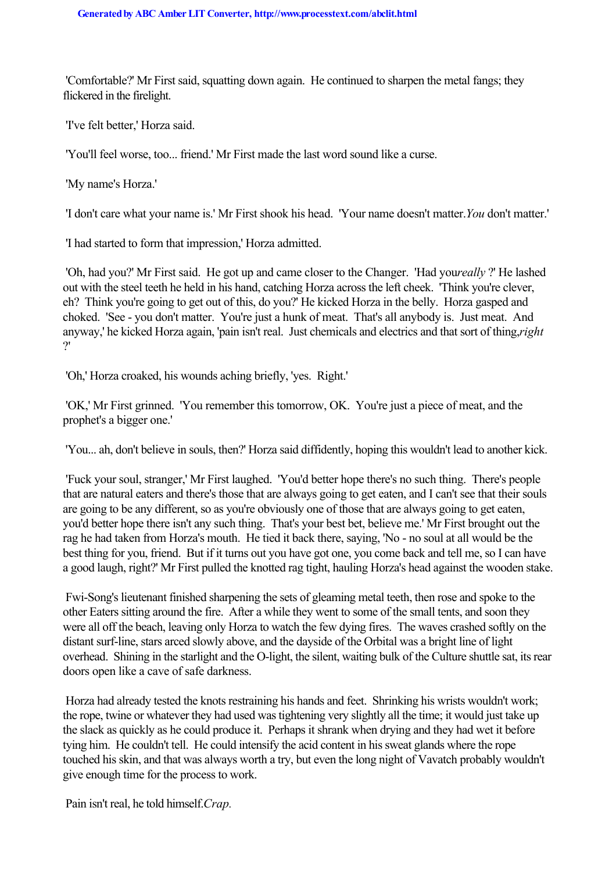'Comfortable?' Mr First said, squatting down again. He continued to sharpen the metal fangs; they flickered in the firelight.

'I've felt better,' Horza said.

'You'll feel worse, too... friend.' Mr First made the last word sound like a curse.

'My name's Horza.'

'I don't care what your name is.' Mr First shook his head. 'Your name doesn't matter.*You* don't matter.'

'I had started to form that impression,' Horza admitted.

 'Oh, had you?' Mr First said. He got up and came closer to the Changer. 'Had you*really* ?' He lashed out with the steel teeth he held in his hand, catching Horza across the left cheek. 'Think you're clever, eh? Think you're going to get out of this, do you?' He kicked Horza in the belly. Horza gasped and choked. 'See - you don't matter. You're just a hunk of meat. That's all anybody is. Just meat. And anyway,' he kicked Horza again, 'pain isn't real. Just chemicals and electrics and that sort of thing,*right*  $\gamma$ '

'Oh,' Horza croaked, his wounds aching briefly, 'yes. Right.'

 'OK,' Mr First grinned. 'You remember this tomorrow, OK. You're just a piece of meat, and the prophet's a bigger one.'

'You... ah, don't believe in souls, then?' Horza said diffidently, hoping this wouldn't lead to another kick.

 'Fuck your soul, stranger,' Mr First laughed. 'You'd better hope there's no such thing. There's people that are natural eaters and there's those that are always going to get eaten, and I can't see that their souls are going to be any different, so as you're obviously one of those that are always going to get eaten, you'd better hope there isn't any such thing. That's your best bet, believe me.' Mr First brought out the rag he had taken from Horza's mouth. He tied it back there, saying, 'No - no soul at all would be the best thing for you, friend. But if it turns out you have got one, you come back and tell me, so I can have a good laugh, right?' Mr First pulled the knotted rag tight, hauling Horza's head against the wooden stake.

 Fwi-Song's lieutenant finished sharpening the sets of gleaming metal teeth, then rose and spoke to the other Eaters sitting around the fire. After a while they went to some of the small tents, and soon they were all off the beach, leaving only Horza to watch the few dying fires. The waves crashed softly on the distant surf-line, stars arced slowly above, and the dayside of the Orbital was a bright line of light overhead. Shining in the starlight and the O-light, the silent, waiting bulk of the Culture shuttle sat, its rear doors open like a cave of safe darkness.

 Horza had already tested the knots restraining his hands and feet. Shrinking his wrists wouldn't work; the rope, twine or whatever they had used was tightening very slightly all the time; it would just take up the slack as quickly as he could produce it. Perhaps it shrank when drying and they had wet it before tying him. He couldn't tell. He could intensify the acid content in his sweat glands where the rope touched his skin, and that was always worth a try, but even the long night of Vavatch probably wouldn't give enough time for the process to work.

Pain isn't real, he told himself.*Crap.*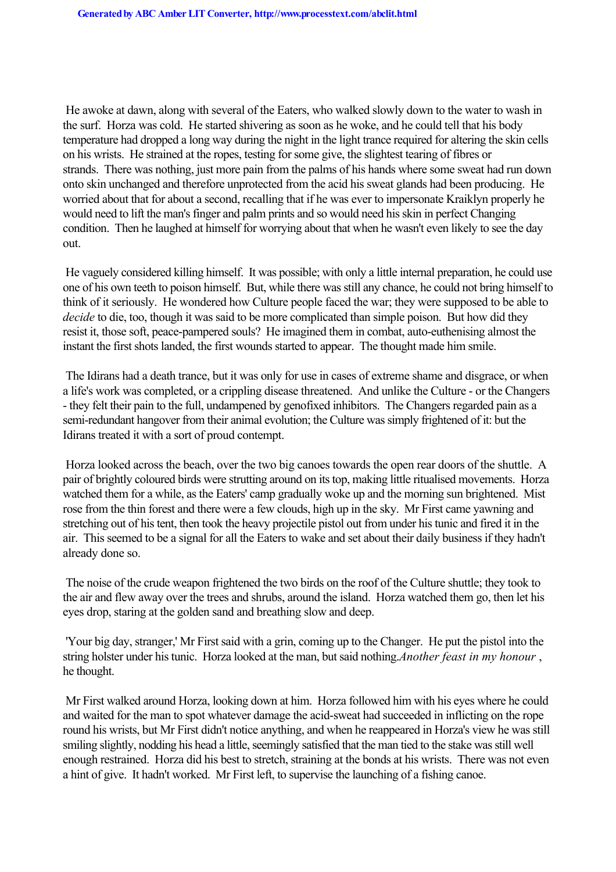He awoke at dawn, along with several of the Eaters, who walked slowly down to the water to wash in the surf. Horza was cold. He started shivering as soon as he woke, and he could tell that his body temperature had dropped a long way during the night in the light trance required for altering the skin cells on his wrists. He strained at the ropes, testing for some give, the slightest tearing of fibres or strands. There was nothing, just more pain from the palms of his hands where some sweat had run down onto skin unchanged and therefore unprotected from the acid his sweat glands had been producing. He worried about that for about a second, recalling that if he was ever to impersonate Kraiklyn properly he would need to lift the man's finger and palm prints and so would need his skin in perfect Changing condition. Then he laughed at himself for worrying about that when he wasn't even likely to see the day out.

 He vaguely considered killing himself. It was possible; with only a little internal preparation, he could use one of his own teeth to poison himself. But, while there was still any chance, he could not bring himself to think of it seriously. He wondered how Culture people faced the war; they were supposed to be able to *decide* to die, too, though it was said to be more complicated than simple poison. But how did they resist it, those soft, peace-pampered souls? He imagined them in combat, auto-euthenising almost the instant the first shots landed, the first wounds started to appear. The thought made him smile.

 The Idirans had a death trance, but it was only for use in cases of extreme shame and disgrace, or when a life's work was completed, or a crippling disease threatened. And unlike the Culture - or the Changers - they felt their pain to the full, undampened by genofixed inhibitors. The Changers regarded pain as a semi-redundant hangover from their animal evolution; the Culture was simply frightened of it: but the Idirans treated it with a sort of proud contempt.

 Horza looked across the beach, over the two big canoes towards the open rear doors of the shuttle. A pair of brightly coloured birds were strutting around on its top, making little ritualised movements. Horza watched them for a while, as the Eaters' camp gradually woke up and the morning sun brightened. Mist rose from the thin forest and there were a few clouds, high up in the sky. Mr First came yawning and stretching out of his tent, then took the heavy projectile pistol out from under his tunic and fired it in the air. This seemed to be a signal for all the Eaters to wake and set about their daily business if they hadn't already done so.

 The noise of the crude weapon frightened the two birds on the roof of the Culture shuttle; they took to the air and flew away over the trees and shrubs, around the island. Horza watched them go, then let his eyes drop, staring at the golden sand and breathing slow and deep.

 'Your big day, stranger,' Mr First said with a grin, coming up to the Changer. He put the pistol into the string holster under his tunic. Horza looked at the man, but said nothing.*Another feast in my honour* , he thought.

 Mr First walked around Horza, looking down at him. Horza followed him with his eyes where he could and waited for the man to spot whatever damage the acid-sweat had succeeded in inflicting on the rope round his wrists, but Mr First didn't notice anything, and when he reappeared in Horza's view he was still smiling slightly, nodding his head a little, seemingly satisfied that the man tied to the stake was still well enough restrained. Horza did his best to stretch, straining at the bonds at his wrists. There was not even a hint of give. It hadn't worked. Mr First left, to supervise the launching of a fishing canoe.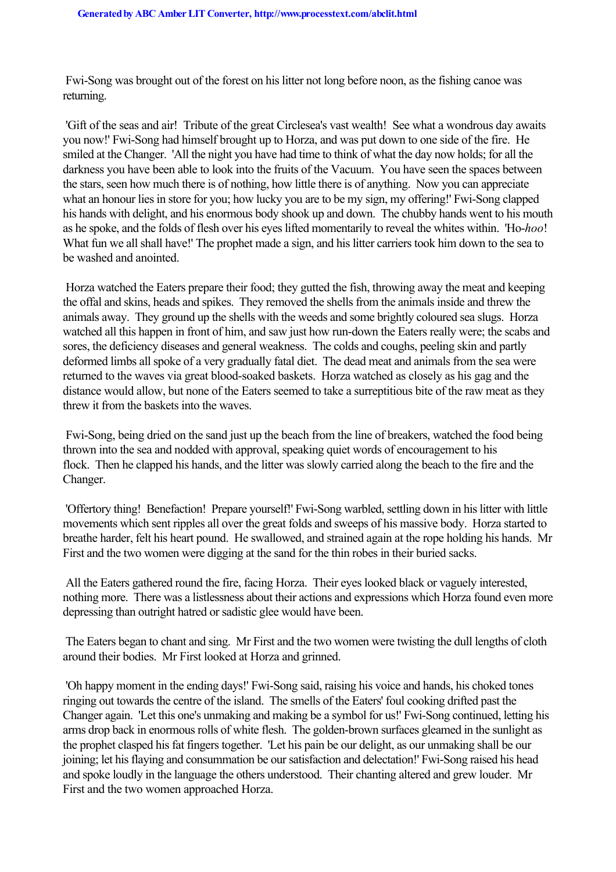Fwi-Song was brought out of the forest on his litter not long before noon, as the fishing canoe was returning.

 'Gift of the seas and air! Tribute of the great Circlesea's vast wealth! See what a wondrous day awaits you now!' Fwi-Song had himself brought up to Horza, and was put down to one side of the fire. He smiled at the Changer. 'All the night you have had time to think of what the day now holds; for all the darkness you have been able to look into the fruits of the Vacuum. You have seen the spaces between the stars, seen how much there is of nothing, how little there is of anything. Now you can appreciate what an honour lies in store for you; how lucky you are to be my sign, my offering!' Fwi-Song clapped his hands with delight, and his enormous body shook up and down. The chubby hands went to his mouth as he spoke, and the folds of flesh over his eyes lifted momentarily to reveal the whites within. 'Ho-*hoo*! What fun we all shall have!' The prophet made a sign, and his litter carriers took him down to the sea to be washed and anointed.

 Horza watched the Eaters prepare their food; they gutted the fish, throwing away the meat and keeping the offal and skins, heads and spikes. They removed the shells from the animals inside and threw the animals away. They ground up the shells with the weeds and some brightly coloured sea slugs. Horza watched all this happen in front of him, and saw just how run-down the Eaters really were; the scabs and sores, the deficiency diseases and general weakness. The colds and coughs, peeling skin and partly deformed limbs all spoke of a very gradually fatal diet. The dead meat and animals from the sea were returned to the waves via great blood-soaked baskets. Horza watched as closely as his gag and the distance would allow, but none of the Eaters seemed to take a surreptitious bite of the raw meat as they threw it from the baskets into the waves.

 Fwi-Song, being dried on the sand just up the beach from the line of breakers, watched the food being thrown into the sea and nodded with approval, speaking quiet words of encouragement to his flock. Then he clapped his hands, and the litter was slowly carried along the beach to the fire and the Changer.

 'Offertory thing! Benefaction! Prepare yourself!' Fwi-Song warbled, settling down in his litter with little movements which sent ripples all over the great folds and sweeps of his massive body. Horza started to breathe harder, felt his heart pound. He swallowed, and strained again at the rope holding his hands. Mr First and the two women were digging at the sand for the thin robes in their buried sacks.

 All the Eaters gathered round the fire, facing Horza. Their eyes looked black or vaguely interested, nothing more. There was a listlessness about their actions and expressions which Horza found even more depressing than outright hatred or sadistic glee would have been.

 The Eaters began to chant and sing. Mr First and the two women were twisting the dull lengths of cloth around their bodies. Mr First looked at Horza and grinned.

 'Oh happy moment in the ending days!' Fwi-Song said, raising his voice and hands, his choked tones ringing out towards the centre of the island. The smells of the Eaters' foul cooking drifted past the Changer again. 'Let this one's unmaking and making be a symbol for us!' Fwi-Song continued, letting his arms drop back in enormous rolls of white flesh. The golden-brown surfaces gleamed in the sunlight as the prophet clasped his fat fingers together. 'Let his pain be our delight, as our unmaking shall be our joining; let his flaying and consummation be our satisfaction and delectation!' Fwi-Song raised his head and spoke loudly in the language the others understood. Their chanting altered and grew louder. Mr First and the two women approached Horza.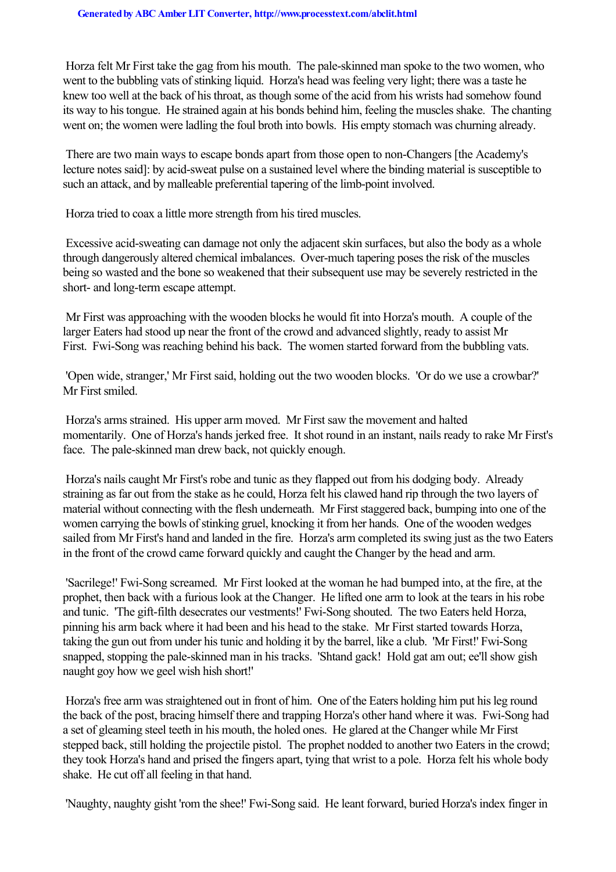Horza felt Mr First take the gag from his mouth. The pale-skinned man spoke to the two women, who went to the bubbling vats of stinking liquid. Horza's head was feeling very light; there was a taste he knew too well at the back of his throat, as though some of the acid from his wrists had somehow found its way to his tongue. He strained again at his bonds behind him, feeling the muscles shake. The chanting went on; the women were ladling the foul broth into bowls. His empty stomach was churning already.

 There are two main ways to escape bonds apart from those open to non-Changers [the Academy's lecture notes said]: by acid-sweat pulse on a sustained level where the binding material is susceptible to such an attack, and by malleable preferential tapering of the limb-point involved.

Horza tried to coax a little more strength from his tired muscles.

 Excessive acid-sweating can damage not only the adjacent skin surfaces, but also the body as a whole through dangerously altered chemical imbalances. Over-much tapering poses the risk of the muscles being so wasted and the bone so weakened that their subsequent use may be severely restricted in the short- and long-term escape attempt.

 Mr First was approaching with the wooden blocks he would fit into Horza's mouth. A couple of the larger Eaters had stood up near the front of the crowd and advanced slightly, ready to assist Mr First. Fwi-Song was reaching behind his back. The women started forward from the bubbling vats.

 'Open wide, stranger,' Mr First said, holding out the two wooden blocks. 'Or do we use a crowbar?' Mr First smiled.

 Horza's arms strained. His upper arm moved. Mr First saw the movement and halted momentarily. One of Horza's hands jerked free. It shot round in an instant, nails ready to rake Mr First's face. The pale-skinned man drew back, not quickly enough.

 Horza's nails caught Mr First's robe and tunic as they flapped out from his dodging body. Already straining as far out from the stake as he could, Horza felt his clawed hand rip through the two layers of material without connecting with the flesh underneath. Mr First staggered back, bumping into one of the women carrying the bowls of stinking gruel, knocking it from her hands. One of the wooden wedges sailed from Mr First's hand and landed in the fire. Horza's arm completed its swing just as the two Eaters in the front of the crowd came forward quickly and caught the Changer by the head and arm.

 'Sacrilege!' Fwi-Song screamed. Mr First looked at the woman he had bumped into, at the fire, at the prophet, then back with a furious look at the Changer. He lifted one arm to look at the tears in his robe and tunic. 'The gift-filth desecrates our vestments!' Fwi-Song shouted. The two Eaters held Horza, pinning his arm back where it had been and his head to the stake. Mr First started towards Horza, taking the gun out from under his tunic and holding it by the barrel, like a club. 'Mr First!' Fwi-Song snapped, stopping the pale-skinned man in his tracks. 'Shtand gack! Hold gat am out; ee'll show gish naught goy how we geel wish hish short!'

 Horza's free arm was straightened out in front of him. One of the Eaters holding him put his leg round the back of the post, bracing himself there and trapping Horza's other hand where it was. Fwi-Song had a set of gleaming steel teeth in his mouth, the holed ones. He glared at the Changer while Mr First stepped back, still holding the projectile pistol. The prophet nodded to another two Eaters in the crowd; they took Horza's hand and prised the fingers apart, tying that wrist to a pole. Horza felt his whole body shake. He cut off all feeling in that hand.

'Naughty, naughty gisht 'rom the shee!' Fwi-Song said. He leant forward, buried Horza's index finger in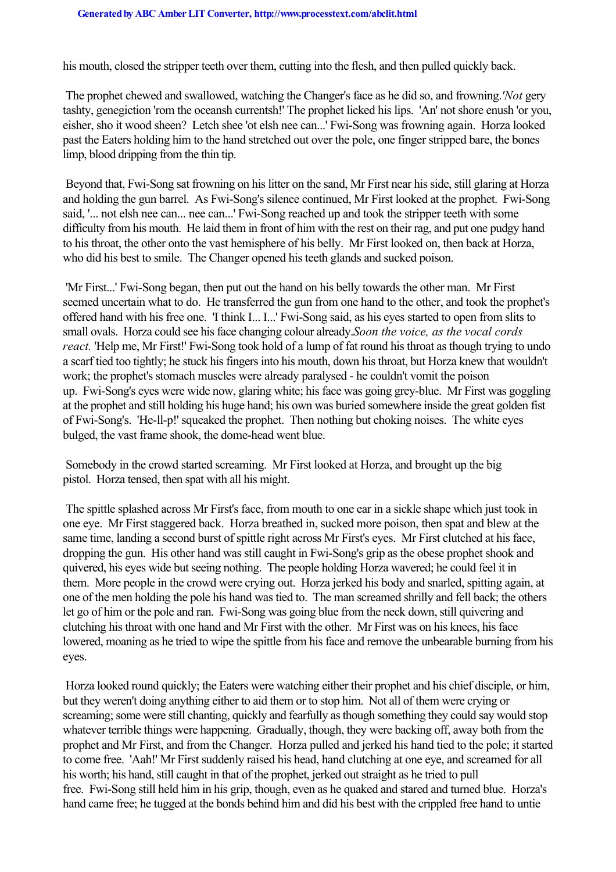his mouth, closed the stripper teeth over them, cutting into the flesh, and then pulled quickly back.

 The prophet chewed and swallowed, watching the Changer's face as he did so, and frowning.*'Not* gery tashty, genegiction 'rom the oceansh currentsh!' The prophet licked his lips. 'An' not shore enush 'or you, eisher, sho it wood sheen? Letch shee 'ot elsh nee can...' Fwi-Song was frowning again. Horza looked past the Eaters holding him to the hand stretched out over the pole, one finger stripped bare, the bones limp, blood dripping from the thin tip.

 Beyond that, Fwi-Song sat frowning on his litter on the sand, Mr First near his side, still glaring at Horza and holding the gun barrel. As Fwi-Song's silence continued, Mr First looked at the prophet. Fwi-Song said, '... not elsh nee can... nee can...' Fwi-Song reached up and took the stripper teeth with some difficulty from his mouth. He laid them in front of him with the rest on their rag, and put one pudgy hand to his throat, the other onto the vast hemisphere of his belly. Mr First looked on, then back at Horza, who did his best to smile. The Changer opened his teeth glands and sucked poison.

 'Mr First...' Fwi-Song began, then put out the hand on his belly towards the other man. Mr First seemed uncertain what to do. He transferred the gun from one hand to the other, and took the prophet's offered hand with his free one. 'I think I... I...' Fwi-Song said, as his eyes started to open from slits to small ovals. Horza could see his face changing colour already.*Soon the voice, as the vocal cords react.* 'Help me, Mr First!' Fwi-Song took hold of a lump of fat round his throat as though trying to undo a scarf tied too tightly; he stuck his fingers into his mouth, down his throat, but Horza knew that wouldn't work; the prophet's stomach muscles were already paralysed - he couldn't vomit the poison up. Fwi-Song's eyes were wide now, glaring white; his face was going grey-blue. Mr First was goggling at the prophet and still holding his huge hand; his own was buried somewhere inside the great golden fist of Fwi-Song's. 'He-ll-p!' squeaked the prophet. Then nothing but choking noises. The white eyes bulged, the vast frame shook, the dome-head went blue.

 Somebody in the crowd started screaming. Mr First looked at Horza, and brought up the big pistol. Horza tensed, then spat with all his might.

 The spittle splashed across Mr First's face, from mouth to one ear in a sickle shape which just took in one eye. Mr First staggered back. Horza breathed in, sucked more poison, then spat and blew at the same time, landing a second burst of spittle right across Mr First's eyes. Mr First clutched at his face, dropping the gun. His other hand was still caught in Fwi-Song's grip as the obese prophet shook and quivered, his eyes wide but seeing nothing. The people holding Horza wavered; he could feel it in them. More people in the crowd were crying out. Horza jerked his body and snarled, spitting again, at one of the men holding the pole his hand was tied to. The man screamed shrilly and fell back; the others let go of him or the pole and ran. Fwi-Song was going blue from the neck down, still quivering and clutching his throat with one hand and Mr First with the other. Mr First was on his knees, his face lowered, moaning as he tried to wipe the spittle from his face and remove the unbearable burning from his eyes.

 Horza looked round quickly; the Eaters were watching either their prophet and his chief disciple, or him, but they weren't doing anything either to aid them or to stop him. Not all of them were crying or screaming; some were still chanting, quickly and fearfully as though something they could say would stop whatever terrible things were happening. Gradually, though, they were backing off, away both from the prophet and Mr First, and from the Changer. Horza pulled and jerked his hand tied to the pole; it started to come free. 'Aah!' Mr First suddenly raised his head, hand clutching at one eye, and screamed for all his worth; his hand, still caught in that of the prophet, jerked out straight as he tried to pull free. Fwi-Song still held him in his grip, though, even as he quaked and stared and turned blue. Horza's hand came free; he tugged at the bonds behind him and did his best with the crippled free hand to untie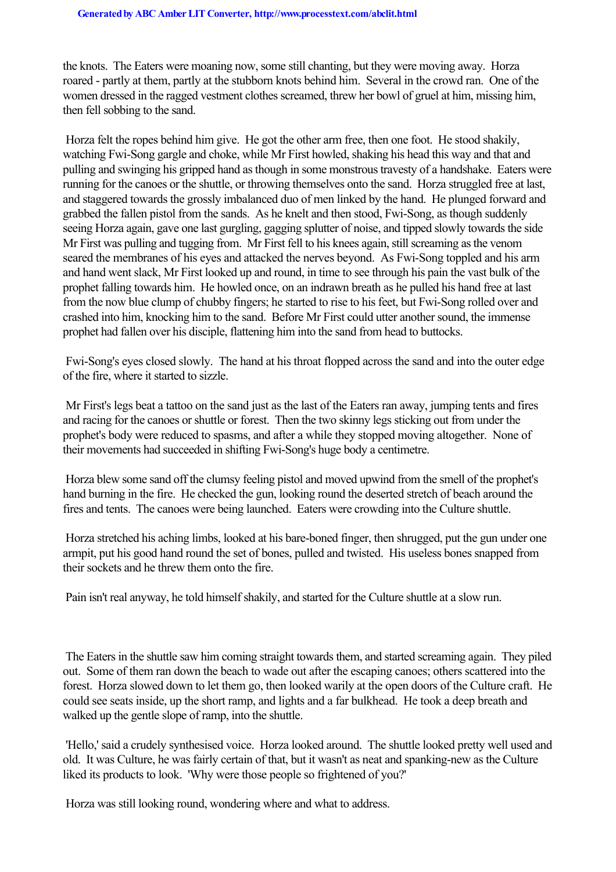the knots. The Eaters were moaning now, some still chanting, but they were moving away. Horza roared - partly at them, partly at the stubborn knots behind him. Several in the crowd ran. One of the women dressed in the ragged vestment clothes screamed, threw her bowl of gruel at him, missing him, then fell sobbing to the sand.

 Horza felt the ropes behind him give. He got the other arm free, then one foot. He stood shakily, watching Fwi-Song gargle and choke, while Mr First howled, shaking his head this way and that and pulling and swinging his gripped hand as though in some monstrous travesty of a handshake. Eaters were running for the canoes or the shuttle, or throwing themselves onto the sand. Horza struggled free at last, and staggered towards the grossly imbalanced duo of men linked by the hand. He plunged forward and grabbed the fallen pistol from the sands. As he knelt and then stood, Fwi-Song, as though suddenly seeing Horza again, gave one last gurgling, gagging splutter of noise, and tipped slowly towards the side Mr First was pulling and tugging from. Mr First fell to his knees again, still screaming as the venom seared the membranes of his eyes and attacked the nerves beyond. As Fwi-Song toppled and his arm and hand went slack, Mr First looked up and round, in time to see through his pain the vast bulk of the prophet falling towards him. He howled once, on an indrawn breath as he pulled his hand free at last from the now blue clump of chubby fingers; he started to rise to his feet, but Fwi-Song rolled over and crashed into him, knocking him to the sand. Before Mr First could utter another sound, the immense prophet had fallen over his disciple, flattening him into the sand from head to buttocks.

 Fwi-Song's eyes closed slowly. The hand at his throat flopped across the sand and into the outer edge of the fire, where it started to sizzle.

 Mr First's legs beat a tattoo on the sand just as the last of the Eaters ran away, jumping tents and fires and racing for the canoes or shuttle or forest. Then the two skinny legs sticking out from under the prophet's body were reduced to spasms, and after a while they stopped moving altogether. None of their movements had succeeded in shifting Fwi-Song's huge body a centimetre.

 Horza blew some sand off the clumsy feeling pistol and moved upwind from the smell of the prophet's hand burning in the fire. He checked the gun, looking round the deserted stretch of beach around the fires and tents. The canoes were being launched. Eaters were crowding into the Culture shuttle.

 Horza stretched his aching limbs, looked at his bare-boned finger, then shrugged, put the gun under one armpit, put his good hand round the set of bones, pulled and twisted. His useless bones snapped from their sockets and he threw them onto the fire.

Pain isn't real anyway, he told himself shakily, and started for the Culture shuttle at a slow run.

 The Eaters in the shuttle saw him coming straight towards them, and started screaming again. They piled out. Some of them ran down the beach to wade out after the escaping canoes; others scattered into the forest. Horza slowed down to let them go, then looked warily at the open doors of the Culture craft. He could see seats inside, up the short ramp, and lights and a far bulkhead. He took a deep breath and walked up the gentle slope of ramp, into the shuttle.

 'Hello,' said a crudely synthesised voice. Horza looked around. The shuttle looked pretty well used and old. It was Culture, he was fairly certain of that, but it wasn't as neat and spanking-new as the Culture liked its products to look. 'Why were those people so frightened of you?'

Horza was still looking round, wondering where and what to address.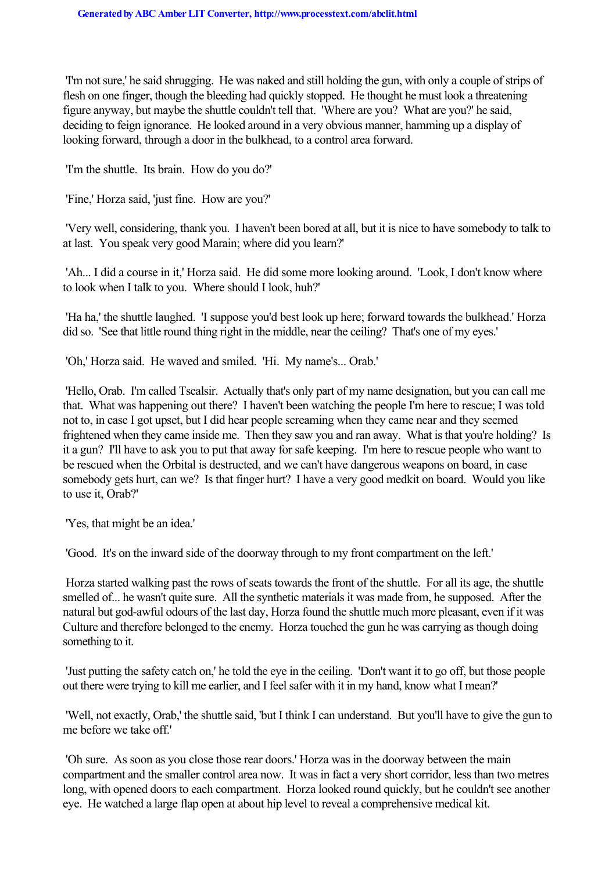'I'm not sure,' he said shrugging. He was naked and still holding the gun, with only a couple of strips of flesh on one finger, though the bleeding had quickly stopped. He thought he must look a threatening figure anyway, but maybe the shuttle couldn't tell that. 'Where are you? What are you?' he said, deciding to feign ignorance. He looked around in a very obvious manner, hamming up a display of looking forward, through a door in the bulkhead, to a control area forward.

'I'm the shuttle. Its brain. How do you do?'

'Fine,' Horza said, 'just fine. How are you?'

 'Very well, considering, thank you. I haven't been bored at all, but it is nice to have somebody to talk to at last. You speak very good Marain; where did you learn?'

 'Ah... I did a course in it,' Horza said. He did some more looking around. 'Look, I don't know where to look when I talk to you. Where should I look, huh?'

 'Ha ha,' the shuttle laughed. 'I suppose you'd best look up here; forward towards the bulkhead.' Horza did so. 'See that little round thing right in the middle, near the ceiling? That's one of my eyes.'

'Oh,' Horza said. He waved and smiled. 'Hi. My name's... Orab.'

 'Hello, Orab. I'm called Tsealsir. Actually that's only part of my name designation, but you can call me that. What was happening out there? I haven't been watching the people I'm here to rescue; I was told not to, in case I got upset, but I did hear people screaming when they came near and they seemed frightened when they came inside me. Then they saw you and ran away. What is that you're holding? Is it a gun? I'll have to ask you to put that away for safe keeping. I'm here to rescue people who want to be rescued when the Orbital is destructed, and we can't have dangerous weapons on board, in case somebody gets hurt, can we? Is that finger hurt? I have a very good medkit on board. Would you like to use it, Orab?'

'Yes, that might be an idea.'

'Good. It's on the inward side of the doorway through to my front compartment on the left.'

 Horza started walking past the rows of seats towards the front of the shuttle. For all its age, the shuttle smelled of... he wasn't quite sure. All the synthetic materials it was made from, he supposed. After the natural but god-awful odours of the last day, Horza found the shuttle much more pleasant, even if it was Culture and therefore belonged to the enemy. Horza touched the gun he was carrying as though doing something to it.

 'Just putting the safety catch on,' he told the eye in the ceiling. 'Don't want it to go off, but those people out there were trying to kill me earlier, and I feel safer with it in my hand, know what I mean?'

 'Well, not exactly, Orab,' the shuttle said, 'but I think I can understand. But you'll have to give the gun to me before we take off.'

 'Oh sure. As soon as you close those rear doors.' Horza was in the doorway between the main compartment and the smaller control area now. It was in fact a very short corridor, less than two metres long, with opened doors to each compartment. Horza looked round quickly, but he couldn't see another eye. He watched a large flap open at about hip level to reveal a comprehensive medical kit.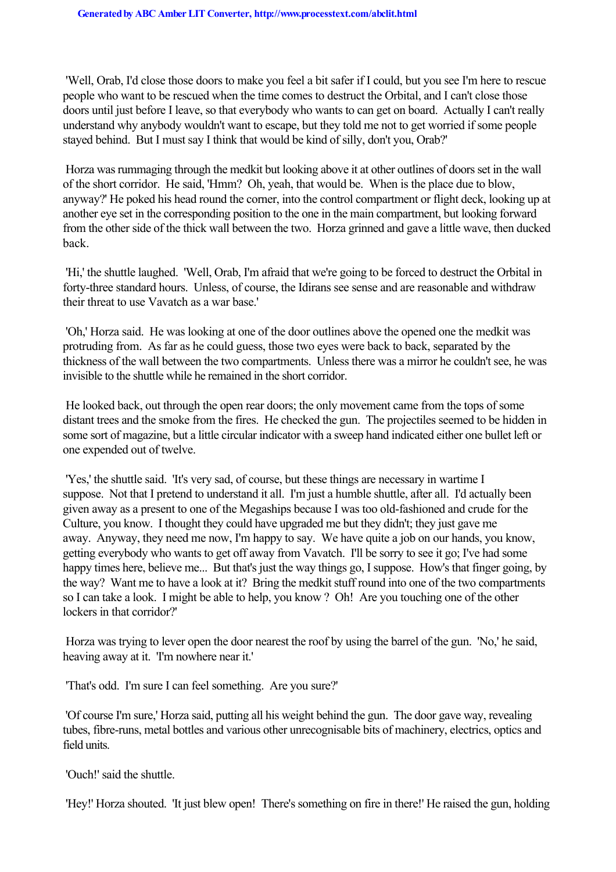'Well, Orab, I'd close those doors to make you feel a bit safer if I could, but you see I'm here to rescue people who want to be rescued when the time comes to destruct the Orbital, and I can't close those doors until just before I leave, so that everybody who wants to can get on board. Actually I can't really understand why anybody wouldn't want to escape, but they told me not to get worried if some people stayed behind. But I must say I think that would be kind of silly, don't you, Orab?'

 Horza was rummaging through the medkit but looking above it at other outlines of doors set in the wall of the short corridor. He said, 'Hmm? Oh, yeah, that would be. When is the place due to blow, anyway?' He poked his head round the corner, into the control compartment or flight deck, looking up at another eye set in the corresponding position to the one in the main compartment, but looking forward from the other side of the thick wall between the two. Horza grinned and gave a little wave, then ducked back.

 'Hi,' the shuttle laughed. 'Well, Orab, I'm afraid that we're going to be forced to destruct the Orbital in forty-three standard hours. Unless, of course, the Idirans see sense and are reasonable and withdraw their threat to use Vavatch as a war base.'

 'Oh,' Horza said. He was looking at one of the door outlines above the opened one the medkit was protruding from. As far as he could guess, those two eyes were back to back, separated by the thickness of the wall between the two compartments. Unless there was a mirror he couldn't see, he was invisible to the shuttle while he remained in the short corridor.

 He looked back, out through the open rear doors; the only movement came from the tops of some distant trees and the smoke from the fires. He checked the gun. The projectiles seemed to be hidden in some sort of magazine, but a little circular indicator with a sweep hand indicated either one bullet left or one expended out of twelve.

 'Yes,' the shuttle said. 'It's very sad, of course, but these things are necessary in wartime I suppose. Not that I pretend to understand it all. I'm just a humble shuttle, after all. I'd actually been given away as a present to one of the Megaships because I was too old-fashioned and crude for the Culture, you know. I thought they could have upgraded me but they didn't; they just gave me away. Anyway, they need me now, I'm happy to say. We have quite a job on our hands, you know, getting everybody who wants to get off away from Vavatch. I'll be sorry to see it go; I've had some happy times here, believe me... But that's just the way things go, I suppose. How's that finger going, by the way? Want me to have a look at it? Bring the medkit stuff round into one of the two compartments so I can take a look. I might be able to help, you know ? Oh! Are you touching one of the other lockers in that corridor?'

 Horza was trying to lever open the door nearest the roof by using the barrel of the gun. 'No,' he said, heaving away at it. 'I'm nowhere near it.'

'That's odd. I'm sure I can feel something. Are you sure?'

 'Of course I'm sure,' Horza said, putting all his weight behind the gun. The door gave way, revealing tubes, fibre-runs, metal bottles and various other unrecognisable bits of machinery, electrics, optics and field units.

'Ouch!' said the shuttle.

'Hey!' Horza shouted. 'It just blew open! There's something on fire in there!' He raised the gun, holding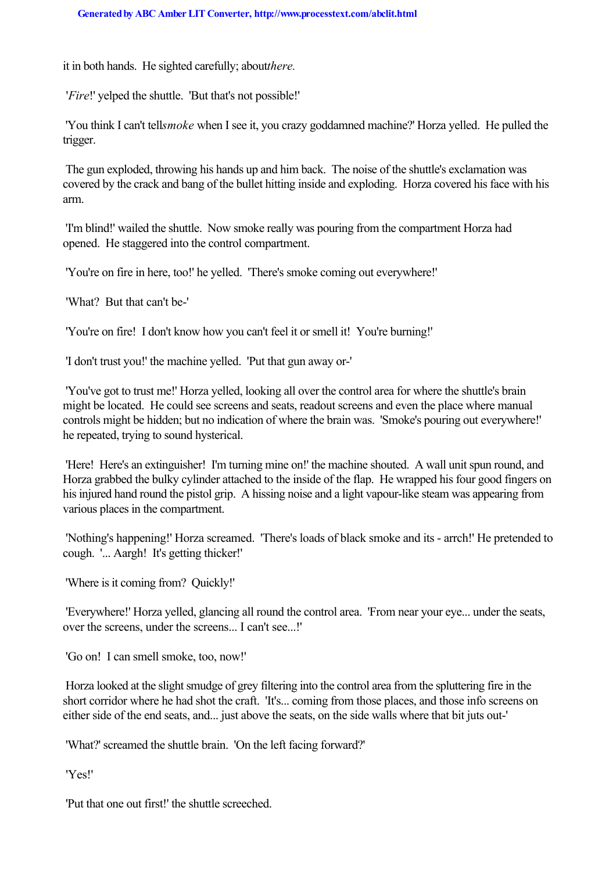#### **Generated by ABC Amber LIT Converter, <http://www.processtext.com/abclit.html>**

it in both hands. He sighted carefully; about*there.*

'*Fire*!' yelped the shuttle. 'But that's not possible!'

 'You think I can't tell*smoke* when I see it, you crazy goddamned machine?' Horza yelled. He pulled the trigger.

 The gun exploded, throwing his hands up and him back. The noise of the shuttle's exclamation was covered by the crack and bang of the bullet hitting inside and exploding. Horza covered his face with his arm.

 'I'm blind!' wailed the shuttle. Now smoke really was pouring from the compartment Horza had opened. He staggered into the control compartment.

'You're on fire in here, too!' he yelled. 'There's smoke coming out everywhere!'

'What? But that can't be-'

'You're on fire! I don't know how you can't feel it or smell it! You're burning!'

'I don't trust you!' the machine yelled. 'Put that gun away or-'

 'You've got to trust me!' Horza yelled, looking all over the control area for where the shuttle's brain might be located. He could see screens and seats, readout screens and even the place where manual controls might be hidden; but no indication of where the brain was. 'Smoke's pouring out everywhere!' he repeated, trying to sound hysterical.

 'Here! Here's an extinguisher! I'm turning mine on!' the machine shouted. A wall unit spun round, and Horza grabbed the bulky cylinder attached to the inside of the flap. He wrapped his four good fingers on his injured hand round the pistol grip. A hissing noise and a light vapour-like steam was appearing from various places in the compartment.

 'Nothing's happening!' Horza screamed. 'There's loads of black smoke and its - arrch!' He pretended to cough. '... Aargh! It's getting thicker!'

'Where is it coming from? Quickly!'

 'Everywhere!' Horza yelled, glancing all round the control area. 'From near your eye... under the seats, over the screens, under the screens... I can't see...!'

'Go on! I can smell smoke, too, now!'

 Horza looked at the slight smudge of grey filtering into the control area from the spluttering fire in the short corridor where he had shot the craft. 'It's... coming from those places, and those info screens on either side of the end seats, and... just above the seats, on the side walls where that bit juts out-'

'What?' screamed the shuttle brain. 'On the left facing forward?'

'Yes!'

'Put that one out first!' the shuttle screeched.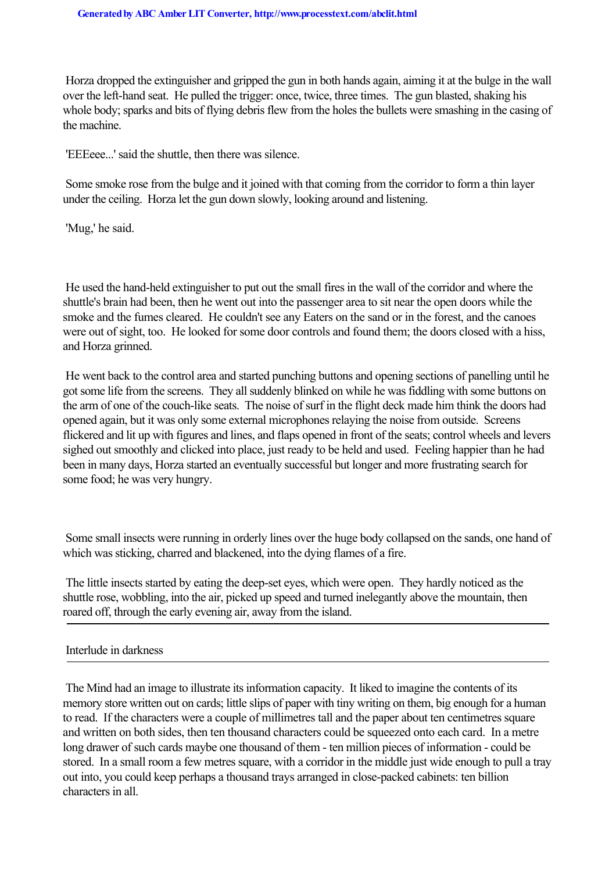Horza dropped the extinguisher and gripped the gun in both hands again, aiming it at the bulge in the wall over the left-hand seat. He pulled the trigger: once, twice, three times. The gun blasted, shaking his whole body; sparks and bits of flying debris flew from the holes the bullets were smashing in the casing of the machine.

'EEEeee...' said the shuttle, then there was silence.

 Some smoke rose from the bulge and it joined with that coming from the corridor to form a thin layer under the ceiling. Horza let the gun down slowly, looking around and listening.

'Mug,' he said.

 He used the hand-held extinguisher to put out the small fires in the wall of the corridor and where the shuttle's brain had been, then he went out into the passenger area to sit near the open doors while the smoke and the fumes cleared. He couldn't see any Eaters on the sand or in the forest, and the canoes were out of sight, too. He looked for some door controls and found them; the doors closed with a hiss, and Horza grinned.

 He went back to the control area and started punching buttons and opening sections of panelling until he got some life from the screens. They all suddenly blinked on while he was fiddling with some buttons on the arm of one of the couch-like seats. The noise of surf in the flight deck made him think the doors had opened again, but it was only some external microphones relaying the noise from outside. Screens flickered and lit up with figures and lines, and flaps opened in front of the seats; control wheels and levers sighed out smoothly and clicked into place, just ready to be held and used. Feeling happier than he had been in many days, Horza started an eventually successful but longer and more frustrating search for some food; he was very hungry.

 Some small insects were running in orderly lines over the huge body collapsed on the sands, one hand of which was sticking, charred and blackened, into the dying flames of a fire.

 The little insects started by eating the deep-set eyes, which were open. They hardly noticed as the shuttle rose, wobbling, into the air, picked up speed and turned inelegantly above the mountain, then roared off, through the early evening air, away from the island.

Interlude in darkness

 The Mind had an image to illustrate its information capacity. It liked to imagine the contents of its memory store written out on cards; little slips of paper with tiny writing on them, big enough for a human to read. If the characters were a couple of millimetres tall and the paper about ten centimetres square and written on both sides, then ten thousand characters could be squeezed onto each card. In a metre long drawer of such cards maybe one thousand of them - ten million pieces of information - could be stored. In a small room a few metres square, with a corridor in the middle just wide enough to pull a tray out into, you could keep perhaps a thousand trays arranged in close-packed cabinets: ten billion characters in all.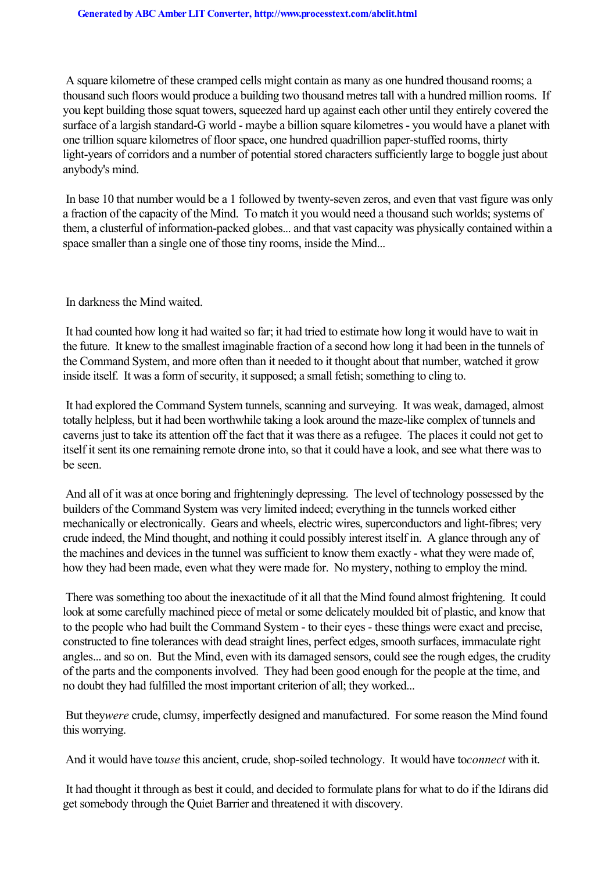A square kilometre of these cramped cells might contain as many as one hundred thousand rooms; a thousand such floors would produce a building two thousand metres tall with a hundred million rooms. If you kept building those squat towers, squeezed hard up against each other until they entirely covered the surface of a largish standard-G world - maybe a billion square kilometres - you would have a planet with one trillion square kilometres of floor space, one hundred quadrillion paper-stuffed rooms, thirty light-years of corridors and a number of potential stored characters sufficiently large to boggle just about anybody's mind.

 In base 10 that number would be a 1 followed by twenty-seven zeros, and even that vast figure was only a fraction of the capacity of the Mind. To match it you would need a thousand such worlds; systems of them, a clusterful of information-packed globes... and that vast capacity was physically contained within a space smaller than a single one of those tiny rooms, inside the Mind...

#### In darkness the Mind waited.

 It had counted how long it had waited so far; it had tried to estimate how long it would have to wait in the future. It knew to the smallest imaginable fraction of a second how long it had been in the tunnels of the Command System, and more often than it needed to it thought about that number, watched it grow inside itself. It was a form of security, it supposed; a small fetish; something to cling to.

 It had explored the Command System tunnels, scanning and surveying. It was weak, damaged, almost totally helpless, but it had been worthwhile taking a look around the maze-like complex of tunnels and caverns just to take its attention off the fact that it was there as a refugee. The places it could not get to itself it sent its one remaining remote drone into, so that it could have a look, and see what there was to be seen.

 And all of it was at once boring and frighteningly depressing. The level of technology possessed by the builders of the Command System was very limited indeed; everything in the tunnels worked either mechanically or electronically. Gears and wheels, electric wires, superconductors and light-fibres; very crude indeed, the Mind thought, and nothing it could possibly interest itself in. A glance through any of the machines and devices in the tunnel was sufficient to know them exactly - what they were made of, how they had been made, even what they were made for. No mystery, nothing to employ the mind.

 There was something too about the inexactitude of it all that the Mind found almost frightening. It could look at some carefully machined piece of metal or some delicately moulded bit of plastic, and know that to the people who had built the Command System - to their eyes - these things were exact and precise, constructed to fine tolerances with dead straight lines, perfect edges, smooth surfaces, immaculate right angles... and so on. But the Mind, even with its damaged sensors, could see the rough edges, the crudity of the parts and the components involved. They had been good enough for the people at the time, and no doubt they had fulfilled the most important criterion of all; they worked...

 But they*were* crude, clumsy, imperfectly designed and manufactured. For some reason the Mind found this worrying.

And it would have to*use* this ancient, crude, shop-soiled technology. It would have to*connect* with it.

 It had thought it through as best it could, and decided to formulate plans for what to do if the Idirans did get somebody through the Quiet Barrier and threatened it with discovery.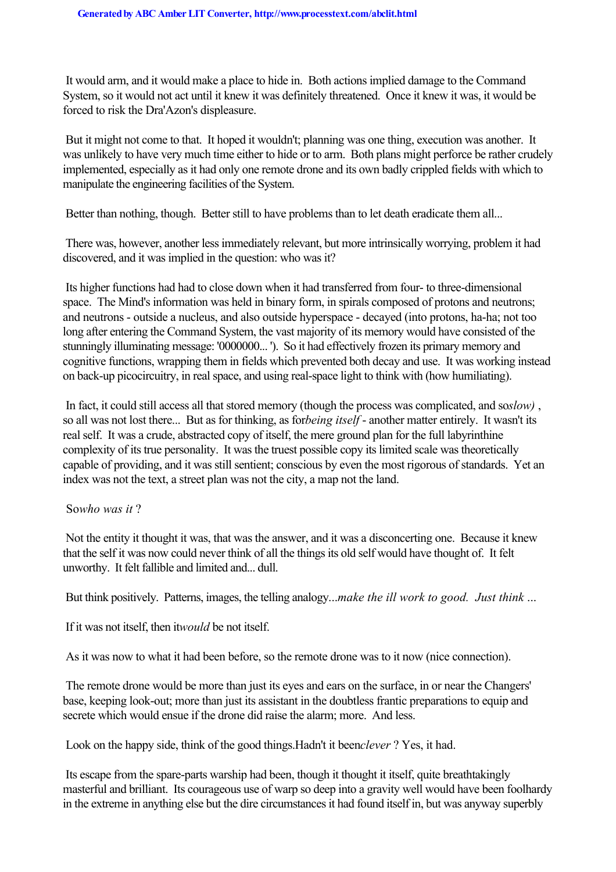It would arm, and it would make a place to hide in. Both actions implied damage to the Command System, so it would not act until it knew it was definitely threatened. Once it knew it was, it would be forced to risk the Dra'Azon's displeasure.

 But it might not come to that. It hoped it wouldn't; planning was one thing, execution was another. It was unlikely to have very much time either to hide or to arm. Both plans might perforce be rather crudely implemented, especially as it had only one remote drone and its own badly crippled fields with which to manipulate the engineering facilities of the System.

Better than nothing, though. Better still to have problems than to let death eradicate them all...

 There was, however, another less immediately relevant, but more intrinsically worrying, problem it had discovered, and it was implied in the question: who was it?

 Its higher functions had had to close down when it had transferred from four- to three-dimensional space. The Mind's information was held in binary form, in spirals composed of protons and neutrons; and neutrons - outside a nucleus, and also outside hyperspace - decayed (into protons, ha-ha; not too long after entering the Command System, the vast majority of its memory would have consisted of the stunningly illuminating message: '0000000... '). So it had effectively frozen its primary memory and cognitive functions, wrapping them in fields which prevented both decay and use. It was working instead on back-up picocircuitry, in real space, and using real-space light to think with (how humiliating).

 In fact, it could still access all that stored memory (though the process was complicated, and so*slow)* , so all was not lost there... But as for thinking, as for*being itself* - another matter entirely. It wasn't its real self. It was a crude, abstracted copy of itself, the mere ground plan for the full labyrinthine complexity of its true personality. It was the truest possible copy its limited scale was theoretically capable of providing, and it was still sentient; conscious by even the most rigorous of standards. Yet an index was not the text, a street plan was not the city, a map not the land.

### So*who was it* ?

 Not the entity it thought it was, that was the answer, and it was a disconcerting one. Because it knew that the self it was now could never think of all the things its old self would have thought of. It felt unworthy. It felt fallible and limited and... dull.

But think positively. Patterns, images, the telling analogy...*make the ill work to good. Just think* ...

If it was not itself, then it*would* be not itself.

As it was now to what it had been before, so the remote drone was to it now (nice connection).

 The remote drone would be more than just its eyes and ears on the surface, in or near the Changers' base, keeping look-out; more than just its assistant in the doubtless frantic preparations to equip and secrete which would ensue if the drone did raise the alarm; more. And less.

Look on the happy side, think of the good things.Hadn't it been*clever* ? Yes, it had.

 Its escape from the spare-parts warship had been, though it thought it itself, quite breathtakingly masterful and brilliant. Its courageous use of warp so deep into a gravity well would have been foolhardy in the extreme in anything else but the dire circumstances it had found itself in, but was anyway superbly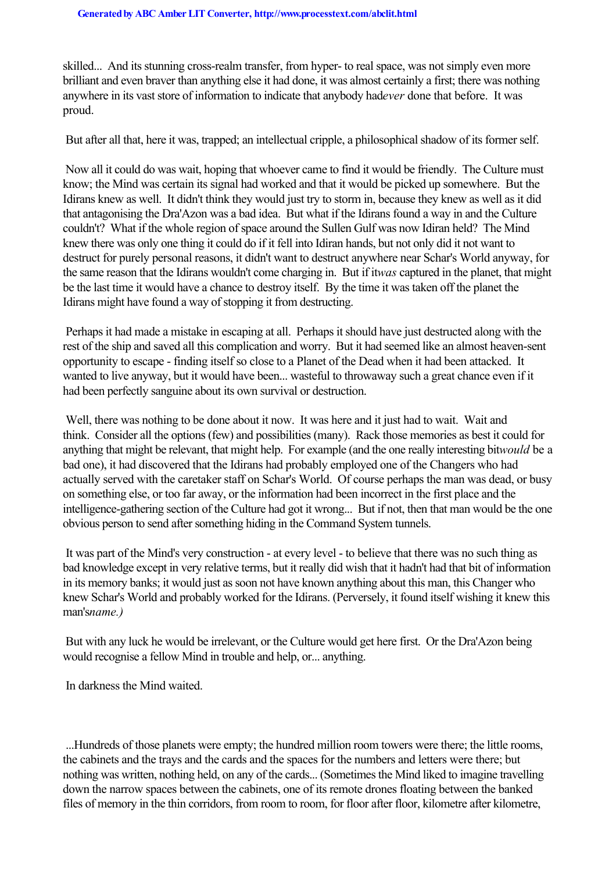skilled... And its stunning cross-realm transfer, from hyper- to real space, was not simply even more brilliant and even braver than anything else it had done, it was almost certainly a first; there was nothing anywhere in its vast store of information to indicate that anybody had*ever* done that before. It was proud.

But after all that, here it was, trapped; an intellectual cripple, a philosophical shadow of its former self.

 Now all it could do was wait, hoping that whoever came to find it would be friendly. The Culture must know; the Mind was certain its signal had worked and that it would be picked up somewhere. But the Idirans knew as well. It didn't think they would just try to storm in, because they knew as well as it did that antagonising the Dra'Azon was a bad idea. But what if the Idirans found a way in and the Culture couldn't? What if the whole region of space around the Sullen Gulf was now Idiran held? The Mind knew there was only one thing it could do if it fell into Idiran hands, but not only did it not want to destruct for purely personal reasons, it didn't want to destruct anywhere near Schar's World anyway, for the same reason that the Idirans wouldn't come charging in. But if it*was* captured in the planet, that might be the last time it would have a chance to destroy itself. By the time it was taken off the planet the Idirans might have found a way of stopping it from destructing.

 Perhaps it had made a mistake in escaping at all. Perhaps it should have just destructed along with the rest of the ship and saved all this complication and worry. But it had seemed like an almost heaven-sent opportunity to escape - finding itself so close to a Planet of the Dead when it had been attacked. It wanted to live anyway, but it would have been... wasteful to throwaway such a great chance even if it had been perfectly sanguine about its own survival or destruction.

 Well, there was nothing to be done about it now. It was here and it just had to wait. Wait and think. Consider all the options (few) and possibilities (many). Rack those memories as best it could for anything that might be relevant, that might help. For example (and the one really interesting bit*would* be a bad one), it had discovered that the Idirans had probably employed one of the Changers who had actually served with the caretaker staff on Schar's World. Of course perhaps the man was dead, or busy on something else, or too far away, or the information had been incorrect in the first place and the intelligence-gathering section of the Culture had got it wrong... But if not, then that man would be the one obvious person to send after something hiding in the Command System tunnels.

 It was part of the Mind's very construction - at every level - to believe that there was no such thing as bad knowledge except in very relative terms, but it really did wish that it hadn't had that bit of information in its memory banks; it would just as soon not have known anything about this man, this Changer who knew Schar's World and probably worked for the Idirans. (Perversely, it found itself wishing it knew this man's*name.)*

 But with any luck he would be irrelevant, or the Culture would get here first. Or the Dra'Azon being would recognise a fellow Mind in trouble and help, or... anything.

In darkness the Mind waited.

 ...Hundreds of those planets were empty; the hundred million room towers were there; the little rooms, the cabinets and the trays and the cards and the spaces for the numbers and letters were there; but nothing was written, nothing held, on any of the cards... (Sometimes the Mind liked to imagine travelling down the narrow spaces between the cabinets, one of its remote drones floating between the banked files of memory in the thin corridors, from room to room, for floor after floor, kilometre after kilometre,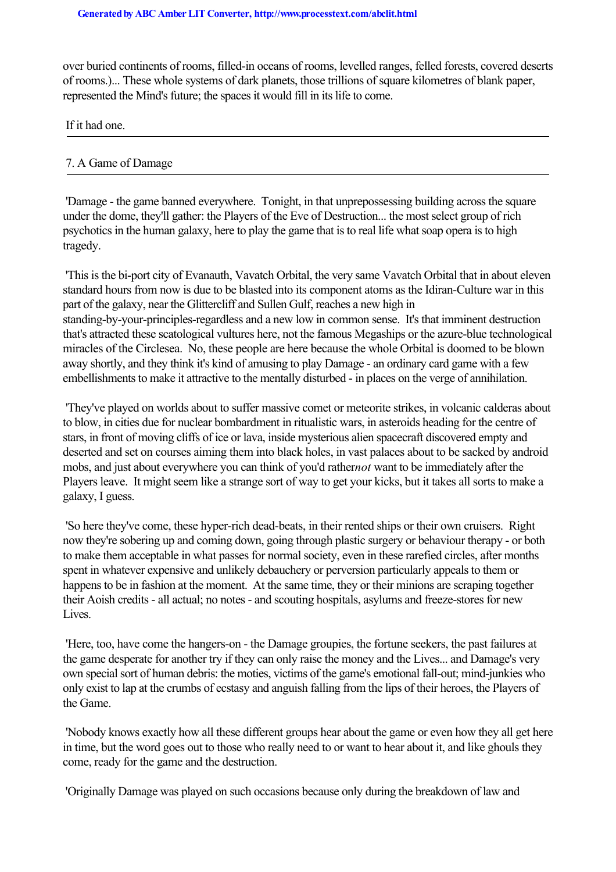over buried continents of rooms, filled-in oceans of rooms, levelled ranges, felled forests, covered deserts of rooms.)... These whole systems of dark planets, those trillions of square kilometres of blank paper, represented the Mind's future; the spaces it would fill in its life to come.

If it had one.

# 7. A Game of Damage

 'Damage - the game banned everywhere. Tonight, in that unprepossessing building across the square under the dome, they'll gather: the Players of the Eve of Destruction... the most select group of rich psychotics in the human galaxy, here to play the game that is to real life what soap opera is to high tragedy.

 'This is the bi-port city of Evanauth, Vavatch Orbital, the very same Vavatch Orbital that in about eleven standard hours from now is due to be blasted into its component atoms as the Idiran-Culture war in this part of the galaxy, near the Glittercliff and Sullen Gulf, reaches a new high in standing-by-your-principles-regardless and a new low in common sense. It's that imminent destruction that's attracted these scatological vultures here, not the famous Megaships or the azure-blue technological miracles of the Circlesea. No, these people are here because the whole Orbital is doomed to be blown away shortly, and they think it's kind of amusing to play Damage - an ordinary card game with a few embellishments to make it attractive to the mentally disturbed - in places on the verge of annihilation.

 'They've played on worlds about to suffer massive comet or meteorite strikes, in volcanic calderas about to blow, in cities due for nuclear bombardment in ritualistic wars, in asteroids heading for the centre of stars, in front of moving cliffs of ice or lava, inside mysterious alien spacecraft discovered empty and deserted and set on courses aiming them into black holes, in vast palaces about to be sacked by android mobs, and just about everywhere you can think of you'd rather*not* want to be immediately after the Players leave. It might seem like a strange sort of way to get your kicks, but it takes all sorts to make a galaxy, I guess.

 'So here they've come, these hyper-rich dead-beats, in their rented ships or their own cruisers. Right now they're sobering up and coming down, going through plastic surgery or behaviour therapy - or both to make them acceptable in what passes for normal society, even in these rarefied circles, after months spent in whatever expensive and unlikely debauchery or perversion particularly appeals to them or happens to be in fashion at the moment. At the same time, they or their minions are scraping together their Aoish credits - all actual; no notes - and scouting hospitals, asylums and freeze-stores for new **Lives**.

 'Here, too, have come the hangers-on - the Damage groupies, the fortune seekers, the past failures at the game desperate for another try if they can only raise the money and the Lives... and Damage's very own special sort of human debris: the moties, victims of the game's emotional fall-out; mind-junkies who only exist to lap at the crumbs of ecstasy and anguish falling from the lips of their heroes, the Players of the Game.

 'Nobody knows exactly how all these different groups hear about the game or even how they all get here in time, but the word goes out to those who really need to or want to hear about it, and like ghouls they come, ready for the game and the destruction.

'Originally Damage was played on such occasions because only during the breakdown of law and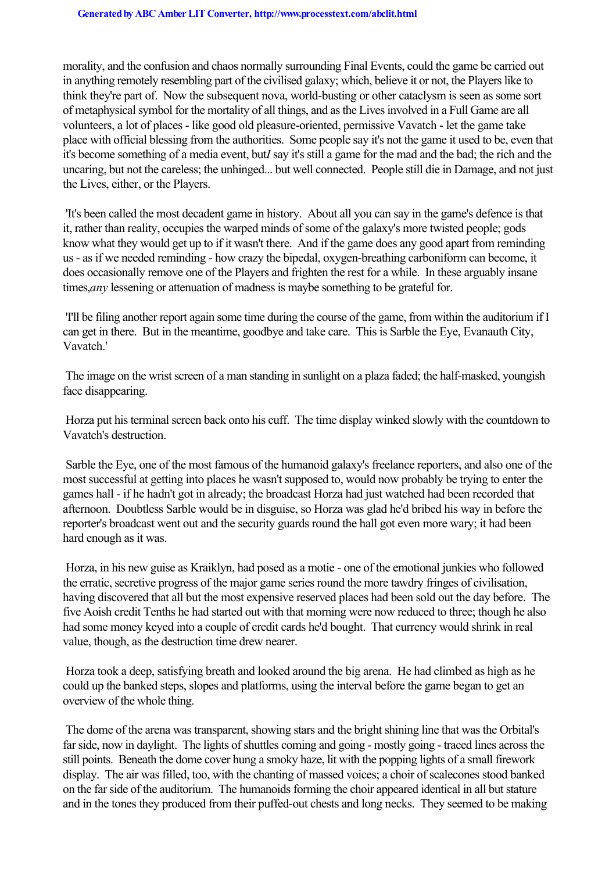morality, and the confusion and chaos normally surrounding Final Events, could the game be carried out in anything remotely resembling part of the civilised galaxy; which, believe it or not, the Players like to think they're part of. Now the subsequent nova, world-busting or other cataclysm is seen as some sort of metaphysical symbol for the mortality of all things, and as the Lives involved in a Full Game are all volunteers, a lot of places - like good old pleasure-oriented, permissive Vavatch - let the game take place with official blessing from the authorities. Some people say it's not the game it used to be, even that it's become something of a media event, but*I* say it's still a game for the mad and the bad; the rich and the uncaring, but not the careless; the unhinged... but well connected. People still die in Damage, and not just the Lives, either, or the Players.

 'It's been called the most decadent game in history. About all you can say in the game's defence is that it, rather than reality, occupies the warped minds of some of the galaxy's more twisted people; gods know what they would get up to if it wasn't there. And if the game does any good apart from reminding us - as if we needed reminding - how crazy the bipedal, oxygen-breathing carboniform can become, it does occasionally remove one of the Players and frighten the rest for a while. In these arguably insane times,*any* lessening or attenuation of madness is maybe something to be grateful for.

 'I'll be filing another report again some time during the course of the game, from within the auditorium if I can get in there. But in the meantime, goodbye and take care. This is Sarble the Eye, Evanauth City, Vavatch.'

 The image on the wrist screen of a man standing in sunlight on a plaza faded; the half-masked, youngish face disappearing.

 Horza put his terminal screen back onto his cuff. The time display winked slowly with the countdown to Vavatch's destruction.

 Sarble the Eye, one of the most famous of the humanoid galaxy's freelance reporters, and also one of the most successful at getting into places he wasn't supposed to, would now probably be trying to enter the games hall - if he hadn't got in already; the broadcast Horza had just watched had been recorded that afternoon. Doubtless Sarble would be in disguise, so Horza was glad he'd bribed his way in before the reporter's broadcast went out and the security guards round the hall got even more wary; it had been hard enough as it was.

 Horza, in his new guise as Kraiklyn, had posed as a motie - one of the emotional junkies who followed the erratic, secretive progress of the major game series round the more tawdry fringes of civilisation, having discovered that all but the most expensive reserved places had been sold out the day before. The five Aoish credit Tenths he had started out with that morning were now reduced to three; though he also had some money keyed into a couple of credit cards he'd bought. That currency would shrink in real value, though, as the destruction time drew nearer.

 Horza took a deep, satisfying breath and looked around the big arena. He had climbed as high as he could up the banked steps, slopes and platforms, using the interval before the game began to get an overview of the whole thing.

 The dome of the arena was transparent, showing stars and the bright shining line that was the Orbital's far side, now in daylight. The lights of shuttles coming and going - mostly going - traced lines across the still points. Beneath the dome cover hung a smoky haze, lit with the popping lights of a small firework display. The air was filled, too, with the chanting of massed voices; a choir of scalecones stood banked on the far side of the auditorium. The humanoids forming the choir appeared identical in all but stature and in the tones they produced from their puffed-out chests and long necks. They seemed to be making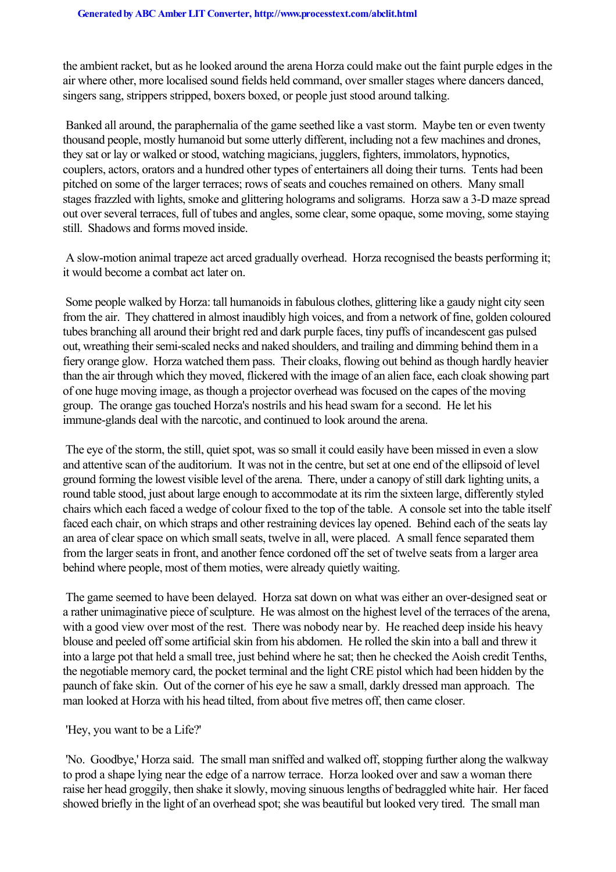the ambient racket, but as he looked around the arena Horza could make out the faint purple edges in the air where other, more localised sound fields held command, over smaller stages where dancers danced, singers sang, strippers stripped, boxers boxed, or people just stood around talking.

 Banked all around, the paraphernalia of the game seethed like a vast storm. Maybe ten or even twenty thousand people, mostly humanoid but some utterly different, including not a few machines and drones, they sat or lay or walked or stood, watching magicians, jugglers, fighters, immolators, hypnotics, couplers, actors, orators and a hundred other types of entertainers all doing their turns. Tents had been pitched on some of the larger terraces; rows of seats and couches remained on others. Many small stages frazzled with lights, smoke and glittering holograms and soligrams. Horza saw a 3-D maze spread out over several terraces, full of tubes and angles, some clear, some opaque, some moving, some staying still. Shadows and forms moved inside.

 A slow-motion animal trapeze act arced gradually overhead. Horza recognised the beasts performing it; it would become a combat act later on.

 Some people walked by Horza: tall humanoids in fabulous clothes, glittering like a gaudy night city seen from the air. They chattered in almost inaudibly high voices, and from a network of fine, golden coloured tubes branching all around their bright red and dark purple faces, tiny puffs of incandescent gas pulsed out, wreathing their semi-scaled necks and naked shoulders, and trailing and dimming behind them in a fiery orange glow. Horza watched them pass. Their cloaks, flowing out behind as though hardly heavier than the air through which they moved, flickered with the image of an alien face, each cloak showing part of one huge moving image, as though a projector overhead was focused on the capes of the moving group. The orange gas touched Horza's nostrils and his head swam for a second. He let his immune-glands deal with the narcotic, and continued to look around the arena.

The eye of the storm, the still, quiet spot, was so small it could easily have been missed in even a slow and attentive scan of the auditorium. It was not in the centre, but set at one end of the ellipsoid of level ground forming the lowest visible level of the arena. There, under a canopy of still dark lighting units, a round table stood, just about large enough to accommodate at its rim the sixteen large, differently styled chairs which each faced a wedge of colour fixed to the top of the table. A console set into the table itself faced each chair, on which straps and other restraining devices lay opened. Behind each of the seats lay an area of clear space on which small seats, twelve in all, were placed. A small fence separated them from the larger seats in front, and another fence cordoned off the set of twelve seats from a larger area behind where people, most of them moties, were already quietly waiting.

 The game seemed to have been delayed. Horza sat down on what was either an over-designed seat or a rather unimaginative piece of sculpture. He was almost on the highest level of the terraces of the arena, with a good view over most of the rest. There was nobody near by. He reached deep inside his heavy blouse and peeled off some artificial skin from his abdomen. He rolled the skin into a ball and threw it into a large pot that held a small tree, just behind where he sat; then he checked the Aoish credit Tenths, the negotiable memory card, the pocket terminal and the light CRE pistol which had been hidden by the paunch of fake skin. Out of the corner of his eye he saw a small, darkly dressed man approach. The man looked at Horza with his head tilted, from about five metres off, then came closer.

# 'Hey, you want to be a Life?'

 'No. Goodbye,' Horza said. The small man sniffed and walked off, stopping further along the walkway to prod a shape lying near the edge of a narrow terrace. Horza looked over and saw a woman there raise her head groggily, then shake it slowly, moving sinuous lengths of bedraggled white hair. Her faced showed briefly in the light of an overhead spot; she was beautiful but looked very tired. The small man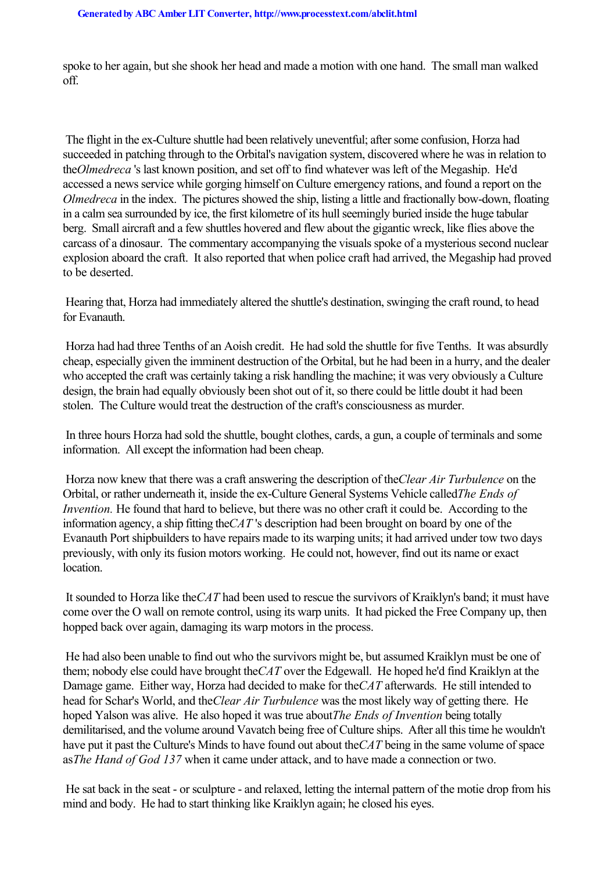spoke to her again, but she shook her head and made a motion with one hand. The small man walked off.

 The flight in the ex-Culture shuttle had been relatively uneventful; after some confusion, Horza had succeeded in patching through to the Orbital's navigation system, discovered where he was in relation to the*Olmedreca* 's last known position, and set off to find whatever was left of the Megaship. He'd accessed a news service while gorging himself on Culture emergency rations, and found a report on the *Olmedreca* in the index. The pictures showed the ship, listing a little and fractionally bow-down, floating in a calm sea surrounded by ice, the first kilometre of its hull seemingly buried inside the huge tabular berg. Small aircraft and a few shuttles hovered and flew about the gigantic wreck, like flies above the carcass of a dinosaur. The commentary accompanying the visuals spoke of a mysterious second nuclear explosion aboard the craft. It also reported that when police craft had arrived, the Megaship had proved to be deserted.

 Hearing that, Horza had immediately altered the shuttle's destination, swinging the craft round, to head for Evanauth.

 Horza had had three Tenths of an Aoish credit. He had sold the shuttle for five Tenths. It was absurdly cheap, especially given the imminent destruction of the Orbital, but he had been in a hurry, and the dealer who accepted the craft was certainly taking a risk handling the machine; it was very obviously a Culture design, the brain had equally obviously been shot out of it, so there could be little doubt it had been stolen. The Culture would treat the destruction of the craft's consciousness as murder.

 In three hours Horza had sold the shuttle, bought clothes, cards, a gun, a couple of terminals and some information. All except the information had been cheap.

 Horza now knew that there was a craft answering the description of the*Clear Air Turbulence* on the Orbital, or rather underneath it, inside the ex-Culture General Systems Vehicle called*The Ends of Invention*. He found that hard to believe, but there was no other craft it could be. According to the information agency, a ship fitting the*CAT* 's description had been brought on board by one of the Evanauth Port shipbuilders to have repairs made to its warping units; it had arrived under tow two days previously, with only its fusion motors working. He could not, however, find out its name or exact **location** 

 It sounded to Horza like the*CAT* had been used to rescue the survivors of Kraiklyn's band; it must have come over the O wall on remote control, using its warp units. It had picked the Free Company up, then hopped back over again, damaging its warp motors in the process.

 He had also been unable to find out who the survivors might be, but assumed Kraiklyn must be one of them; nobody else could have brought the*CAT* over the Edgewall. He hoped he'd find Kraiklyn at the Damage game. Either way, Horza had decided to make for the*CAT* afterwards. He still intended to head for Schar's World, and the*Clear Air Turbulence* was the most likely way of getting there. He hoped Yalson was alive. He also hoped it was true about*The Ends of Invention* being totally demilitarised, and the volume around Vavatch being free of Culture ships. After all this time he wouldn't have put it past the Culture's Minds to have found out about the*CAT* being in the same volume of space as*The Hand of God 137* when it came under attack, and to have made a connection or two.

 He sat back in the seat - or sculpture - and relaxed, letting the internal pattern of the motie drop from his mind and body. He had to start thinking like Kraiklyn again; he closed his eyes.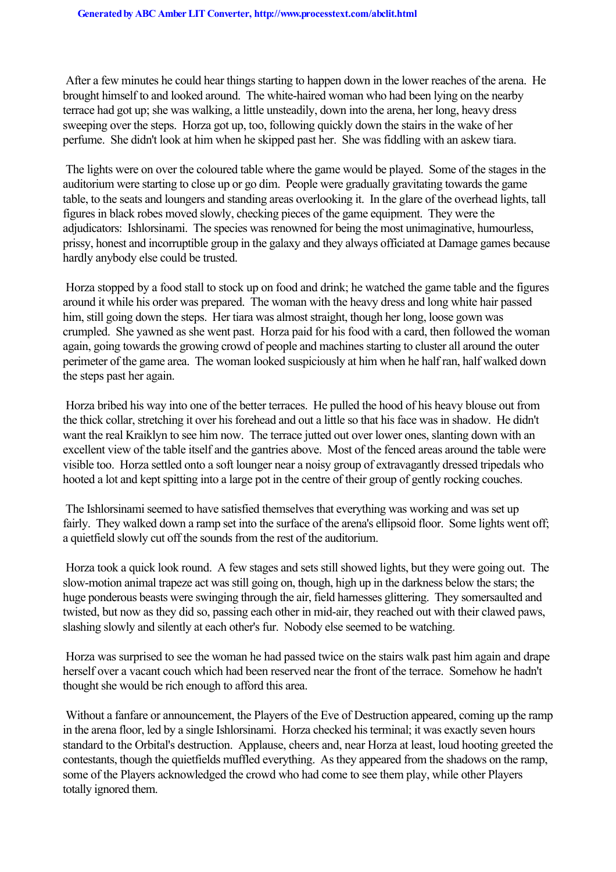After a few minutes he could hear things starting to happen down in the lower reaches of the arena. He brought himself to and looked around. The white-haired woman who had been lying on the nearby terrace had got up; she was walking, a little unsteadily, down into the arena, her long, heavy dress sweeping over the steps. Horza got up, too, following quickly down the stairs in the wake of her perfume. She didn't look at him when he skipped past her. She was fiddling with an askew tiara.

 The lights were on over the coloured table where the game would be played. Some of the stages in the auditorium were starting to close up or go dim. People were gradually gravitating towards the game table, to the seats and loungers and standing areas overlooking it. In the glare of the overhead lights, tall figures in black robes moved slowly, checking pieces of the game equipment. They were the adjudicators: Ishlorsinami. The species was renowned for being the most unimaginative, humourless, prissy, honest and incorruptible group in the galaxy and they always officiated at Damage games because hardly anybody else could be trusted.

 Horza stopped by a food stall to stock up on food and drink; he watched the game table and the figures around it while his order was prepared. The woman with the heavy dress and long white hair passed him, still going down the steps. Her tiara was almost straight, though her long, loose gown was crumpled. She yawned as she went past. Horza paid for his food with a card, then followed the woman again, going towards the growing crowd of people and machines starting to cluster all around the outer perimeter of the game area. The woman looked suspiciously at him when he half ran, half walked down the steps past her again.

 Horza bribed his way into one of the better terraces. He pulled the hood of his heavy blouse out from the thick collar, stretching it over his forehead and out a little so that his face was in shadow. He didn't want the real Kraiklyn to see him now. The terrace jutted out over lower ones, slanting down with an excellent view of the table itself and the gantries above. Most of the fenced areas around the table were visible too. Horza settled onto a soft lounger near a noisy group of extravagantly dressed tripedals who hooted a lot and kept spitting into a large pot in the centre of their group of gently rocking couches.

 The Ishlorsinami seemed to have satisfied themselves that everything was working and was set up fairly. They walked down a ramp set into the surface of the arena's ellipsoid floor. Some lights went off; a quietfield slowly cut off the sounds from the rest of the auditorium.

 Horza took a quick look round. A few stages and sets still showed lights, but they were going out. The slow-motion animal trapeze act was still going on, though, high up in the darkness below the stars; the huge ponderous beasts were swinging through the air, field harnesses glittering. They somersaulted and twisted, but now as they did so, passing each other in mid-air, they reached out with their clawed paws, slashing slowly and silently at each other's fur. Nobody else seemed to be watching.

 Horza was surprised to see the woman he had passed twice on the stairs walk past him again and drape herself over a vacant couch which had been reserved near the front of the terrace. Somehow he hadn't thought she would be rich enough to afford this area.

 Without a fanfare or announcement, the Players of the Eve of Destruction appeared, coming up the ramp in the arena floor, led by a single Ishlorsinami. Horza checked his terminal; it was exactly seven hours standard to the Orbital's destruction. Applause, cheers and, near Horza at least, loud hooting greeted the contestants, though the quietfields muffled everything. As they appeared from the shadows on the ramp, some of the Players acknowledged the crowd who had come to see them play, while other Players totally ignored them.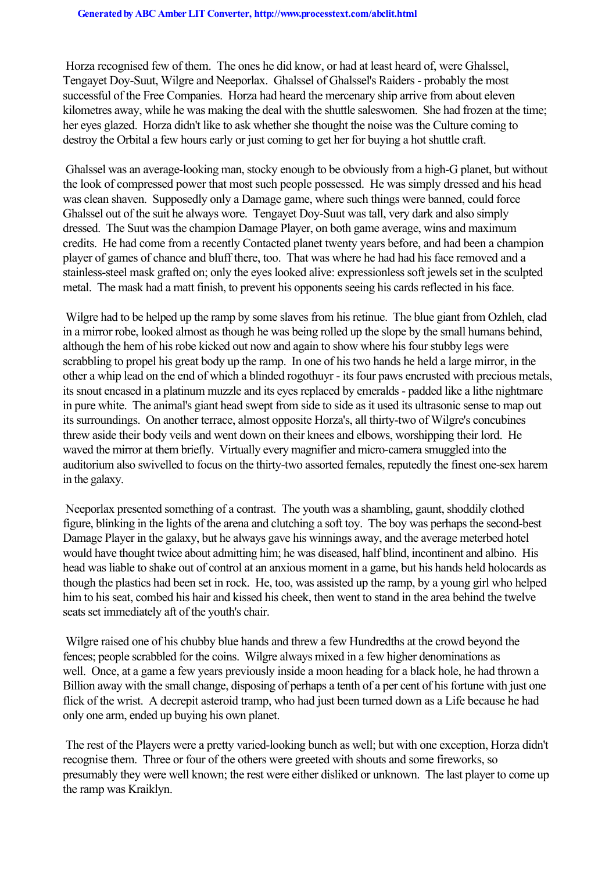Horza recognised few of them. The ones he did know, or had at least heard of, were Ghalssel, Tengayet Doy-Suut, Wilgre and Neeporlax. Ghalssel of Ghalssel's Raiders - probably the most successful of the Free Companies. Horza had heard the mercenary ship arrive from about eleven kilometres away, while he was making the deal with the shuttle saleswomen. She had frozen at the time; her eyes glazed. Horza didn't like to ask whether she thought the noise was the Culture coming to destroy the Orbital a few hours early or just coming to get her for buying a hot shuttle craft.

 Ghalssel was an average-looking man, stocky enough to be obviously from a high-G planet, but without the look of compressed power that most such people possessed. He was simply dressed and his head was clean shaven. Supposedly only a Damage game, where such things were banned, could force Ghalssel out of the suit he always wore. Tengayet Doy-Suut was tall, very dark and also simply dressed. The Suut was the champion Damage Player, on both game average, wins and maximum credits. He had come from a recently Contacted planet twenty years before, and had been a champion player of games of chance and bluff there, too. That was where he had had his face removed and a stainless-steel mask grafted on; only the eyes looked alive: expressionless soft jewels set in the sculpted metal. The mask had a matt finish, to prevent his opponents seeing his cards reflected in his face.

 Wilgre had to be helped up the ramp by some slaves from his retinue. The blue giant from Ozhleh, clad in a mirror robe, looked almost as though he was being rolled up the slope by the small humans behind, although the hem of his robe kicked out now and again to show where his four stubby legs were scrabbling to propel his great body up the ramp. In one of his two hands he held a large mirror, in the other a whip lead on the end of which a blinded rogothuyr - its four paws encrusted with precious metals, its snout encased in a platinum muzzle and its eyes replaced by emeralds - padded like a lithe nightmare in pure white. The animal's giant head swept from side to side as it used its ultrasonic sense to map out its surroundings. On another terrace, almost opposite Horza's, all thirty-two of Wilgre's concubines threw aside their body veils and went down on their knees and elbows, worshipping their lord. He waved the mirror at them briefly. Virtually every magnifier and micro-camera smuggled into the auditorium also swivelled to focus on the thirty-two assorted females, reputedly the finest one-sex harem in the galaxy.

 Neeporlax presented something of a contrast. The youth was a shambling, gaunt, shoddily clothed figure, blinking in the lights of the arena and clutching a soft toy. The boy was perhaps the second-best Damage Player in the galaxy, but he always gave his winnings away, and the average meterbed hotel would have thought twice about admitting him; he was diseased, half blind, incontinent and albino. His head was liable to shake out of control at an anxious moment in a game, but his hands held holocards as though the plastics had been set in rock. He, too, was assisted up the ramp, by a young girl who helped him to his seat, combed his hair and kissed his cheek, then went to stand in the area behind the twelve seats set immediately aft of the youth's chair.

 Wilgre raised one of his chubby blue hands and threw a few Hundredths at the crowd beyond the fences; people scrabbled for the coins. Wilgre always mixed in a few higher denominations as well. Once, at a game a few years previously inside a moon heading for a black hole, he had thrown a Billion away with the small change, disposing of perhaps a tenth of a per cent of his fortune with just one flick of the wrist. A decrepit asteroid tramp, who had just been turned down as a Life because he had only one arm, ended up buying his own planet.

 The rest of the Players were a pretty varied-looking bunch as well; but with one exception, Horza didn't recognise them. Three or four of the others were greeted with shouts and some fireworks, so presumably they were well known; the rest were either disliked or unknown. The last player to come up the ramp was Kraiklyn.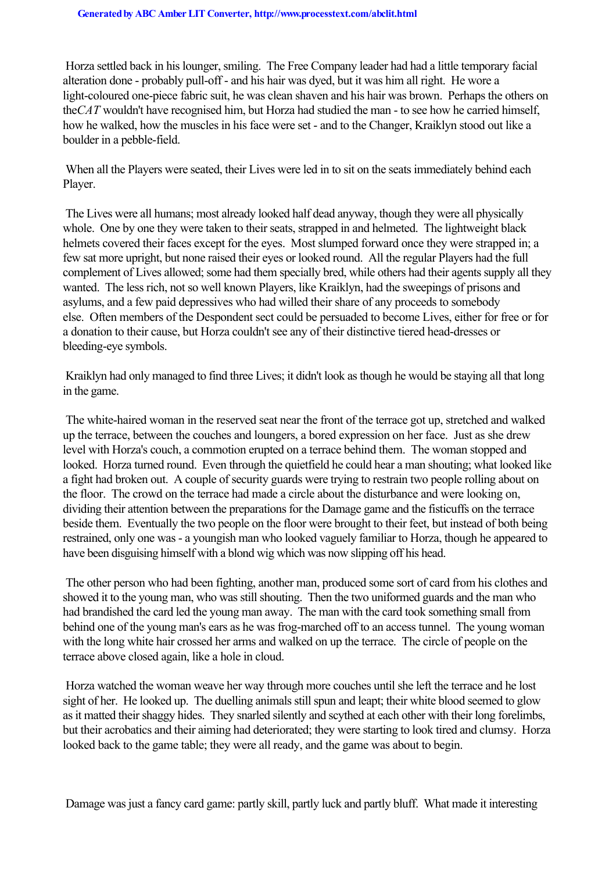Horza settled back in his lounger, smiling. The Free Company leader had had a little temporary facial alteration done - probably pull-off - and his hair was dyed, but it was him all right. He wore a light-coloured one-piece fabric suit, he was clean shaven and his hair was brown. Perhaps the others on the*CAT* wouldn't have recognised him, but Horza had studied the man - to see how he carried himself, how he walked, how the muscles in his face were set - and to the Changer, Kraiklyn stood out like a boulder in a pebble-field.

When all the Players were seated, their Lives were led in to sit on the seats immediately behind each Player.

 The Lives were all humans; most already looked half dead anyway, though they were all physically whole. One by one they were taken to their seats, strapped in and helmeted. The lightweight black helmets covered their faces except for the eyes. Most slumped forward once they were strapped in; a few sat more upright, but none raised their eyes or looked round. All the regular Players had the full complement of Lives allowed; some had them specially bred, while others had their agents supply all they wanted. The less rich, not so well known Players, like Kraiklyn, had the sweepings of prisons and asylums, and a few paid depressives who had willed their share of any proceeds to somebody else. Often members of the Despondent sect could be persuaded to become Lives, either for free or for a donation to their cause, but Horza couldn't see any of their distinctive tiered head-dresses or bleeding-eye symbols.

 Kraiklyn had only managed to find three Lives; it didn't look as though he would be staying all that long in the game.

 The white-haired woman in the reserved seat near the front of the terrace got up, stretched and walked up the terrace, between the couches and loungers, a bored expression on her face. Just as she drew level with Horza's couch, a commotion erupted on a terrace behind them. The woman stopped and looked. Horza turned round. Even through the quietfield he could hear a man shouting; what looked like a fight had broken out. A couple of security guards were trying to restrain two people rolling about on the floor. The crowd on the terrace had made a circle about the disturbance and were looking on dividing their attention between the preparations for the Damage game and the fisticuffs on the terrace beside them. Eventually the two people on the floor were brought to their feet, but instead of both being restrained, only one was - a youngish man who looked vaguely familiar to Horza, though he appeared to have been disguising himself with a blond wig which was now slipping off his head.

 The other person who had been fighting, another man, produced some sort of card from his clothes and showed it to the young man, who was still shouting. Then the two uniformed guards and the man who had brandished the card led the young man away. The man with the card took something small from behind one of the young man's ears as he was frog-marched off to an access tunnel. The young woman with the long white hair crossed her arms and walked on up the terrace. The circle of people on the terrace above closed again, like a hole in cloud.

 Horza watched the woman weave her way through more couches until she left the terrace and he lost sight of her. He looked up. The duelling animals still spun and leapt; their white blood seemed to glow as it matted their shaggy hides. They snarled silently and scythed at each other with their long forelimbs, but their acrobatics and their aiming had deteriorated; they were starting to look tired and clumsy. Horza looked back to the game table; they were all ready, and the game was about to begin.

Damage was just a fancy card game: partly skill, partly luck and partly bluff. What made it interesting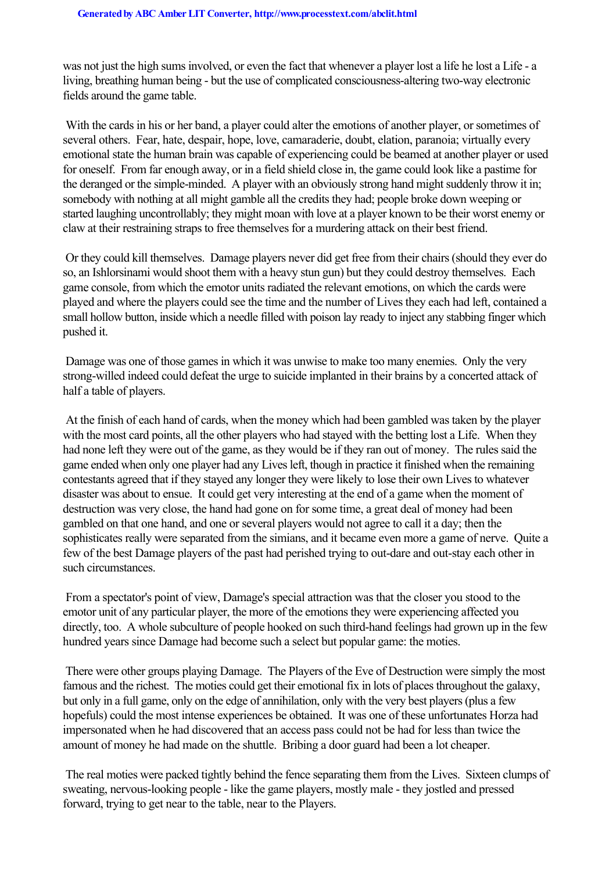was not just the high sums involved, or even the fact that whenever a player lost a life he lost a Life - a living, breathing human being - but the use of complicated consciousness-altering two-way electronic fields around the game table.

 With the cards in his or her band, a player could alter the emotions of another player, or sometimes of several others. Fear, hate, despair, hope, love, camaraderie, doubt, elation, paranoia; virtually every emotional state the human brain was capable of experiencing could be beamed at another player or used for oneself. From far enough away, or in a field shield close in, the game could look like a pastime for the deranged or the simple-minded. A player with an obviously strong hand might suddenly throw it in; somebody with nothing at all might gamble all the credits they had; people broke down weeping or started laughing uncontrollably; they might moan with love at a player known to be their worst enemy or claw at their restraining straps to free themselves for a murdering attack on their best friend.

 Or they could kill themselves. Damage players never did get free from their chairs (should they ever do so, an Ishlorsinami would shoot them with a heavy stun gun) but they could destroy themselves. Each game console, from which the emotor units radiated the relevant emotions, on which the cards were played and where the players could see the time and the number of Lives they each had left, contained a small hollow button, inside which a needle filled with poison lay ready to inject any stabbing finger which pushed it.

 Damage was one of those games in which it was unwise to make too many enemies. Only the very strong-willed indeed could defeat the urge to suicide implanted in their brains by a concerted attack of half a table of players.

 At the finish of each hand of cards, when the money which had been gambled was taken by the player with the most card points, all the other players who had stayed with the betting lost a Life. When they had none left they were out of the game, as they would be if they ran out of money. The rules said the game ended when only one player had any Lives left, though in practice it finished when the remaining contestants agreed that if they stayed any longer they were likely to lose their own Lives to whatever disaster was about to ensue. It could get very interesting at the end of a game when the moment of destruction was very close, the hand had gone on for some time, a great deal of money had been gambled on that one hand, and one or several players would not agree to call it a day; then the sophisticates really were separated from the simians, and it became even more a game of nerve. Quite a few of the best Damage players of the past had perished trying to out-dare and out-stay each other in such circumstances.

 From a spectator's point of view, Damage's special attraction was that the closer you stood to the emotor unit of any particular player, the more of the emotions they were experiencing affected you directly, too. A whole subculture of people hooked on such third-hand feelings had grown up in the few hundred years since Damage had become such a select but popular game: the moties.

 There were other groups playing Damage. The Players of the Eve of Destruction were simply the most famous and the richest. The moties could get their emotional fix in lots of places throughout the galaxy, but only in a full game, only on the edge of annihilation, only with the very best players (plus a few hopefuls) could the most intense experiences be obtained. It was one of these unfortunates Horza had impersonated when he had discovered that an access pass could not be had for less than twice the amount of money he had made on the shuttle. Bribing a door guard had been a lot cheaper.

 The real moties were packed tightly behind the fence separating them from the Lives. Sixteen clumps of sweating, nervous-looking people - like the game players, mostly male - they jostled and pressed forward, trying to get near to the table, near to the Players.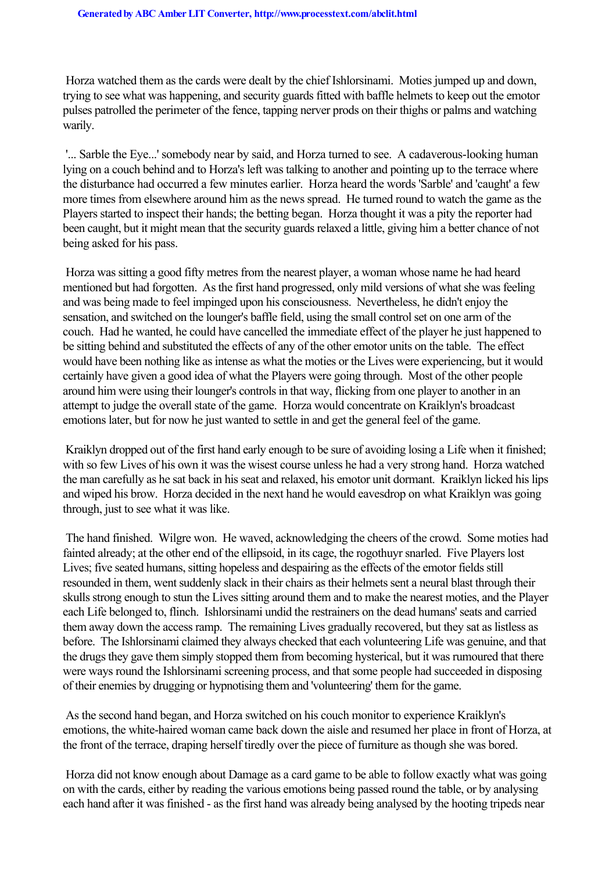Horza watched them as the cards were dealt by the chief Ishlorsinami. Moties jumped up and down, trying to see what was happening, and security guards fitted with baffle helmets to keep out the emotor pulses patrolled the perimeter of the fence, tapping nerver prods on their thighs or palms and watching warily.

 '... Sarble the Eye...' somebody near by said, and Horza turned to see. A cadaverous-looking human lying on a couch behind and to Horza's left was talking to another and pointing up to the terrace where the disturbance had occurred a few minutes earlier. Horza heard the words 'Sarble' and 'caught' a few more times from elsewhere around him as the news spread. He turned round to watch the game as the Players started to inspect their hands; the betting began. Horza thought it was a pity the reporter had been caught, but it might mean that the security guards relaxed a little, giving him a better chance of not being asked for his pass.

 Horza was sitting a good fifty metres from the nearest player, a woman whose name he had heard mentioned but had forgotten. As the first hand progressed, only mild versions of what she was feeling and was being made to feel impinged upon his consciousness. Nevertheless, he didn't enjoy the sensation, and switched on the lounger's baffle field, using the small control set on one arm of the couch. Had he wanted, he could have cancelled the immediate effect of the player he just happened to be sitting behind and substituted the effects of any of the other emotor units on the table. The effect would have been nothing like as intense as what the moties or the Lives were experiencing, but it would certainly have given a good idea of what the Players were going through. Most of the other people around him were using their lounger's controls in that way, flicking from one player to another in an attempt to judge the overall state of the game. Horza would concentrate on Kraiklyn's broadcast emotions later, but for now he just wanted to settle in and get the general feel of the game.

 Kraiklyn dropped out of the first hand early enough to be sure of avoiding losing a Life when it finished; with so few Lives of his own it was the wisest course unless he had a very strong hand. Horza watched the man carefully as he sat back in his seat and relaxed, his emotor unit dormant. Kraiklyn licked his lips and wiped his brow. Horza decided in the next hand he would eavesdrop on what Kraiklyn was going through, just to see what it was like.

 The hand finished. Wilgre won. He waved, acknowledging the cheers of the crowd. Some moties had fainted already; at the other end of the ellipsoid, in its cage, the rogothuyr snarled. Five Players lost Lives; five seated humans, sitting hopeless and despairing as the effects of the emotor fields still resounded in them, went suddenly slack in their chairs as their helmets sent a neural blast through their skulls strong enough to stun the Lives sitting around them and to make the nearest moties, and the Player each Life belonged to, flinch. Ishlorsinami undid the restrainers on the dead humans' seats and carried them away down the access ramp. The remaining Lives gradually recovered, but they sat as listless as before. The Ishlorsinami claimed they always checked that each volunteering Life was genuine, and that the drugs they gave them simply stopped them from becoming hysterical, but it was rumoured that there were ways round the Ishlorsinami screening process, and that some people had succeeded in disposing of their enemies by drugging or hypnotising them and 'volunteering' them for the game.

 As the second hand began, and Horza switched on his couch monitor to experience Kraiklyn's emotions, the white-haired woman came back down the aisle and resumed her place in front of Horza, at the front of the terrace, draping herself tiredly over the piece of furniture as though she was bored.

 Horza did not know enough about Damage as a card game to be able to follow exactly what was going on with the cards, either by reading the various emotions being passed round the table, or by analysing each hand after it was finished - as the first hand was already being analysed by the hooting tripeds near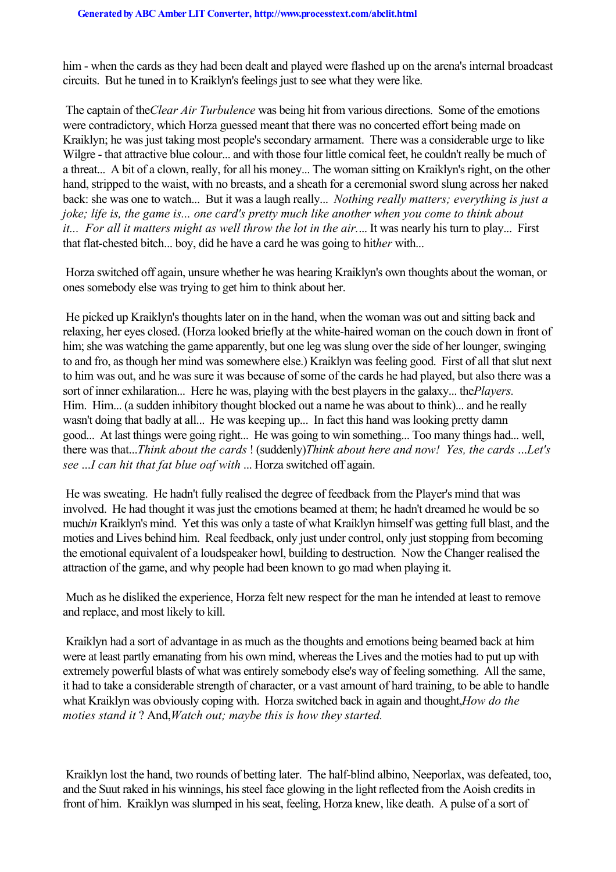him - when the cards as they had been dealt and played were flashed up on the arena's internal broadcast circuits. But he tuned in to Kraiklyn's feelings just to see what they were like.

 The captain of the*Clear Air Turbulence* was being hit from various directions. Some of the emotions were contradictory, which Horza guessed meant that there was no concerted effort being made on Kraiklyn; he was just taking most people's secondary armament. There was a considerable urge to like Wilgre - that attractive blue colour... and with those four little comical feet, he couldn't really be much of a threat... A bit of a clown, really, for all his money... The woman sitting on Kraiklyn's right, on the other hand, stripped to the waist, with no breasts, and a sheath for a ceremonial sword slung across her naked back: she was one to watch... But it was a laugh really... *Nothing really matters; everything is just a joke; life is, the game is... one card's pretty much like another when you come to think about it... For all it matters might as well throw the lot in the air.*... It was nearly his turn to play... First that flat-chested bitch... boy, did he have a card he was going to hit*her* with...

 Horza switched off again, unsure whether he was hearing Kraiklyn's own thoughts about the woman, or ones somebody else was trying to get him to think about her.

 He picked up Kraiklyn's thoughts later on in the hand, when the woman was out and sitting back and relaxing, her eyes closed. (Horza looked briefly at the white-haired woman on the couch down in front of him; she was watching the game apparently, but one leg was slung over the side of her lounger, swinging to and fro, as though her mind was somewhere else.) Kraiklyn was feeling good. First of all that slut next to him was out, and he was sure it was because of some of the cards he had played, but also there was a sort of inner exhilaration... Here he was, playing with the best players in the galaxy... the*Players.* Him. Him... (a sudden inhibitory thought blocked out a name he was about to think)... and he really wasn't doing that badly at all... He was keeping up... In fact this hand was looking pretty damn good... At last things were going right... He was going to win something... Too many things had... well, there was that...*Think about the cards* ! (suddenly)*Think about here and now! Yes, the cards* ...*Let's see* ...*I can hit that fat blue oaf with* ... Horza switched off again.

 He was sweating. He hadn't fully realised the degree of feedback from the Player's mind that was involved. He had thought it was just the emotions beamed at them; he hadn't dreamed he would be so much*in* Kraiklyn's mind. Yet this was only a taste of what Kraiklyn himself was getting full blast, and the moties and Lives behind him. Real feedback, only just under control, only just stopping from becoming the emotional equivalent of a loudspeaker howl, building to destruction. Now the Changer realised the attraction of the game, and why people had been known to go mad when playing it.

 Much as he disliked the experience, Horza felt new respect for the man he intended at least to remove and replace, and most likely to kill.

 Kraiklyn had a sort of advantage in as much as the thoughts and emotions being beamed back at him were at least partly emanating from his own mind, whereas the Lives and the moties had to put up with extremely powerful blasts of what was entirely somebody else's way of feeling something. All the same, it had to take a considerable strength of character, or a vast amount of hard training, to be able to handle what Kraiklyn was obviously coping with. Horza switched back in again and thought,*How do the moties stand it* ? And,*Watch out; maybe this is how they started.*

 Kraiklyn lost the hand, two rounds of betting later. The half-blind albino, Neeporlax, was defeated, too, and the Suut raked in his winnings, his steel face glowing in the light reflected from the Aoish credits in front of him. Kraiklyn was slumped in his seat, feeling, Horza knew, like death. A pulse of a sort of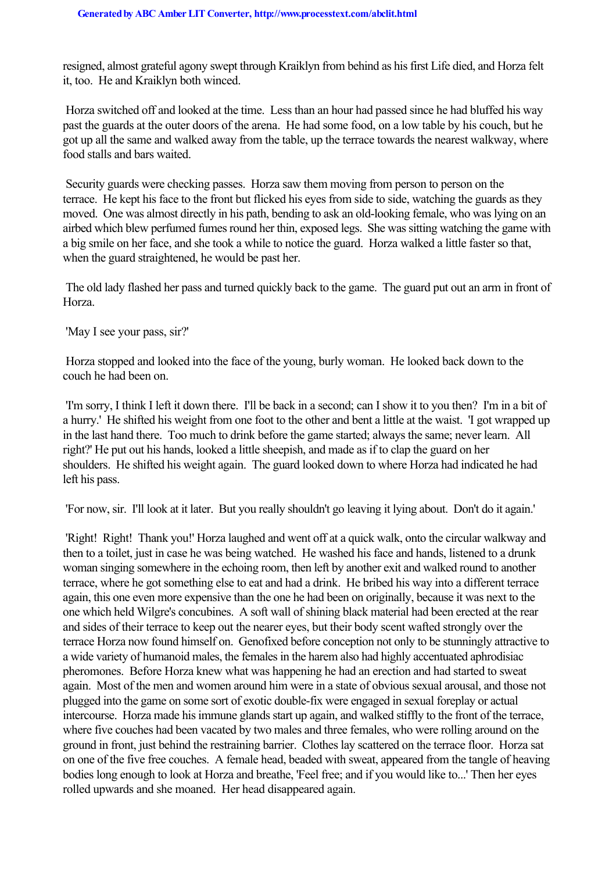resigned, almost grateful agony swept through Kraiklyn from behind as his first Life died, and Horza felt it, too. He and Kraiklyn both winced.

 Horza switched off and looked at the time. Less than an hour had passed since he had bluffed his way past the guards at the outer doors of the arena. He had some food, on a low table by his couch, but he got up all the same and walked away from the table, up the terrace towards the nearest walkway, where food stalls and bars waited.

 Security guards were checking passes. Horza saw them moving from person to person on the terrace. He kept his face to the front but flicked his eyes from side to side, watching the guards as they moved. One was almost directly in his path, bending to ask an old-looking female, who was lying on an airbed which blew perfumed fumes round her thin, exposed legs. She was sitting watching the game with a big smile on her face, and she took a while to notice the guard. Horza walked a little faster so that, when the guard straightened, he would be past her.

 The old lady flashed her pass and turned quickly back to the game. The guard put out an arm in front of Horza.

'May I see your pass, sir?'

 Horza stopped and looked into the face of the young, burly woman. He looked back down to the couch he had been on.

 'I'm sorry, I think I left it down there. I'll be back in a second; can I show it to you then? I'm in a bit of a hurry.' He shifted his weight from one foot to the other and bent a little at the waist. 'I got wrapped up in the last hand there. Too much to drink before the game started; always the same; never learn. All right?' He put out his hands, looked a little sheepish, and made as if to clap the guard on her shoulders. He shifted his weight again. The guard looked down to where Horza had indicated he had left his pass.

'For now, sir. I'll look at it later. But you really shouldn't go leaving it lying about. Don't do it again.'

 'Right! Right! Thank you!' Horza laughed and went off at a quick walk, onto the circular walkway and then to a toilet, just in case he was being watched. He washed his face and hands, listened to a drunk woman singing somewhere in the echoing room, then left by another exit and walked round to another terrace, where he got something else to eat and had a drink. He bribed his way into a different terrace again, this one even more expensive than the one he had been on originally, because it was next to the one which held Wilgre's concubines. A soft wall of shining black material had been erected at the rear and sides of their terrace to keep out the nearer eyes, but their body scent wafted strongly over the terrace Horza now found himself on. Genofixed before conception not only to be stunningly attractive to a wide variety of humanoid males, the females in the harem also had highly accentuated aphrodisiac pheromones. Before Horza knew what was happening he had an erection and had started to sweat again. Most of the men and women around him were in a state of obvious sexual arousal, and those not plugged into the game on some sort of exotic double-fix were engaged in sexual foreplay or actual intercourse. Horza made his immune glands start up again, and walked stiffly to the front of the terrace, where five couches had been vacated by two males and three females, who were rolling around on the ground in front, just behind the restraining barrier. Clothes lay scattered on the terrace floor. Horza sat on one of the five free couches. A female head, beaded with sweat, appeared from the tangle of heaving bodies long enough to look at Horza and breathe, 'Feel free; and if you would like to...' Then her eyes rolled upwards and she moaned. Her head disappeared again.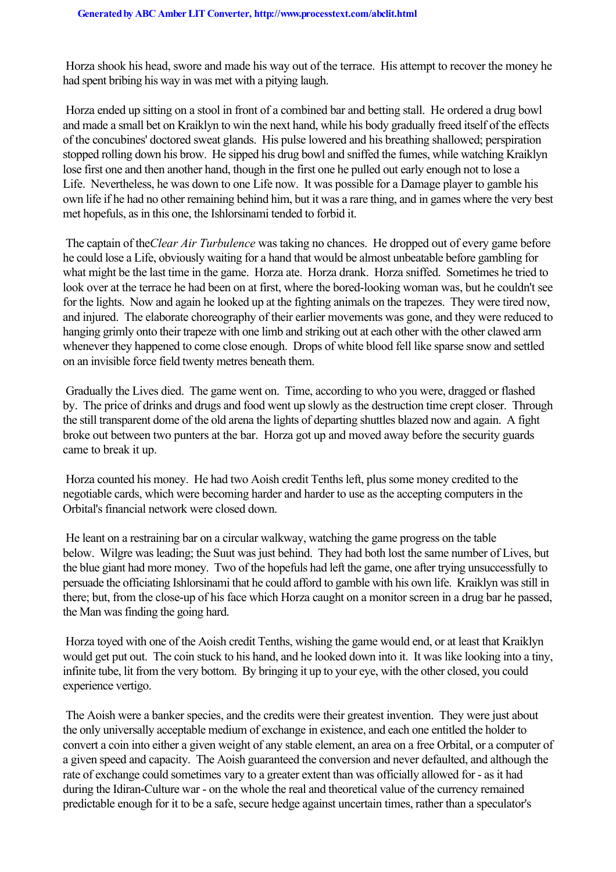Horza shook his head, swore and made his way out of the terrace. His attempt to recover the money he had spent bribing his way in was met with a pitying laugh.

 Horza ended up sitting on a stool in front of a combined bar and betting stall. He ordered a drug bowl and made a small bet on Kraiklyn to win the next hand, while his body gradually freed itself of the effects of the concubines' doctored sweat glands. His pulse lowered and his breathing shallowed; perspiration stopped rolling down his brow. He sipped his drug bowl and sniffed the fumes, while watching Kraiklyn lose first one and then another hand, though in the first one he pulled out early enough not to lose a Life. Nevertheless, he was down to one Life now. It was possible for a Damage player to gamble his own life if he had no other remaining behind him, but it was a rare thing, and in games where the very best met hopefuls, as in this one, the Ishlorsinami tended to forbid it.

 The captain of the*Clear Air Turbulence* was taking no chances. He dropped out of every game before he could lose a Life, obviously waiting for a hand that would be almost unbeatable before gambling for what might be the last time in the game. Horza ate. Horza drank. Horza sniffed. Sometimes he tried to look over at the terrace he had been on at first, where the bored-looking woman was, but he couldn't see for the lights. Now and again he looked up at the fighting animals on the trapezes. They were tired now, and injured. The elaborate choreography of their earlier movements was gone, and they were reduced to hanging grimly onto their trapeze with one limb and striking out at each other with the other clawed arm whenever they happened to come close enough. Drops of white blood fell like sparse snow and settled on an invisible force field twenty metres beneath them.

 Gradually the Lives died. The game went on. Time, according to who you were, dragged or flashed by. The price of drinks and drugs and food went up slowly as the destruction time crept closer. Through the still transparent dome of the old arena the lights of departing shuttles blazed now and again. A fight broke out between two punters at the bar. Horza got up and moved away before the security guards came to break it up.

 Horza counted his money. He had two Aoish credit Tenths left, plus some money credited to the negotiable cards, which were becoming harder and harder to use as the accepting computers in the Orbital's financial network were closed down.

 He leant on a restraining bar on a circular walkway, watching the game progress on the table below. Wilgre was leading; the Suut was just behind. They had both lost the same number of Lives, but the blue giant had more money. Two of the hopefuls had left the game, one after trying unsuccessfully to persuade the officiating Ishlorsinami that he could afford to gamble with his own life. Kraiklyn was still in there; but, from the close-up of his face which Horza caught on a monitor screen in a drug bar he passed, the Man was finding the going hard.

 Horza toyed with one of the Aoish credit Tenths, wishing the game would end, or at least that Kraiklyn would get put out. The coin stuck to his hand, and he looked down into it. It was like looking into a tiny, infinite tube, lit from the very bottom. By bringing it up to your eye, with the other closed, you could experience vertigo.

 The Aoish were a banker species, and the credits were their greatest invention. They were just about the only universally acceptable medium of exchange in existence, and each one entitled the holder to convert a coin into either a given weight of any stable element, an area on a free Orbital, or a computer of a given speed and capacity. The Aoish guaranteed the conversion and never defaulted, and although the rate of exchange could sometimes vary to a greater extent than was officially allowed for - as it had during the Idiran-Culture war - on the whole the real and theoretical value of the currency remained predictable enough for it to be a safe, secure hedge against uncertain times, rather than a speculator's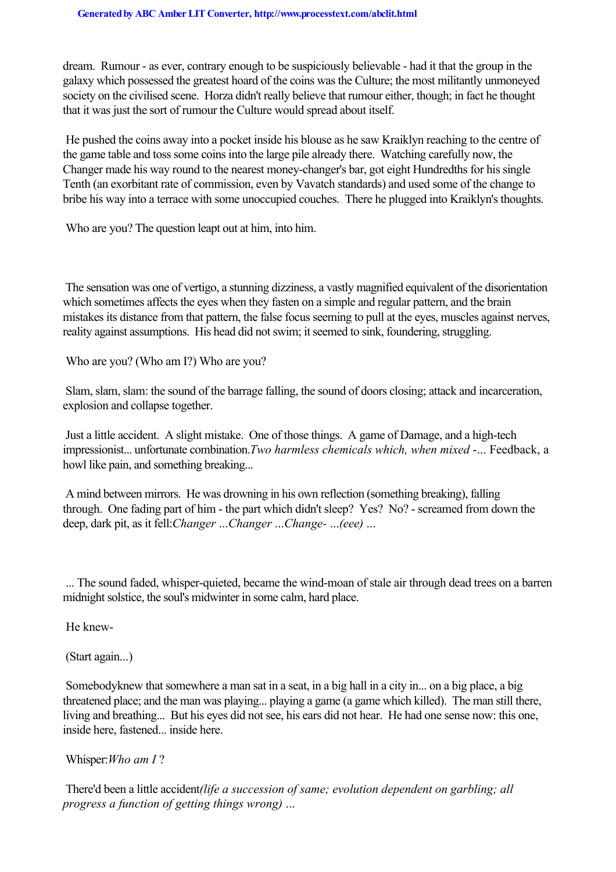dream. Rumour - as ever, contrary enough to be suspiciously believable - had it that the group in the galaxy which possessed the greatest hoard of the coins was the Culture; the most militantly unmoneyed society on the civilised scene. Horza didn't really believe that rumour either, though; in fact he thought that it was just the sort of rumour the Culture would spread about itself.

 He pushed the coins away into a pocket inside his blouse as he saw Kraiklyn reaching to the centre of the game table and toss some coins into the large pile already there. Watching carefully now, the Changer made his way round to the nearest money-changer's bar, got eight Hundredths for his single Tenth (an exorbitant rate of commission, even by Vavatch standards) and used some of the change to bribe his way into a terrace with some unoccupied couches. There he plugged into Kraiklyn's thoughts.

Who are you? The question leapt out at him, into him.

 The sensation was one of vertigo, a stunning dizziness, a vastly magnified equivalent of the disorientation which sometimes affects the eyes when they fasten on a simple and regular pattern, and the brain mistakes its distance from that pattern, the false focus seeming to pull at the eyes, muscles against nerves, reality against assumptions. His head did not swim; it seemed to sink, foundering, struggling.

Who are you? (Who am I?) Who are you?

 Slam, slam, slam: the sound of the barrage falling, the sound of doors closing; attack and incarceration, explosion and collapse together.

 Just a little accident. A slight mistake. One of those things. A game of Damage, and a high-tech impressionist... unfortunate combination.*Two harmless chemicals which, when mixed* -... Feedback, a howl like pain, and something breaking...

 A mind between mirrors. He was drowning in his own reflection (something breaking), falling through. One fading part of him - the part which didn't sleep? Yes? No? - screamed from down the deep, dark pit, as it fell:*Changer* ...*Changer* ...*Change-* ...*(eee)* ...

 ... The sound faded, whisper-quieted, became the wind-moan of stale air through dead trees on a barren midnight solstice, the soul's midwinter in some calm, hard place.

He knew-

(Start again...)

 Somebodyknew that somewhere a man sat in a seat, in a big hall in a city in... on a big place, a big threatened place; and the man was playing... playing a game (a game which killed). The man still there, living and breathing... But his eyes did not see, his ears did not hear. He had one sense now: this one, inside here, fastened... inside here.

Whisper:*Who am I* ?

 There'd been a little accident*(life a succession of same; evolution dependent on garbling; all progress a function of getting things wrong)* ...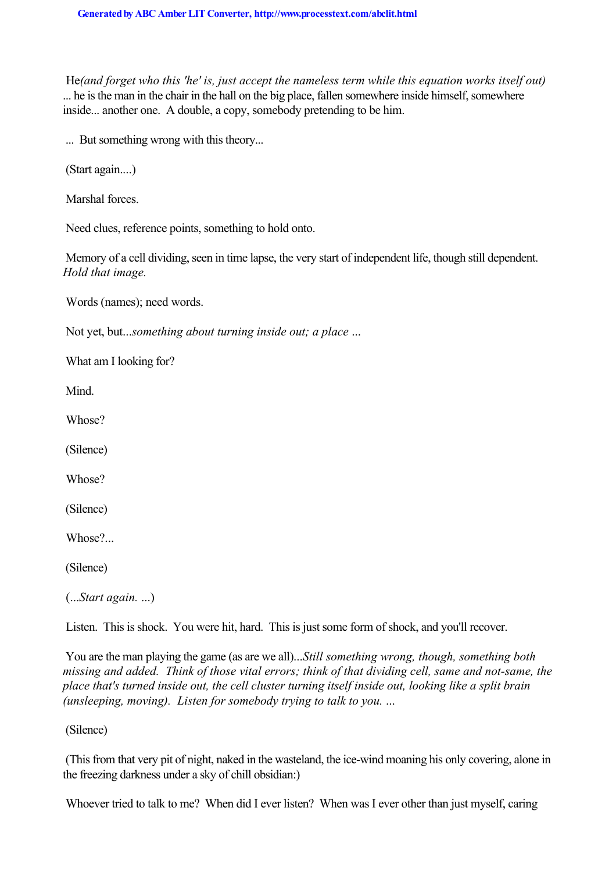He*(and forget who this 'he' is, just accept the nameless term while this equation works itself out)* ... he is the man in the chair in the hall on the big place, fallen somewhere inside himself, somewhere inside... another one. A double, a copy, somebody pretending to be him.

... But something wrong with this theory...

(Start again....)

Marshal forces.

Need clues, reference points, something to hold onto.

 Memory of a cell dividing, seen in time lapse, the very start of independent life, though still dependent. *Hold that image.*

Words (names); need words.

Not yet, but...*something about turning inside out; a place* ...

What am I looking for?

**Mind.** 

Whose?

(Silence)

Whose?

(Silence)

Whose?

(Silence)

(...*Start again.* ...)

Listen. This is shock. You were hit, hard. This is just some form of shock, and you'll recover.

 You are the man playing the game (as are we all)...*Still something wrong, though, something both missing and added. Think of those vital errors; think of that dividing cell, same and not-same, the place that's turned inside out, the cell cluster turning itself inside out, looking like a split brain (unsleeping, moving). Listen for somebody trying to talk to you.* ...

(Silence)

 (This from that very pit of night, naked in the wasteland, the ice-wind moaning his only covering, alone in the freezing darkness under a sky of chill obsidian:)

Whoever tried to talk to me? When did I ever listen? When was I ever other than just myself, caring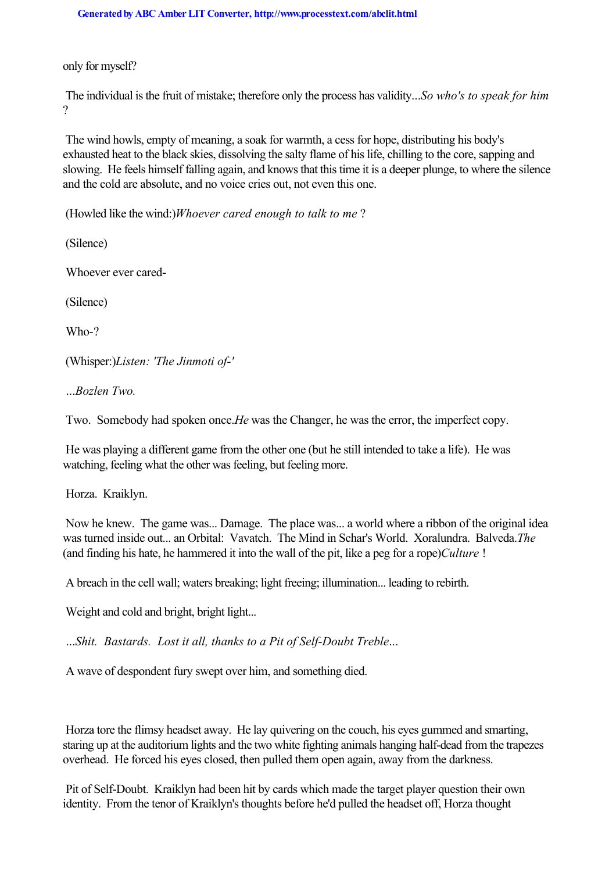only for myself?

 The individual is the fruit of mistake; therefore only the process has validity...*So who's to speak for him* ?

 The wind howls, empty of meaning, a soak for warmth, a cess for hope, distributing his body's exhausted heat to the black skies, dissolving the salty flame of his life, chilling to the core, sapping and slowing. He feels himself falling again, and knows that this time it is a deeper plunge, to where the silence and the cold are absolute, and no voice cries out, not even this one.

(Howled like the wind:)*Whoever cared enough to talk to me* ?

(Silence)

Whoever ever cared-

(Silence)

Who-?

(Whisper:)*Listen: 'The Jinmoti of-'*

...*Bozlen Two.*

Two. Somebody had spoken once.*He* was the Changer, he was the error, the imperfect copy.

 He was playing a different game from the other one (but he still intended to take a life). He was watching, feeling what the other was feeling, but feeling more.

Horza. Kraiklyn.

 Now he knew. The game was... Damage. The place was... a world where a ribbon of the original idea was turned inside out... an Orbital: Vavatch. The Mind in Schar's World. Xoralundra. Balveda.*The* (and finding his hate, he hammered it into the wall of the pit, like a peg for a rope)*Culture* !

A breach in the cell wall; waters breaking; light freeing; illumination... leading to rebirth.

Weight and cold and bright, bright light...

...*Shit. Bastards. Lost it all, thanks to a Pit of Self-Doubt Treble*...

A wave of despondent fury swept over him, and something died.

 Horza tore the flimsy headset away. He lay quivering on the couch, his eyes gummed and smarting, staring up at the auditorium lights and the two white fighting animals hanging half-dead from the trapezes overhead. He forced his eyes closed, then pulled them open again, away from the darkness.

 Pit of Self-Doubt. Kraiklyn had been hit by cards which made the target player question their own identity. From the tenor of Kraiklyn's thoughts before he'd pulled the headset off, Horza thought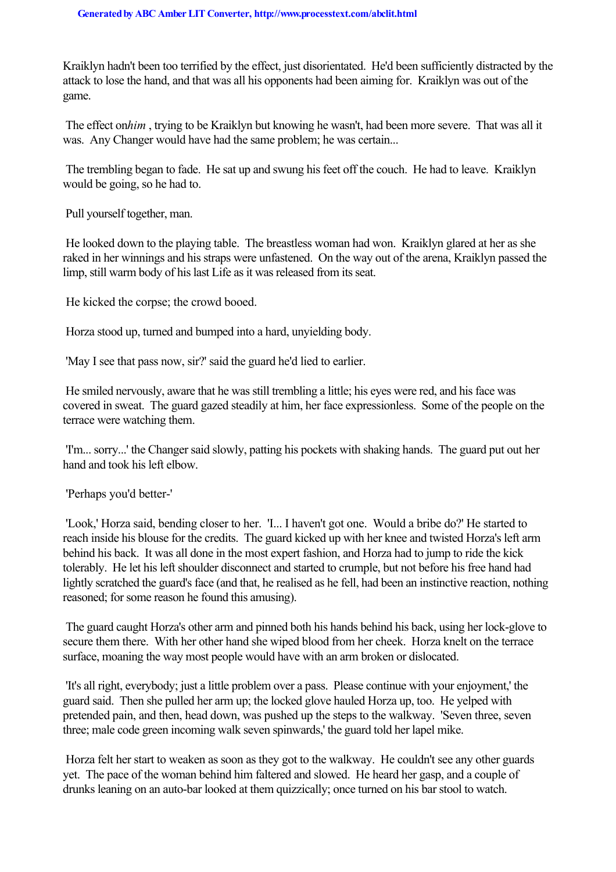#### **Generated by ABC Amber LIT Converter, <http://www.processtext.com/abclit.html>**

Kraiklyn hadn't been too terrified by the effect, just disorientated. He'd been sufficiently distracted by the attack to lose the hand, and that was all his opponents had been aiming for. Kraiklyn was out of the game.

 The effect on*him* , trying to be Kraiklyn but knowing he wasn't, had been more severe. That was all it was. Any Changer would have had the same problem; he was certain...

 The trembling began to fade. He sat up and swung his feet off the couch. He had to leave. Kraiklyn would be going, so he had to.

Pull yourself together, man.

 He looked down to the playing table. The breastless woman had won. Kraiklyn glared at her as she raked in her winnings and his straps were unfastened. On the way out of the arena, Kraiklyn passed the limp, still warm body of his last Life as it was released from its seat.

He kicked the corpse; the crowd booed.

Horza stood up, turned and bumped into a hard, unyielding body.

'May I see that pass now, sir?' said the guard he'd lied to earlier.

 He smiled nervously, aware that he was still trembling a little; his eyes were red, and his face was covered in sweat. The guard gazed steadily at him, her face expressionless. Some of the people on the terrace were watching them.

 'I'm... sorry...' the Changer said slowly, patting his pockets with shaking hands. The guard put out her hand and took his left elbow.

'Perhaps you'd better-'

 'Look,' Horza said, bending closer to her. 'I... I haven't got one. Would a bribe do?' He started to reach inside his blouse for the credits. The guard kicked up with her knee and twisted Horza's left arm behind his back. It was all done in the most expert fashion, and Horza had to jump to ride the kick tolerably. He let his left shoulder disconnect and started to crumple, but not before his free hand had lightly scratched the guard's face (and that, he realised as he fell, had been an instinctive reaction, nothing reasoned; for some reason he found this amusing).

 The guard caught Horza's other arm and pinned both his hands behind his back, using her lock-glove to secure them there. With her other hand she wiped blood from her cheek. Horza knelt on the terrace surface, moaning the way most people would have with an arm broken or dislocated.

 'It's all right, everybody; just a little problem over a pass. Please continue with your enjoyment,' the guard said. Then she pulled her arm up; the locked glove hauled Horza up, too. He yelped with pretended pain, and then, head down, was pushed up the steps to the walkway. 'Seven three, seven three; male code green incoming walk seven spinwards,' the guard told her lapel mike.

 Horza felt her start to weaken as soon as they got to the walkway. He couldn't see any other guards yet. The pace of the woman behind him faltered and slowed. He heard her gasp, and a couple of drunks leaning on an auto-bar looked at them quizzically; once turned on his bar stool to watch.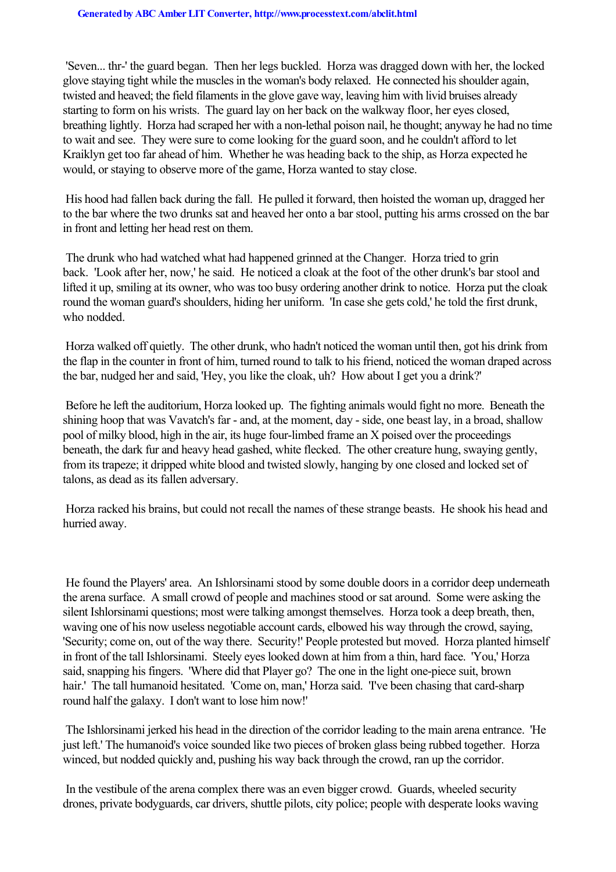'Seven... thr-' the guard began. Then her legs buckled. Horza was dragged down with her, the locked glove staying tight while the muscles in the woman's body relaxed. He connected his shoulder again, twisted and heaved; the field filaments in the glove gave way, leaving him with livid bruises already starting to form on his wrists. The guard lay on her back on the walkway floor, her eyes closed, breathing lightly. Horza had scraped her with a non-lethal poison nail, he thought; anyway he had no time to wait and see. They were sure to come looking for the guard soon, and he couldn't afford to let Kraiklyn get too far ahead of him. Whether he was heading back to the ship, as Horza expected he would, or staying to observe more of the game, Horza wanted to stay close.

 His hood had fallen back during the fall. He pulled it forward, then hoisted the woman up, dragged her to the bar where the two drunks sat and heaved her onto a bar stool, putting his arms crossed on the bar in front and letting her head rest on them.

 The drunk who had watched what had happened grinned at the Changer. Horza tried to grin back. 'Look after her, now,' he said. He noticed a cloak at the foot of the other drunk's bar stool and lifted it up, smiling at its owner, who was too busy ordering another drink to notice. Horza put the cloak round the woman guard's shoulders, hiding her uniform. 'In case she gets cold,' he told the first drunk, who nodded.

 Horza walked off quietly. The other drunk, who hadn't noticed the woman until then, got his drink from the flap in the counter in front of him, turned round to talk to his friend, noticed the woman draped across the bar, nudged her and said, 'Hey, you like the cloak, uh? How about I get you a drink?'

 Before he left the auditorium, Horza looked up. The fighting animals would fight no more. Beneath the shining hoop that was Vavatch's far - and, at the moment, day - side, one beast lay, in a broad, shallow pool of milky blood, high in the air, its huge four-limbed frame an X poised over the proceedings beneath, the dark fur and heavy head gashed, white flecked. The other creature hung, swaying gently, from its trapeze; it dripped white blood and twisted slowly, hanging by one closed and locked set of talons, as dead as its fallen adversary.

 Horza racked his brains, but could not recall the names of these strange beasts. He shook his head and hurried away.

 He found the Players' area. An Ishlorsinami stood by some double doors in a corridor deep underneath the arena surface. A small crowd of people and machines stood or sat around. Some were asking the silent Ishlorsinami questions; most were talking amongst themselves. Horza took a deep breath, then, waving one of his now useless negotiable account cards, elbowed his way through the crowd, saying, 'Security; come on, out of the way there. Security!' People protested but moved. Horza planted himself in front of the tall Ishlorsinami. Steely eyes looked down at him from a thin, hard face. 'You,' Horza said, snapping his fingers. 'Where did that Player go? The one in the light one-piece suit, brown hair.' The tall humanoid hesitated. 'Come on, man,' Horza said. Tve been chasing that card-sharp round half the galaxy. I don't want to lose him now!'

 The Ishlorsinami jerked his head in the direction of the corridor leading to the main arena entrance. 'He just left.' The humanoid's voice sounded like two pieces of broken glass being rubbed together. Horza winced, but nodded quickly and, pushing his way back through the crowd, ran up the corridor.

 In the vestibule of the arena complex there was an even bigger crowd. Guards, wheeled security drones, private bodyguards, car drivers, shuttle pilots, city police; people with desperate looks waving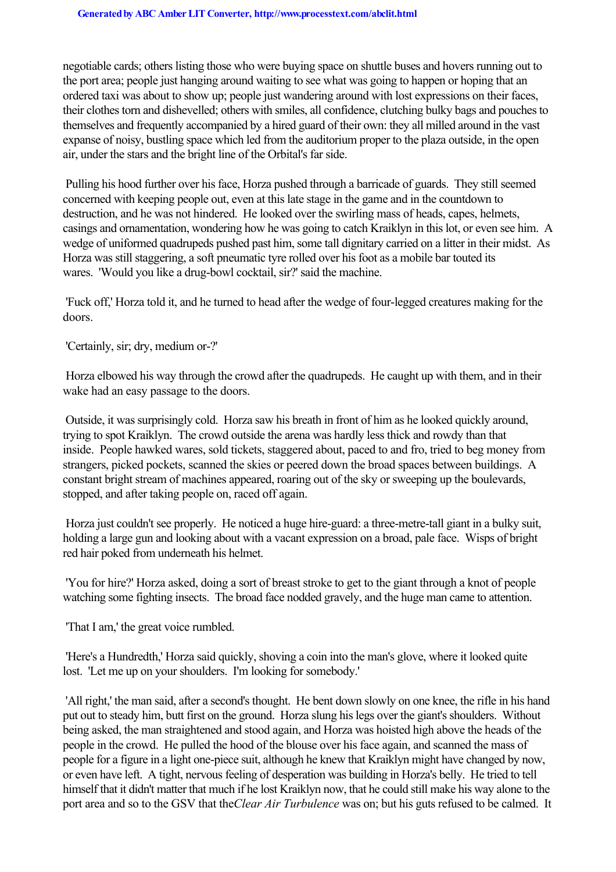negotiable cards; others listing those who were buying space on shuttle buses and hovers running out to the port area; people just hanging around waiting to see what was going to happen or hoping that an ordered taxi was about to show up; people just wandering around with lost expressions on their faces, their clothes torn and dishevelled; others with smiles, all confidence, clutching bulky bags and pouches to themselves and frequently accompanied by a hired guard of their own: they all milled around in the vast expanse of noisy, bustling space which led from the auditorium proper to the plaza outside, in the open air, under the stars and the bright line of the Orbital's far side.

 Pulling his hood further over his face, Horza pushed through a barricade of guards. They still seemed concerned with keeping people out, even at this late stage in the game and in the countdown to destruction, and he was not hindered. He looked over the swirling mass of heads, capes, helmets, casings and ornamentation, wondering how he was going to catch Kraiklyn in this lot, or even see him. A wedge of uniformed quadrupeds pushed past him, some tall dignitary carried on a litter in their midst. As Horza was still staggering, a soft pneumatic tyre rolled over his foot as a mobile bar touted its wares. 'Would you like a drug-bowl cocktail, sir?' said the machine.

 'Fuck off,' Horza told it, and he turned to head after the wedge of four-legged creatures making for the doors.

'Certainly, sir; dry, medium or-?'

 Horza elbowed his way through the crowd after the quadrupeds. He caught up with them, and in their wake had an easy passage to the doors.

 Outside, it was surprisingly cold. Horza saw his breath in front of him as he looked quickly around, trying to spot Kraiklyn. The crowd outside the arena was hardly less thick and rowdy than that inside. People hawked wares, sold tickets, staggered about, paced to and fro, tried to beg money from strangers, picked pockets, scanned the skies or peered down the broad spaces between buildings. A constant bright stream of machines appeared, roaring out of the sky or sweeping up the boulevards, stopped, and after taking people on, raced off again.

 Horza just couldn't see properly. He noticed a huge hire-guard: a three-metre-tall giant in a bulky suit, holding a large gun and looking about with a vacant expression on a broad, pale face. Wisps of bright red hair poked from underneath his helmet.

 'You for hire?' Horza asked, doing a sort of breast stroke to get to the giant through a knot of people watching some fighting insects. The broad face nodded gravely, and the huge man came to attention.

'That I am,' the great voice rumbled.

 'Here's a Hundredth,' Horza said quickly, shoving a coin into the man's glove, where it looked quite lost. 'Let me up on your shoulders. I'm looking for somebody.'

 'All right,' the man said, after a second's thought. He bent down slowly on one knee, the rifle in his hand put out to steady him, butt first on the ground. Horza slung his legs over the giant's shoulders. Without being asked, the man straightened and stood again, and Horza was hoisted high above the heads of the people in the crowd. He pulled the hood of the blouse over his face again, and scanned the mass of people for a figure in a light one-piece suit, although he knew that Kraiklyn might have changed by now, or even have left. A tight, nervous feeling of desperation was building in Horza's belly. He tried to tell himself that it didn't matter that much if he lost Kraiklyn now, that he could still make his way alone to the port area and so to the GSV that the*Clear Air Turbulence* was on; but his guts refused to be calmed. It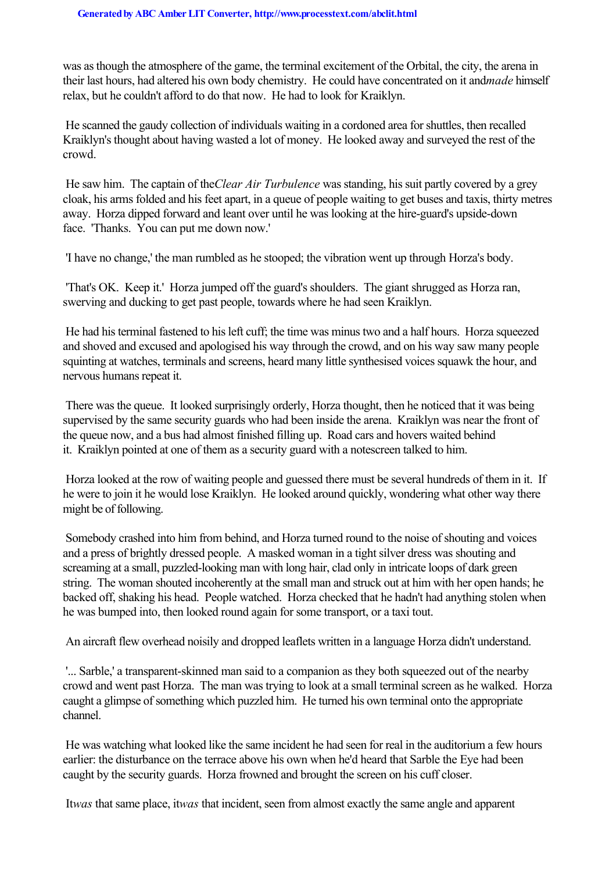was as though the atmosphere of the game, the terminal excitement of the Orbital, the city, the arena in their last hours, had altered his own body chemistry. He could have concentrated on it and*made* himself relax, but he couldn't afford to do that now. He had to look for Kraiklyn.

 He scanned the gaudy collection of individuals waiting in a cordoned area for shuttles, then recalled Kraiklyn's thought about having wasted a lot of money. He looked away and surveyed the rest of the crowd.

 He saw him. The captain of the*Clear Air Turbulence* was standing, his suit partly covered by a grey cloak, his arms folded and his feet apart, in a queue of people waiting to get buses and taxis, thirty metres away. Horza dipped forward and leant over until he was looking at the hire-guard's upside-down face. 'Thanks. You can put me down now.'

'I have no change,' the man rumbled as he stooped; the vibration went up through Horza's body.

 'That's OK. Keep it.' Horza jumped off the guard's shoulders. The giant shrugged as Horza ran, swerving and ducking to get past people, towards where he had seen Kraiklyn.

 He had his terminal fastened to his left cuff; the time was minus two and a half hours. Horza squeezed and shoved and excused and apologised his way through the crowd, and on his way saw many people squinting at watches, terminals and screens, heard many little synthesised voices squawk the hour, and nervous humans repeat it.

 There was the queue. It looked surprisingly orderly, Horza thought, then he noticed that it was being supervised by the same security guards who had been inside the arena. Kraiklyn was near the front of the queue now, and a bus had almost finished filling up. Road cars and hovers waited behind it. Kraiklyn pointed at one of them as a security guard with a notescreen talked to him.

 Horza looked at the row of waiting people and guessed there must be several hundreds of them in it. If he were to join it he would lose Kraiklyn. He looked around quickly, wondering what other way there might be of following.

 Somebody crashed into him from behind, and Horza turned round to the noise of shouting and voices and a press of brightly dressed people. A masked woman in a tight silver dress was shouting and screaming at a small, puzzled-looking man with long hair, clad only in intricate loops of dark green string. The woman shouted incoherently at the small man and struck out at him with her open hands; he backed off, shaking his head. People watched. Horza checked that he hadn't had anything stolen when he was bumped into, then looked round again for some transport, or a taxi tout.

An aircraft flew overhead noisily and dropped leaflets written in a language Horza didn't understand.

 '... Sarble,' a transparent-skinned man said to a companion as they both squeezed out of the nearby crowd and went past Horza. The man was trying to look at a small terminal screen as he walked. Horza caught a glimpse of something which puzzled him. He turned his own terminal onto the appropriate channel.

 He was watching what looked like the same incident he had seen for real in the auditorium a few hours earlier: the disturbance on the terrace above his own when he'd heard that Sarble the Eye had been caught by the security guards. Horza frowned and brought the screen on his cuff closer.

It*was* that same place, it*was* that incident, seen from almost exactly the same angle and apparent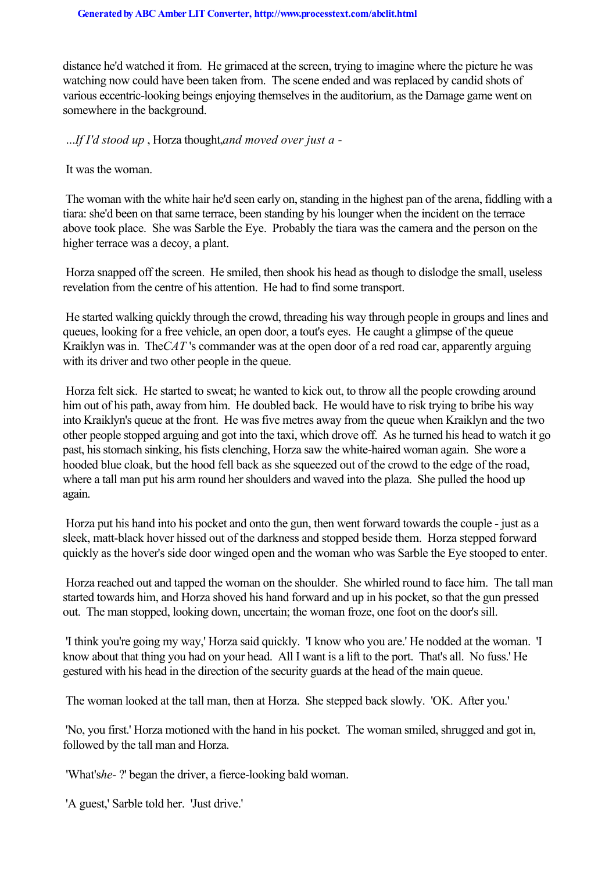distance he'd watched it from. He grimaced at the screen, trying to imagine where the picture he was watching now could have been taken from. The scene ended and was replaced by candid shots of various eccentric-looking beings enjoying themselves in the auditorium, as the Damage game went on somewhere in the background.

...*If I'd stood up* , Horza thought,*and moved over just a* -

It was the woman.

 The woman with the white hair he'd seen early on, standing in the highest pan of the arena, fiddling with a tiara: she'd been on that same terrace, been standing by his lounger when the incident on the terrace above took place. She was Sarble the Eye. Probably the tiara was the camera and the person on the higher terrace was a decoy, a plant.

 Horza snapped off the screen. He smiled, then shook his head as though to dislodge the small, useless revelation from the centre of his attention. He had to find some transport.

 He started walking quickly through the crowd, threading his way through people in groups and lines and queues, looking for a free vehicle, an open door, a tout's eyes. He caught a glimpse of the queue Kraiklyn was in. The*CAT* 's commander was at the open door of a red road car, apparently arguing with its driver and two other people in the queue.

 Horza felt sick. He started to sweat; he wanted to kick out, to throw all the people crowding around him out of his path, away from him. He doubled back. He would have to risk trying to bribe his way into Kraiklyn's queue at the front. He was five metres away from the queue when Kraiklyn and the two other people stopped arguing and got into the taxi, which drove off. As he turned his head to watch it go past, his stomach sinking, his fists clenching, Horza saw the white-haired woman again. She wore a hooded blue cloak, but the hood fell back as she squeezed out of the crowd to the edge of the road, where a tall man put his arm round her shoulders and waved into the plaza. She pulled the hood up again.

 Horza put his hand into his pocket and onto the gun, then went forward towards the couple - just as a sleek, matt-black hover hissed out of the darkness and stopped beside them. Horza stepped forward quickly as the hover's side door winged open and the woman who was Sarble the Eye stooped to enter.

 Horza reached out and tapped the woman on the shoulder. She whirled round to face him. The tall man started towards him, and Horza shoved his hand forward and up in his pocket, so that the gun pressed out. The man stopped, looking down, uncertain; the woman froze, one foot on the door's sill.

 'I think you're going my way,' Horza said quickly. 'I know who you are.' He nodded at the woman. 'I know about that thing you had on your head. All I want is a lift to the port. That's all. No fuss.' He gestured with his head in the direction of the security guards at the head of the main queue.

The woman looked at the tall man, then at Horza. She stepped back slowly. 'OK. After you.'

 'No, you first.' Horza motioned with the hand in his pocket. The woman smiled, shrugged and got in, followed by the tall man and Horza.

'What's*he-* ?' began the driver, a fierce-looking bald woman.

'A guest,' Sarble told her. 'Just drive.'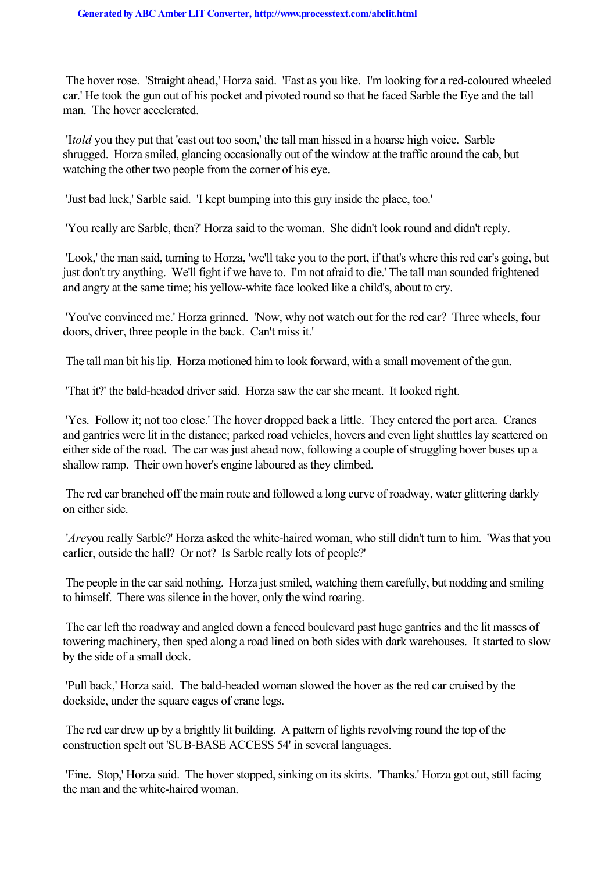The hover rose. 'Straight ahead,' Horza said. 'Fast as you like. I'm looking for a red-coloured wheeled car.' He took the gun out of his pocket and pivoted round so that he faced Sarble the Eye and the tall man. The hover accelerated.

 'I*told* you they put that 'cast out too soon,' the tall man hissed in a hoarse high voice. Sarble shrugged. Horza smiled, glancing occasionally out of the window at the traffic around the cab, but watching the other two people from the corner of his eye.

'Just bad luck,' Sarble said. 'I kept bumping into this guy inside the place, too.'

'You really are Sarble, then?' Horza said to the woman. She didn't look round and didn't reply.

 'Look,' the man said, turning to Horza, 'we'll take you to the port, if that's where this red car's going, but just don't try anything. We'll fight if we have to. I'm not afraid to die.' The tall man sounded frightened and angry at the same time; his yellow-white face looked like a child's, about to cry.

 'You've convinced me.' Horza grinned. 'Now, why not watch out for the red car? Three wheels, four doors, driver, three people in the back. Can't miss it.'

The tall man bit his lip. Horza motioned him to look forward, with a small movement of the gun.

'That it?' the bald-headed driver said. Horza saw the car she meant. It looked right.

 'Yes. Follow it; not too close.' The hover dropped back a little. They entered the port area. Cranes and gantries were lit in the distance; parked road vehicles, hovers and even light shuttles lay scattered on either side of the road. The car was just ahead now, following a couple of struggling hover buses up a shallow ramp. Their own hover's engine laboured as they climbed.

 The red car branched off the main route and followed a long curve of roadway, water glittering darkly on either side.

 '*Are*you really Sarble?' Horza asked the white-haired woman, who still didn't turn to him. 'Was that you earlier, outside the hall? Or not? Is Sarble really lots of people?'

 The people in the car said nothing. Horza just smiled, watching them carefully, but nodding and smiling to himself. There was silence in the hover, only the wind roaring.

 The car left the roadway and angled down a fenced boulevard past huge gantries and the lit masses of towering machinery, then sped along a road lined on both sides with dark warehouses. It started to slow by the side of a small dock.

 'Pull back,' Horza said. The bald-headed woman slowed the hover as the red car cruised by the dockside, under the square cages of crane legs.

 The red car drew up by a brightly lit building. A pattern of lights revolving round the top of the construction spelt out 'SUB-BASE ACCESS 54' in several languages.

 'Fine. Stop,' Horza said. The hover stopped, sinking on its skirts. 'Thanks.' Horza got out, still facing the man and the white-haired woman.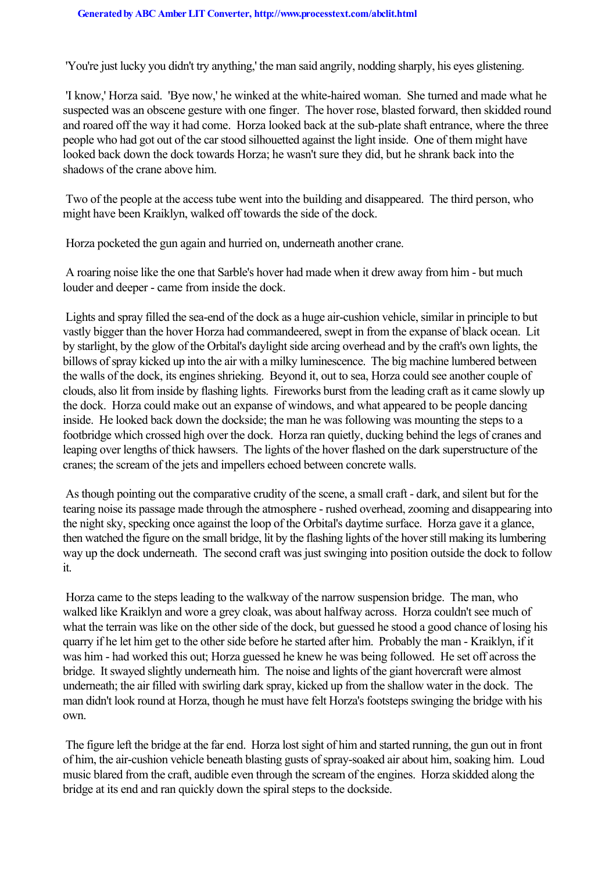'You're just lucky you didn't try anything,' the man said angrily, nodding sharply, his eyes glistening.

 'I know,' Horza said. 'Bye now,' he winked at the white-haired woman. She turned and made what he suspected was an obscene gesture with one finger. The hover rose, blasted forward, then skidded round and roared off the way it had come. Horza looked back at the sub-plate shaft entrance, where the three people who had got out of the car stood silhouetted against the light inside. One of them might have looked back down the dock towards Horza; he wasn't sure they did, but he shrank back into the shadows of the crane above him.

 Two of the people at the access tube went into the building and disappeared. The third person, who might have been Kraiklyn, walked off towards the side of the dock.

Horza pocketed the gun again and hurried on, underneath another crane.

 A roaring noise like the one that Sarble's hover had made when it drew away from him - but much louder and deeper - came from inside the dock.

 Lights and spray filled the sea-end of the dock as a huge air-cushion vehicle, similar in principle to but vastly bigger than the hover Horza had commandeered, swept in from the expanse of black ocean. Lit by starlight, by the glow of the Orbital's daylight side arcing overhead and by the craft's own lights, the billows of spray kicked up into the air with a milky luminescence. The big machine lumbered between the walls of the dock, its engines shrieking. Beyond it, out to sea, Horza could see another couple of clouds, also lit from inside by flashing lights. Fireworks burst from the leading craft as it came slowly up the dock. Horza could make out an expanse of windows, and what appeared to be people dancing inside. He looked back down the dockside; the man he was following was mounting the steps to a footbridge which crossed high over the dock. Horza ran quietly, ducking behind the legs of cranes and leaping over lengths of thick hawsers. The lights of the hover flashed on the dark superstructure of the cranes; the scream of the jets and impellers echoed between concrete walls.

 As though pointing out the comparative crudity of the scene, a small craft - dark, and silent but for the tearing noise its passage made through the atmosphere - rushed overhead, zooming and disappearing into the night sky, specking once against the loop of the Orbital's daytime surface. Horza gave it a glance, then watched the figure on the small bridge, lit by the flashing lights of the hover still making its lumbering way up the dock underneath. The second craft was just swinging into position outside the dock to follow it.

 Horza came to the steps leading to the walkway of the narrow suspension bridge. The man, who walked like Kraiklyn and wore a grey cloak, was about halfway across. Horza couldn't see much of what the terrain was like on the other side of the dock, but guessed he stood a good chance of losing his quarry if he let him get to the other side before he started after him. Probably the man - Kraiklyn, if it was him - had worked this out; Horza guessed he knew he was being followed. He set off across the bridge. It swayed slightly underneath him. The noise and lights of the giant hovercraft were almost underneath; the air filled with swirling dark spray, kicked up from the shallow water in the dock. The man didn't look round at Horza, though he must have felt Horza's footsteps swinging the bridge with his own.

 The figure left the bridge at the far end. Horza lost sight of him and started running, the gun out in front of him, the air-cushion vehicle beneath blasting gusts of spray-soaked air about him, soaking him. Loud music blared from the craft, audible even through the scream of the engines. Horza skidded along the bridge at its end and ran quickly down the spiral steps to the dockside.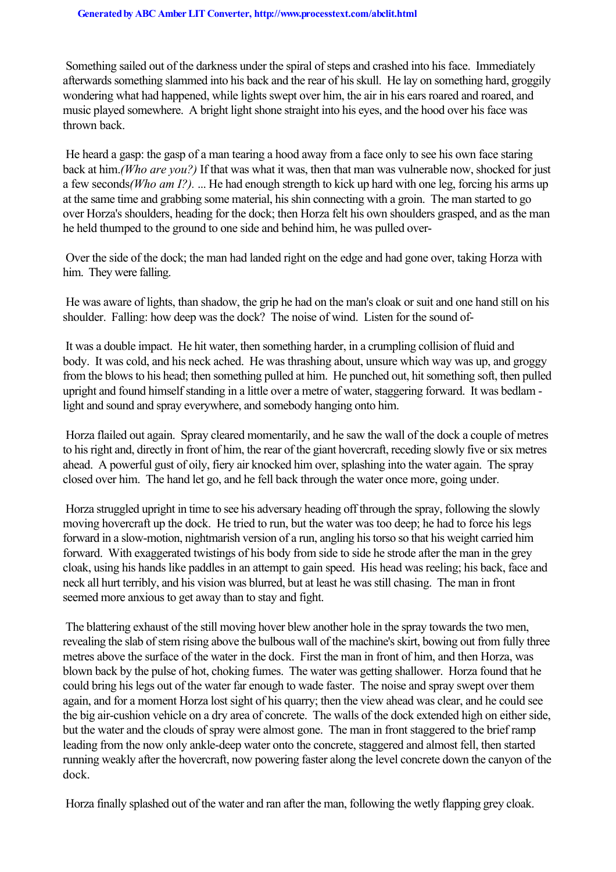Something sailed out of the darkness under the spiral of steps and crashed into his face. Immediately afterwards something slammed into his back and the rear of his skull. He lay on something hard, groggily wondering what had happened, while lights swept over him, the air in his ears roared and roared, and music played somewhere. A bright light shone straight into his eyes, and the hood over his face was thrown back.

 He heard a gasp: the gasp of a man tearing a hood away from a face only to see his own face staring back at him.*(Who are you?)* If that was what it was, then that man was vulnerable now, shocked for just a few seconds*(Who am I?).* ... He had enough strength to kick up hard with one leg, forcing his arms up at the same time and grabbing some material, his shin connecting with a groin. The man started to go over Horza's shoulders, heading for the dock; then Horza felt his own shoulders grasped, and as the man he held thumped to the ground to one side and behind him, he was pulled over-

 Over the side of the dock; the man had landed right on the edge and had gone over, taking Horza with him. They were falling.

 He was aware of lights, than shadow, the grip he had on the man's cloak or suit and one hand still on his shoulder. Falling: how deep was the dock? The noise of wind. Listen for the sound of-

 It was a double impact. He hit water, then something harder, in a crumpling collision of fluid and body. It was cold, and his neck ached. He was thrashing about, unsure which way was up, and groggy from the blows to his head; then something pulled at him. He punched out, hit something soft, then pulled upright and found himself standing in a little over a metre of water, staggering forward. It was bedlam light and sound and spray everywhere, and somebody hanging onto him.

 Horza flailed out again. Spray cleared momentarily, and he saw the wall of the dock a couple of metres to his right and, directly in front of him, the rear of the giant hovercraft, receding slowly five or six metres ahead. A powerful gust of oily, fiery air knocked him over, splashing into the water again. The spray closed over him. The hand let go, and he fell back through the water once more, going under.

 Horza struggled upright in time to see his adversary heading off through the spray, following the slowly moving hovercraft up the dock. He tried to run, but the water was too deep; he had to force his legs forward in a slow-motion, nightmarish version of a run, angling his torso so that his weight carried him forward. With exaggerated twistings of his body from side to side he strode after the man in the grey cloak, using his hands like paddles in an attempt to gain speed. His head was reeling; his back, face and neck all hurt terribly, and his vision was blurred, but at least he was still chasing. The man in front seemed more anxious to get away than to stay and fight.

 The blattering exhaust of the still moving hover blew another hole in the spray towards the two men, revealing the slab of stem rising above the bulbous wall of the machine's skirt, bowing out from fully three metres above the surface of the water in the dock. First the man in front of him, and then Horza, was blown back by the pulse of hot, choking fumes. The water was getting shallower. Horza found that he could bring his legs out of the water far enough to wade faster. The noise and spray swept over them again, and for a moment Horza lost sight of his quarry; then the view ahead was clear, and he could see the big air-cushion vehicle on a dry area of concrete. The walls of the dock extended high on either side, but the water and the clouds of spray were almost gone. The man in front staggered to the brief ramp leading from the now only ankle-deep water onto the concrete, staggered and almost fell, then started running weakly after the hovercraft, now powering faster along the level concrete down the canyon of the dock.

Horza finally splashed out of the water and ran after the man, following the wetly flapping grey cloak.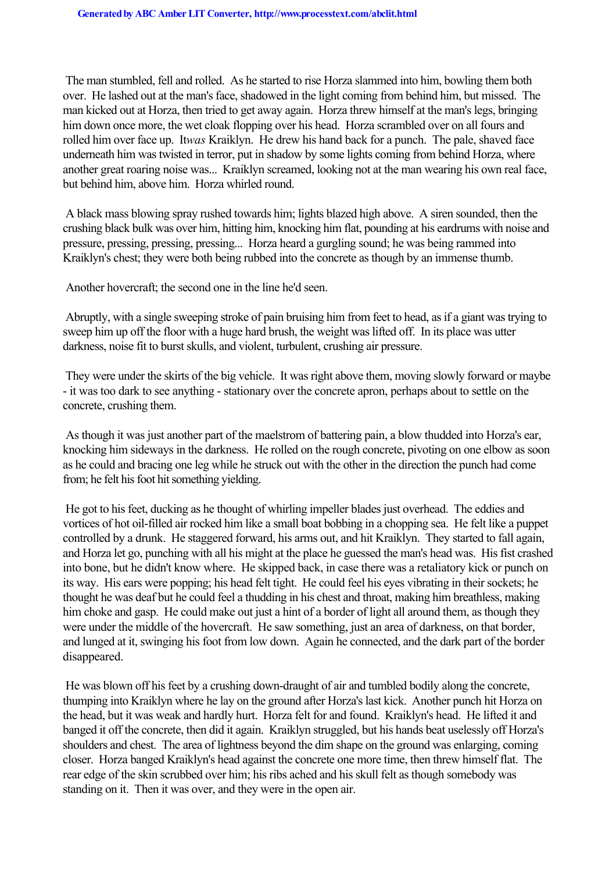The man stumbled, fell and rolled. As he started to rise Horza slammed into him, bowling them both over. He lashed out at the man's face, shadowed in the light coming from behind him, but missed. The man kicked out at Horza, then tried to get away again. Horza threw himself at the man's legs, bringing him down once more, the wet cloak flopping over his head. Horza scrambled over on all fours and rolled him over face up. It*was* Kraiklyn. He drew his hand back for a punch. The pale, shaved face underneath him was twisted in terror, put in shadow by some lights coming from behind Horza, where another great roaring noise was... Kraiklyn screamed, looking not at the man wearing his own real face, but behind him, above him. Horza whirled round.

 A black mass blowing spray rushed towards him; lights blazed high above. A siren sounded, then the crushing black bulk was over him, hitting him, knocking him flat, pounding at his eardrums with noise and pressure, pressing, pressing, pressing... Horza heard a gurgling sound; he was being rammed into Kraiklyn's chest; they were both being rubbed into the concrete as though by an immense thumb.

Another hovercraft; the second one in the line he'd seen.

 Abruptly, with a single sweeping stroke of pain bruising him from feet to head, as if a giant was trying to sweep him up off the floor with a huge hard brush, the weight was lifted off. In its place was utter darkness, noise fit to burst skulls, and violent, turbulent, crushing air pressure.

 They were under the skirts of the big vehicle. It was right above them, moving slowly forward or maybe - it was too dark to see anything - stationary over the concrete apron, perhaps about to settle on the concrete, crushing them.

 As though it was just another part of the maelstrom of battering pain, a blow thudded into Horza's ear, knocking him sideways in the darkness. He rolled on the rough concrete, pivoting on one elbow as soon as he could and bracing one leg while he struck out with the other in the direction the punch had come from; he felt his foot hit something yielding.

 He got to his feet, ducking as he thought of whirling impeller blades just overhead. The eddies and vortices of hot oil-filled air rocked him like a small boat bobbing in a chopping sea. He felt like a puppet controlled by a drunk. He staggered forward, his arms out, and hit Kraiklyn. They started to fall again, and Horza let go, punching with all his might at the place he guessed the man's head was. His fist crashed into bone, but he didn't know where. He skipped back, in case there was a retaliatory kick or punch on its way. His ears were popping; his head felt tight. He could feel his eyes vibrating in their sockets; he thought he was deaf but he could feel a thudding in his chest and throat, making him breathless, making him choke and gasp. He could make out just a hint of a border of light all around them, as though they were under the middle of the hovercraft. He saw something, just an area of darkness, on that border, and lunged at it, swinging his foot from low down. Again he connected, and the dark part of the border disappeared.

 He was blown off his feet by a crushing down-draught of air and tumbled bodily along the concrete, thumping into Kraiklyn where he lay on the ground after Horza's last kick. Another punch hit Horza on the head, but it was weak and hardly hurt. Horza felt for and found. Kraiklyn's head. He lifted it and banged it off the concrete, then did it again. Kraiklyn struggled, but his hands beat uselessly off Horza's shoulders and chest. The area of lightness beyond the dim shape on the ground was enlarging, coming closer. Horza banged Kraiklyn's head against the concrete one more time, then threw himself flat. The rear edge of the skin scrubbed over him; his ribs ached and his skull felt as though somebody was standing on it. Then it was over, and they were in the open air.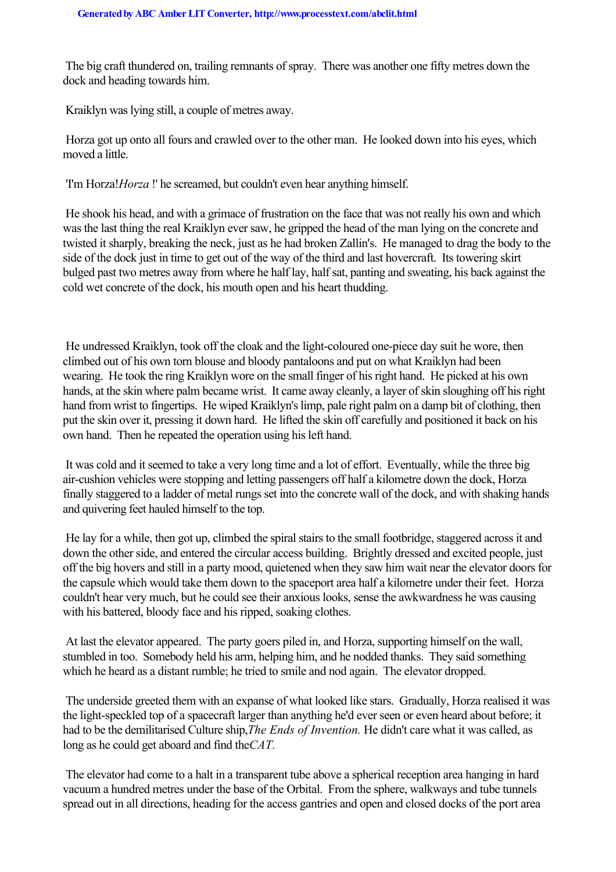The big craft thundered on, trailing remnants of spray. There was another one fifty metres down the dock and heading towards him.

Kraiklyn was lying still, a couple of metres away.

 Horza got up onto all fours and crawled over to the other man. He looked down into his eyes, which moved a little

'I'm Horza!*Horza* !' he screamed, but couldn't even hear anything himself.

 He shook his head, and with a grimace of frustration on the face that was not really his own and which was the last thing the real Kraiklyn ever saw, he gripped the head of the man lying on the concrete and twisted it sharply, breaking the neck, just as he had broken Zallin's. He managed to drag the body to the side of the dock just in time to get out of the way of the third and last hovercraft. Its towering skirt bulged past two metres away from where he half lay, half sat, panting and sweating, his back against the cold wet concrete of the dock, his mouth open and his heart thudding.

 He undressed Kraiklyn, took off the cloak and the light-coloured one-piece day suit he wore, then climbed out of his own torn blouse and bloody pantaloons and put on what Kraiklyn had been wearing. He took the ring Kraiklyn wore on the small finger of his right hand. He picked at his own hands, at the skin where palm became wrist. It came away cleanly, a layer of skin sloughing off his right hand from wrist to fingertips. He wiped Kraiklyn's limp, pale right palm on a damp bit of clothing, then put the skin over it, pressing it down hard. He lifted the skin off carefully and positioned it back on his own hand. Then he repeated the operation using his left hand.

 It was cold and it seemed to take a very long time and a lot of effort. Eventually, while the three big air-cushion vehicles were stopping and letting passengers off half a kilometre down the dock, Horza finally staggered to a ladder of metal rungs set into the concrete wall of the dock, and with shaking hands and quivering feet hauled himself to the top.

 He lay for a while, then got up, climbed the spiral stairs to the small footbridge, staggered across it and down the other side, and entered the circular access building. Brightly dressed and excited people, just off the big hovers and still in a party mood, quietened when they saw him wait near the elevator doors for the capsule which would take them down to the spaceport area half a kilometre under their feet. Horza couldn't hear very much, but he could see their anxious looks, sense the awkwardness he was causing with his battered, bloody face and his ripped, soaking clothes.

 At last the elevator appeared. The party goers piled in, and Horza, supporting himself on the wall, stumbled in too. Somebody held his arm, helping him, and he nodded thanks. They said something which he heard as a distant rumble; he tried to smile and nod again. The elevator dropped.

 The underside greeted them with an expanse of what looked like stars. Gradually, Horza realised it was the light-speckled top of a spacecraft larger than anything he'd ever seen or even heard about before; it had to be the demilitarised Culture ship,*The Ends of Invention.* He didn't care what it was called, as long as he could get aboard and find the*CAT.*

 The elevator had come to a halt in a transparent tube above a spherical reception area hanging in hard vacuum a hundred metres under the base of the Orbital. From the sphere, walkways and tube tunnels spread out in all directions, heading for the access gantries and open and closed docks of the port area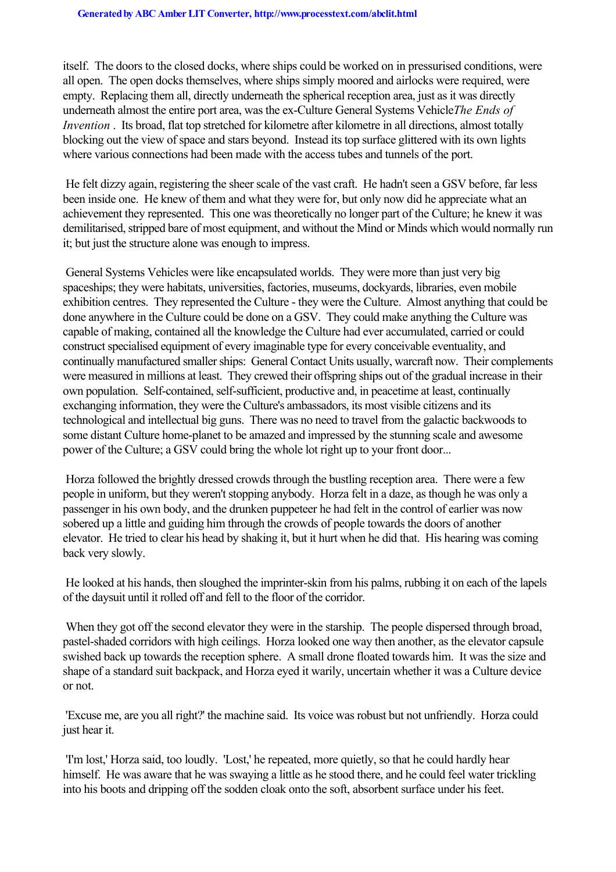itself. The doors to the closed docks, where ships could be worked on in pressurised conditions, were all open. The open docks themselves, where ships simply moored and airlocks were required, were empty. Replacing them all, directly underneath the spherical reception area, just as it was directly underneath almost the entire port area, was the ex-Culture General Systems Vehicle*The Ends of Invention*. Its broad, flat top stretched for kilometre after kilometre in all directions, almost totally blocking out the view of space and stars beyond. Instead its top surface glittered with its own lights where various connections had been made with the access tubes and tunnels of the port.

 He felt dizzy again, registering the sheer scale of the vast craft. He hadn't seen a GSV before, far less been inside one. He knew of them and what they were for, but only now did he appreciate what an achievement they represented. This one was theoretically no longer part of the Culture; he knew it was demilitarised, stripped bare of most equipment, and without the Mind or Minds which would normally run it; but just the structure alone was enough to impress.

 General Systems Vehicles were like encapsulated worlds. They were more than just very big spaceships; they were habitats, universities, factories, museums, dockyards, libraries, even mobile exhibition centres. They represented the Culture - they were the Culture. Almost anything that could be done anywhere in the Culture could be done on a GSV. They could make anything the Culture was capable of making, contained all the knowledge the Culture had ever accumulated, carried or could construct specialised equipment of every imaginable type for every conceivable eventuality, and continually manufactured smaller ships: General Contact Units usually, warcraft now. Their complements were measured in millions at least. They crewed their offspring ships out of the gradual increase in their own population. Self-contained, self-sufficient, productive and, in peacetime at least, continually exchanging information, they were the Culture's ambassadors, its most visible citizens and its technological and intellectual big guns. There was no need to travel from the galactic backwoods to some distant Culture home-planet to be amazed and impressed by the stunning scale and awesome power of the Culture; a GSV could bring the whole lot right up to your front door...

 Horza followed the brightly dressed crowds through the bustling reception area. There were a few people in uniform, but they weren't stopping anybody. Horza felt in a daze, as though he was only a passenger in his own body, and the drunken puppeteer he had felt in the control of earlier was now sobered up a little and guiding him through the crowds of people towards the doors of another elevator. He tried to clear his head by shaking it, but it hurt when he did that. His hearing was coming back very slowly.

 He looked at his hands, then sloughed the imprinter-skin from his palms, rubbing it on each of the lapels of the daysuit until it rolled off and fell to the floor of the corridor.

When they got off the second elevator they were in the starship. The people dispersed through broad, pastel-shaded corridors with high ceilings. Horza looked one way then another, as the elevator capsule swished back up towards the reception sphere. A small drone floated towards him. It was the size and shape of a standard suit backpack, and Horza eyed it warily, uncertain whether it was a Culture device or not.

 'Excuse me, are you all right?' the machine said. Its voice was robust but not unfriendly. Horza could just hear it.

 'I'm lost,' Horza said, too loudly. 'Lost,' he repeated, more quietly, so that he could hardly hear himself. He was aware that he was swaying a little as he stood there, and he could feel water trickling into his boots and dripping off the sodden cloak onto the soft, absorbent surface under his feet.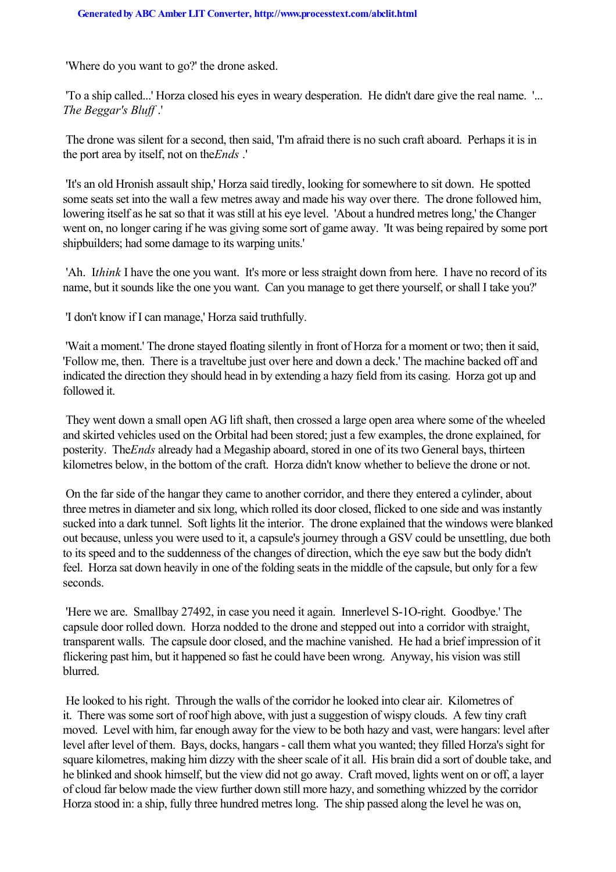'Where do you want to go?' the drone asked.

 'To a ship called...' Horza closed his eyes in weary desperation. He didn't dare give the real name. '... *The Beggar's Bluff* .'

 The drone was silent for a second, then said, 'I'm afraid there is no such craft aboard. Perhaps it is in the port area by itself, not on the*Ends* .'

 'It's an old Hronish assault ship,' Horza said tiredly, looking for somewhere to sit down. He spotted some seats set into the wall a few metres away and made his way over there. The drone followed him, lowering itself as he sat so that it was still at his eve level. 'About a hundred metres long,' the Changer went on, no longer caring if he was giving some sort of game away. 'It was being repaired by some port shipbuilders; had some damage to its warping units.'

 'Ah. I*think* I have the one you want. It's more or less straight down from here. I have no record of its name, but it sounds like the one you want. Can you manage to get there yourself, or shall I take you?'

'I don't know if I can manage,' Horza said truthfully.

 'Wait a moment.' The drone stayed floating silently in front of Horza for a moment or two; then it said, 'Follow me, then. There is a traveltube just over here and down a deck.' The machine backed off and indicated the direction they should head in by extending a hazy field from its casing. Horza got up and followed it.

 They went down a small open AG lift shaft, then crossed a large open area where some of the wheeled and skirted vehicles used on the Orbital had been stored; just a few examples, the drone explained, for posterity. The*Ends* already had a Megaship aboard, stored in one of its two General bays, thirteen kilometres below, in the bottom of the craft. Horza didn't know whether to believe the drone or not.

 On the far side of the hangar they came to another corridor, and there they entered a cylinder, about three metres in diameter and six long, which rolled its door closed, flicked to one side and was instantly sucked into a dark tunnel. Soft lights lit the interior. The drone explained that the windows were blanked out because, unless you were used to it, a capsule's journey through a GSV could be unsettling, due both to its speed and to the suddenness of the changes of direction, which the eye saw but the body didn't feel. Horza sat down heavily in one of the folding seats in the middle of the capsule, but only for a few seconds.

 'Here we are. Smallbay 27492, in case you need it again. Innerlevel S-1O-right. Goodbye.' The capsule door rolled down. Horza nodded to the drone and stepped out into a corridor with straight, transparent walls. The capsule door closed, and the machine vanished. He had a brief impression of it flickering past him, but it happened so fast he could have been wrong. Anyway, his vision was still blurred.

 He looked to his right. Through the walls of the corridor he looked into clear air. Kilometres of it. There was some sort of roof high above, with just a suggestion of wispy clouds. A few tiny craft moved. Level with him, far enough away for the view to be both hazy and vast, were hangars: level after level after level of them. Bays, docks, hangars - call them what you wanted; they filled Horza's sight for square kilometres, making him dizzy with the sheer scale of it all. His brain did a sort of double take, and he blinked and shook himself, but the view did not go away. Craft moved, lights went on or off, a layer of cloud far below made the view further down still more hazy, and something whizzed by the corridor Horza stood in: a ship, fully three hundred metres long. The ship passed along the level he was on,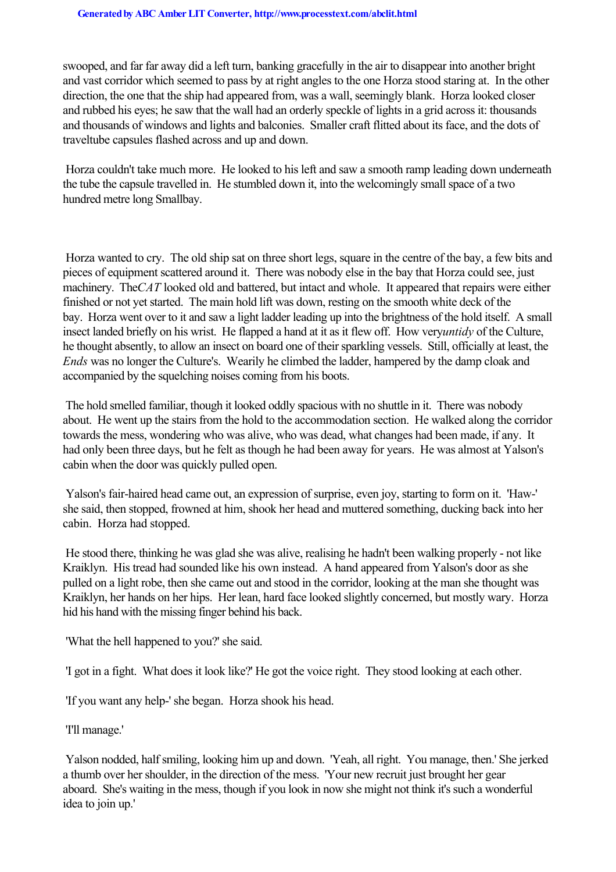swooped, and far far away did a left turn, banking gracefully in the air to disappear into another bright and vast corridor which seemed to pass by at right angles to the one Horza stood staring at. In the other direction, the one that the ship had appeared from, was a wall, seemingly blank. Horza looked closer and rubbed his eyes; he saw that the wall had an orderly speckle of lights in a grid across it: thousands and thousands of windows and lights and balconies. Smaller craft flitted about its face, and the dots of traveltube capsules flashed across and up and down.

 Horza couldn't take much more. He looked to his left and saw a smooth ramp leading down underneath the tube the capsule travelled in. He stumbled down it, into the welcomingly small space of a two hundred metre long Smallbay.

 Horza wanted to cry. The old ship sat on three short legs, square in the centre of the bay, a few bits and pieces of equipment scattered around it. There was nobody else in the bay that Horza could see, just machinery. The*CAT* looked old and battered, but intact and whole. It appeared that repairs were either finished or not yet started. The main hold lift was down, resting on the smooth white deck of the bay. Horza went over to it and saw a light ladder leading up into the brightness of the hold itself. A small insect landed briefly on his wrist. He flapped a hand at it as it flew off. How very*untidy* of the Culture, he thought absently, to allow an insect on board one of their sparkling vessels. Still, officially at least, the *Ends* was no longer the Culture's. Wearily he climbed the ladder, hampered by the damp cloak and accompanied by the squelching noises coming from his boots.

 The hold smelled familiar, though it looked oddly spacious with no shuttle in it. There was nobody about. He went up the stairs from the hold to the accommodation section. He walked along the corridor towards the mess, wondering who was alive, who was dead, what changes had been made, if any. It had only been three days, but he felt as though he had been away for years. He was almost at Yalson's cabin when the door was quickly pulled open.

 Yalson's fair-haired head came out, an expression of surprise, even joy, starting to form on it. 'Haw-' she said, then stopped, frowned at him, shook her head and muttered something, ducking back into her cabin. Horza had stopped.

 He stood there, thinking he was glad she was alive, realising he hadn't been walking properly - not like Kraiklyn. His tread had sounded like his own instead. A hand appeared from Yalson's door as she pulled on a light robe, then she came out and stood in the corridor, looking at the man she thought was Kraiklyn, her hands on her hips. Her lean, hard face looked slightly concerned, but mostly wary. Horza hid his hand with the missing finger behind his back.

'What the hell happened to you?' she said.

'I got in a fight. What does it look like?' He got the voice right. They stood looking at each other.

'If you want any help-' she began. Horza shook his head.

'I'll manage.'

 Yalson nodded, half smiling, looking him up and down. 'Yeah, all right. You manage, then.' She jerked a thumb over her shoulder, in the direction of the mess. 'Your new recruit just brought her gear aboard. She's waiting in the mess, though if you look in now she might not think it's such a wonderful idea to join up.'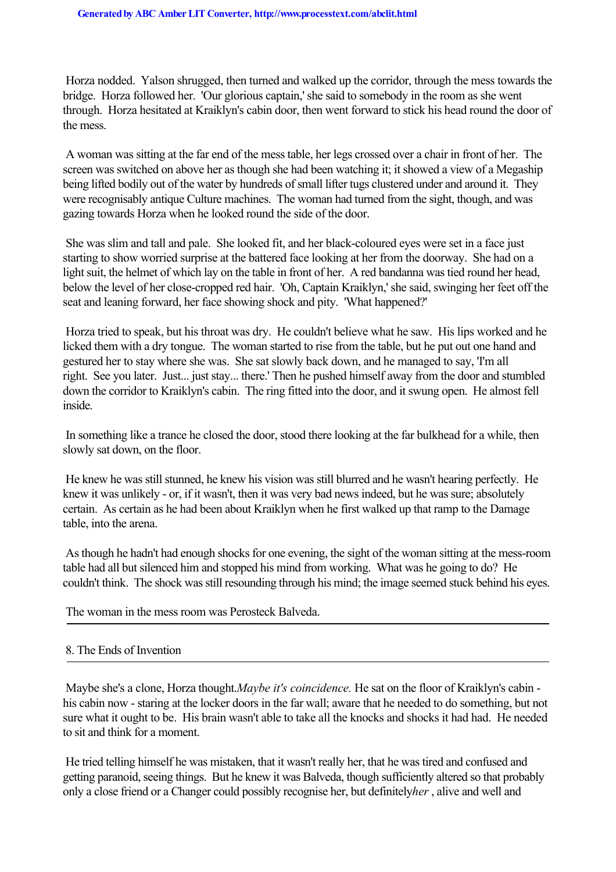Horza nodded. Yalson shrugged, then turned and walked up the corridor, through the mess towards the bridge. Horza followed her. 'Our glorious captain,' she said to somebody in the room as she went through. Horza hesitated at Kraiklyn's cabin door, then went forward to stick his head round the door of the mess.

 A woman was sitting at the far end of the mess table, her legs crossed over a chair in front of her. The screen was switched on above her as though she had been watching it; it showed a view of a Megaship being lifted bodily out of the water by hundreds of small lifter tugs clustered under and around it. They were recognisably antique Culture machines. The woman had turned from the sight, though, and was gazing towards Horza when he looked round the side of the door.

 She was slim and tall and pale. She looked fit, and her black-coloured eyes were set in a face just starting to show worried surprise at the battered face looking at her from the doorway. She had on a light suit, the helmet of which lay on the table in front of her. A red bandanna was tied round her head, below the level of her close-cropped red hair. 'Oh, Captain Kraiklyn,' she said, swinging her feet off the seat and leaning forward, her face showing shock and pity. 'What happened?'

 Horza tried to speak, but his throat was dry. He couldn't believe what he saw. His lips worked and he licked them with a dry tongue. The woman started to rise from the table, but he put out one hand and gestured her to stay where she was. She sat slowly back down, and he managed to say, 'I'm all right. See you later. Just... just stay... there.' Then he pushed himself away from the door and stumbled down the corridor to Kraiklyn's cabin. The ring fitted into the door, and it swung open. He almost fell inside.

 In something like a trance he closed the door, stood there looking at the far bulkhead for a while, then slowly sat down, on the floor.

 He knew he was still stunned, he knew his vision was still blurred and he wasn't hearing perfectly. He knew it was unlikely - or, if it wasn't, then it was very bad news indeed, but he was sure; absolutely certain. As certain as he had been about Kraiklyn when he first walked up that ramp to the Damage table, into the arena.

 As though he hadn't had enough shocks for one evening, the sight of the woman sitting at the mess-room table had all but silenced him and stopped his mind from working. What was he going to do? He couldn't think. The shock was still resounding through his mind; the image seemed stuck behind his eyes.

The woman in the mess room was Perosteck Balveda.

### 8. The Ends of Invention

 Maybe she's a clone, Horza thought.*Maybe it's coincidence.* He sat on the floor of Kraiklyn's cabin his cabin now - staring at the locker doors in the far wall; aware that he needed to do something, but not sure what it ought to be. His brain wasn't able to take all the knocks and shocks it had had. He needed to sit and think for a moment.

 He tried telling himself he was mistaken, that it wasn't really her, that he was tired and confused and getting paranoid, seeing things. But he knew it was Balveda, though sufficiently altered so that probably only a close friend or a Changer could possibly recognise her, but definitely*her* , alive and well and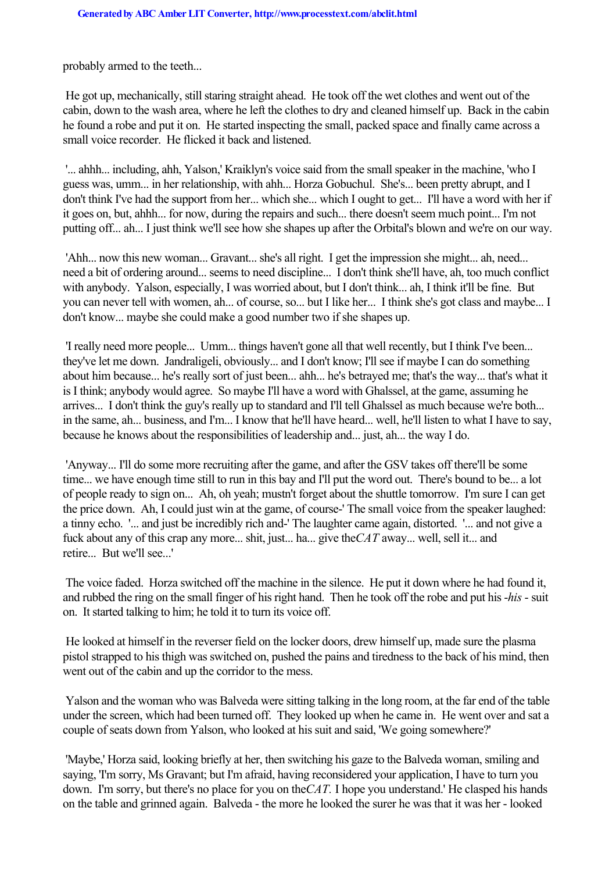probably armed to the teeth...

 He got up, mechanically, still staring straight ahead. He took off the wet clothes and went out of the cabin, down to the wash area, where he left the clothes to dry and cleaned himself up. Back in the cabin he found a robe and put it on. He started inspecting the small, packed space and finally came across a small voice recorder. He flicked it back and listened.

 '... ahhh... including, ahh, Yalson,' Kraiklyn's voice said from the small speaker in the machine, 'who I guess was, umm... in her relationship, with ahh... Horza Gobuchul. She's... been pretty abrupt, and I don't think I've had the support from her... which she... which I ought to get... I'll have a word with her if it goes on, but, ahhh... for now, during the repairs and such... there doesn't seem much point... I'm not putting off... ah... I just think we'll see how she shapes up after the Orbital's blown and we're on our way.

 'Ahh... now this new woman... Gravant... she's all right. I get the impression she might... ah, need... need a bit of ordering around... seems to need discipline... I don't think she'll have, ah, too much conflict with anybody. Yalson, especially, I was worried about, but I don't think... ah, I think it'll be fine. But you can never tell with women, ah... of course, so... but I like her... I think she's got class and maybe... I don't know... maybe she could make a good number two if she shapes up.

 'I really need more people... Umm... things haven't gone all that well recently, but I think I've been... they've let me down. Jandraligeli, obviously... and I don't know; I'll see if maybe I can do something about him because... he's really sort of just been... ahh... he's betrayed me; that's the way... that's what it is I think; anybody would agree. So maybe I'll have a word with Ghalssel, at the game, assuming he arrives... I don't think the guy's really up to standard and I'll tell Ghalssel as much because we're both... in the same, ah... business, and I'm... I know that he'll have heard... well, he'll listen to what I have to say, because he knows about the responsibilities of leadership and... just, ah... the way I do.

 'Anyway... I'll do some more recruiting after the game, and after the GSV takes off there'll be some time... we have enough time still to run in this bay and I'll put the word out. There's bound to be... a lot of people ready to sign on... Ah, oh yeah; mustn't forget about the shuttle tomorrow. I'm sure I can get the price down. Ah, I could just win at the game, of course-' The small voice from the speaker laughed: a tinny echo. '... and just be incredibly rich and-' The laughter came again, distorted. '... and not give a fuck about any of this crap any more... shit, just... ha... give the*CAT* away... well, sell it... and retire... But we'll see...'

 The voice faded. Horza switched off the machine in the silence. He put it down where he had found it, and rubbed the ring on the small finger of his right hand. Then he took off the robe and put his -*his* - suit on. It started talking to him; he told it to turn its voice off.

 He looked at himself in the reverser field on the locker doors, drew himself up, made sure the plasma pistol strapped to his thigh was switched on, pushed the pains and tiredness to the back of his mind, then went out of the cabin and up the corridor to the mess.

 Yalson and the woman who was Balveda were sitting talking in the long room, at the far end of the table under the screen, which had been turned off. They looked up when he came in. He went over and sat a couple of seats down from Yalson, who looked at his suit and said, 'We going somewhere?'

 'Maybe,' Horza said, looking briefly at her, then switching his gaze to the Balveda woman, smiling and saying, 'I'm sorry, Ms Gravant; but I'm afraid, having reconsidered your application, I have to turn you down. I'm sorry, but there's no place for you on the*CAT.* I hope you understand.' He clasped his hands on the table and grinned again. Balveda - the more he looked the surer he was that it was her - looked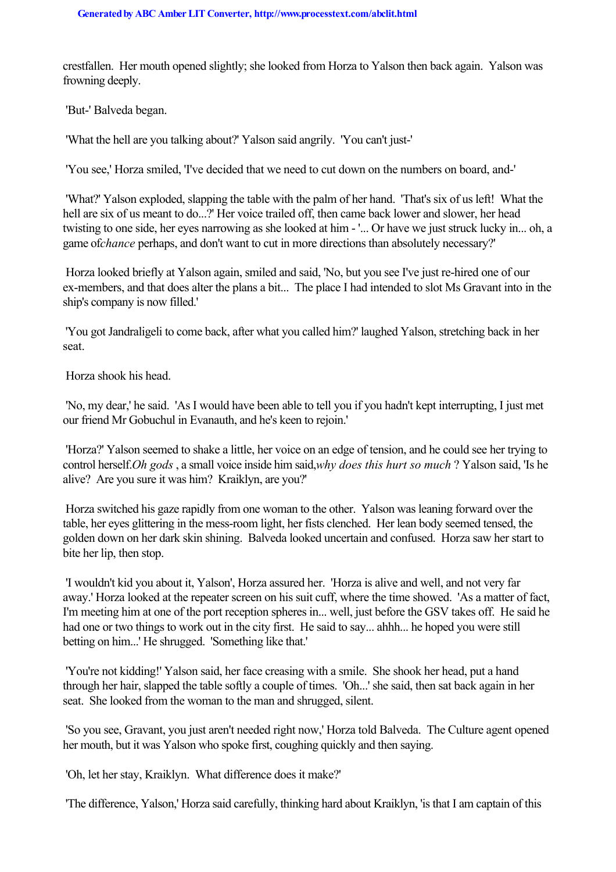crestfallen. Her mouth opened slightly; she looked from Horza to Yalson then back again. Yalson was frowning deeply.

'But-' Balveda began.

'What the hell are you talking about?' Yalson said angrily. 'You can't just-'

'You see,' Horza smiled, 'I've decided that we need to cut down on the numbers on board, and-'

 'What?' Yalson exploded, slapping the table with the palm of her hand. 'That's six of us left! What the hell are six of us meant to do...?' Her voice trailed off, then came back lower and slower, her head twisting to one side, her eyes narrowing as she looked at him - '... Or have we just struck lucky in... oh, a game of*chance* perhaps, and don't want to cut in more directions than absolutely necessary?'

 Horza looked briefly at Yalson again, smiled and said, 'No, but you see I've just re-hired one of our ex-members, and that does alter the plans a bit... The place I had intended to slot Ms Gravant into in the ship's company is now filled.'

 'You got Jandraligeli to come back, after what you called him?' laughed Yalson, stretching back in her seat.

Horza shook his head.

 'No, my dear,' he said. 'As I would have been able to tell you if you hadn't kept interrupting, I just met our friend Mr Gobuchul in Evanauth, and he's keen to rejoin.'

 'Horza?' Yalson seemed to shake a little, her voice on an edge of tension, and he could see her trying to control herself.*Oh gods* , a small voice inside him said,*why does this hurt so much* ? Yalson said, 'Is he alive? Are you sure it was him? Kraiklyn, are you?'

 Horza switched his gaze rapidly from one woman to the other. Yalson was leaning forward over the table, her eyes glittering in the mess-room light, her fists clenched. Her lean body seemed tensed, the golden down on her dark skin shining. Balveda looked uncertain and confused. Horza saw her start to bite her lip, then stop.

 'I wouldn't kid you about it, Yalson', Horza assured her. 'Horza is alive and well, and not very far away.' Horza looked at the repeater screen on his suit cuff, where the time showed. 'As a matter of fact, I'm meeting him at one of the port reception spheres in... well, just before the GSV takes off. He said he had one or two things to work out in the city first. He said to say... ahhh... he hoped you were still betting on him...' He shrugged. 'Something like that.'

 'You're not kidding!' Yalson said, her face creasing with a smile. She shook her head, put a hand through her hair, slapped the table softly a couple of times. 'Oh...' she said, then sat back again in her seat. She looked from the woman to the man and shrugged, silent.

 'So you see, Gravant, you just aren't needed right now,' Horza told Balveda. The Culture agent opened her mouth, but it was Yalson who spoke first, coughing quickly and then saying.

'Oh, let her stay, Kraiklyn. What difference does it make?'

'The difference, Yalson,' Horza said carefully, thinking hard about Kraiklyn, 'is that I am captain of this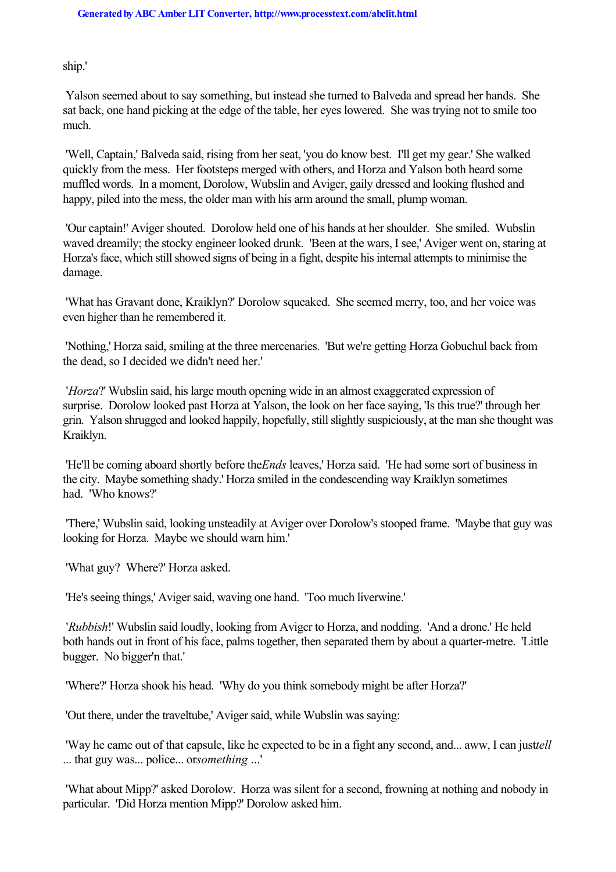ship.'

 Yalson seemed about to say something, but instead she turned to Balveda and spread her hands. She sat back, one hand picking at the edge of the table, her eyes lowered. She was trying not to smile too much.

 'Well, Captain,' Balveda said, rising from her seat, 'you do know best. I'll get my gear.' She walked quickly from the mess. Her footsteps merged with others, and Horza and Yalson both heard some muffled words. In a moment, Dorolow, Wubslin and Aviger, gaily dressed and looking flushed and happy, piled into the mess, the older man with his arm around the small, plump woman.

 'Our captain!' Aviger shouted. Dorolow held one of his hands at her shoulder. She smiled. Wubslin waved dreamily; the stocky engineer looked drunk. 'Been at the wars, I see,' Aviger went on, staring at Horza's face, which still showed signs of being in a fight, despite his internal attempts to minimise the damage.

 'What has Gravant done, Kraiklyn?' Dorolow squeaked. She seemed merry, too, and her voice was even higher than he remembered it.

 'Nothing,' Horza said, smiling at the three mercenaries. 'But we're getting Horza Gobuchul back from the dead, so I decided we didn't need her.

 '*Horza*?' Wubslin said, his large mouth opening wide in an almost exaggerated expression of surprise. Dorolow looked past Horza at Yalson, the look on her face saying, 'Is this true?' through her grin. Yalson shrugged and looked happily, hopefully, still slightly suspiciously, at the man she thought was Kraiklyn.

 'He'll be coming aboard shortly before the*Ends* leaves,' Horza said. 'He had some sort of business in the city. Maybe something shady.' Horza smiled in the condescending way Kraiklyn sometimes had. 'Who knows?'

 'There,' Wubslin said, looking unsteadily at Aviger over Dorolow's stooped frame. 'Maybe that guy was looking for Horza. Maybe we should warn him.'

'What guy? Where?' Horza asked.

'He's seeing things,' Aviger said, waving one hand. 'Too much liverwine.'

 '*Rubbish*!' Wubslin said loudly, looking from Aviger to Horza, and nodding. 'And a drone.' He held both hands out in front of his face, palms together, then separated them by about a quarter-metre. 'Little bugger. No bigger'n that.'

'Where?' Horza shook his head. 'Why do you think somebody might be after Horza?'

'Out there, under the traveltube,' Aviger said, while Wubslin was saying:

 'Way he came out of that capsule, like he expected to be in a fight any second, and... aww, I can just*tell* ... that guy was... police... or*something* ...'

 'What about Mipp?' asked Dorolow. Horza was silent for a second, frowning at nothing and nobody in particular. 'Did Horza mention Mipp?' Dorolow asked him.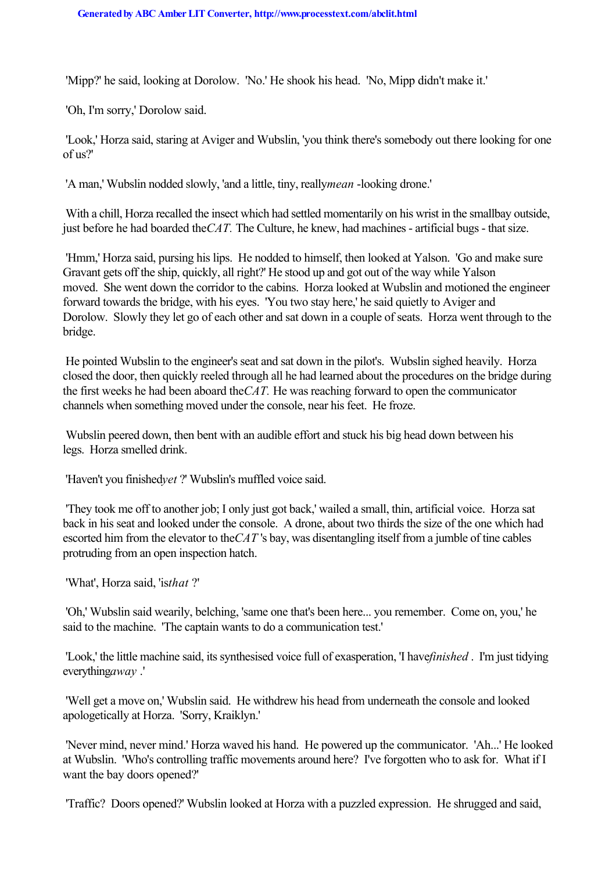'Mipp?' he said, looking at Dorolow. 'No.' He shook his head. 'No, Mipp didn't make it.'

'Oh, I'm sorry,' Dorolow said.

 'Look,' Horza said, staring at Aviger and Wubslin, 'you think there's somebody out there looking for one of us?'

'A man,' Wubslin nodded slowly, 'and a little, tiny, really*mean* -looking drone.'

With a chill, Horza recalled the insect which had settled momentarily on his wrist in the smallbay outside. just before he had boarded the*CAT.* The Culture, he knew, had machines - artificial bugs - that size.

 'Hmm,' Horza said, pursing his lips. He nodded to himself, then looked at Yalson. 'Go and make sure Gravant gets off the ship, quickly, all right?' He stood up and got out of the way while Yalson moved. She went down the corridor to the cabins. Horza looked at Wubslin and motioned the engineer forward towards the bridge, with his eyes. 'You two stay here,' he said quietly to Aviger and Dorolow. Slowly they let go of each other and sat down in a couple of seats. Horza went through to the bridge.

 He pointed Wubslin to the engineer's seat and sat down in the pilot's. Wubslin sighed heavily. Horza closed the door, then quickly reeled through all he had learned about the procedures on the bridge during the first weeks he had been aboard the*CAT.* He was reaching forward to open the communicator channels when something moved under the console, near his feet. He froze.

 Wubslin peered down, then bent with an audible effort and stuck his big head down between his legs. Horza smelled drink.

'Haven't you finished*yet* ?' Wubslin's muffled voice said.

 'They took me off to another job; I only just got back,' wailed a small, thin, artificial voice. Horza sat back in his seat and looked under the console. A drone, about two thirds the size of the one which had escorted him from the elevator to the*CAT* 's bay, was disentangling itself from a jumble of tine cables protruding from an open inspection hatch.

'What', Horza said, 'is*that* ?'

 'Oh,' Wubslin said wearily, belching, 'same one that's been here... you remember. Come on, you,' he said to the machine. 'The captain wants to do a communication test.'

 'Look,' the little machine said, its synthesised voice full of exasperation, 'I have*finished* . I'm just tidying everything*away* .'

 'Well get a move on,' Wubslin said. He withdrew his head from underneath the console and looked apologetically at Horza. 'Sorry, Kraiklyn.'

 'Never mind, never mind.' Horza waved his hand. He powered up the communicator. 'Ah...' He looked at Wubslin. 'Who's controlling traffic movements around here? I've forgotten who to ask for. What if I want the bay doors opened?'

'Traffic? Doors opened?' Wubslin looked at Horza with a puzzled expression. He shrugged and said,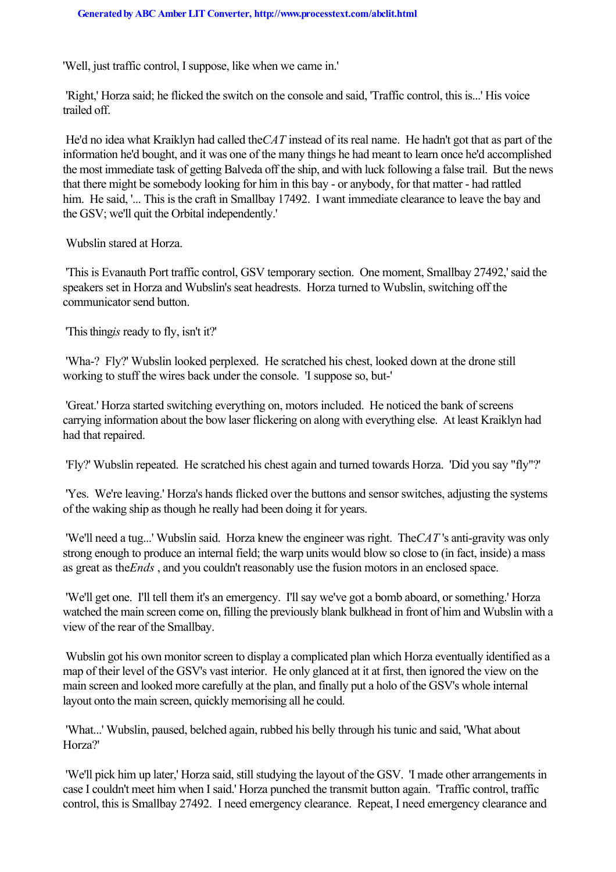'Well, just traffic control, I suppose, like when we came in.'

 'Right,' Horza said; he flicked the switch on the console and said, 'Traffic control, this is...' His voice trailed off.

 He'd no idea what Kraiklyn had called the*CAT* instead of its real name. He hadn't got that as part of the information he'd bought, and it was one of the many things he had meant to learn once he'd accomplished the most immediate task of getting Balveda off the ship, and with luck following a false trail. But the news that there might be somebody looking for him in this bay - or anybody, for that matter - had rattled him. He said, '... This is the craft in Smallbay 17492. I want immediate clearance to leave the bay and the GSV; we'll quit the Orbital independently.'

Wubslin stared at Horza.

 'This is Evanauth Port traffic control, GSV temporary section. One moment, Smallbay 27492,' said the speakers set in Horza and Wubslin's seat headrests. Horza turned to Wubslin, switching off the communicator send button.

'This thing*is* ready to fly, isn't it?'

 'Wha-? Fly?' Wubslin looked perplexed. He scratched his chest, looked down at the drone still working to stuff the wires back under the console. 'I suppose so, but-'

 'Great.' Horza started switching everything on, motors included. He noticed the bank of screens carrying information about the bow laser flickering on along with everything else. At least Kraiklyn had had that repaired.

'Fly?' Wubslin repeated. He scratched his chest again and turned towards Horza. 'Did you say "fly"?'

 'Yes. We're leaving.' Horza's hands flicked over the buttons and sensor switches, adjusting the systems of the waking ship as though he really had been doing it for years.

 'We'll need a tug...' Wubslin said. Horza knew the engineer was right. The*CAT* 's anti-gravity was only strong enough to produce an internal field; the warp units would blow so close to (in fact, inside) a mass as great as the*Ends* , and you couldn't reasonably use the fusion motors in an enclosed space.

 'We'll get one. I'll tell them it's an emergency. I'll say we've got a bomb aboard, or something.' Horza watched the main screen come on, filling the previously blank bulkhead in front of him and Wubslin with a view of the rear of the Smallbay.

 Wubslin got his own monitor screen to display a complicated plan which Horza eventually identified as a map of their level of the GSV's vast interior. He only glanced at it at first, then ignored the view on the main screen and looked more carefully at the plan, and finally put a holo of the GSV's whole internal layout onto the main screen, quickly memorising all he could.

 'What...' Wubslin, paused, belched again, rubbed his belly through his tunic and said, 'What about Horza?'

 'We'll pick him up later,' Horza said, still studying the layout of the GSV. 'I made other arrangements in case I couldn't meet him when I said.' Horza punched the transmit button again. 'Traffic control, traffic control, this is Smallbay 27492. I need emergency clearance. Repeat, I need emergency clearance and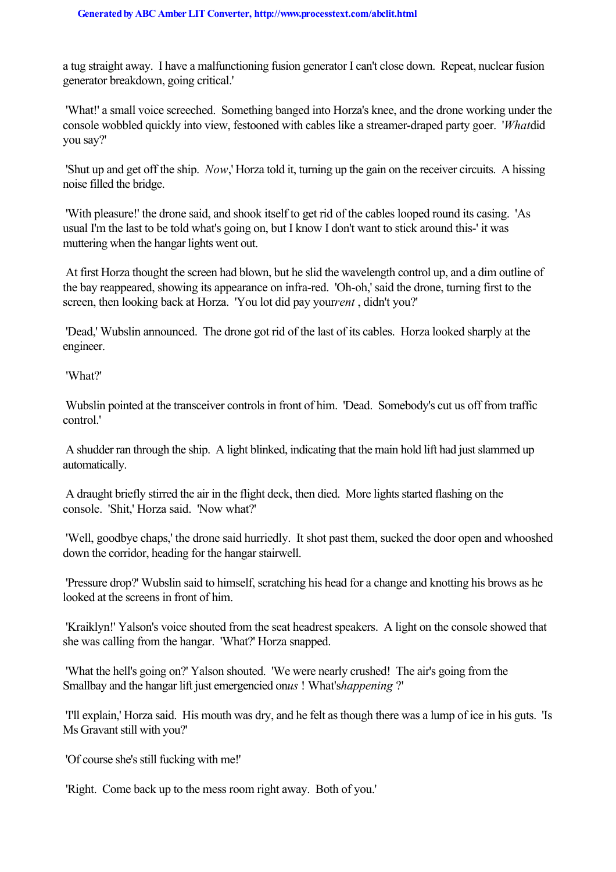a tug straight away. I have a malfunctioning fusion generator I can't close down. Repeat, nuclear fusion generator breakdown, going critical.'

 'What!' a small voice screeched. Something banged into Horza's knee, and the drone working under the console wobbled quickly into view, festooned with cables like a streamer-draped party goer. '*What*did you say?'

 'Shut up and get off the ship. *Now*,' Horza told it, turning up the gain on the receiver circuits. A hissing noise filled the bridge.

 'With pleasure!' the drone said, and shook itself to get rid of the cables looped round its casing. 'As usual I'm the last to be told what's going on, but I know I don't want to stick around this-' it was muttering when the hangar lights went out.

 At first Horza thought the screen had blown, but he slid the wavelength control up, and a dim outline of the bay reappeared, showing its appearance on infra-red. 'Oh-oh,' said the drone, turning first to the screen, then looking back at Horza. 'You lot did pay your*rent* , didn't you?'

 'Dead,' Wubslin announced. The drone got rid of the last of its cables. Horza looked sharply at the engineer.

'What?'

 Wubslin pointed at the transceiver controls in front of him. 'Dead. Somebody's cut us off from traffic control.'

 A shudder ran through the ship. A light blinked, indicating that the main hold lift had just slammed up automatically.

 A draught briefly stirred the air in the flight deck, then died. More lights started flashing on the console. 'Shit,' Horza said. 'Now what?'

 'Well, goodbye chaps,' the drone said hurriedly. It shot past them, sucked the door open and whooshed down the corridor, heading for the hangar stairwell.

 'Pressure drop?' Wubslin said to himself, scratching his head for a change and knotting his brows as he looked at the screens in front of him.

 'Kraiklyn!' Yalson's voice shouted from the seat headrest speakers. A light on the console showed that she was calling from the hangar. 'What?' Horza snapped.

 'What the hell's going on?' Yalson shouted. 'We were nearly crushed! The air's going from the Smallbay and the hangar lift just emergencied on*us* ! What's*happening* ?'

 'I'll explain,' Horza said. His mouth was dry, and he felt as though there was a lump of ice in his guts. 'Is Ms Gravant still with you?'

'Of course she's still fucking with me!'

'Right. Come back up to the mess room right away. Both of you.'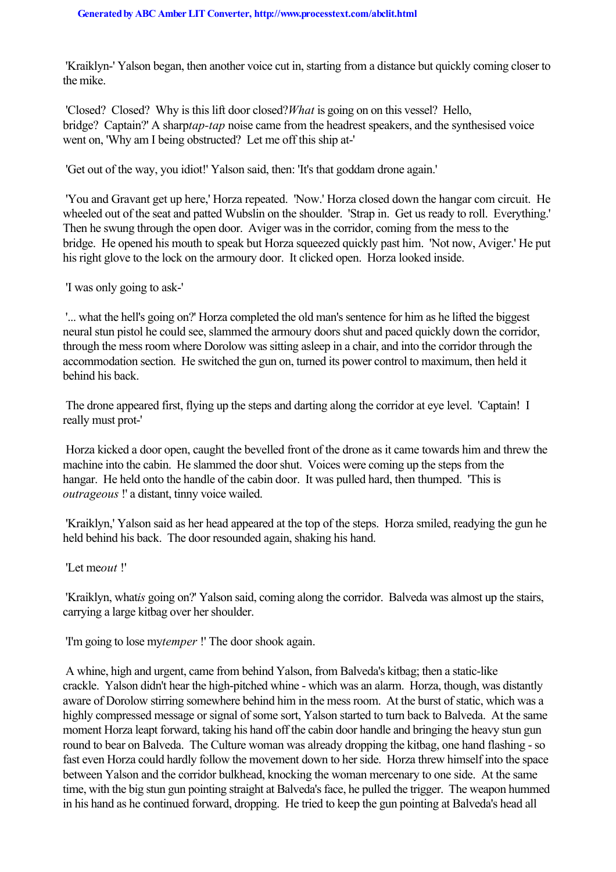'Kraiklyn-' Yalson began, then another voice cut in, starting from a distance but quickly coming closer to the mike.

 'Closed? Closed? Why is this lift door closed?*What* is going on on this vessel? Hello, bridge? Captain?' A sharp*tap-tap* noise came from the headrest speakers, and the synthesised voice went on, 'Why am I being obstructed? Let me off this ship at-'

'Get out of the way, you idiot!' Yalson said, then: 'It's that goddam drone again.'

 'You and Gravant get up here,' Horza repeated. 'Now.' Horza closed down the hangar com circuit. He wheeled out of the seat and patted Wubslin on the shoulder. 'Strap in. Get us ready to roll. Everything.' Then he swung through the open door. Aviger was in the corridor, coming from the mess to the bridge. He opened his mouth to speak but Horza squeezed quickly past him. 'Not now, Aviger.' He put his right glove to the lock on the armoury door. It clicked open. Horza looked inside.

'I was only going to ask-'

 '... what the hell's going on?' Horza completed the old man's sentence for him as he lifted the biggest neural stun pistol he could see, slammed the armoury doors shut and paced quickly down the corridor, through the mess room where Dorolow was sitting asleep in a chair, and into the corridor through the accommodation section. He switched the gun on, turned its power control to maximum, then held it behind his back.

 The drone appeared first, flying up the steps and darting along the corridor at eye level. 'Captain! I really must prot-'

 Horza kicked a door open, caught the bevelled front of the drone as it came towards him and threw the machine into the cabin. He slammed the door shut. Voices were coming up the steps from the hangar. He held onto the handle of the cabin door. It was pulled hard, then thumped. 'This is *outrageous* !' a distant, tinny voice wailed.

 'Kraiklyn,' Yalson said as her head appeared at the top of the steps. Horza smiled, readying the gun he held behind his back. The door resounded again, shaking his hand.

'Let me*out* !'

 'Kraiklyn, what*is* going on?' Yalson said, coming along the corridor. Balveda was almost up the stairs, carrying a large kitbag over her shoulder.

'I'm going to lose my*temper* !' The door shook again.

 A whine, high and urgent, came from behind Yalson, from Balveda's kitbag; then a static-like crackle. Yalson didn't hear the high-pitched whine - which was an alarm. Horza, though, was distantly aware of Dorolow stirring somewhere behind him in the mess room. At the burst of static, which was a highly compressed message or signal of some sort, Yalson started to turn back to Balveda. At the same moment Horza leapt forward, taking his hand off the cabin door handle and bringing the heavy stun gun round to bear on Balveda. The Culture woman was already dropping the kitbag, one hand flashing - so fast even Horza could hardly follow the movement down to her side. Horza threw himself into the space between Yalson and the corridor bulkhead, knocking the woman mercenary to one side. At the same time, with the big stun gun pointing straight at Balveda's face, he pulled the trigger. The weapon hummed in his hand as he continued forward, dropping. He tried to keep the gun pointing at Balveda's head all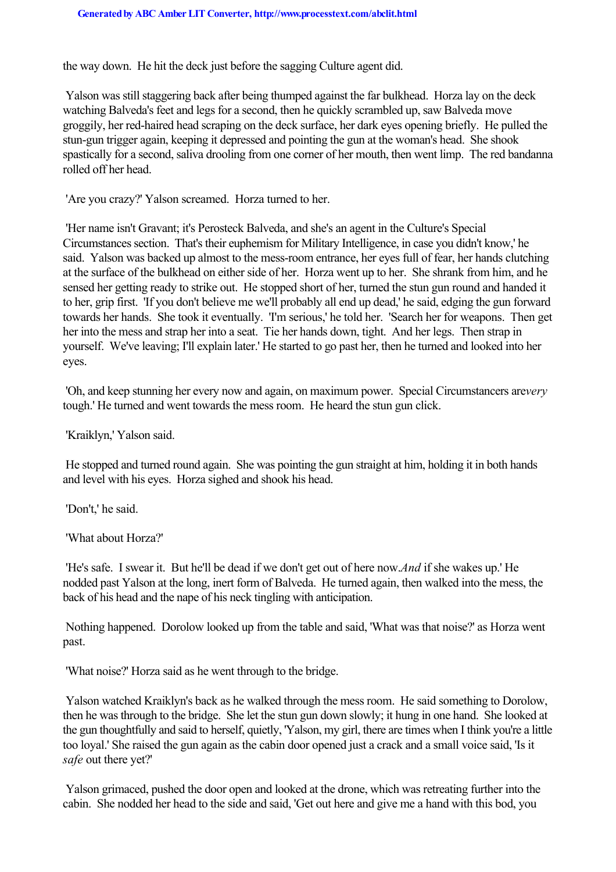the way down. He hit the deck just before the sagging Culture agent did.

 Yalson was still staggering back after being thumped against the far bulkhead. Horza lay on the deck watching Balveda's feet and legs for a second, then he quickly scrambled up, saw Balveda move groggily, her red-haired head scraping on the deck surface, her dark eyes opening briefly. He pulled the stun-gun trigger again, keeping it depressed and pointing the gun at the woman's head. She shook spastically for a second, saliva drooling from one corner of her mouth, then went limp. The red bandanna rolled off her head.

'Are you crazy?' Yalson screamed. Horza turned to her.

 'Her name isn't Gravant; it's Perosteck Balveda, and she's an agent in the Culture's Special Circumstances section. That's their euphemism for Military Intelligence, in case you didn't know,' he said. Yalson was backed up almost to the mess-room entrance, her eyes full of fear, her hands clutching at the surface of the bulkhead on either side of her. Horza went up to her. She shrank from him, and he sensed her getting ready to strike out. He stopped short of her, turned the stun gun round and handed it to her, grip first. 'If you don't believe me we'll probably all end up dead,' he said, edging the gun forward towards her hands. She took it eventually. 'I'm serious,' he told her. 'Search her for weapons. Then get her into the mess and strap her into a seat. Tie her hands down, tight. And her legs. Then strap in yourself. We've leaving; I'll explain later.' He started to go past her, then he turned and looked into her eyes.

 'Oh, and keep stunning her every now and again, on maximum power. Special Circumstancers are*very* tough.' He turned and went towards the mess room. He heard the stun gun click.

'Kraiklyn,' Yalson said.

 He stopped and turned round again. She was pointing the gun straight at him, holding it in both hands and level with his eyes. Horza sighed and shook his head.

'Don't,' he said.

'What about Horza?'

 'He's safe. I swear it. But he'll be dead if we don't get out of here now.*And* if she wakes up.' He nodded past Yalson at the long, inert form of Balveda. He turned again, then walked into the mess, the back of his head and the nape of his neck tingling with anticipation.

 Nothing happened. Dorolow looked up from the table and said, 'What was that noise?' as Horza went past.

'What noise?' Horza said as he went through to the bridge.

 Yalson watched Kraiklyn's back as he walked through the mess room. He said something to Dorolow, then he was through to the bridge. She let the stun gun down slowly; it hung in one hand. She looked at the gun thoughtfully and said to herself, quietly, 'Yalson, my girl, there are times when I think you're a little too loyal.' She raised the gun again as the cabin door opened just a crack and a small voice said, 'Is it *safe* out there yet?'

 Yalson grimaced, pushed the door open and looked at the drone, which was retreating further into the cabin. She nodded her head to the side and said, 'Get out here and give me a hand with this bod, you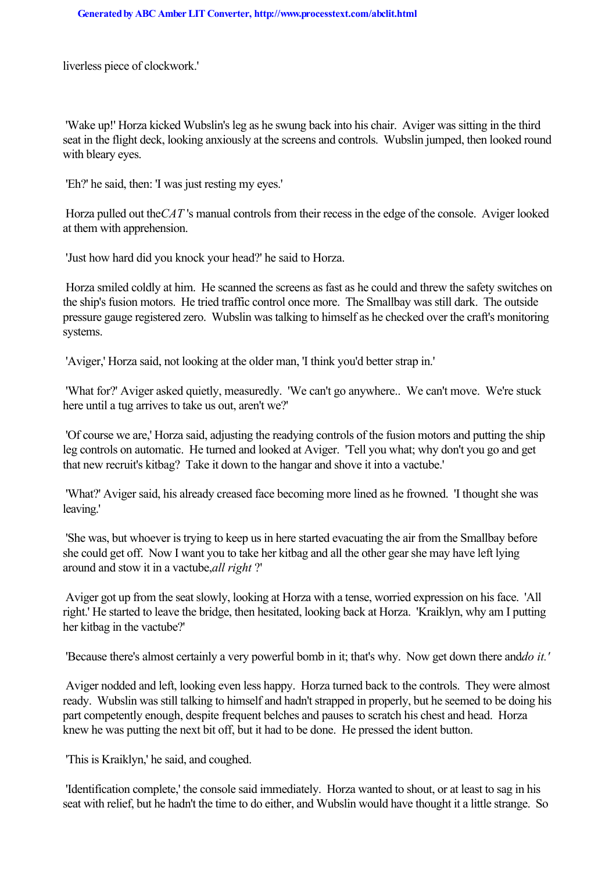liverless piece of clockwork.'

 'Wake up!' Horza kicked Wubslin's leg as he swung back into his chair. Aviger was sitting in the third seat in the flight deck, looking anxiously at the screens and controls. Wubslin jumped, then looked round with bleary eyes.

'Eh?' he said, then: 'I was just resting my eyes.'

 Horza pulled out the*CAT* 's manual controls from their recess in the edge of the console. Aviger looked at them with apprehension.

'Just how hard did you knock your head?' he said to Horza.

 Horza smiled coldly at him. He scanned the screens as fast as he could and threw the safety switches on the ship's fusion motors. He tried traffic control once more. The Smallbay was still dark. The outside pressure gauge registered zero. Wubslin was talking to himself as he checked over the craft's monitoring systems.

'Aviger,' Horza said, not looking at the older man, 'I think you'd better strap in.'

 'What for?' Aviger asked quietly, measuredly. 'We can't go anywhere.. We can't move. We're stuck here until a tug arrives to take us out, aren't we?'

 'Of course we are,' Horza said, adjusting the readying controls of the fusion motors and putting the ship leg controls on automatic. He turned and looked at Aviger. 'Tell you what; why don't you go and get that new recruit's kitbag? Take it down to the hangar and shove it into a vactube.'

 'What?' Aviger said, his already creased face becoming more lined as he frowned. 'I thought she was leaving.'

 'She was, but whoever is trying to keep us in here started evacuating the air from the Smallbay before she could get off. Now I want you to take her kitbag and all the other gear she may have left lying around and stow it in a vactube,*all right* ?'

 Aviger got up from the seat slowly, looking at Horza with a tense, worried expression on his face. 'All right.' He started to leave the bridge, then hesitated, looking back at Horza. 'Kraiklyn, why am I putting her kitbag in the vactube?'

'Because there's almost certainly a very powerful bomb in it; that's why. Now get down there and*do it.'*

 Aviger nodded and left, looking even less happy. Horza turned back to the controls. They were almost ready. Wubslin was still talking to himself and hadn't strapped in properly, but he seemed to be doing his part competently enough, despite frequent belches and pauses to scratch his chest and head. Horza knew he was putting the next bit off, but it had to be done. He pressed the ident button.

'This is Kraiklyn,' he said, and coughed.

 'Identification complete,' the console said immediately. Horza wanted to shout, or at least to sag in his seat with relief, but he hadn't the time to do either, and Wubslin would have thought it a little strange. So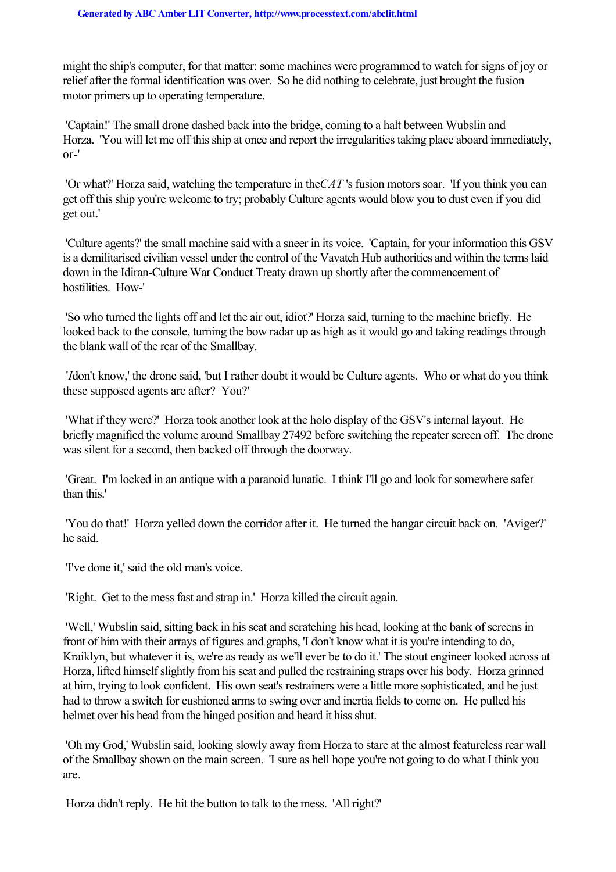might the ship's computer, for that matter: some machines were programmed to watch for signs of joy or relief after the formal identification was over. So he did nothing to celebrate, just brought the fusion motor primers up to operating temperature.

 'Captain!' The small drone dashed back into the bridge, coming to a halt between Wubslin and Horza. 'You will let me off this ship at once and report the irregularities taking place aboard immediately, or-'

 'Or what?' Horza said, watching the temperature in the*CAT* 's fusion motors soar. 'If you think you can get off this ship you're welcome to try; probably Culture agents would blow you to dust even if you did get out.'

 'Culture agents?' the small machine said with a sneer in its voice. 'Captain, for your information this GSV is a demilitarised civilian vessel under the control of the Vavatch Hub authorities and within the terms laid down in the Idiran-Culture War Conduct Treaty drawn up shortly after the commencement of hostilities. How-'

 'So who turned the lights off and let the air out, idiot?' Horza said, turning to the machine briefly. He looked back to the console, turning the bow radar up as high as it would go and taking readings through the blank wall of the rear of the Smallbay.

 '*I*don't know,' the drone said, 'but I rather doubt it would be Culture agents. Who or what do you think these supposed agents are after? You?'

 'What if they were?' Horza took another look at the holo display of the GSV's internal layout. He briefly magnified the volume around Smallbay 27492 before switching the repeater screen off. The drone was silent for a second, then backed off through the doorway.

 'Great. I'm locked in an antique with a paranoid lunatic. I think I'll go and look for somewhere safer than this.'

 'You do that!' Horza yelled down the corridor after it. He turned the hangar circuit back on. 'Aviger?' he said.

'I've done it,' said the old man's voice.

'Right. Get to the mess fast and strap in.' Horza killed the circuit again.

 'Well,' Wubslin said, sitting back in his seat and scratching his head, looking at the bank of screens in front of him with their arrays of figures and graphs, 'I don't know what it is you're intending to do, Kraiklyn, but whatever it is, we're as ready as we'll ever be to do it.' The stout engineer looked across at Horza, lifted himself slightly from his seat and pulled the restraining straps over his body. Horza grinned at him, trying to look confident. His own seat's restrainers were a little more sophisticated, and he just had to throw a switch for cushioned arms to swing over and inertia fields to come on. He pulled his helmet over his head from the hinged position and heard it hiss shut.

 'Oh my God,' Wubslin said, looking slowly away from Horza to stare at the almost featureless rear wall of the Smallbay shown on the main screen. 'I sure as hell hope you're not going to do what I think you are.

Horza didn't reply. He hit the button to talk to the mess. 'All right?'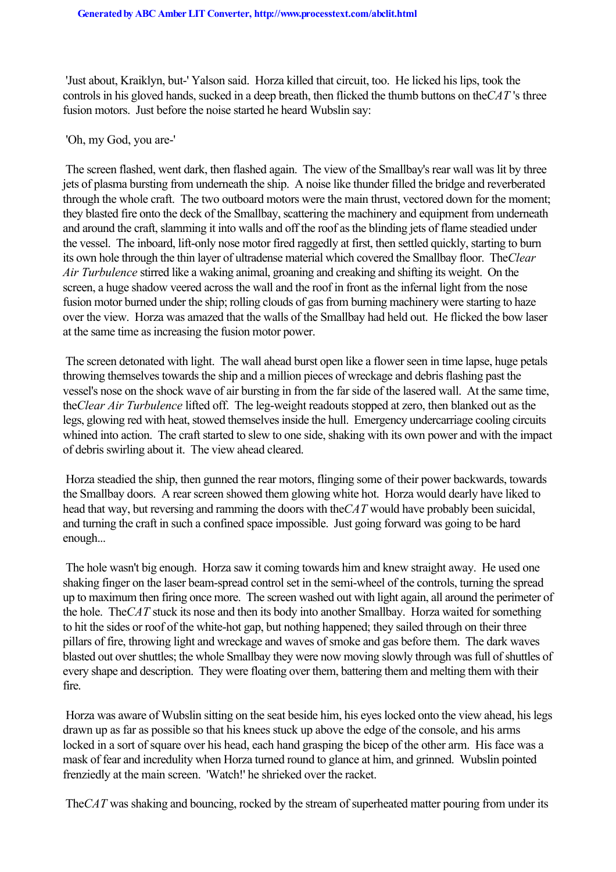'Just about, Kraiklyn, but-' Yalson said. Horza killed that circuit, too. He licked his lips, took the controls in his gloved hands, sucked in a deep breath, then flicked the thumb buttons on the*CAT* 's three fusion motors. Just before the noise started he heard Wubslin say:

## 'Oh, my God, you are-'

 The screen flashed, went dark, then flashed again. The view of the Smallbay's rear wall was lit by three jets of plasma bursting from underneath the ship. A noise like thunder filled the bridge and reverberated through the whole craft. The two outboard motors were the main thrust, vectored down for the moment; they blasted fire onto the deck of the Smallbay, scattering the machinery and equipment from underneath and around the craft, slamming it into walls and off the roof as the blinding jets of flame steadied under the vessel. The inboard, lift-only nose motor fired raggedly at first, then settled quickly, starting to burn its own hole through the thin layer of ultradense material which covered the Smallbay floor. The*Clear Air Turbulence* stirred like a waking animal, groaning and creaking and shifting its weight. On the screen, a huge shadow veered across the wall and the roof in front as the infernal light from the nose fusion motor burned under the ship; rolling clouds of gas from burning machinery were starting to haze over the view. Horza was amazed that the walls of the Smallbay had held out. He flicked the bow laser at the same time as increasing the fusion motor power.

 The screen detonated with light. The wall ahead burst open like a flower seen in time lapse, huge petals throwing themselves towards the ship and a million pieces of wreckage and debris flashing past the vessel's nose on the shock wave of air bursting in from the far side of the lasered wall. At the same time, the*Clear Air Turbulence* lifted off. The leg-weight readouts stopped at zero, then blanked out as the legs, glowing red with heat, stowed themselves inside the hull. Emergency undercarriage cooling circuits whined into action. The craft started to slew to one side, shaking with its own power and with the impact of debris swirling about it. The view ahead cleared.

 Horza steadied the ship, then gunned the rear motors, flinging some of their power backwards, towards the Smallbay doors. A rear screen showed them glowing white hot. Horza would dearly have liked to head that way, but reversing and ramming the doors with the*CAT* would have probably been suicidal, and turning the craft in such a confined space impossible. Just going forward was going to be hard enough...

 The hole wasn't big enough. Horza saw it coming towards him and knew straight away. He used one shaking finger on the laser beam-spread control set in the semi-wheel of the controls, turning the spread up to maximum then firing once more. The screen washed out with light again, all around the perimeter of the hole. The*CAT* stuck its nose and then its body into another Smallbay. Horza waited for something to hit the sides or roof of the white-hot gap, but nothing happened; they sailed through on their three pillars of fire, throwing light and wreckage and waves of smoke and gas before them. The dark waves blasted out over shuttles; the whole Smallbay they were now moving slowly through was full of shuttles of every shape and description. They were floating over them, battering them and melting them with their fire.

 Horza was aware of Wubslin sitting on the seat beside him, his eyes locked onto the view ahead, his legs drawn up as far as possible so that his knees stuck up above the edge of the console, and his arms locked in a sort of square over his head, each hand grasping the bicep of the other arm. His face was a mask of fear and incredulity when Horza turned round to glance at him, and grinned. Wubslin pointed frenziedly at the main screen. 'Watch!' he shrieked over the racket.

The*CAT* was shaking and bouncing, rocked by the stream of superheated matter pouring from under its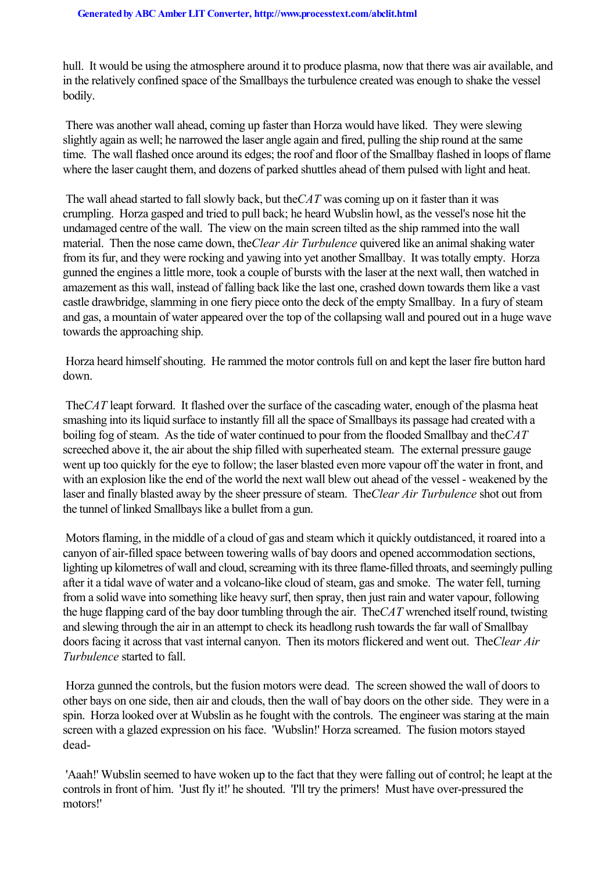hull. It would be using the atmosphere around it to produce plasma, now that there was air available, and in the relatively confined space of the Smallbays the turbulence created was enough to shake the vessel bodily.

 There was another wall ahead, coming up faster than Horza would have liked. They were slewing slightly again as well; he narrowed the laser angle again and fired, pulling the ship round at the same time. The wall flashed once around its edges; the roof and floor of the Smallbay flashed in loops of flame where the laser caught them, and dozens of parked shuttles ahead of them pulsed with light and heat.

 The wall ahead started to fall slowly back, but the*CAT* was coming up on it faster than it was crumpling. Horza gasped and tried to pull back; he heard Wubslin howl, as the vessel's nose hit the undamaged centre of the wall. The view on the main screen tilted as the ship rammed into the wall material. Then the nose came down, the*Clear Air Turbulence* quivered like an animal shaking water from its fur, and they were rocking and yawing into yet another Smallbay. It was totally empty. Horza gunned the engines a little more, took a couple of bursts with the laser at the next wall, then watched in amazement as this wall, instead of falling back like the last one, crashed down towards them like a vast castle drawbridge, slamming in one fiery piece onto the deck of the empty Smallbay. In a fury of steam and gas, a mountain of water appeared over the top of the collapsing wall and poured out in a huge wave towards the approaching ship.

 Horza heard himself shouting. He rammed the motor controls full on and kept the laser fire button hard down.

 The*CAT* leapt forward. It flashed over the surface of the cascading water, enough of the plasma heat smashing into its liquid surface to instantly fill all the space of Smallbays its passage had created with a boiling fog of steam. As the tide of water continued to pour from the flooded Smallbay and the*CAT* screeched above it, the air about the ship filled with superheated steam. The external pressure gauge went up too quickly for the eye to follow; the laser blasted even more vapour off the water in front, and with an explosion like the end of the world the next wall blew out ahead of the vessel - weakened by the laser and finally blasted away by the sheer pressure of steam. The*Clear Air Turbulence* shot out from the tunnel of linked Smallbays like a bullet from a gun.

 Motors flaming, in the middle of a cloud of gas and steam which it quickly outdistanced, it roared into a canyon of air-filled space between towering walls of bay doors and opened accommodation sections, lighting up kilometres of wall and cloud, screaming with its three flame-filled throats, and seemingly pulling after it a tidal wave of water and a volcano-like cloud of steam, gas and smoke. The water fell, turning from a solid wave into something like heavy surf, then spray, then just rain and water vapour, following the huge flapping card of the bay door tumbling through the air. The*CAT* wrenched itself round, twisting and slewing through the air in an attempt to check its headlong rush towards the far wall of Smallbay doors facing it across that vast internal canyon. Then its motors flickered and went out. The*Clear Air Turbulence* started to fall.

 Horza gunned the controls, but the fusion motors were dead. The screen showed the wall of doors to other bays on one side, then air and clouds, then the wall of bay doors on the other side. They were in a spin. Horza looked over at Wubslin as he fought with the controls. The engineer was staring at the main screen with a glazed expression on his face. 'Wubslin!' Horza screamed. The fusion motors stayed dead-

 'Aaah!' Wubslin seemed to have woken up to the fact that they were falling out of control; he leapt at the controls in front of him. 'Just fly it!' he shouted. 'I'll try the primers! Must have over-pressured the motors!'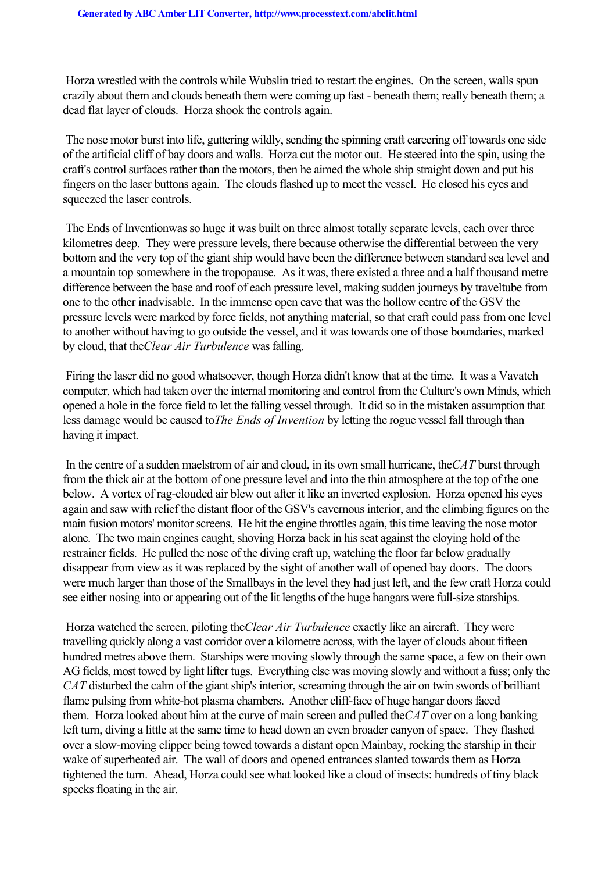Horza wrestled with the controls while Wubslin tried to restart the engines. On the screen, walls spun crazily about them and clouds beneath them were coming up fast - beneath them; really beneath them; a dead flat layer of clouds. Horza shook the controls again.

 The nose motor burst into life, guttering wildly, sending the spinning craft careering off towards one side of the artificial cliff of bay doors and walls. Horza cut the motor out. He steered into the spin, using the craft's control surfaces rather than the motors, then he aimed the whole ship straight down and put his fingers on the laser buttons again. The clouds flashed up to meet the vessel. He closed his eyes and squeezed the laser controls.

 The Ends of Inventionwas so huge it was built on three almost totally separate levels, each over three kilometres deep. They were pressure levels, there because otherwise the differential between the very bottom and the very top of the giant ship would have been the difference between standard sea level and a mountain top somewhere in the tropopause. As it was, there existed a three and a half thousand metre difference between the base and roof of each pressure level, making sudden journeys by traveltube from one to the other inadvisable. In the immense open cave that was the hollow centre of the GSV the pressure levels were marked by force fields, not anything material, so that craft could pass from one level to another without having to go outside the vessel, and it was towards one of those boundaries, marked by cloud, that the*Clear Air Turbulence* was falling.

 Firing the laser did no good whatsoever, though Horza didn't know that at the time. It was a Vavatch computer, which had taken over the internal monitoring and control from the Culture's own Minds, which opened a hole in the force field to let the falling vessel through. It did so in the mistaken assumption that less damage would be caused to*The Ends of Invention* by letting the rogue vessel fall through than having it impact.

 In the centre of a sudden maelstrom of air and cloud, in its own small hurricane, the*CAT* burst through from the thick air at the bottom of one pressure level and into the thin atmosphere at the top of the one below. A vortex of rag-clouded air blew out after it like an inverted explosion. Horza opened his eyes again and saw with relief the distant floor of the GSV's cavernous interior, and the climbing figures on the main fusion motors' monitor screens. He hit the engine throttles again, this time leaving the nose motor alone. The two main engines caught, shoving Horza back in his seat against the cloying hold of the restrainer fields. He pulled the nose of the diving craft up, watching the floor far below gradually disappear from view as it was replaced by the sight of another wall of opened bay doors. The doors were much larger than those of the Smallbays in the level they had just left, and the few craft Horza could see either nosing into or appearing out of the lit lengths of the huge hangars were full-size starships.

 Horza watched the screen, piloting the*Clear Air Turbulence* exactly like an aircraft. They were travelling quickly along a vast corridor over a kilometre across, with the layer of clouds about fifteen hundred metres above them. Starships were moving slowly through the same space, a few on their own AG fields, most towed by light lifter tugs. Everything else was moving slowly and without a fuss; only the *CAT* disturbed the calm of the giant ship's interior, screaming through the air on twin swords of brilliant flame pulsing from white-hot plasma chambers. Another cliff-face of huge hangar doors faced them. Horza looked about him at the curve of main screen and pulled the*CAT* over on a long banking left turn, diving a little at the same time to head down an even broader canyon of space. They flashed over a slow-moving clipper being towed towards a distant open Mainbay, rocking the starship in their wake of superheated air. The wall of doors and opened entrances slanted towards them as Horza tightened the turn. Ahead, Horza could see what looked like a cloud of insects: hundreds of tiny black specks floating in the air.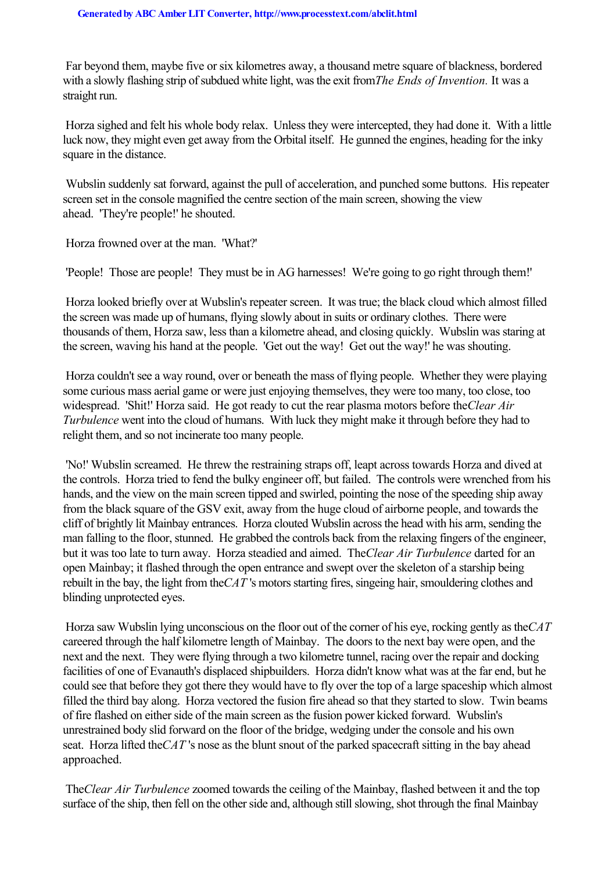Far beyond them, maybe five or six kilometres away, a thousand metre square of blackness, bordered with a slowly flashing strip of subdued white light, was the exit from*The Ends of Invention.* It was a straight run.

 Horza sighed and felt his whole body relax. Unless they were intercepted, they had done it. With a little luck now, they might even get away from the Orbital itself. He gunned the engines, heading for the inky square in the distance.

 Wubslin suddenly sat forward, against the pull of acceleration, and punched some buttons. His repeater screen set in the console magnified the centre section of the main screen, showing the view ahead. 'They're people!' he shouted.

Horza frowned over at the man. 'What?'

'People! Those are people! They must be in AG harnesses! We're going to go right through them!'

 Horza looked briefly over at Wubslin's repeater screen. It was true; the black cloud which almost filled the screen was made up of humans, flying slowly about in suits or ordinary clothes. There were thousands of them, Horza saw, less than a kilometre ahead, and closing quickly. Wubslin was staring at the screen, waving his hand at the people. 'Get out the way! Get out the way!' he was shouting.

 Horza couldn't see a way round, over or beneath the mass of flying people. Whether they were playing some curious mass aerial game or were just enjoying themselves, they were too many, too close, too widespread. 'Shit!' Horza said. He got ready to cut the rear plasma motors before the*Clear Air Turbulence* went into the cloud of humans. With luck they might make it through before they had to relight them, and so not incinerate too many people.

 'No!' Wubslin screamed. He threw the restraining straps off, leapt across towards Horza and dived at the controls. Horza tried to fend the bulky engineer off, but failed. The controls were wrenched from his hands, and the view on the main screen tipped and swirled, pointing the nose of the speeding ship away from the black square of the GSV exit, away from the huge cloud of airborne people, and towards the cliff of brightly lit Mainbay entrances. Horza clouted Wubslin across the head with his arm, sending the man falling to the floor, stunned. He grabbed the controls back from the relaxing fingers of the engineer, but it was too late to turn away. Horza steadied and aimed. The*Clear Air Turbulence* darted for an open Mainbay; it flashed through the open entrance and swept over the skeleton of a starship being rebuilt in the bay, the light from the*CAT* 's motors starting fires, singeing hair, smouldering clothes and blinding unprotected eyes.

 Horza saw Wubslin lying unconscious on the floor out of the corner of his eye, rocking gently as the*CAT* careered through the half kilometre length of Mainbay. The doors to the next bay were open, and the next and the next. They were flying through a two kilometre tunnel, racing over the repair and docking facilities of one of Evanauth's displaced shipbuilders. Horza didn't know what was at the far end, but he could see that before they got there they would have to fly over the top of a large spaceship which almost filled the third bay along. Horza vectored the fusion fire ahead so that they started to slow. Twin beams of fire flashed on either side of the main screen as the fusion power kicked forward. Wubslin's unrestrained body slid forward on the floor of the bridge, wedging under the console and his own seat. Horza lifted the*CAT* 's nose as the blunt snout of the parked spacecraft sitting in the bay ahead approached.

 The*Clear Air Turbulence* zoomed towards the ceiling of the Mainbay, flashed between it and the top surface of the ship, then fell on the other side and, although still slowing, shot through the final Mainbay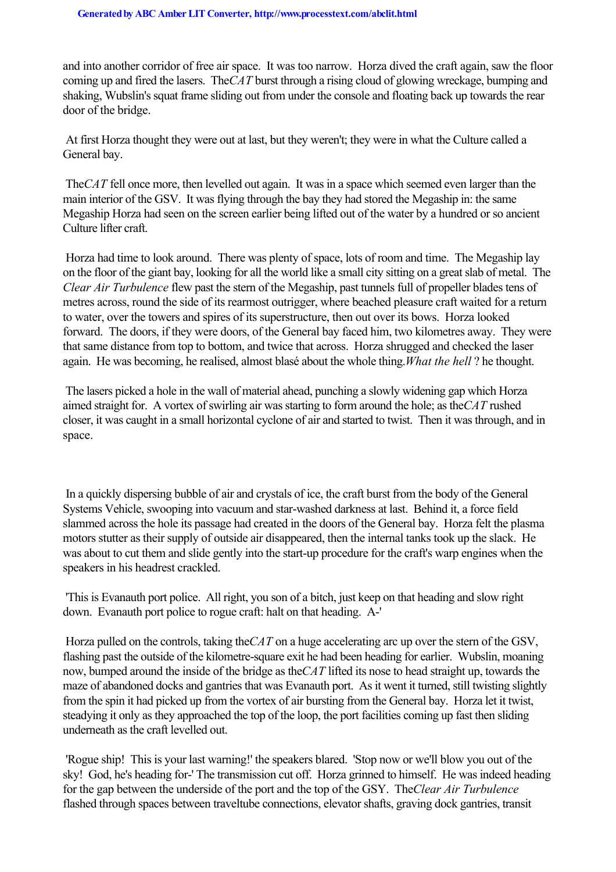and into another corridor of free air space. It was too narrow. Horza dived the craft again, saw the floor coming up and fired the lasers. The*CAT* burst through a rising cloud of glowing wreckage, bumping and shaking, Wubslin's squat frame sliding out from under the console and floating back up towards the rear door of the bridge.

 At first Horza thought they were out at last, but they weren't; they were in what the Culture called a General bay.

 The*CAT* fell once more, then levelled out again. It was in a space which seemed even larger than the main interior of the GSV. It was flying through the bay they had stored the Megaship in: the same Megaship Horza had seen on the screen earlier being lifted out of the water by a hundred or so ancient Culture lifter craft.

 Horza had time to look around. There was plenty of space, lots of room and time. The Megaship lay on the floor of the giant bay, looking for all the world like a small city sitting on a great slab of metal. The *Clear Air Turbulence* flew past the stern of the Megaship, past tunnels full of propeller blades tens of metres across, round the side of its rearmost outrigger, where beached pleasure craft waited for a return to water, over the towers and spires of its superstructure, then out over its bows. Horza looked forward. The doors, if they were doors, of the General bay faced him, two kilometres away. They were that same distance from top to bottom, and twice that across. Horza shrugged and checked the laser again. He was becoming, he realised, almost blasé about the whole thing.*What the hell* ? he thought.

 The lasers picked a hole in the wall of material ahead, punching a slowly widening gap which Horza aimed straight for. A vortex of swirling air was starting to form around the hole; as the*CAT* rushed closer, it was caught in a small horizontal cyclone of air and started to twist. Then it was through, and in space.

 In a quickly dispersing bubble of air and crystals of ice, the craft burst from the body of the General Systems Vehicle, swooping into vacuum and star-washed darkness at last. Behind it, a force field slammed across the hole its passage had created in the doors of the General bay. Horza felt the plasma motors stutter as their supply of outside air disappeared, then the internal tanks took up the slack. He was about to cut them and slide gently into the start-up procedure for the craft's warp engines when the speakers in his headrest crackled.

 'This is Evanauth port police. All right, you son of a bitch, just keep on that heading and slow right down. Evanauth port police to rogue craft: halt on that heading. A-'

 Horza pulled on the controls, taking the*CAT* on a huge accelerating arc up over the stern of the GSV, flashing past the outside of the kilometre-square exit he had been heading for earlier. Wubslin, moaning now, bumped around the inside of the bridge as the*CAT* lifted its nose to head straight up, towards the maze of abandoned docks and gantries that was Evanauth port. As it went it turned, still twisting slightly from the spin it had picked up from the vortex of air bursting from the General bay. Horza let it twist, steadying it only as they approached the top of the loop, the port facilities coming up fast then sliding underneath as the craft levelled out.

 'Rogue ship! This is your last warning!' the speakers blared. 'Stop now or we'll blow you out of the sky! God, he's heading for-' The transmission cut off. Horza grinned to himself. He was indeed heading for the gap between the underside of the port and the top of the GSY. The*Clear Air Turbulence* flashed through spaces between traveltube connections, elevator shafts, graving dock gantries, transit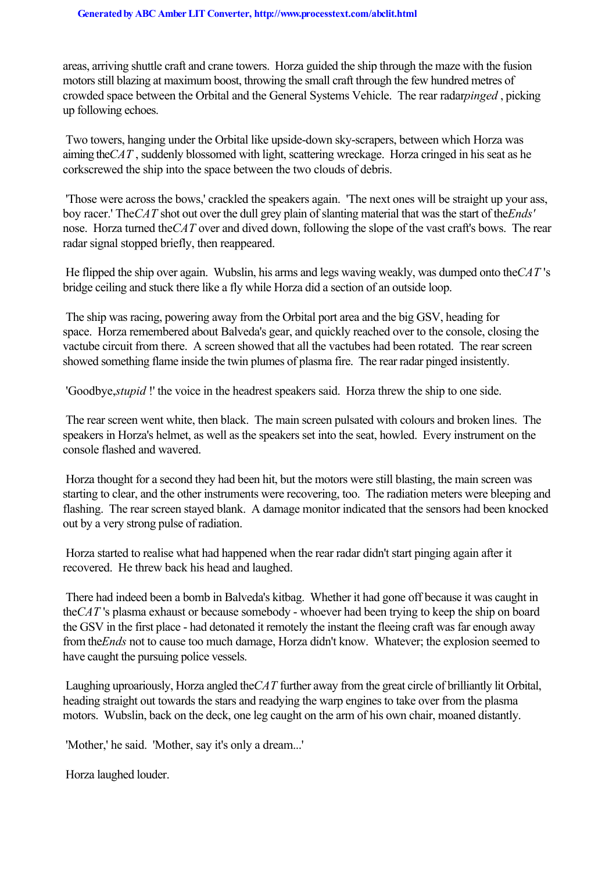areas, arriving shuttle craft and crane towers. Horza guided the ship through the maze with the fusion motors still blazing at maximum boost, throwing the small craft through the few hundred metres of crowded space between the Orbital and the General Systems Vehicle. The rear radar*pinged* , picking up following echoes.

 Two towers, hanging under the Orbital like upside-down sky-scrapers, between which Horza was aiming the*CAT* , suddenly blossomed with light, scattering wreckage. Horza cringed in his seat as he corkscrewed the ship into the space between the two clouds of debris.

 'Those were across the bows,' crackled the speakers again. 'The next ones will be straight up your ass, boy racer.' The*CAT* shot out over the dull grey plain of slanting material that was the start of the*Ends'* nose. Horza turned the*CAT* over and dived down, following the slope of the vast craft's bows. The rear radar signal stopped briefly, then reappeared.

 He flipped the ship over again. Wubslin, his arms and legs waving weakly, was dumped onto the*CAT* 's bridge ceiling and stuck there like a fly while Horza did a section of an outside loop.

 The ship was racing, powering away from the Orbital port area and the big GSV, heading for space. Horza remembered about Balveda's gear, and quickly reached over to the console, closing the vactube circuit from there. A screen showed that all the vactubes had been rotated. The rear screen showed something flame inside the twin plumes of plasma fire. The rear radar pinged insistently.

'Goodbye,*stupid* !' the voice in the headrest speakers said. Horza threw the ship to one side.

 The rear screen went white, then black. The main screen pulsated with colours and broken lines. The speakers in Horza's helmet, as well as the speakers set into the seat, howled. Every instrument on the console flashed and wavered.

 Horza thought for a second they had been hit, but the motors were still blasting, the main screen was starting to clear, and the other instruments were recovering, too. The radiation meters were bleeping and flashing. The rear screen stayed blank. A damage monitor indicated that the sensors had been knocked out by a very strong pulse of radiation.

 Horza started to realise what had happened when the rear radar didn't start pinging again after it recovered. He threw back his head and laughed.

 There had indeed been a bomb in Balveda's kitbag. Whether it had gone off because it was caught in the*CAT* 's plasma exhaust or because somebody - whoever had been trying to keep the ship on board the GSV in the first place - had detonated it remotely the instant the fleeing craft was far enough away from the*Ends* not to cause too much damage, Horza didn't know. Whatever; the explosion seemed to have caught the pursuing police vessels.

 Laughing uproariously, Horza angled the*CAT* further away from the great circle of brilliantly lit Orbital, heading straight out towards the stars and readying the warp engines to take over from the plasma motors. Wubslin, back on the deck, one leg caught on the arm of his own chair, moaned distantly.

'Mother,' he said. 'Mother, say it's only a dream...'

Horza laughed louder.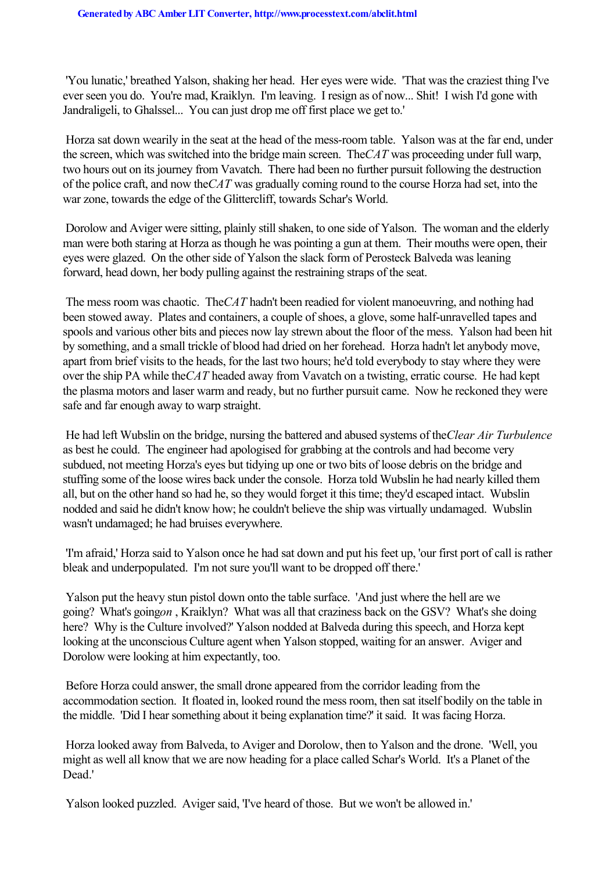'You lunatic,' breathed Yalson, shaking her head. Her eyes were wide. 'That was the craziest thing I've ever seen you do. You're mad, Kraiklyn. I'm leaving. I resign as of now... Shit! I wish I'd gone with Jandraligeli, to Ghalssel... You can just drop me off first place we get to.'

 Horza sat down wearily in the seat at the head of the mess-room table. Yalson was at the far end, under the screen, which was switched into the bridge main screen. The*CAT* was proceeding under full warp, two hours out on its journey from Vavatch. There had been no further pursuit following the destruction of the police craft, and now the*CAT* was gradually coming round to the course Horza had set, into the war zone, towards the edge of the Glittercliff, towards Schar's World.

 Dorolow and Aviger were sitting, plainly still shaken, to one side of Yalson. The woman and the elderly man were both staring at Horza as though he was pointing a gun at them. Their mouths were open, their eyes were glazed. On the other side of Yalson the slack form of Perosteck Balveda was leaning forward, head down, her body pulling against the restraining straps of the seat.

 The mess room was chaotic. The*CAT* hadn't been readied for violent manoeuvring, and nothing had been stowed away. Plates and containers, a couple of shoes, a glove, some half-unravelled tapes and spools and various other bits and pieces now lay strewn about the floor of the mess. Yalson had been hit by something, and a small trickle of blood had dried on her forehead. Horza hadn't let anybody move, apart from brief visits to the heads, for the last two hours; he'd told everybody to stay where they were over the ship PA while the*CAT* headed away from Vavatch on a twisting, erratic course. He had kept the plasma motors and laser warm and ready, but no further pursuit came. Now he reckoned they were safe and far enough away to warp straight.

 He had left Wubslin on the bridge, nursing the battered and abused systems of the*Clear Air Turbulence* as best he could. The engineer had apologised for grabbing at the controls and had become very subdued, not meeting Horza's eyes but tidying up one or two bits of loose debris on the bridge and stuffing some of the loose wires back under the console. Horza told Wubslin he had nearly killed them all, but on the other hand so had he, so they would forget it this time; they'd escaped intact. Wubslin nodded and said he didn't know how; he couldn't believe the ship was virtually undamaged. Wubslin wasn't undamaged; he had bruises everywhere.

 'I'm afraid,' Horza said to Yalson once he had sat down and put his feet up, 'our first port of call is rather bleak and underpopulated. I'm not sure you'll want to be dropped off there.'

 Yalson put the heavy stun pistol down onto the table surface. 'And just where the hell are we going? What's going*on* , Kraiklyn? What was all that craziness back on the GSV? What's she doing here? Why is the Culture involved?' Yalson nodded at Balveda during this speech, and Horza kept looking at the unconscious Culture agent when Yalson stopped, waiting for an answer. Aviger and Dorolow were looking at him expectantly, too.

 Before Horza could answer, the small drone appeared from the corridor leading from the accommodation section. It floated in, looked round the mess room, then sat itself bodily on the table in the middle. 'Did I hear something about it being explanation time?' it said. It was facing Horza.

 Horza looked away from Balveda, to Aviger and Dorolow, then to Yalson and the drone. 'Well, you might as well all know that we are now heading for a place called Schar's World. It's a Planet of the Dead.'

Yalson looked puzzled. Aviger said, 'I've heard of those. But we won't be allowed in.'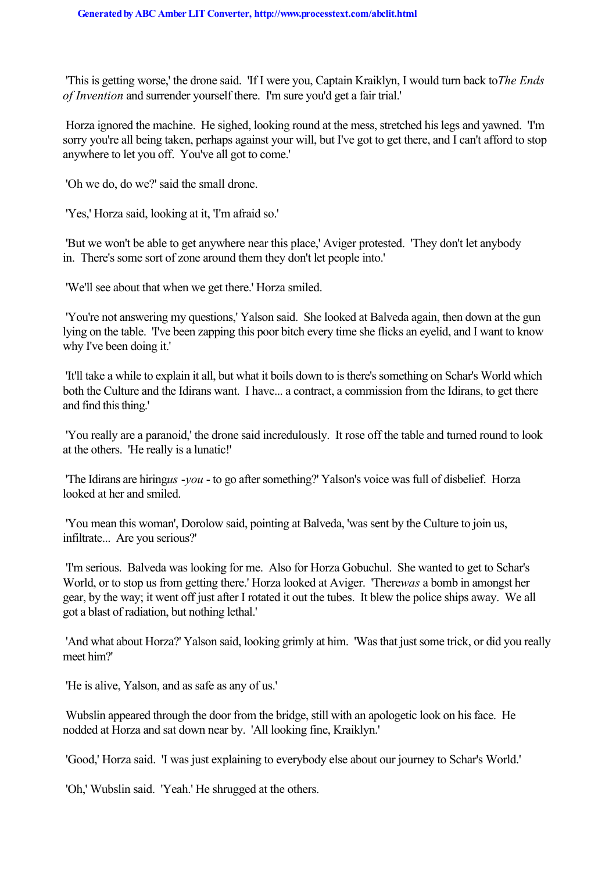'This is getting worse,' the drone said. 'If I were you, Captain Kraiklyn, I would turn back to*The Ends of Invention* and surrender yourself there. I'm sure you'd get a fair trial.'

 Horza ignored the machine. He sighed, looking round at the mess, stretched his legs and yawned. 'I'm sorry you're all being taken, perhaps against your will, but I've got to get there, and I can't afford to stop anywhere to let you off. You've all got to come.'

'Oh we do, do we?' said the small drone.

'Yes,' Horza said, looking at it, 'I'm afraid so.'

 'But we won't be able to get anywhere near this place,' Aviger protested. 'They don't let anybody in. There's some sort of zone around them they don't let people into.'

'We'll see about that when we get there.' Horza smiled.

 'You're not answering my questions,' Yalson said. She looked at Balveda again, then down at the gun lying on the table. 'I've been zapping this poor bitch every time she flicks an eyelid, and I want to know why I've been doing it.'

 'It'll take a while to explain it all, but what it boils down to is there's something on Schar's World which both the Culture and the Idirans want. I have... a contract, a commission from the Idirans, to get there and find this thing.'

 'You really are a paranoid,' the drone said incredulously. It rose off the table and turned round to look at the others. 'He really is a lunatic!'

 'The Idirans are hiring*us* -*you* - to go after something?' Yalson's voice was full of disbelief. Horza looked at her and smiled.

 'You mean this woman', Dorolow said, pointing at Balveda, 'was sent by the Culture to join us, infiltrate... Are you serious?'

 'I'm serious. Balveda was looking for me. Also for Horza Gobuchul. She wanted to get to Schar's World, or to stop us from getting there.' Horza looked at Aviger. 'There*was* a bomb in amongst her gear, by the way; it went off just after I rotated it out the tubes. It blew the police ships away. We all got a blast of radiation, but nothing lethal.'

 'And what about Horza?' Yalson said, looking grimly at him. 'Was that just some trick, or did you really meet him?'

'He is alive, Yalson, and as safe as any of us.'

 Wubslin appeared through the door from the bridge, still with an apologetic look on his face. He nodded at Horza and sat down near by. 'All looking fine, Kraiklyn.'

'Good,' Horza said. 'I was just explaining to everybody else about our journey to Schar's World.'

'Oh,' Wubslin said. 'Yeah.' He shrugged at the others.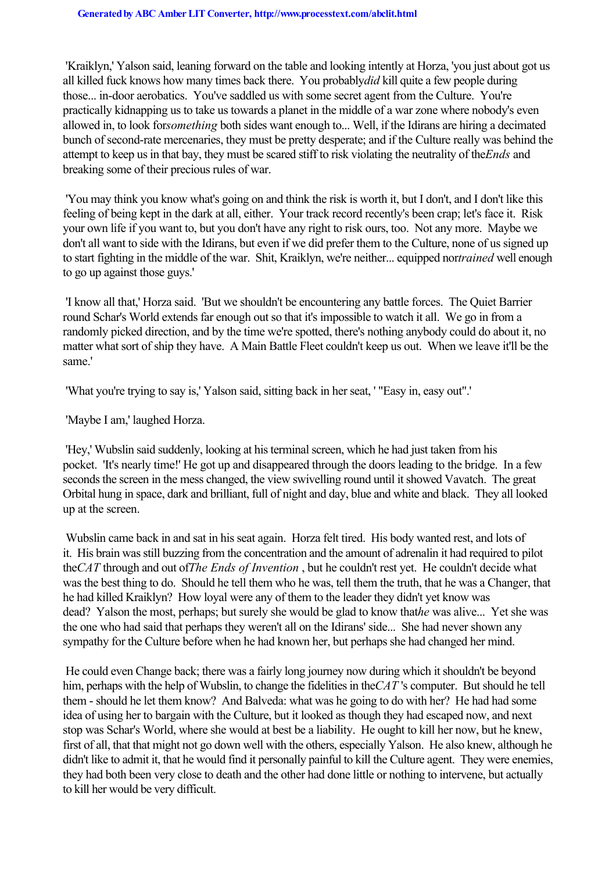'Kraiklyn,' Yalson said, leaning forward on the table and looking intently at Horza, 'you just about got us all killed fuck knows how many times back there. You probably*did* kill quite a few people during those... in-door aerobatics. You've saddled us with some secret agent from the Culture. You're practically kidnapping us to take us towards a planet in the middle of a war zone where nobody's even allowed in, to look for*something* both sides want enough to... Well, if the Idirans are hiring a decimated bunch of second-rate mercenaries, they must be pretty desperate; and if the Culture really was behind the attempt to keep us in that bay, they must be scared stiff to risk violating the neutrality of the*Ends* and breaking some of their precious rules of war.

 'You may think you know what's going on and think the risk is worth it, but I don't, and I don't like this feeling of being kept in the dark at all, either. Your track record recently's been crap; let's face it. Risk your own life if you want to, but you don't have any right to risk ours, too. Not any more. Maybe we don't all want to side with the Idirans, but even if we did prefer them to the Culture, none of us signed up to start fighting in the middle of the war. Shit, Kraiklyn, we're neither... equipped nor*trained* well enough to go up against those guys.'

 'I know all that,' Horza said. 'But we shouldn't be encountering any battle forces. The Quiet Barrier round Schar's World extends far enough out so that it's impossible to watch it all. We go in from a randomly picked direction, and by the time we're spotted, there's nothing anybody could do about it, no matter what sort of ship they have. A Main Battle Fleet couldn't keep us out. When we leave it'll be the same<sup>'</sup>

'What you're trying to say is,' Yalson said, sitting back in her seat, ' "Easy in, easy out".'

'Maybe I am,' laughed Horza.

 'Hey,' Wubslin said suddenly, looking at his terminal screen, which he had just taken from his pocket. 'It's nearly time!' He got up and disappeared through the doors leading to the bridge. In a few seconds the screen in the mess changed, the view swivelling round until it showed Vavatch. The great Orbital hung in space, dark and brilliant, full of night and day, blue and white and black. They all looked up at the screen.

 Wubslin came back in and sat in his seat again. Horza felt tired. His body wanted rest, and lots of it. His brain was still buzzing from the concentration and the amount of adrenalin it had required to pilot the*CAT* through and out of*The Ends of Invention* , but he couldn't rest yet. He couldn't decide what was the best thing to do. Should he tell them who he was, tell them the truth, that he was a Changer, that he had killed Kraiklyn? How loyal were any of them to the leader they didn't yet know was dead? Yalson the most, perhaps; but surely she would be glad to know that*he* was alive... Yet she was the one who had said that perhaps they weren't all on the Idirans' side... She had never shown any sympathy for the Culture before when he had known her, but perhaps she had changed her mind.

 He could even Change back; there was a fairly long journey now during which it shouldn't be beyond him, perhaps with the help of Wubslin, to change the fidelities in the*CAT* 's computer. But should he tell them - should he let them know? And Balveda: what was he going to do with her? He had had some idea of using her to bargain with the Culture, but it looked as though they had escaped now, and next stop was Schar's World, where she would at best be a liability. He ought to kill her now, but he knew, first of all, that that might not go down well with the others, especially Yalson. He also knew, although he didn't like to admit it, that he would find it personally painful to kill the Culture agent. They were enemies, they had both been very close to death and the other had done little or nothing to intervene, but actually to kill her would be very difficult.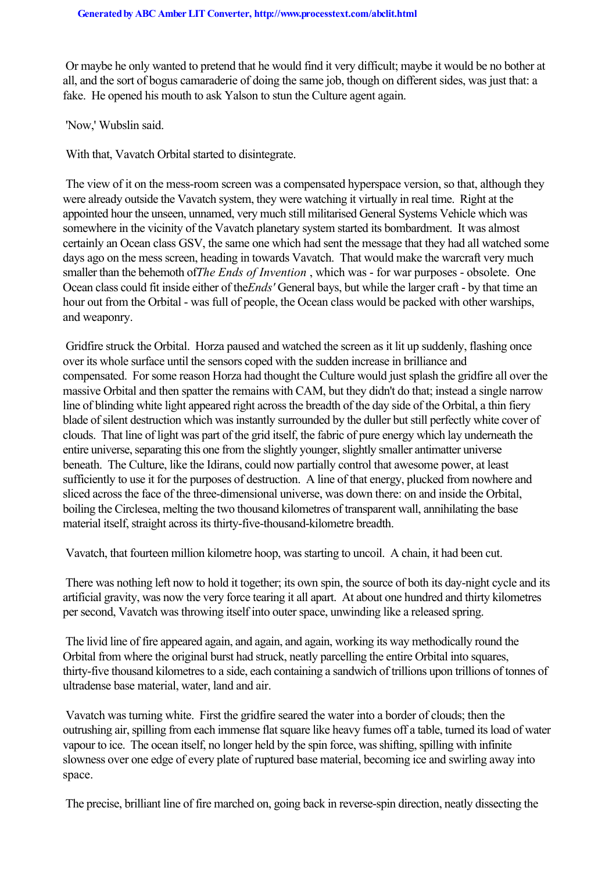Or maybe he only wanted to pretend that he would find it very difficult; maybe it would be no bother at all, and the sort of bogus camaraderie of doing the same job, though on different sides, was just that: a fake. He opened his mouth to ask Yalson to stun the Culture agent again.

'Now,' Wubslin said.

With that, Vavatch Orbital started to disintegrate.

 The view of it on the mess-room screen was a compensated hyperspace version, so that, although they were already outside the Vavatch system, they were watching it virtually in real time. Right at the appointed hour the unseen, unnamed, very much still militarised General Systems Vehicle which was somewhere in the vicinity of the Vavatch planetary system started its bombardment. It was almost certainly an Ocean class GSV, the same one which had sent the message that they had all watched some days ago on the mess screen, heading in towards Vavatch. That would make the warcraft very much smaller than the behemoth of*The Ends of Invention* , which was - for war purposes - obsolete. One Ocean class could fit inside either of the*Ends'* General bays, but while the larger craft - by that time an hour out from the Orbital - was full of people, the Ocean class would be packed with other warships, and weaponry.

 Gridfire struck the Orbital. Horza paused and watched the screen as it lit up suddenly, flashing once over its whole surface until the sensors coped with the sudden increase in brilliance and compensated. For some reason Horza had thought the Culture would just splash the gridfire all over the massive Orbital and then spatter the remains with CAM, but they didn't do that; instead a single narrow line of blinding white light appeared right across the breadth of the day side of the Orbital, a thin fiery blade of silent destruction which was instantly surrounded by the duller but still perfectly white cover of clouds. That line of light was part of the grid itself, the fabric of pure energy which lay underneath the entire universe, separating this one from the slightly younger, slightly smaller antimatter universe beneath. The Culture, like the Idirans, could now partially control that awesome power, at least sufficiently to use it for the purposes of destruction. A line of that energy, plucked from nowhere and sliced across the face of the three-dimensional universe, was down there: on and inside the Orbital, boiling the Circlesea, melting the two thousand kilometres of transparent wall, annihilating the base material itself, straight across its thirty-five-thousand-kilometre breadth.

Vavatch, that fourteen million kilometre hoop, was starting to uncoil. A chain, it had been cut.

 There was nothing left now to hold it together; its own spin, the source of both its day-night cycle and its artificial gravity, was now the very force tearing it all apart. At about one hundred and thirty kilometres per second, Vavatch was throwing itself into outer space, unwinding like a released spring.

 The livid line of fire appeared again, and again, and again, working its way methodically round the Orbital from where the original burst had struck, neatly parcelling the entire Orbital into squares, thirty-five thousand kilometres to a side, each containing a sandwich of trillions upon trillions of tonnes of ultradense base material, water, land and air.

 Vavatch was turning white. First the gridfire seared the water into a border of clouds; then the outrushing air, spilling from each immense flat square like heavy fumes off a table, turned its load of water vapour to ice. The ocean itself, no longer held by the spin force, was shifting, spilling with infinite slowness over one edge of every plate of ruptured base material, becoming ice and swirling away into space.

The precise, brilliant line of fire marched on, going back in reverse-spin direction, neatly dissecting the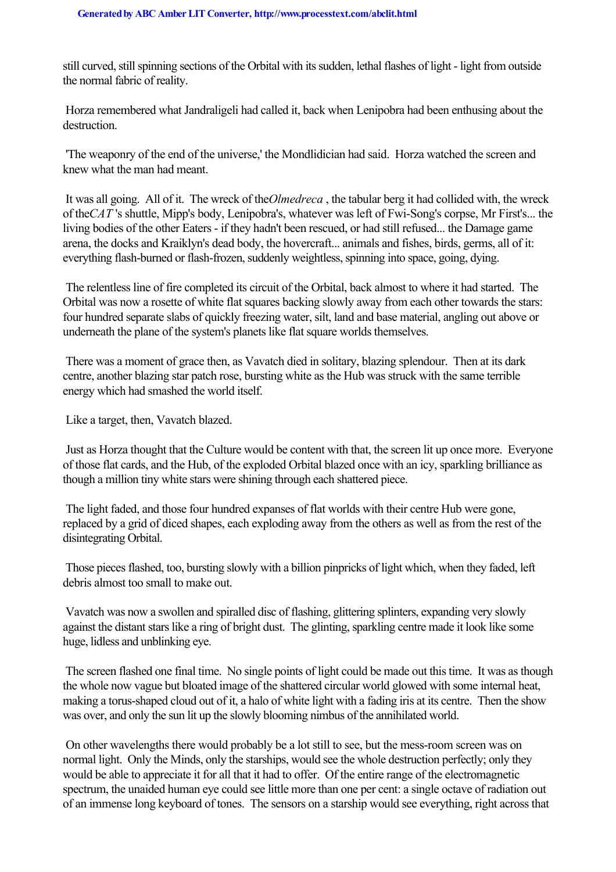still curved, still spinning sections of the Orbital with its sudden, lethal flashes of light - light from outside the normal fabric of reality.

 Horza remembered what Jandraligeli had called it, back when Lenipobra had been enthusing about the **destruction** 

 'The weaponry of the end of the universe,' the Mondlidician had said. Horza watched the screen and knew what the man had meant.

 It was all going. All of it. The wreck of the*Olmedreca* , the tabular berg it had collided with, the wreck of the*CAT* 's shuttle, Mipp's body, Lenipobra's, whatever was left of Fwi-Song's corpse, Mr First's... the living bodies of the other Eaters - if they hadn't been rescued, or had still refused... the Damage game arena, the docks and Kraiklyn's dead body, the hovercraft... animals and fishes, birds, germs, all of it: everything flash-burned or flash-frozen, suddenly weightless, spinning into space, going, dying.

 The relentless line of fire completed its circuit of the Orbital, back almost to where it had started. The Orbital was now a rosette of white flat squares backing slowly away from each other towards the stars: four hundred separate slabs of quickly freezing water, silt, land and base material, angling out above or underneath the plane of the system's planets like flat square worlds themselves.

 There was a moment of grace then, as Vavatch died in solitary, blazing splendour. Then at its dark centre, another blazing star patch rose, bursting white as the Hub was struck with the same terrible energy which had smashed the world itself.

Like a target, then, Vavatch blazed.

 Just as Horza thought that the Culture would be content with that, the screen lit up once more. Everyone of those flat cards, and the Hub, of the exploded Orbital blazed once with an icy, sparkling brilliance as though a million tiny white stars were shining through each shattered piece.

 The light faded, and those four hundred expanses of flat worlds with their centre Hub were gone, replaced by a grid of diced shapes, each exploding away from the others as well as from the rest of the disintegrating Orbital.

 Those pieces flashed, too, bursting slowly with a billion pinpricks of light which, when they faded, left debris almost too small to make out.

 Vavatch was now a swollen and spiralled disc of flashing, glittering splinters, expanding very slowly against the distant stars like a ring of bright dust. The glinting, sparkling centre made it look like some huge, lidless and unblinking eye.

 The screen flashed one final time. No single points of light could be made out this time. It was as though the whole now vague but bloated image of the shattered circular world glowed with some internal heat, making a torus-shaped cloud out of it, a halo of white light with a fading iris at its centre. Then the show was over, and only the sun lit up the slowly blooming nimbus of the annihilated world.

 On other wavelengths there would probably be a lot still to see, but the mess-room screen was on normal light. Only the Minds, only the starships, would see the whole destruction perfectly; only they would be able to appreciate it for all that it had to offer. Of the entire range of the electromagnetic spectrum, the unaided human eye could see little more than one per cent: a single octave of radiation out of an immense long keyboard of tones. The sensors on a starship would see everything, right across that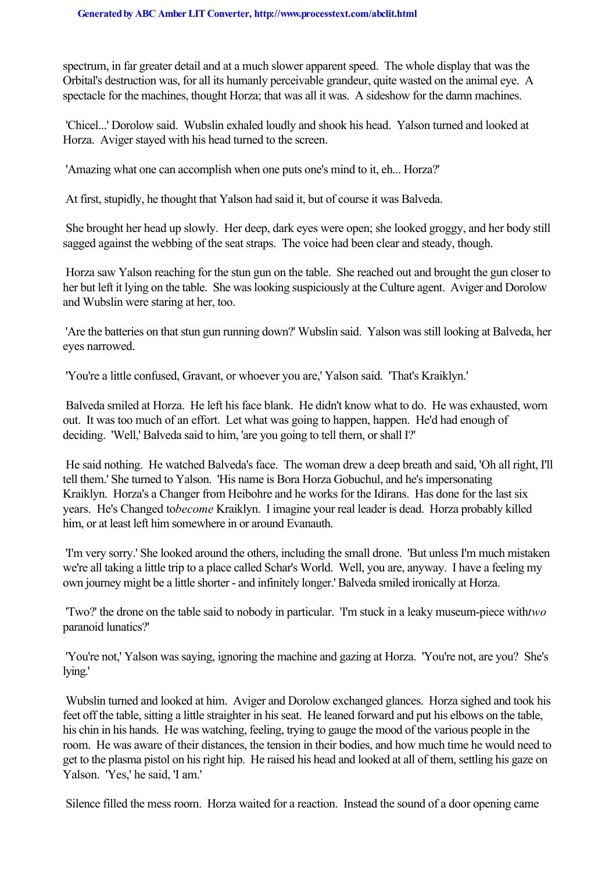spectrum, in far greater detail and at a much slower apparent speed. The whole display that was the Orbital's destruction was, for all its humanly perceivable grandeur, quite wasted on the animal eye. A spectacle for the machines, thought Horza; that was all it was. A sideshow for the damn machines.

 'Chicel...' Dorolow said. Wubslin exhaled loudly and shook his head. Yalson turned and looked at Horza. Aviger stayed with his head turned to the screen.

'Amazing what one can accomplish when one puts one's mind to it, eh... Horza?'

At first, stupidly, he thought that Yalson had said it, but of course it was Balveda.

 She brought her head up slowly. Her deep, dark eyes were open; she looked groggy, and her body still sagged against the webbing of the seat straps. The voice had been clear and steady, though.

 Horza saw Yalson reaching for the stun gun on the table. She reached out and brought the gun closer to her but left it lying on the table. She was looking suspiciously at the Culture agent. Aviger and Dorolow and Wubslin were staring at her, too.

 'Are the batteries on that stun gun running down?' Wubslin said. Yalson was still looking at Balveda, her eyes narrowed.

'You're a little confused, Gravant, or whoever you are,' Yalson said. 'That's Kraiklyn.'

 Balveda smiled at Horza. He left his face blank. He didn't know what to do. He was exhausted, worn out. It was too much of an effort. Let what was going to happen, happen. He'd had enough of deciding. 'Well,' Balveda said to him, 'are you going to tell them, or shall I?'

 He said nothing. He watched Balveda's face. The woman drew a deep breath and said, 'Oh all right, I'll tell them.' She turned to Yalson. 'His name is Bora Horza Gobuchul, and he's impersonating Kraiklyn. Horza's a Changer from Heibohre and he works for the Idirans. Has done for the last six years. He's Changed to*become* Kraiklyn. I imagine your real leader is dead. Horza probably killed him, or at least left him somewhere in or around Evanauth.

 'I'm very sorry.' She looked around the others, including the small drone. 'But unless I'm much mistaken we're all taking a little trip to a place called Schar's World. Well, you are, anyway. I have a feeling my own journey might be a little shorter - and infinitely longer.' Balveda smiled ironically at Horza.

 'Two?' the drone on the table said to nobody in particular. 'I'm stuck in a leaky museum-piece with*two* paranoid lunatics?'

 'You're not,' Yalson was saying, ignoring the machine and gazing at Horza. 'You're not, are you? She's lying.'

 Wubslin turned and looked at him. Aviger and Dorolow exchanged glances. Horza sighed and took his feet off the table, sitting a little straighter in his seat. He leaned forward and put his elbows on the table, his chin in his hands. He was watching, feeling, trying to gauge the mood of the various people in the room. He was aware of their distances, the tension in their bodies, and how much time he would need to get to the plasma pistol on his right hip. He raised his head and looked at all of them, settling his gaze on Yalson. 'Yes,' he said, 'I am.'

Silence filled the mess room. Horza waited for a reaction. Instead the sound of a door opening came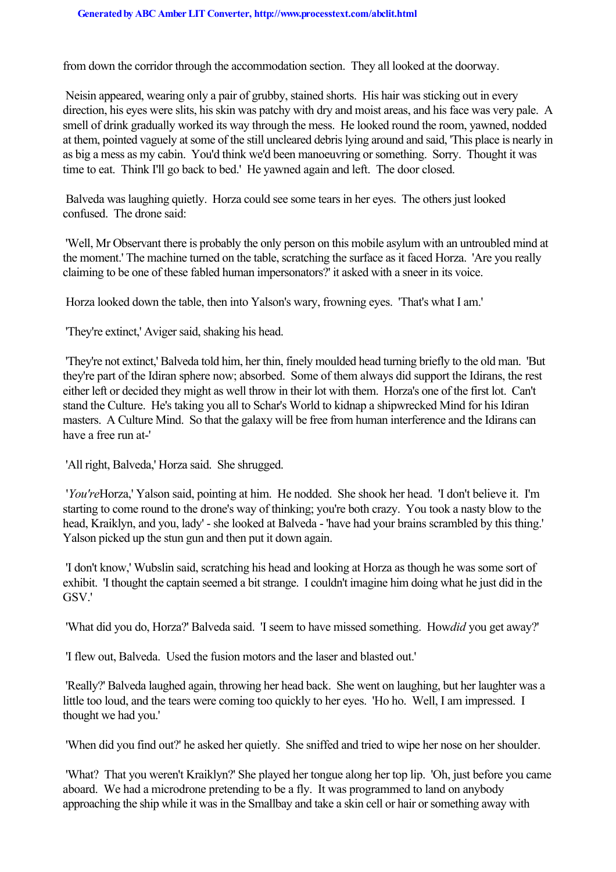from down the corridor through the accommodation section. They all looked at the doorway.

 Neisin appeared, wearing only a pair of grubby, stained shorts. His hair was sticking out in every direction, his eyes were slits, his skin was patchy with dry and moist areas, and his face was very pale. A smell of drink gradually worked its way through the mess. He looked round the room, yawned, nodded at them, pointed vaguely at some of the still uncleared debris lying around and said, 'This place is nearly in as big a mess as my cabin. You'd think we'd been manoeuvring or something. Sorry. Thought it was time to eat. Think I'll go back to bed.' He yawned again and left. The door closed.

 Balveda was laughing quietly. Horza could see some tears in her eyes. The others just looked confused. The drone said:

 'Well, Mr Observant there is probably the only person on this mobile asylum with an untroubled mind at the moment.' The machine turned on the table, scratching the surface as it faced Horza. 'Are you really claiming to be one of these fabled human impersonators?' it asked with a sneer in its voice.

Horza looked down the table, then into Yalson's wary, frowning eyes. 'That's what I am.'

'They're extinct,' Aviger said, shaking his head.

 'They're not extinct,' Balveda told him, her thin, finely moulded head turning briefly to the old man. 'But they're part of the Idiran sphere now; absorbed. Some of them always did support the Idirans, the rest either left or decided they might as well throw in their lot with them. Horza's one of the first lot. Can't stand the Culture. He's taking you all to Schar's World to kidnap a shipwrecked Mind for his Idiran masters. A Culture Mind. So that the galaxy will be free from human interference and the Idirans can have a free run at-'

'All right, Balveda,' Horza said. She shrugged.

 '*You're*Horza,' Yalson said, pointing at him. He nodded. She shook her head. 'I don't believe it. I'm starting to come round to the drone's way of thinking; you're both crazy. You took a nasty blow to the head, Kraiklyn, and you, lady' - she looked at Balveda - 'have had your brains scrambled by this thing.' Yalson picked up the stun gun and then put it down again.

 'I don't know,' Wubslin said, scratching his head and looking at Horza as though he was some sort of exhibit. 'I thought the captain seemed a bit strange. I couldn't imagine him doing what he just did in the GSV.'

'What did you do, Horza?' Balveda said. 'I seem to have missed something. How*did* you get away?'

'I flew out, Balveda. Used the fusion motors and the laser and blasted out.'

 'Really?' Balveda laughed again, throwing her head back. She went on laughing, but her laughter was a little too loud, and the tears were coming too quickly to her eyes. 'Ho ho. Well, I am impressed. I thought we had you.'

'When did you find out?' he asked her quietly. She sniffed and tried to wipe her nose on her shoulder.

 'What? That you weren't Kraiklyn?' She played her tongue along her top lip. 'Oh, just before you came aboard. We had a microdrone pretending to be a fly. It was programmed to land on anybody approaching the ship while it was in the Smallbay and take a skin cell or hair or something away with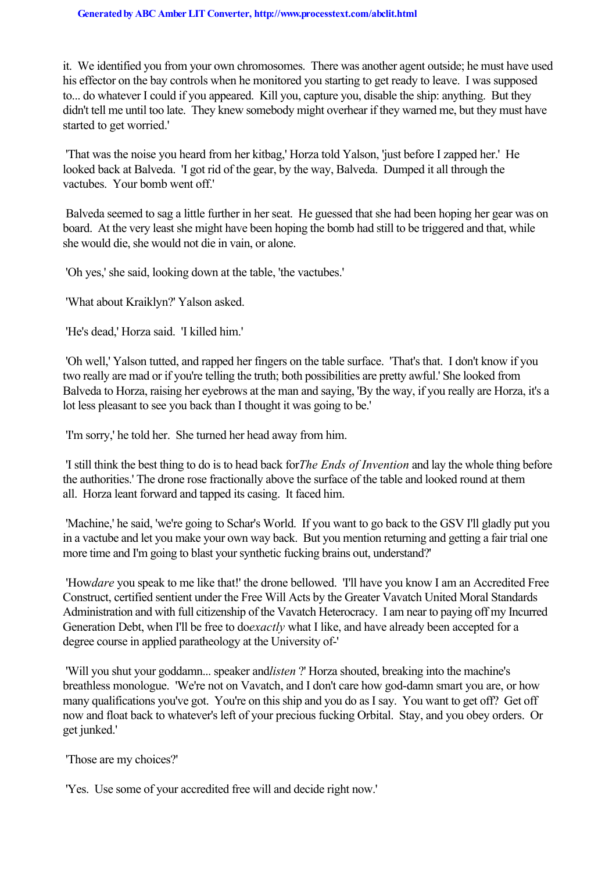it. We identified you from your own chromosomes. There was another agent outside; he must have used his effector on the bay controls when he monitored you starting to get ready to leave. I was supposed to... do whatever I could if you appeared. Kill you, capture you, disable the ship: anything. But they didn't tell me until too late. They knew somebody might overhear if they warned me, but they must have started to get worried.'

 'That was the noise you heard from her kitbag,' Horza told Yalson, 'just before I zapped her.' He looked back at Balveda. 'I got rid of the gear, by the way, Balveda. Dumped it all through the vactubes. Your bomb went off.'

 Balveda seemed to sag a little further in her seat. He guessed that she had been hoping her gear was on board. At the very least she might have been hoping the bomb had still to be triggered and that, while she would die, she would not die in vain, or alone.

'Oh yes,' she said, looking down at the table, 'the vactubes.'

'What about Kraiklyn?' Yalson asked.

'He's dead,' Horza said. 'I killed him.'

 'Oh well,' Yalson tutted, and rapped her fingers on the table surface. 'That's that. I don't know if you two really are mad or if you're telling the truth; both possibilities are pretty awful.' She looked from Balveda to Horza, raising her eyebrows at the man and saying, 'By the way, if you really are Horza, it's a lot less pleasant to see you back than I thought it was going to be.'

'I'm sorry,' he told her. She turned her head away from him.

 'I still think the best thing to do is to head back for*The Ends of Invention* and lay the whole thing before the authorities.' The drone rose fractionally above the surface of the table and looked round at them all. Horza leant forward and tapped its casing. It faced him.

 'Machine,' he said, 'we're going to Schar's World. If you want to go back to the GSV I'll gladly put you in a vactube and let you make your own way back. But you mention returning and getting a fair trial one more time and I'm going to blast your synthetic fucking brains out, understand?'

 'How*dare* you speak to me like that!' the drone bellowed. 'I'll have you know I am an Accredited Free Construct, certified sentient under the Free Will Acts by the Greater Vavatch United Moral Standards Administration and with full citizenship of the Vavatch Heterocracy. I am near to paying off my Incurred Generation Debt, when I'll be free to do*exactly* what I like, and have already been accepted for a degree course in applied paratheology at the University of-'

 'Will you shut your goddamn... speaker and*listen* ?' Horza shouted, breaking into the machine's breathless monologue. 'We're not on Vavatch, and I don't care how god-damn smart you are, or how many qualifications you've got. You're on this ship and you do as I say. You want to get off? Get off now and float back to whatever's left of your precious fucking Orbital. Stay, and you obey orders. Or get junked.'

'Those are my choices?'

'Yes. Use some of your accredited free will and decide right now.'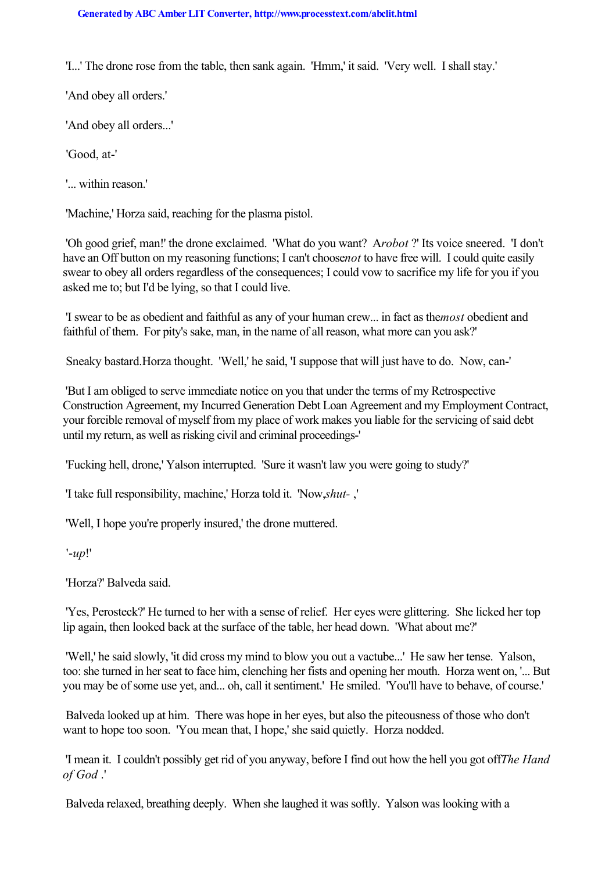## **Generated by ABC Amber LIT Converter, <http://www.processtext.com/abclit.html>**

'I...' The drone rose from the table, then sank again. 'Hmm,' it said. 'Very well. I shall stay.'

'And obey all orders.'

'And obey all orders...'

'Good, at-'

' within reason'

'Machine,' Horza said, reaching for the plasma pistol.

 'Oh good grief, man!' the drone exclaimed. 'What do you want? A*robot* ?' Its voice sneered. 'I don't have an Off button on my reasoning functions; I can't choose*not* to have free will. I could quite easily swear to obey all orders regardless of the consequences; I could vow to sacrifice my life for you if you asked me to; but I'd be lying, so that I could live.

 'I swear to be as obedient and faithful as any of your human crew... in fact as the*most* obedient and faithful of them. For pity's sake, man, in the name of all reason, what more can you ask?'

Sneaky bastard.Horza thought. 'Well,' he said, 'I suppose that will just have to do. Now, can-'

 'But I am obliged to serve immediate notice on you that under the terms of my Retrospective Construction Agreement, my Incurred Generation Debt Loan Agreement and my Employment Contract, your forcible removal of myself from my place of work makes you liable for the servicing of said debt until my return, as well as risking civil and criminal proceedings-'

'Fucking hell, drone,' Yalson interrupted. 'Sure it wasn't law you were going to study?'

'I take full responsibility, machine,' Horza told it. 'Now,*shut-* ,'

'Well, I hope you're properly insured,' the drone muttered.

'-*up*!'

'Horza?' Balveda said.

 'Yes, Perosteck?' He turned to her with a sense of relief. Her eyes were glittering. She licked her top lip again, then looked back at the surface of the table, her head down. 'What about me?'

 'Well,' he said slowly, 'it did cross my mind to blow you out a vactube...' He saw her tense. Yalson, too: she turned in her seat to face him, clenching her fists and opening her mouth. Horza went on, '... But you may be of some use yet, and... oh, call it sentiment.' He smiled. 'You'll have to behave, of course.'

 Balveda looked up at him. There was hope in her eyes, but also the piteousness of those who don't want to hope too soon. 'You mean that, I hope,' she said quietly. Horza nodded.

 'I mean it. I couldn't possibly get rid of you anyway, before I find out how the hell you got off*The Hand of God* .'

Balveda relaxed, breathing deeply. When she laughed it was softly. Yalson was looking with a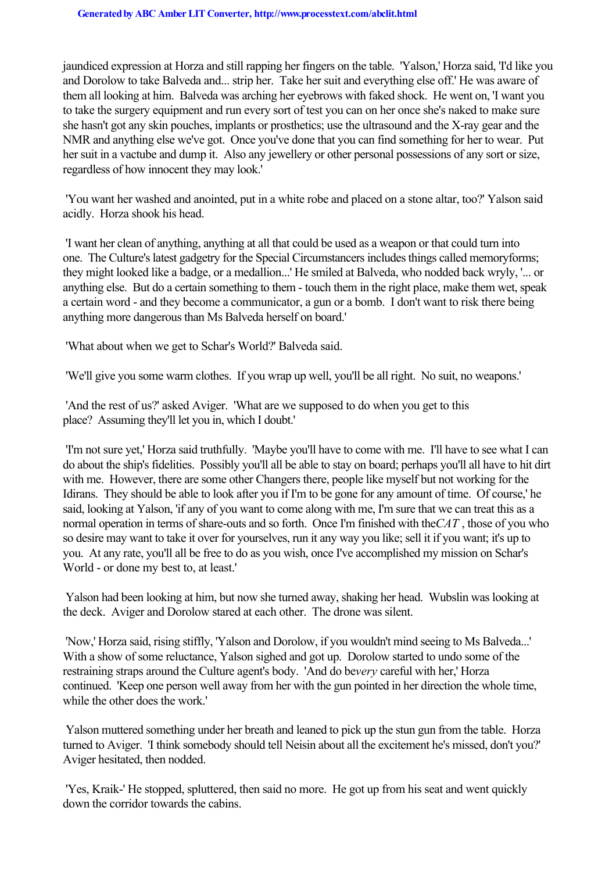jaundiced expression at Horza and still rapping her fingers on the table. 'Yalson,' Horza said, 'I'd like you and Dorolow to take Balveda and... strip her. Take her suit and everything else off.' He was aware of them all looking at him. Balveda was arching her eyebrows with faked shock. He went on, 'I want you to take the surgery equipment and run every sort of test you can on her once she's naked to make sure she hasn't got any skin pouches, implants or prosthetics; use the ultrasound and the X-ray gear and the NMR and anything else we've got. Once you've done that you can find something for her to wear. Put her suit in a vactube and dump it. Also any jewellery or other personal possessions of any sort or size, regardless of how innocent they may look.'

 'You want her washed and anointed, put in a white robe and placed on a stone altar, too?' Yalson said acidly. Horza shook his head.

 'I want her clean of anything, anything at all that could be used as a weapon or that could turn into one. The Culture's latest gadgetry for the Special Circumstancers includes things called memoryforms; they might looked like a badge, or a medallion...' He smiled at Balveda, who nodded back wryly, '... or anything else. But do a certain something to them - touch them in the right place, make them wet, speak a certain word - and they become a communicator, a gun or a bomb. I don't want to risk there being anything more dangerous than Ms Balveda herself on board.'

'What about when we get to Schar's World?' Balveda said.

'We'll give you some warm clothes. If you wrap up well, you'll be all right. No suit, no weapons.'

 'And the rest of us?' asked Aviger. 'What are we supposed to do when you get to this place? Assuming they'll let you in, which I doubt.'

 'I'm not sure yet,' Horza said truthfully. 'Maybe you'll have to come with me. I'll have to see what I can do about the ship's fidelities. Possibly you'll all be able to stay on board; perhaps you'll all have to hit dirt with me. However, there are some other Changers there, people like myself but not working for the Idirans. They should be able to look after you if I'm to be gone for any amount of time. Of course,' he said, looking at Yalson, 'if any of you want to come along with me, I'm sure that we can treat this as a normal operation in terms of share-outs and so forth. Once I'm finished with the*CAT* , those of you who so desire may want to take it over for yourselves, run it any way you like; sell it if you want; it's up to you. At any rate, you'll all be free to do as you wish, once I've accomplished my mission on Schar's World - or done my best to, at least.'

 Yalson had been looking at him, but now she turned away, shaking her head. Wubslin was looking at the deck. Aviger and Dorolow stared at each other. The drone was silent.

 'Now,' Horza said, rising stiffly, 'Yalson and Dorolow, if you wouldn't mind seeing to Ms Balveda...' With a show of some reluctance, Yalson sighed and got up. Dorolow started to undo some of the restraining straps around the Culture agent's body. 'And do be*very* careful with her,' Horza continued. 'Keep one person well away from her with the gun pointed in her direction the whole time, while the other does the work.'

 Yalson muttered something under her breath and leaned to pick up the stun gun from the table. Horza turned to Aviger. 'I think somebody should tell Neisin about all the excitement he's missed, don't you?' Aviger hesitated, then nodded.

 'Yes, Kraik-' He stopped, spluttered, then said no more. He got up from his seat and went quickly down the corridor towards the cabins.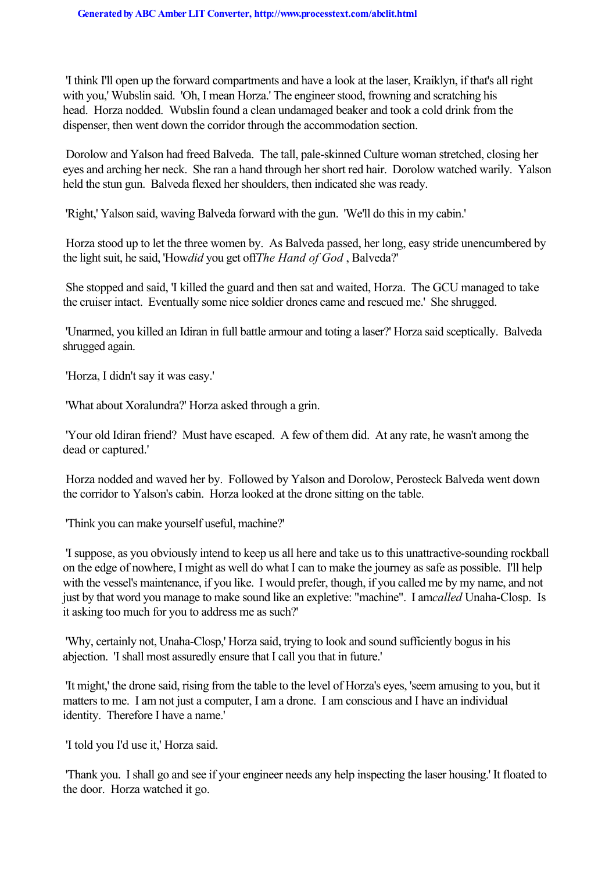'I think I'll open up the forward compartments and have a look at the laser, Kraiklyn, if that's all right with you,' Wubslin said. 'Oh, I mean Horza.' The engineer stood, frowning and scratching his head. Horza nodded. Wubslin found a clean undamaged beaker and took a cold drink from the dispenser, then went down the corridor through the accommodation section.

 Dorolow and Yalson had freed Balveda. The tall, pale-skinned Culture woman stretched, closing her eyes and arching her neck. She ran a hand through her short red hair. Dorolow watched warily. Yalson held the stun gun. Balveda flexed her shoulders, then indicated she was ready.

'Right,' Yalson said, waving Balveda forward with the gun. 'We'll do this in my cabin.'

 Horza stood up to let the three women by. As Balveda passed, her long, easy stride unencumbered by the light suit, he said, 'How*did* you get off*The Hand of God* , Balveda?'

 She stopped and said, 'I killed the guard and then sat and waited, Horza. The GCU managed to take the cruiser intact. Eventually some nice soldier drones came and rescued me.' She shrugged.

 'Unarmed, you killed an Idiran in full battle armour and toting a laser?' Horza said sceptically. Balveda shrugged again.

'Horza, I didn't say it was easy.'

'What about Xoralundra?' Horza asked through a grin.

 'Your old Idiran friend? Must have escaped. A few of them did. At any rate, he wasn't among the dead or captured.'

 Horza nodded and waved her by. Followed by Yalson and Dorolow, Perosteck Balveda went down the corridor to Yalson's cabin. Horza looked at the drone sitting on the table.

'Think you can make yourself useful, machine?'

 'I suppose, as you obviously intend to keep us all here and take us to this unattractive-sounding rockball on the edge of nowhere, I might as well do what I can to make the journey as safe as possible. I'll help with the vessel's maintenance, if you like. I would prefer, though, if you called me by my name, and not just by that word you manage to make sound like an expletive: "machine". I am*called* Unaha-Closp. Is it asking too much for you to address me as such?'

 'Why, certainly not, Unaha-Closp,' Horza said, trying to look and sound sufficiently bogus in his abjection. 'I shall most assuredly ensure that I call you that in future.'

 'It might,' the drone said, rising from the table to the level of Horza's eyes, 'seem amusing to you, but it matters to me. I am not just a computer, I am a drone. I am conscious and I have an individual identity. Therefore I have a name.'

'I told you I'd use it,' Horza said.

 'Thank you. I shall go and see if your engineer needs any help inspecting the laser housing.' It floated to the door. Horza watched it go.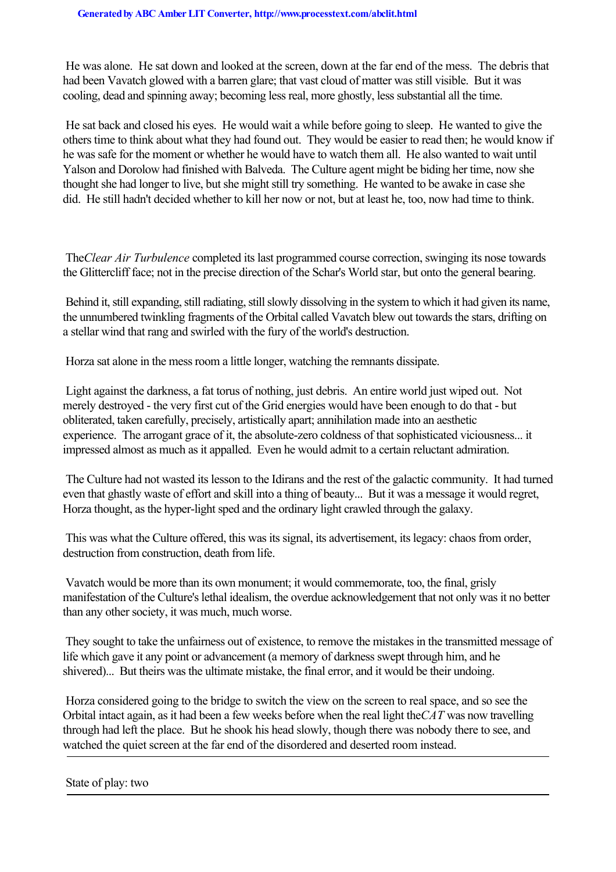He was alone. He sat down and looked at the screen, down at the far end of the mess. The debris that had been Vavatch glowed with a barren glare; that vast cloud of matter was still visible. But it was cooling, dead and spinning away; becoming less real, more ghostly, less substantial all the time.

 He sat back and closed his eyes. He would wait a while before going to sleep. He wanted to give the others time to think about what they had found out. They would be easier to read then; he would know if he was safe for the moment or whether he would have to watch them all. He also wanted to wait until Yalson and Dorolow had finished with Balveda. The Culture agent might be biding her time, now she thought she had longer to live, but she might still try something. He wanted to be awake in case she did. He still hadn't decided whether to kill her now or not, but at least he, too, now had time to think.

 The*Clear Air Turbulence* completed its last programmed course correction, swinging its nose towards the Glittercliff face; not in the precise direction of the Schar's World star, but onto the general bearing.

 Behind it, still expanding, still radiating, still slowly dissolving in the system to which it had given its name, the unnumbered twinkling fragments of the Orbital called Vavatch blew out towards the stars, drifting on a stellar wind that rang and swirled with the fury of the world's destruction.

Horza sat alone in the mess room a little longer, watching the remnants dissipate.

 Light against the darkness, a fat torus of nothing, just debris. An entire world just wiped out. Not merely destroyed - the very first cut of the Grid energies would have been enough to do that - but obliterated, taken carefully, precisely, artistically apart; annihilation made into an aesthetic experience. The arrogant grace of it, the absolute-zero coldness of that sophisticated viciousness... it impressed almost as much as it appalled. Even he would admit to a certain reluctant admiration.

 The Culture had not wasted its lesson to the Idirans and the rest of the galactic community. It had turned even that ghastly waste of effort and skill into a thing of beauty... But it was a message it would regret, Horza thought, as the hyper-light sped and the ordinary light crawled through the galaxy.

 This was what the Culture offered, this was its signal, its advertisement, its legacy: chaos from order, destruction from construction, death from life.

 Vavatch would be more than its own monument; it would commemorate, too, the final, grisly manifestation of the Culture's lethal idealism, the overdue acknowledgement that not only was it no better than any other society, it was much, much worse.

 They sought to take the unfairness out of existence, to remove the mistakes in the transmitted message of life which gave it any point or advancement (a memory of darkness swept through him, and he shivered)... But theirs was the ultimate mistake, the final error, and it would be their undoing.

 Horza considered going to the bridge to switch the view on the screen to real space, and so see the Orbital intact again, as it had been a few weeks before when the real light the*CAT* was now travelling through had left the place. But he shook his head slowly, though there was nobody there to see, and watched the quiet screen at the far end of the disordered and deserted room instead.

State of play: two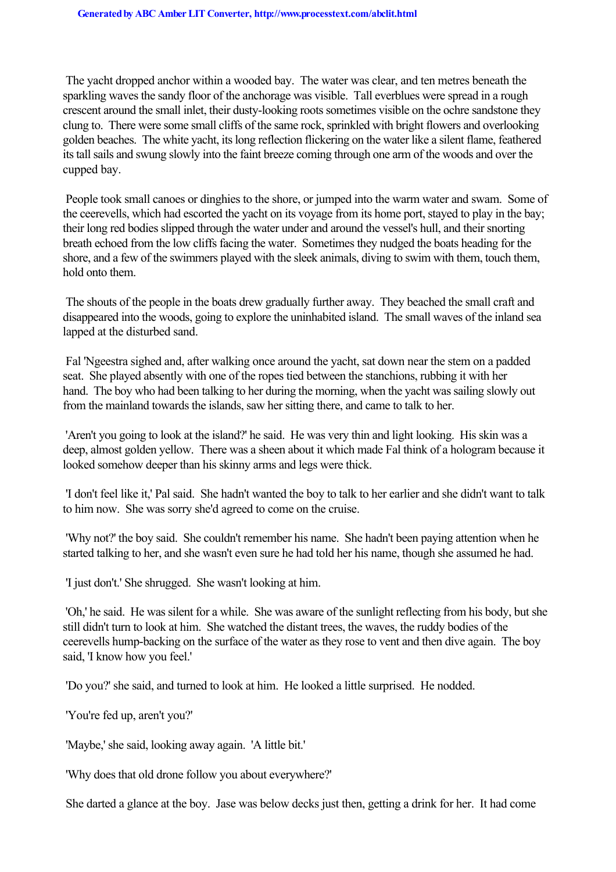The yacht dropped anchor within a wooded bay. The water was clear, and ten metres beneath the sparkling waves the sandy floor of the anchorage was visible. Tall everblues were spread in a rough crescent around the small inlet, their dusty-looking roots sometimes visible on the ochre sandstone they clung to. There were some small cliffs of the same rock, sprinkled with bright flowers and overlooking golden beaches. The white yacht, its long reflection flickering on the water like a silent flame, feathered its tall sails and swung slowly into the faint breeze coming through one arm of the woods and over the cupped bay.

 People took small canoes or dinghies to the shore, or jumped into the warm water and swam. Some of the ceerevells, which had escorted the yacht on its voyage from its home port, stayed to play in the bay; their long red bodies slipped through the water under and around the vessel's hull, and their snorting breath echoed from the low cliffs facing the water. Sometimes they nudged the boats heading for the shore, and a few of the swimmers played with the sleek animals, diving to swim with them, touch them, hold onto them.

 The shouts of the people in the boats drew gradually further away. They beached the small craft and disappeared into the woods, going to explore the uninhabited island. The small waves of the inland sea lapped at the disturbed sand.

 Fal 'Ngeestra sighed and, after walking once around the yacht, sat down near the stem on a padded seat. She played absently with one of the ropes tied between the stanchions, rubbing it with her hand. The boy who had been talking to her during the morning, when the yacht was sailing slowly out from the mainland towards the islands, saw her sitting there, and came to talk to her.

 'Aren't you going to look at the island?' he said. He was very thin and light looking. His skin was a deep, almost golden yellow. There was a sheen about it which made Fal think of a hologram because it looked somehow deeper than his skinny arms and legs were thick.

 'I don't feel like it,' Pal said. She hadn't wanted the boy to talk to her earlier and she didn't want to talk to him now. She was sorry she'd agreed to come on the cruise.

 'Why not?' the boy said. She couldn't remember his name. She hadn't been paying attention when he started talking to her, and she wasn't even sure he had told her his name, though she assumed he had.

'I just don't.' She shrugged. She wasn't looking at him.

 'Oh,' he said. He was silent for a while. She was aware of the sunlight reflecting from his body, but she still didn't turn to look at him. She watched the distant trees, the waves, the ruddy bodies of the ceerevells hump-backing on the surface of the water as they rose to vent and then dive again. The boy said, 'I know how you feel.'

'Do you?' she said, and turned to look at him. He looked a little surprised. He nodded.

'You're fed up, aren't you?'

'Maybe,' she said, looking away again. 'A little bit.'

'Why does that old drone follow you about everywhere?'

She darted a glance at the boy. Jase was below decks just then, getting a drink for her. It had come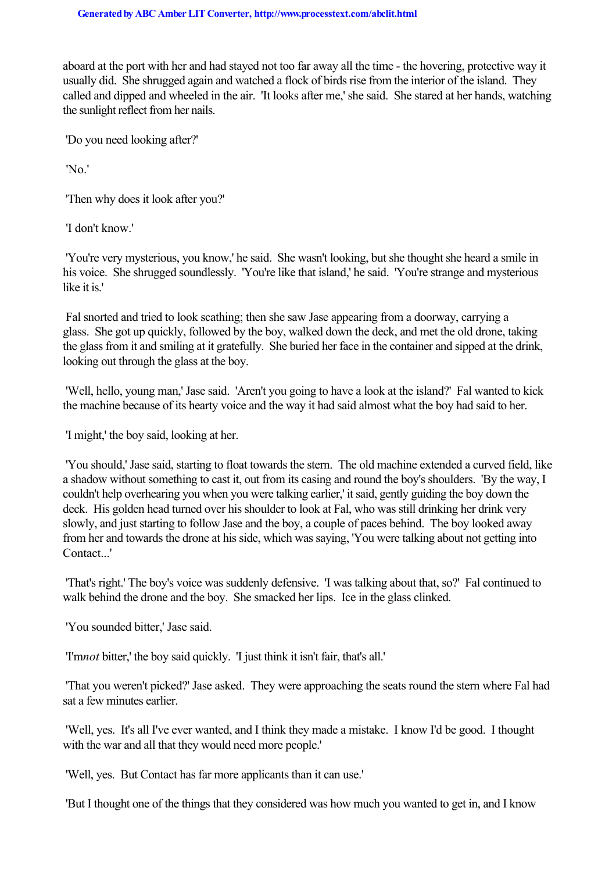aboard at the port with her and had stayed not too far away all the time - the hovering, protective way it usually did. She shrugged again and watched a flock of birds rise from the interior of the island. They called and dipped and wheeled in the air. 'It looks after me,' she said. She stared at her hands, watching the sunlight reflect from her nails.

'Do you need looking after?'

'No.'

'Then why does it look after you?'

'I don't know.'

 'You're very mysterious, you know,' he said. She wasn't looking, but she thought she heard a smile in his voice. She shrugged soundlessly. 'You're like that island,' he said. 'You're strange and mysterious like it is.'

 Fal snorted and tried to look scathing; then she saw Jase appearing from a doorway, carrying a glass. She got up quickly, followed by the boy, walked down the deck, and met the old drone, taking the glass from it and smiling at it gratefully. She buried her face in the container and sipped at the drink, looking out through the glass at the boy.

 'Well, hello, young man,' Jase said. 'Aren't you going to have a look at the island?' Fal wanted to kick the machine because of its hearty voice and the way it had said almost what the boy had said to her.

'I might,' the boy said, looking at her.

 'You should,' Jase said, starting to float towards the stern. The old machine extended a curved field, like a shadow without something to cast it, out from its casing and round the boy's shoulders. 'By the way, I couldn't help overhearing you when you were talking earlier,' it said, gently guiding the boy down the deck. His golden head turned over his shoulder to look at Fal, who was still drinking her drink very slowly, and just starting to follow Jase and the boy, a couple of paces behind. The boy looked away from her and towards the drone at his side, which was saying, 'You were talking about not getting into Contact...'

 'That's right.' The boy's voice was suddenly defensive. 'I was talking about that, so?' Fal continued to walk behind the drone and the boy. She smacked her lips. Ice in the glass clinked.

'You sounded bitter,' Jase said.

'I'm*not* bitter,' the boy said quickly. 'I just think it isn't fair, that's all.'

 'That you weren't picked?' Jase asked. They were approaching the seats round the stern where Fal had sat a few minutes earlier.

 'Well, yes. It's all I've ever wanted, and I think they made a mistake. I know I'd be good. I thought with the war and all that they would need more people.'

'Well, yes. But Contact has far more applicants than it can use.'

'But I thought one of the things that they considered was how much you wanted to get in, and I know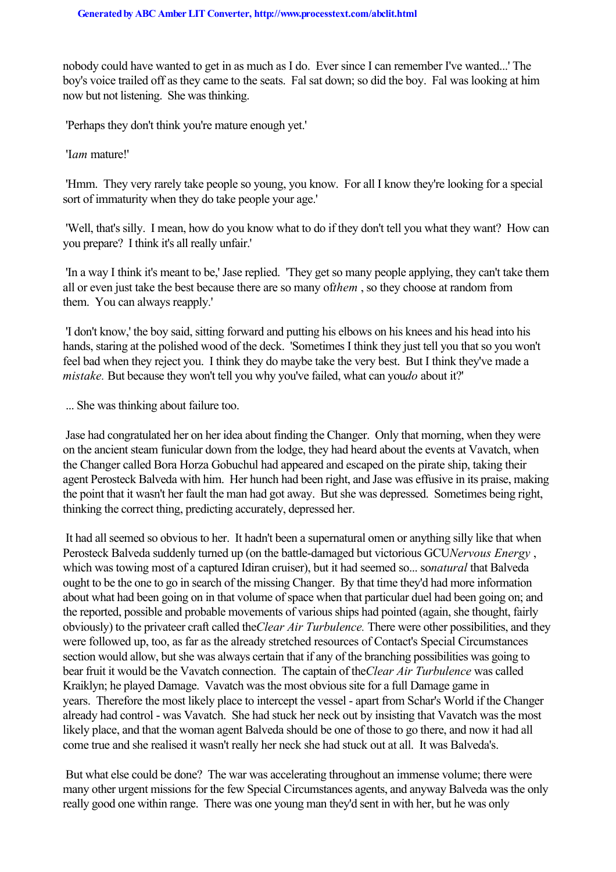nobody could have wanted to get in as much as I do. Ever since I can remember I've wanted...' The boy's voice trailed off as they came to the seats. Fal sat down; so did the boy. Fal was looking at him now but not listening. She was thinking.

'Perhaps they don't think you're mature enough yet.'

'I*am* mature!'

 'Hmm. They very rarely take people so young, you know. For all I know they're looking for a special sort of immaturity when they do take people your age.'

 'Well, that's silly. I mean, how do you know what to do if they don't tell you what they want? How can you prepare? I think it's all really unfair.'

 'In a way I think it's meant to be,' Jase replied. 'They get so many people applying, they can't take them all or even just take the best because there are so many of*them* , so they choose at random from them. You can always reapply.'

 'I don't know,' the boy said, sitting forward and putting his elbows on his knees and his head into his hands, staring at the polished wood of the deck. 'Sometimes I think they just tell you that so you won't feel bad when they reject you. I think they do maybe take the very best. But I think they've made a *mistake.* But because they won't tell you why you've failed, what can you*do* about it?'

... She was thinking about failure too.

 Jase had congratulated her on her idea about finding the Changer. Only that morning, when they were on the ancient steam funicular down from the lodge, they had heard about the events at Vavatch, when the Changer called Bora Horza Gobuchul had appeared and escaped on the pirate ship, taking their agent Perosteck Balveda with him. Her hunch had been right, and Jase was effusive in its praise, making the point that it wasn't her fault the man had got away. But she was depressed. Sometimes being right, thinking the correct thing, predicting accurately, depressed her.

 It had all seemed so obvious to her. It hadn't been a supernatural omen or anything silly like that when Perosteck Balveda suddenly turned up (on the battle-damaged but victorious GCU*Nervous Energy* , which was towing most of a captured Idiran cruiser), but it had seemed so... so*natural* that Balveda ought to be the one to go in search of the missing Changer. By that time they'd had more information about what had been going on in that volume of space when that particular duel had been going on; and the reported, possible and probable movements of various ships had pointed (again, she thought, fairly obviously) to the privateer craft called the*Clear Air Turbulence.* There were other possibilities, and they were followed up, too, as far as the already stretched resources of Contact's Special Circumstances section would allow, but she was always certain that if any of the branching possibilities was going to bear fruit it would be the Vavatch connection. The captain of the*Clear Air Turbulence* was called Kraiklyn; he played Damage. Vavatch was the most obvious site for a full Damage game in years. Therefore the most likely place to intercept the vessel - apart from Schar's World if the Changer already had control - was Vavatch. She had stuck her neck out by insisting that Vavatch was the most likely place, and that the woman agent Balveda should be one of those to go there, and now it had all come true and she realised it wasn't really her neck she had stuck out at all. It was Balveda's.

 But what else could be done? The war was accelerating throughout an immense volume; there were many other urgent missions for the few Special Circumstances agents, and anyway Balveda was the only really good one within range. There was one young man they'd sent in with her, but he was only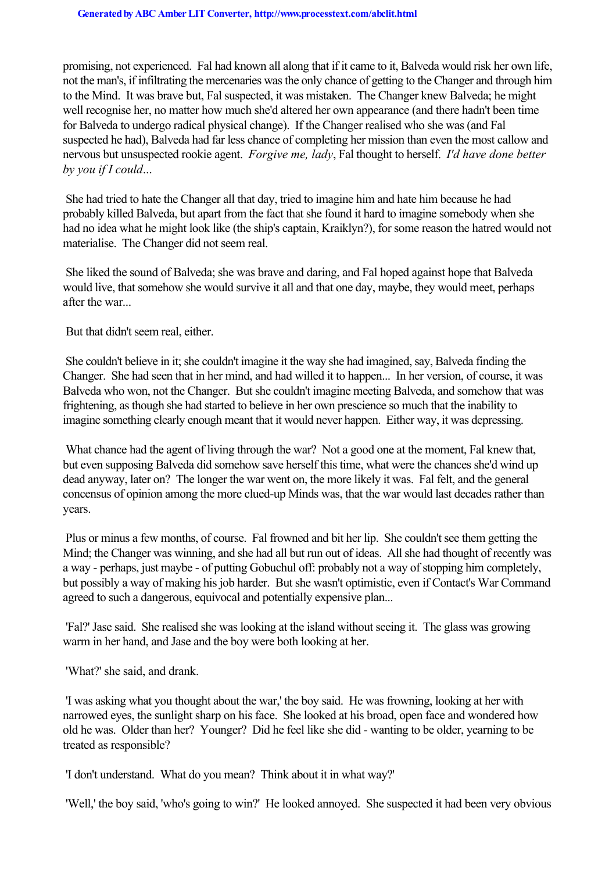promising, not experienced. Fal had known all along that if it came to it, Balveda would risk her own life, not the man's, if infiltrating the mercenaries was the only chance of getting to the Changer and through him to the Mind. It was brave but, Fal suspected, it was mistaken. The Changer knew Balveda; he might well recognise her, no matter how much she'd altered her own appearance (and there hadn't been time for Balveda to undergo radical physical change). If the Changer realised who she was (and Fal suspected he had), Balveda had far less chance of completing her mission than even the most callow and nervous but unsuspected rookie agent. *Forgive me, lady*, Fal thought to herself. *I'd have done better by you if I could*...

 She had tried to hate the Changer all that day, tried to imagine him and hate him because he had probably killed Balveda, but apart from the fact that she found it hard to imagine somebody when she had no idea what he might look like (the ship's captain, Kraiklyn?), for some reason the hatred would not materialise. The Changer did not seem real.

 She liked the sound of Balveda; she was brave and daring, and Fal hoped against hope that Balveda would live, that somehow she would survive it all and that one day, maybe, they would meet, perhaps after the war...

But that didn't seem real, either.

 She couldn't believe in it; she couldn't imagine it the way she had imagined, say, Balveda finding the Changer. She had seen that in her mind, and had willed it to happen... In her version, of course, it was Balveda who won, not the Changer. But she couldn't imagine meeting Balveda, and somehow that was frightening, as though she had started to believe in her own prescience so much that the inability to imagine something clearly enough meant that it would never happen. Either way, it was depressing.

What chance had the agent of living through the war? Not a good one at the moment. Fal knew that, but even supposing Balveda did somehow save herself this time, what were the chances she'd wind up dead anyway, later on? The longer the war went on, the more likely it was. Fal felt, and the general concensus of opinion among the more clued-up Minds was, that the war would last decades rather than years.

 Plus or minus a few months, of course. Fal frowned and bit her lip. She couldn't see them getting the Mind; the Changer was winning, and she had all but run out of ideas. All she had thought of recently was a way - perhaps, just maybe - of putting Gobuchul off: probably not a way of stopping him completely, but possibly a way of making his job harder. But she wasn't optimistic, even if Contact's War Command agreed to such a dangerous, equivocal and potentially expensive plan...

 'Fal?' Jase said. She realised she was looking at the island without seeing it. The glass was growing warm in her hand, and Jase and the boy were both looking at her.

'What?' she said, and drank.

 'I was asking what you thought about the war,' the boy said. He was frowning, looking at her with narrowed eyes, the sunlight sharp on his face. She looked at his broad, open face and wondered how old he was. Older than her? Younger? Did he feel like she did - wanting to be older, yearning to be treated as responsible?

'I don't understand. What do you mean? Think about it in what way?'

'Well,' the boy said, 'who's going to win?' He looked annoyed. She suspected it had been very obvious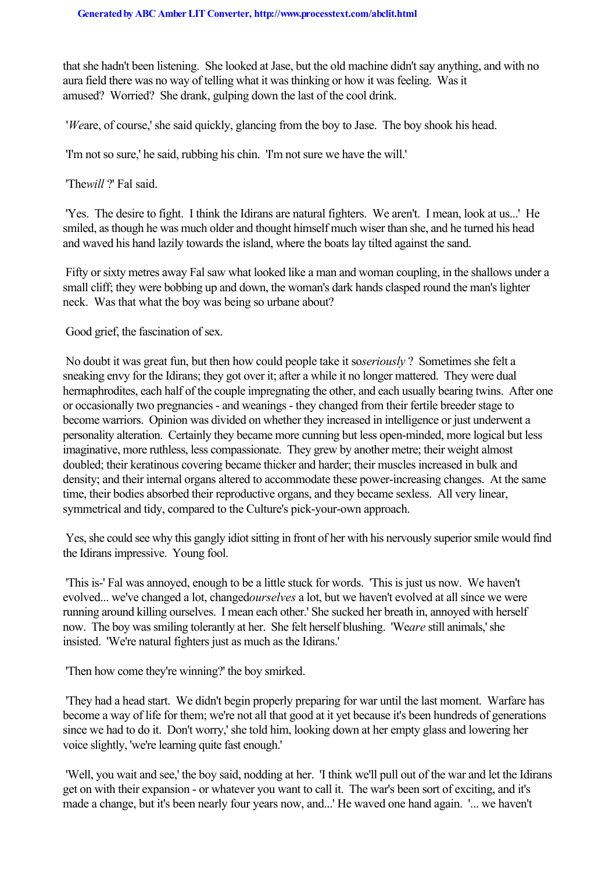that she hadn't been listening. She looked at Jase, but the old machine didn't say anything, and with no aura field there was no way of telling what it was thinking or how it was feeling. Was it amused? Worried? She drank, gulping down the last of the cool drink.

'*We*are, of course,' she said quickly, glancing from the boy to Jase. The boy shook his head.

'I'm not so sure,' he said, rubbing his chin. 'I'm not sure we have the will.'

'The*will* ?' Fal said.

 'Yes. The desire to fight. I think the Idirans are natural fighters. We aren't. I mean, look at us...' He smiled, as though he was much older and thought himself much wiser than she, and he turned his head and waved his hand lazily towards the island, where the boats lay tilted against the sand.

 Fifty or sixty metres away Fal saw what looked like a man and woman coupling, in the shallows under a small cliff; they were bobbing up and down, the woman's dark hands clasped round the man's lighter neck. Was that what the boy was being so urbane about?

Good grief, the fascination of sex.

 No doubt it was great fun, but then how could people take it so*seriously* ? Sometimes she felt a sneaking envy for the Idirans; they got over it; after a while it no longer mattered. They were dual hermaphrodites, each half of the couple impregnating the other, and each usually bearing twins. After one or occasionally two pregnancies - and weanings - they changed from their fertile breeder stage to become warriors. Opinion was divided on whether they increased in intelligence or just underwent a personality alteration. Certainly they became more cunning but less open-minded, more logical but less imaginative, more ruthless, less compassionate. They grew by another metre; their weight almost doubled; their keratinous covering became thicker and harder; their muscles increased in bulk and density; and their internal organs altered to accommodate these power-increasing changes. At the same time, their bodies absorbed their reproductive organs, and they became sexless. All very linear, symmetrical and tidy, compared to the Culture's pick-your-own approach.

 Yes, she could see why this gangly idiot sitting in front of her with his nervously superior smile would find the Idirans impressive. Young fool.

 'This is-' Fal was annoyed, enough to be a little stuck for words. 'This is just us now. We haven't evolved... we've changed a lot, changed*ourselves* a lot, but we haven't evolved at all since we were running around killing ourselves. I mean each other.' She sucked her breath in, annoyed with herself now. The boy was smiling tolerantly at her. She felt herself blushing. 'We*are* still animals,' she insisted. 'We're natural fighters just as much as the Idirans.'

'Then how come they're winning?' the boy smirked.

 'They had a head start. We didn't begin properly preparing for war until the last moment. Warfare has become a way of life for them; we're not all that good at it yet because it's been hundreds of generations since we had to do it. Don't worry,' she told him, looking down at her empty glass and lowering her voice slightly, 'we're learning quite fast enough.'

 'Well, you wait and see,' the boy said, nodding at her. 'I think we'll pull out of the war and let the Idirans get on with their expansion - or whatever you want to call it. The war's been sort of exciting, and it's made a change, but it's been nearly four years now, and...' He waved one hand again. '... we haven't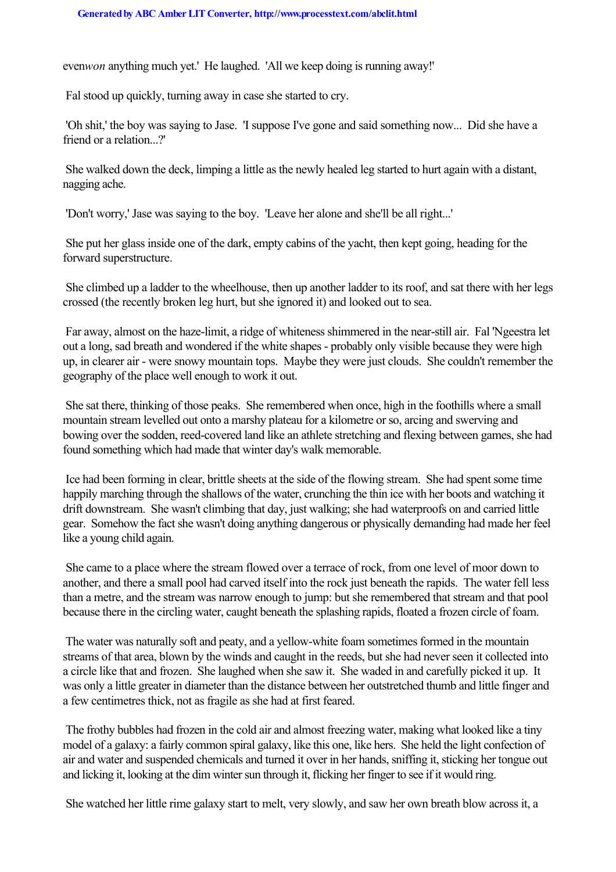## **Generated by ABC Amber LIT Converter, <http://www.processtext.com/abclit.html>**

even*won* anything much yet.' He laughed. 'All we keep doing is running away!'

Fal stood up quickly, turning away in case she started to cry.

 'Oh shit,' the boy was saying to Jase. 'I suppose I've gone and said something now... Did she have a friend or a relation.<sup>2'</sup>

 She walked down the deck, limping a little as the newly healed leg started to hurt again with a distant, nagging ache.

'Don't worry,' Jase was saying to the boy. 'Leave her alone and she'll be all right...'

 She put her glass inside one of the dark, empty cabins of the yacht, then kept going, heading for the forward superstructure.

 She climbed up a ladder to the wheelhouse, then up another ladder to its roof, and sat there with her legs crossed (the recently broken leg hurt, but she ignored it) and looked out to sea.

 Far away, almost on the haze-limit, a ridge of whiteness shimmered in the near-still air. Fal 'Ngeestra let out a long, sad breath and wondered if the white shapes - probably only visible because they were high up, in clearer air - were snowy mountain tops. Maybe they were just clouds. She couldn't remember the geography of the place well enough to work it out.

 She sat there, thinking of those peaks. She remembered when once, high in the foothills where a small mountain stream levelled out onto a marshy plateau for a kilometre or so, arcing and swerving and bowing over the sodden, reed-covered land like an athlete stretching and flexing between games, she had found something which had made that winter day's walk memorable.

 Ice had been forming in clear, brittle sheets at the side of the flowing stream. She had spent some time happily marching through the shallows of the water, crunching the thin ice with her boots and watching it drift downstream. She wasn't climbing that day, just walking; she had waterproofs on and carried little gear. Somehow the fact she wasn't doing anything dangerous or physically demanding had made her feel like a young child again.

 She came to a place where the stream flowed over a terrace of rock, from one level of moor down to another, and there a small pool had carved itself into the rock just beneath the rapids. The water fell less than a metre, and the stream was narrow enough to jump: but she remembered that stream and that pool because there in the circling water, caught beneath the splashing rapids, floated a frozen circle of foam.

 The water was naturally soft and peaty, and a yellow-white foam sometimes formed in the mountain streams of that area, blown by the winds and caught in the reeds, but she had never seen it collected into a circle like that and frozen. She laughed when she saw it. She waded in and carefully picked it up. It was only a little greater in diameter than the distance between her outstretched thumb and little finger and a few centimetres thick, not as fragile as she had at first feared.

 The frothy bubbles had frozen in the cold air and almost freezing water, making what looked like a tiny model of a galaxy: a fairly common spiral galaxy, like this one, like hers. She held the light confection of air and water and suspended chemicals and turned it over in her hands, sniffing it, sticking her tongue out and licking it, looking at the dim winter sun through it, flicking her finger to see if it would ring.

She watched her little rime galaxy start to melt, very slowly, and saw her own breath blow across it, a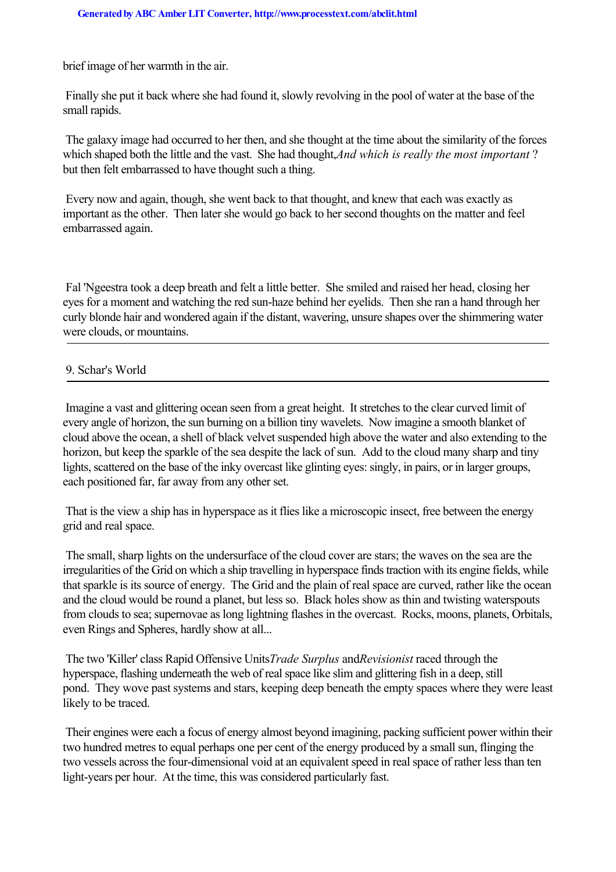brief image of her warmth in the air.

 Finally she put it back where she had found it, slowly revolving in the pool of water at the base of the small rapids.

 The galaxy image had occurred to her then, and she thought at the time about the similarity of the forces which shaped both the little and the vast. She had thought,*And which is really the most important* ? but then felt embarrassed to have thought such a thing.

 Every now and again, though, she went back to that thought, and knew that each was exactly as important as the other. Then later she would go back to her second thoughts on the matter and feel embarrassed again.

 Fal 'Ngeestra took a deep breath and felt a little better. She smiled and raised her head, closing her eyes for a moment and watching the red sun-haze behind her eyelids. Then she ran a hand through her curly blonde hair and wondered again if the distant, wavering, unsure shapes over the shimmering water were clouds, or mountains.

## 9. Schar's World

 Imagine a vast and glittering ocean seen from a great height. It stretches to the clear curved limit of every angle of horizon, the sun burning on a billion tiny wavelets. Now imagine a smooth blanket of cloud above the ocean, a shell of black velvet suspended high above the water and also extending to the horizon, but keep the sparkle of the sea despite the lack of sun. Add to the cloud many sharp and tiny lights, scattered on the base of the inky overcast like glinting eyes: singly, in pairs, or in larger groups, each positioned far, far away from any other set.

 That is the view a ship has in hyperspace as it flies like a microscopic insect, free between the energy grid and real space.

 The small, sharp lights on the undersurface of the cloud cover are stars; the waves on the sea are the irregularities of the Grid on which a ship travelling in hyperspace finds traction with its engine fields, while that sparkle is its source of energy. The Grid and the plain of real space are curved, rather like the ocean and the cloud would be round a planet, but less so. Black holes show as thin and twisting waterspouts from clouds to sea; supernovae as long lightning flashes in the overcast. Rocks, moons, planets, Orbitals, even Rings and Spheres, hardly show at all...

 The two 'Killer' class Rapid Offensive Units*Trade Surplus* and*Revisionist* raced through the hyperspace, flashing underneath the web of real space like slim and glittering fish in a deep, still pond. They wove past systems and stars, keeping deep beneath the empty spaces where they were least likely to be traced.

 Their engines were each a focus of energy almost beyond imagining, packing sufficient power within their two hundred metres to equal perhaps one per cent of the energy produced by a small sun, flinging the two vessels across the four-dimensional void at an equivalent speed in real space of rather less than ten light-years per hour. At the time, this was considered particularly fast.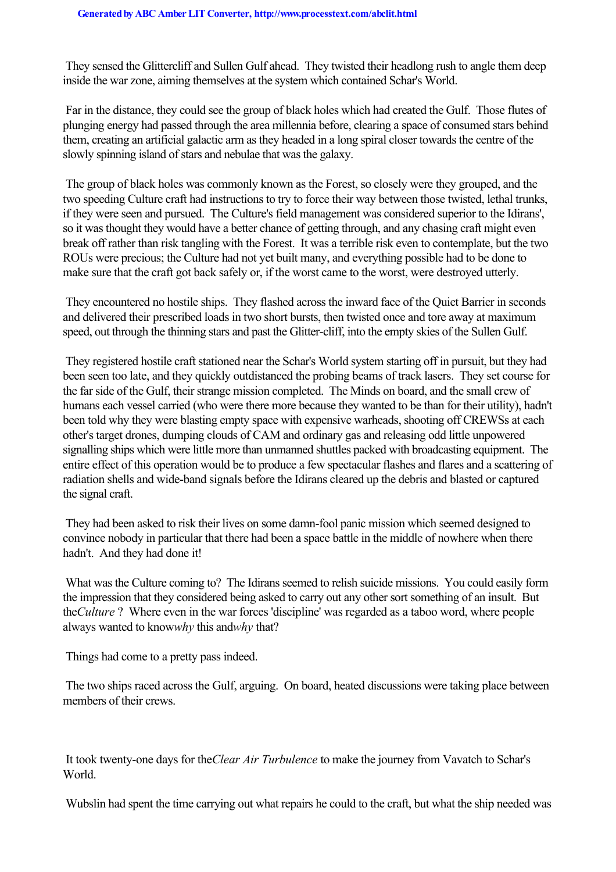They sensed the Glittercliff and Sullen Gulf ahead. They twisted their headlong rush to angle them deep inside the war zone, aiming themselves at the system which contained Schar's World.

 Far in the distance, they could see the group of black holes which had created the Gulf. Those flutes of plunging energy had passed through the area millennia before, clearing a space of consumed stars behind them, creating an artificial galactic arm as they headed in a long spiral closer towards the centre of the slowly spinning island of stars and nebulae that was the galaxy.

 The group of black holes was commonly known as the Forest, so closely were they grouped, and the two speeding Culture craft had instructions to try to force their way between those twisted, lethal trunks, if they were seen and pursued. The Culture's field management was considered superior to the Idirans', so it was thought they would have a better chance of getting through, and any chasing craft might even break off rather than risk tangling with the Forest. It was a terrible risk even to contemplate, but the two ROUs were precious; the Culture had not yet built many, and everything possible had to be done to make sure that the craft got back safely or, if the worst came to the worst, were destroyed utterly.

 They encountered no hostile ships. They flashed across the inward face of the Quiet Barrier in seconds and delivered their prescribed loads in two short bursts, then twisted once and tore away at maximum speed, out through the thinning stars and past the Glitter-cliff, into the empty skies of the Sullen Gulf.

 They registered hostile craft stationed near the Schar's World system starting off in pursuit, but they had been seen too late, and they quickly outdistanced the probing beams of track lasers. They set course for the far side of the Gulf, their strange mission completed. The Minds on board, and the small crew of humans each vessel carried (who were there more because they wanted to be than for their utility), hadn't been told why they were blasting empty space with expensive warheads, shooting off CREWSs at each other's target drones, dumping clouds of CAM and ordinary gas and releasing odd little unpowered signalling ships which were little more than unmanned shuttles packed with broadcasting equipment. The entire effect of this operation would be to produce a few spectacular flashes and flares and a scattering of radiation shells and wide-band signals before the Idirans cleared up the debris and blasted or captured the signal craft.

 They had been asked to risk their lives on some damn-fool panic mission which seemed designed to convince nobody in particular that there had been a space battle in the middle of nowhere when there hadn't. And they had done it!

 What was the Culture coming to? The Idirans seemed to relish suicide missions. You could easily form the impression that they considered being asked to carry out any other sort something of an insult. But the*Culture* ? Where even in the war forces 'discipline' was regarded as a taboo word, where people always wanted to know*why* this and*why* that?

Things had come to a pretty pass indeed.

 The two ships raced across the Gulf, arguing. On board, heated discussions were taking place between members of their crews.

 It took twenty-one days for the*Clear Air Turbulence* to make the journey from Vavatch to Schar's World.

Wubslin had spent the time carrying out what repairs he could to the craft, but what the ship needed was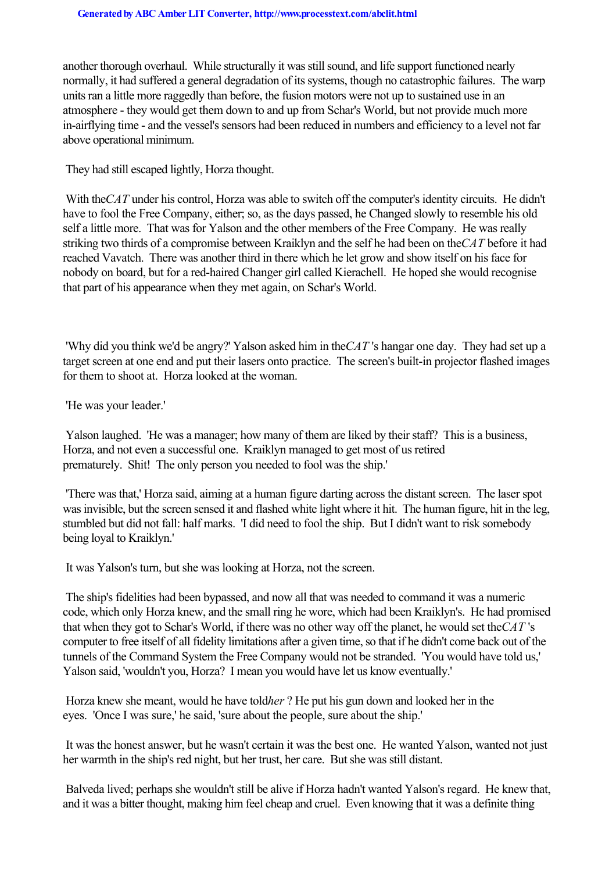another thorough overhaul. While structurally it was still sound, and life support functioned nearly normally, it had suffered a general degradation of its systems, though no catastrophic failures. The warp units ran a little more raggedly than before, the fusion motors were not up to sustained use in an atmosphere - they would get them down to and up from Schar's World, but not provide much more in-airflying time - and the vessel's sensors had been reduced in numbers and efficiency to a level not far above operational minimum.

They had still escaped lightly, Horza thought.

With the*CAT* under his control, Horza was able to switch off the computer's identity circuits. He didn't have to fool the Free Company, either; so, as the days passed, he Changed slowly to resemble his old self a little more. That was for Yalson and the other members of the Free Company. He was really striking two thirds of a compromise between Kraiklyn and the self he had been on the*CAT* before it had reached Vavatch. There was another third in there which he let grow and show itself on his face for nobody on board, but for a red-haired Changer girl called Kierachell. He hoped she would recognise that part of his appearance when they met again, on Schar's World.

 'Why did you think we'd be angry?' Yalson asked him in the*CAT* 's hangar one day. They had set up a target screen at one end and put their lasers onto practice. The screen's built-in projector flashed images for them to shoot at. Horza looked at the woman.

'He was your leader.'

 Yalson laughed. 'He was a manager; how many of them are liked by their staff? This is a business, Horza, and not even a successful one. Kraiklyn managed to get most of us retired prematurely. Shit! The only person you needed to fool was the ship.'

 'There was that,' Horza said, aiming at a human figure darting across the distant screen. The laser spot was invisible, but the screen sensed it and flashed white light where it hit. The human figure, hit in the leg, stumbled but did not fall: half marks. 'I did need to fool the ship. But I didn't want to risk somebody being loyal to Kraiklyn.'

It was Yalson's turn, but she was looking at Horza, not the screen.

 The ship's fidelities had been bypassed, and now all that was needed to command it was a numeric code, which only Horza knew, and the small ring he wore, which had been Kraiklyn's. He had promised that when they got to Schar's World, if there was no other way off the planet, he would set the*CAT* 's computer to free itself of all fidelity limitations after a given time, so that if he didn't come back out of the tunnels of the Command System the Free Company would not be stranded. 'You would have told us,' Yalson said, 'wouldn't you, Horza? I mean you would have let us know eventually.'

 Horza knew she meant, would he have told*her* ? He put his gun down and looked her in the eyes. 'Once I was sure,' he said, 'sure about the people, sure about the ship.'

 It was the honest answer, but he wasn't certain it was the best one. He wanted Yalson, wanted not just her warmth in the ship's red night, but her trust, her care. But she was still distant.

 Balveda lived; perhaps she wouldn't still be alive if Horza hadn't wanted Yalson's regard. He knew that, and it was a bitter thought, making him feel cheap and cruel. Even knowing that it was a definite thing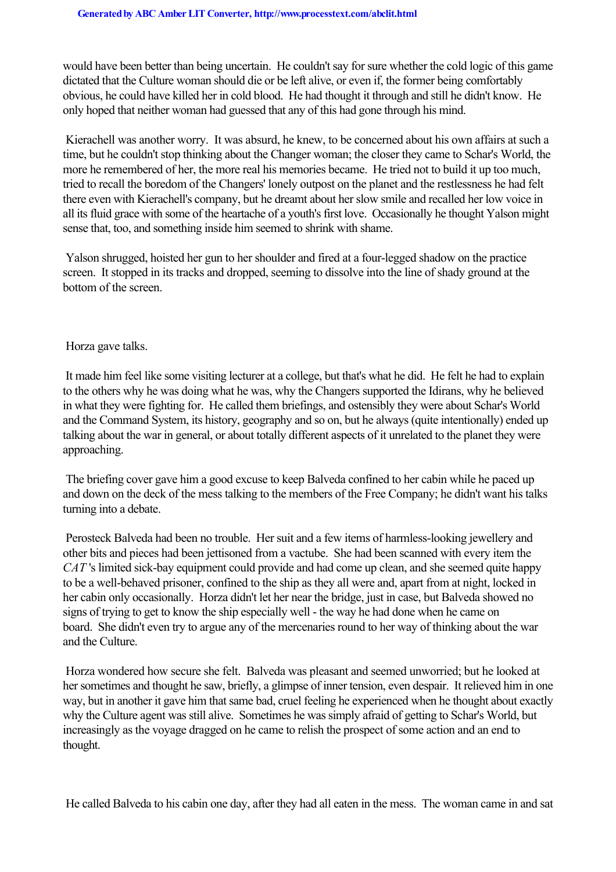would have been better than being uncertain. He couldn't say for sure whether the cold logic of this game dictated that the Culture woman should die or be left alive, or even if, the former being comfortably obvious, he could have killed her in cold blood. He had thought it through and still he didn't know. He only hoped that neither woman had guessed that any of this had gone through his mind.

 Kierachell was another worry. It was absurd, he knew, to be concerned about his own affairs at such a time, but he couldn't stop thinking about the Changer woman; the closer they came to Schar's World, the more he remembered of her, the more real his memories became. He tried not to build it up too much, tried to recall the boredom of the Changers' lonely outpost on the planet and the restlessness he had felt there even with Kierachell's company, but he dreamt about her slow smile and recalled her low voice in all its fluid grace with some of the heartache of a youth's first love. Occasionally he thought Yalson might sense that, too, and something inside him seemed to shrink with shame.

 Yalson shrugged, hoisted her gun to her shoulder and fired at a four-legged shadow on the practice screen. It stopped in its tracks and dropped, seeming to dissolve into the line of shady ground at the bottom of the screen.

### Horza gave talks.

 It made him feel like some visiting lecturer at a college, but that's what he did. He felt he had to explain to the others why he was doing what he was, why the Changers supported the Idirans, why he believed in what they were fighting for. He called them briefings, and ostensibly they were about Schar's World and the Command System, its history, geography and so on, but he always (quite intentionally) ended up talking about the war in general, or about totally different aspects of it unrelated to the planet they were approaching.

 The briefing cover gave him a good excuse to keep Balveda confined to her cabin while he paced up and down on the deck of the mess talking to the members of the Free Company; he didn't want his talks turning into a debate.

 Perosteck Balveda had been no trouble. Her suit and a few items of harmless-looking jewellery and other bits and pieces had been jettisoned from a vactube. She had been scanned with every item the *CAT* 's limited sick-bay equipment could provide and had come up clean, and she seemed quite happy to be a well-behaved prisoner, confined to the ship as they all were and, apart from at night, locked in her cabin only occasionally. Horza didn't let her near the bridge, just in case, but Balveda showed no signs of trying to get to know the ship especially well - the way he had done when he came on board. She didn't even try to argue any of the mercenaries round to her way of thinking about the war and the Culture.

 Horza wondered how secure she felt. Balveda was pleasant and seemed unworried; but he looked at her sometimes and thought he saw, briefly, a glimpse of inner tension, even despair. It relieved him in one way, but in another it gave him that same bad, cruel feeling he experienced when he thought about exactly why the Culture agent was still alive. Sometimes he was simply afraid of getting to Schar's World, but increasingly as the voyage dragged on he came to relish the prospect of some action and an end to thought.

He called Balveda to his cabin one day, after they had all eaten in the mess. The woman came in and sat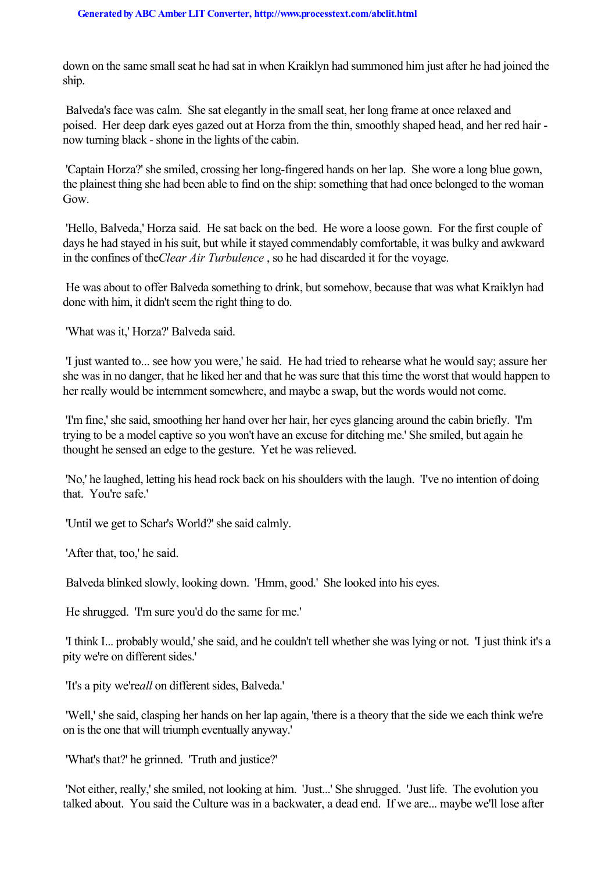down on the same small seat he had sat in when Kraiklyn had summoned him just after he had joined the ship.

 Balveda's face was calm. She sat elegantly in the small seat, her long frame at once relaxed and poised. Her deep dark eyes gazed out at Horza from the thin, smoothly shaped head, and her red hair now turning black - shone in the lights of the cabin.

 'Captain Horza?' she smiled, crossing her long-fingered hands on her lap. She wore a long blue gown, the plainest thing she had been able to find on the ship: something that had once belonged to the woman Gow.

 'Hello, Balveda,' Horza said. He sat back on the bed. He wore a loose gown. For the first couple of days he had stayed in his suit, but while it stayed commendably comfortable, it was bulky and awkward in the confines of the*Clear Air Turbulence* , so he had discarded it for the voyage.

 He was about to offer Balveda something to drink, but somehow, because that was what Kraiklyn had done with him, it didn't seem the right thing to do.

'What was it,' Horza?' Balveda said.

 'I just wanted to... see how you were,' he said. He had tried to rehearse what he would say; assure her she was in no danger, that he liked her and that he was sure that this time the worst that would happen to her really would be internment somewhere, and maybe a swap, but the words would not come.

 'I'm fine,' she said, smoothing her hand over her hair, her eyes glancing around the cabin briefly. 'I'm trying to be a model captive so you won't have an excuse for ditching me.' She smiled, but again he thought he sensed an edge to the gesture. Yet he was relieved.

 'No,' he laughed, letting his head rock back on his shoulders with the laugh. 'I've no intention of doing that. You're safe.'

'Until we get to Schar's World?' she said calmly.

'After that, too,' he said.

Balveda blinked slowly, looking down. 'Hmm, good.' She looked into his eyes.

He shrugged. 'I'm sure you'd do the same for me.'

 'I think I... probably would,' she said, and he couldn't tell whether she was lying or not. 'I just think it's a pity we're on different sides.'

'It's a pity we're*all* on different sides, Balveda.'

 'Well,' she said, clasping her hands on her lap again, 'there is a theory that the side we each think we're on is the one that will triumph eventually anyway.'

'What's that?' he grinned. 'Truth and justice?'

 'Not either, really,' she smiled, not looking at him. 'Just...' She shrugged. 'Just life. The evolution you talked about. You said the Culture was in a backwater, a dead end. If we are... maybe we'll lose after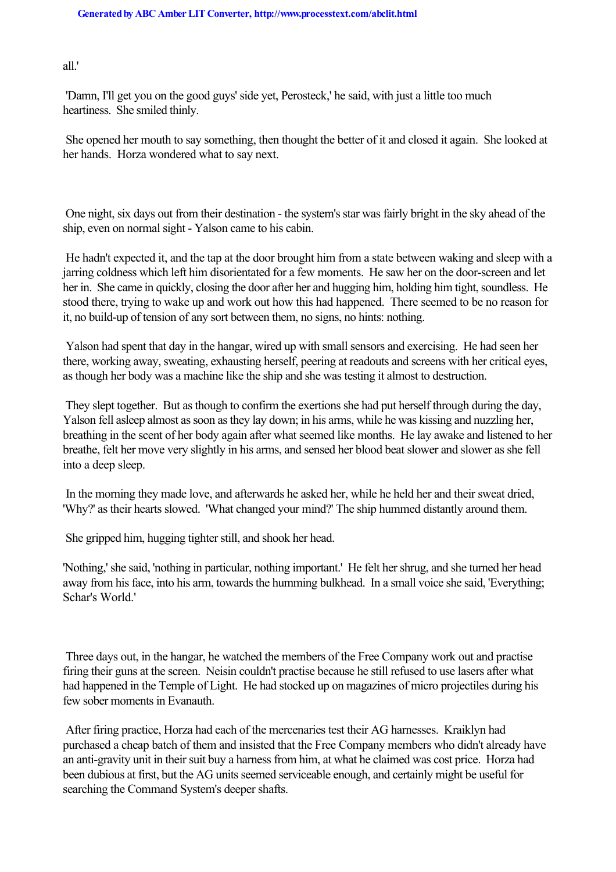all.'

 'Damn, I'll get you on the good guys' side yet, Perosteck,' he said, with just a little too much heartiness. She smiled thinly.

 She opened her mouth to say something, then thought the better of it and closed it again. She looked at her hands. Horza wondered what to say next.

 One night, six days out from their destination - the system's star was fairly bright in the sky ahead of the ship, even on normal sight - Yalson came to his cabin.

 He hadn't expected it, and the tap at the door brought him from a state between waking and sleep with a jarring coldness which left him disorientated for a few moments. He saw her on the door-screen and let her in. She came in quickly, closing the door after her and hugging him, holding him tight, soundless. He stood there, trying to wake up and work out how this had happened. There seemed to be no reason for it, no build-up of tension of any sort between them, no signs, no hints: nothing.

 Yalson had spent that day in the hangar, wired up with small sensors and exercising. He had seen her there, working away, sweating, exhausting herself, peering at readouts and screens with her critical eyes, as though her body was a machine like the ship and she was testing it almost to destruction.

 They slept together. But as though to confirm the exertions she had put herself through during the day, Yalson fell asleep almost as soon as they lay down; in his arms, while he was kissing and nuzzling her, breathing in the scent of her body again after what seemed like months. He lay awake and listened to her breathe, felt her move very slightly in his arms, and sensed her blood beat slower and slower as she fell into a deep sleep.

 In the morning they made love, and afterwards he asked her, while he held her and their sweat dried, 'Why?' as their hearts slowed. 'What changed your mind?' The ship hummed distantly around them.

She gripped him, hugging tighter still, and shook her head.

'Nothing,' she said, 'nothing in particular, nothing important.' He felt her shrug, and she turned her head away from his face, into his arm, towards the humming bulkhead. In a small voice she said, 'Everything; Schar's World.'

 Three days out, in the hangar, he watched the members of the Free Company work out and practise firing their guns at the screen. Neisin couldn't practise because he still refused to use lasers after what had happened in the Temple of Light. He had stocked up on magazines of micro projectiles during his few sober moments in Evanauth.

 After firing practice, Horza had each of the mercenaries test their AG harnesses. Kraiklyn had purchased a cheap batch of them and insisted that the Free Company members who didn't already have an anti-gravity unit in their suit buy a harness from him, at what he claimed was cost price. Horza had been dubious at first, but the AG units seemed serviceable enough, and certainly might be useful for searching the Command System's deeper shafts.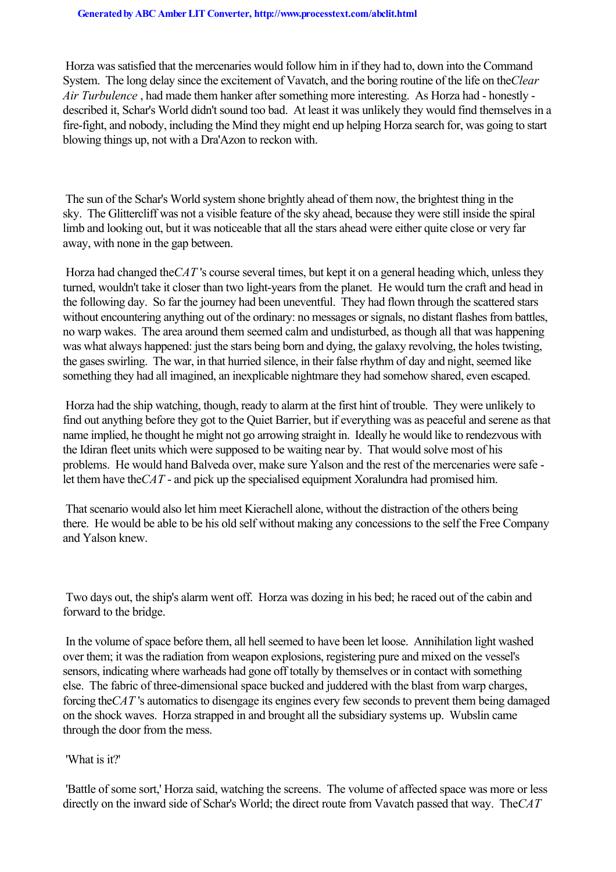Horza was satisfied that the mercenaries would follow him in if they had to, down into the Command System. The long delay since the excitement of Vavatch, and the boring routine of the life on the*Clear Air Turbulence* , had made them hanker after something more interesting. As Horza had - honestly described it, Schar's World didn't sound too bad. At least it was unlikely they would find themselves in a fire-fight, and nobody, including the Mind they might end up helping Horza search for, was going to start blowing things up, not with a Dra'Azon to reckon with.

 The sun of the Schar's World system shone brightly ahead of them now, the brightest thing in the sky. The Glittercliff was not a visible feature of the sky ahead, because they were still inside the spiral limb and looking out, but it was noticeable that all the stars ahead were either quite close or very far away, with none in the gap between.

 Horza had changed the*CAT* 's course several times, but kept it on a general heading which, unless they turned, wouldn't take it closer than two light-years from the planet. He would turn the craft and head in the following day. So far the journey had been uneventful. They had flown through the scattered stars without encountering anything out of the ordinary: no messages or signals, no distant flashes from battles, no warp wakes. The area around them seemed calm and undisturbed, as though all that was happening was what always happened: just the stars being born and dying, the galaxy revolving, the holes twisting, the gases swirling. The war, in that hurried silence, in their false rhythm of day and night, seemed like something they had all imagined, an inexplicable nightmare they had somehow shared, even escaped.

 Horza had the ship watching, though, ready to alarm at the first hint of trouble. They were unlikely to find out anything before they got to the Quiet Barrier, but if everything was as peaceful and serene as that name implied, he thought he might not go arrowing straight in. Ideally he would like to rendezvous with the Idiran fleet units which were supposed to be waiting near by. That would solve most of his problems. He would hand Balveda over, make sure Yalson and the rest of the mercenaries were safe let them have the*CAT* - and pick up the specialised equipment Xoralundra had promised him.

 That scenario would also let him meet Kierachell alone, without the distraction of the others being there. He would be able to be his old self without making any concessions to the self the Free Company and Yalson knew.

 Two days out, the ship's alarm went off. Horza was dozing in his bed; he raced out of the cabin and forward to the bridge.

 In the volume of space before them, all hell seemed to have been let loose. Annihilation light washed over them; it was the radiation from weapon explosions, registering pure and mixed on the vessel's sensors, indicating where warheads had gone off totally by themselves or in contact with something else. The fabric of three-dimensional space bucked and juddered with the blast from warp charges, forcing the*CAT* 's automatics to disengage its engines every few seconds to prevent them being damaged on the shock waves. Horza strapped in and brought all the subsidiary systems up. Wubslin came through the door from the mess.

## 'What is it?'

 'Battle of some sort,' Horza said, watching the screens. The volume of affected space was more or less directly on the inward side of Schar's World; the direct route from Vavatch passed that way. The*CAT*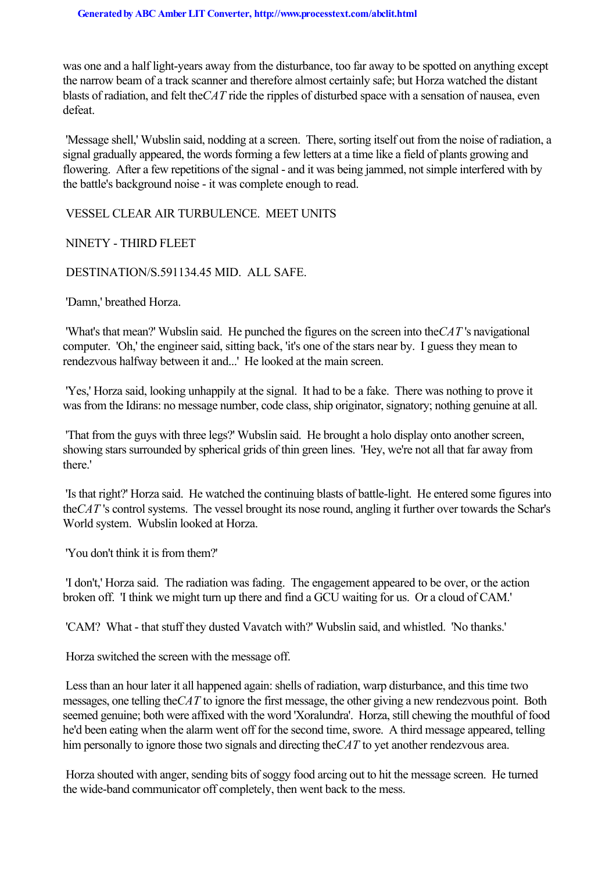was one and a half light-years away from the disturbance, too far away to be spotted on anything except the narrow beam of a track scanner and therefore almost certainly safe; but Horza watched the distant blasts of radiation, and felt the*CAT* ride the ripples of disturbed space with a sensation of nausea, even defeat.

 'Message shell,' Wubslin said, nodding at a screen. There, sorting itself out from the noise of radiation, a signal gradually appeared, the words forming a few letters at a time like a field of plants growing and flowering. After a few repetitions of the signal - and it was being jammed, not simple interfered with by the battle's background noise - it was complete enough to read.

VESSEL CLEAR AIR TURBULENCE. MEET UNITS

NINETY - THIRD FLEET

DESTINATION/S.591134.45 MID. ALL SAFE.

'Damn,' breathed Horza.

 'What's that mean?' Wubslin said. He punched the figures on the screen into the*CAT* 's navigational computer. 'Oh,' the engineer said, sitting back, 'it's one of the stars near by. I guess they mean to rendezvous halfway between it and...' He looked at the main screen.

 'Yes,' Horza said, looking unhappily at the signal. It had to be a fake. There was nothing to prove it was from the Idirans: no message number, code class, ship originator, signatory; nothing genuine at all.

 'That from the guys with three legs?' Wubslin said. He brought a holo display onto another screen, showing stars surrounded by spherical grids of thin green lines. 'Hey, we're not all that far away from there.'

 'Is that right?' Horza said. He watched the continuing blasts of battle-light. He entered some figures into the*CAT* 's control systems. The vessel brought its nose round, angling it further over towards the Schar's World system. Wubslin looked at Horza.

'You don't think it is from them?'

 'I don't,' Horza said. The radiation was fading. The engagement appeared to be over, or the action broken off. 'I think we might turn up there and find a GCU waiting for us. Or a cloud of CAM.'

'CAM? What - that stuff they dusted Vavatch with?' Wubslin said, and whistled. 'No thanks.'

Horza switched the screen with the message off.

 Less than an hour later it all happened again: shells of radiation, warp disturbance, and this time two messages, one telling the*CAT* to ignore the first message, the other giving a new rendezvous point. Both seemed genuine; both were affixed with the word 'Xoralundra'. Horza, still chewing the mouthful of food he'd been eating when the alarm went off for the second time, swore. A third message appeared, telling him personally to ignore those two signals and directing the*CAT* to yet another rendezvous area.

 Horza shouted with anger, sending bits of soggy food arcing out to hit the message screen. He turned the wide-band communicator off completely, then went back to the mess.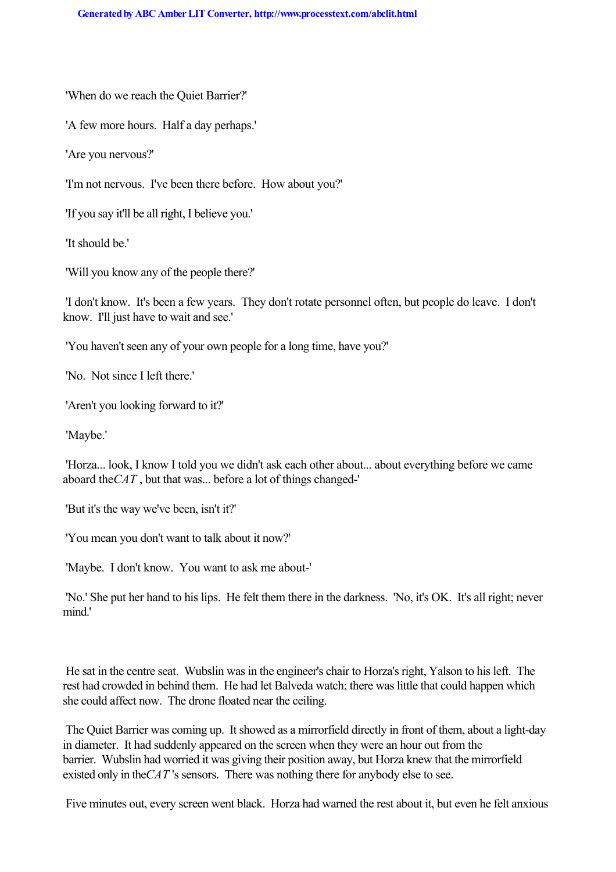'When do we reach the Quiet Barrier?'

'A few more hours. Half a day perhaps.'

'Are you nervous?'

'I'm not nervous. I've been there before. How about you?'

'If you say it'll be all right, I believe you.'

'It should be.'

'Will you know any of the people there?'

 'I don't know. It's been a few years. They don't rotate personnel often, but people do leave. I don't know. I'll just have to wait and see.'

'You haven't seen any of your own people for a long time, have you?'

'No. Not since I left there.'

'Aren't you looking forward to it?'

'Maybe.'

 'Horza... look, I know I told you we didn't ask each other about... about everything before we came aboard the*CAT* , but that was... before a lot of things changed-'

'But it's the way we've been, isn't it?'

'You mean you don't want to talk about it now?'

'Maybe. I don't know. You want to ask me about-'

 'No.' She put her hand to his lips. He felt them there in the darkness. 'No, it's OK. It's all right; never mind.'

 He sat in the centre seat. Wubslin was in the engineer's chair to Horza's right, Yalson to his left. The rest had crowded in behind them. He had let Balveda watch; there was little that could happen which she could affect now. The drone floated near the ceiling.

 The Quiet Barrier was coming up. It showed as a mirrorfield directly in front of them, about a light-day in diameter. It had suddenly appeared on the screen when they were an hour out from the barrier. Wubslin had worried it was giving their position away, but Horza knew that the mirrorfield existed only in the *CAT* 's sensors. There was nothing there for anybody else to see.

Five minutes out, every screen went black. Horza had warned the rest about it, but even he felt anxious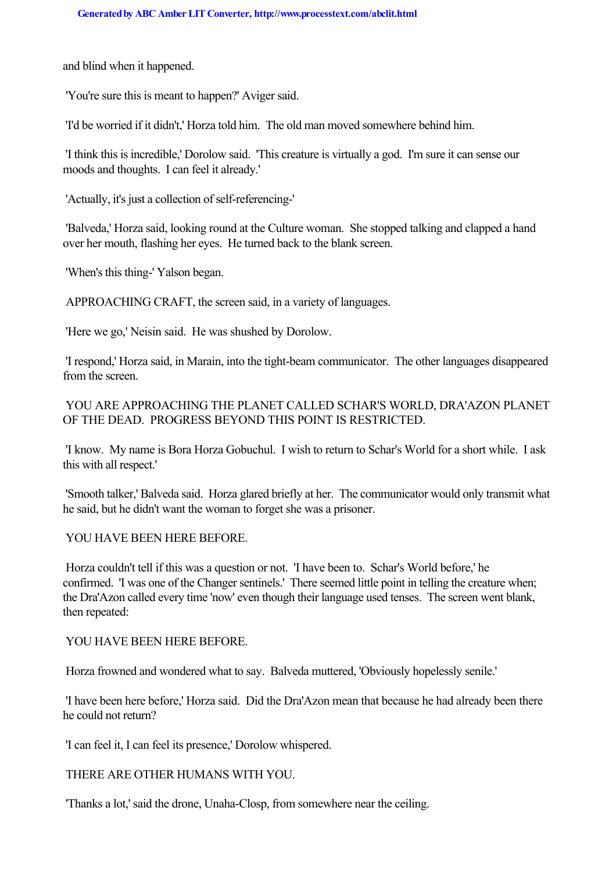and blind when it happened.

'You're sure this is meant to happen?' Aviger said.

'I'd be worried if it didn't,' Horza told him. The old man moved somewhere behind him.

 'I think this is incredible,' Dorolow said. 'This creature is virtually a god. I'm sure it can sense our moods and thoughts. I can feel it already.'

'Actually, it's just a collection of self-referencing-'

 'Balveda,' Horza said, looking round at the Culture woman. She stopped talking and clapped a hand over her mouth, flashing her eyes. He turned back to the blank screen.

'When's this thing-' Yalson began.

APPROACHING CRAFT, the screen said, in a variety of languages.

'Here we go,' Neisin said. He was shushed by Dorolow.

 'I respond,' Horza said, in Marain, into the tight-beam communicator. The other languages disappeared from the screen

 YOU ARE APPROACHING THE PLANET CALLED SCHAR'S WORLD, DRA'AZON PLANET OF THE DEAD. PROGRESS BEYOND THIS POINT IS RESTRICTED.

 'I know. My name is Bora Horza Gobuchul. I wish to return to Schar's World for a short while. I ask this with all respect.'

 'Smooth talker,' Balveda said. Horza glared briefly at her. The communicator would only transmit what he said, but he didn't want the woman to forget she was a prisoner.

YOU HAVE BEEN HERE BEFORE.

 Horza couldn't tell if this was a question or not. 'I have been to. Schar's World before,' he confirmed. 'I was one of the Changer sentinels.' There seemed little point in telling the creature when; the Dra'Azon called every time 'now' even though their language used tenses. The screen went blank, then repeated:

YOU HAVE BEEN HERE BEFORE.

Horza frowned and wondered what to say. Balveda muttered, 'Obviously hopelessly senile.'

 'I have been here before,' Horza said. Did the Dra'Azon mean that because he had already been there he could not return?

'I can feel it, I can feel its presence,' Dorolow whispered.

## THERE ARE OTHER HUMANS WITH YOU.

'Thanks a lot,' said the drone, Unaha-Closp, from somewhere near the ceiling.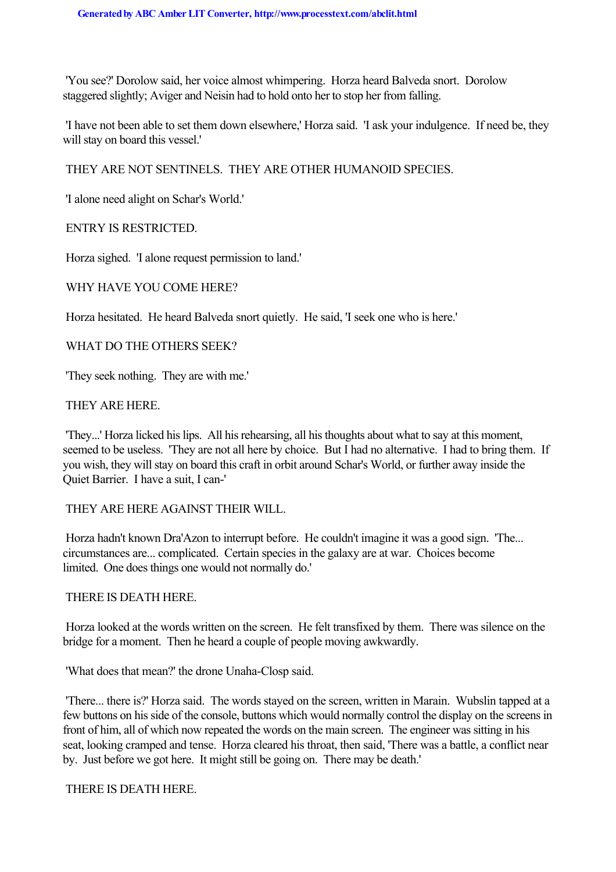'You see?' Dorolow said, her voice almost whimpering. Horza heard Balveda snort. Dorolow staggered slightly; Aviger and Neisin had to hold onto her to stop her from falling.

 'I have not been able to set them down elsewhere,' Horza said. 'I ask your indulgence. If need be, they will stay on board this vessel.'

THEY ARE NOT SENTINELS. THEY ARE OTHER HUMANOID SPECIES.

'I alone need alight on Schar's World.'

ENTRY IS RESTRICTED.

Horza sighed. 'I alone request permission to land.'

WHY HAVE YOU COME HERE?

Horza hesitated. He heard Balveda snort quietly. He said, 'I seek one who is here.'

WHAT DO THE OTHERS SEEK?

'They seek nothing. They are with me.'

# THEY ARE HERE.

 'They...' Horza licked his lips. All his rehearsing, all his thoughts about what to say at this moment, seemed to be useless. 'They are not all here by choice. But I had no alternative. I had to bring them. If you wish, they will stay on board this craft in orbit around Schar's World, or further away inside the Quiet Barrier. I have a suit, I can-'

THEY ARE HERE AGAINST THEIR WILL.

 Horza hadn't known Dra'Azon to interrupt before. He couldn't imagine it was a good sign. 'The... circumstances are... complicated. Certain species in the galaxy are at war. Choices become limited. One does things one would not normally do.'

## THERE IS DEATH HERE.

 Horza looked at the words written on the screen. He felt transfixed by them. There was silence on the bridge for a moment. Then he heard a couple of people moving awkwardly.

'What does that mean?' the drone Unaha-Closp said.

 'There... there is?' Horza said. The words stayed on the screen, written in Marain. Wubslin tapped at a few buttons on his side of the console, buttons which would normally control the display on the screens in front of him, all of which now repeated the words on the main screen. The engineer was sitting in his seat, looking cramped and tense. Horza cleared his throat, then said, 'There was a battle, a conflict near by. Just before we got here. It might still be going on. There may be death.'

THERE IS DEATH HERE.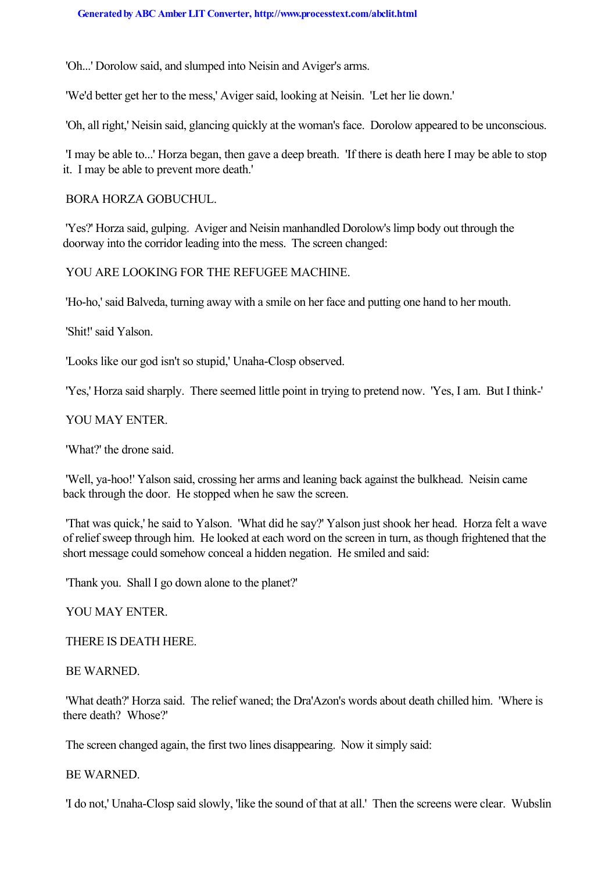#### **Generated by ABC Amber LIT Converter, <http://www.processtext.com/abclit.html>**

'Oh...' Dorolow said, and slumped into Neisin and Aviger's arms.

'We'd better get her to the mess,' Aviger said, looking at Neisin. 'Let her lie down.'

'Oh, all right,' Neisin said, glancing quickly at the woman's face. Dorolow appeared to be unconscious.

 'I may be able to...' Horza began, then gave a deep breath. 'If there is death here I may be able to stop it. I may be able to prevent more death.'

BORA HORZA GOBUCHUL.

 'Yes?' Horza said, gulping. Aviger and Neisin manhandled Dorolow's limp body out through the doorway into the corridor leading into the mess. The screen changed:

YOU ARE LOOKING FOR THE REFUGEE MACHINE.

'Ho-ho,' said Balveda, turning away with a smile on her face and putting one hand to her mouth.

'Shit!' said Yalson.

'Looks like our god isn't so stupid,' Unaha-Closp observed.

'Yes,' Horza said sharply. There seemed little point in trying to pretend now. 'Yes, I am. But I think-'

### YOU MAY ENTER.

'What?' the drone said.

 'Well, ya-hoo!' Yalson said, crossing her arms and leaning back against the bulkhead. Neisin came back through the door. He stopped when he saw the screen.

 'That was quick,' he said to Yalson. 'What did he say?' Yalson just shook her head. Horza felt a wave of relief sweep through him. He looked at each word on the screen in turn, as though frightened that the short message could somehow conceal a hidden negation. He smiled and said:

'Thank you. Shall I go down alone to the planet?'

### YOU MAY ENTER

### THERE IS DEATH HERE.

#### BE WARNED.

 'What death?' Horza said. The relief waned; the Dra'Azon's words about death chilled him. 'Where is there death? Whose?'

The screen changed again, the first two lines disappearing. Now it simply said:

BE WARNED.

'I do not,' Unaha-Closp said slowly, 'like the sound of that at all.' Then the screens were clear. Wubslin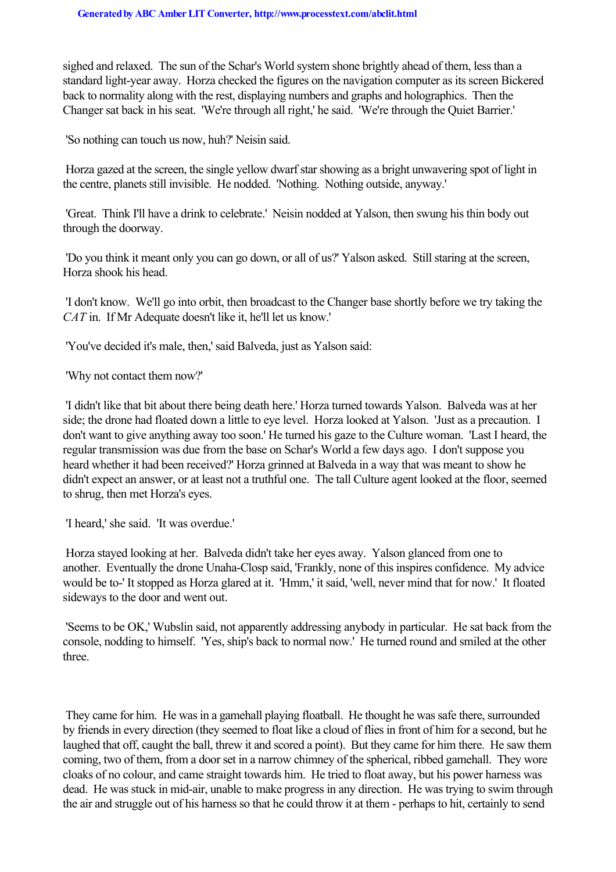sighed and relaxed. The sun of the Schar's World system shone brightly ahead of them, less than a standard light-year away. Horza checked the figures on the navigation computer as its screen Bickered back to normality along with the rest, displaying numbers and graphs and holographics. Then the Changer sat back in his seat. 'We're through all right,' he said. 'We're through the Quiet Barrier.'

'So nothing can touch us now, huh?' Neisin said.

 Horza gazed at the screen, the single yellow dwarf star showing as a bright unwavering spot of light in the centre, planets still invisible. He nodded. 'Nothing. Nothing outside, anyway.'

 'Great. Think I'll have a drink to celebrate.' Neisin nodded at Yalson, then swung his thin body out through the doorway.

 'Do you think it meant only you can go down, or all of us?' Yalson asked. Still staring at the screen, Horza shook his head.

 'I don't know. We'll go into orbit, then broadcast to the Changer base shortly before we try taking the *CAT* in. If Mr Adequate doesn't like it, he'll let us know.'

'You've decided it's male, then,' said Balveda, just as Yalson said:

'Why not contact them now?'

 'I didn't like that bit about there being death here.' Horza turned towards Yalson. Balveda was at her side; the drone had floated down a little to eye level. Horza looked at Yalson. 'Just as a precaution. I don't want to give anything away too soon.' He turned his gaze to the Culture woman. 'Last I heard, the regular transmission was due from the base on Schar's World a few days ago. I don't suppose you heard whether it had been received?' Horza grinned at Balveda in a way that was meant to show he didn't expect an answer, or at least not a truthful one. The tall Culture agent looked at the floor, seemed to shrug, then met Horza's eyes.

'I heard,' she said. 'It was overdue.'

 Horza stayed looking at her. Balveda didn't take her eyes away. Yalson glanced from one to another. Eventually the drone Unaha-Closp said, 'Frankly, none of this inspires confidence. My advice would be to-' It stopped as Horza glared at it. 'Hmm,' it said, 'well, never mind that for now.' It floated sideways to the door and went out.

 'Seems to be OK,' Wubslin said, not apparently addressing anybody in particular. He sat back from the console, nodding to himself. 'Yes, ship's back to normal now.' He turned round and smiled at the other three.

 They came for him. He was in a gamehall playing floatball. He thought he was safe there, surrounded by friends in every direction (they seemed to float like a cloud of flies in front of him for a second, but he laughed that off, caught the ball, threw it and scored a point). But they came for him there. He saw them coming, two of them, from a door set in a narrow chimney of the spherical, ribbed gamehall. They wore cloaks of no colour, and came straight towards him. He tried to float away, but his power harness was dead. He was stuck in mid-air, unable to make progress in any direction. He was trying to swim through the air and struggle out of his harness so that he could throw it at them - perhaps to hit, certainly to send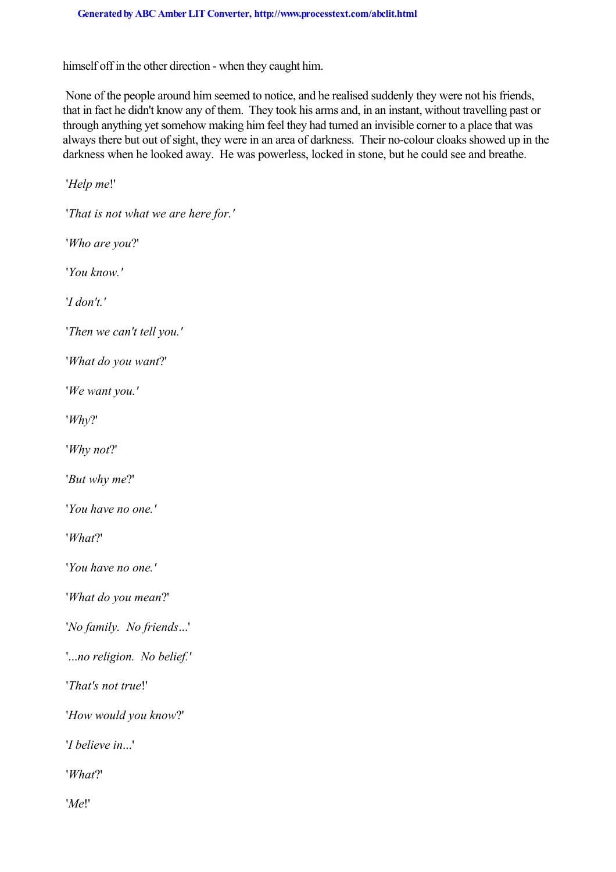himself off in the other direction - when they caught him.

 None of the people around him seemed to notice, and he realised suddenly they were not his friends, that in fact he didn't know any of them. They took his arms and, in an instant, without travelling past or through anything yet somehow making him feel they had turned an invisible corner to a place that was always there but out of sight, they were in an area of darkness. Their no-colour cloaks showed up in the darkness when he looked away. He was powerless, locked in stone, but he could see and breathe.

 '*Help me*!' '*That is not what we are here for.'* '*Who are you*?' '*You know.'* '*I don't.'* '*Then we can't tell you.'* '*What do you want*?' '*We want you.'* '*Why*?' '*Why not*?' '*But why me*?' '*You have no one.'* '*What*?' '*You have no one.'* '*What do you mean*?' '*No family. No friends*...' '...*no religion. No belief.'* '*That's not true*!' '*How would you know*?' '*I believe in*...' '*What*?' '*Me*!'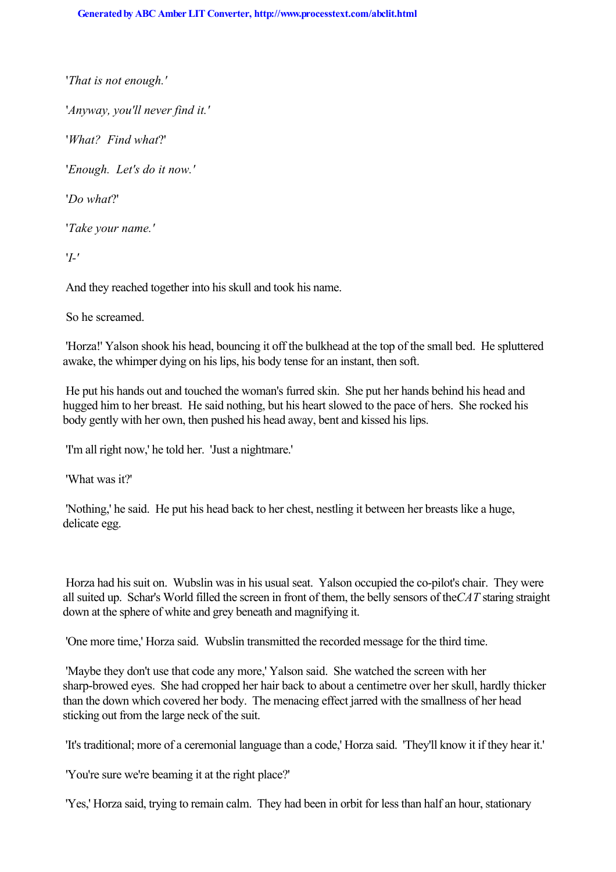'*That is not enough.'*

'*Anyway, you'll never find it.'*

'*What? Find what*?'

'*Enough. Let's do it now.'*

'*Do what*?'

'*Take your name.'*

'*I-'*

And they reached together into his skull and took his name.

So he screamed.

 'Horza!' Yalson shook his head, bouncing it off the bulkhead at the top of the small bed. He spluttered awake, the whimper dying on his lips, his body tense for an instant, then soft.

 He put his hands out and touched the woman's furred skin. She put her hands behind his head and hugged him to her breast. He said nothing, but his heart slowed to the pace of hers. She rocked his body gently with her own, then pushed his head away, bent and kissed his lips.

'I'm all right now,' he told her. 'Just a nightmare.'

'What was it?'

 'Nothing,' he said. He put his head back to her chest, nestling it between her breasts like a huge, delicate egg.

 Horza had his suit on. Wubslin was in his usual seat. Yalson occupied the co-pilot's chair. They were all suited up. Schar's World filled the screen in front of them, the belly sensors of the*CAT* staring straight down at the sphere of white and grey beneath and magnifying it.

'One more time,' Horza said. Wubslin transmitted the recorded message for the third time.

 'Maybe they don't use that code any more,' Yalson said. She watched the screen with her sharp-browed eyes. She had cropped her hair back to about a centimetre over her skull, hardly thicker than the down which covered her body. The menacing effect jarred with the smallness of her head sticking out from the large neck of the suit.

'It's traditional; more of a ceremonial language than a code,' Horza said. 'They'll know it if they hear it.'

'You're sure we're beaming it at the right place?'

'Yes,' Horza said, trying to remain calm. They had been in orbit for less than half an hour, stationary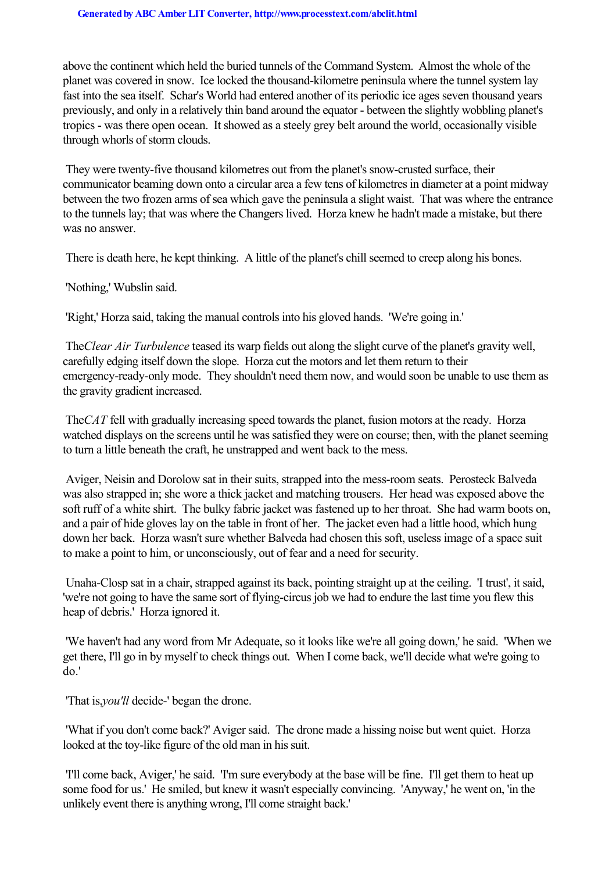above the continent which held the buried tunnels of the Command System. Almost the whole of the planet was covered in snow. Ice locked the thousand-kilometre peninsula where the tunnel system lay fast into the sea itself. Schar's World had entered another of its periodic ice ages seven thousand years previously, and only in a relatively thin band around the equator - between the slightly wobbling planet's tropics - was there open ocean. It showed as a steely grey belt around the world, occasionally visible through whorls of storm clouds.

 They were twenty-five thousand kilometres out from the planet's snow-crusted surface, their communicator beaming down onto a circular area a few tens of kilometres in diameter at a point midway between the two frozen arms of sea which gave the peninsula a slight waist. That was where the entrance to the tunnels lay; that was where the Changers lived. Horza knew he hadn't made a mistake, but there was no answer

There is death here, he kept thinking. A little of the planet's chill seemed to creep along his bones.

'Nothing,' Wubslin said.

'Right,' Horza said, taking the manual controls into his gloved hands. 'We're going in.'

 The*Clear Air Turbulence* teased its warp fields out along the slight curve of the planet's gravity well, carefully edging itself down the slope. Horza cut the motors and let them return to their emergency-ready-only mode. They shouldn't need them now, and would soon be unable to use them as the gravity gradient increased.

 The*CAT* fell with gradually increasing speed towards the planet, fusion motors at the ready. Horza watched displays on the screens until he was satisfied they were on course; then, with the planet seeming to turn a little beneath the craft, he unstrapped and went back to the mess.

 Aviger, Neisin and Dorolow sat in their suits, strapped into the mess-room seats. Perosteck Balveda was also strapped in; she wore a thick jacket and matching trousers. Her head was exposed above the soft ruff of a white shirt. The bulky fabric jacket was fastened up to her throat. She had warm boots on, and a pair of hide gloves lay on the table in front of her. The jacket even had a little hood, which hung down her back. Horza wasn't sure whether Balveda had chosen this soft, useless image of a space suit to make a point to him, or unconsciously, out of fear and a need for security.

 Unaha-Closp sat in a chair, strapped against its back, pointing straight up at the ceiling. 'I trust', it said, 'we're not going to have the same sort of flying-circus job we had to endure the last time you flew this heap of debris.' Horza ignored it.

 'We haven't had any word from Mr Adequate, so it looks like we're all going down,' he said. 'When we get there, I'll go in by myself to check things out. When I come back, we'll decide what we're going to do.'

'That is,*you'll* decide-' began the drone.

 'What if you don't come back?' Aviger said. The drone made a hissing noise but went quiet. Horza looked at the toy-like figure of the old man in his suit.

 'I'll come back, Aviger,' he said. 'I'm sure everybody at the base will be fine. I'll get them to heat up some food for us.' He smiled, but knew it wasn't especially convincing. 'Anyway,' he went on, 'in the unlikely event there is anything wrong, I'll come straight back.'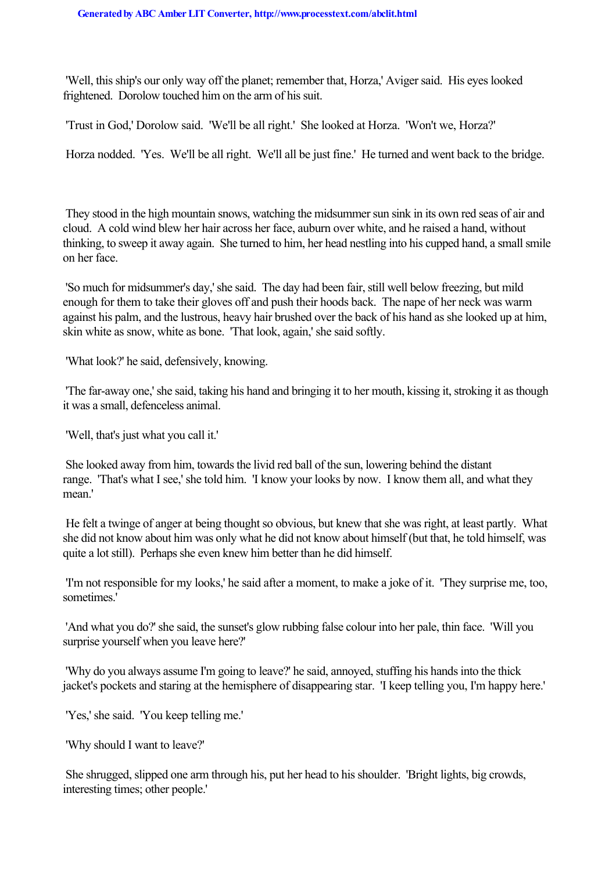'Well, this ship's our only way off the planet; remember that, Horza,' Aviger said. His eyes looked frightened. Dorolow touched him on the arm of his suit.

'Trust in God,' Dorolow said. 'We'll be all right.' She looked at Horza. 'Won't we, Horza?'

Horza nodded. 'Yes. We'll be all right. We'll all be just fine.' He turned and went back to the bridge.

 They stood in the high mountain snows, watching the midsummer sun sink in its own red seas of air and cloud. A cold wind blew her hair across her face, auburn over white, and he raised a hand, without thinking, to sweep it away again. She turned to him, her head nestling into his cupped hand, a small smile on her face.

 'So much for midsummer's day,' she said. The day had been fair, still well below freezing, but mild enough for them to take their gloves off and push their hoods back. The nape of her neck was warm against his palm, and the lustrous, heavy hair brushed over the back of his hand as she looked up at him, skin white as snow, white as bone. 'That look, again,' she said softly.

'What look?' he said, defensively, knowing.

 'The far-away one,' she said, taking his hand and bringing it to her mouth, kissing it, stroking it as though it was a small, defenceless animal.

'Well, that's just what you call it.'

 She looked away from him, towards the livid red ball of the sun, lowering behind the distant range. 'That's what I see,' she told him. 'I know your looks by now. I know them all, and what they mean<sup>'</sup>

 He felt a twinge of anger at being thought so obvious, but knew that she was right, at least partly. What she did not know about him was only what he did not know about himself (but that, he told himself, was quite a lot still). Perhaps she even knew him better than he did himself.

 'I'm not responsible for my looks,' he said after a moment, to make a joke of it. 'They surprise me, too, sometimes.'

 'And what you do?' she said, the sunset's glow rubbing false colour into her pale, thin face. 'Will you surprise yourself when you leave here?'

 'Why do you always assume I'm going to leave?' he said, annoyed, stuffing his hands into the thick jacket's pockets and staring at the hemisphere of disappearing star. 'I keep telling you, I'm happy here.'

'Yes,' she said. 'You keep telling me.'

'Why should I want to leave?'

 She shrugged, slipped one arm through his, put her head to his shoulder. 'Bright lights, big crowds, interesting times; other people.'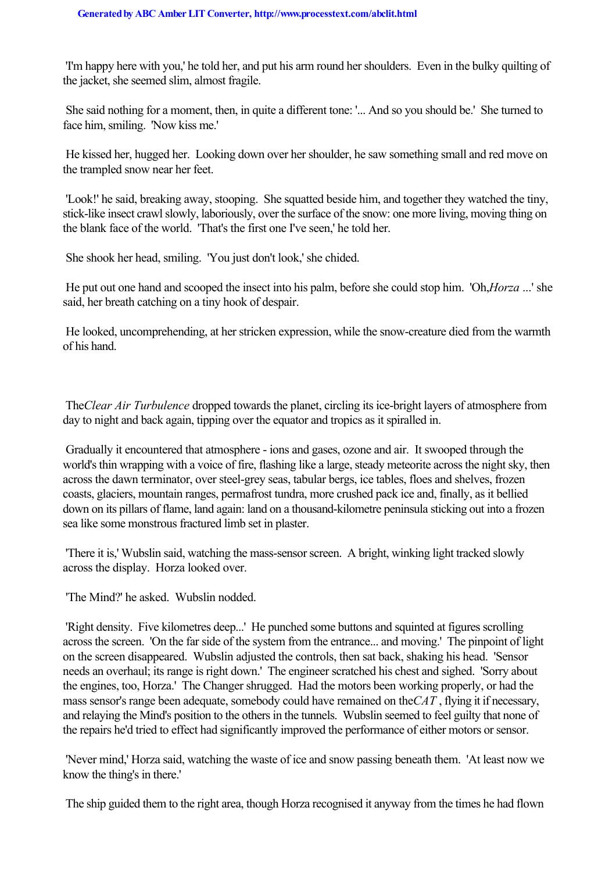'I'm happy here with you,' he told her, and put his arm round her shoulders. Even in the bulky quilting of the jacket, she seemed slim, almost fragile.

 She said nothing for a moment, then, in quite a different tone: '... And so you should be.' She turned to face him, smiling. 'Now kiss me.'

 He kissed her, hugged her. Looking down over her shoulder, he saw something small and red move on the trampled snow near her feet.

 'Look!' he said, breaking away, stooping. She squatted beside him, and together they watched the tiny, stick-like insect crawl slowly, laboriously, over the surface of the snow: one more living, moving thing on the blank face of the world. 'That's the first one I've seen,' he told her.

She shook her head, smiling. 'You just don't look,' she chided.

 He put out one hand and scooped the insect into his palm, before she could stop him. 'Oh,*Horza* ...' she said, her breath catching on a tiny hook of despair.

 He looked, uncomprehending, at her stricken expression, while the snow-creature died from the warmth of his hand.

 The*Clear Air Turbulence* dropped towards the planet, circling its ice-bright layers of atmosphere from day to night and back again, tipping over the equator and tropics as it spiralled in.

 Gradually it encountered that atmosphere - ions and gases, ozone and air. It swooped through the world's thin wrapping with a voice of fire, flashing like a large, steady meteorite across the night sky, then across the dawn terminator, over steel-grey seas, tabular bergs, ice tables, floes and shelves, frozen coasts, glaciers, mountain ranges, permafrost tundra, more crushed pack ice and, finally, as it bellied down on its pillars of flame, land again: land on a thousand-kilometre peninsula sticking out into a frozen sea like some monstrous fractured limb set in plaster.

 'There it is,' Wubslin said, watching the mass-sensor screen. A bright, winking light tracked slowly across the display. Horza looked over.

'The Mind?' he asked. Wubslin nodded.

 'Right density. Five kilometres deep...' He punched some buttons and squinted at figures scrolling across the screen. 'On the far side of the system from the entrance... and moving.' The pinpoint of light on the screen disappeared. Wubslin adjusted the controls, then sat back, shaking his head. 'Sensor needs an overhaul; its range is right down.' The engineer scratched his chest and sighed. 'Sorry about the engines, too, Horza.' The Changer shrugged. Had the motors been working properly, or had the mass sensor's range been adequate, somebody could have remained on the*CAT* , flying it if necessary, and relaying the Mind's position to the others in the tunnels. Wubslin seemed to feel guilty that none of the repairs he'd tried to effect had significantly improved the performance of either motors or sensor.

 'Never mind,' Horza said, watching the waste of ice and snow passing beneath them. 'At least now we know the thing's in there.'

The ship guided them to the right area, though Horza recognised it anyway from the times he had flown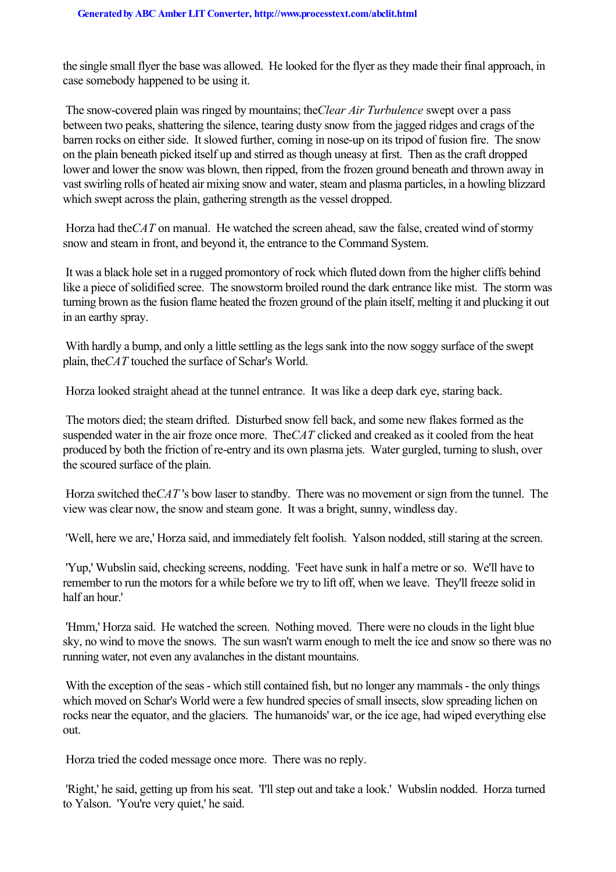the single small flyer the base was allowed. He looked for the flyer as they made their final approach, in case somebody happened to be using it.

 The snow-covered plain was ringed by mountains; the*Clear Air Turbulence* swept over a pass between two peaks, shattering the silence, tearing dusty snow from the jagged ridges and crags of the barren rocks on either side. It slowed further, coming in nose-up on its tripod of fusion fire. The snow on the plain beneath picked itself up and stirred as though uneasy at first. Then as the craft dropped lower and lower the snow was blown, then ripped, from the frozen ground beneath and thrown away in vast swirling rolls of heated air mixing snow and water, steam and plasma particles, in a howling blizzard which swept across the plain, gathering strength as the vessel dropped.

 Horza had the*CAT* on manual. He watched the screen ahead, saw the false, created wind of stormy snow and steam in front, and beyond it, the entrance to the Command System.

 It was a black hole set in a rugged promontory of rock which fluted down from the higher cliffs behind like a piece of solidified scree. The snowstorm broiled round the dark entrance like mist. The storm was turning brown as the fusion flame heated the frozen ground of the plain itself, melting it and plucking it out in an earthy spray.

With hardly a bump, and only a little settling as the legs sank into the now soggy surface of the swept plain, the*CAT* touched the surface of Schar's World.

Horza looked straight ahead at the tunnel entrance. It was like a deep dark eye, staring back.

 The motors died; the steam drifted. Disturbed snow fell back, and some new flakes formed as the suspended water in the air froze once more. The*CAT* clicked and creaked as it cooled from the heat produced by both the friction of re-entry and its own plasma jets. Water gurgled, turning to slush, over the scoured surface of the plain.

 Horza switched the*CAT* 's bow laser to standby. There was no movement or sign from the tunnel. The view was clear now, the snow and steam gone. It was a bright, sunny, windless day.

'Well, here we are,' Horza said, and immediately felt foolish. Yalson nodded, still staring at the screen.

 'Yup,' Wubslin said, checking screens, nodding. 'Feet have sunk in half a metre or so. We'll have to remember to run the motors for a while before we try to lift off, when we leave. They'll freeze solid in half an hour.'

 'Hmm,' Horza said. He watched the screen. Nothing moved. There were no clouds in the light blue sky, no wind to move the snows. The sun wasn't warm enough to melt the ice and snow so there was no running water, not even any avalanches in the distant mountains.

With the exception of the seas - which still contained fish, but no longer any mammals - the only things which moved on Schar's World were a few hundred species of small insects, slow spreading lichen on rocks near the equator, and the glaciers. The humanoids' war, or the ice age, had wiped everything else out.

Horza tried the coded message once more. There was no reply.

'Right,' he said, getting up from his seat. 'I'll step out and take a look.' Wubslin nodded. Horza turned to Yalson. 'You're very quiet,' he said.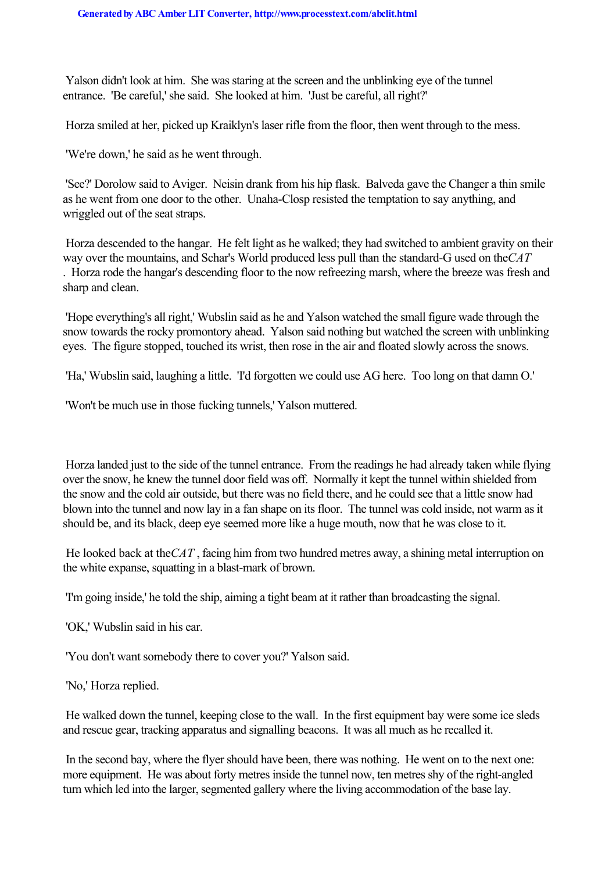Yalson didn't look at him. She was staring at the screen and the unblinking eye of the tunnel entrance. 'Be careful,' she said. She looked at him. 'Just be careful, all right?'

Horza smiled at her, picked up Kraiklyn's laser rifle from the floor, then went through to the mess.

'We're down,' he said as he went through.

 'See?' Dorolow said to Aviger. Neisin drank from his hip flask. Balveda gave the Changer a thin smile as he went from one door to the other. Unaha-Closp resisted the temptation to say anything, and wriggled out of the seat straps.

 Horza descended to the hangar. He felt light as he walked; they had switched to ambient gravity on their way over the mountains, and Schar's World produced less pull than the standard-G used on the*CAT* . Horza rode the hangar's descending floor to the now refreezing marsh, where the breeze was fresh and sharp and clean.

 'Hope everything's all right,' Wubslin said as he and Yalson watched the small figure wade through the snow towards the rocky promontory ahead. Yalson said nothing but watched the screen with unblinking eyes. The figure stopped, touched its wrist, then rose in the air and floated slowly across the snows.

'Ha,' Wubslin said, laughing a little. 'I'd forgotten we could use AG here. Too long on that damn O.'

'Won't be much use in those fucking tunnels,' Yalson muttered.

 Horza landed just to the side of the tunnel entrance. From the readings he had already taken while flying over the snow, he knew the tunnel door field was off. Normally it kept the tunnel within shielded from the snow and the cold air outside, but there was no field there, and he could see that a little snow had blown into the tunnel and now lay in a fan shape on its floor. The tunnel was cold inside, not warm as it should be, and its black, deep eye seemed more like a huge mouth, now that he was close to it.

 He looked back at the*CAT* , facing him from two hundred metres away, a shining metal interruption on the white expanse, squatting in a blast-mark of brown.

'I'm going inside,' he told the ship, aiming a tight beam at it rather than broadcasting the signal.

'OK,' Wubslin said in his ear.

'You don't want somebody there to cover you?' Yalson said.

'No,' Horza replied.

 He walked down the tunnel, keeping close to the wall. In the first equipment bay were some ice sleds and rescue gear, tracking apparatus and signalling beacons. It was all much as he recalled it.

 In the second bay, where the flyer should have been, there was nothing. He went on to the next one: more equipment. He was about forty metres inside the tunnel now, ten metres shy of the right-angled turn which led into the larger, segmented gallery where the living accommodation of the base lay.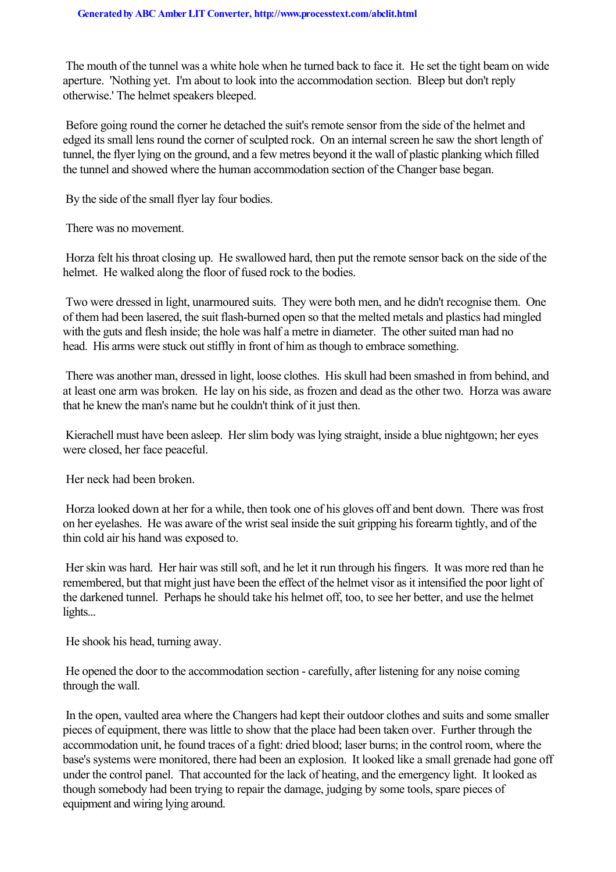The mouth of the tunnel was a white hole when he turned back to face it. He set the tight beam on wide aperture. 'Nothing yet. I'm about to look into the accommodation section. Bleep but don't reply otherwise.' The helmet speakers bleeped.

 Before going round the corner he detached the suit's remote sensor from the side of the helmet and edged its small lens round the corner of sculpted rock. On an internal screen he saw the short length of tunnel, the flyer lying on the ground, and a few metres beyond it the wall of plastic planking which filled the tunnel and showed where the human accommodation section of the Changer base began.

By the side of the small flyer lay four bodies.

There was no movement.

 Horza felt his throat closing up. He swallowed hard, then put the remote sensor back on the side of the helmet. He walked along the floor of fused rock to the bodies.

 Two were dressed in light, unarmoured suits. They were both men, and he didn't recognise them. One of them had been lasered, the suit flash-burned open so that the melted metals and plastics had mingled with the guts and flesh inside; the hole was half a metre in diameter. The other suited man had no head. His arms were stuck out stiffly in front of him as though to embrace something.

 There was another man, dressed in light, loose clothes. His skull had been smashed in from behind, and at least one arm was broken. He lay on his side, as frozen and dead as the other two. Horza was aware that he knew the man's name but he couldn't think of it just then.

 Kierachell must have been asleep. Her slim body was lying straight, inside a blue nightgown; her eyes were closed, her face peaceful.

Her neck had been broken.

 Horza looked down at her for a while, then took one of his gloves off and bent down. There was frost on her eyelashes. He was aware of the wrist seal inside the suit gripping his forearm tightly, and of the thin cold air his hand was exposed to.

 Her skin was hard. Her hair was still soft, and he let it run through his fingers. It was more red than he remembered, but that might just have been the effect of the helmet visor as it intensified the poor light of the darkened tunnel. Perhaps he should take his helmet off, too, to see her better, and use the helmet lights...

He shook his head, turning away.

 He opened the door to the accommodation section - carefully, after listening for any noise coming through the wall.

 In the open, vaulted area where the Changers had kept their outdoor clothes and suits and some smaller pieces of equipment, there was little to show that the place had been taken over. Further through the accommodation unit, he found traces of a fight: dried blood; laser burns; in the control room, where the base's systems were monitored, there had been an explosion. It looked like a small grenade had gone off under the control panel. That accounted for the lack of heating, and the emergency light. It looked as though somebody had been trying to repair the damage, judging by some tools, spare pieces of equipment and wiring lying around.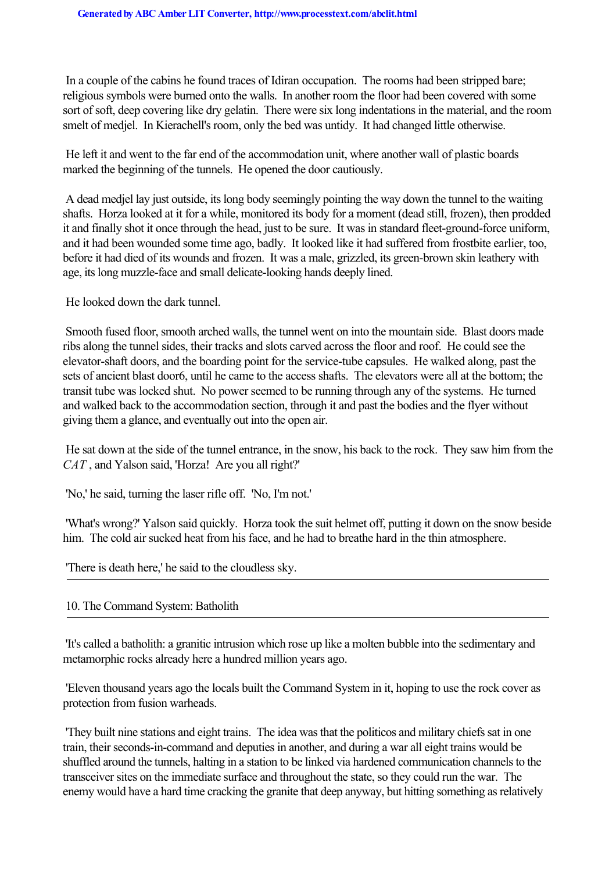In a couple of the cabins he found traces of Idiran occupation. The rooms had been stripped bare; religious symbols were burned onto the walls. In another room the floor had been covered with some sort of soft, deep covering like dry gelatin. There were six long indentations in the material, and the room smelt of medjel. In Kierachell's room, only the bed was untidy. It had changed little otherwise.

 He left it and went to the far end of the accommodation unit, where another wall of plastic boards marked the beginning of the tunnels. He opened the door cautiously.

 A dead medjel lay just outside, its long body seemingly pointing the way down the tunnel to the waiting shafts. Horza looked at it for a while, monitored its body for a moment (dead still, frozen), then prodded it and finally shot it once through the head, just to be sure. It was in standard fleet-ground-force uniform, and it had been wounded some time ago, badly. It looked like it had suffered from frostbite earlier, too, before it had died of its wounds and frozen. It was a male, grizzled, its green-brown skin leathery with age, its long muzzle-face and small delicate-looking hands deeply lined.

He looked down the dark tunnel.

 Smooth fused floor, smooth arched walls, the tunnel went on into the mountain side. Blast doors made ribs along the tunnel sides, their tracks and slots carved across the floor and roof. He could see the elevator-shaft doors, and the boarding point for the service-tube capsules. He walked along, past the sets of ancient blast door6, until he came to the access shafts. The elevators were all at the bottom; the transit tube was locked shut. No power seemed to be running through any of the systems. He turned and walked back to the accommodation section, through it and past the bodies and the flyer without giving them a glance, and eventually out into the open air.

 He sat down at the side of the tunnel entrance, in the snow, his back to the rock. They saw him from the *CAT* , and Yalson said, 'Horza! Are you all right?'

'No,' he said, turning the laser rifle off. 'No, I'm not.'

 'What's wrong?' Yalson said quickly. Horza took the suit helmet off, putting it down on the snow beside him. The cold air sucked heat from his face, and he had to breathe hard in the thin atmosphere.

'There is death here,' he said to the cloudless sky.

# 10. The Command System: Batholith

 'It's called a batholith: a granitic intrusion which rose up like a molten bubble into the sedimentary and metamorphic rocks already here a hundred million years ago.

 'Eleven thousand years ago the locals built the Command System in it, hoping to use the rock cover as protection from fusion warheads.

 'They built nine stations and eight trains. The idea was that the politicos and military chiefs sat in one train, their seconds-in-command and deputies in another, and during a war all eight trains would be shuffled around the tunnels, halting in a station to be linked via hardened communication channels to the transceiver sites on the immediate surface and throughout the state, so they could run the war. The enemy would have a hard time cracking the granite that deep anyway, but hitting something as relatively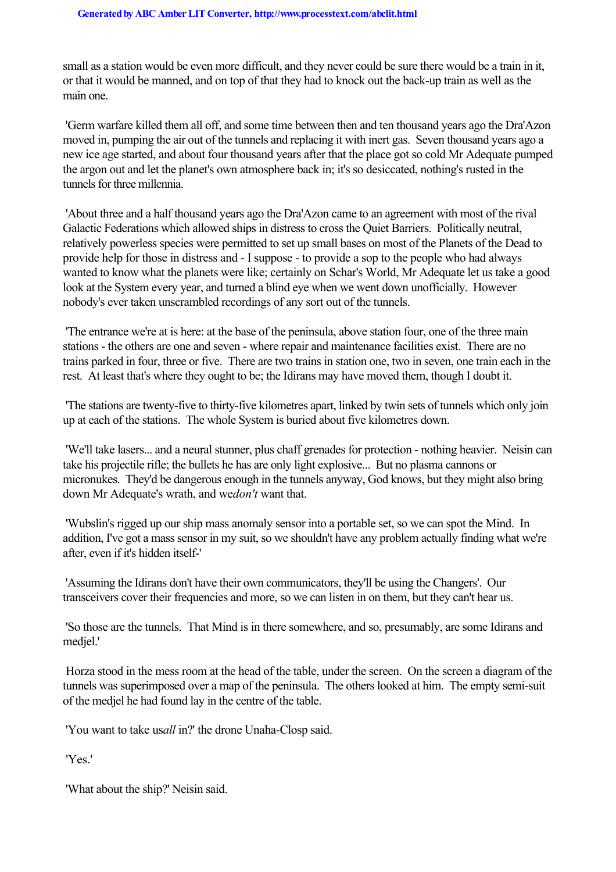small as a station would be even more difficult, and they never could be sure there would be a train in it, or that it would be manned, and on top of that they had to knock out the back-up train as well as the main one.

 'Germ warfare killed them all off, and some time between then and ten thousand years ago the Dra'Azon moved in, pumping the air out of the tunnels and replacing it with inert gas. Seven thousand years ago a new ice age started, and about four thousand years after that the place got so cold Mr Adequate pumped the argon out and let the planet's own atmosphere back in; it's so desiccated, nothing's rusted in the tunnels for three millennia.

 'About three and a half thousand years ago the Dra'Azon came to an agreement with most of the rival Galactic Federations which allowed ships in distress to cross the Quiet Barriers. Politically neutral, relatively powerless species were permitted to set up small bases on most of the Planets of the Dead to provide help for those in distress and - I suppose - to provide a sop to the people who had always wanted to know what the planets were like; certainly on Schar's World, Mr Adequate let us take a good look at the System every year, and turned a blind eye when we went down unofficially. However nobody's ever taken unscrambled recordings of any sort out of the tunnels.

 'The entrance we're at is here: at the base of the peninsula, above station four, one of the three main stations - the others are one and seven - where repair and maintenance facilities exist. There are no trains parked in four, three or five. There are two trains in station one, two in seven, one train each in the rest. At least that's where they ought to be; the Idirans may have moved them, though I doubt it.

 'The stations are twenty-five to thirty-five kilometres apart, linked by twin sets of tunnels which only join up at each of the stations. The whole System is buried about five kilometres down.

 'We'll take lasers... and a neural stunner, plus chaff grenades for protection - nothing heavier. Neisin can take his projectile rifle; the bullets he has are only light explosive... But no plasma cannons or micronukes. They'd be dangerous enough in the tunnels anyway, God knows, but they might also bring down Mr Adequate's wrath, and we*don't* want that.

 'Wubslin's rigged up our ship mass anomaly sensor into a portable set, so we can spot the Mind. In addition, I've got a mass sensor in my suit, so we shouldn't have any problem actually finding what we're after, even if it's hidden itself-'

 'Assuming the Idirans don't have their own communicators, they'll be using the Changers'. Our transceivers cover their frequencies and more, so we can listen in on them, but they can't hear us.

 'So those are the tunnels. That Mind is in there somewhere, and so, presumably, are some Idirans and mediel.'

 Horza stood in the mess room at the head of the table, under the screen. On the screen a diagram of the tunnels was superimposed over a map of the peninsula. The others looked at him. The empty semi-suit of the medjel he had found lay in the centre of the table.

'You want to take us*all* in?' the drone Unaha-Closp said.

'Yes.'

'What about the ship?' Neisin said.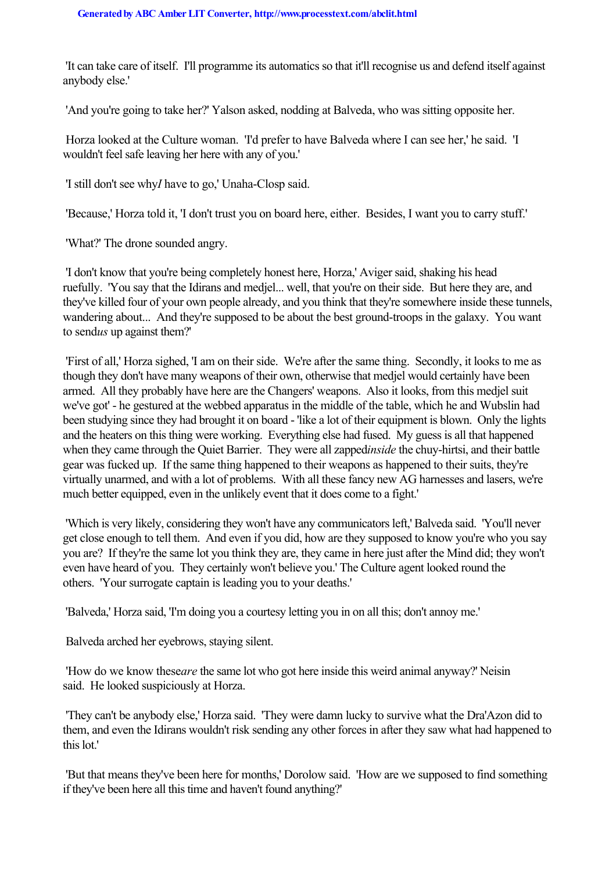'It can take care of itself. I'll programme its automatics so that it'll recognise us and defend itself against anybody else.'

'And you're going to take her?' Yalson asked, nodding at Balveda, who was sitting opposite her.

 Horza looked at the Culture woman. 'I'd prefer to have Balveda where I can see her,' he said. 'I wouldn't feel safe leaving her here with any of you.'

'I still don't see why*I* have to go,' Unaha-Closp said.

'Because,' Horza told it, 'I don't trust you on board here, either. Besides, I want you to carry stuff.'

'What?' The drone sounded angry.

 'I don't know that you're being completely honest here, Horza,' Aviger said, shaking his head ruefully. 'You say that the Idirans and medjel... well, that you're on their side. But here they are, and they've killed four of your own people already, and you think that they're somewhere inside these tunnels, wandering about... And they're supposed to be about the best ground-troops in the galaxy. You want to send*us* up against them?'

 'First of all,' Horza sighed, 'I am on their side. We're after the same thing. Secondly, it looks to me as though they don't have many weapons of their own, otherwise that medjel would certainly have been armed. All they probably have here are the Changers' weapons. Also it looks, from this medjel suit we've got' - he gestured at the webbed apparatus in the middle of the table, which he and Wubslin had been studying since they had brought it on board - 'like a lot of their equipment is blown. Only the lights and the heaters on this thing were working. Everything else had fused. My guess is all that happened when they came through the Quiet Barrier. They were all zapped*inside* the chuy-hirtsi, and their battle gear was fucked up. If the same thing happened to their weapons as happened to their suits, they're virtually unarmed, and with a lot of problems. With all these fancy new AG harnesses and lasers, we're much better equipped, even in the unlikely event that it does come to a fight.'

 'Which is very likely, considering they won't have any communicators left,' Balveda said. 'You'll never get close enough to tell them. And even if you did, how are they supposed to know you're who you say you are? If they're the same lot you think they are, they came in here just after the Mind did; they won't even have heard of you. They certainly won't believe you.' The Culture agent looked round the others. 'Your surrogate captain is leading you to your deaths.'

'Balveda,' Horza said, 'I'm doing you a courtesy letting you in on all this; don't annoy me.'

Balveda arched her eyebrows, staying silent.

 'How do we know these*are* the same lot who got here inside this weird animal anyway?' Neisin said. He looked suspiciously at Horza.

 'They can't be anybody else,' Horza said. 'They were damn lucky to survive what the Dra'Azon did to them, and even the Idirans wouldn't risk sending any other forces in after they saw what had happened to this lot.'

 'But that means they've been here for months,' Dorolow said. 'How are we supposed to find something if they've been here all this time and haven't found anything?'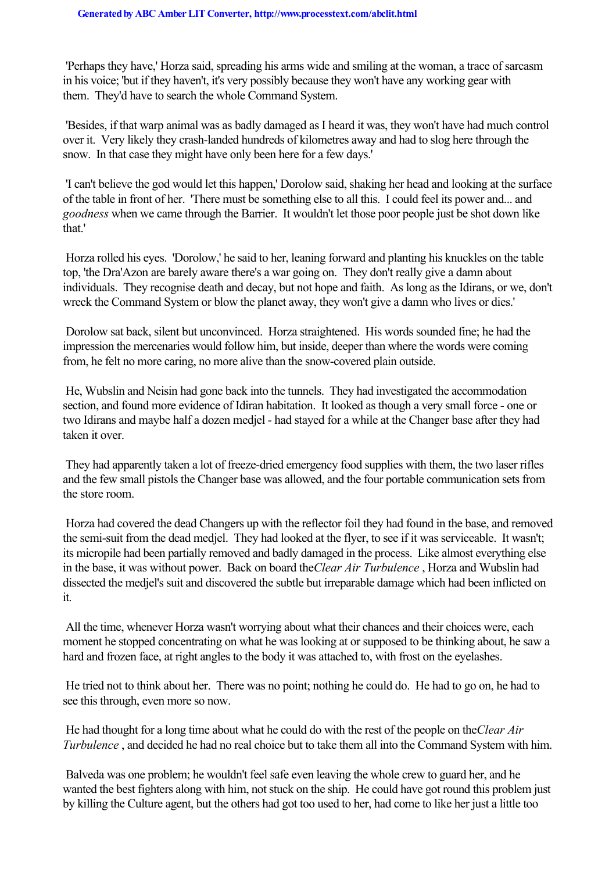'Perhaps they have,' Horza said, spreading his arms wide and smiling at the woman, a trace of sarcasm in his voice; 'but if they haven't, it's very possibly because they won't have any working gear with them. They'd have to search the whole Command System.

 'Besides, if that warp animal was as badly damaged as I heard it was, they won't have had much control over it. Very likely they crash-landed hundreds of kilometres away and had to slog here through the snow. In that case they might have only been here for a few days.'

 'I can't believe the god would let this happen,' Dorolow said, shaking her head and looking at the surface of the table in front of her. 'There must be something else to all this. I could feel its power and... and *goodness* when we came through the Barrier. It wouldn't let those poor people just be shot down like that.'

 Horza rolled his eyes. 'Dorolow,' he said to her, leaning forward and planting his knuckles on the table top, 'the Dra'Azon are barely aware there's a war going on. They don't really give a damn about individuals. They recognise death and decay, but not hope and faith. As long as the Idirans, or we, don't wreck the Command System or blow the planet away, they won't give a damn who lives or dies.'

 Dorolow sat back, silent but unconvinced. Horza straightened. His words sounded fine; he had the impression the mercenaries would follow him, but inside, deeper than where the words were coming from, he felt no more caring, no more alive than the snow-covered plain outside.

 He, Wubslin and Neisin had gone back into the tunnels. They had investigated the accommodation section, and found more evidence of Idiran habitation. It looked as though a very small force - one or two Idirans and maybe half a dozen medjel - had stayed for a while at the Changer base after they had taken it over.

 They had apparently taken a lot of freeze-dried emergency food supplies with them, the two laser rifles and the few small pistols the Changer base was allowed, and the four portable communication sets from the store room.

 Horza had covered the dead Changers up with the reflector foil they had found in the base, and removed the semi-suit from the dead medjel. They had looked at the flyer, to see if it was serviceable. It wasn't; its micropile had been partially removed and badly damaged in the process. Like almost everything else in the base, it was without power. Back on board the*Clear Air Turbulence* , Horza and Wubslin had dissected the medjel's suit and discovered the subtle but irreparable damage which had been inflicted on it.

 All the time, whenever Horza wasn't worrying about what their chances and their choices were, each moment he stopped concentrating on what he was looking at or supposed to be thinking about, he saw a hard and frozen face, at right angles to the body it was attached to, with frost on the eyelashes.

 He tried not to think about her. There was no point; nothing he could do. He had to go on, he had to see this through, even more so now.

 He had thought for a long time about what he could do with the rest of the people on the*Clear Air Turbulence* , and decided he had no real choice but to take them all into the Command System with him.

 Balveda was one problem; he wouldn't feel safe even leaving the whole crew to guard her, and he wanted the best fighters along with him, not stuck on the ship. He could have got round this problem just by killing the Culture agent, but the others had got too used to her, had come to like her just a little too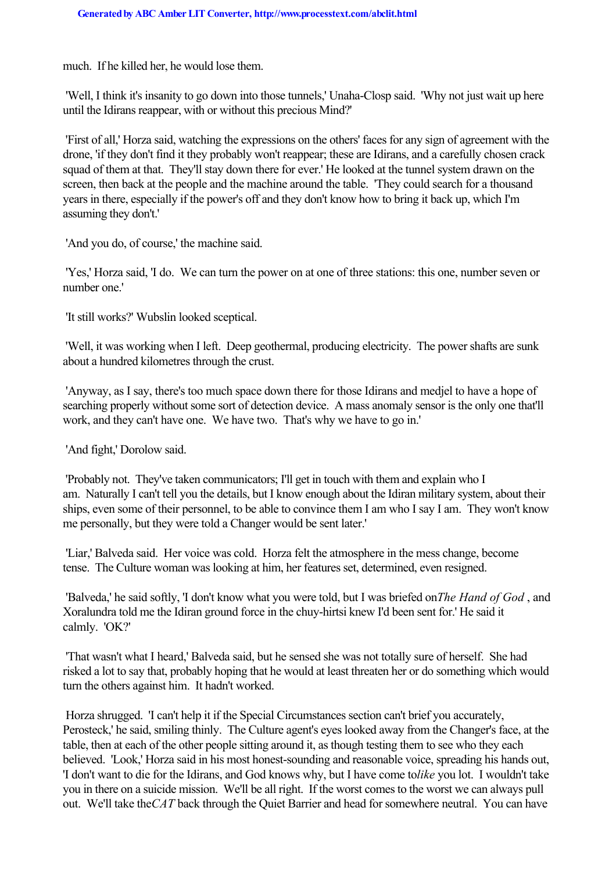much. If he killed her, he would lose them.

 'Well, I think it's insanity to go down into those tunnels,' Unaha-Closp said. 'Why not just wait up here until the Idirans reappear, with or without this precious Mind?'

 'First of all,' Horza said, watching the expressions on the others' faces for any sign of agreement with the drone, 'if they don't find it they probably won't reappear; these are Idirans, and a carefully chosen crack squad of them at that. They'll stay down there for ever.' He looked at the tunnel system drawn on the screen, then back at the people and the machine around the table. 'They could search for a thousand years in there, especially if the power's off and they don't know how to bring it back up, which I'm assuming they don't.'

'And you do, of course,' the machine said.

 'Yes,' Horza said, 'I do. We can turn the power on at one of three stations: this one, number seven or number one.'

'It still works?' Wubslin looked sceptical.

 'Well, it was working when I left. Deep geothermal, producing electricity. The power shafts are sunk about a hundred kilometres through the crust.

 'Anyway, as I say, there's too much space down there for those Idirans and medjel to have a hope of searching properly without some sort of detection device. A mass anomaly sensor is the only one that'll work, and they can't have one. We have two. That's why we have to go in.'

'And fight,' Dorolow said.

 'Probably not. They've taken communicators; I'll get in touch with them and explain who I am. Naturally I can't tell you the details, but I know enough about the Idiran military system, about their ships, even some of their personnel, to be able to convince them I am who I say I am. They won't know me personally, but they were told a Changer would be sent later.'

 'Liar,' Balveda said. Her voice was cold. Horza felt the atmosphere in the mess change, become tense. The Culture woman was looking at him, her features set, determined, even resigned.

 'Balveda,' he said softly, 'I don't know what you were told, but I was briefed on*The Hand of God* , and Xoralundra told me the Idiran ground force in the chuy-hirtsi knew I'd been sent for.' He said it calmly. 'OK?'

 'That wasn't what I heard,' Balveda said, but he sensed she was not totally sure of herself. She had risked a lot to say that, probably hoping that he would at least threaten her or do something which would turn the others against him. It hadn't worked.

 Horza shrugged. 'I can't help it if the Special Circumstances section can't brief you accurately, Perosteck,' he said, smiling thinly. The Culture agent's eyes looked away from the Changer's face, at the table, then at each of the other people sitting around it, as though testing them to see who they each believed. 'Look,' Horza said in his most honest-sounding and reasonable voice, spreading his hands out, 'I don't want to die for the Idirans, and God knows why, but I have come to*like* you lot. I wouldn't take you in there on a suicide mission. We'll be all right. If the worst comes to the worst we can always pull out. We'll take the*CAT* back through the Quiet Barrier and head for somewhere neutral. You can have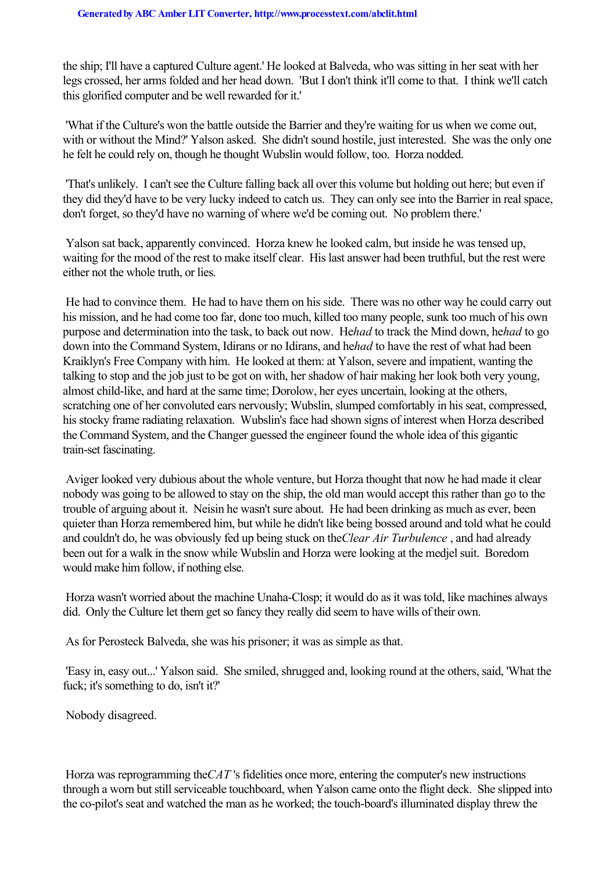the ship; I'll have a captured Culture agent.' He looked at Balveda, who was sitting in her seat with her legs crossed, her arms folded and her head down. 'But I don't think it'll come to that. I think we'll catch this glorified computer and be well rewarded for it.'

 'What if the Culture's won the battle outside the Barrier and they're waiting for us when we come out, with or without the Mind?' Yalson asked. She didn't sound hostile, just interested. She was the only one he felt he could rely on, though he thought Wubslin would follow, too. Horza nodded.

 'That's unlikely. I can't see the Culture falling back all over this volume but holding out here; but even if they did they'd have to be very lucky indeed to catch us. They can only see into the Barrier in real space, don't forget, so they'd have no warning of where we'd be coming out. No problem there.'

 Yalson sat back, apparently convinced. Horza knew he looked calm, but inside he was tensed up, waiting for the mood of the rest to make itself clear. His last answer had been truthful, but the rest were either not the whole truth, or lies.

 He had to convince them. He had to have them on his side. There was no other way he could carry out his mission, and he had come too far, done too much, killed too many people, sunk too much of his own purpose and determination into the task, to back out now. He*had* to track the Mind down, he*had* to go down into the Command System, Idirans or no Idirans, and he*had* to have the rest of what had been Kraiklyn's Free Company with him. He looked at them: at Yalson, severe and impatient, wanting the talking to stop and the job just to be got on with, her shadow of hair making her look both very young, almost child-like, and hard at the same time; Dorolow, her eyes uncertain, looking at the others, scratching one of her convoluted ears nervously; Wubslin, slumped comfortably in his seat, compressed, his stocky frame radiating relaxation. Wubslin's face had shown signs of interest when Horza described the Command System, and the Changer guessed the engineer found the whole idea of this gigantic train-set fascinating.

 Aviger looked very dubious about the whole venture, but Horza thought that now he had made it clear nobody was going to be allowed to stay on the ship, the old man would accept this rather than go to the trouble of arguing about it. Neisin he wasn't sure about. He had been drinking as much as ever, been quieter than Horza remembered him, but while he didn't like being bossed around and told what he could and couldn't do, he was obviously fed up being stuck on the*Clear Air Turbulence* , and had already been out for a walk in the snow while Wubslin and Horza were looking at the medjel suit. Boredom would make him follow, if nothing else.

 Horza wasn't worried about the machine Unaha-Closp; it would do as it was told, like machines always did. Only the Culture let them get so fancy they really did seem to have wills of their own.

As for Perosteck Balveda, she was his prisoner; it was as simple as that.

 'Easy in, easy out...' Yalson said. She smiled, shrugged and, looking round at the others, said, 'What the fuck; it's something to do, isn't it?'

Nobody disagreed.

 Horza was reprogramming the*CAT* 's fidelities once more, entering the computer's new instructions through a worn but still serviceable touchboard, when Yalson came onto the flight deck. She slipped into the co-pilot's seat and watched the man as he worked; the touch-board's illuminated display threw the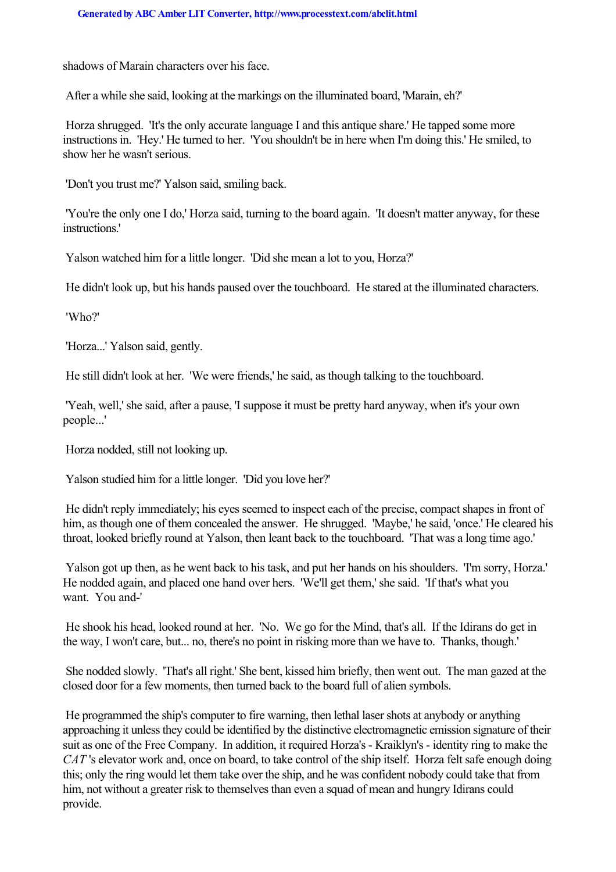#### **Generated by ABC Amber LIT Converter, <http://www.processtext.com/abclit.html>**

shadows of Marain characters over his face.

After a while she said, looking at the markings on the illuminated board, 'Marain, eh?'

 Horza shrugged. 'It's the only accurate language I and this antique share.' He tapped some more instructions in. 'Hey.' He turned to her. 'You shouldn't be in here when I'm doing this.' He smiled, to show her he wasn't serious.

'Don't you trust me?' Yalson said, smiling back.

 'You're the only one I do,' Horza said, turning to the board again. 'It doesn't matter anyway, for these instructions.'

Yalson watched him for a little longer. 'Did she mean a lot to you, Horza?'

He didn't look up, but his hands paused over the touchboard. He stared at the illuminated characters.

'Who?'

'Horza...' Yalson said, gently.

He still didn't look at her. 'We were friends,' he said, as though talking to the touchboard.

 'Yeah, well,' she said, after a pause, 'I suppose it must be pretty hard anyway, when it's your own people...'

Horza nodded, still not looking up.

Yalson studied him for a little longer. 'Did you love her?'

 He didn't reply immediately; his eyes seemed to inspect each of the precise, compact shapes in front of him, as though one of them concealed the answer. He shrugged. 'Maybe,' he said, 'once.' He cleared his throat, looked briefly round at Yalson, then leant back to the touchboard. 'That was a long time ago.'

 Yalson got up then, as he went back to his task, and put her hands on his shoulders. 'I'm sorry, Horza.' He nodded again, and placed one hand over hers. 'We'll get them,' she said. 'If that's what you want. You and-'

 He shook his head, looked round at her. 'No. We go for the Mind, that's all. If the Idirans do get in the way, I won't care, but... no, there's no point in risking more than we have to. Thanks, though.'

 She nodded slowly. 'That's all right.' She bent, kissed him briefly, then went out. The man gazed at the closed door for a few moments, then turned back to the board full of alien symbols.

 He programmed the ship's computer to fire warning, then lethal laser shots at anybody or anything approaching it unless they could be identified by the distinctive electromagnetic emission signature of their suit as one of the Free Company. In addition, it required Horza's - Kraiklyn's - identity ring to make the *CAT* 's elevator work and, once on board, to take control of the ship itself. Horza felt safe enough doing this; only the ring would let them take over the ship, and he was confident nobody could take that from him, not without a greater risk to themselves than even a squad of mean and hungry Idirans could provide.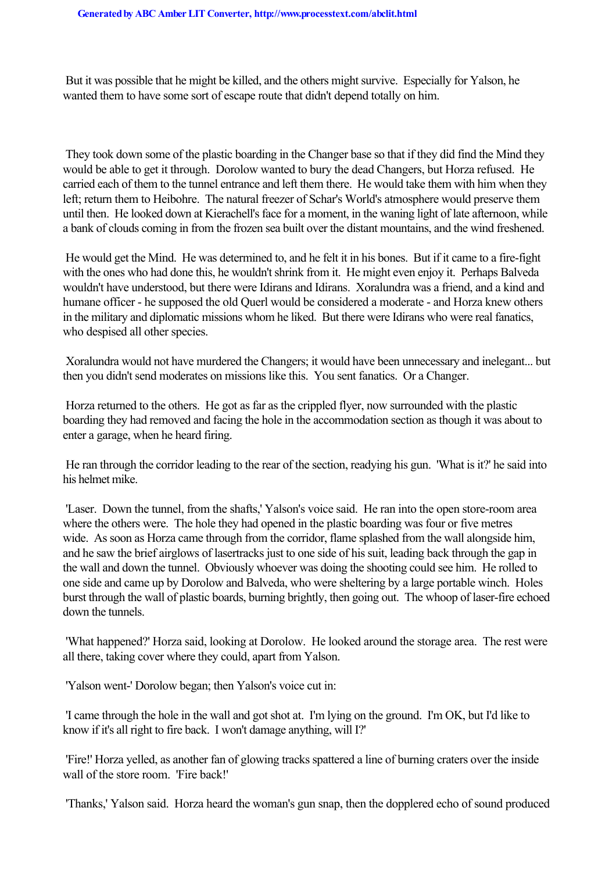But it was possible that he might be killed, and the others might survive. Especially for Yalson, he wanted them to have some sort of escape route that didn't depend totally on him.

 They took down some of the plastic boarding in the Changer base so that if they did find the Mind they would be able to get it through. Dorolow wanted to bury the dead Changers, but Horza refused. He carried each of them to the tunnel entrance and left them there. He would take them with him when they left; return them to Heibohre. The natural freezer of Schar's World's atmosphere would preserve them until then. He looked down at Kierachell's face for a moment, in the waning light of late afternoon, while a bank of clouds coming in from the frozen sea built over the distant mountains, and the wind freshened.

 He would get the Mind. He was determined to, and he felt it in his bones. But if it came to a fire-fight with the ones who had done this, he wouldn't shrink from it. He might even enjoy it. Perhaps Balveda wouldn't have understood, but there were Idirans and Idirans. Xoralundra was a friend, and a kind and humane officer - he supposed the old Querl would be considered a moderate - and Horza knew others in the military and diplomatic missions whom he liked. But there were Idirans who were real fanatics, who despised all other species.

 Xoralundra would not have murdered the Changers; it would have been unnecessary and inelegant... but then you didn't send moderates on missions like this. You sent fanatics. Or a Changer.

 Horza returned to the others. He got as far as the crippled flyer, now surrounded with the plastic boarding they had removed and facing the hole in the accommodation section as though it was about to enter a garage, when he heard firing.

 He ran through the corridor leading to the rear of the section, readying his gun. 'What is it?' he said into his helmet mike.

 'Laser. Down the tunnel, from the shafts,' Yalson's voice said. He ran into the open store-room area where the others were. The hole they had opened in the plastic boarding was four or five metres wide. As soon as Horza came through from the corridor, flame splashed from the wall alongside him, and he saw the brief airglows of lasertracks just to one side of his suit, leading back through the gap in the wall and down the tunnel. Obviously whoever was doing the shooting could see him. He rolled to one side and came up by Dorolow and Balveda, who were sheltering by a large portable winch. Holes burst through the wall of plastic boards, burning brightly, then going out. The whoop of laser-fire echoed down the tunnels.

 'What happened?' Horza said, looking at Dorolow. He looked around the storage area. The rest were all there, taking cover where they could, apart from Yalson.

'Yalson went-' Dorolow began; then Yalson's voice cut in:

 'I came through the hole in the wall and got shot at. I'm lying on the ground. I'm OK, but I'd like to know if it's all right to fire back. I won't damage anything, will I?'

 'Fire!' Horza yelled, as another fan of glowing tracks spattered a line of burning craters over the inside wall of the store room. 'Fire back!'

'Thanks,' Yalson said. Horza heard the woman's gun snap, then the dopplered echo of sound produced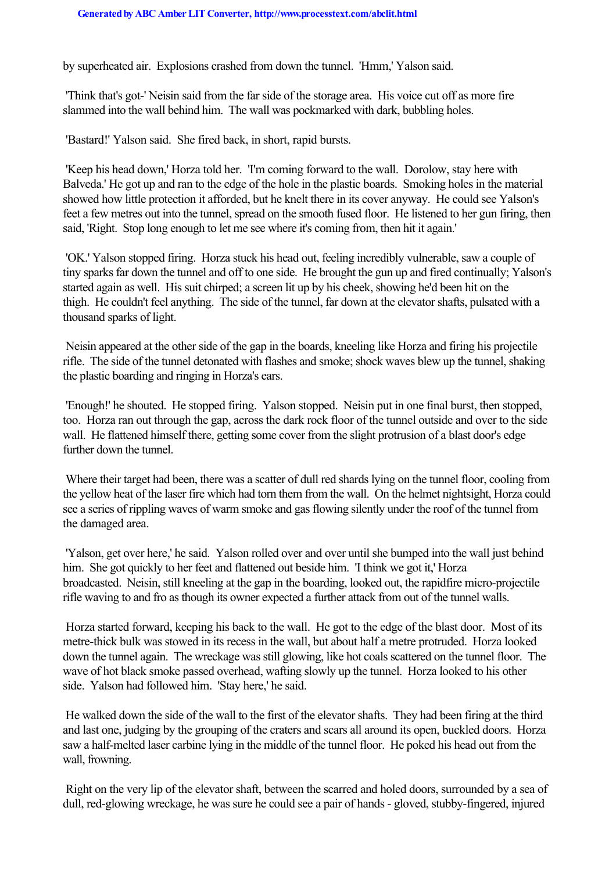by superheated air. Explosions crashed from down the tunnel. 'Hmm,' Yalson said.

 'Think that's got-' Neisin said from the far side of the storage area. His voice cut off as more fire slammed into the wall behind him. The wall was pockmarked with dark, bubbling holes.

'Bastard!' Yalson said. She fired back, in short, rapid bursts.

 'Keep his head down,' Horza told her. 'I'm coming forward to the wall. Dorolow, stay here with Balveda.' He got up and ran to the edge of the hole in the plastic boards. Smoking holes in the material showed how little protection it afforded, but he knelt there in its cover anyway. He could see Yalson's feet a few metres out into the tunnel, spread on the smooth fused floor. He listened to her gun firing, then said, 'Right. Stop long enough to let me see where it's coming from, then hit it again.'

 'OK.' Yalson stopped firing. Horza stuck his head out, feeling incredibly vulnerable, saw a couple of tiny sparks far down the tunnel and off to one side. He brought the gun up and fired continually; Yalson's started again as well. His suit chirped; a screen lit up by his cheek, showing he'd been hit on the thigh. He couldn't feel anything. The side of the tunnel, far down at the elevator shafts, pulsated with a thousand sparks of light.

 Neisin appeared at the other side of the gap in the boards, kneeling like Horza and firing his projectile rifle. The side of the tunnel detonated with flashes and smoke; shock waves blew up the tunnel, shaking the plastic boarding and ringing in Horza's ears.

 'Enough!' he shouted. He stopped firing. Yalson stopped. Neisin put in one final burst, then stopped, too. Horza ran out through the gap, across the dark rock floor of the tunnel outside and over to the side wall. He flattened himself there, getting some cover from the slight protrusion of a blast door's edge further down the tunnel.

Where their target had been, there was a scatter of dull red shards lying on the tunnel floor, cooling from the yellow heat of the laser fire which had torn them from the wall. On the helmet nightsight, Horza could see a series of rippling waves of warm smoke and gas flowing silently under the roof of the tunnel from the damaged area.

 'Yalson, get over here,' he said. Yalson rolled over and over until she bumped into the wall just behind him. She got quickly to her feet and flattened out beside him. 'I think we got it,' Horza broadcasted. Neisin, still kneeling at the gap in the boarding, looked out, the rapidfire micro-projectile rifle waving to and fro as though its owner expected a further attack from out of the tunnel walls.

 Horza started forward, keeping his back to the wall. He got to the edge of the blast door. Most of its metre-thick bulk was stowed in its recess in the wall, but about half a metre protruded. Horza looked down the tunnel again. The wreckage was still glowing, like hot coals scattered on the tunnel floor. The wave of hot black smoke passed overhead, wafting slowly up the tunnel. Horza looked to his other side. Yalson had followed him. 'Stay here,' he said.

 He walked down the side of the wall to the first of the elevator shafts. They had been firing at the third and last one, judging by the grouping of the craters and scars all around its open, buckled doors. Horza saw a half-melted laser carbine lying in the middle of the tunnel floor. He poked his head out from the wall, frowning.

 Right on the very lip of the elevator shaft, between the scarred and holed doors, surrounded by a sea of dull, red-glowing wreckage, he was sure he could see a pair of hands - gloved, stubby-fingered, injured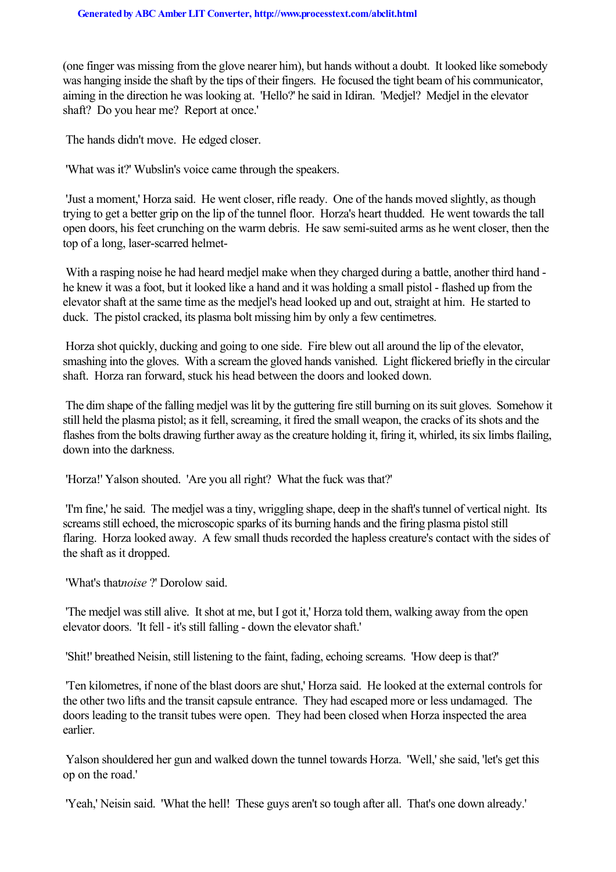(one finger was missing from the glove nearer him), but hands without a doubt. It looked like somebody was hanging inside the shaft by the tips of their fingers. He focused the tight beam of his communicator, aiming in the direction he was looking at. 'Hello?' he said in Idiran. 'Medjel? Medjel in the elevator shaft? Do you hear me? Report at once.'

The hands didn't move. He edged closer.

'What was it?' Wubslin's voice came through the speakers.

 'Just a moment,' Horza said. He went closer, rifle ready. One of the hands moved slightly, as though trying to get a better grip on the lip of the tunnel floor. Horza's heart thudded. He went towards the tall open doors, his feet crunching on the warm debris. He saw semi-suited arms as he went closer, then the top of a long, laser-scarred helmet-

 With a rasping noise he had heard medjel make when they charged during a battle, another third hand he knew it was a foot, but it looked like a hand and it was holding a small pistol - flashed up from the elevator shaft at the same time as the medjel's head looked up and out, straight at him. He started to duck. The pistol cracked, its plasma bolt missing him by only a few centimetres.

 Horza shot quickly, ducking and going to one side. Fire blew out all around the lip of the elevator, smashing into the gloves. With a scream the gloved hands vanished. Light flickered briefly in the circular shaft. Horza ran forward, stuck his head between the doors and looked down.

 The dim shape of the falling medjel was lit by the guttering fire still burning on its suit gloves. Somehow it still held the plasma pistol; as it fell, screaming, it fired the small weapon, the cracks of its shots and the flashes from the bolts drawing further away as the creature holding it, firing it, whirled, its six limbs flailing, down into the darkness.

'Horza!' Yalson shouted. 'Are you all right? What the fuck was that?'

 'I'm fine,' he said. The medjel was a tiny, wriggling shape, deep in the shaft's tunnel of vertical night. Its screams still echoed, the microscopic sparks of its burning hands and the firing plasma pistol still flaring. Horza looked away. A few small thuds recorded the hapless creature's contact with the sides of the shaft as it dropped.

'What's that*noise* ?' Dorolow said.

 'The medjel was still alive. It shot at me, but I got it,' Horza told them, walking away from the open elevator doors. 'It fell - it's still falling - down the elevator shaft.'

'Shit!' breathed Neisin, still listening to the faint, fading, echoing screams. 'How deep is that?'

 'Ten kilometres, if none of the blast doors are shut,' Horza said. He looked at the external controls for the other two lifts and the transit capsule entrance. They had escaped more or less undamaged. The doors leading to the transit tubes were open. They had been closed when Horza inspected the area earlier.

 Yalson shouldered her gun and walked down the tunnel towards Horza. 'Well,' she said, 'let's get this op on the road.'

'Yeah,' Neisin said. 'What the hell! These guys aren't so tough after all. That's one down already.'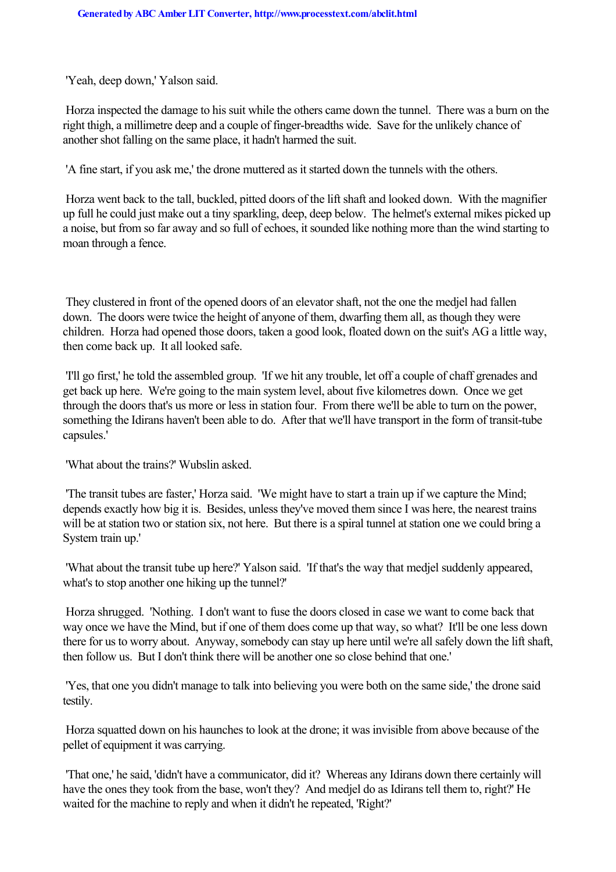'Yeah, deep down,' Yalson said.

 Horza inspected the damage to his suit while the others came down the tunnel. There was a burn on the right thigh, a millimetre deep and a couple of finger-breadths wide. Save for the unlikely chance of another shot falling on the same place, it hadn't harmed the suit.

'A fine start, if you ask me,' the drone muttered as it started down the tunnels with the others.

 Horza went back to the tall, buckled, pitted doors of the lift shaft and looked down. With the magnifier up full he could just make out a tiny sparkling, deep, deep below. The helmet's external mikes picked up a noise, but from so far away and so full of echoes, it sounded like nothing more than the wind starting to moan through a fence.

 They clustered in front of the opened doors of an elevator shaft, not the one the medjel had fallen down. The doors were twice the height of anyone of them, dwarfing them all, as though they were children. Horza had opened those doors, taken a good look, floated down on the suit's AG a little way, then come back up. It all looked safe.

 'I'll go first,' he told the assembled group. 'If we hit any trouble, let off a couple of chaff grenades and get back up here. We're going to the main system level, about five kilometres down. Once we get through the doors that's us more or less in station four. From there we'll be able to turn on the power, something the Idirans haven't been able to do. After that we'll have transport in the form of transit-tube capsules.'

'What about the trains?' Wubslin asked.

 'The transit tubes are faster,' Horza said. 'We might have to start a train up if we capture the Mind; depends exactly how big it is. Besides, unless they've moved them since I was here, the nearest trains will be at station two or station six, not here. But there is a spiral tunnel at station one we could bring a System train up.'

 'What about the transit tube up here?' Yalson said. 'If that's the way that medjel suddenly appeared, what's to stop another one hiking up the tunnel?'

 Horza shrugged. 'Nothing. I don't want to fuse the doors closed in case we want to come back that way once we have the Mind, but if one of them does come up that way, so what? It'll be one less down there for us to worry about. Anyway, somebody can stay up here until we're all safely down the lift shaft, then follow us. But I don't think there will be another one so close behind that one.'

 'Yes, that one you didn't manage to talk into believing you were both on the same side,' the drone said testily.

 Horza squatted down on his haunches to look at the drone; it was invisible from above because of the pellet of equipment it was carrying.

 'That one,' he said, 'didn't have a communicator, did it? Whereas any Idirans down there certainly will have the ones they took from the base, won't they? And medjel do as Idirans tell them to, right?' He waited for the machine to reply and when it didn't he repeated, 'Right?'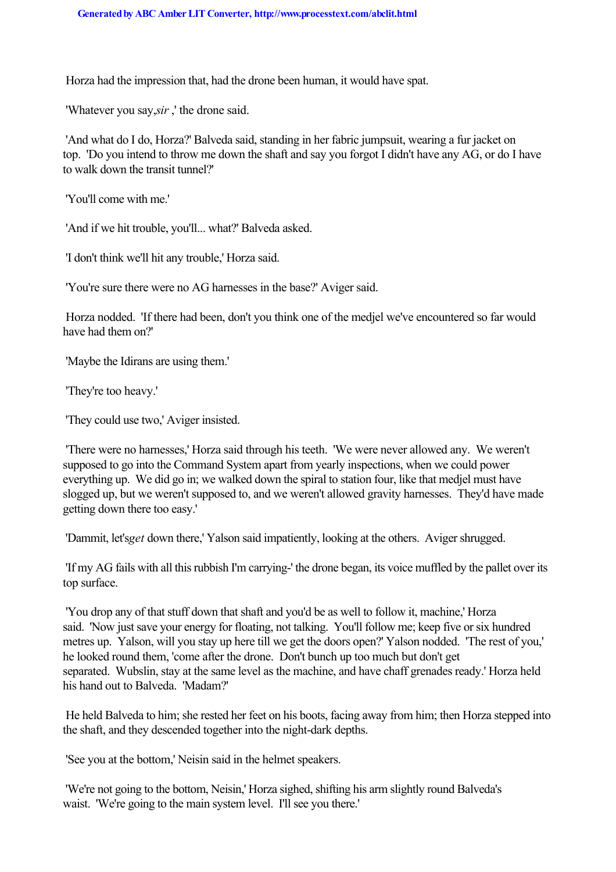Horza had the impression that, had the drone been human, it would have spat.

'Whatever you say,*sir* ,' the drone said.

 'And what do I do, Horza?' Balveda said, standing in her fabric jumpsuit, wearing a fur jacket on top. 'Do you intend to throw me down the shaft and say you forgot I didn't have any AG, or do I have to walk down the transit tunnel?'

'You'll come with me.'

'And if we hit trouble, you'll... what?' Balveda asked.

'I don't think we'll hit any trouble,' Horza said.

'You're sure there were no AG harnesses in the base?' Aviger said.

 Horza nodded. 'If there had been, don't you think one of the medjel we've encountered so far would have had them on?'

'Maybe the Idirans are using them.'

'They're too heavy.'

'They could use two,' Aviger insisted.

 'There were no harnesses,' Horza said through his teeth. 'We were never allowed any. We weren't supposed to go into the Command System apart from yearly inspections, when we could power everything up. We did go in; we walked down the spiral to station four, like that medjel must have slogged up, but we weren't supposed to, and we weren't allowed gravity harnesses. They'd have made getting down there too easy.'

'Dammit, let's*get* down there,' Yalson said impatiently, looking at the others. Aviger shrugged.

 'If my AG fails with all this rubbish I'm carrying-' the drone began, its voice muffled by the pallet over its top surface.

 'You drop any of that stuff down that shaft and you'd be as well to follow it, machine,' Horza said. 'Now just save your energy for floating, not talking. You'll follow me; keep five or six hundred metres up. Yalson, will you stay up here till we get the doors open?' Yalson nodded. 'The rest of you,' he looked round them, 'come after the drone. Don't bunch up too much but don't get separated. Wubslin, stay at the same level as the machine, and have chaff grenades ready.' Horza held his hand out to Balveda. 'Madam?'

 He held Balveda to him; she rested her feet on his boots, facing away from him; then Horza stepped into the shaft, and they descended together into the night-dark depths.

'See you at the bottom,' Neisin said in the helmet speakers.

 'We're not going to the bottom, Neisin,' Horza sighed, shifting his arm slightly round Balveda's waist. 'We're going to the main system level. I'll see you there.'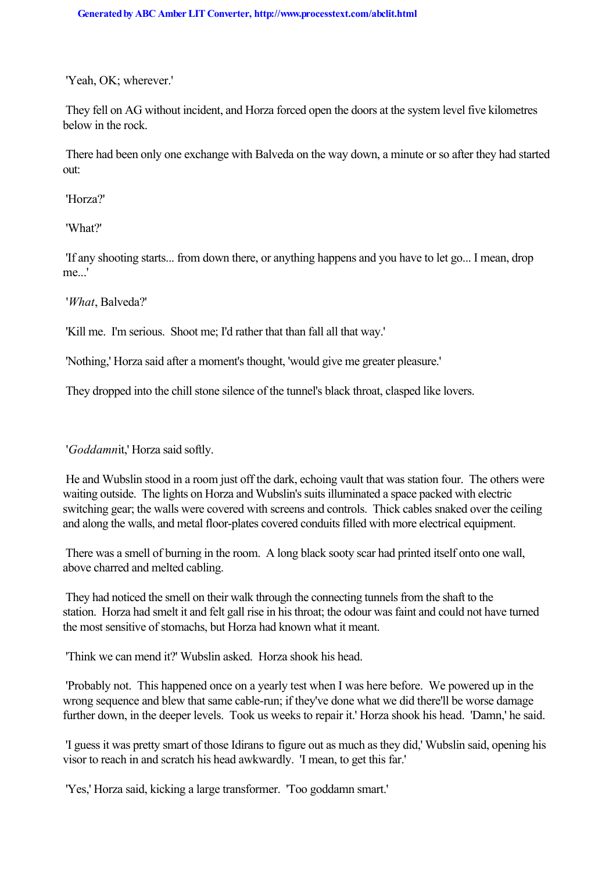'Yeah, OK; wherever.'

 They fell on AG without incident, and Horza forced open the doors at the system level five kilometres below in the rock

 There had been only one exchange with Balveda on the way down, a minute or so after they had started out:

'Horza?'

'What?'

 'If any shooting starts... from down there, or anything happens and you have to let go... I mean, drop me '

'*What*, Balveda?'

'Kill me. I'm serious. Shoot me; I'd rather that than fall all that way.'

'Nothing,' Horza said after a moment's thought, 'would give me greater pleasure.'

They dropped into the chill stone silence of the tunnel's black throat, clasped like lovers.

## '*Goddamn*it,' Horza said softly.

 He and Wubslin stood in a room just off the dark, echoing vault that was station four. The others were waiting outside. The lights on Horza and Wubslin's suits illuminated a space packed with electric switching gear; the walls were covered with screens and controls. Thick cables snaked over the ceiling and along the walls, and metal floor-plates covered conduits filled with more electrical equipment.

 There was a smell of burning in the room. A long black sooty scar had printed itself onto one wall, above charred and melted cabling.

 They had noticed the smell on their walk through the connecting tunnels from the shaft to the station. Horza had smelt it and felt gall rise in his throat; the odour was faint and could not have turned the most sensitive of stomachs, but Horza had known what it meant.

'Think we can mend it?' Wubslin asked. Horza shook his head.

 'Probably not. This happened once on a yearly test when I was here before. We powered up in the wrong sequence and blew that same cable-run; if they've done what we did there'll be worse damage further down, in the deeper levels. Took us weeks to repair it.' Horza shook his head. 'Damn,' he said.

 'I guess it was pretty smart of those Idirans to figure out as much as they did,' Wubslin said, opening his visor to reach in and scratch his head awkwardly. 'I mean, to get this far.'

'Yes,' Horza said, kicking a large transformer. 'Too goddamn smart.'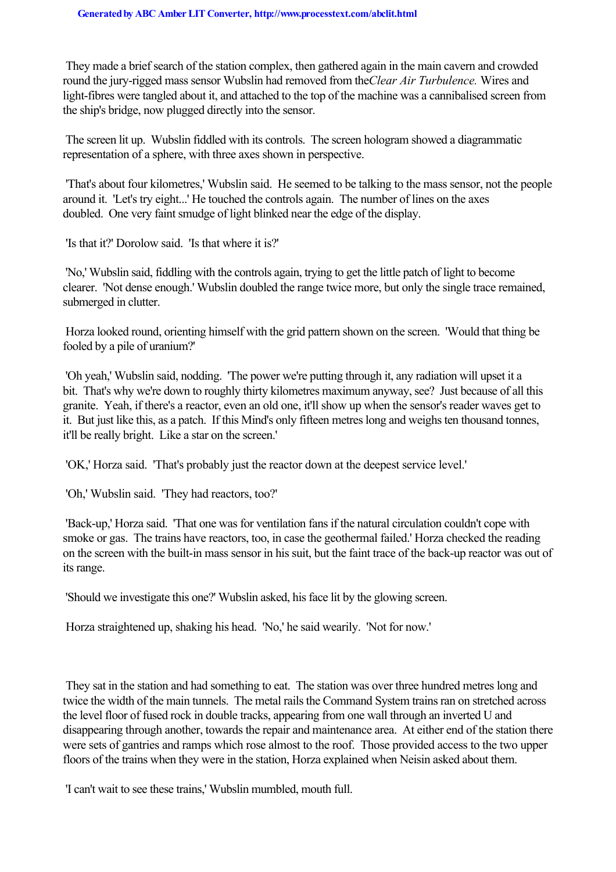They made a brief search of the station complex, then gathered again in the main cavern and crowded round the jury-rigged mass sensor Wubslin had removed from the*Clear Air Turbulence.* Wires and light-fibres were tangled about it, and attached to the top of the machine was a cannibalised screen from the ship's bridge, now plugged directly into the sensor.

 The screen lit up. Wubslin fiddled with its controls. The screen hologram showed a diagrammatic representation of a sphere, with three axes shown in perspective.

 'That's about four kilometres,' Wubslin said. He seemed to be talking to the mass sensor, not the people around it. 'Let's try eight...' He touched the controls again. The number of lines on the axes doubled. One very faint smudge of light blinked near the edge of the display.

'Is that it?' Dorolow said. 'Is that where it is?'

 'No,' Wubslin said, fiddling with the controls again, trying to get the little patch of light to become clearer. 'Not dense enough.' Wubslin doubled the range twice more, but only the single trace remained, submerged in clutter.

 Horza looked round, orienting himself with the grid pattern shown on the screen. 'Would that thing be fooled by a pile of uranium?'

 'Oh yeah,' Wubslin said, nodding. 'The power we're putting through it, any radiation will upset it a bit. That's why we're down to roughly thirty kilometres maximum anyway, see? Just because of all this granite. Yeah, if there's a reactor, even an old one, it'll show up when the sensor's reader waves get to it. But just like this, as a patch. If this Mind's only fifteen metres long and weighs ten thousand tonnes, it'll be really bright. Like a star on the screen.'

'OK,' Horza said. 'That's probably just the reactor down at the deepest service level.'

'Oh,' Wubslin said. 'They had reactors, too?'

 'Back-up,' Horza said. 'That one was for ventilation fans if the natural circulation couldn't cope with smoke or gas. The trains have reactors, too, in case the geothermal failed.' Horza checked the reading on the screen with the built-in mass sensor in his suit, but the faint trace of the back-up reactor was out of its range.

'Should we investigate this one?' Wubslin asked, his face lit by the glowing screen.

Horza straightened up, shaking his head. 'No,' he said wearily. 'Not for now.'

 They sat in the station and had something to eat. The station was over three hundred metres long and twice the width of the main tunnels. The metal rails the Command System trains ran on stretched across the level floor of fused rock in double tracks, appearing from one wall through an inverted U and disappearing through another, towards the repair and maintenance area. At either end of the station there were sets of gantries and ramps which rose almost to the roof. Those provided access to the two upper floors of the trains when they were in the station, Horza explained when Neisin asked about them.

'I can't wait to see these trains,' Wubslin mumbled, mouth full.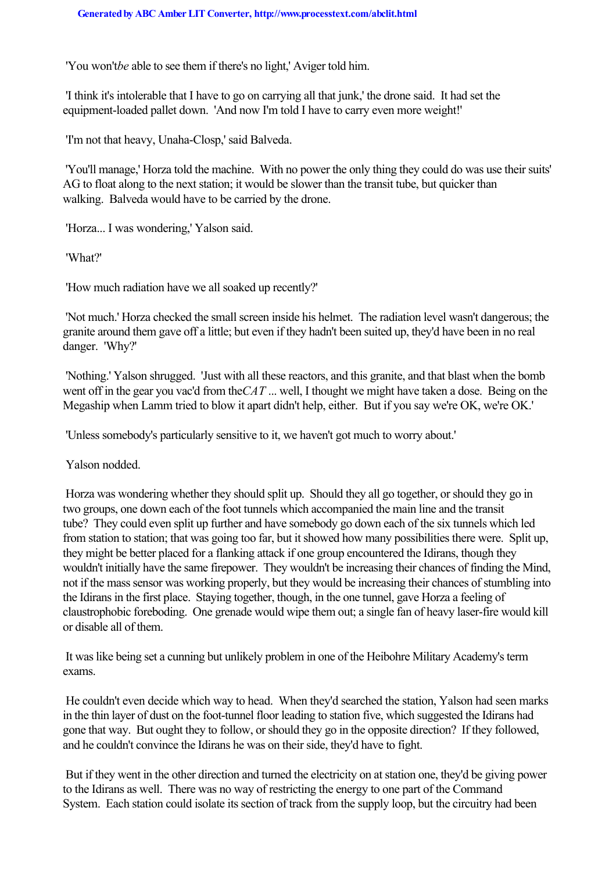'You won't*be* able to see them if there's no light,' Aviger told him.

 'I think it's intolerable that I have to go on carrying all that junk,' the drone said. It had set the equipment-loaded pallet down. 'And now I'm told I have to carry even more weight!'

'I'm not that heavy, Unaha-Closp,' said Balveda.

 'You'll manage,' Horza told the machine. With no power the only thing they could do was use their suits' AG to float along to the next station; it would be slower than the transit tube, but quicker than walking. Balveda would have to be carried by the drone.

'Horza... I was wondering,' Yalson said.

'What?'

'How much radiation have we all soaked up recently?'

 'Not much.' Horza checked the small screen inside his helmet. The radiation level wasn't dangerous; the granite around them gave off a little; but even if they hadn't been suited up, they'd have been in no real danger. 'Why?'

 'Nothing.' Yalson shrugged. 'Just with all these reactors, and this granite, and that blast when the bomb went off in the gear you vac'd from the*CAT* ... well, I thought we might have taken a dose. Being on the Megaship when Lamm tried to blow it apart didn't help, either. But if you say we're OK, we're OK.'

'Unless somebody's particularly sensitive to it, we haven't got much to worry about.'

Yalson nodded.

 Horza was wondering whether they should split up. Should they all go together, or should they go in two groups, one down each of the foot tunnels which accompanied the main line and the transit tube? They could even split up further and have somebody go down each of the six tunnels which led from station to station; that was going too far, but it showed how many possibilities there were. Split up, they might be better placed for a flanking attack if one group encountered the Idirans, though they wouldn't initially have the same firepower. They wouldn't be increasing their chances of finding the Mind, not if the mass sensor was working properly, but they would be increasing their chances of stumbling into the Idirans in the first place. Staying together, though, in the one tunnel, gave Horza a feeling of claustrophobic foreboding. One grenade would wipe them out; a single fan of heavy laser-fire would kill or disable all of them.

 It was like being set a cunning but unlikely problem in one of the Heibohre Military Academy's term exams.

 He couldn't even decide which way to head. When they'd searched the station, Yalson had seen marks in the thin layer of dust on the foot-tunnel floor leading to station five, which suggested the Idirans had gone that way. But ought they to follow, or should they go in the opposite direction? If they followed, and he couldn't convince the Idirans he was on their side, they'd have to fight.

 But if they went in the other direction and turned the electricity on at station one, they'd be giving power to the Idirans as well. There was no way of restricting the energy to one part of the Command System. Each station could isolate its section of track from the supply loop, but the circuitry had been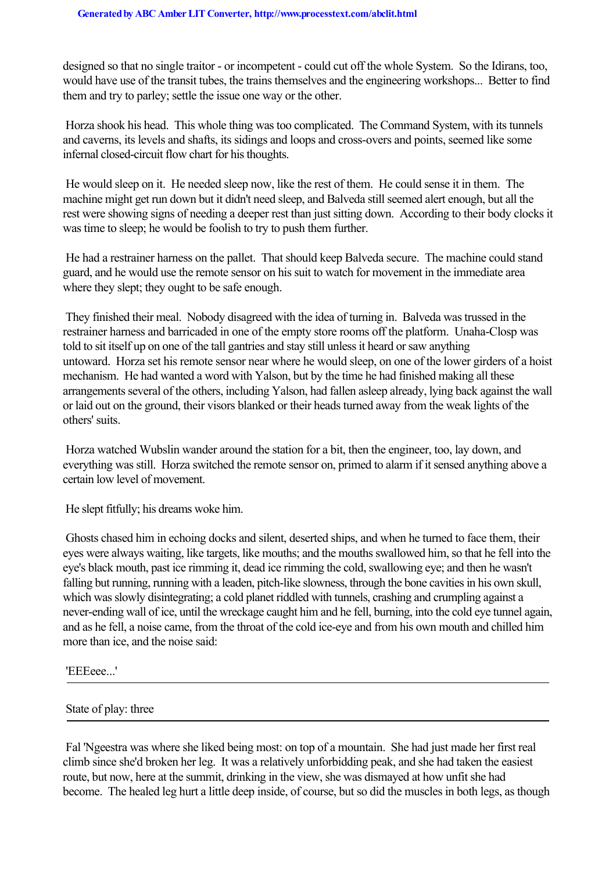designed so that no single traitor - or incompetent - could cut off the whole System. So the Idirans, too, would have use of the transit tubes, the trains themselves and the engineering workshops... Better to find them and try to parley; settle the issue one way or the other.

 Horza shook his head. This whole thing was too complicated. The Command System, with its tunnels and caverns, its levels and shafts, its sidings and loops and cross-overs and points, seemed like some infernal closed-circuit flow chart for his thoughts.

 He would sleep on it. He needed sleep now, like the rest of them. He could sense it in them. The machine might get run down but it didn't need sleep, and Balveda still seemed alert enough, but all the rest were showing signs of needing a deeper rest than just sitting down. According to their body clocks it was time to sleep; he would be foolish to try to push them further.

 He had a restrainer harness on the pallet. That should keep Balveda secure. The machine could stand guard, and he would use the remote sensor on his suit to watch for movement in the immediate area where they slept; they ought to be safe enough.

 They finished their meal. Nobody disagreed with the idea of turning in. Balveda was trussed in the restrainer harness and barricaded in one of the empty store rooms off the platform. Unaha-Closp was told to sit itself up on one of the tall gantries and stay still unless it heard or saw anything untoward. Horza set his remote sensor near where he would sleep, on one of the lower girders of a hoist mechanism. He had wanted a word with Yalson, but by the time he had finished making all these arrangements several of the others, including Yalson, had fallen asleep already, lying back against the wall or laid out on the ground, their visors blanked or their heads turned away from the weak lights of the others' suits.

 Horza watched Wubslin wander around the station for a bit, then the engineer, too, lay down, and everything was still. Horza switched the remote sensor on, primed to alarm if it sensed anything above a certain low level of movement.

He slept fitfully; his dreams woke him.

 Ghosts chased him in echoing docks and silent, deserted ships, and when he turned to face them, their eyes were always waiting, like targets, like mouths; and the mouths swallowed him, so that he fell into the eye's black mouth, past ice rimming it, dead ice rimming the cold, swallowing eye; and then he wasn't falling but running, running with a leaden, pitch-like slowness, through the bone cavities in his own skull, which was slowly disintegrating; a cold planet riddled with tunnels, crashing and crumpling against a never-ending wall of ice, until the wreckage caught him and he fell, burning, into the cold eye tunnel again, and as he fell, a noise came, from the throat of the cold ice-eye and from his own mouth and chilled him more than ice, and the noise said:

'EEEeee...'

State of play: three

 Fal 'Ngeestra was where she liked being most: on top of a mountain. She had just made her first real climb since she'd broken her leg. It was a relatively unforbidding peak, and she had taken the easiest route, but now, here at the summit, drinking in the view, she was dismayed at how unfit she had become. The healed leg hurt a little deep inside, of course, but so did the muscles in both legs, as though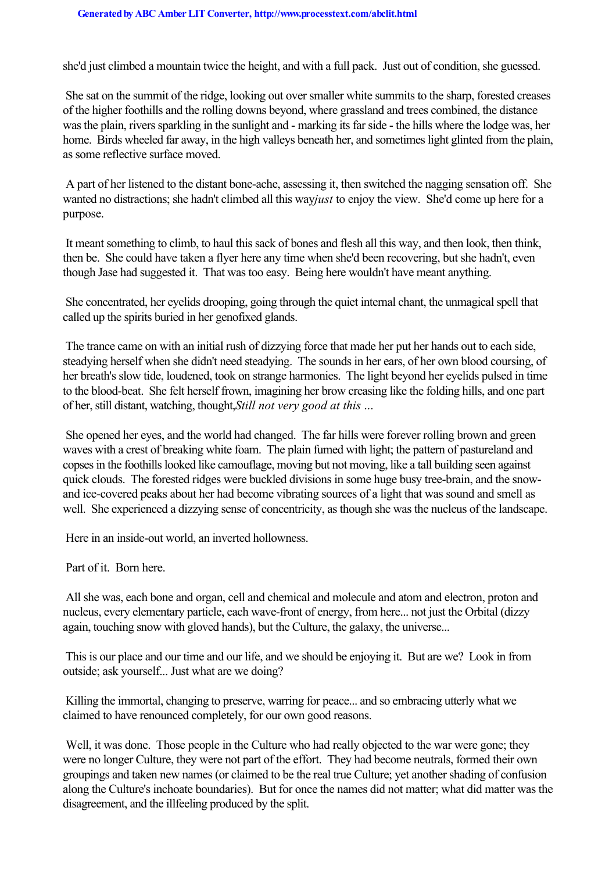she'd just climbed a mountain twice the height, and with a full pack. Just out of condition, she guessed.

 She sat on the summit of the ridge, looking out over smaller white summits to the sharp, forested creases of the higher foothills and the rolling downs beyond, where grassland and trees combined, the distance was the plain, rivers sparkling in the sunlight and - marking its far side - the hills where the lodge was, her home. Birds wheeled far away, in the high valleys beneath her, and sometimes light glinted from the plain, as some reflective surface moved.

 A part of her listened to the distant bone-ache, assessing it, then switched the nagging sensation off. She wanted no distractions; she hadn't climbed all this way*just* to enjoy the view. She'd come up here for a purpose.

 It meant something to climb, to haul this sack of bones and flesh all this way, and then look, then think, then be. She could have taken a flyer here any time when she'd been recovering, but she hadn't, even though Jase had suggested it. That was too easy. Being here wouldn't have meant anything.

 She concentrated, her eyelids drooping, going through the quiet internal chant, the unmagical spell that called up the spirits buried in her genofixed glands.

 The trance came on with an initial rush of dizzying force that made her put her hands out to each side, steadying herself when she didn't need steadying. The sounds in her ears, of her own blood coursing, of her breath's slow tide, loudened, took on strange harmonies. The light beyond her eyelids pulsed in time to the blood-beat. She felt herself frown, imagining her brow creasing like the folding hills, and one part of her, still distant, watching, thought,*Still not very good at this* ...

 She opened her eyes, and the world had changed. The far hills were forever rolling brown and green waves with a crest of breaking white foam. The plain fumed with light; the pattern of pastureland and copses in the foothills looked like camouflage, moving but not moving, like a tall building seen against quick clouds. The forested ridges were buckled divisions in some huge busy tree-brain, and the snowand ice-covered peaks about her had become vibrating sources of a light that was sound and smell as well. She experienced a dizzying sense of concentricity, as though she was the nucleus of the landscape.

Here in an inside-out world, an inverted hollowness.

Part of it. Born here.

 All she was, each bone and organ, cell and chemical and molecule and atom and electron, proton and nucleus, every elementary particle, each wave-front of energy, from here... not just the Orbital (dizzy again, touching snow with gloved hands), but the Culture, the galaxy, the universe...

 This is our place and our time and our life, and we should be enjoying it. But are we? Look in from outside; ask yourself... Just what are we doing?

Killing the immortal, changing to preserve, warring for peace... and so embracing utterly what we claimed to have renounced completely, for our own good reasons.

 Well, it was done. Those people in the Culture who had really objected to the war were gone; they were no longer Culture, they were not part of the effort. They had become neutrals, formed their own groupings and taken new names (or claimed to be the real true Culture; yet another shading of confusion along the Culture's inchoate boundaries). But for once the names did not matter; what did matter was the disagreement, and the illfeeling produced by the split.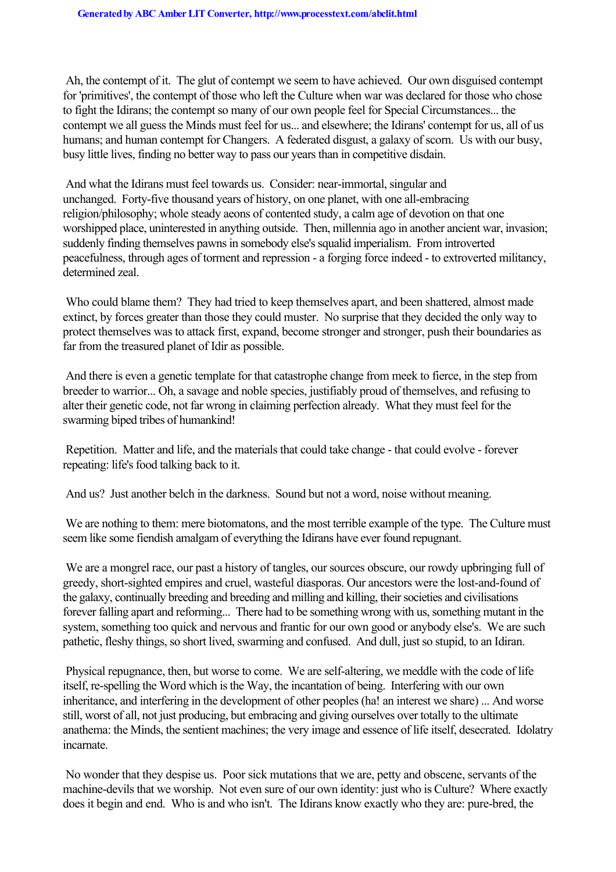Ah, the contempt of it. The glut of contempt we seem to have achieved. Our own disguised contempt for 'primitives', the contempt of those who left the Culture when war was declared for those who chose to fight the Idirans; the contempt so many of our own people feel for Special Circumstances... the contempt we all guess the Minds must feel for us... and elsewhere; the Idirans' contempt for us, all of us humans; and human contempt for Changers. A federated disgust, a galaxy of scorn. Us with our busy, busy little lives, finding no better way to pass our years than in competitive disdain.

 And what the Idirans must feel towards us. Consider: near-immortal, singular and unchanged. Forty-five thousand years of history, on one planet, with one all-embracing religion/philosophy; whole steady aeons of contented study, a calm age of devotion on that one worshipped place, uninterested in anything outside. Then, millennia ago in another ancient war, invasion; suddenly finding themselves pawns in somebody else's squalid imperialism. From introverted peacefulness, through ages of torment and repression - a forging force indeed - to extroverted militancy, determined zeal.

Who could blame them? They had tried to keep themselves apart, and been shattered, almost made extinct, by forces greater than those they could muster. No surprise that they decided the only way to protect themselves was to attack first, expand, become stronger and stronger, push their boundaries as far from the treasured planet of Idir as possible.

 And there is even a genetic template for that catastrophe change from meek to fierce, in the step from breeder to warrior... Oh, a savage and noble species, justifiably proud of themselves, and refusing to alter their genetic code, not far wrong in claiming perfection already. What they must feel for the swarming biped tribes of humankind!

 Repetition. Matter and life, and the materials that could take change - that could evolve - forever repeating: life's food talking back to it.

And us? Just another belch in the darkness. Sound but not a word, noise without meaning.

We are nothing to them: mere biotomatons, and the most terrible example of the type. The Culture must seem like some fiendish amalgam of everything the Idirans have ever found repugnant.

 We are a mongrel race, our past a history of tangles, our sources obscure, our rowdy upbringing full of greedy, short-sighted empires and cruel, wasteful diasporas. Our ancestors were the lost-and-found of the galaxy, continually breeding and breeding and milling and killing, their societies and civilisations forever falling apart and reforming... There had to be something wrong with us, something mutant in the system, something too quick and nervous and frantic for our own good or anybody else's. We are such pathetic, fleshy things, so short lived, swarming and confused. And dull, just so stupid, to an Idiran.

 Physical repugnance, then, but worse to come. We are self-altering, we meddle with the code of life itself, re-spelling the Word which is the Way, the incantation of being. Interfering with our own inheritance, and interfering in the development of other peoples (ha! an interest we share) ... And worse still, worst of all, not just producing, but embracing and giving ourselves over totally to the ultimate anathema: the Minds, the sentient machines; the very image and essence of life itself, desecrated. Idolatry incarnate.

 No wonder that they despise us. Poor sick mutations that we are, petty and obscene, servants of the machine-devils that we worship. Not even sure of our own identity: just who is Culture? Where exactly does it begin and end. Who is and who isn't. The Idirans know exactly who they are: pure-bred, the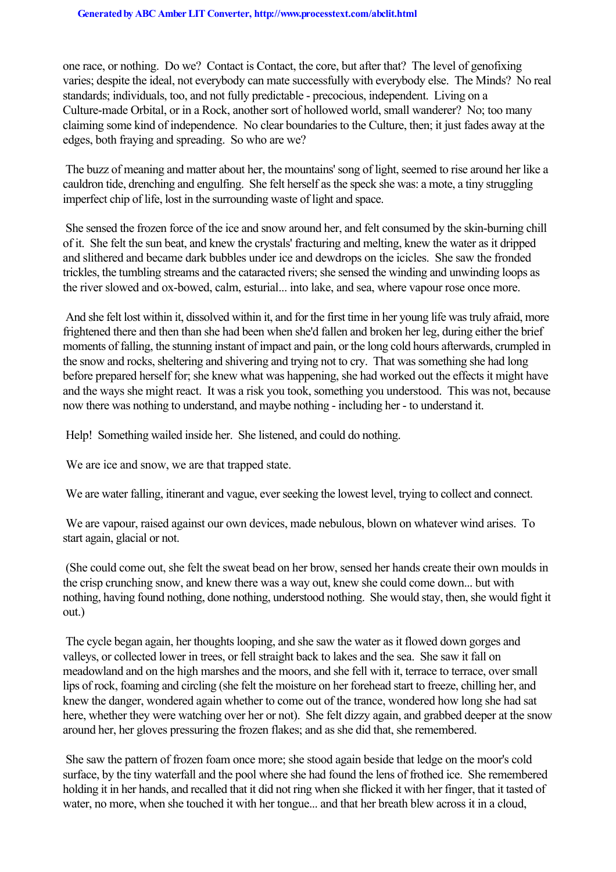one race, or nothing. Do we? Contact is Contact, the core, but after that? The level of genofixing varies; despite the ideal, not everybody can mate successfully with everybody else. The Minds? No real standards; individuals, too, and not fully predictable - precocious, independent. Living on a Culture-made Orbital, or in a Rock, another sort of hollowed world, small wanderer? No; too many claiming some kind of independence. No clear boundaries to the Culture, then; it just fades away at the edges, both fraying and spreading. So who are we?

 The buzz of meaning and matter about her, the mountains' song of light, seemed to rise around her like a cauldron tide, drenching and engulfing. She felt herself as the speck she was: a mote, a tiny struggling imperfect chip of life, lost in the surrounding waste of light and space.

 She sensed the frozen force of the ice and snow around her, and felt consumed by the skin-burning chill of it. She felt the sun beat, and knew the crystals' fracturing and melting, knew the water as it dripped and slithered and became dark bubbles under ice and dewdrops on the icicles. She saw the fronded trickles, the tumbling streams and the cataracted rivers; she sensed the winding and unwinding loops as the river slowed and ox-bowed, calm, esturial... into lake, and sea, where vapour rose once more.

 And she felt lost within it, dissolved within it, and for the first time in her young life was truly afraid, more frightened there and then than she had been when she'd fallen and broken her leg, during either the brief moments of falling, the stunning instant of impact and pain, or the long cold hours afterwards, crumpled in the snow and rocks, sheltering and shivering and trying not to cry. That was something she had long before prepared herself for; she knew what was happening, she had worked out the effects it might have and the ways she might react. It was a risk you took, something you understood. This was not, because now there was nothing to understand, and maybe nothing - including her - to understand it.

Help! Something wailed inside her. She listened, and could do nothing.

We are ice and snow, we are that trapped state.

We are water falling, itinerant and vague, ever seeking the lowest level, trying to collect and connect.

 We are vapour, raised against our own devices, made nebulous, blown on whatever wind arises. To start again, glacial or not.

 (She could come out, she felt the sweat bead on her brow, sensed her hands create their own moulds in the crisp crunching snow, and knew there was a way out, knew she could come down... but with nothing, having found nothing, done nothing, understood nothing. She would stay, then, she would fight it out.)

 The cycle began again, her thoughts looping, and she saw the water as it flowed down gorges and valleys, or collected lower in trees, or fell straight back to lakes and the sea. She saw it fall on meadowland and on the high marshes and the moors, and she fell with it, terrace to terrace, over small lips of rock, foaming and circling (she felt the moisture on her forehead start to freeze, chilling her, and knew the danger, wondered again whether to come out of the trance, wondered how long she had sat here, whether they were watching over her or not). She felt dizzy again, and grabbed deeper at the snow around her, her gloves pressuring the frozen flakes; and as she did that, she remembered.

 She saw the pattern of frozen foam once more; she stood again beside that ledge on the moor's cold surface, by the tiny waterfall and the pool where she had found the lens of frothed ice. She remembered holding it in her hands, and recalled that it did not ring when she flicked it with her finger, that it tasted of water, no more, when she touched it with her tongue... and that her breath blew across it in a cloud,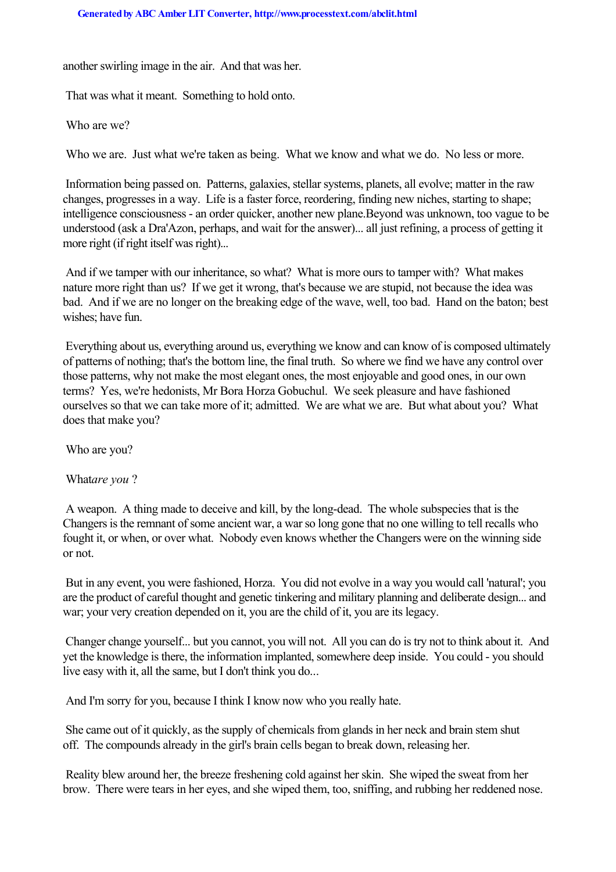another swirling image in the air. And that was her.

That was what it meant. Something to hold onto.

Who are we?

Who we are. Just what we're taken as being. What we know and what we do. No less or more.

 Information being passed on. Patterns, galaxies, stellar systems, planets, all evolve; matter in the raw changes, progresses in a way. Life is a faster force, reordering, finding new niches, starting to shape; intelligence consciousness - an order quicker, another new plane.Beyond was unknown, too vague to be understood (ask a Dra'Azon, perhaps, and wait for the answer)... all just refining, a process of getting it more right (if right itself was right)...

 And if we tamper with our inheritance, so what? What is more ours to tamper with? What makes nature more right than us? If we get it wrong, that's because we are stupid, not because the idea was bad. And if we are no longer on the breaking edge of the wave, well, too bad. Hand on the baton; best wishes; have fun.

 Everything about us, everything around us, everything we know and can know of is composed ultimately of patterns of nothing; that's the bottom line, the final truth. So where we find we have any control over those patterns, why not make the most elegant ones, the most enjoyable and good ones, in our own terms? Yes, we're hedonists, Mr Bora Horza Gobuchul. We seek pleasure and have fashioned ourselves so that we can take more of it; admitted. We are what we are. But what about you? What does that make you?

Who are you?

What*are you* ?

 A weapon. A thing made to deceive and kill, by the long-dead. The whole subspecies that is the Changers is the remnant of some ancient war, a war so long gone that no one willing to tell recalls who fought it, or when, or over what. Nobody even knows whether the Changers were on the winning side or not.

 But in any event, you were fashioned, Horza. You did not evolve in a way you would call 'natural'; you are the product of careful thought and genetic tinkering and military planning and deliberate design... and war; your very creation depended on it, you are the child of it, you are its legacy.

 Changer change yourself... but you cannot, you will not. All you can do is try not to think about it. And yet the knowledge is there, the information implanted, somewhere deep inside. You could - you should live easy with it, all the same, but I don't think you do...

And I'm sorry for you, because I think I know now who you really hate.

 She came out of it quickly, as the supply of chemicals from glands in her neck and brain stem shut off. The compounds already in the girl's brain cells began to break down, releasing her.

 Reality blew around her, the breeze freshening cold against her skin. She wiped the sweat from her brow. There were tears in her eyes, and she wiped them, too, sniffing, and rubbing her reddened nose.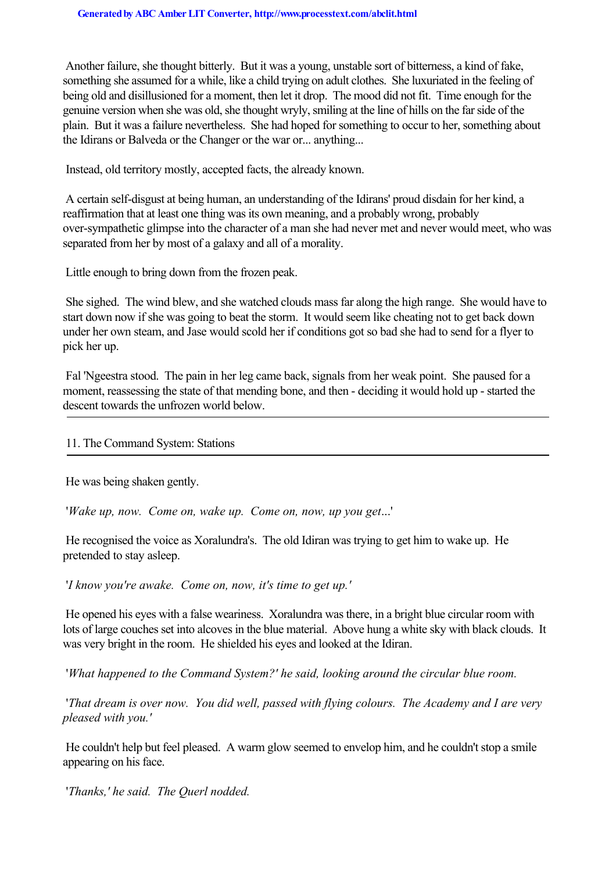Another failure, she thought bitterly. But it was a young, unstable sort of bitterness, a kind of fake, something she assumed for a while, like a child trying on adult clothes. She luxuriated in the feeling of being old and disillusioned for a moment, then let it drop. The mood did not fit. Time enough for the genuine version when she was old, she thought wryly, smiling at the line of hills on the far side of the plain. But it was a failure nevertheless. She had hoped for something to occur to her, something about the Idirans or Balveda or the Changer or the war or... anything...

Instead, old territory mostly, accepted facts, the already known.

 A certain self-disgust at being human, an understanding of the Idirans' proud disdain for her kind, a reaffirmation that at least one thing was its own meaning, and a probably wrong, probably over-sympathetic glimpse into the character of a man she had never met and never would meet, who was separated from her by most of a galaxy and all of a morality.

Little enough to bring down from the frozen peak.

 She sighed. The wind blew, and she watched clouds mass far along the high range. She would have to start down now if she was going to beat the storm. It would seem like cheating not to get back down under her own steam, and Jase would scold her if conditions got so bad she had to send for a flyer to pick her up.

 Fal 'Ngeestra stood. The pain in her leg came back, signals from her weak point. She paused for a moment, reassessing the state of that mending bone, and then - deciding it would hold up - started the descent towards the unfrozen world below.

## 11. The Command System: Stations

He was being shaken gently.

'*Wake up, now. Come on, wake up. Come on, now, up you get*...'

 He recognised the voice as Xoralundra's. The old Idiran was trying to get him to wake up. He pretended to stay asleep.

'*I know you're awake. Come on, now, it's time to get up.'*

 He opened his eyes with a false weariness. Xoralundra was there, in a bright blue circular room with lots of large couches set into alcoves in the blue material. Above hung a white sky with black clouds. It was very bright in the room. He shielded his eyes and looked at the Idiran.

'*What happened to the Command System?' he said, looking around the circular blue room.*

 '*That dream is over now. You did well, passed with flying colours. The Academy and I are very pleased with you.'*

 He couldn't help but feel pleased. A warm glow seemed to envelop him, and he couldn't stop a smile appearing on his face.

'*Thanks,' he said. The Querl nodded.*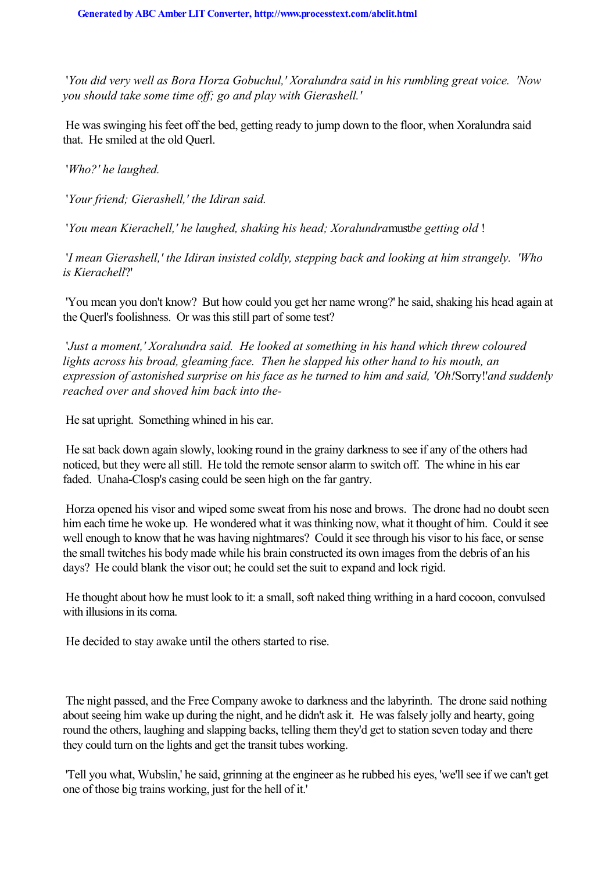'*You did very well as Bora Horza Gobuchul,' Xoralundra said in his rumbling great voice. 'Now you should take some time off; go and play with Gierashell.'*

 He was swinging his feet off the bed, getting ready to jump down to the floor, when Xoralundra said that. He smiled at the old Querl.

'*Who?' he laughed.*

'*Your friend; Gierashell,' the Idiran said.*

'*You mean Kierachell,' he laughed, shaking his head; Xoralundra*must*be getting old* !

 '*I mean Gierashell,' the Idiran insisted coldly, stepping back and looking at him strangely. 'Who is Kierachell*?'

 'You mean you don't know? But how could you get her name wrong?' he said, shaking his head again at the Querl's foolishness. Or was this still part of some test?

 '*Just a moment,' Xoralundra said. He looked at something in his hand which threw coloured lights across his broad, gleaming face. Then he slapped his other hand to his mouth, an expression of astonished surprise on his face as he turned to him and said, 'Oh!*Sorry!'*and suddenly reached over and shoved him back into the-*

He sat upright. Something whined in his ear.

 He sat back down again slowly, looking round in the grainy darkness to see if any of the others had noticed, but they were all still. He told the remote sensor alarm to switch off. The whine in his ear faded. Unaha-Closp's casing could be seen high on the far gantry.

 Horza opened his visor and wiped some sweat from his nose and brows. The drone had no doubt seen him each time he woke up. He wondered what it was thinking now, what it thought of him. Could it see well enough to know that he was having nightmares? Could it see through his visor to his face, or sense the small twitches his body made while his brain constructed its own images from the debris of an his days? He could blank the visor out; he could set the suit to expand and lock rigid.

 He thought about how he must look to it: a small, soft naked thing writhing in a hard cocoon, convulsed with illusions in its coma.

He decided to stay awake until the others started to rise.

 The night passed, and the Free Company awoke to darkness and the labyrinth. The drone said nothing about seeing him wake up during the night, and he didn't ask it. He was falsely jolly and hearty, going round the others, laughing and slapping backs, telling them they'd get to station seven today and there they could turn on the lights and get the transit tubes working.

 'Tell you what, Wubslin,' he said, grinning at the engineer as he rubbed his eyes, 'we'll see if we can't get one of those big trains working, just for the hell of it.'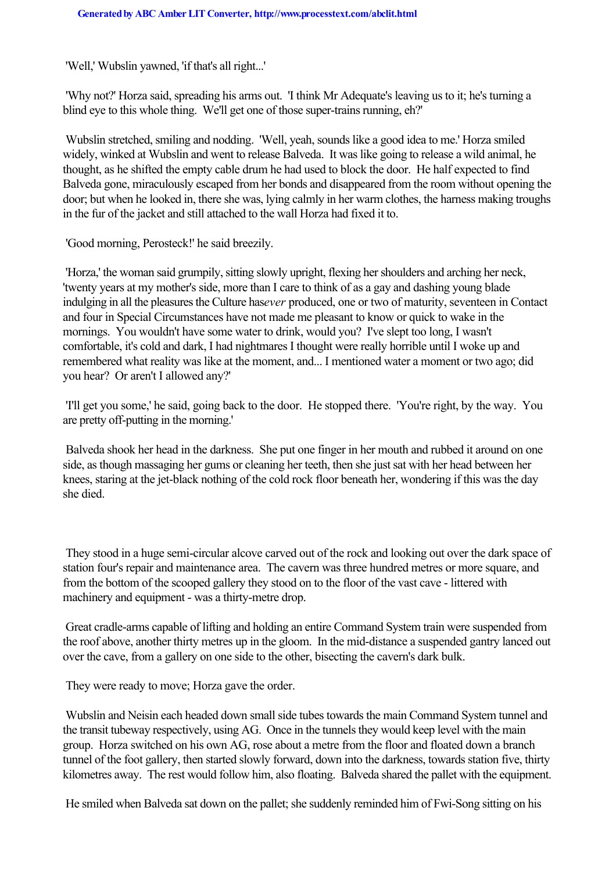'Well,' Wubslin yawned, 'if that's all right...'

 'Why not?' Horza said, spreading his arms out. 'I think Mr Adequate's leaving us to it; he's turning a blind eye to this whole thing. We'll get one of those super-trains running, eh?'

 Wubslin stretched, smiling and nodding. 'Well, yeah, sounds like a good idea to me.' Horza smiled widely, winked at Wubslin and went to release Balveda. It was like going to release a wild animal, he thought, as he shifted the empty cable drum he had used to block the door. He half expected to find Balveda gone, miraculously escaped from her bonds and disappeared from the room without opening the door; but when he looked in, there she was, lying calmly in her warm clothes, the harness making troughs in the fur of the jacket and still attached to the wall Horza had fixed it to.

'Good morning, Perosteck!' he said breezily.

 'Horza,' the woman said grumpily, sitting slowly upright, flexing her shoulders and arching her neck, 'twenty years at my mother's side, more than I care to think of as a gay and dashing young blade indulging in all the pleasures the Culture has*ever* produced, one or two of maturity, seventeen in Contact and four in Special Circumstances have not made me pleasant to know or quick to wake in the mornings. You wouldn't have some water to drink, would you? I've slept too long, I wasn't comfortable, it's cold and dark, I had nightmares I thought were really horrible until I woke up and remembered what reality was like at the moment, and... I mentioned water a moment or two ago; did you hear? Or aren't I allowed any?'

 'I'll get you some,' he said, going back to the door. He stopped there. 'You're right, by the way. You are pretty off-putting in the morning.'

 Balveda shook her head in the darkness. She put one finger in her mouth and rubbed it around on one side, as though massaging her gums or cleaning her teeth, then she just sat with her head between her knees, staring at the jet-black nothing of the cold rock floor beneath her, wondering if this was the day she died.

 They stood in a huge semi-circular alcove carved out of the rock and looking out over the dark space of station four's repair and maintenance area. The cavern was three hundred metres or more square, and from the bottom of the scooped gallery they stood on to the floor of the vast cave - littered with machinery and equipment - was a thirty-metre drop.

 Great cradle-arms capable of lifting and holding an entire Command System train were suspended from the roof above, another thirty metres up in the gloom. In the mid-distance a suspended gantry lanced out over the cave, from a gallery on one side to the other, bisecting the cavern's dark bulk.

They were ready to move; Horza gave the order.

 Wubslin and Neisin each headed down small side tubes towards the main Command System tunnel and the transit tubeway respectively, using AG. Once in the tunnels they would keep level with the main group. Horza switched on his own AG, rose about a metre from the floor and floated down a branch tunnel of the foot gallery, then started slowly forward, down into the darkness, towards station five, thirty kilometres away. The rest would follow him, also floating. Balveda shared the pallet with the equipment.

He smiled when Balveda sat down on the pallet; she suddenly reminded him of Fwi-Song sitting on his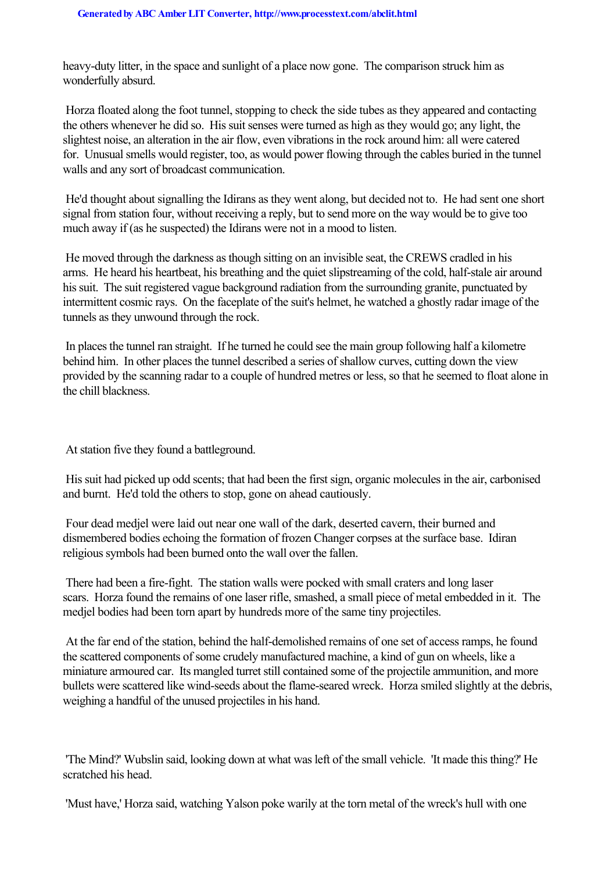heavy-duty litter, in the space and sunlight of a place now gone. The comparison struck him as wonderfully absurd.

 Horza floated along the foot tunnel, stopping to check the side tubes as they appeared and contacting the others whenever he did so. His suit senses were turned as high as they would go; any light, the slightest noise, an alteration in the air flow, even vibrations in the rock around him: all were catered for. Unusual smells would register, too, as would power flowing through the cables buried in the tunnel walls and any sort of broadcast communication.

 He'd thought about signalling the Idirans as they went along, but decided not to. He had sent one short signal from station four, without receiving a reply, but to send more on the way would be to give too much away if (as he suspected) the Idirans were not in a mood to listen.

 He moved through the darkness as though sitting on an invisible seat, the CREWS cradled in his arms. He heard his heartbeat, his breathing and the quiet slipstreaming of the cold, half-stale air around his suit. The suit registered vague background radiation from the surrounding granite, punctuated by intermittent cosmic rays. On the faceplate of the suit's helmet, he watched a ghostly radar image of the tunnels as they unwound through the rock.

 In places the tunnel ran straight. If he turned he could see the main group following half a kilometre behind him. In other places the tunnel described a series of shallow curves, cutting down the view provided by the scanning radar to a couple of hundred metres or less, so that he seemed to float alone in the chill blackness.

At station five they found a battleground.

 His suit had picked up odd scents; that had been the first sign, organic molecules in the air, carbonised and burnt. He'd told the others to stop, gone on ahead cautiously.

 Four dead medjel were laid out near one wall of the dark, deserted cavern, their burned and dismembered bodies echoing the formation of frozen Changer corpses at the surface base. Idiran religious symbols had been burned onto the wall over the fallen.

 There had been a fire-fight. The station walls were pocked with small craters and long laser scars. Horza found the remains of one laser rifle, smashed, a small piece of metal embedded in it. The medjel bodies had been torn apart by hundreds more of the same tiny projectiles.

 At the far end of the station, behind the half-demolished remains of one set of access ramps, he found the scattered components of some crudely manufactured machine, a kind of gun on wheels, like a miniature armoured car. Its mangled turret still contained some of the projectile ammunition, and more bullets were scattered like wind-seeds about the flame-seared wreck. Horza smiled slightly at the debris, weighing a handful of the unused projectiles in his hand.

 'The Mind?' Wubslin said, looking down at what was left of the small vehicle. 'It made this thing?' He scratched his head.

'Must have,' Horza said, watching Yalson poke warily at the torn metal of the wreck's hull with one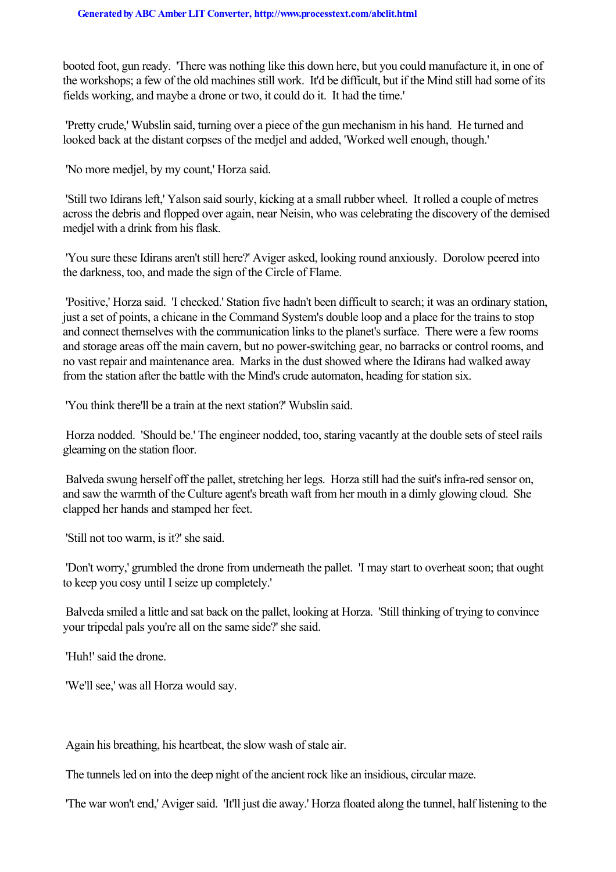booted foot, gun ready. 'There was nothing like this down here, but you could manufacture it, in one of the workshops; a few of the old machines still work. It'd be difficult, but if the Mind still had some of its fields working, and maybe a drone or two, it could do it. It had the time.'

 'Pretty crude,' Wubslin said, turning over a piece of the gun mechanism in his hand. He turned and looked back at the distant corpses of the medjel and added, 'Worked well enough, though.'

'No more medjel, by my count,' Horza said.

 'Still two Idirans left,' Yalson said sourly, kicking at a small rubber wheel. It rolled a couple of metres across the debris and flopped over again, near Neisin, who was celebrating the discovery of the demised medjel with a drink from his flask.

 'You sure these Idirans aren't still here?' Aviger asked, looking round anxiously. Dorolow peered into the darkness, too, and made the sign of the Circle of Flame.

 'Positive,' Horza said. 'I checked.' Station five hadn't been difficult to search; it was an ordinary station, just a set of points, a chicane in the Command System's double loop and a place for the trains to stop and connect themselves with the communication links to the planet's surface. There were a few rooms and storage areas off the main cavern, but no power-switching gear, no barracks or control rooms, and no vast repair and maintenance area. Marks in the dust showed where the Idirans had walked away from the station after the battle with the Mind's crude automaton, heading for station six.

'You think there'll be a train at the next station?' Wubslin said.

 Horza nodded. 'Should be.' The engineer nodded, too, staring vacantly at the double sets of steel rails gleaming on the station floor.

 Balveda swung herself off the pallet, stretching her legs. Horza still had the suit's infra-red sensor on, and saw the warmth of the Culture agent's breath waft from her mouth in a dimly glowing cloud. She clapped her hands and stamped her feet.

'Still not too warm, is it?' she said.

 'Don't worry,' grumbled the drone from underneath the pallet. 'I may start to overheat soon; that ought to keep you cosy until I seize up completely.'

 Balveda smiled a little and sat back on the pallet, looking at Horza. 'Still thinking of trying to convince your tripedal pals you're all on the same side?' she said.

'Huh!' said the drone.

'We'll see,' was all Horza would say.

Again his breathing, his heartbeat, the slow wash of stale air.

The tunnels led on into the deep night of the ancient rock like an insidious, circular maze.

'The war won't end,' Aviger said. 'It'll just die away.' Horza floated along the tunnel, half listening to the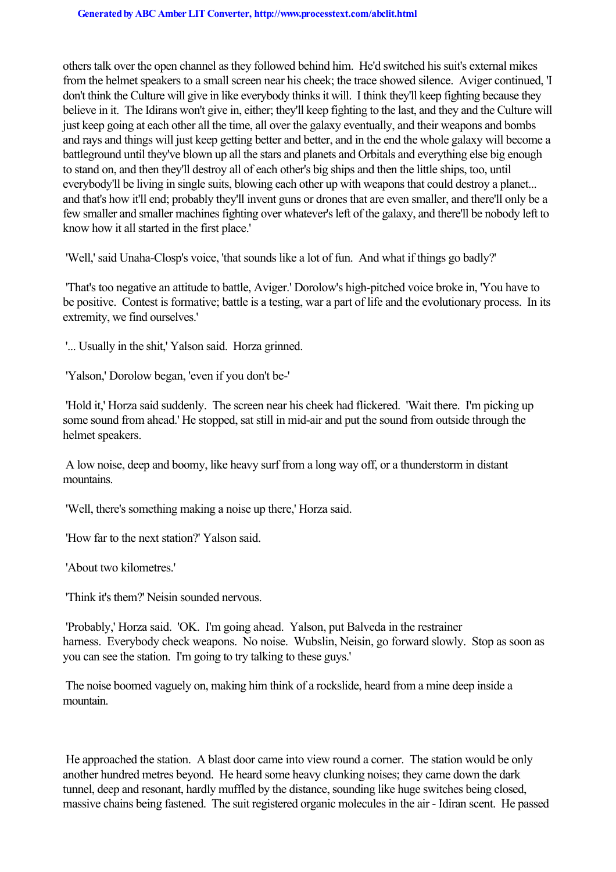others talk over the open channel as they followed behind him. He'd switched his suit's external mikes from the helmet speakers to a small screen near his cheek; the trace showed silence. Aviger continued, 'I don't think the Culture will give in like everybody thinks it will. I think they'll keep fighting because they believe in it. The Idirans won't give in, either; they'll keep fighting to the last, and they and the Culture will just keep going at each other all the time, all over the galaxy eventually, and their weapons and bombs and rays and things will just keep getting better and better, and in the end the whole galaxy will become a battleground until they've blown up all the stars and planets and Orbitals and everything else big enough to stand on, and then they'll destroy all of each other's big ships and then the little ships, too, until everybody'll be living in single suits, blowing each other up with weapons that could destroy a planet... and that's how it'll end; probably they'll invent guns or drones that are even smaller, and there'll only be a few smaller and smaller machines fighting over whatever's left of the galaxy, and there'll be nobody left to know how it all started in the first place.'

'Well,' said Unaha-Closp's voice, 'that sounds like a lot of fun. And what if things go badly?'

 'That's too negative an attitude to battle, Aviger.' Dorolow's high-pitched voice broke in, 'You have to be positive. Contest is formative; battle is a testing, war a part of life and the evolutionary process. In its extremity, we find ourselves.'

'... Usually in the shit,' Yalson said. Horza grinned.

'Yalson,' Dorolow began, 'even if you don't be-'

 'Hold it,' Horza said suddenly. The screen near his cheek had flickered. 'Wait there. I'm picking up some sound from ahead.' He stopped, sat still in mid-air and put the sound from outside through the helmet speakers.

 A low noise, deep and boomy, like heavy surf from a long way off, or a thunderstorm in distant mountains.

'Well, there's something making a noise up there,' Horza said.

'How far to the next station?' Yalson said.

'About two kilometres.'

'Think it's them?' Neisin sounded nervous.

 'Probably,' Horza said. 'OK. I'm going ahead. Yalson, put Balveda in the restrainer harness. Everybody check weapons. No noise. Wubslin, Neisin, go forward slowly. Stop as soon as you can see the station. I'm going to try talking to these guys.'

 The noise boomed vaguely on, making him think of a rockslide, heard from a mine deep inside a mountain.

 He approached the station. A blast door came into view round a corner. The station would be only another hundred metres beyond. He heard some heavy clunking noises; they came down the dark tunnel, deep and resonant, hardly muffled by the distance, sounding like huge switches being closed, massive chains being fastened. The suit registered organic molecules in the air - Idiran scent. He passed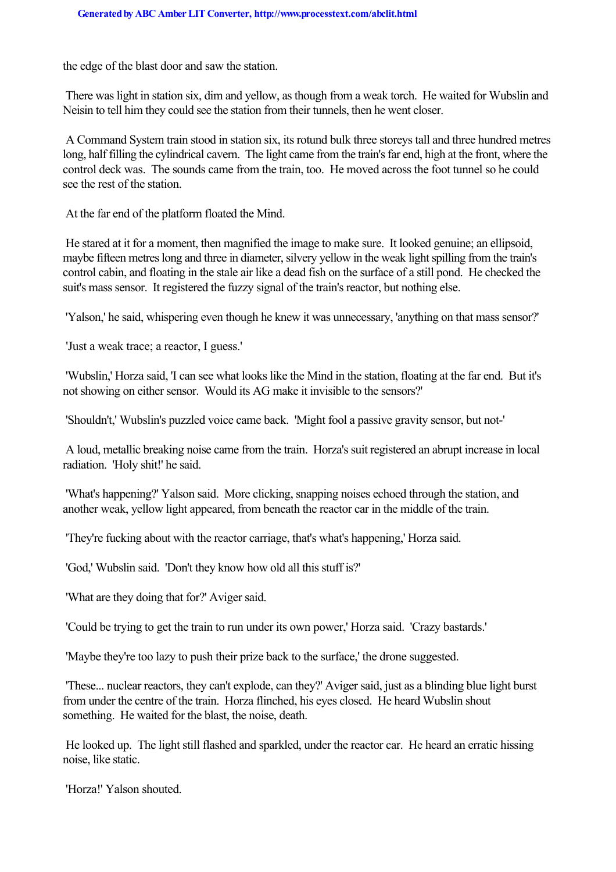the edge of the blast door and saw the station.

 There was light in station six, dim and yellow, as though from a weak torch. He waited for Wubslin and Neisin to tell him they could see the station from their tunnels, then he went closer.

 A Command System train stood in station six, its rotund bulk three storeys tall and three hundred metres long, half filling the cylindrical cavern. The light came from the train's far end, high at the front, where the control deck was. The sounds came from the train, too. He moved across the foot tunnel so he could see the rest of the station.

At the far end of the platform floated the Mind.

 He stared at it for a moment, then magnified the image to make sure. It looked genuine; an ellipsoid, maybe fifteen metres long and three in diameter, silvery yellow in the weak light spilling from the train's control cabin, and floating in the stale air like a dead fish on the surface of a still pond. He checked the suit's mass sensor. It registered the fuzzy signal of the train's reactor, but nothing else.

'Yalson,' he said, whispering even though he knew it was unnecessary, 'anything on that mass sensor?'

'Just a weak trace; a reactor, I guess.'

 'Wubslin,' Horza said, 'I can see what looks like the Mind in the station, floating at the far end. But it's not showing on either sensor. Would its AG make it invisible to the sensors?'

'Shouldn't,' Wubslin's puzzled voice came back. 'Might fool a passive gravity sensor, but not-'

 A loud, metallic breaking noise came from the train. Horza's suit registered an abrupt increase in local radiation. 'Holy shit!' he said.

 'What's happening?' Yalson said. More clicking, snapping noises echoed through the station, and another weak, yellow light appeared, from beneath the reactor car in the middle of the train.

'They're fucking about with the reactor carriage, that's what's happening,' Horza said.

'God,' Wubslin said. 'Don't they know how old all this stuff is?'

'What are they doing that for?' Aviger said.

'Could be trying to get the train to run under its own power,' Horza said. 'Crazy bastards.'

'Maybe they're too lazy to push their prize back to the surface,' the drone suggested.

 'These... nuclear reactors, they can't explode, can they?' Aviger said, just as a blinding blue light burst from under the centre of the train. Horza flinched, his eyes closed. He heard Wubslin shout something. He waited for the blast, the noise, death.

 He looked up. The light still flashed and sparkled, under the reactor car. He heard an erratic hissing noise, like static.

'Horza!' Yalson shouted.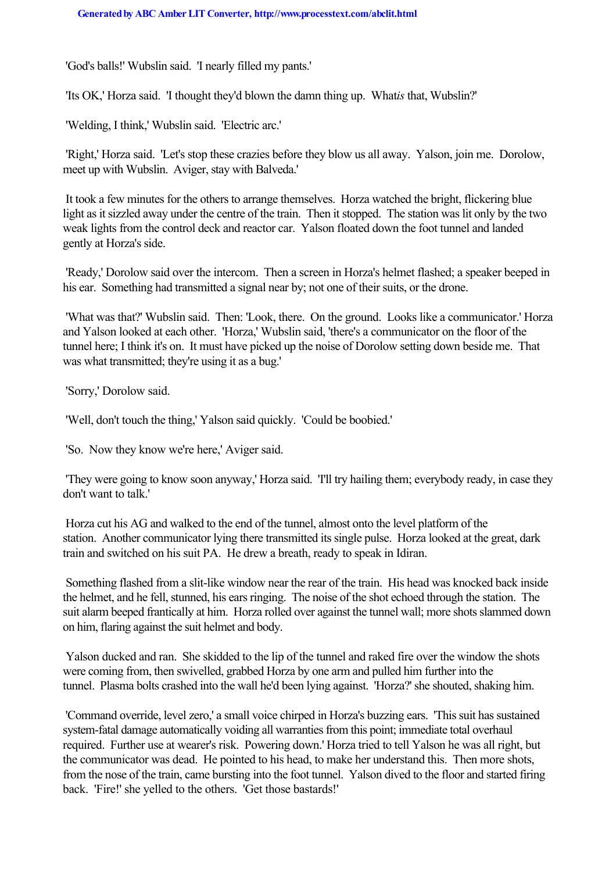## **Generated by ABC Amber LIT Converter, <http://www.processtext.com/abclit.html>**

'God's balls!' Wubslin said. 'I nearly filled my pants.'

'Its OK,' Horza said. 'I thought they'd blown the damn thing up. What*is* that, Wubslin?'

'Welding, I think,' Wubslin said. 'Electric arc.'

 'Right,' Horza said. 'Let's stop these crazies before they blow us all away. Yalson, join me. Dorolow, meet up with Wubslin. Aviger, stay with Balveda.'

 It took a few minutes for the others to arrange themselves. Horza watched the bright, flickering blue light as it sizzled away under the centre of the train. Then it stopped. The station was lit only by the two weak lights from the control deck and reactor car. Yalson floated down the foot tunnel and landed gently at Horza's side.

 'Ready,' Dorolow said over the intercom. Then a screen in Horza's helmet flashed; a speaker beeped in his ear. Something had transmitted a signal near by; not one of their suits, or the drone.

 'What was that?' Wubslin said. Then: 'Look, there. On the ground. Looks like a communicator.' Horza and Yalson looked at each other. 'Horza,' Wubslin said, 'there's a communicator on the floor of the tunnel here; I think it's on. It must have picked up the noise of Dorolow setting down beside me. That was what transmitted; they're using it as a bug.'

'Sorry,' Dorolow said.

'Well, don't touch the thing,' Yalson said quickly. 'Could be boobied.'

'So. Now they know we're here,' Aviger said.

 'They were going to know soon anyway,' Horza said. 'I'll try hailing them; everybody ready, in case they don't want to talk.'

 Horza cut his AG and walked to the end of the tunnel, almost onto the level platform of the station. Another communicator lying there transmitted its single pulse. Horza looked at the great, dark train and switched on his suit PA. He drew a breath, ready to speak in Idiran.

 Something flashed from a slit-like window near the rear of the train. His head was knocked back inside the helmet, and he fell, stunned, his ears ringing. The noise of the shot echoed through the station. The suit alarm beeped frantically at him. Horza rolled over against the tunnel wall; more shots slammed down on him, flaring against the suit helmet and body.

 Yalson ducked and ran. She skidded to the lip of the tunnel and raked fire over the window the shots were coming from, then swivelled, grabbed Horza by one arm and pulled him further into the tunnel. Plasma bolts crashed into the wall he'd been lying against. 'Horza?' she shouted, shaking him.

 'Command override, level zero,' a small voice chirped in Horza's buzzing ears. 'This suit has sustained system-fatal damage automatically voiding all warranties from this point; immediate total overhaul required. Further use at wearer's risk. Powering down.' Horza tried to tell Yalson he was all right, but the communicator was dead. He pointed to his head, to make her understand this. Then more shots, from the nose of the train, came bursting into the foot tunnel. Yalson dived to the floor and started firing back. 'Fire!' she yelled to the others. 'Get those bastards!'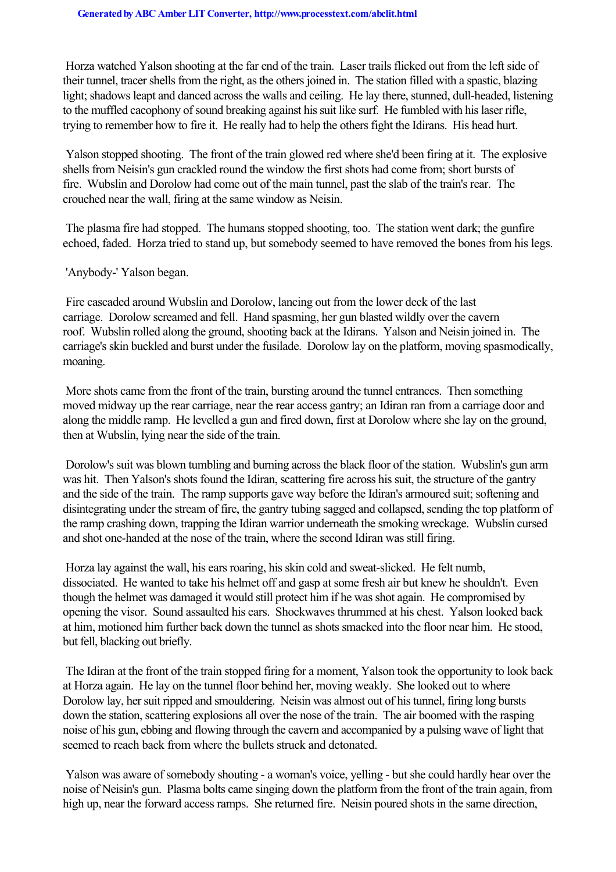Horza watched Yalson shooting at the far end of the train. Laser trails flicked out from the left side of their tunnel, tracer shells from the right, as the others joined in. The station filled with a spastic, blazing light; shadows leapt and danced across the walls and ceiling. He lay there, stunned, dull-headed, listening to the muffled cacophony of sound breaking against his suit like surf. He fumbled with his laser rifle, trying to remember how to fire it. He really had to help the others fight the Idirans. His head hurt.

 Yalson stopped shooting. The front of the train glowed red where she'd been firing at it. The explosive shells from Neisin's gun crackled round the window the first shots had come from; short bursts of fire. Wubslin and Dorolow had come out of the main tunnel, past the slab of the train's rear. The crouched near the wall, firing at the same window as Neisin.

 The plasma fire had stopped. The humans stopped shooting, too. The station went dark; the gunfire echoed, faded. Horza tried to stand up, but somebody seemed to have removed the bones from his legs.

'Anybody-' Yalson began.

 Fire cascaded around Wubslin and Dorolow, lancing out from the lower deck of the last carriage. Dorolow screamed and fell. Hand spasming, her gun blasted wildly over the cavern roof. Wubslin rolled along the ground, shooting back at the Idirans. Yalson and Neisin joined in. The carriage's skin buckled and burst under the fusilade. Dorolow lay on the platform, moving spasmodically, moaning.

 More shots came from the front of the train, bursting around the tunnel entrances. Then something moved midway up the rear carriage, near the rear access gantry; an Idiran ran from a carriage door and along the middle ramp. He levelled a gun and fired down, first at Dorolow where she lay on the ground, then at Wubslin, lying near the side of the train.

 Dorolow's suit was blown tumbling and burning across the black floor of the station. Wubslin's gun arm was hit. Then Yalson's shots found the Idiran, scattering fire across his suit, the structure of the gantry and the side of the train. The ramp supports gave way before the Idiran's armoured suit; softening and disintegrating under the stream of fire, the gantry tubing sagged and collapsed, sending the top platform of the ramp crashing down, trapping the Idiran warrior underneath the smoking wreckage. Wubslin cursed and shot one-handed at the nose of the train, where the second Idiran was still firing.

 Horza lay against the wall, his ears roaring, his skin cold and sweat-slicked. He felt numb, dissociated. He wanted to take his helmet off and gasp at some fresh air but knew he shouldn't. Even though the helmet was damaged it would still protect him if he was shot again. He compromised by opening the visor. Sound assaulted his ears. Shockwaves thrummed at his chest. Yalson looked back at him, motioned him further back down the tunnel as shots smacked into the floor near him. He stood, but fell, blacking out briefly.

 The Idiran at the front of the train stopped firing for a moment, Yalson took the opportunity to look back at Horza again. He lay on the tunnel floor behind her, moving weakly. She looked out to where Dorolow lay, her suit ripped and smouldering. Neisin was almost out of his tunnel, firing long bursts down the station, scattering explosions all over the nose of the train. The air boomed with the rasping noise of his gun, ebbing and flowing through the cavern and accompanied by a pulsing wave of light that seemed to reach back from where the bullets struck and detonated.

 Yalson was aware of somebody shouting - a woman's voice, yelling - but she could hardly hear over the noise of Neisin's gun. Plasma bolts came singing down the platform from the front of the train again, from high up, near the forward access ramps. She returned fire. Neisin poured shots in the same direction,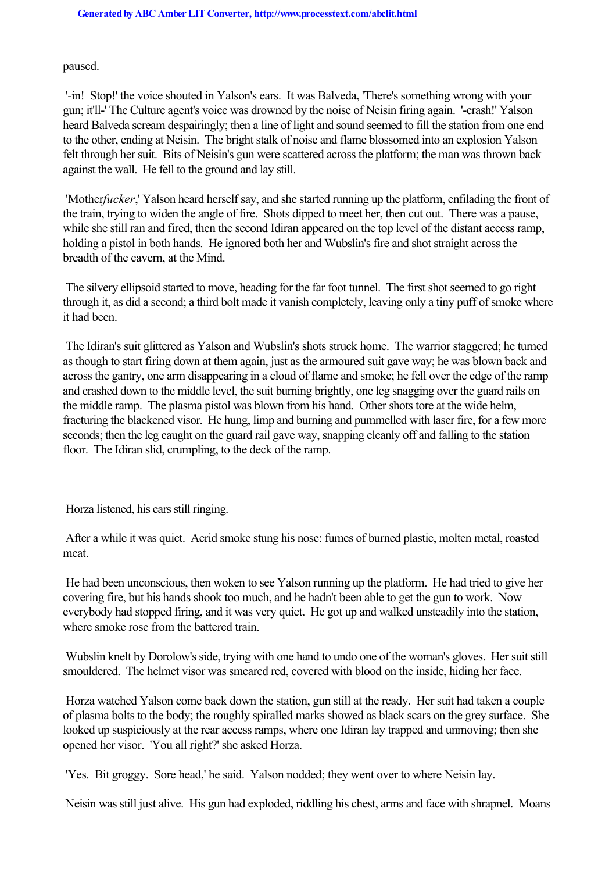paused.

 '-in! Stop!' the voice shouted in Yalson's ears. It was Balveda, 'There's something wrong with your gun; it'll-' The Culture agent's voice was drowned by the noise of Neisin firing again. '-crash!' Yalson heard Balveda scream despairingly; then a line of light and sound seemed to fill the station from one end to the other, ending at Neisin. The bright stalk of noise and flame blossomed into an explosion Yalson felt through her suit. Bits of Neisin's gun were scattered across the platform; the man was thrown back against the wall. He fell to the ground and lay still.

 'Mother*fucker*,' Yalson heard herself say, and she started running up the platform, enfilading the front of the train, trying to widen the angle of fire. Shots dipped to meet her, then cut out. There was a pause, while she still ran and fired, then the second Idiran appeared on the top level of the distant access ramp, holding a pistol in both hands. He ignored both her and Wubslin's fire and shot straight across the breadth of the cavern, at the Mind.

 The silvery ellipsoid started to move, heading for the far foot tunnel. The first shot seemed to go right through it, as did a second; a third bolt made it vanish completely, leaving only a tiny puff of smoke where it had been.

 The Idiran's suit glittered as Yalson and Wubslin's shots struck home. The warrior staggered; he turned as though to start firing down at them again, just as the armoured suit gave way; he was blown back and across the gantry, one arm disappearing in a cloud of flame and smoke; he fell over the edge of the ramp and crashed down to the middle level, the suit burning brightly, one leg snagging over the guard rails on the middle ramp. The plasma pistol was blown from his hand. Other shots tore at the wide helm, fracturing the blackened visor. He hung, limp and burning and pummelled with laser fire, for a few more seconds; then the leg caught on the guard rail gave way, snapping cleanly off and falling to the station floor. The Idiran slid, crumpling, to the deck of the ramp.

Horza listened, his ears still ringing.

 After a while it was quiet. Acrid smoke stung his nose: fumes of burned plastic, molten metal, roasted meat.

 He had been unconscious, then woken to see Yalson running up the platform. He had tried to give her covering fire, but his hands shook too much, and he hadn't been able to get the gun to work. Now everybody had stopped firing, and it was very quiet. He got up and walked unsteadily into the station, where smoke rose from the battered train.

 Wubslin knelt by Dorolow's side, trying with one hand to undo one of the woman's gloves. Her suit still smouldered. The helmet visor was smeared red, covered with blood on the inside, hiding her face.

 Horza watched Yalson come back down the station, gun still at the ready. Her suit had taken a couple of plasma bolts to the body; the roughly spiralled marks showed as black scars on the grey surface. She looked up suspiciously at the rear access ramps, where one Idiran lay trapped and unmoving; then she opened her visor. 'You all right?' she asked Horza.

'Yes. Bit groggy. Sore head,' he said. Yalson nodded; they went over to where Neisin lay.

Neisin was still just alive. His gun had exploded, riddling his chest, arms and face with shrapnel. Moans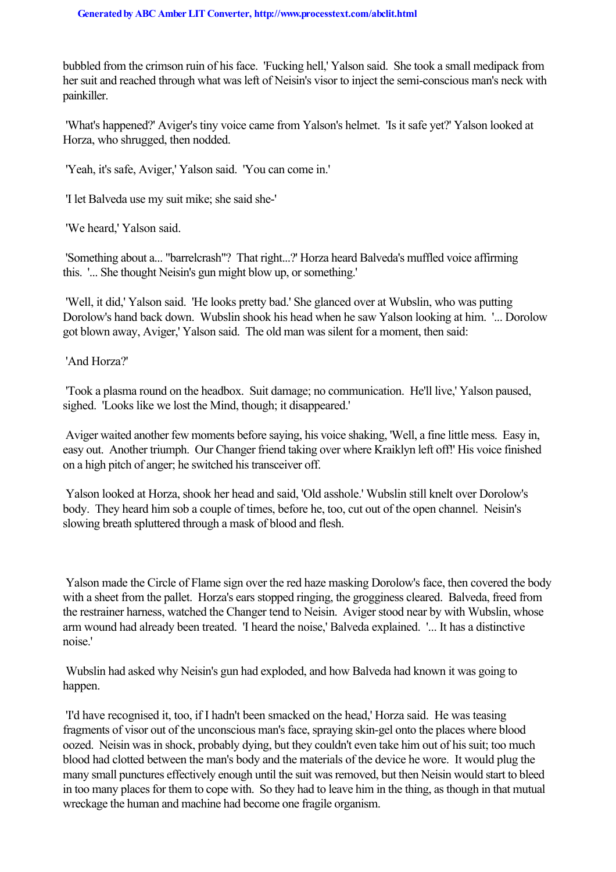#### **Generated by ABC Amber LIT Converter, <http://www.processtext.com/abclit.html>**

bubbled from the crimson ruin of his face. 'Fucking hell,' Yalson said. She took a small medipack from her suit and reached through what was left of Neisin's visor to inject the semi-conscious man's neck with painkiller.

 'What's happened?' Aviger's tiny voice came from Yalson's helmet. 'Is it safe yet?' Yalson looked at Horza, who shrugged, then nodded.

'Yeah, it's safe, Aviger,' Yalson said. 'You can come in.'

'I let Balveda use my suit mike; she said she-'

'We heard,' Yalson said.

 'Something about a... "barrelcrash"? That right...?' Horza heard Balveda's muffled voice affirming this. '... She thought Neisin's gun might blow up, or something.'

 'Well, it did,' Yalson said. 'He looks pretty bad.' She glanced over at Wubslin, who was putting Dorolow's hand back down. Wubslin shook his head when he saw Yalson looking at him. '... Dorolow got blown away, Aviger,' Yalson said. The old man was silent for a moment, then said:

'And Horza?'

 'Took a plasma round on the headbox. Suit damage; no communication. He'll live,' Yalson paused, sighed. 'Looks like we lost the Mind, though; it disappeared.'

 Aviger waited another few moments before saying, his voice shaking, 'Well, a fine little mess. Easy in, easy out. Another triumph. Our Changer friend taking over where Kraiklyn left off!' His voice finished on a high pitch of anger; he switched his transceiver off.

 Yalson looked at Horza, shook her head and said, 'Old asshole.' Wubslin still knelt over Dorolow's body. They heard him sob a couple of times, before he, too, cut out of the open channel. Neisin's slowing breath spluttered through a mask of blood and flesh.

 Yalson made the Circle of Flame sign over the red haze masking Dorolow's face, then covered the body with a sheet from the pallet. Horza's ears stopped ringing, the grogginess cleared. Balveda, freed from the restrainer harness, watched the Changer tend to Neisin. Aviger stood near by with Wubslin, whose arm wound had already been treated. 'I heard the noise,' Balveda explained. '... It has a distinctive noise.'

 Wubslin had asked why Neisin's gun had exploded, and how Balveda had known it was going to happen.

 'I'd have recognised it, too, if I hadn't been smacked on the head,' Horza said. He was teasing fragments of visor out of the unconscious man's face, spraying skin-gel onto the places where blood oozed. Neisin was in shock, probably dying, but they couldn't even take him out of his suit; too much blood had clotted between the man's body and the materials of the device he wore. It would plug the many small punctures effectively enough until the suit was removed, but then Neisin would start to bleed in too many places for them to cope with. So they had to leave him in the thing, as though in that mutual wreckage the human and machine had become one fragile organism.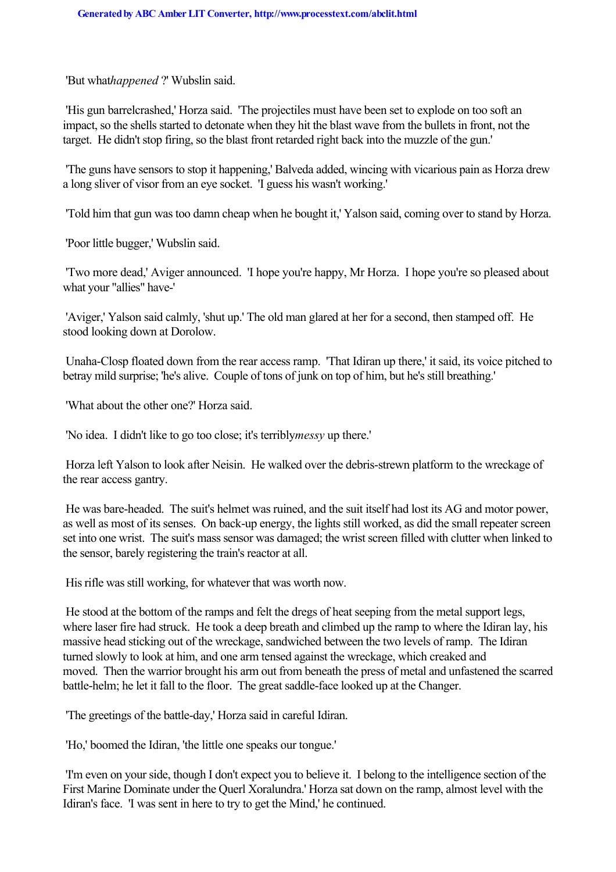'But what*happened* ?' Wubslin said.

 'His gun barrelcrashed,' Horza said. 'The projectiles must have been set to explode on too soft an impact, so the shells started to detonate when they hit the blast wave from the bullets in front, not the target. He didn't stop firing, so the blast front retarded right back into the muzzle of the gun.'

 'The guns have sensors to stop it happening,' Balveda added, wincing with vicarious pain as Horza drew a long sliver of visor from an eye socket. 'I guess his wasn't working.'

'Told him that gun was too damn cheap when he bought it,' Yalson said, coming over to stand by Horza.

'Poor little bugger,' Wubslin said.

 'Two more dead,' Aviger announced. 'I hope you're happy, Mr Horza. I hope you're so pleased about what your "allies" have-'

 'Aviger,' Yalson said calmly, 'shut up.' The old man glared at her for a second, then stamped off. He stood looking down at Dorolow.

 Unaha-Closp floated down from the rear access ramp. 'That Idiran up there,' it said, its voice pitched to betray mild surprise; 'he's alive. Couple of tons of junk on top of him, but he's still breathing.'

'What about the other one?' Horza said.

'No idea. I didn't like to go too close; it's terribly*messy* up there.'

 Horza left Yalson to look after Neisin. He walked over the debris-strewn platform to the wreckage of the rear access gantry.

 He was bare-headed. The suit's helmet was ruined, and the suit itself had lost its AG and motor power, as well as most of its senses. On back-up energy, the lights still worked, as did the small repeater screen set into one wrist. The suit's mass sensor was damaged; the wrist screen filled with clutter when linked to the sensor, barely registering the train's reactor at all.

His rifle was still working, for whatever that was worth now.

 He stood at the bottom of the ramps and felt the dregs of heat seeping from the metal support legs, where laser fire had struck. He took a deep breath and climbed up the ramp to where the Idiran lay, his massive head sticking out of the wreckage, sandwiched between the two levels of ramp. The Idiran turned slowly to look at him, and one arm tensed against the wreckage, which creaked and moved. Then the warrior brought his arm out from beneath the press of metal and unfastened the scarred battle-helm; he let it fall to the floor. The great saddle-face looked up at the Changer.

'The greetings of the battle-day,' Horza said in careful Idiran.

'Ho,' boomed the Idiran, 'the little one speaks our tongue.'

 'I'm even on your side, though I don't expect you to believe it. I belong to the intelligence section of the First Marine Dominate under the Querl Xoralundra.' Horza sat down on the ramp, almost level with the Idiran's face. 'I was sent in here to try to get the Mind,' he continued.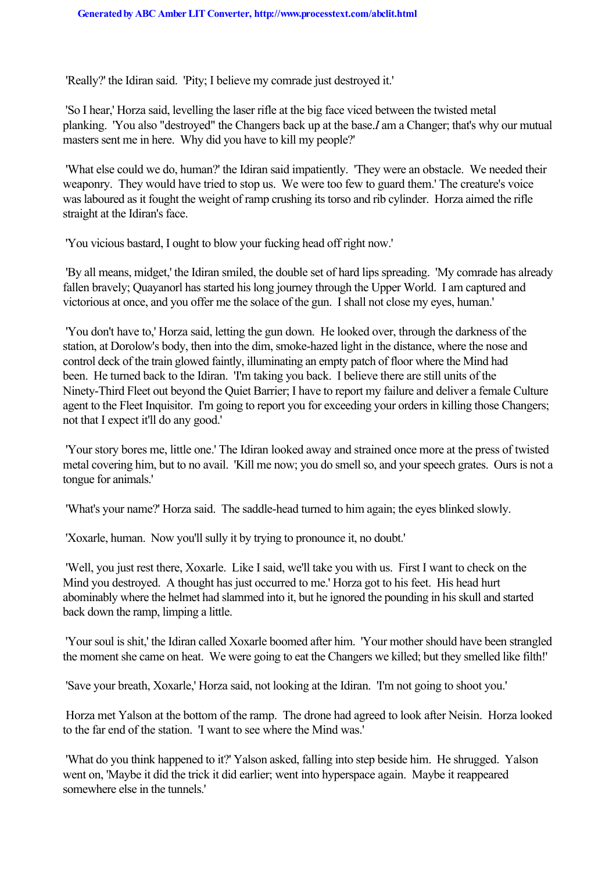'Really?' the Idiran said. 'Pity; I believe my comrade just destroyed it.'

 'So I hear,' Horza said, levelling the laser rifle at the big face viced between the twisted metal planking. 'You also "destroyed" the Changers back up at the base.*I* am a Changer; that's why our mutual masters sent me in here. Why did you have to kill my people?'

 'What else could we do, human?' the Idiran said impatiently. 'They were an obstacle. We needed their weaponry. They would have tried to stop us. We were too few to guard them.' The creature's voice was laboured as it fought the weight of ramp crushing its torso and rib cylinder. Horza aimed the rifle straight at the Idiran's face.

'You vicious bastard, I ought to blow your fucking head off right now.'

 'By all means, midget,' the Idiran smiled, the double set of hard lips spreading. 'My comrade has already fallen bravely; Quayanorl has started his long journey through the Upper World. I am captured and victorious at once, and you offer me the solace of the gun. I shall not close my eyes, human.'

 'You don't have to,' Horza said, letting the gun down. He looked over, through the darkness of the station, at Dorolow's body, then into the dim, smoke-hazed light in the distance, where the nose and control deck of the train glowed faintly, illuminating an empty patch of floor where the Mind had been. He turned back to the Idiran. 'I'm taking you back. I believe there are still units of the Ninety-Third Fleet out beyond the Quiet Barrier; I have to report my failure and deliver a female Culture agent to the Fleet Inquisitor. I'm going to report you for exceeding your orders in killing those Changers; not that I expect it'll do any good.'

 'Your story bores me, little one.' The Idiran looked away and strained once more at the press of twisted metal covering him, but to no avail. 'Kill me now; you do smell so, and your speech grates. Ours is not a tongue for animals.'

'What's your name?' Horza said. The saddle-head turned to him again; the eyes blinked slowly.

'Xoxarle, human. Now you'll sully it by trying to pronounce it, no doubt.'

 'Well, you just rest there, Xoxarle. Like I said, we'll take you with us. First I want to check on the Mind you destroyed. A thought has just occurred to me.' Horza got to his feet. His head hurt abominably where the helmet had slammed into it, but he ignored the pounding in his skull and started back down the ramp, limping a little.

 'Your soul is shit,' the Idiran called Xoxarle boomed after him. 'Your mother should have been strangled the moment she came on heat. We were going to eat the Changers we killed; but they smelled like filth!'

'Save your breath, Xoxarle,' Horza said, not looking at the Idiran. 'I'm not going to shoot you.'

 Horza met Yalson at the bottom of the ramp. The drone had agreed to look after Neisin. Horza looked to the far end of the station. 'I want to see where the Mind was.'

 'What do you think happened to it?' Yalson asked, falling into step beside him. He shrugged. Yalson went on, 'Maybe it did the trick it did earlier; went into hyperspace again. Maybe it reappeared somewhere else in the tunnels.'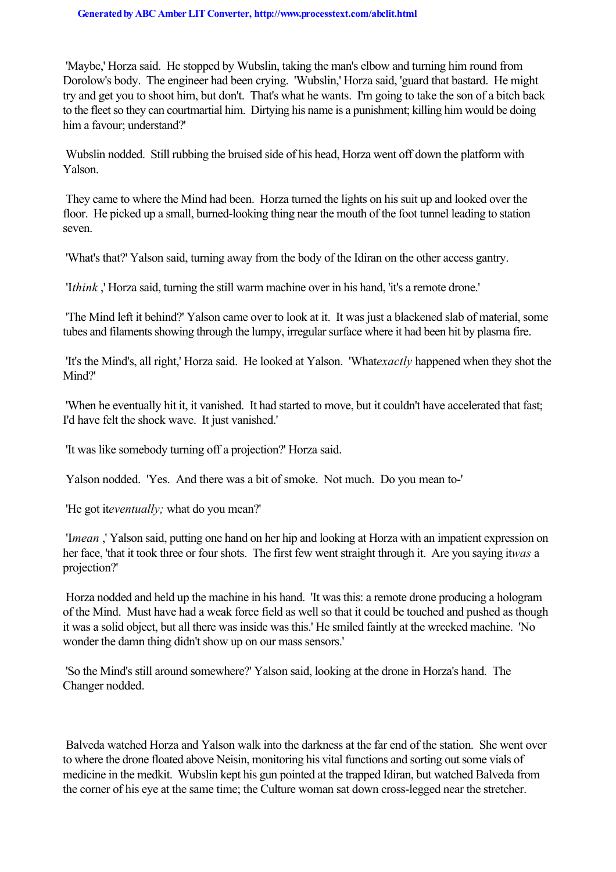'Maybe,' Horza said. He stopped by Wubslin, taking the man's elbow and turning him round from Dorolow's body. The engineer had been crying. 'Wubslin,' Horza said, 'guard that bastard. He might try and get you to shoot him, but don't. That's what he wants. I'm going to take the son of a bitch back to the fleet so they can courtmartial him. Dirtying his name is a punishment; killing him would be doing him a favour; understand?'

 Wubslin nodded. Still rubbing the bruised side of his head, Horza went off down the platform with Yalson.

 They came to where the Mind had been. Horza turned the lights on his suit up and looked over the floor. He picked up a small, burned-looking thing near the mouth of the foot tunnel leading to station seven.

'What's that?' Yalson said, turning away from the body of the Idiran on the other access gantry.

'I*think* ,' Horza said, turning the still warm machine over in his hand, 'it's a remote drone.'

 'The Mind left it behind?' Yalson came over to look at it. It was just a blackened slab of material, some tubes and filaments showing through the lumpy, irregular surface where it had been hit by plasma fire.

 'It's the Mind's, all right,' Horza said. He looked at Yalson. 'What*exactly* happened when they shot the Mind?'

 'When he eventually hit it, it vanished. It had started to move, but it couldn't have accelerated that fast; I'd have felt the shock wave. It just vanished.'

'It was like somebody turning off a projection?' Horza said.

Yalson nodded. 'Yes. And there was a bit of smoke. Not much. Do you mean to-'

'He got it*eventually;* what do you mean?'

 'I*mean* ,' Yalson said, putting one hand on her hip and looking at Horza with an impatient expression on her face, 'that it took three or four shots. The first few went straight through it. Are you saying it*was* a projection?'

 Horza nodded and held up the machine in his hand. 'It was this: a remote drone producing a hologram of the Mind. Must have had a weak force field as well so that it could be touched and pushed as though it was a solid object, but all there was inside was this.' He smiled faintly at the wrecked machine. 'No wonder the damn thing didn't show up on our mass sensors.'

 'So the Mind's still around somewhere?' Yalson said, looking at the drone in Horza's hand. The Changer nodded.

 Balveda watched Horza and Yalson walk into the darkness at the far end of the station. She went over to where the drone floated above Neisin, monitoring his vital functions and sorting out some vials of medicine in the medkit. Wubslin kept his gun pointed at the trapped Idiran, but watched Balveda from the corner of his eye at the same time; the Culture woman sat down cross-legged near the stretcher.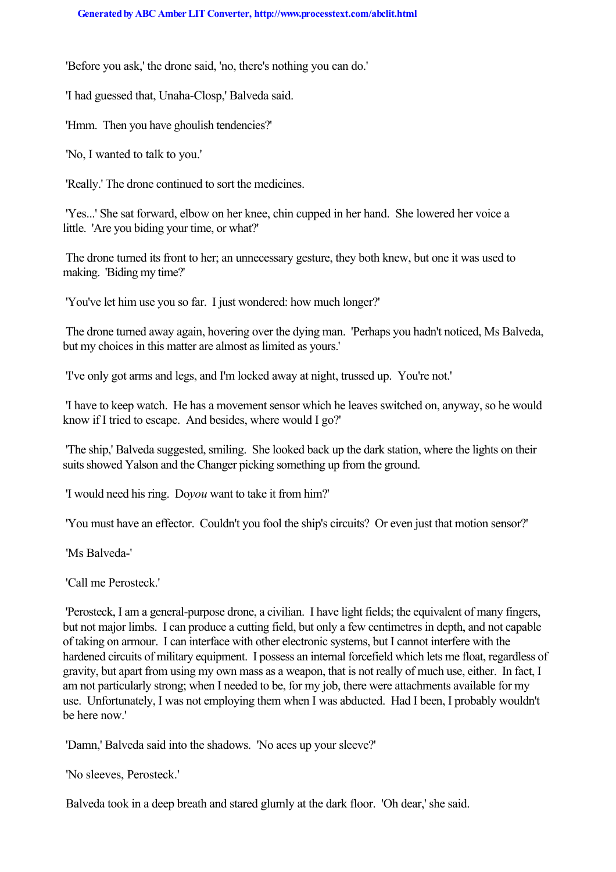'Before you ask,' the drone said, 'no, there's nothing you can do.'

'I had guessed that, Unaha-Closp,' Balveda said.

'Hmm. Then you have ghoulish tendencies?'

'No, I wanted to talk to you.'

'Really.' The drone continued to sort the medicines.

 'Yes...' She sat forward, elbow on her knee, chin cupped in her hand. She lowered her voice a little. 'Are you biding your time, or what?'

 The drone turned its front to her; an unnecessary gesture, they both knew, but one it was used to making. 'Biding my time?'

'You've let him use you so far. I just wondered: how much longer?'

 The drone turned away again, hovering over the dying man. 'Perhaps you hadn't noticed, Ms Balveda, but my choices in this matter are almost as limited as yours.'

'I've only got arms and legs, and I'm locked away at night, trussed up. You're not.'

 'I have to keep watch. He has a movement sensor which he leaves switched on, anyway, so he would know if I tried to escape. And besides, where would I go?'

 'The ship,' Balveda suggested, smiling. She looked back up the dark station, where the lights on their suits showed Yalson and the Changer picking something up from the ground.

'I would need his ring. Do*you* want to take it from him?'

'You must have an effector. Couldn't you fool the ship's circuits? Or even just that motion sensor?'

'Ms Balveda-'

'Call me Perosteck.'

 'Perosteck, I am a general-purpose drone, a civilian. I have light fields; the equivalent of many fingers, but not major limbs. I can produce a cutting field, but only a few centimetres in depth, and not capable of taking on armour. I can interface with other electronic systems, but I cannot interfere with the hardened circuits of military equipment. I possess an internal forcefield which lets me float, regardless of gravity, but apart from using my own mass as a weapon, that is not really of much use, either. In fact, I am not particularly strong; when I needed to be, for my job, there were attachments available for my use. Unfortunately, I was not employing them when I was abducted. Had I been, I probably wouldn't be here now.'

'Damn,' Balveda said into the shadows. 'No aces up your sleeve?'

'No sleeves, Perosteck.'

Balveda took in a deep breath and stared glumly at the dark floor. 'Oh dear,' she said.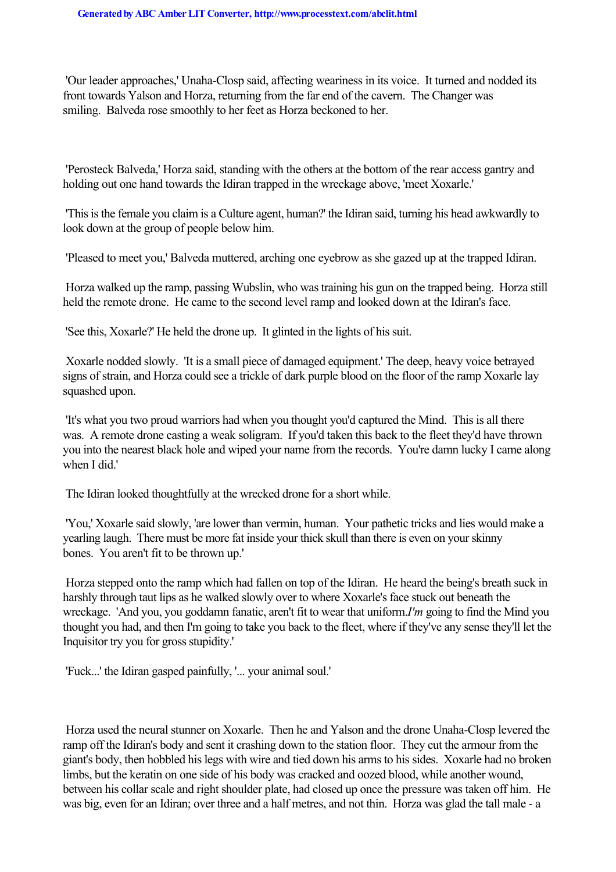'Our leader approaches,' Unaha-Closp said, affecting weariness in its voice. It turned and nodded its front towards Yalson and Horza, returning from the far end of the cavern. The Changer was smiling. Balveda rose smoothly to her feet as Horza beckoned to her.

 'Perosteck Balveda,' Horza said, standing with the others at the bottom of the rear access gantry and holding out one hand towards the Idiran trapped in the wreckage above, 'meet Xoxarle.'

 'This is the female you claim is a Culture agent, human?' the Idiran said, turning his head awkwardly to look down at the group of people below him.

'Pleased to meet you,' Balveda muttered, arching one eyebrow as she gazed up at the trapped Idiran.

 Horza walked up the ramp, passing Wubslin, who was training his gun on the trapped being. Horza still held the remote drone. He came to the second level ramp and looked down at the Idiran's face.

'See this, Xoxarle?' He held the drone up. It glinted in the lights of his suit.

 Xoxarle nodded slowly. 'It is a small piece of damaged equipment.' The deep, heavy voice betrayed signs of strain, and Horza could see a trickle of dark purple blood on the floor of the ramp Xoxarle lay squashed upon.

 'It's what you two proud warriors had when you thought you'd captured the Mind. This is all there was. A remote drone casting a weak soligram. If you'd taken this back to the fleet they'd have thrown you into the nearest black hole and wiped your name from the records. You're damn lucky I came along when I did.'

The Idiran looked thoughtfully at the wrecked drone for a short while.

 'You,' Xoxarle said slowly, 'are lower than vermin, human. Your pathetic tricks and lies would make a yearling laugh. There must be more fat inside your thick skull than there is even on your skinny bones. You aren't fit to be thrown up.'

 Horza stepped onto the ramp which had fallen on top of the Idiran. He heard the being's breath suck in harshly through taut lips as he walked slowly over to where Xoxarle's face stuck out beneath the wreckage. 'And you, you goddamn fanatic, aren't fit to wear that uniform.*I'm* going to find the Mind you thought you had, and then I'm going to take you back to the fleet, where if they've any sense they'll let the Inquisitor try you for gross stupidity.'

'Fuck...' the Idiran gasped painfully, '... your animal soul.'

 Horza used the neural stunner on Xoxarle. Then he and Yalson and the drone Unaha-Closp levered the ramp off the Idiran's body and sent it crashing down to the station floor. They cut the armour from the giant's body, then hobbled his legs with wire and tied down his arms to his sides. Xoxarle had no broken limbs, but the keratin on one side of his body was cracked and oozed blood, while another wound, between his collar scale and right shoulder plate, had closed up once the pressure was taken off him. He was big, even for an Idiran; over three and a half metres, and not thin. Horza was glad the tall male - a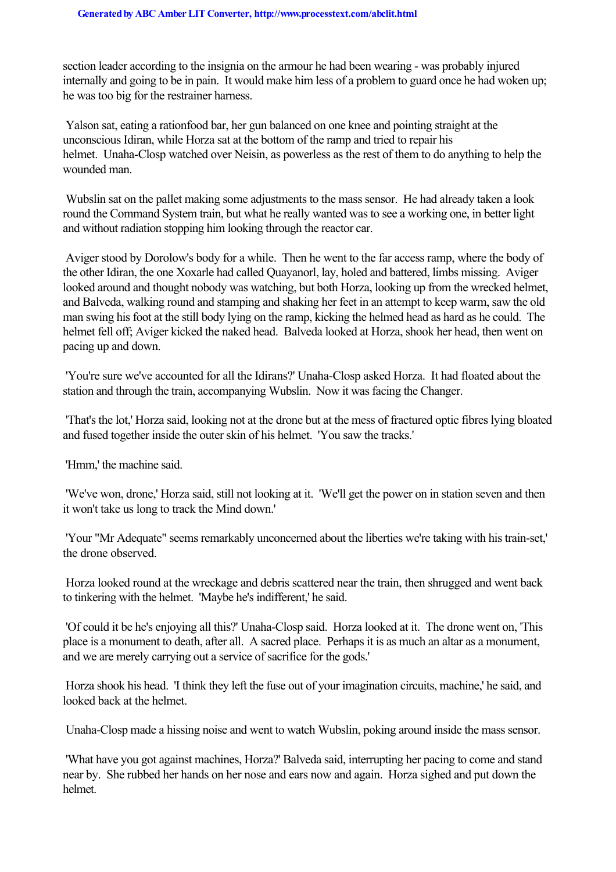section leader according to the insignia on the armour he had been wearing - was probably injured internally and going to be in pain. It would make him less of a problem to guard once he had woken up; he was too big for the restrainer harness.

 Yalson sat, eating a rationfood bar, her gun balanced on one knee and pointing straight at the unconscious Idiran, while Horza sat at the bottom of the ramp and tried to repair his helmet. Unaha-Closp watched over Neisin, as powerless as the rest of them to do anything to help the wounded man.

 Wubslin sat on the pallet making some adjustments to the mass sensor. He had already taken a look round the Command System train, but what he really wanted was to see a working one, in better light and without radiation stopping him looking through the reactor car.

 Aviger stood by Dorolow's body for a while. Then he went to the far access ramp, where the body of the other Idiran, the one Xoxarle had called Quayanorl, lay, holed and battered, limbs missing. Aviger looked around and thought nobody was watching, but both Horza, looking up from the wrecked helmet, and Balveda, walking round and stamping and shaking her feet in an attempt to keep warm, saw the old man swing his foot at the still body lying on the ramp, kicking the helmed head as hard as he could. The helmet fell off; Aviger kicked the naked head. Balveda looked at Horza, shook her head, then went on pacing up and down.

 'You're sure we've accounted for all the Idirans?' Unaha-Closp asked Horza. It had floated about the station and through the train, accompanying Wubslin. Now it was facing the Changer.

 'That's the lot,' Horza said, looking not at the drone but at the mess of fractured optic fibres lying bloated and fused together inside the outer skin of his helmet. 'You saw the tracks.'

'Hmm,' the machine said.

 'We've won, drone,' Horza said, still not looking at it. 'We'll get the power on in station seven and then it won't take us long to track the Mind down.'

 'Your "Mr Adequate" seems remarkably unconcerned about the liberties we're taking with his train-set,' the drone observed.

 Horza looked round at the wreckage and debris scattered near the train, then shrugged and went back to tinkering with the helmet. 'Maybe he's indifferent,' he said.

 'Of could it be he's enjoying all this?' Unaha-Closp said. Horza looked at it. The drone went on, 'This place is a monument to death, after all. A sacred place. Perhaps it is as much an altar as a monument, and we are merely carrying out a service of sacrifice for the gods.'

 Horza shook his head. 'I think they left the fuse out of your imagination circuits, machine,' he said, and looked back at the helmet.

Unaha-Closp made a hissing noise and went to watch Wubslin, poking around inside the mass sensor.

 'What have you got against machines, Horza?' Balveda said, interrupting her pacing to come and stand near by. She rubbed her hands on her nose and ears now and again. Horza sighed and put down the helmet.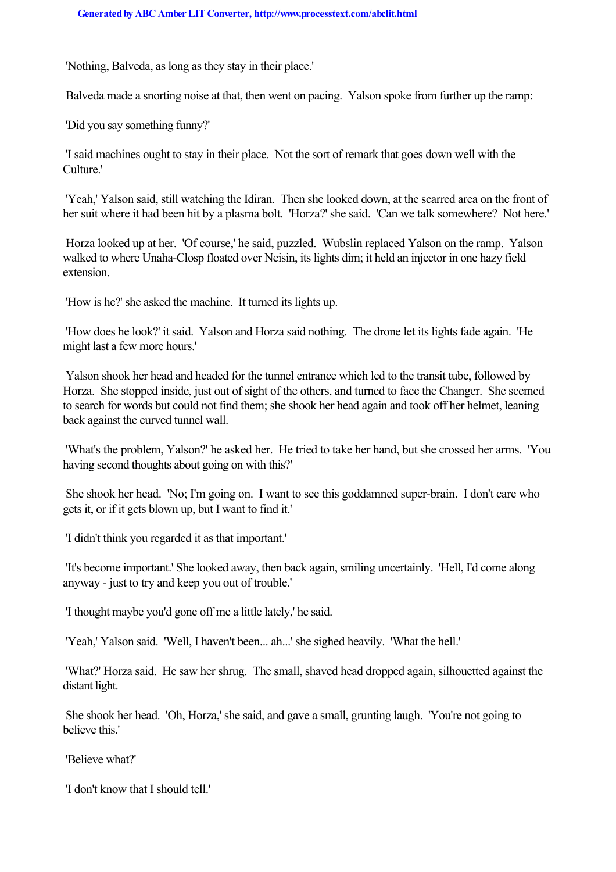## **Generated by ABC Amber LIT Converter, <http://www.processtext.com/abclit.html>**

'Nothing, Balveda, as long as they stay in their place.'

Balveda made a snorting noise at that, then went on pacing. Yalson spoke from further up the ramp:

'Did you say something funny?'

 'I said machines ought to stay in their place. Not the sort of remark that goes down well with the Culture.'

 'Yeah,' Yalson said, still watching the Idiran. Then she looked down, at the scarred area on the front of her suit where it had been hit by a plasma bolt. 'Horza?' she said. 'Can we talk somewhere? Not here.'

 Horza looked up at her. 'Of course,' he said, puzzled. Wubslin replaced Yalson on the ramp. Yalson walked to where Unaha-Closp floated over Neisin, its lights dim; it held an injector in one hazy field extension.

'How is he?' she asked the machine. It turned its lights up.

 'How does he look?' it said. Yalson and Horza said nothing. The drone let its lights fade again. 'He might last a few more hours.'

 Yalson shook her head and headed for the tunnel entrance which led to the transit tube, followed by Horza. She stopped inside, just out of sight of the others, and turned to face the Changer. She seemed to search for words but could not find them; she shook her head again and took off her helmet, leaning back against the curved tunnel wall.

 'What's the problem, Yalson?' he asked her. He tried to take her hand, but she crossed her arms. 'You having second thoughts about going on with this?'

 She shook her head. 'No; I'm going on. I want to see this goddamned super-brain. I don't care who gets it, or if it gets blown up, but I want to find it.'

'I didn't think you regarded it as that important.'

 'It's become important.' She looked away, then back again, smiling uncertainly. 'Hell, I'd come along anyway - just to try and keep you out of trouble.'

'I thought maybe you'd gone off me a little lately,' he said.

'Yeah,' Yalson said. 'Well, I haven't been... ah...' she sighed heavily. 'What the hell.'

 'What?' Horza said. He saw her shrug. The small, shaved head dropped again, silhouetted against the distant light.

 She shook her head. 'Oh, Horza,' she said, and gave a small, grunting laugh. 'You're not going to believe this.'

'Believe what?'

'I don't know that I should tell.'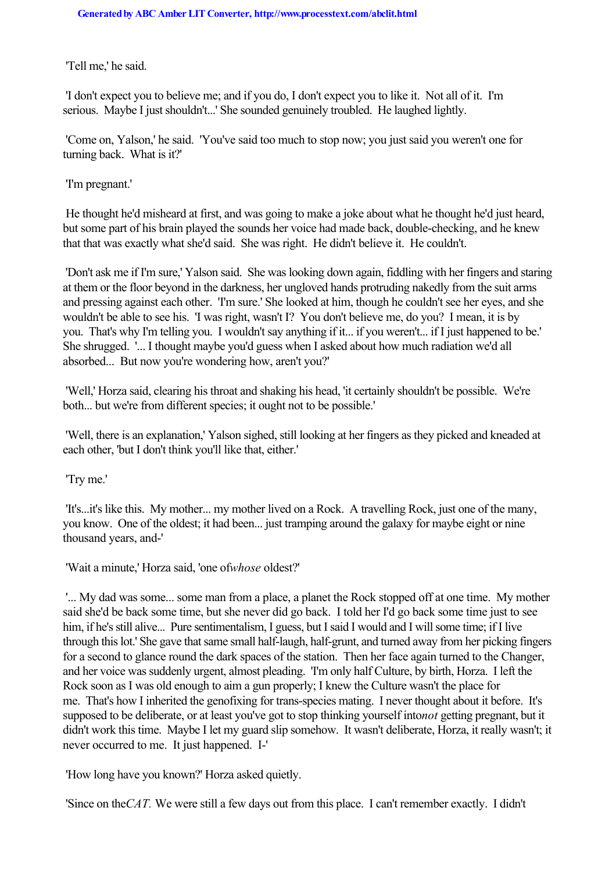'Tell me,' he said.

 'I don't expect you to believe me; and if you do, I don't expect you to like it. Not all of it. I'm serious. Maybe I just shouldn't...' She sounded genuinely troubled. He laughed lightly.

 'Come on, Yalson,' he said. 'You've said too much to stop now; you just said you weren't one for turning back. What is it?'

'I'm pregnant.'

 He thought he'd misheard at first, and was going to make a joke about what he thought he'd just heard, but some part of his brain played the sounds her voice had made back, double-checking, and he knew that that was exactly what she'd said. She was right. He didn't believe it. He couldn't.

 'Don't ask me if I'm sure,' Yalson said. She was looking down again, fiddling with her fingers and staring at them or the floor beyond in the darkness, her ungloved hands protruding nakedly from the suit arms and pressing against each other. 'I'm sure.' She looked at him, though he couldn't see her eyes, and she wouldn't be able to see his. 'I was right, wasn't I? You don't believe me, do you? I mean, it is by you. That's why I'm telling you. I wouldn't say anything if it... if you weren't... if I just happened to be.' She shrugged. '... I thought maybe you'd guess when I asked about how much radiation we'd all absorbed... But now you're wondering how, aren't you?'

 'Well,' Horza said, clearing his throat and shaking his head, 'it certainly shouldn't be possible. We're both... but we're from different species; it ought not to be possible.'

 'Well, there is an explanation,' Yalson sighed, still looking at her fingers as they picked and kneaded at each other, 'but I don't think you'll like that, either.'

'Try me.'

 'It's...it's like this. My mother... my mother lived on a Rock. A travelling Rock, just one of the many, you know. One of the oldest; it had been... just tramping around the galaxy for maybe eight or nine thousand years, and-'

'Wait a minute,' Horza said, 'one of*whose* oldest?'

 '... My dad was some... some man from a place, a planet the Rock stopped off at one time. My mother said she'd be back some time, but she never did go back. I told her I'd go back some time just to see him, if he's still alive... Pure sentimentalism, I guess, but I said I would and I will some time; if I live through this lot.' She gave that same small half-laugh, half-grunt, and turned away from her picking fingers for a second to glance round the dark spaces of the station. Then her face again turned to the Changer, and her voice was suddenly urgent, almost pleading. 'I'm only half Culture, by birth, Horza. I left the Rock soon as I was old enough to aim a gun properly; I knew the Culture wasn't the place for me. That's how I inherited the genofixing for trans-species mating. I never thought about it before. It's supposed to be deliberate, or at least you've got to stop thinking yourself into*not* getting pregnant, but it didn't work this time. Maybe I let my guard slip somehow. It wasn't deliberate, Horza, it really wasn't; it never occurred to me. It just happened. I-'

'How long have you known?' Horza asked quietly.

'Since on the*CAT.* We were still a few days out from this place. I can't remember exactly. I didn't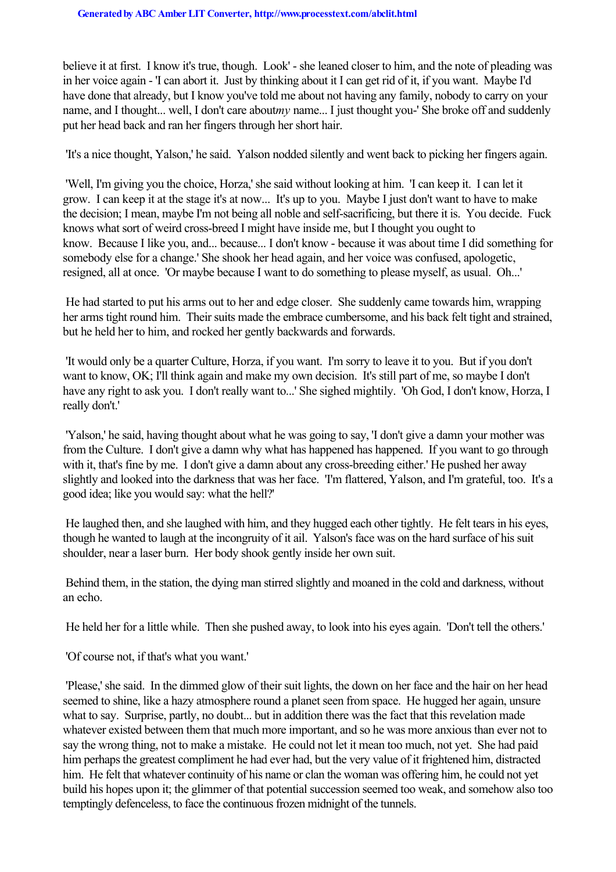believe it at first. I know it's true, though. Look' - she leaned closer to him, and the note of pleading was in her voice again - 'I can abort it. Just by thinking about it I can get rid of it, if you want. Maybe I'd have done that already, but I know you've told me about not having any family, nobody to carry on your name, and I thought... well, I don't care about*my* name... I just thought you-' She broke off and suddenly put her head back and ran her fingers through her short hair.

'It's a nice thought, Yalson,' he said. Yalson nodded silently and went back to picking her fingers again.

 'Well, I'm giving you the choice, Horza,' she said without looking at him. 'I can keep it. I can let it grow. I can keep it at the stage it's at now... It's up to you. Maybe I just don't want to have to make the decision; I mean, maybe I'm not being all noble and self-sacrificing, but there it is. You decide. Fuck knows what sort of weird cross-breed I might have inside me, but I thought you ought to know. Because I like you, and... because... I don't know - because it was about time I did something for somebody else for a change.' She shook her head again, and her voice was confused, apologetic, resigned, all at once. 'Or maybe because I want to do something to please myself, as usual. Oh...'

 He had started to put his arms out to her and edge closer. She suddenly came towards him, wrapping her arms tight round him. Their suits made the embrace cumbersome, and his back felt tight and strained, but he held her to him, and rocked her gently backwards and forwards.

 'It would only be a quarter Culture, Horza, if you want. I'm sorry to leave it to you. But if you don't want to know, OK; I'll think again and make my own decision. It's still part of me, so maybe I don't have any right to ask you. I don't really want to...' She sighed mightily. 'Oh God, I don't know, Horza, I really don't.'

 'Yalson,' he said, having thought about what he was going to say, 'I don't give a damn your mother was from the Culture. I don't give a damn why what has happened has happened. If you want to go through with it, that's fine by me. I don't give a damn about any cross-breeding either.' He pushed her away slightly and looked into the darkness that was her face. 'I'm flattered, Yalson, and I'm grateful, too. It's a good idea; like you would say: what the hell?'

 He laughed then, and she laughed with him, and they hugged each other tightly. He felt tears in his eyes, though he wanted to laugh at the incongruity of it ail. Yalson's face was on the hard surface of his suit shoulder, near a laser burn. Her body shook gently inside her own suit.

 Behind them, in the station, the dying man stirred slightly and moaned in the cold and darkness, without an echo.

He held her for a little while. Then she pushed away, to look into his eyes again. 'Don't tell the others.'

'Of course not, if that's what you want.'

 'Please,' she said. In the dimmed glow of their suit lights, the down on her face and the hair on her head seemed to shine, like a hazy atmosphere round a planet seen from space. He hugged her again, unsure what to say. Surprise, partly, no doubt... but in addition there was the fact that this revelation made whatever existed between them that much more important, and so he was more anxious than ever not to say the wrong thing, not to make a mistake. He could not let it mean too much, not yet. She had paid him perhaps the greatest compliment he had ever had, but the very value of it frightened him, distracted him. He felt that whatever continuity of his name or clan the woman was offering him, he could not yet build his hopes upon it; the glimmer of that potential succession seemed too weak, and somehow also too temptingly defenceless, to face the continuous frozen midnight of the tunnels.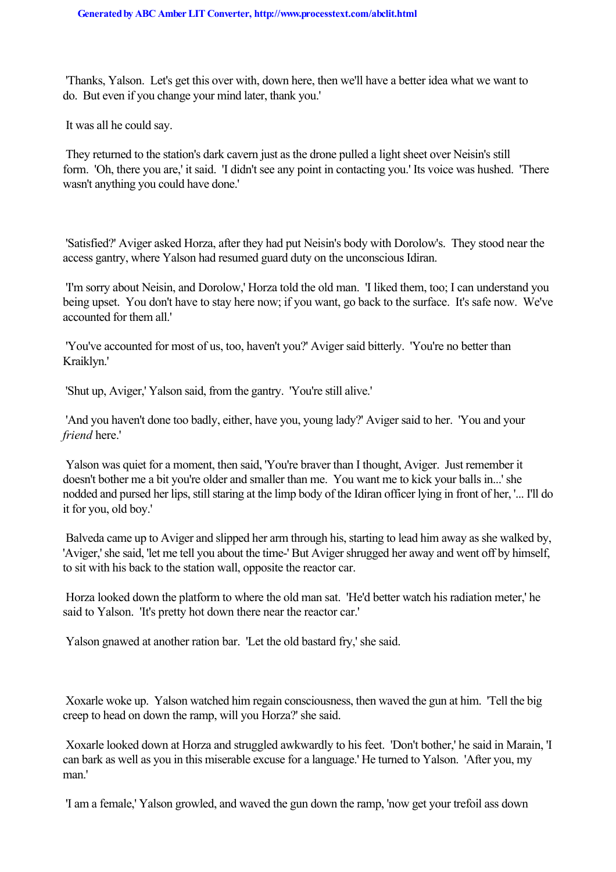'Thanks, Yalson. Let's get this over with, down here, then we'll have a better idea what we want to do. But even if you change your mind later, thank you.'

It was all he could say.

 They returned to the station's dark cavern just as the drone pulled a light sheet over Neisin's still form. 'Oh, there you are,' it said. 'I didn't see any point in contacting you.' Its voice was hushed. 'There wasn't anything you could have done.'

 'Satisfied?' Aviger asked Horza, after they had put Neisin's body with Dorolow's. They stood near the access gantry, where Yalson had resumed guard duty on the unconscious Idiran.

 'I'm sorry about Neisin, and Dorolow,' Horza told the old man. 'I liked them, too; I can understand you being upset. You don't have to stay here now; if you want, go back to the surface. It's safe now. We've accounted for them all.'

 'You've accounted for most of us, too, haven't you?' Aviger said bitterly. 'You're no better than Kraiklyn.'

'Shut up, Aviger,' Yalson said, from the gantry. 'You're still alive.'

 'And you haven't done too badly, either, have you, young lady?' Aviger said to her. 'You and your *friend* here.'

 Yalson was quiet for a moment, then said, 'You're braver than I thought, Aviger. Just remember it doesn't bother me a bit you're older and smaller than me. You want me to kick your balls in...' she nodded and pursed her lips, still staring at the limp body of the Idiran officer lying in front of her, '... I'll do it for you, old boy.'

 Balveda came up to Aviger and slipped her arm through his, starting to lead him away as she walked by, 'Aviger,' she said, 'let me tell you about the time-' But Aviger shrugged her away and went off by himself, to sit with his back to the station wall, opposite the reactor car.

 Horza looked down the platform to where the old man sat. 'He'd better watch his radiation meter,' he said to Yalson. 'It's pretty hot down there near the reactor car.'

Yalson gnawed at another ration bar. 'Let the old bastard fry,' she said.

 Xoxarle woke up. Yalson watched him regain consciousness, then waved the gun at him. 'Tell the big creep to head on down the ramp, will you Horza?' she said.

 Xoxarle looked down at Horza and struggled awkwardly to his feet. 'Don't bother,' he said in Marain, 'I can bark as well as you in this miserable excuse for a language.' He turned to Yalson. 'After you, my man.'

'I am a female,' Yalson growled, and waved the gun down the ramp, 'now get your trefoil ass down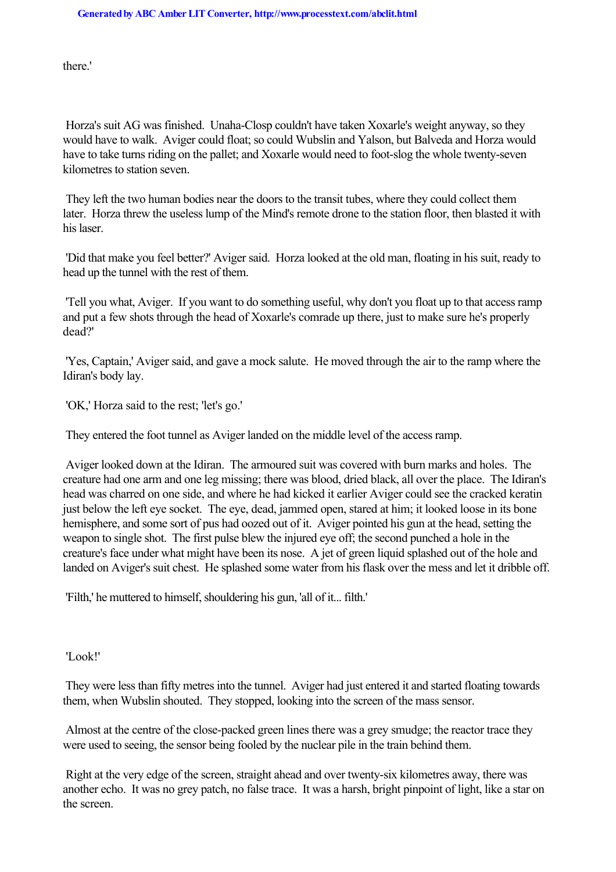there.'

 Horza's suit AG was finished. Unaha-Closp couldn't have taken Xoxarle's weight anyway, so they would have to walk. Aviger could float; so could Wubslin and Yalson, but Balveda and Horza would have to take turns riding on the pallet; and Xoxarle would need to foot-slog the whole twenty-seven kilometres to station seven.

 They left the two human bodies near the doors to the transit tubes, where they could collect them later. Horza threw the useless lump of the Mind's remote drone to the station floor, then blasted it with his laser.

 'Did that make you feel better?' Aviger said. Horza looked at the old man, floating in his suit, ready to head up the tunnel with the rest of them.

 'Tell you what, Aviger. If you want to do something useful, why don't you float up to that access ramp and put a few shots through the head of Xoxarle's comrade up there, just to make sure he's properly dead?'

 'Yes, Captain,' Aviger said, and gave a mock salute. He moved through the air to the ramp where the Idiran's body lay.

'OK,' Horza said to the rest; 'let's go.'

They entered the foot tunnel as Aviger landed on the middle level of the access ramp.

 Aviger looked down at the Idiran. The armoured suit was covered with burn marks and holes. The creature had one arm and one leg missing; there was blood, dried black, all over the place. The Idiran's head was charred on one side, and where he had kicked it earlier Aviger could see the cracked keratin just below the left eye socket. The eye, dead, jammed open, stared at him; it looked loose in its bone hemisphere, and some sort of pus had oozed out of it. Aviger pointed his gun at the head, setting the weapon to single shot. The first pulse blew the injured eye off; the second punched a hole in the creature's face under what might have been its nose. A jet of green liquid splashed out of the hole and landed on Aviger's suit chest. He splashed some water from his flask over the mess and let it dribble off.

'Filth,' he muttered to himself, shouldering his gun, 'all of it... filth.'

'Look!'

 They were less than fifty metres into the tunnel. Aviger had just entered it and started floating towards them, when Wubslin shouted. They stopped, looking into the screen of the mass sensor.

 Almost at the centre of the close-packed green lines there was a grey smudge; the reactor trace they were used to seeing, the sensor being fooled by the nuclear pile in the train behind them.

 Right at the very edge of the screen, straight ahead and over twenty-six kilometres away, there was another echo. It was no grey patch, no false trace. It was a harsh, bright pinpoint of light, like a star on the screen.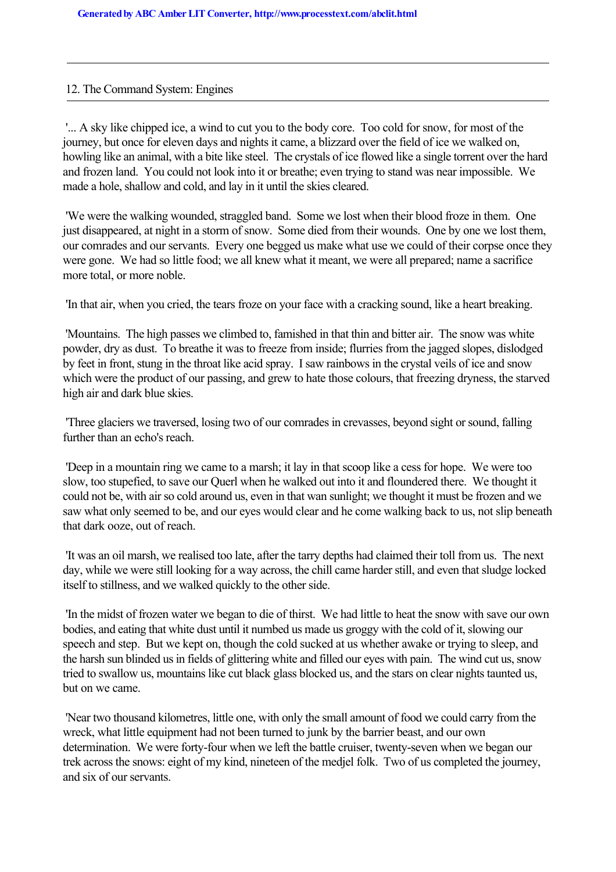# 12. The Command System: Engines

 '... A sky like chipped ice, a wind to cut you to the body core. Too cold for snow, for most of the journey, but once for eleven days and nights it came, a blizzard over the field of ice we walked on, howling like an animal, with a bite like steel. The crystals of ice flowed like a single torrent over the hard and frozen land. You could not look into it or breathe; even trying to stand was near impossible. We made a hole, shallow and cold, and lay in it until the skies cleared.

 'We were the walking wounded, straggled band. Some we lost when their blood froze in them. One just disappeared, at night in a storm of snow. Some died from their wounds. One by one we lost them, our comrades and our servants. Every one begged us make what use we could of their corpse once they were gone. We had so little food; we all knew what it meant, we were all prepared; name a sacrifice more total, or more noble.

'In that air, when you cried, the tears froze on your face with a cracking sound, like a heart breaking.

 'Mountains. The high passes we climbed to, famished in that thin and bitter air. The snow was white powder, dry as dust. To breathe it was to freeze from inside; flurries from the jagged slopes, dislodged by feet in front, stung in the throat like acid spray. I saw rainbows in the crystal veils of ice and snow which were the product of our passing, and grew to hate those colours, that freezing dryness, the starved high air and dark blue skies.

 'Three glaciers we traversed, losing two of our comrades in crevasses, beyond sight or sound, falling further than an echo's reach.

 'Deep in a mountain ring we came to a marsh; it lay in that scoop like a cess for hope. We were too slow, too stupefied, to save our Querl when he walked out into it and floundered there. We thought it could not be, with air so cold around us, even in that wan sunlight; we thought it must be frozen and we saw what only seemed to be, and our eyes would clear and he come walking back to us, not slip beneath that dark ooze, out of reach.

 'It was an oil marsh, we realised too late, after the tarry depths had claimed their toll from us. The next day, while we were still looking for a way across, the chill came harder still, and even that sludge locked itself to stillness, and we walked quickly to the other side.

 'In the midst of frozen water we began to die of thirst. We had little to heat the snow with save our own bodies, and eating that white dust until it numbed us made us groggy with the cold of it, slowing our speech and step. But we kept on, though the cold sucked at us whether awake or trying to sleep, and the harsh sun blinded us in fields of glittering white and filled our eyes with pain. The wind cut us, snow tried to swallow us, mountains like cut black glass blocked us, and the stars on clear nights taunted us, but on we came.

 'Near two thousand kilometres, little one, with only the small amount of food we could carry from the wreck, what little equipment had not been turned to junk by the barrier beast, and our own determination. We were forty-four when we left the battle cruiser, twenty-seven when we began our trek across the snows: eight of my kind, nineteen of the medjel folk. Two of us completed the journey, and six of our servants.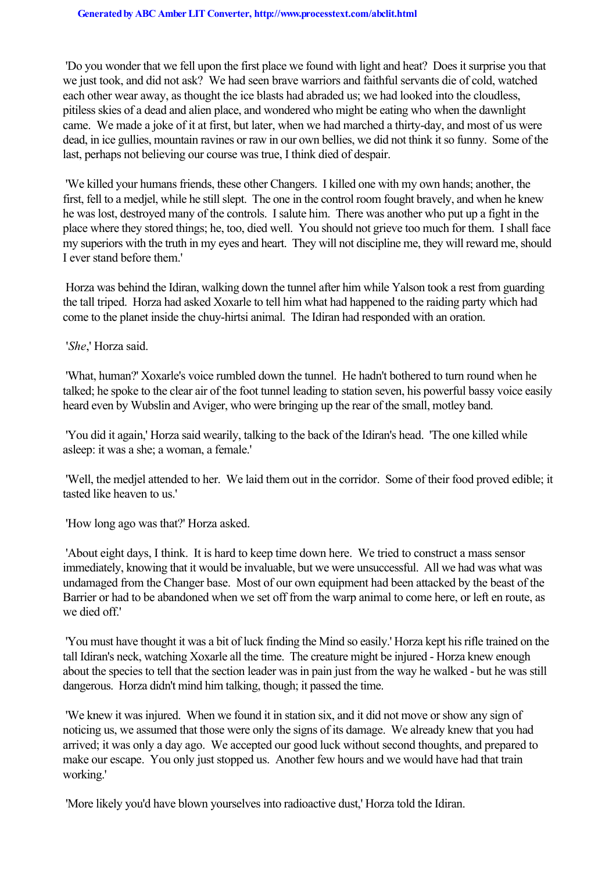'Do you wonder that we fell upon the first place we found with light and heat? Does it surprise you that we just took, and did not ask? We had seen brave warriors and faithful servants die of cold, watched each other wear away, as thought the ice blasts had abraded us; we had looked into the cloudless, pitiless skies of a dead and alien place, and wondered who might be eating who when the dawnlight came. We made a joke of it at first, but later, when we had marched a thirty-day, and most of us were dead, in ice gullies, mountain ravines or raw in our own bellies, we did not think it so funny. Some of the last, perhaps not believing our course was true, I think died of despair.

 'We killed your humans friends, these other Changers. I killed one with my own hands; another, the first, fell to a medjel, while he still slept. The one in the control room fought bravely, and when he knew he was lost, destroyed many of the controls. I salute him. There was another who put up a fight in the place where they stored things; he, too, died well. You should not grieve too much for them. I shall face my superiors with the truth in my eyes and heart. They will not discipline me, they will reward me, should I ever stand before them.'

 Horza was behind the Idiran, walking down the tunnel after him while Yalson took a rest from guarding the tall triped. Horza had asked Xoxarle to tell him what had happened to the raiding party which had come to the planet inside the chuy-hirtsi animal. The Idiran had responded with an oration.

'*She*,' Horza said.

 'What, human?' Xoxarle's voice rumbled down the tunnel. He hadn't bothered to turn round when he talked; he spoke to the clear air of the foot tunnel leading to station seven, his powerful bassy voice easily heard even by Wubslin and Aviger, who were bringing up the rear of the small, motley band.

 'You did it again,' Horza said wearily, talking to the back of the Idiran's head. 'The one killed while asleep: it was a she; a woman, a female.'

 'Well, the medjel attended to her. We laid them out in the corridor. Some of their food proved edible; it tasted like heaven to us.'

'How long ago was that?' Horza asked.

 'About eight days, I think. It is hard to keep time down here. We tried to construct a mass sensor immediately, knowing that it would be invaluable, but we were unsuccessful. All we had was what was undamaged from the Changer base. Most of our own equipment had been attacked by the beast of the Barrier or had to be abandoned when we set off from the warp animal to come here, or left en route, as we died off'

 'You must have thought it was a bit of luck finding the Mind so easily.' Horza kept his rifle trained on the tall Idiran's neck, watching Xoxarle all the time. The creature might be injured - Horza knew enough about the species to tell that the section leader was in pain just from the way he walked - but he was still dangerous. Horza didn't mind him talking, though; it passed the time.

 'We knew it was injured. When we found it in station six, and it did not move or show any sign of noticing us, we assumed that those were only the signs of its damage. We already knew that you had arrived; it was only a day ago. We accepted our good luck without second thoughts, and prepared to make our escape. You only just stopped us. Another few hours and we would have had that train working.'

'More likely you'd have blown yourselves into radioactive dust,' Horza told the Idiran.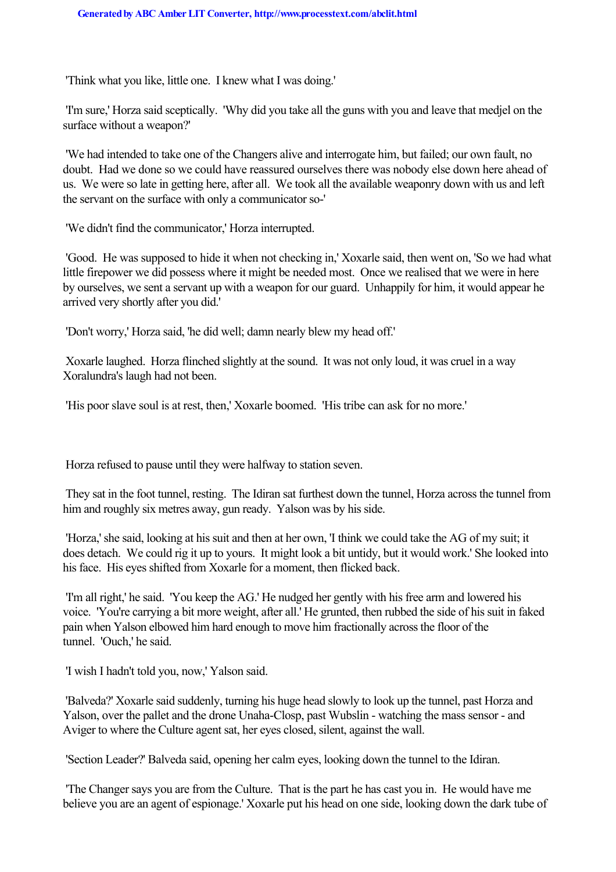'Think what you like, little one. I knew what I was doing.'

 'I'm sure,' Horza said sceptically. 'Why did you take all the guns with you and leave that medjel on the surface without a weapon?'

 'We had intended to take one of the Changers alive and interrogate him, but failed; our own fault, no doubt. Had we done so we could have reassured ourselves there was nobody else down here ahead of us. We were so late in getting here, after all. We took all the available weaponry down with us and left the servant on the surface with only a communicator so-'

'We didn't find the communicator,' Horza interrupted.

 'Good. He was supposed to hide it when not checking in,' Xoxarle said, then went on, 'So we had what little firepower we did possess where it might be needed most. Once we realised that we were in here by ourselves, we sent a servant up with a weapon for our guard. Unhappily for him, it would appear he arrived very shortly after you did.'

'Don't worry,' Horza said, 'he did well; damn nearly blew my head off.'

 Xoxarle laughed. Horza flinched slightly at the sound. It was not only loud, it was cruel in a way Xoralundra's laugh had not been.

'His poor slave soul is at rest, then,' Xoxarle boomed. 'His tribe can ask for no more.'

Horza refused to pause until they were halfway to station seven.

 They sat in the foot tunnel, resting. The Idiran sat furthest down the tunnel, Horza across the tunnel from him and roughly six metres away, gun ready. Yalson was by his side.

 'Horza,' she said, looking at his suit and then at her own, 'I think we could take the AG of my suit; it does detach. We could rig it up to yours. It might look a bit untidy, but it would work.' She looked into his face. His eyes shifted from Xoxarle for a moment, then flicked back.

 'I'm all right,' he said. 'You keep the AG.' He nudged her gently with his free arm and lowered his voice. 'You're carrying a bit more weight, after all.' He grunted, then rubbed the side of his suit in faked pain when Yalson elbowed him hard enough to move him fractionally across the floor of the tunnel. 'Ouch,' he said.

'I wish I hadn't told you, now,' Yalson said.

 'Balveda?' Xoxarle said suddenly, turning his huge head slowly to look up the tunnel, past Horza and Yalson, over the pallet and the drone Unaha-Closp, past Wubslin - watching the mass sensor - and Aviger to where the Culture agent sat, her eyes closed, silent, against the wall.

'Section Leader?' Balveda said, opening her calm eyes, looking down the tunnel to the Idiran.

 'The Changer says you are from the Culture. That is the part he has cast you in. He would have me believe you are an agent of espionage.' Xoxarle put his head on one side, looking down the dark tube of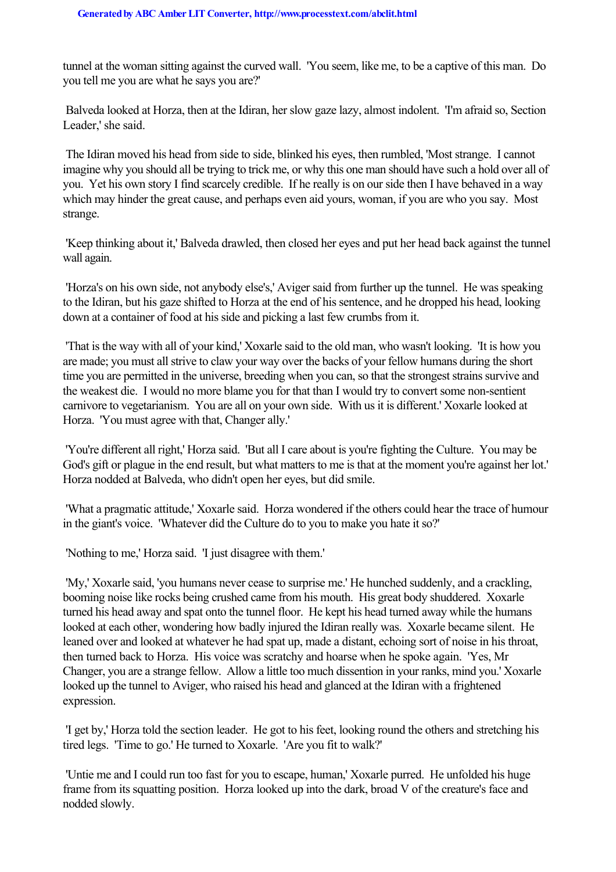tunnel at the woman sitting against the curved wall. 'You seem, like me, to be a captive of this man. Do you tell me you are what he says you are?'

 Balveda looked at Horza, then at the Idiran, her slow gaze lazy, almost indolent. 'I'm afraid so, Section Leader,' she said.

 The Idiran moved his head from side to side, blinked his eyes, then rumbled, 'Most strange. I cannot imagine why you should all be trying to trick me, or why this one man should have such a hold over all of you. Yet his own story I find scarcely credible. If he really is on our side then I have behaved in a way which may hinder the great cause, and perhaps even aid yours, woman, if you are who you say. Most strange.

 'Keep thinking about it,' Balveda drawled, then closed her eyes and put her head back against the tunnel wall again.

 'Horza's on his own side, not anybody else's,' Aviger said from further up the tunnel. He was speaking to the Idiran, but his gaze shifted to Horza at the end of his sentence, and he dropped his head, looking down at a container of food at his side and picking a last few crumbs from it.

 'That is the way with all of your kind,' Xoxarle said to the old man, who wasn't looking. 'It is how you are made; you must all strive to claw your way over the backs of your fellow humans during the short time you are permitted in the universe, breeding when you can, so that the strongest strains survive and the weakest die. I would no more blame you for that than I would try to convert some non-sentient carnivore to vegetarianism. You are all on your own side. With us it is different.' Xoxarle looked at Horza. 'You must agree with that, Changer ally.'

 'You're different all right,' Horza said. 'But all I care about is you're fighting the Culture. You may be God's gift or plague in the end result, but what matters to me is that at the moment you're against her lot.' Horza nodded at Balveda, who didn't open her eyes, but did smile.

 'What a pragmatic attitude,' Xoxarle said. Horza wondered if the others could hear the trace of humour in the giant's voice. 'Whatever did the Culture do to you to make you hate it so?'

'Nothing to me,' Horza said. 'I just disagree with them.'

 'My,' Xoxarle said, 'you humans never cease to surprise me.' He hunched suddenly, and a crackling, booming noise like rocks being crushed came from his mouth. His great body shuddered. Xoxarle turned his head away and spat onto the tunnel floor. He kept his head turned away while the humans looked at each other, wondering how badly injured the Idiran really was. Xoxarle became silent. He leaned over and looked at whatever he had spat up, made a distant, echoing sort of noise in his throat, then turned back to Horza. His voice was scratchy and hoarse when he spoke again. 'Yes, Mr Changer, you are a strange fellow. Allow a little too much dissention in your ranks, mind you.' Xoxarle looked up the tunnel to Aviger, who raised his head and glanced at the Idiran with a frightened expression.

 'I get by,' Horza told the section leader. He got to his feet, looking round the others and stretching his tired legs. 'Time to go.' He turned to Xoxarle. 'Are you fit to walk?'

 'Untie me and I could run too fast for you to escape, human,' Xoxarle purred. He unfolded his huge frame from its squatting position. Horza looked up into the dark, broad V of the creature's face and nodded slowly.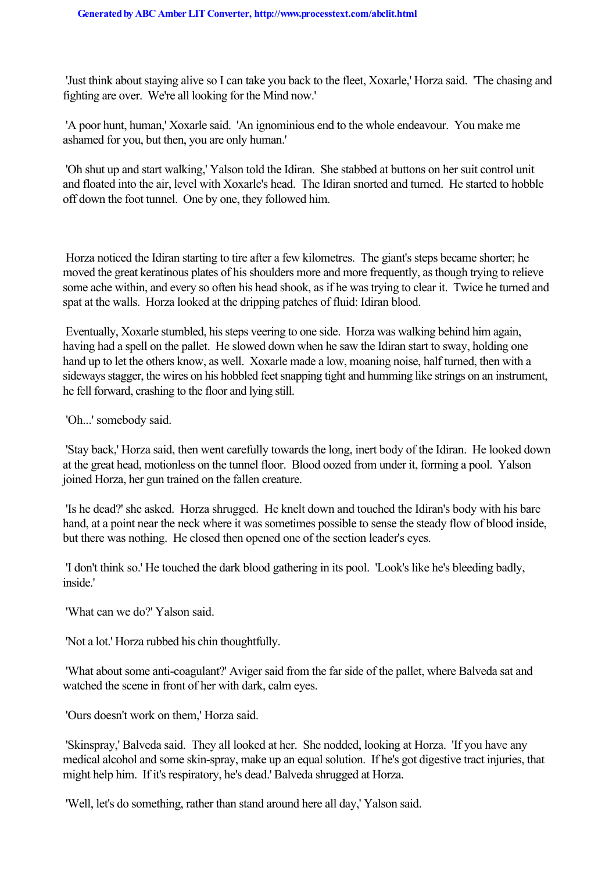'Just think about staying alive so I can take you back to the fleet, Xoxarle,' Horza said. 'The chasing and fighting are over. We're all looking for the Mind now.'

 'A poor hunt, human,' Xoxarle said. 'An ignominious end to the whole endeavour. You make me ashamed for you, but then, you are only human.'

 'Oh shut up and start walking,' Yalson told the Idiran. She stabbed at buttons on her suit control unit and floated into the air, level with Xoxarle's head. The Idiran snorted and turned. He started to hobble off down the foot tunnel. One by one, they followed him.

 Horza noticed the Idiran starting to tire after a few kilometres. The giant's steps became shorter; he moved the great keratinous plates of his shoulders more and more frequently, as though trying to relieve some ache within, and every so often his head shook, as if he was trying to clear it. Twice he turned and spat at the walls. Horza looked at the dripping patches of fluid: Idiran blood.

 Eventually, Xoxarle stumbled, his steps veering to one side. Horza was walking behind him again, having had a spell on the pallet. He slowed down when he saw the Idiran start to sway, holding one hand up to let the others know, as well. Xoxarle made a low, moaning noise, half turned, then with a sideways stagger, the wires on his hobbled feet snapping tight and humming like strings on an instrument, he fell forward, crashing to the floor and lying still.

'Oh...' somebody said.

 'Stay back,' Horza said, then went carefully towards the long, inert body of the Idiran. He looked down at the great head, motionless on the tunnel floor. Blood oozed from under it, forming a pool. Yalson joined Horza, her gun trained on the fallen creature.

 'Is he dead?' she asked. Horza shrugged. He knelt down and touched the Idiran's body with his bare hand, at a point near the neck where it was sometimes possible to sense the steady flow of blood inside, but there was nothing. He closed then opened one of the section leader's eyes.

 'I don't think so.' He touched the dark blood gathering in its pool. 'Look's like he's bleeding badly, inside.'

'What can we do?' Yalson said.

'Not a lot.' Horza rubbed his chin thoughtfully.

 'What about some anti-coagulant?' Aviger said from the far side of the pallet, where Balveda sat and watched the scene in front of her with dark, calm eyes.

'Ours doesn't work on them,' Horza said.

 'Skinspray,' Balveda said. They all looked at her. She nodded, looking at Horza. 'If you have any medical alcohol and some skin-spray, make up an equal solution. If he's got digestive tract injuries, that might help him. If it's respiratory, he's dead.' Balveda shrugged at Horza.

'Well, let's do something, rather than stand around here all day,' Yalson said.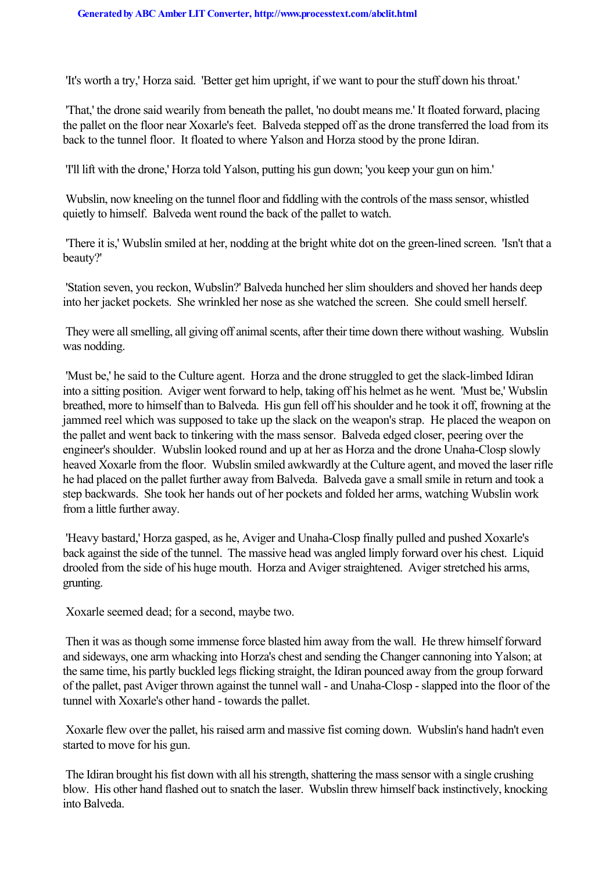'It's worth a try,' Horza said. 'Better get him upright, if we want to pour the stuff down his throat.'

 'That,' the drone said wearily from beneath the pallet, 'no doubt means me.' It floated forward, placing the pallet on the floor near Xoxarle's feet. Balveda stepped off as the drone transferred the load from its back to the tunnel floor. It floated to where Yalson and Horza stood by the prone Idiran.

'I'll lift with the drone,' Horza told Yalson, putting his gun down; 'you keep your gun on him.'

 Wubslin, now kneeling on the tunnel floor and fiddling with the controls of the mass sensor, whistled quietly to himself. Balveda went round the back of the pallet to watch.

 'There it is,' Wubslin smiled at her, nodding at the bright white dot on the green-lined screen. 'Isn't that a beauty?'

 'Station seven, you reckon, Wubslin?' Balveda hunched her slim shoulders and shoved her hands deep into her jacket pockets. She wrinkled her nose as she watched the screen. She could smell herself.

 They were all smelling, all giving off animal scents, after their time down there without washing. Wubslin was nodding.

 'Must be,' he said to the Culture agent. Horza and the drone struggled to get the slack-limbed Idiran into a sitting position. Aviger went forward to help, taking off his helmet as he went. 'Must be,' Wubslin breathed, more to himself than to Balveda. His gun fell off his shoulder and he took it off, frowning at the jammed reel which was supposed to take up the slack on the weapon's strap. He placed the weapon on the pallet and went back to tinkering with the mass sensor. Balveda edged closer, peering over the engineer's shoulder. Wubslin looked round and up at her as Horza and the drone Unaha-Closp slowly heaved Xoxarle from the floor. Wubslin smiled awkwardly at the Culture agent, and moved the laser rifle he had placed on the pallet further away from Balveda. Balveda gave a small smile in return and took a step backwards. She took her hands out of her pockets and folded her arms, watching Wubslin work from a little further away.

 'Heavy bastard,' Horza gasped, as he, Aviger and Unaha-Closp finally pulled and pushed Xoxarle's back against the side of the tunnel. The massive head was angled limply forward over his chest. Liquid drooled from the side of his huge mouth. Horza and Aviger straightened. Aviger stretched his arms, grunting.

Xoxarle seemed dead; for a second, maybe two.

 Then it was as though some immense force blasted him away from the wall. He threw himself forward and sideways, one arm whacking into Horza's chest and sending the Changer cannoning into Yalson; at the same time, his partly buckled legs flicking straight, the Idiran pounced away from the group forward of the pallet, past Aviger thrown against the tunnel wall - and Unaha-Closp - slapped into the floor of the tunnel with Xoxarle's other hand - towards the pallet.

 Xoxarle flew over the pallet, his raised arm and massive fist coming down. Wubslin's hand hadn't even started to move for his gun.

 The Idiran brought his fist down with all his strength, shattering the mass sensor with a single crushing blow. His other hand flashed out to snatch the laser. Wubslin threw himself back instinctively, knocking into Balveda.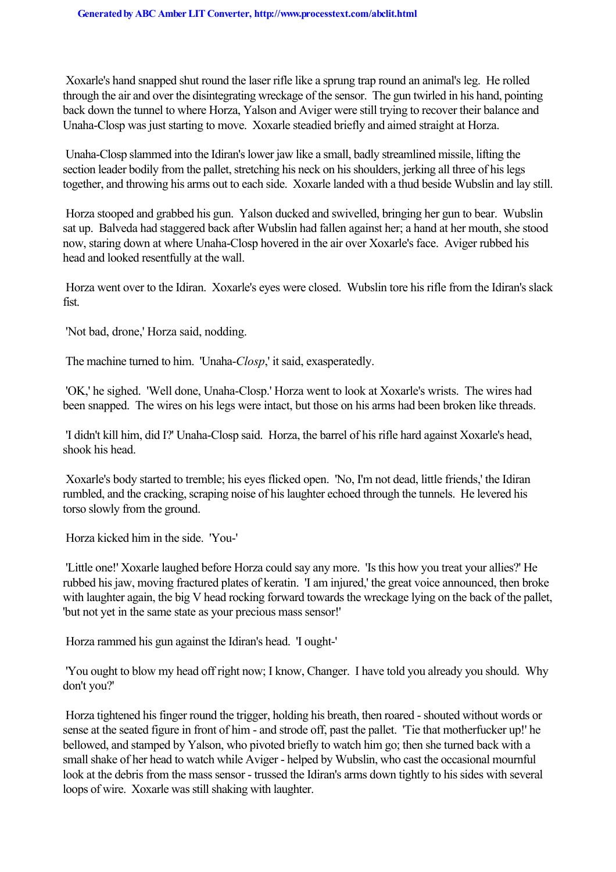Xoxarle's hand snapped shut round the laser rifle like a sprung trap round an animal's leg. He rolled through the air and over the disintegrating wreckage of the sensor. The gun twirled in his hand, pointing back down the tunnel to where Horza, Yalson and Aviger were still trying to recover their balance and Unaha-Closp was just starting to move. Xoxarle steadied briefly and aimed straight at Horza.

 Unaha-Closp slammed into the Idiran's lower jaw like a small, badly streamlined missile, lifting the section leader bodily from the pallet, stretching his neck on his shoulders, jerking all three of his legs together, and throwing his arms out to each side. Xoxarle landed with a thud beside Wubslin and lay still.

 Horza stooped and grabbed his gun. Yalson ducked and swivelled, bringing her gun to bear. Wubslin sat up. Balveda had staggered back after Wubslin had fallen against her; a hand at her mouth, she stood now, staring down at where Unaha-Closp hovered in the air over Xoxarle's face. Aviger rubbed his head and looked resentfully at the wall.

 Horza went over to the Idiran. Xoxarle's eyes were closed. Wubslin tore his rifle from the Idiran's slack fist.

'Not bad, drone,' Horza said, nodding.

The machine turned to him. 'Unaha-*Closp*,' it said, exasperatedly.

 'OK,' he sighed. 'Well done, Unaha-Closp.' Horza went to look at Xoxarle's wrists. The wires had been snapped. The wires on his legs were intact, but those on his arms had been broken like threads.

 'I didn't kill him, did I?' Unaha-Closp said. Horza, the barrel of his rifle hard against Xoxarle's head, shook his head.

 Xoxarle's body started to tremble; his eyes flicked open. 'No, I'm not dead, little friends,' the Idiran rumbled, and the cracking, scraping noise of his laughter echoed through the tunnels. He levered his torso slowly from the ground.

Horza kicked him in the side. 'You-'

 'Little one!' Xoxarle laughed before Horza could say any more. 'Is this how you treat your allies?' He rubbed his jaw, moving fractured plates of keratin. 'I am injured,' the great voice announced, then broke with laughter again, the big V head rocking forward towards the wreckage lying on the back of the pallet, 'but not yet in the same state as your precious mass sensor!'

Horza rammed his gun against the Idiran's head. 'I ought-'

 'You ought to blow my head off right now; I know, Changer. I have told you already you should. Why don't you?'

 Horza tightened his finger round the trigger, holding his breath, then roared - shouted without words or sense at the seated figure in front of him - and strode off, past the pallet. 'Tie that motherfucker up!' he bellowed, and stamped by Yalson, who pivoted briefly to watch him go; then she turned back with a small shake of her head to watch while Aviger - helped by Wubslin, who cast the occasional mournful look at the debris from the mass sensor - trussed the Idiran's arms down tightly to his sides with several loops of wire. Xoxarle was still shaking with laughter.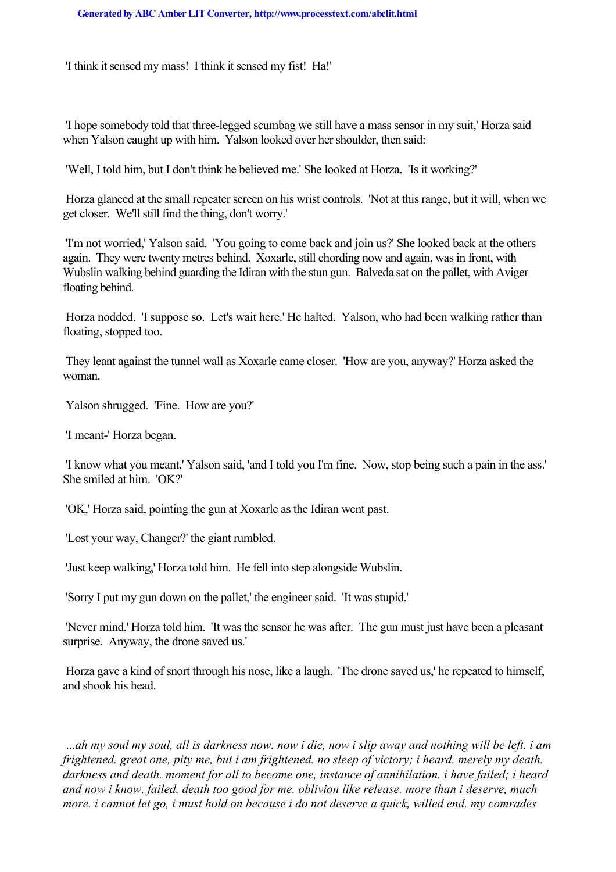'I think it sensed my mass! I think it sensed my fist! Ha!'

 'I hope somebody told that three-legged scumbag we still have a mass sensor in my suit,' Horza said when Yalson caught up with him. Yalson looked over her shoulder, then said:

'Well, I told him, but I don't think he believed me.' She looked at Horza. 'Is it working?'

 Horza glanced at the small repeater screen on his wrist controls. 'Not at this range, but it will, when we get closer. We'll still find the thing, don't worry.'

 'I'm not worried,' Yalson said. 'You going to come back and join us?' She looked back at the others again. They were twenty metres behind. Xoxarle, still chording now and again, was in front, with Wubslin walking behind guarding the Idiran with the stun gun. Balveda sat on the pallet, with Aviger floating behind.

 Horza nodded. 'I suppose so. Let's wait here.' He halted. Yalson, who had been walking rather than floating, stopped too.

 They leant against the tunnel wall as Xoxarle came closer. 'How are you, anyway?' Horza asked the woman.

Yalson shrugged. 'Fine. How are you?'

'I meant-' Horza began.

 'I know what you meant,' Yalson said, 'and I told you I'm fine. Now, stop being such a pain in the ass.' She smiled at him. 'OK?'

'OK,' Horza said, pointing the gun at Xoxarle as the Idiran went past.

'Lost your way, Changer?' the giant rumbled.

'Just keep walking,' Horza told him. He fell into step alongside Wubslin.

'Sorry I put my gun down on the pallet,' the engineer said. 'It was stupid.'

 'Never mind,' Horza told him. 'It was the sensor he was after. The gun must just have been a pleasant surprise. Anyway, the drone saved us.'

 Horza gave a kind of snort through his nose, like a laugh. 'The drone saved us,' he repeated to himself, and shook his head.

 ...*ah my soul my soul, all is darkness now. now i die, now i slip away and nothing will be left. i am frightened. great one, pity me, but i am frightened. no sleep of victory; i heard. merely my death. darkness and death. moment for all to become one, instance of annihilation. i have failed; i heard and now i know. failed. death too good for me. oblivion like release. more than i deserve, much more. i cannot let go, i must hold on because i do not deserve a quick, willed end. my comrades*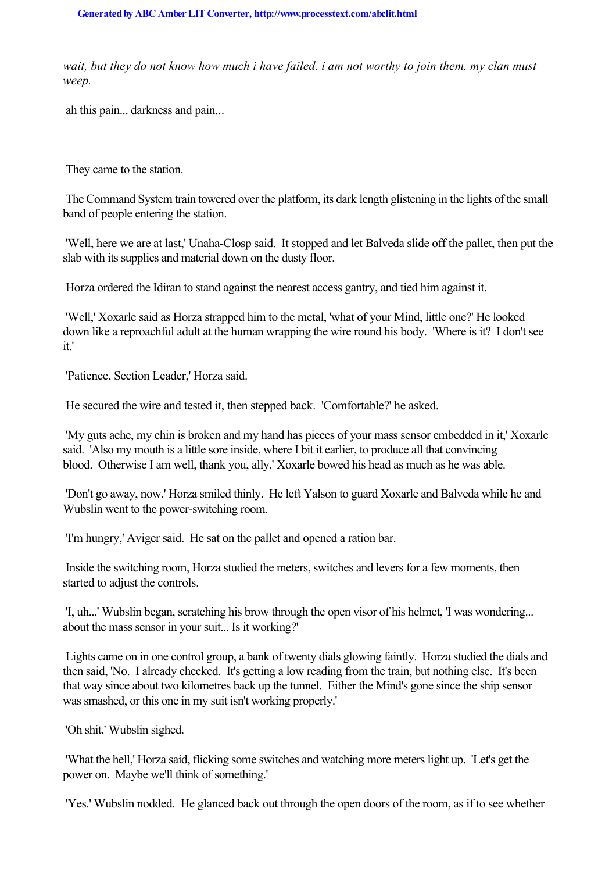*wait, but they do not know how much i have failed. i am not worthy to join them. my clan must weep.*

ah this pain... darkness and pain...

They came to the station.

 The Command System train towered over the platform, its dark length glistening in the lights of the small band of people entering the station.

 'Well, here we are at last,' Unaha-Closp said. It stopped and let Balveda slide off the pallet, then put the slab with its supplies and material down on the dusty floor.

Horza ordered the Idiran to stand against the nearest access gantry, and tied him against it.

 'Well,' Xoxarle said as Horza strapped him to the metal, 'what of your Mind, little one?' He looked down like a reproachful adult at the human wrapping the wire round his body. 'Where is it? I don't see it.'

'Patience, Section Leader,' Horza said.

He secured the wire and tested it, then stepped back. 'Comfortable?' he asked.

 'My guts ache, my chin is broken and my hand has pieces of your mass sensor embedded in it,' Xoxarle said. 'Also my mouth is a little sore inside, where I bit it earlier, to produce all that convincing blood. Otherwise I am well, thank you, ally.' Xoxarle bowed his head as much as he was able.

 'Don't go away, now.' Horza smiled thinly. He left Yalson to guard Xoxarle and Balveda while he and Wubslin went to the power-switching room.

'I'm hungry,' Aviger said. He sat on the pallet and opened a ration bar.

 Inside the switching room, Horza studied the meters, switches and levers for a few moments, then started to adjust the controls.

 'I, uh...' Wubslin began, scratching his brow through the open visor of his helmet, 'I was wondering... about the mass sensor in your suit... Is it working?'

 Lights came on in one control group, a bank of twenty dials glowing faintly. Horza studied the dials and then said, 'No. I already checked. It's getting a low reading from the train, but nothing else. It's been that way since about two kilometres back up the tunnel. Either the Mind's gone since the ship sensor was smashed, or this one in my suit isn't working properly.'

'Oh shit,' Wubslin sighed.

 'What the hell,' Horza said, flicking some switches and watching more meters light up. 'Let's get the power on. Maybe we'll think of something.'

'Yes.' Wubslin nodded. He glanced back out through the open doors of the room, as if to see whether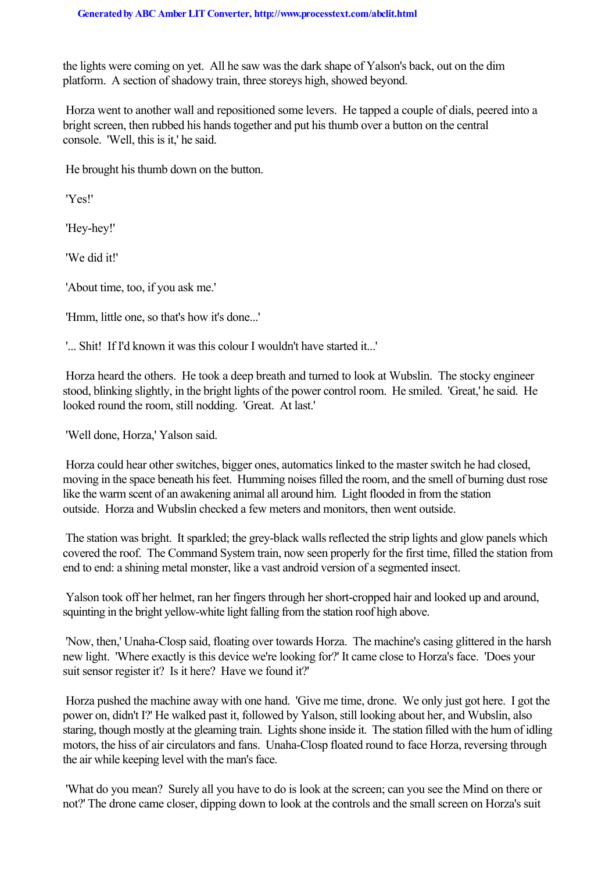the lights were coming on yet. All he saw was the dark shape of Yalson's back, out on the dim platform. A section of shadowy train, three storeys high, showed beyond.

 Horza went to another wall and repositioned some levers. He tapped a couple of dials, peered into a bright screen, then rubbed his hands together and put his thumb over a button on the central console. 'Well, this is it,' he said.

He brought his thumb down on the button.

'Yes!'

'Hey-hey!'

'We did it!'

'About time, too, if you ask me.'

'Hmm, little one, so that's how it's done...'

'... Shit! If I'd known it was this colour I wouldn't have started it...'

 Horza heard the others. He took a deep breath and turned to look at Wubslin. The stocky engineer stood, blinking slightly, in the bright lights of the power control room. He smiled. 'Great,' he said. He looked round the room, still nodding. 'Great. At last.'

'Well done, Horza,' Yalson said.

 Horza could hear other switches, bigger ones, automatics linked to the master switch he had closed, moving in the space beneath his feet. Humming noises filled the room, and the smell of burning dust rose like the warm scent of an awakening animal all around him. Light flooded in from the station outside. Horza and Wubslin checked a few meters and monitors, then went outside.

 The station was bright. It sparkled; the grey-black walls reflected the strip lights and glow panels which covered the roof. The Command System train, now seen properly for the first time, filled the station from end to end: a shining metal monster, like a vast android version of a segmented insect.

 Yalson took off her helmet, ran her fingers through her short-cropped hair and looked up and around, squinting in the bright yellow-white light falling from the station roof high above.

 'Now, then,' Unaha-Closp said, floating over towards Horza. The machine's casing glittered in the harsh new light. 'Where exactly is this device we're looking for?' It came close to Horza's face. 'Does your suit sensor register it? Is it here? Have we found it?'

 Horza pushed the machine away with one hand. 'Give me time, drone. We only just got here. I got the power on, didn't I?' He walked past it, followed by Yalson, still looking about her, and Wubslin, also staring, though mostly at the gleaming train. Lights shone inside it. The station filled with the hum of idling motors, the hiss of air circulators and fans. Unaha-Closp floated round to face Horza, reversing through the air while keeping level with the man's face.

 'What do you mean? Surely all you have to do is look at the screen; can you see the Mind on there or not?' The drone came closer, dipping down to look at the controls and the small screen on Horza's suit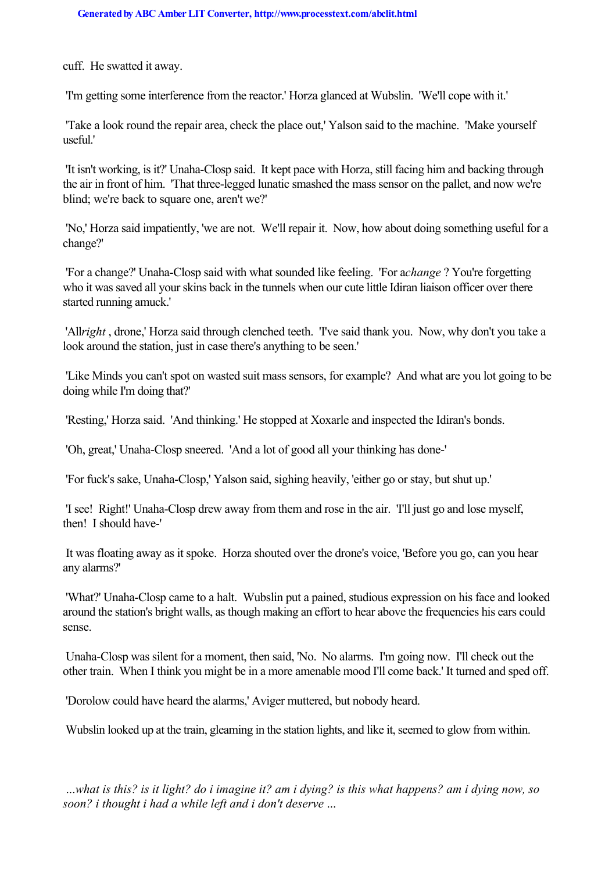cuff. He swatted it away.

'I'm getting some interference from the reactor.' Horza glanced at Wubslin. 'We'll cope with it.'

 'Take a look round the repair area, check the place out,' Yalson said to the machine. 'Make yourself useful.'

 'It isn't working, is it?' Unaha-Closp said. It kept pace with Horza, still facing him and backing through the air in front of him. 'That three-legged lunatic smashed the mass sensor on the pallet, and now we're blind; we're back to square one, aren't we?'

 'No,' Horza said impatiently, 'we are not. We'll repair it. Now, how about doing something useful for a change?'

 'For a change?' Unaha-Closp said with what sounded like feeling. 'For a*change* ? You're forgetting who it was saved all your skins back in the tunnels when our cute little Idiran liaison officer over there started running amuck.'

 'All*right* , drone,' Horza said through clenched teeth. 'I've said thank you. Now, why don't you take a look around the station, just in case there's anything to be seen.'

 'Like Minds you can't spot on wasted suit mass sensors, for example? And what are you lot going to be doing while I'm doing that?'

'Resting,' Horza said. 'And thinking.' He stopped at Xoxarle and inspected the Idiran's bonds.

'Oh, great,' Unaha-Closp sneered. 'And a lot of good all your thinking has done-'

'For fuck's sake, Unaha-Closp,' Yalson said, sighing heavily, 'either go or stay, but shut up.'

 'I see! Right!' Unaha-Closp drew away from them and rose in the air. 'I'll just go and lose myself, then! I should have-'

 It was floating away as it spoke. Horza shouted over the drone's voice, 'Before you go, can you hear any alarms?'

 'What?' Unaha-Closp came to a halt. Wubslin put a pained, studious expression on his face and looked around the station's bright walls, as though making an effort to hear above the frequencies his ears could sense.

 Unaha-Closp was silent for a moment, then said, 'No. No alarms. I'm going now. I'll check out the other train. When I think you might be in a more amenable mood I'll come back.' It turned and sped off.

'Dorolow could have heard the alarms,' Aviger muttered, but nobody heard.

Wubslin looked up at the train, gleaming in the station lights, and like it, seemed to glow from within.

 ...*what is this? is it light? do i imagine it? am i dying? is this what happens? am i dying now, so soon? i thought i had a while left and i don't deserve* ...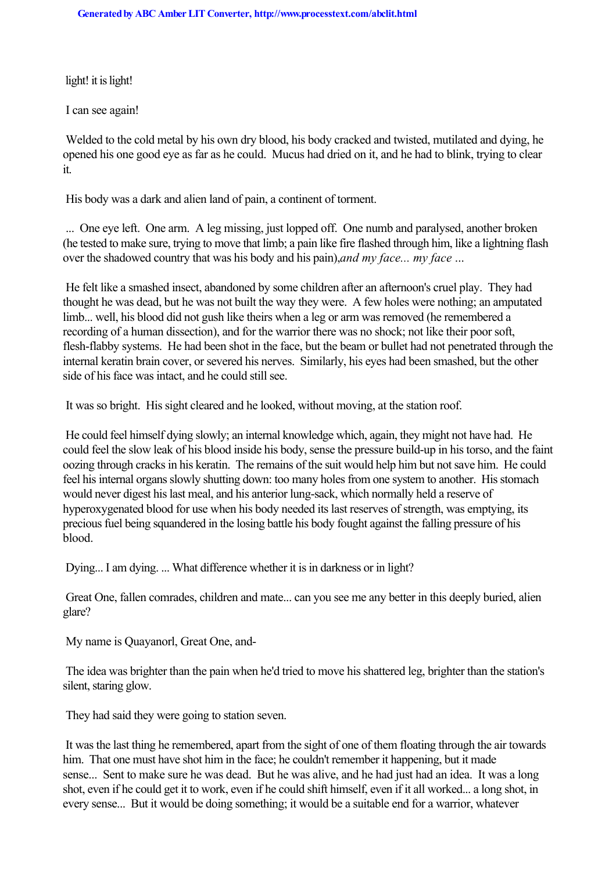light! it is light!

I can see again!

 Welded to the cold metal by his own dry blood, his body cracked and twisted, mutilated and dying, he opened his one good eye as far as he could. Mucus had dried on it, and he had to blink, trying to clear it.

His body was a dark and alien land of pain, a continent of torment.

 ... One eye left. One arm. A leg missing, just lopped off. One numb and paralysed, another broken (he tested to make sure, trying to move that limb; a pain like fire flashed through him, like a lightning flash over the shadowed country that was his body and his pain),*and my face... my face* ...

 He felt like a smashed insect, abandoned by some children after an afternoon's cruel play. They had thought he was dead, but he was not built the way they were. A few holes were nothing; an amputated limb... well, his blood did not gush like theirs when a leg or arm was removed (he remembered a recording of a human dissection), and for the warrior there was no shock; not like their poor soft, flesh-flabby systems. He had been shot in the face, but the beam or bullet had not penetrated through the internal keratin brain cover, or severed his nerves. Similarly, his eyes had been smashed, but the other side of his face was intact, and he could still see.

It was so bright. His sight cleared and he looked, without moving, at the station roof.

 He could feel himself dying slowly; an internal knowledge which, again, they might not have had. He could feel the slow leak of his blood inside his body, sense the pressure build-up in his torso, and the faint oozing through cracks in his keratin. The remains of the suit would help him but not save him. He could feel his internal organs slowly shutting down: too many holes from one system to another. His stomach would never digest his last meal, and his anterior lung-sack, which normally held a reserve of hyperoxygenated blood for use when his body needed its last reserves of strength, was emptying, its precious fuel being squandered in the losing battle his body fought against the falling pressure of his blood.

Dying... I am dying. ... What difference whether it is in darkness or in light?

 Great One, fallen comrades, children and mate... can you see me any better in this deeply buried, alien glare?

My name is Quayanorl, Great One, and-

 The idea was brighter than the pain when he'd tried to move his shattered leg, brighter than the station's silent, staring glow.

They had said they were going to station seven.

 It was the last thing he remembered, apart from the sight of one of them floating through the air towards him. That one must have shot him in the face; he couldn't remember it happening, but it made sense... Sent to make sure he was dead. But he was alive, and he had just had an idea. It was a long shot, even if he could get it to work, even if he could shift himself, even if it all worked... a long shot, in every sense... But it would be doing something; it would be a suitable end for a warrior, whatever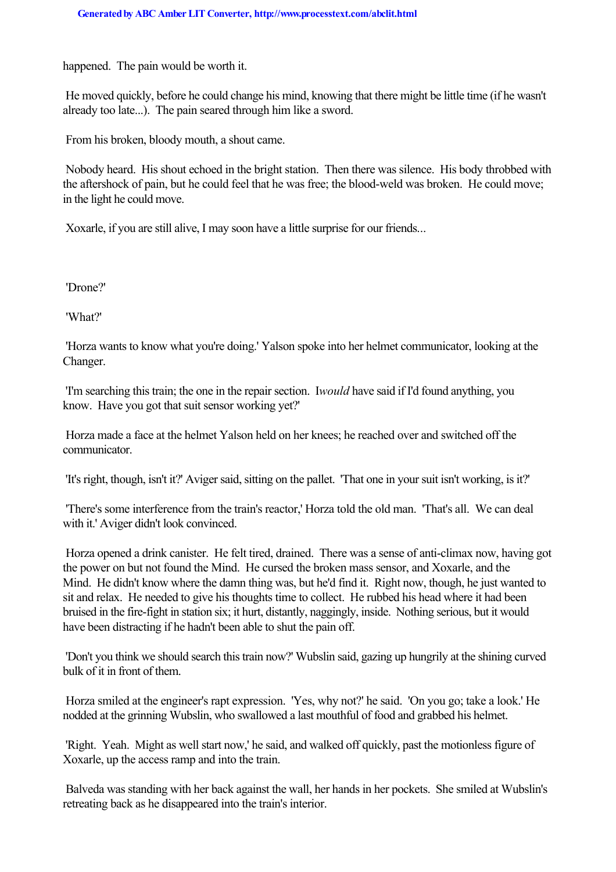happened. The pain would be worth it.

 He moved quickly, before he could change his mind, knowing that there might be little time (if he wasn't already too late...). The pain seared through him like a sword.

From his broken, bloody mouth, a shout came.

 Nobody heard. His shout echoed in the bright station. Then there was silence. His body throbbed with the aftershock of pain, but he could feel that he was free; the blood-weld was broken. He could move; in the light he could move.

Xoxarle, if you are still alive, I may soon have a little surprise for our friends...

'Drone?'

'What?'

 'Horza wants to know what you're doing.' Yalson spoke into her helmet communicator, looking at the Changer.

 'I'm searching this train; the one in the repair section. I*would* have said if I'd found anything, you know. Have you got that suit sensor working yet?'

 Horza made a face at the helmet Yalson held on her knees; he reached over and switched off the communicator.

'It's right, though, isn't it?' Aviger said, sitting on the pallet. 'That one in your suit isn't working, is it?'

 'There's some interference from the train's reactor,' Horza told the old man. 'That's all. We can deal with it.' Aviger didn't look convinced.

 Horza opened a drink canister. He felt tired, drained. There was a sense of anti-climax now, having got the power on but not found the Mind. He cursed the broken mass sensor, and Xoxarle, and the Mind. He didn't know where the damn thing was, but he'd find it. Right now, though, he just wanted to sit and relax. He needed to give his thoughts time to collect. He rubbed his head where it had been bruised in the fire-fight in station six; it hurt, distantly, naggingly, inside. Nothing serious, but it would have been distracting if he hadn't been able to shut the pain off.

 'Don't you think we should search this train now?' Wubslin said, gazing up hungrily at the shining curved bulk of it in front of them.

 Horza smiled at the engineer's rapt expression. 'Yes, why not?' he said. 'On you go; take a look.' He nodded at the grinning Wubslin, who swallowed a last mouthful of food and grabbed his helmet.

 'Right. Yeah. Might as well start now,' he said, and walked off quickly, past the motionless figure of Xoxarle, up the access ramp and into the train.

 Balveda was standing with her back against the wall, her hands in her pockets. She smiled at Wubslin's retreating back as he disappeared into the train's interior.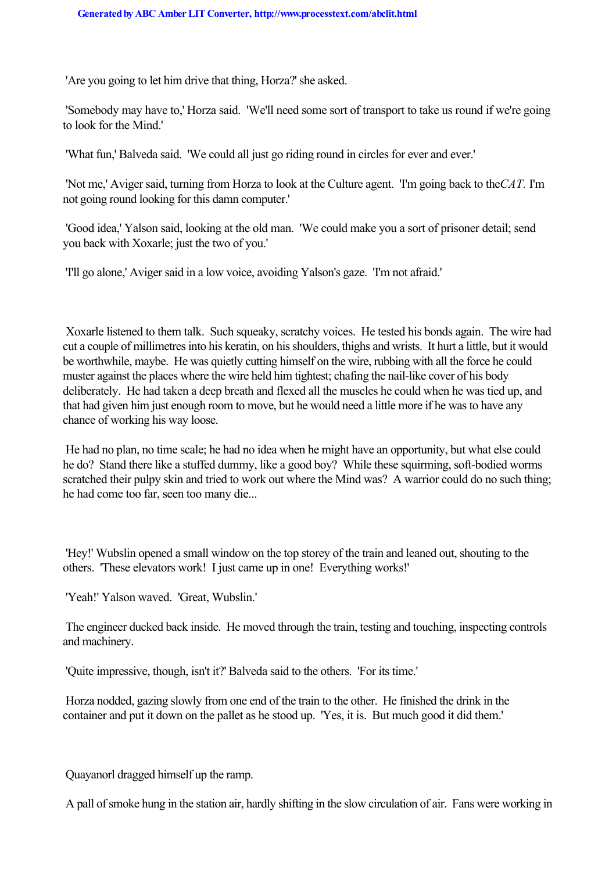'Are you going to let him drive that thing, Horza?' she asked.

 'Somebody may have to,' Horza said. 'We'll need some sort of transport to take us round if we're going to look for the Mind.'

'What fun,' Balveda said. 'We could all just go riding round in circles for ever and ever.'

 'Not me,' Aviger said, turning from Horza to look at the Culture agent. 'I'm going back to the*CAT.* I'm not going round looking for this damn computer.'

 'Good idea,' Yalson said, looking at the old man. 'We could make you a sort of prisoner detail; send you back with Xoxarle; just the two of you.'

'I'll go alone,' Aviger said in a low voice, avoiding Yalson's gaze. 'I'm not afraid.'

 Xoxarle listened to them talk. Such squeaky, scratchy voices. He tested his bonds again. The wire had cut a couple of millimetres into his keratin, on his shoulders, thighs and wrists. It hurt a little, but it would be worthwhile, maybe. He was quietly cutting himself on the wire, rubbing with all the force he could muster against the places where the wire held him tightest; chafing the nail-like cover of his body deliberately. He had taken a deep breath and flexed all the muscles he could when he was tied up, and that had given him just enough room to move, but he would need a little more if he was to have any chance of working his way loose.

 He had no plan, no time scale; he had no idea when he might have an opportunity, but what else could he do? Stand there like a stuffed dummy, like a good boy? While these squirming, soft-bodied worms scratched their pulpy skin and tried to work out where the Mind was? A warrior could do no such thing; he had come too far, seen too many die...

 'Hey!' Wubslin opened a small window on the top storey of the train and leaned out, shouting to the others. 'These elevators work! I just came up in one! Everything works!'

'Yeah!' Yalson waved. 'Great, Wubslin.'

 The engineer ducked back inside. He moved through the train, testing and touching, inspecting controls and machinery.

'Quite impressive, though, isn't it?' Balveda said to the others. 'For its time.'

 Horza nodded, gazing slowly from one end of the train to the other. He finished the drink in the container and put it down on the pallet as he stood up. 'Yes, it is. But much good it did them.'

Quayanorl dragged himself up the ramp.

A pall of smoke hung in the station air, hardly shifting in the slow circulation of air. Fans were working in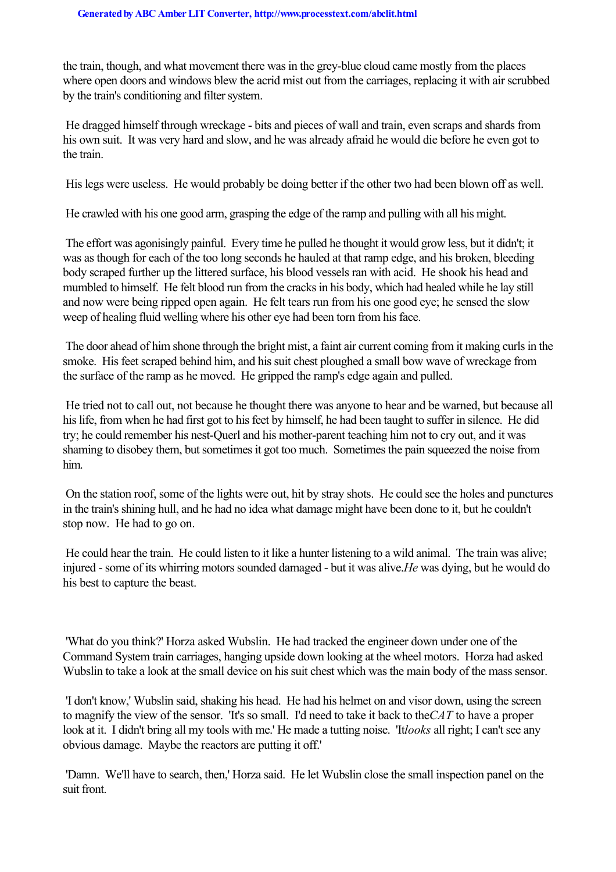the train, though, and what movement there was in the grey-blue cloud came mostly from the places where open doors and windows blew the acrid mist out from the carriages, replacing it with air scrubbed by the train's conditioning and filter system.

 He dragged himself through wreckage - bits and pieces of wall and train, even scraps and shards from his own suit. It was very hard and slow, and he was already afraid he would die before he even got to the train.

His legs were useless. He would probably be doing better if the other two had been blown off as well.

He crawled with his one good arm, grasping the edge of the ramp and pulling with all his might.

 The effort was agonisingly painful. Every time he pulled he thought it would grow less, but it didn't; it was as though for each of the too long seconds he hauled at that ramp edge, and his broken, bleeding body scraped further up the littered surface, his blood vessels ran with acid. He shook his head and mumbled to himself. He felt blood run from the cracks in his body, which had healed while he lay still and now were being ripped open again. He felt tears run from his one good eye; he sensed the slow weep of healing fluid welling where his other eye had been torn from his face.

 The door ahead of him shone through the bright mist, a faint air current coming from it making curls in the smoke. His feet scraped behind him, and his suit chest ploughed a small bow wave of wreckage from the surface of the ramp as he moved. He gripped the ramp's edge again and pulled.

 He tried not to call out, not because he thought there was anyone to hear and be warned, but because all his life, from when he had first got to his feet by himself, he had been taught to suffer in silence. He did try; he could remember his nest-Querl and his mother-parent teaching him not to cry out, and it was shaming to disobey them, but sometimes it got too much. Sometimes the pain squeezed the noise from him.

 On the station roof, some of the lights were out, hit by stray shots. He could see the holes and punctures in the train's shining hull, and he had no idea what damage might have been done to it, but he couldn't stop now. He had to go on.

 He could hear the train. He could listen to it like a hunter listening to a wild animal. The train was alive; injured - some of its whirring motors sounded damaged - but it was alive.*He* was dying, but he would do his best to capture the beast.

 'What do you think?' Horza asked Wubslin. He had tracked the engineer down under one of the Command System train carriages, hanging upside down looking at the wheel motors. Horza had asked Wubslin to take a look at the small device on his suit chest which was the main body of the mass sensor.

 'I don't know,' Wubslin said, shaking his head. He had his helmet on and visor down, using the screen to magnify the view of the sensor. 'It's so small. I'd need to take it back to the*CAT* to have a proper look at it. I didn't bring all my tools with me.' He made a tutting noise. 'It*looks* all right; I can't see any obvious damage. Maybe the reactors are putting it off.'

 'Damn. We'll have to search, then,' Horza said. He let Wubslin close the small inspection panel on the suit front.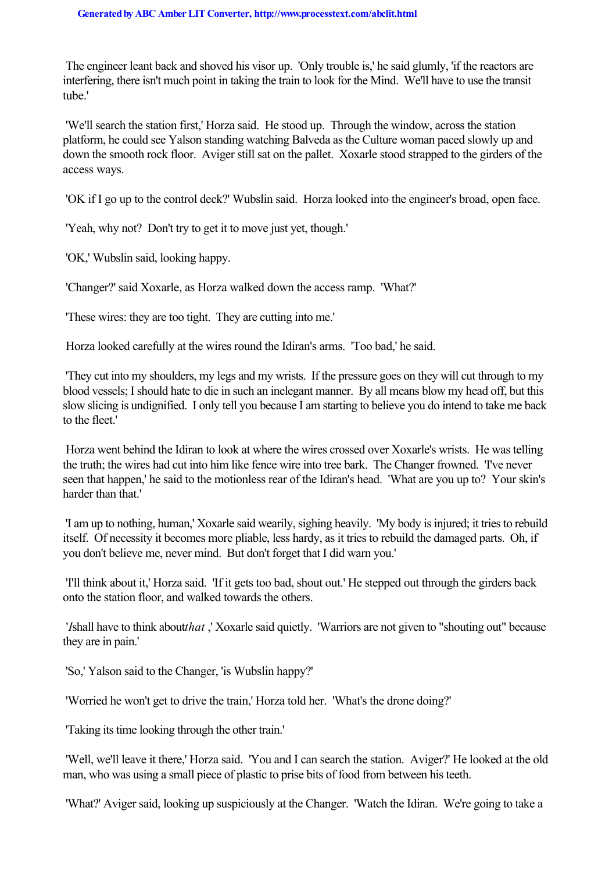The engineer leant back and shoved his visor up. 'Only trouble is,' he said glumly, 'if the reactors are interfering, there isn't much point in taking the train to look for the Mind. We'll have to use the transit tube.'

 'We'll search the station first,' Horza said. He stood up. Through the window, across the station platform, he could see Yalson standing watching Balveda as the Culture woman paced slowly up and down the smooth rock floor. Aviger still sat on the pallet. Xoxarle stood strapped to the girders of the access ways.

'OK if I go up to the control deck?' Wubslin said. Horza looked into the engineer's broad, open face.

'Yeah, why not? Don't try to get it to move just yet, though.'

'OK,' Wubslin said, looking happy.

'Changer?' said Xoxarle, as Horza walked down the access ramp. 'What?'

'These wires: they are too tight. They are cutting into me.'

Horza looked carefully at the wires round the Idiran's arms. 'Too bad,' he said.

 'They cut into my shoulders, my legs and my wrists. If the pressure goes on they will cut through to my blood vessels; I should hate to die in such an inelegant manner. By all means blow my head off, but this slow slicing is undignified. I only tell you because I am starting to believe you do intend to take me back to the fleet.'

 Horza went behind the Idiran to look at where the wires crossed over Xoxarle's wrists. He was telling the truth; the wires had cut into him like fence wire into tree bark. The Changer frowned. 'I've never seen that happen,' he said to the motionless rear of the Idiran's head. 'What are you up to? Your skin's harder than that.'

 'I am up to nothing, human,' Xoxarle said wearily, sighing heavily. 'My body is injured; it tries to rebuild itself. Of necessity it becomes more pliable, less hardy, as it tries to rebuild the damaged parts. Oh, if you don't believe me, never mind. But don't forget that I did warn you.'

 'I'll think about it,' Horza said. 'If it gets too bad, shout out.' He stepped out through the girders back onto the station floor, and walked towards the others.

 '*I*shall have to think about*that* ,' Xoxarle said quietly. 'Warriors are not given to "shouting out" because they are in pain.'

'So,' Yalson said to the Changer, 'is Wubslin happy?'

'Worried he won't get to drive the train,' Horza told her. 'What's the drone doing?'

'Taking its time looking through the other train.'

 'Well, we'll leave it there,' Horza said. 'You and I can search the station. Aviger?' He looked at the old man, who was using a small piece of plastic to prise bits of food from between his teeth.

'What?' Aviger said, looking up suspiciously at the Changer. 'Watch the Idiran. We're going to take a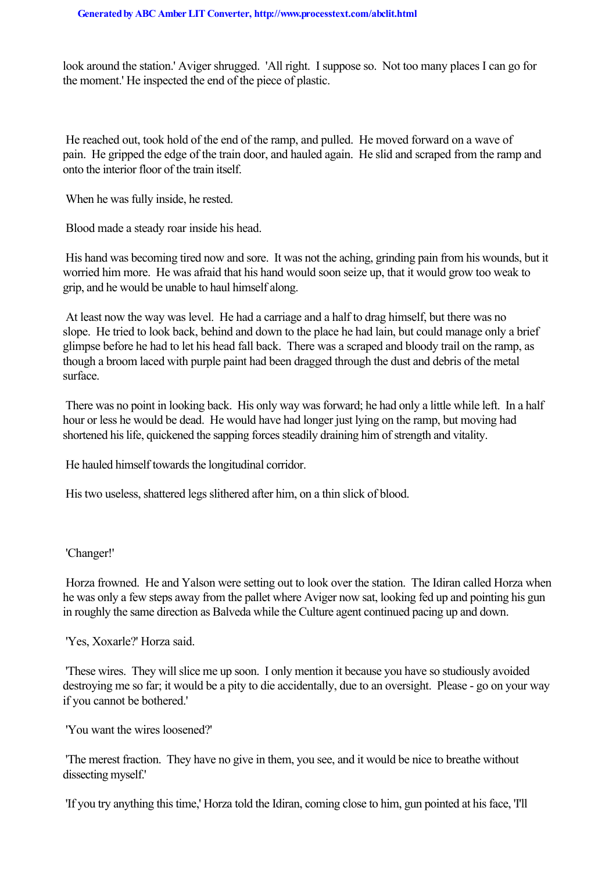look around the station.' Aviger shrugged. 'All right. I suppose so. Not too many places I can go for the moment.' He inspected the end of the piece of plastic.

 He reached out, took hold of the end of the ramp, and pulled. He moved forward on a wave of pain. He gripped the edge of the train door, and hauled again. He slid and scraped from the ramp and onto the interior floor of the train itself.

When he was fully inside, he rested.

Blood made a steady roar inside his head.

 His hand was becoming tired now and sore. It was not the aching, grinding pain from his wounds, but it worried him more. He was afraid that his hand would soon seize up, that it would grow too weak to grip, and he would be unable to haul himself along.

 At least now the way was level. He had a carriage and a half to drag himself, but there was no slope. He tried to look back, behind and down to the place he had lain, but could manage only a brief glimpse before he had to let his head fall back. There was a scraped and bloody trail on the ramp, as though a broom laced with purple paint had been dragged through the dust and debris of the metal surface.

 There was no point in looking back. His only way was forward; he had only a little while left. In a half hour or less he would be dead. He would have had longer just lying on the ramp, but moving had shortened his life, quickened the sapping forces steadily draining him of strength and vitality.

He hauled himself towards the longitudinal corridor.

His two useless, shattered legs slithered after him, on a thin slick of blood.

## 'Changer!'

 Horza frowned. He and Yalson were setting out to look over the station. The Idiran called Horza when he was only a few steps away from the pallet where Aviger now sat, looking fed up and pointing his gun in roughly the same direction as Balveda while the Culture agent continued pacing up and down.

'Yes, Xoxarle?' Horza said.

 'These wires. They will slice me up soon. I only mention it because you have so studiously avoided destroying me so far; it would be a pity to die accidentally, due to an oversight. Please - go on your way if you cannot be bothered.'

'You want the wires loosened?'

 'The merest fraction. They have no give in them, you see, and it would be nice to breathe without dissecting myself.'

'If you try anything this time,' Horza told the Idiran, coming close to him, gun pointed at his face, 'I'll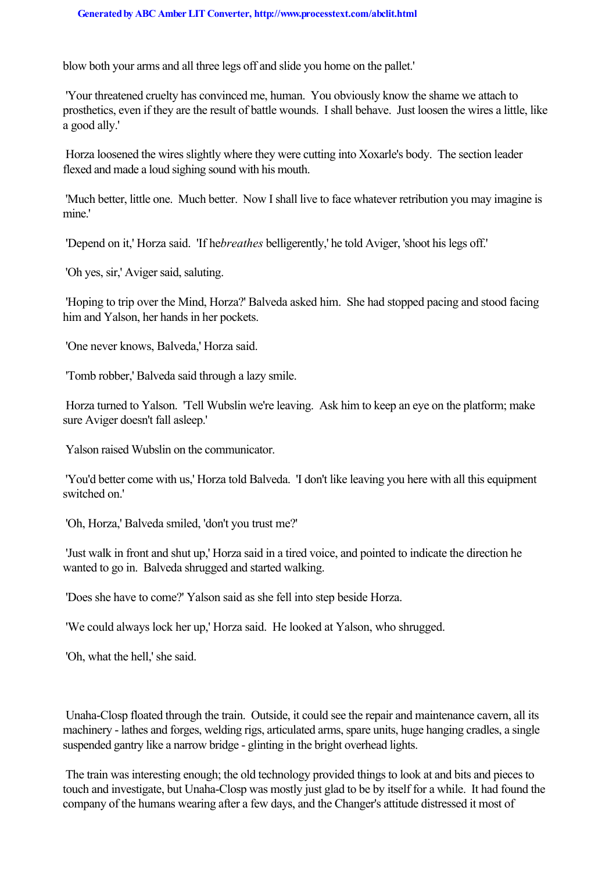blow both your arms and all three legs off and slide you home on the pallet.'

 'Your threatened cruelty has convinced me, human. You obviously know the shame we attach to prosthetics, even if they are the result of battle wounds. I shall behave. Just loosen the wires a little, like a good ally.'

 Horza loosened the wires slightly where they were cutting into Xoxarle's body. The section leader flexed and made a loud sighing sound with his mouth.

 'Much better, little one. Much better. Now I shall live to face whatever retribution you may imagine is mine.'

'Depend on it,' Horza said. 'If he*breathes* belligerently,' he told Aviger, 'shoot his legs off.'

'Oh yes, sir,' Aviger said, saluting.

 'Hoping to trip over the Mind, Horza?' Balveda asked him. She had stopped pacing and stood facing him and Yalson, her hands in her pockets.

'One never knows, Balveda,' Horza said.

'Tomb robber,' Balveda said through a lazy smile.

 Horza turned to Yalson. 'Tell Wubslin we're leaving. Ask him to keep an eye on the platform; make sure Aviger doesn't fall asleep.'

Yalson raised Wubslin on the communicator.

 'You'd better come with us,' Horza told Balveda. 'I don't like leaving you here with all this equipment switched on<sup>'</sup>

'Oh, Horza,' Balveda smiled, 'don't you trust me?'

 'Just walk in front and shut up,' Horza said in a tired voice, and pointed to indicate the direction he wanted to go in. Balveda shrugged and started walking.

'Does she have to come?' Yalson said as she fell into step beside Horza.

'We could always lock her up,' Horza said. He looked at Yalson, who shrugged.

'Oh, what the hell,' she said.

 Unaha-Closp floated through the train. Outside, it could see the repair and maintenance cavern, all its machinery - lathes and forges, welding rigs, articulated arms, spare units, huge hanging cradles, a single suspended gantry like a narrow bridge - glinting in the bright overhead lights.

 The train was interesting enough; the old technology provided things to look at and bits and pieces to touch and investigate, but Unaha-Closp was mostly just glad to be by itself for a while. It had found the company of the humans wearing after a few days, and the Changer's attitude distressed it most of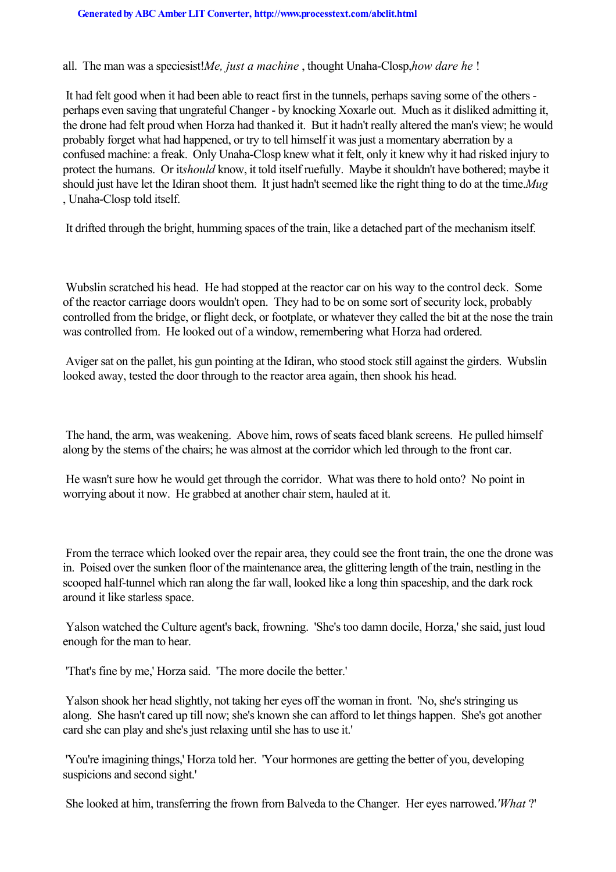all. The man was a speciesist!*Me, just a machine* , thought Unaha-Closp,*how dare he* !

 It had felt good when it had been able to react first in the tunnels, perhaps saving some of the others perhaps even saving that ungrateful Changer - by knocking Xoxarle out. Much as it disliked admitting it, the drone had felt proud when Horza had thanked it. But it hadn't really altered the man's view; he would probably forget what had happened, or try to tell himself it was just a momentary aberration by a confused machine: a freak. Only Unaha-Closp knew what it felt, only it knew why it had risked injury to protect the humans. Or it*should* know, it told itself ruefully. Maybe it shouldn't have bothered; maybe it should just have let the Idiran shoot them. It just hadn't seemed like the right thing to do at the time.*Mug* , Unaha-Closp told itself.

It drifted through the bright, humming spaces of the train, like a detached part of the mechanism itself.

 Wubslin scratched his head. He had stopped at the reactor car on his way to the control deck. Some of the reactor carriage doors wouldn't open. They had to be on some sort of security lock, probably controlled from the bridge, or flight deck, or footplate, or whatever they called the bit at the nose the train was controlled from. He looked out of a window, remembering what Horza had ordered.

 Aviger sat on the pallet, his gun pointing at the Idiran, who stood stock still against the girders. Wubslin looked away, tested the door through to the reactor area again, then shook his head.

 The hand, the arm, was weakening. Above him, rows of seats faced blank screens. He pulled himself along by the stems of the chairs; he was almost at the corridor which led through to the front car.

 He wasn't sure how he would get through the corridor. What was there to hold onto? No point in worrying about it now. He grabbed at another chair stem, hauled at it.

 From the terrace which looked over the repair area, they could see the front train, the one the drone was in. Poised over the sunken floor of the maintenance area, the glittering length of the train, nestling in the scooped half-tunnel which ran along the far wall, looked like a long thin spaceship, and the dark rock around it like starless space.

 Yalson watched the Culture agent's back, frowning. 'She's too damn docile, Horza,' she said, just loud enough for the man to hear.

'That's fine by me,' Horza said. 'The more docile the better.'

 Yalson shook her head slightly, not taking her eyes off the woman in front. 'No, she's stringing us along. She hasn't cared up till now; she's known she can afford to let things happen. She's got another card she can play and she's just relaxing until she has to use it.'

 'You're imagining things,' Horza told her. 'Your hormones are getting the better of you, developing suspicions and second sight.'

She looked at him, transferring the frown from Balveda to the Changer. Her eyes narrowed.*'What* ?'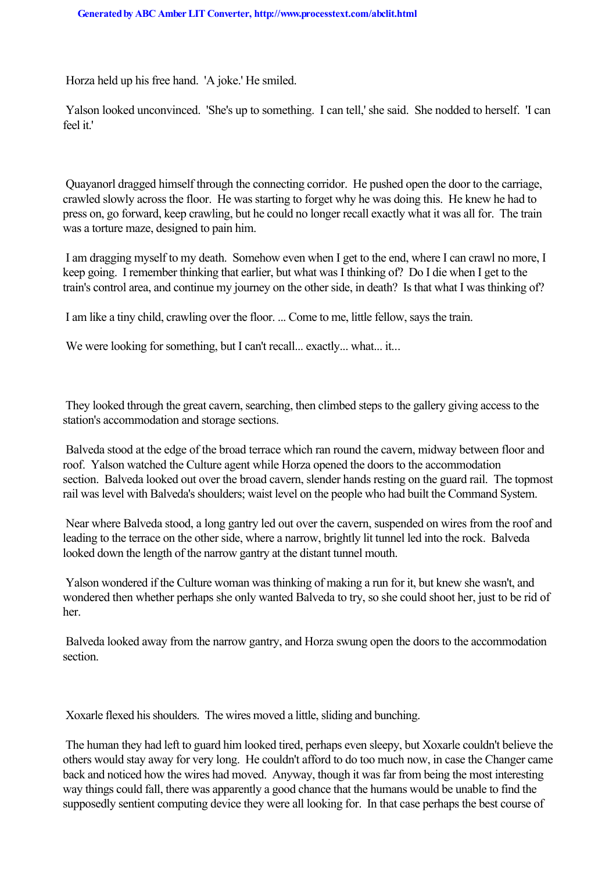Horza held up his free hand. 'A joke.' He smiled.

 Yalson looked unconvinced. 'She's up to something. I can tell,' she said. She nodded to herself. 'I can feel it.'

 Quayanorl dragged himself through the connecting corridor. He pushed open the door to the carriage, crawled slowly across the floor. He was starting to forget why he was doing this. He knew he had to press on, go forward, keep crawling, but he could no longer recall exactly what it was all for. The train was a torture maze, designed to pain him.

 I am dragging myself to my death. Somehow even when I get to the end, where I can crawl no more, I keep going. I remember thinking that earlier, but what was I thinking of? Do I die when I get to the train's control area, and continue my journey on the other side, in death? Is that what I was thinking of?

I am like a tiny child, crawling over the floor. ... Come to me, little fellow, says the train.

We were looking for something, but I can't recall... exactly... what... it...

 They looked through the great cavern, searching, then climbed steps to the gallery giving access to the station's accommodation and storage sections.

 Balveda stood at the edge of the broad terrace which ran round the cavern, midway between floor and roof. Yalson watched the Culture agent while Horza opened the doors to the accommodation section. Balveda looked out over the broad cavern, slender hands resting on the guard rail. The topmost rail was level with Balveda's shoulders; waist level on the people who had built the Command System.

 Near where Balveda stood, a long gantry led out over the cavern, suspended on wires from the roof and leading to the terrace on the other side, where a narrow, brightly lit tunnel led into the rock. Balveda looked down the length of the narrow gantry at the distant tunnel mouth.

 Yalson wondered if the Culture woman was thinking of making a run for it, but knew she wasn't, and wondered then whether perhaps she only wanted Balveda to try, so she could shoot her, just to be rid of her.

 Balveda looked away from the narrow gantry, and Horza swung open the doors to the accommodation section.

Xoxarle flexed his shoulders. The wires moved a little, sliding and bunching.

 The human they had left to guard him looked tired, perhaps even sleepy, but Xoxarle couldn't believe the others would stay away for very long. He couldn't afford to do too much now, in case the Changer came back and noticed how the wires had moved. Anyway, though it was far from being the most interesting way things could fall, there was apparently a good chance that the humans would be unable to find the supposedly sentient computing device they were all looking for. In that case perhaps the best course of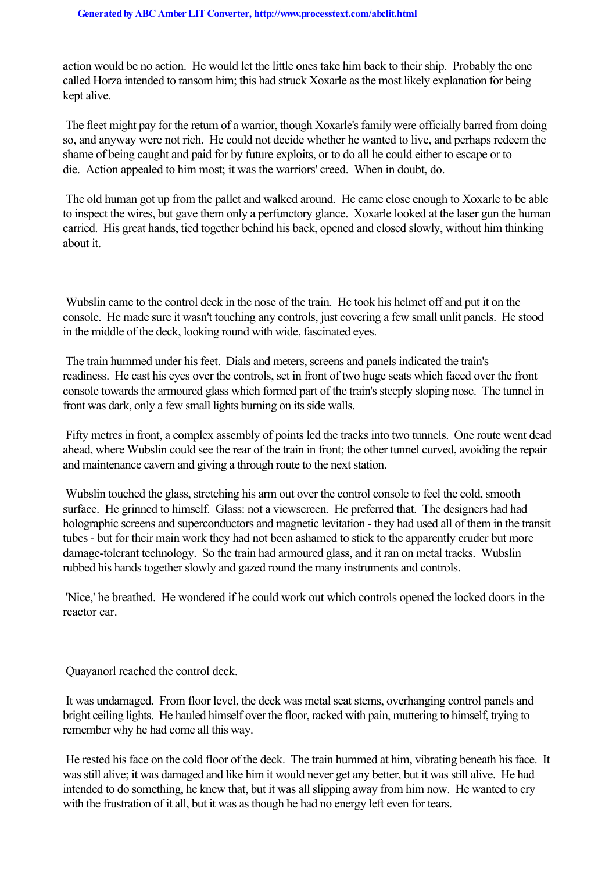action would be no action. He would let the little ones take him back to their ship. Probably the one called Horza intended to ransom him; this had struck Xoxarle as the most likely explanation for being kept alive.

 The fleet might pay for the return of a warrior, though Xoxarle's family were officially barred from doing so, and anyway were not rich. He could not decide whether he wanted to live, and perhaps redeem the shame of being caught and paid for by future exploits, or to do all he could either to escape or to die. Action appealed to him most; it was the warriors' creed. When in doubt, do.

 The old human got up from the pallet and walked around. He came close enough to Xoxarle to be able to inspect the wires, but gave them only a perfunctory glance. Xoxarle looked at the laser gun the human carried. His great hands, tied together behind his back, opened and closed slowly, without him thinking about it.

 Wubslin came to the control deck in the nose of the train. He took his helmet off and put it on the console. He made sure it wasn't touching any controls, just covering a few small unlit panels. He stood in the middle of the deck, looking round with wide, fascinated eyes.

 The train hummed under his feet. Dials and meters, screens and panels indicated the train's readiness. He cast his eyes over the controls, set in front of two huge seats which faced over the front console towards the armoured glass which formed part of the train's steeply sloping nose. The tunnel in front was dark, only a few small lights burning on its side walls.

 Fifty metres in front, a complex assembly of points led the tracks into two tunnels. One route went dead ahead, where Wubslin could see the rear of the train in front; the other tunnel curved, avoiding the repair and maintenance cavern and giving a through route to the next station.

 Wubslin touched the glass, stretching his arm out over the control console to feel the cold, smooth surface. He grinned to himself. Glass: not a viewscreen. He preferred that. The designers had had holographic screens and superconductors and magnetic levitation - they had used all of them in the transit tubes - but for their main work they had not been ashamed to stick to the apparently cruder but more damage-tolerant technology. So the train had armoured glass, and it ran on metal tracks. Wubslin rubbed his hands together slowly and gazed round the many instruments and controls.

 'Nice,' he breathed. He wondered if he could work out which controls opened the locked doors in the reactor car.

Quayanorl reached the control deck.

 It was undamaged. From floor level, the deck was metal seat stems, overhanging control panels and bright ceiling lights. He hauled himself over the floor, racked with pain, muttering to himself, trying to remember why he had come all this way.

 He rested his face on the cold floor of the deck. The train hummed at him, vibrating beneath his face. It was still alive; it was damaged and like him it would never get any better, but it was still alive. He had intended to do something, he knew that, but it was all slipping away from him now. He wanted to cry with the frustration of it all, but it was as though he had no energy left even for tears.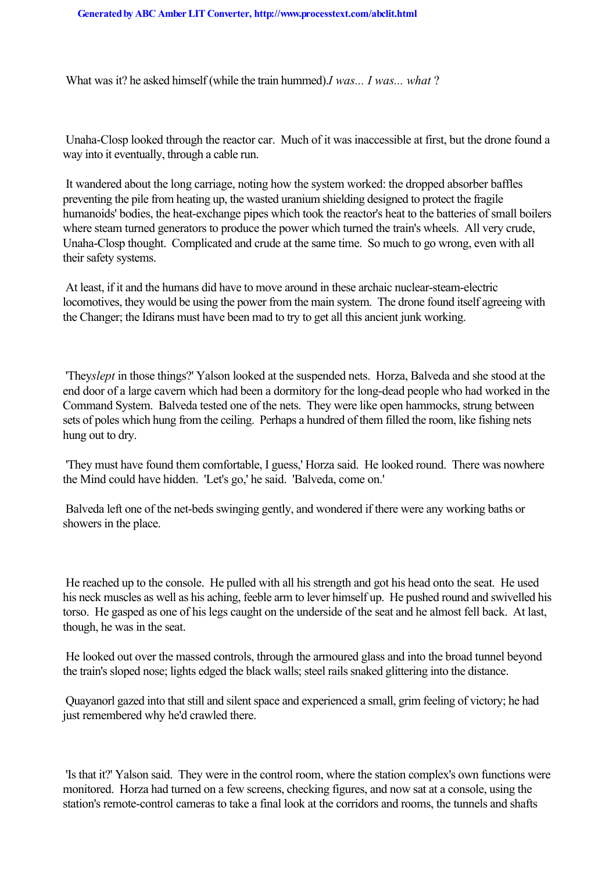What was it? he asked himself (while the train hummed).*I was... I was... what* ?

 Unaha-Closp looked through the reactor car. Much of it was inaccessible at first, but the drone found a way into it eventually, through a cable run.

 It wandered about the long carriage, noting how the system worked: the dropped absorber baffles preventing the pile from heating up, the wasted uranium shielding designed to protect the fragile humanoids' bodies, the heat-exchange pipes which took the reactor's heat to the batteries of small boilers where steam turned generators to produce the power which turned the train's wheels. All very crude, Unaha-Closp thought. Complicated and crude at the same time. So much to go wrong, even with all their safety systems.

 At least, if it and the humans did have to move around in these archaic nuclear-steam-electric locomotives, they would be using the power from the main system. The drone found itself agreeing with the Changer; the Idirans must have been mad to try to get all this ancient junk working.

 'They*slept* in those things?' Yalson looked at the suspended nets. Horza, Balveda and she stood at the end door of a large cavern which had been a dormitory for the long-dead people who had worked in the Command System. Balveda tested one of the nets. They were like open hammocks, strung between sets of poles which hung from the ceiling. Perhaps a hundred of them filled the room, like fishing nets hung out to dry.

 'They must have found them comfortable, I guess,' Horza said. He looked round. There was nowhere the Mind could have hidden. 'Let's go,' he said. 'Balveda, come on.'

 Balveda left one of the net-beds swinging gently, and wondered if there were any working baths or showers in the place.

 He reached up to the console. He pulled with all his strength and got his head onto the seat. He used his neck muscles as well as his aching, feeble arm to lever himself up. He pushed round and swivelled his torso. He gasped as one of his legs caught on the underside of the seat and he almost fell back. At last, though, he was in the seat.

 He looked out over the massed controls, through the armoured glass and into the broad tunnel beyond the train's sloped nose; lights edged the black walls; steel rails snaked glittering into the distance.

 Quayanorl gazed into that still and silent space and experienced a small, grim feeling of victory; he had just remembered why he'd crawled there.

 'Is that it?' Yalson said. They were in the control room, where the station complex's own functions were monitored. Horza had turned on a few screens, checking figures, and now sat at a console, using the station's remote-control cameras to take a final look at the corridors and rooms, the tunnels and shafts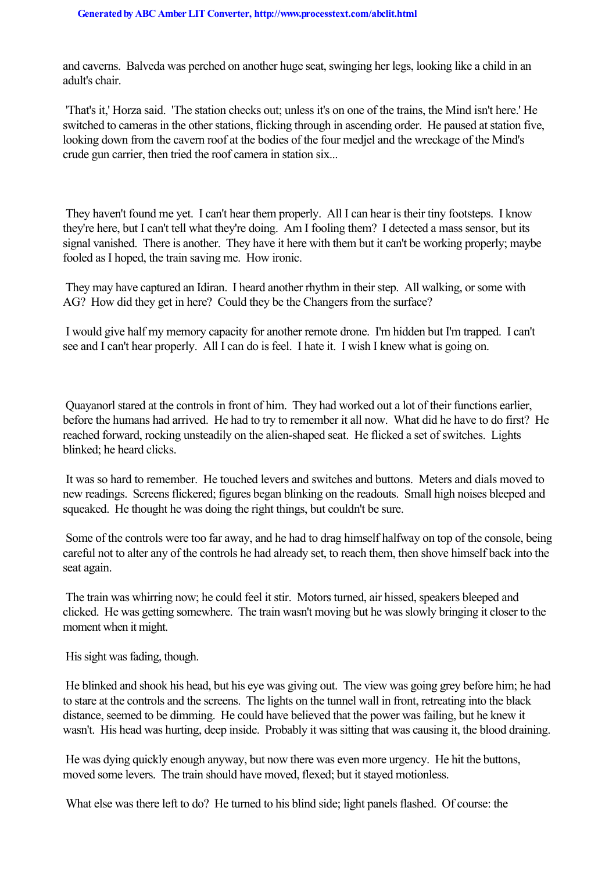and caverns. Balveda was perched on another huge seat, swinging her legs, looking like a child in an adult's chair.

 'That's it,' Horza said. 'The station checks out; unless it's on one of the trains, the Mind isn't here.' He switched to cameras in the other stations, flicking through in ascending order. He paused at station five, looking down from the cavern roof at the bodies of the four medjel and the wreckage of the Mind's crude gun carrier, then tried the roof camera in station six...

 They haven't found me yet. I can't hear them properly. All I can hear is their tiny footsteps. I know they're here, but I can't tell what they're doing. Am I fooling them? I detected a mass sensor, but its signal vanished. There is another. They have it here with them but it can't be working properly; maybe fooled as I hoped, the train saving me. How ironic.

 They may have captured an Idiran. I heard another rhythm in their step. All walking, or some with AG? How did they get in here? Could they be the Changers from the surface?

 I would give half my memory capacity for another remote drone. I'm hidden but I'm trapped. I can't see and I can't hear properly. All I can do is feel. I hate it. I wish I knew what is going on.

 Quayanorl stared at the controls in front of him. They had worked out a lot of their functions earlier, before the humans had arrived. He had to try to remember it all now. What did he have to do first? He reached forward, rocking unsteadily on the alien-shaped seat. He flicked a set of switches. Lights blinked; he heard clicks.

 It was so hard to remember. He touched levers and switches and buttons. Meters and dials moved to new readings. Screens flickered; figures began blinking on the readouts. Small high noises bleeped and squeaked. He thought he was doing the right things, but couldn't be sure.

 Some of the controls were too far away, and he had to drag himself halfway on top of the console, being careful not to alter any of the controls he had already set, to reach them, then shove himself back into the seat again.

 The train was whirring now; he could feel it stir. Motors turned, air hissed, speakers bleeped and clicked. He was getting somewhere. The train wasn't moving but he was slowly bringing it closer to the moment when it might.

His sight was fading, though.

 He blinked and shook his head, but his eye was giving out. The view was going grey before him; he had to stare at the controls and the screens. The lights on the tunnel wall in front, retreating into the black distance, seemed to be dimming. He could have believed that the power was failing, but he knew it wasn't. His head was hurting, deep inside. Probably it was sitting that was causing it, the blood draining.

 He was dying quickly enough anyway, but now there was even more urgency. He hit the buttons, moved some levers. The train should have moved, flexed; but it stayed motionless.

What else was there left to do? He turned to his blind side; light panels flashed. Of course: the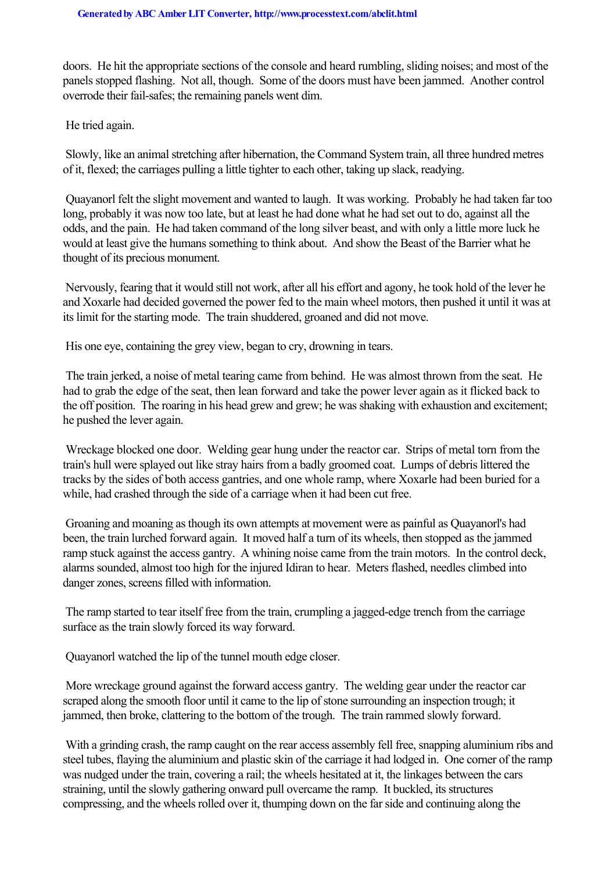doors. He hit the appropriate sections of the console and heard rumbling, sliding noises; and most of the panels stopped flashing. Not all, though. Some of the doors must have been jammed. Another control overrode their fail-safes; the remaining panels went dim.

He tried again.

 Slowly, like an animal stretching after hibernation, the Command System train, all three hundred metres of it, flexed; the carriages pulling a little tighter to each other, taking up slack, readying.

 Quayanorl felt the slight movement and wanted to laugh. It was working. Probably he had taken far too long, probably it was now too late, but at least he had done what he had set out to do, against all the odds, and the pain. He had taken command of the long silver beast, and with only a little more luck he would at least give the humans something to think about. And show the Beast of the Barrier what he thought of its precious monument.

 Nervously, fearing that it would still not work, after all his effort and agony, he took hold of the lever he and Xoxarle had decided governed the power fed to the main wheel motors, then pushed it until it was at its limit for the starting mode. The train shuddered, groaned and did not move.

His one eye, containing the grey view, began to cry, drowning in tears.

 The train jerked, a noise of metal tearing came from behind. He was almost thrown from the seat. He had to grab the edge of the seat, then lean forward and take the power lever again as it flicked back to the off position. The roaring in his head grew and grew; he was shaking with exhaustion and excitement; he pushed the lever again.

 Wreckage blocked one door. Welding gear hung under the reactor car. Strips of metal torn from the train's hull were splayed out like stray hairs from a badly groomed coat. Lumps of debris littered the tracks by the sides of both access gantries, and one whole ramp, where Xoxarle had been buried for a while, had crashed through the side of a carriage when it had been cut free.

 Groaning and moaning as though its own attempts at movement were as painful as Quayanorl's had been, the train lurched forward again. It moved half a turn of its wheels, then stopped as the jammed ramp stuck against the access gantry. A whining noise came from the train motors. In the control deck, alarms sounded, almost too high for the injured Idiran to hear. Meters flashed, needles climbed into danger zones, screens filled with information.

 The ramp started to tear itself free from the train, crumpling a jagged-edge trench from the carriage surface as the train slowly forced its way forward.

Quayanorl watched the lip of the tunnel mouth edge closer.

 More wreckage ground against the forward access gantry. The welding gear under the reactor car scraped along the smooth floor until it came to the lip of stone surrounding an inspection trough; it jammed, then broke, clattering to the bottom of the trough. The train rammed slowly forward.

With a grinding crash, the ramp caught on the rear access assembly fell free, snapping aluminium ribs and steel tubes, flaying the aluminium and plastic skin of the carriage it had lodged in. One corner of the ramp was nudged under the train, covering a rail; the wheels hesitated at it, the linkages between the cars straining, until the slowly gathering onward pull overcame the ramp. It buckled, its structures compressing, and the wheels rolled over it, thumping down on the far side and continuing along the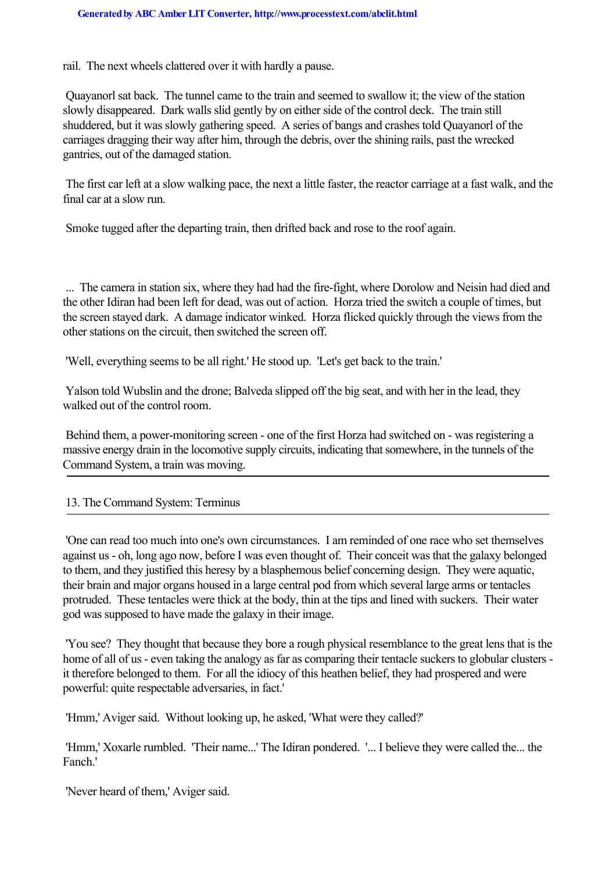rail. The next wheels clattered over it with hardly a pause.

 Quayanorl sat back. The tunnel came to the train and seemed to swallow it; the view of the station slowly disappeared. Dark walls slid gently by on either side of the control deck. The train still shuddered, but it was slowly gathering speed. A series of bangs and crashes told Quayanorl of the carriages dragging their way after him, through the debris, over the shining rails, past the wrecked gantries, out of the damaged station.

 The first car left at a slow walking pace, the next a little faster, the reactor carriage at a fast walk, and the final car at a slow run.

Smoke tugged after the departing train, then drifted back and rose to the roof again.

 ... The camera in station six, where they had had the fire-fight, where Dorolow and Neisin had died and the other Idiran had been left for dead, was out of action. Horza tried the switch a couple of times, but the screen stayed dark. A damage indicator winked. Horza flicked quickly through the views from the other stations on the circuit, then switched the screen off.

'Well, everything seems to be all right.' He stood up. 'Let's get back to the train.'

 Yalson told Wubslin and the drone; Balveda slipped off the big seat, and with her in the lead, they walked out of the control room.

 Behind them, a power-monitoring screen - one of the first Horza had switched on - was registering a massive energy drain in the locomotive supply circuits, indicating that somewhere, in the tunnels of the Command System, a train was moving.

## 13. The Command System: Terminus

 'One can read too much into one's own circumstances. I am reminded of one race who set themselves against us - oh, long ago now, before I was even thought of. Their conceit was that the galaxy belonged to them, and they justified this heresy by a blasphemous belief concerning design. They were aquatic, their brain and major organs housed in a large central pod from which several large arms or tentacles protruded. These tentacles were thick at the body, thin at the tips and lined with suckers. Their water god was supposed to have made the galaxy in their image.

 'You see? They thought that because they bore a rough physical resemblance to the great lens that is the home of all of us - even taking the analogy as far as comparing their tentacle suckers to globular clusters it therefore belonged to them. For all the idiocy of this heathen belief, they had prospered and were powerful: quite respectable adversaries, in fact.'

'Hmm,' Aviger said. Without looking up, he asked, 'What were they called?'

 'Hmm,' Xoxarle rumbled. 'Their name...' The Idiran pondered. '... I believe they were called the... the Fanch.'

'Never heard of them,' Aviger said.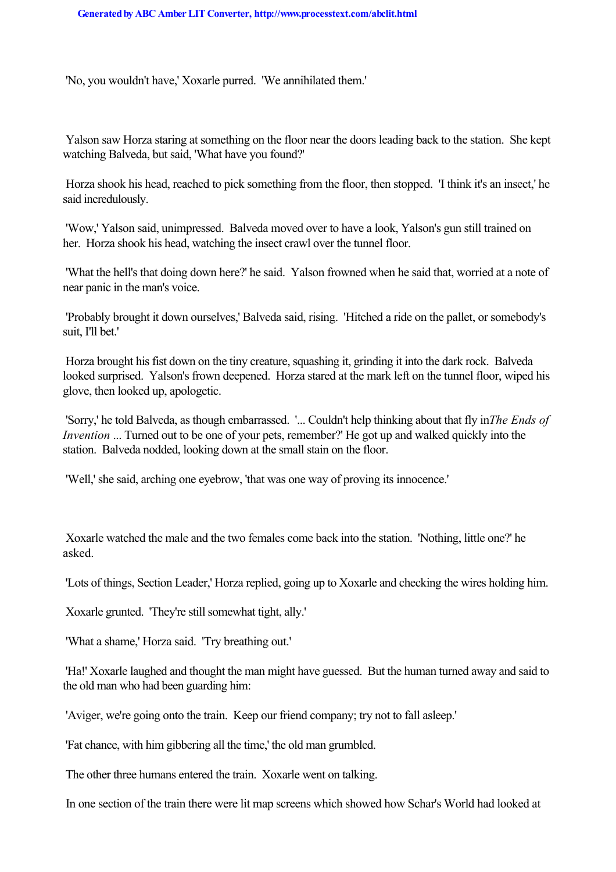'No, you wouldn't have,' Xoxarle purred. 'We annihilated them.'

 Yalson saw Horza staring at something on the floor near the doors leading back to the station. She kept watching Balveda, but said, 'What have you found?'

 Horza shook his head, reached to pick something from the floor, then stopped. 'I think it's an insect,' he said incredulously.

 'Wow,' Yalson said, unimpressed. Balveda moved over to have a look, Yalson's gun still trained on her. Horza shook his head, watching the insect crawl over the tunnel floor.

 'What the hell's that doing down here?' he said. Yalson frowned when he said that, worried at a note of near panic in the man's voice.

 'Probably brought it down ourselves,' Balveda said, rising. 'Hitched a ride on the pallet, or somebody's suit, I'll bet.'

 Horza brought his fist down on the tiny creature, squashing it, grinding it into the dark rock. Balveda looked surprised. Yalson's frown deepened. Horza stared at the mark left on the tunnel floor, wiped his glove, then looked up, apologetic.

 'Sorry,' he told Balveda, as though embarrassed. '... Couldn't help thinking about that fly in*The Ends of Invention* ... Turned out to be one of your pets, remember?' He got up and walked quickly into the station. Balveda nodded, looking down at the small stain on the floor.

'Well,' she said, arching one eyebrow, 'that was one way of proving its innocence.'

 Xoxarle watched the male and the two females come back into the station. 'Nothing, little one?' he asked.

'Lots of things, Section Leader,' Horza replied, going up to Xoxarle and checking the wires holding him.

Xoxarle grunted. 'They're still somewhat tight, ally.'

'What a shame,' Horza said. 'Try breathing out.'

 'Ha!' Xoxarle laughed and thought the man might have guessed. But the human turned away and said to the old man who had been guarding him:

'Aviger, we're going onto the train. Keep our friend company; try not to fall asleep.'

'Fat chance, with him gibbering all the time,' the old man grumbled.

The other three humans entered the train. Xoxarle went on talking.

In one section of the train there were lit map screens which showed how Schar's World had looked at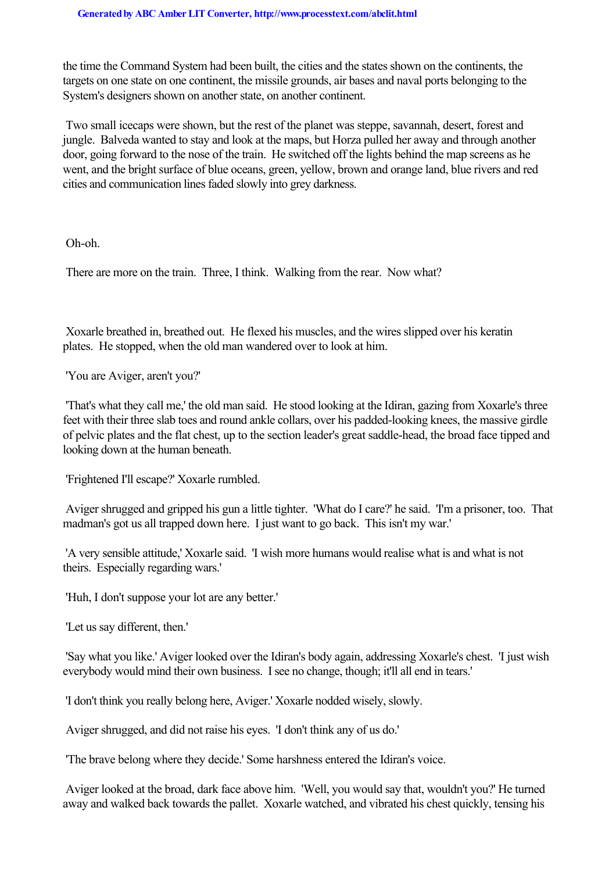the time the Command System had been built, the cities and the states shown on the continents, the targets on one state on one continent, the missile grounds, air bases and naval ports belonging to the System's designers shown on another state, on another continent.

 Two small icecaps were shown, but the rest of the planet was steppe, savannah, desert, forest and jungle. Balveda wanted to stay and look at the maps, but Horza pulled her away and through another door, going forward to the nose of the train. He switched off the lights behind the map screens as he went, and the bright surface of blue oceans, green, yellow, brown and orange land, blue rivers and red cities and communication lines faded slowly into grey darkness.

Oh-oh.

There are more on the train. Three, I think. Walking from the rear. Now what?

 Xoxarle breathed in, breathed out. He flexed his muscles, and the wires slipped over his keratin plates. He stopped, when the old man wandered over to look at him.

'You are Aviger, aren't you?'

 'That's what they call me,' the old man said. He stood looking at the Idiran, gazing from Xoxarle's three feet with their three slab toes and round ankle collars, over his padded-looking knees, the massive girdle of pelvic plates and the flat chest, up to the section leader's great saddle-head, the broad face tipped and looking down at the human beneath.

'Frightened I'll escape?' Xoxarle rumbled.

 Aviger shrugged and gripped his gun a little tighter. 'What do I care?' he said. 'I'm a prisoner, too. That madman's got us all trapped down here. I just want to go back. This isn't my war.'

 'A very sensible attitude,' Xoxarle said. 'I wish more humans would realise what is and what is not theirs. Especially regarding wars.'

'Huh, I don't suppose your lot are any better.'

'Let us say different, then.'

 'Say what you like.' Aviger looked over the Idiran's body again, addressing Xoxarle's chest. 'I just wish everybody would mind their own business. I see no change, though; it'll all end in tears.'

'I don't think you really belong here, Aviger.' Xoxarle nodded wisely, slowly.

Aviger shrugged, and did not raise his eyes. 'I don't think any of us do.'

'The brave belong where they decide.' Some harshness entered the Idiran's voice.

 Aviger looked at the broad, dark face above him. 'Well, you would say that, wouldn't you?' He turned away and walked back towards the pallet. Xoxarle watched, and vibrated his chest quickly, tensing his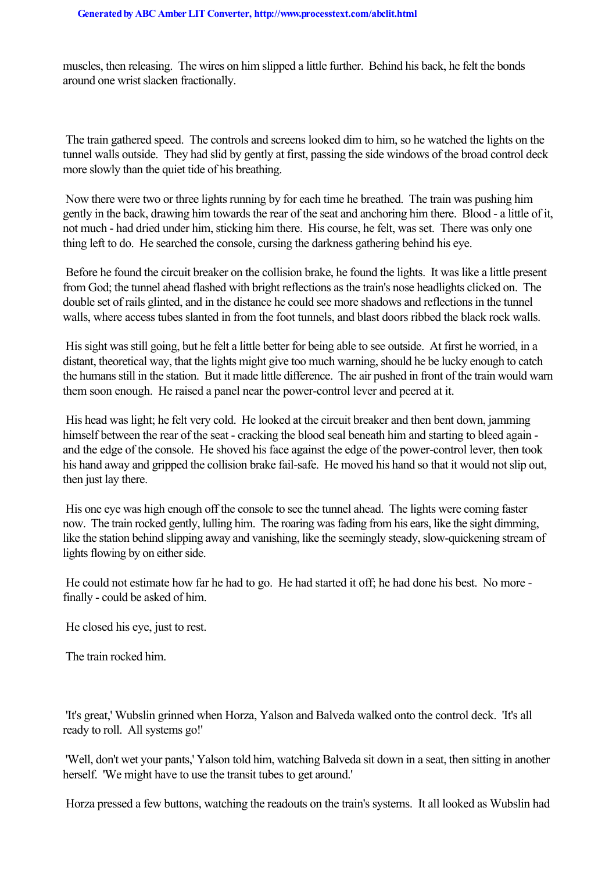muscles, then releasing. The wires on him slipped a little further. Behind his back, he felt the bonds around one wrist slacken fractionally.

 The train gathered speed. The controls and screens looked dim to him, so he watched the lights on the tunnel walls outside. They had slid by gently at first, passing the side windows of the broad control deck more slowly than the quiet tide of his breathing.

 Now there were two or three lights running by for each time he breathed. The train was pushing him gently in the back, drawing him towards the rear of the seat and anchoring him there. Blood - a little of it, not much - had dried under him, sticking him there. His course, he felt, was set. There was only one thing left to do. He searched the console, cursing the darkness gathering behind his eye.

 Before he found the circuit breaker on the collision brake, he found the lights. It was like a little present from God; the tunnel ahead flashed with bright reflections as the train's nose headlights clicked on. The double set of rails glinted, and in the distance he could see more shadows and reflections in the tunnel walls, where access tubes slanted in from the foot tunnels, and blast doors ribbed the black rock walls.

 His sight was still going, but he felt a little better for being able to see outside. At first he worried, in a distant, theoretical way, that the lights might give too much warning, should he be lucky enough to catch the humans still in the station. But it made little difference. The air pushed in front of the train would warn them soon enough. He raised a panel near the power-control lever and peered at it.

 His head was light; he felt very cold. He looked at the circuit breaker and then bent down, jamming himself between the rear of the seat - cracking the blood seal beneath him and starting to bleed again and the edge of the console. He shoved his face against the edge of the power-control lever, then took his hand away and gripped the collision brake fail-safe. He moved his hand so that it would not slip out, then just lay there.

 His one eye was high enough off the console to see the tunnel ahead. The lights were coming faster now. The train rocked gently, lulling him. The roaring was fading from his ears, like the sight dimming, like the station behind slipping away and vanishing, like the seemingly steady, slow-quickening stream of lights flowing by on either side.

 He could not estimate how far he had to go. He had started it off; he had done his best. No more finally - could be asked of him.

He closed his eye, just to rest.

The train rocked him.

 'It's great,' Wubslin grinned when Horza, Yalson and Balveda walked onto the control deck. 'It's all ready to roll. All systems go!'

 'Well, don't wet your pants,' Yalson told him, watching Balveda sit down in a seat, then sitting in another herself. 'We might have to use the transit tubes to get around.'

Horza pressed a few buttons, watching the readouts on the train's systems. It all looked as Wubslin had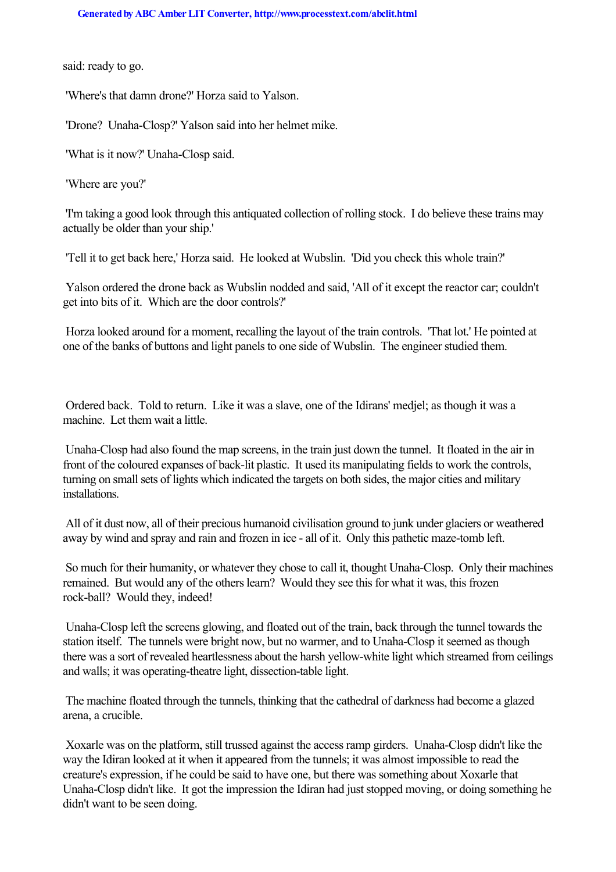said: ready to go.

'Where's that damn drone?' Horza said to Yalson.

'Drone? Unaha-Closp?' Yalson said into her helmet mike.

'What is it now?' Unaha-Closp said.

'Where are you?'

 'I'm taking a good look through this antiquated collection of rolling stock. I do believe these trains may actually be older than your ship.'

'Tell it to get back here,' Horza said. He looked at Wubslin. 'Did you check this whole train?'

 Yalson ordered the drone back as Wubslin nodded and said, 'All of it except the reactor car; couldn't get into bits of it. Which are the door controls?'

 Horza looked around for a moment, recalling the layout of the train controls. 'That lot.' He pointed at one of the banks of buttons and light panels to one side of Wubslin. The engineer studied them.

 Ordered back. Told to return. Like it was a slave, one of the Idirans' medjel; as though it was a machine. Let them wait a little.

 Unaha-Closp had also found the map screens, in the train just down the tunnel. It floated in the air in front of the coloured expanses of back-lit plastic. It used its manipulating fields to work the controls, turning on small sets of lights which indicated the targets on both sides, the major cities and military installations.

 All of it dust now, all of their precious humanoid civilisation ground to junk under glaciers or weathered away by wind and spray and rain and frozen in ice - all of it. Only this pathetic maze-tomb left.

 So much for their humanity, or whatever they chose to call it, thought Unaha-Closp. Only their machines remained. But would any of the others learn? Would they see this for what it was, this frozen rock-ball? Would they, indeed!

 Unaha-Closp left the screens glowing, and floated out of the train, back through the tunnel towards the station itself. The tunnels were bright now, but no warmer, and to Unaha-Closp it seemed as though there was a sort of revealed heartlessness about the harsh yellow-white light which streamed from ceilings and walls; it was operating-theatre light, dissection-table light.

 The machine floated through the tunnels, thinking that the cathedral of darkness had become a glazed arena, a crucible.

 Xoxarle was on the platform, still trussed against the access ramp girders. Unaha-Closp didn't like the way the Idiran looked at it when it appeared from the tunnels; it was almost impossible to read the creature's expression, if he could be said to have one, but there was something about Xoxarle that Unaha-Closp didn't like. It got the impression the Idiran had just stopped moving, or doing something he didn't want to be seen doing.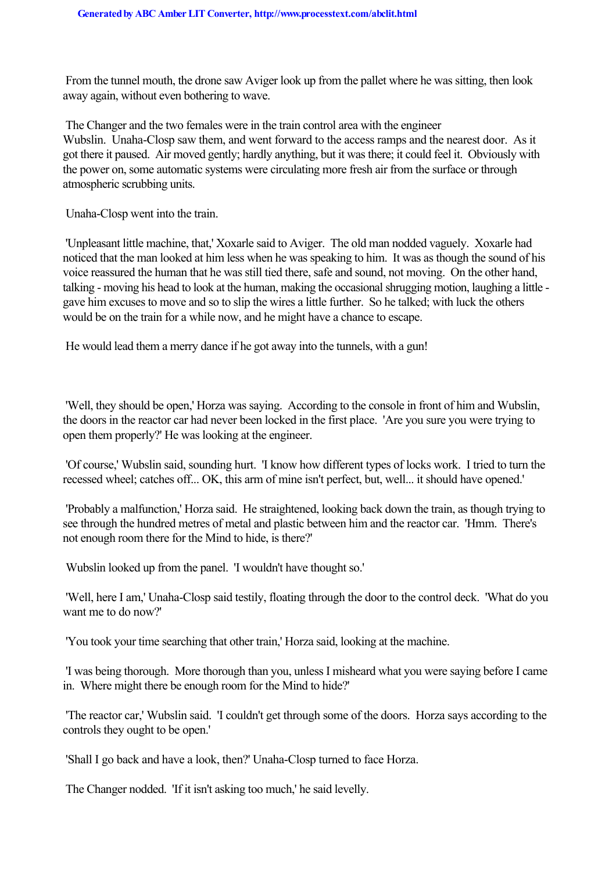From the tunnel mouth, the drone saw Aviger look up from the pallet where he was sitting, then look away again, without even bothering to wave.

 The Changer and the two females were in the train control area with the engineer Wubslin. Unaha-Closp saw them, and went forward to the access ramps and the nearest door. As it got there it paused. Air moved gently; hardly anything, but it was there; it could feel it. Obviously with the power on, some automatic systems were circulating more fresh air from the surface or through atmospheric scrubbing units.

Unaha-Closp went into the train.

 'Unpleasant little machine, that,' Xoxarle said to Aviger. The old man nodded vaguely. Xoxarle had noticed that the man looked at him less when he was speaking to him. It was as though the sound of his voice reassured the human that he was still tied there, safe and sound, not moving. On the other hand, talking - moving his head to look at the human, making the occasional shrugging motion, laughing a little gave him excuses to move and so to slip the wires a little further. So he talked; with luck the others would be on the train for a while now, and he might have a chance to escape.

He would lead them a merry dance if he got away into the tunnels, with a gun!

 'Well, they should be open,' Horza was saying. According to the console in front of him and Wubslin, the doors in the reactor car had never been locked in the first place. 'Are you sure you were trying to open them properly?' He was looking at the engineer.

 'Of course,' Wubslin said, sounding hurt. 'I know how different types of locks work. I tried to turn the recessed wheel; catches off... OK, this arm of mine isn't perfect, but, well... it should have opened.'

 'Probably a malfunction,' Horza said. He straightened, looking back down the train, as though trying to see through the hundred metres of metal and plastic between him and the reactor car. 'Hmm. There's not enough room there for the Mind to hide, is there?'

Wubslin looked up from the panel. 'I wouldn't have thought so.'

 'Well, here I am,' Unaha-Closp said testily, floating through the door to the control deck. 'What do you want me to do now?'

'You took your time searching that other train,' Horza said, looking at the machine.

 'I was being thorough. More thorough than you, unless I misheard what you were saying before I came in. Where might there be enough room for the Mind to hide?'

 'The reactor car,' Wubslin said. 'I couldn't get through some of the doors. Horza says according to the controls they ought to be open.'

'Shall I go back and have a look, then?' Unaha-Closp turned to face Horza.

The Changer nodded. 'If it isn't asking too much,' he said levelly.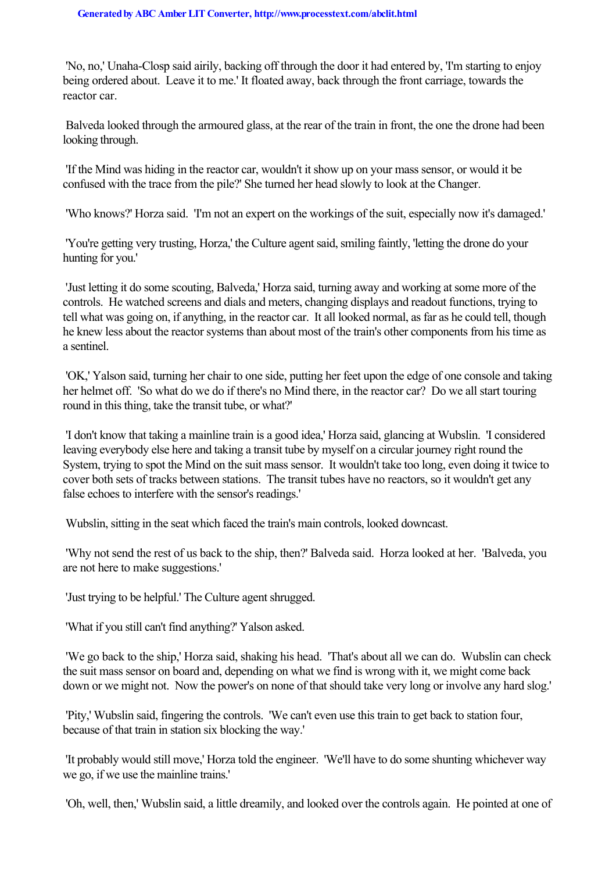### **Generated by ABC Amber LIT Converter, <http://www.processtext.com/abclit.html>**

 'No, no,' Unaha-Closp said airily, backing off through the door it had entered by, 'I'm starting to enjoy being ordered about. Leave it to me.' It floated away, back through the front carriage, towards the reactor car.

 Balveda looked through the armoured glass, at the rear of the train in front, the one the drone had been looking through.

 'If the Mind was hiding in the reactor car, wouldn't it show up on your mass sensor, or would it be confused with the trace from the pile?' She turned her head slowly to look at the Changer.

'Who knows?' Horza said. 'I'm not an expert on the workings of the suit, especially now it's damaged.'

 'You're getting very trusting, Horza,' the Culture agent said, smiling faintly, 'letting the drone do your hunting for you.'

 'Just letting it do some scouting, Balveda,' Horza said, turning away and working at some more of the controls. He watched screens and dials and meters, changing displays and readout functions, trying to tell what was going on, if anything, in the reactor car. It all looked normal, as far as he could tell, though he knew less about the reactor systems than about most of the train's other components from his time as a sentinel.

 'OK,' Yalson said, turning her chair to one side, putting her feet upon the edge of one console and taking her helmet off. 'So what do we do if there's no Mind there, in the reactor car? Do we all start touring round in this thing, take the transit tube, or what?'

 'I don't know that taking a mainline train is a good idea,' Horza said, glancing at Wubslin. 'I considered leaving everybody else here and taking a transit tube by myself on a circular journey right round the System, trying to spot the Mind on the suit mass sensor. It wouldn't take too long, even doing it twice to cover both sets of tracks between stations. The transit tubes have no reactors, so it wouldn't get any false echoes to interfere with the sensor's readings.'

Wubslin, sitting in the seat which faced the train's main controls, looked downcast.

 'Why not send the rest of us back to the ship, then?' Balveda said. Horza looked at her. 'Balveda, you are not here to make suggestions.'

'Just trying to be helpful.' The Culture agent shrugged.

'What if you still can't find anything?' Yalson asked.

 'We go back to the ship,' Horza said, shaking his head. 'That's about all we can do. Wubslin can check the suit mass sensor on board and, depending on what we find is wrong with it, we might come back down or we might not. Now the power's on none of that should take very long or involve any hard slog.'

 'Pity,' Wubslin said, fingering the controls. 'We can't even use this train to get back to station four, because of that train in station six blocking the way.'

 'It probably would still move,' Horza told the engineer. 'We'll have to do some shunting whichever way we go, if we use the mainline trains.'

'Oh, well, then,' Wubslin said, a little dreamily, and looked over the controls again. He pointed at one of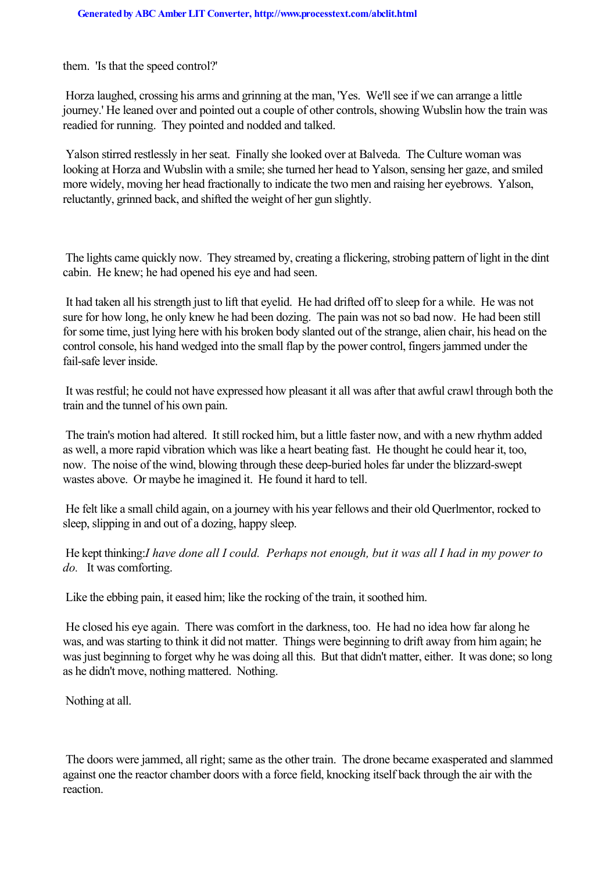them. 'Is that the speed control?'

 Horza laughed, crossing his arms and grinning at the man, 'Yes. We'll see if we can arrange a little journey.' He leaned over and pointed out a couple of other controls, showing Wubslin how the train was readied for running. They pointed and nodded and talked.

 Yalson stirred restlessly in her seat. Finally she looked over at Balveda. The Culture woman was looking at Horza and Wubslin with a smile; she turned her head to Yalson, sensing her gaze, and smiled more widely, moving her head fractionally to indicate the two men and raising her eyebrows. Yalson, reluctantly, grinned back, and shifted the weight of her gun slightly.

 The lights came quickly now. They streamed by, creating a flickering, strobing pattern of light in the dint cabin. He knew; he had opened his eye and had seen.

 It had taken all his strength just to lift that eyelid. He had drifted off to sleep for a while. He was not sure for how long, he only knew he had been dozing. The pain was not so bad now. He had been still for some time, just lying here with his broken body slanted out of the strange, alien chair, his head on the control console, his hand wedged into the small flap by the power control, fingers jammed under the fail-safe lever inside.

 It was restful; he could not have expressed how pleasant it all was after that awful crawl through both the train and the tunnel of his own pain.

 The train's motion had altered. It still rocked him, but a little faster now, and with a new rhythm added as well, a more rapid vibration which was like a heart beating fast. He thought he could hear it, too, now. The noise of the wind, blowing through these deep-buried holes far under the blizzard-swept wastes above. Or maybe he imagined it. He found it hard to tell.

 He felt like a small child again, on a journey with his year fellows and their old Querlmentor, rocked to sleep, slipping in and out of a dozing, happy sleep.

 He kept thinking:*I have done all I could. Perhaps not enough, but it was all I had in my power to do.* It was comforting.

Like the ebbing pain, it eased him; like the rocking of the train, it soothed him.

 He closed his eye again. There was comfort in the darkness, too. He had no idea how far along he was, and was starting to think it did not matter. Things were beginning to drift away from him again; he was just beginning to forget why he was doing all this. But that didn't matter, either. It was done; so long as he didn't move, nothing mattered. Nothing.

Nothing at all.

 The doors were jammed, all right; same as the other train. The drone became exasperated and slammed against one the reactor chamber doors with a force field, knocking itself back through the air with the reaction.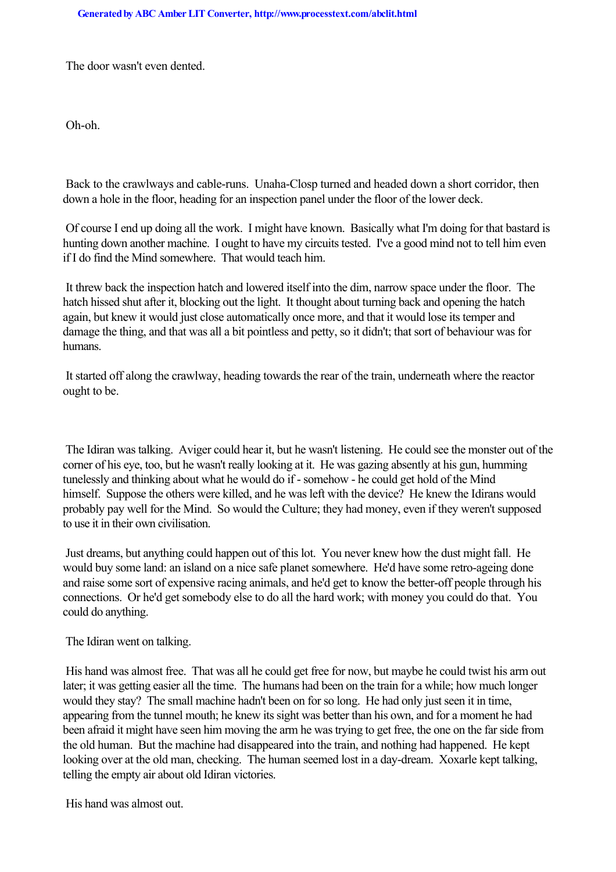### **Generated by ABC Amber LIT Converter, <http://www.processtext.com/abclit.html>**

The door wasn't even dented.

Oh-oh.

 Back to the crawlways and cable-runs. Unaha-Closp turned and headed down a short corridor, then down a hole in the floor, heading for an inspection panel under the floor of the lower deck.

 Of course I end up doing all the work. I might have known. Basically what I'm doing for that bastard is hunting down another machine. I ought to have my circuits tested. I've a good mind not to tell him even if I do find the Mind somewhere. That would teach him.

 It threw back the inspection hatch and lowered itself into the dim, narrow space under the floor. The hatch hissed shut after it, blocking out the light. It thought about turning back and opening the hatch again, but knew it would just close automatically once more, and that it would lose its temper and damage the thing, and that was all a bit pointless and petty, so it didn't; that sort of behaviour was for humans.

 It started off along the crawlway, heading towards the rear of the train, underneath where the reactor ought to be.

 The Idiran was talking. Aviger could hear it, but he wasn't listening. He could see the monster out of the corner of his eye, too, but he wasn't really looking at it. He was gazing absently at his gun, humming tunelessly and thinking about what he would do if - somehow - he could get hold of the Mind himself. Suppose the others were killed, and he was left with the device? He knew the Idirans would probably pay well for the Mind. So would the Culture; they had money, even if they weren't supposed to use it in their own civilisation.

 Just dreams, but anything could happen out of this lot. You never knew how the dust might fall. He would buy some land: an island on a nice safe planet somewhere. He'd have some retro-ageing done and raise some sort of expensive racing animals, and he'd get to know the better-off people through his connections. Or he'd get somebody else to do all the hard work; with money you could do that. You could do anything.

The Idiran went on talking.

 His hand was almost free. That was all he could get free for now, but maybe he could twist his arm out later; it was getting easier all the time. The humans had been on the train for a while; how much longer would they stay? The small machine hadn't been on for so long. He had only just seen it in time, appearing from the tunnel mouth; he knew its sight was better than his own, and for a moment he had been afraid it might have seen him moving the arm he was trying to get free, the one on the far side from the old human. But the machine had disappeared into the train, and nothing had happened. He kept looking over at the old man, checking. The human seemed lost in a day-dream. Xoxarle kept talking, telling the empty air about old Idiran victories.

His hand was almost out.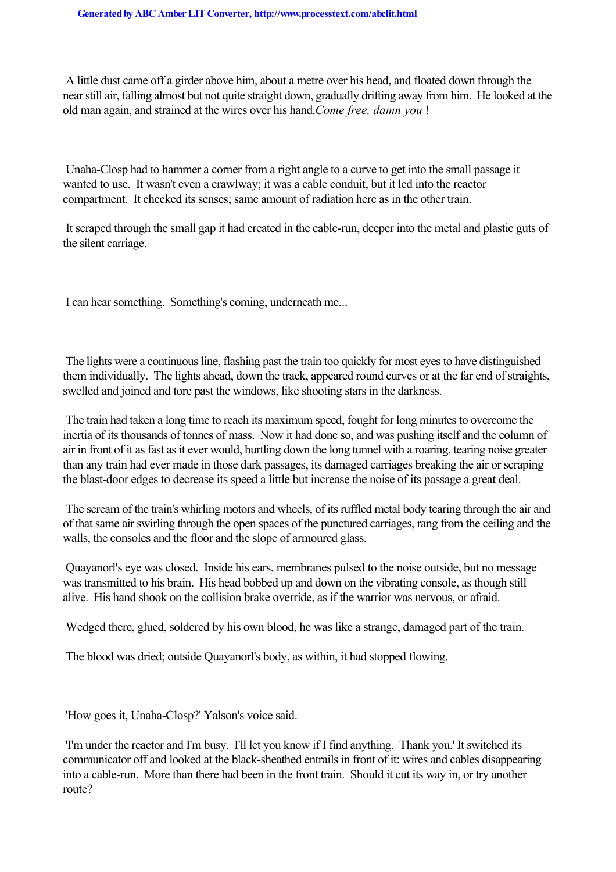A little dust came off a girder above him, about a metre over his head, and floated down through the near still air, falling almost but not quite straight down, gradually drifting away from him. He looked at the old man again, and strained at the wires over his hand.*Come free, damn you* !

 Unaha-Closp had to hammer a corner from a right angle to a curve to get into the small passage it wanted to use. It wasn't even a crawlway; it was a cable conduit, but it led into the reactor compartment. It checked its senses; same amount of radiation here as in the other train.

 It scraped through the small gap it had created in the cable-run, deeper into the metal and plastic guts of the silent carriage.

I can hear something. Something's coming, underneath me...

 The lights were a continuous line, flashing past the train too quickly for most eyes to have distinguished them individually. The lights ahead, down the track, appeared round curves or at the far end of straights, swelled and joined and tore past the windows, like shooting stars in the darkness.

 The train had taken a long time to reach its maximum speed, fought for long minutes to overcome the inertia of its thousands of tonnes of mass. Now it had done so, and was pushing itself and the column of air in front of it as fast as it ever would, hurtling down the long tunnel with a roaring, tearing noise greater than any train had ever made in those dark passages, its damaged carriages breaking the air or scraping the blast-door edges to decrease its speed a little but increase the noise of its passage a great deal.

 The scream of the train's whirling motors and wheels, of its ruffled metal body tearing through the air and of that same air swirling through the open spaces of the punctured carriages, rang from the ceiling and the walls, the consoles and the floor and the slope of armoured glass.

 Quayanorl's eye was closed. Inside his ears, membranes pulsed to the noise outside, but no message was transmitted to his brain. His head bobbed up and down on the vibrating console, as though still alive. His hand shook on the collision brake override, as if the warrior was nervous, or afraid.

Wedged there, glued, soldered by his own blood, he was like a strange, damaged part of the train.

The blood was dried; outside Quayanorl's body, as within, it had stopped flowing.

'How goes it, Unaha-Closp?' Yalson's voice said.

 'I'm under the reactor and I'm busy. I'll let you know if I find anything. Thank you.' It switched its communicator off and looked at the black-sheathed entrails in front of it: wires and cables disappearing into a cable-run. More than there had been in the front train. Should it cut its way in, or try another route?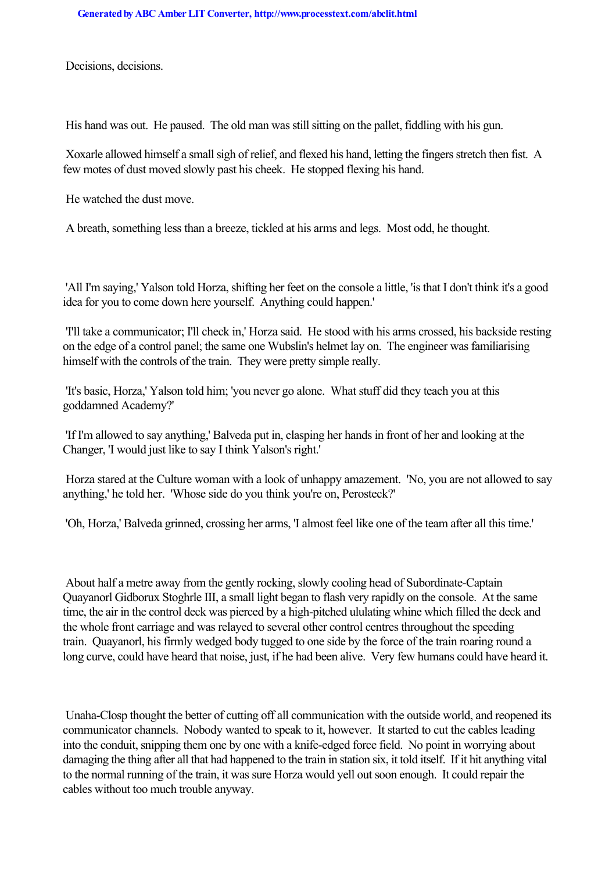Decisions, decisions.

His hand was out. He paused. The old man was still sitting on the pallet, fiddling with his gun.

 Xoxarle allowed himself a small sigh of relief, and flexed his hand, letting the fingers stretch then fist. A few motes of dust moved slowly past his cheek. He stopped flexing his hand.

He watched the dust move.

A breath, something less than a breeze, tickled at his arms and legs. Most odd, he thought.

 'All I'm saying,' Yalson told Horza, shifting her feet on the console a little, 'is that I don't think it's a good idea for you to come down here yourself. Anything could happen.'

 'I'll take a communicator; I'll check in,' Horza said. He stood with his arms crossed, his backside resting on the edge of a control panel; the same one Wubslin's helmet lay on. The engineer was familiarising himself with the controls of the train. They were pretty simple really.

 'It's basic, Horza,' Yalson told him; 'you never go alone. What stuff did they teach you at this goddamned Academy?'

 'If I'm allowed to say anything,' Balveda put in, clasping her hands in front of her and looking at the Changer, 'I would just like to say I think Yalson's right.'

 Horza stared at the Culture woman with a look of unhappy amazement. 'No, you are not allowed to say anything,' he told her. 'Whose side do you think you're on, Perosteck?'

'Oh, Horza,' Balveda grinned, crossing her arms, 'I almost feel like one of the team after all this time.'

 About half a metre away from the gently rocking, slowly cooling head of Subordinate-Captain Quayanorl Gidborux Stoghrle III, a small light began to flash very rapidly on the console. At the same time, the air in the control deck was pierced by a high-pitched ululating whine which filled the deck and the whole front carriage and was relayed to several other control centres throughout the speeding train. Quayanorl, his firmly wedged body tugged to one side by the force of the train roaring round a long curve, could have heard that noise, just, if he had been alive. Very few humans could have heard it.

 Unaha-Closp thought the better of cutting off all communication with the outside world, and reopened its communicator channels. Nobody wanted to speak to it, however. It started to cut the cables leading into the conduit, snipping them one by one with a knife-edged force field. No point in worrying about damaging the thing after all that had happened to the train in station six, it told itself. If it hit anything vital to the normal running of the train, it was sure Horza would yell out soon enough. It could repair the cables without too much trouble anyway.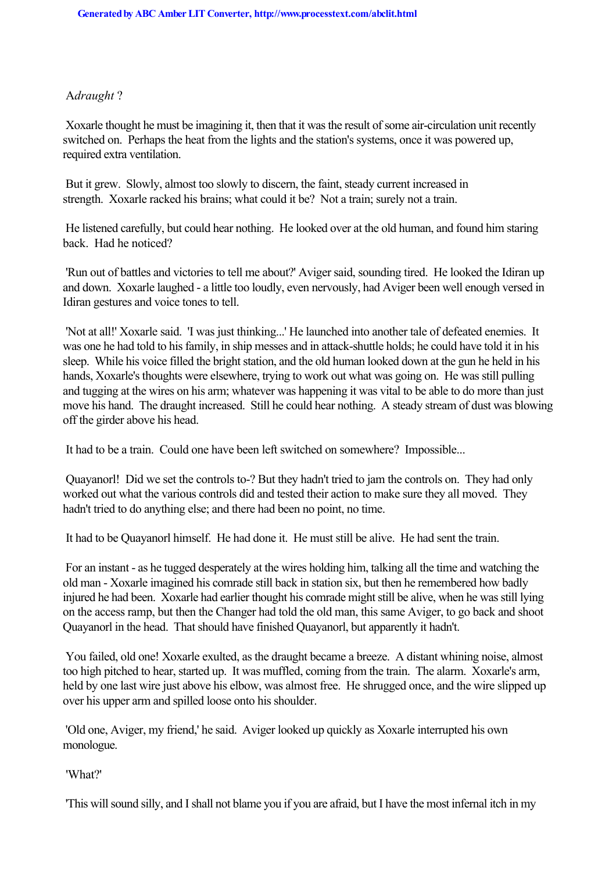# A*draught* ?

 Xoxarle thought he must be imagining it, then that it was the result of some air-circulation unit recently switched on. Perhaps the heat from the lights and the station's systems, once it was powered up, required extra ventilation.

 But it grew. Slowly, almost too slowly to discern, the faint, steady current increased in strength. Xoxarle racked his brains; what could it be? Not a train; surely not a train.

 He listened carefully, but could hear nothing. He looked over at the old human, and found him staring back. Had he noticed?

 'Run out of battles and victories to tell me about?' Aviger said, sounding tired. He looked the Idiran up and down. Xoxarle laughed - a little too loudly, even nervously, had Aviger been well enough versed in Idiran gestures and voice tones to tell.

 'Not at all!' Xoxarle said. 'I was just thinking...' He launched into another tale of defeated enemies. It was one he had told to his family, in ship messes and in attack-shuttle holds; he could have told it in his sleep. While his voice filled the bright station, and the old human looked down at the gun he held in his hands, Xoxarle's thoughts were elsewhere, trying to work out what was going on. He was still pulling and tugging at the wires on his arm; whatever was happening it was vital to be able to do more than just move his hand. The draught increased. Still he could hear nothing. A steady stream of dust was blowing off the girder above his head.

It had to be a train. Could one have been left switched on somewhere? Impossible...

 Quayanorl! Did we set the controls to-? But they hadn't tried to jam the controls on. They had only worked out what the various controls did and tested their action to make sure they all moved. They hadn't tried to do anything else; and there had been no point, no time.

It had to be Quayanorl himself. He had done it. He must still be alive. He had sent the train.

 For an instant - as he tugged desperately at the wires holding him, talking all the time and watching the old man - Xoxarle imagined his comrade still back in station six, but then he remembered how badly injured he had been. Xoxarle had earlier thought his comrade might still be alive, when he was still lying on the access ramp, but then the Changer had told the old man, this same Aviger, to go back and shoot Quayanorl in the head. That should have finished Quayanorl, but apparently it hadn't.

 You failed, old one! Xoxarle exulted, as the draught became a breeze. A distant whining noise, almost too high pitched to hear, started up. It was muffled, coming from the train. The alarm. Xoxarle's arm, held by one last wire just above his elbow, was almost free. He shrugged once, and the wire slipped up over his upper arm and spilled loose onto his shoulder.

 'Old one, Aviger, my friend,' he said. Aviger looked up quickly as Xoxarle interrupted his own monologue.

'What?'

'This will sound silly, and I shall not blame you if you are afraid, but I have the most infernal itch in my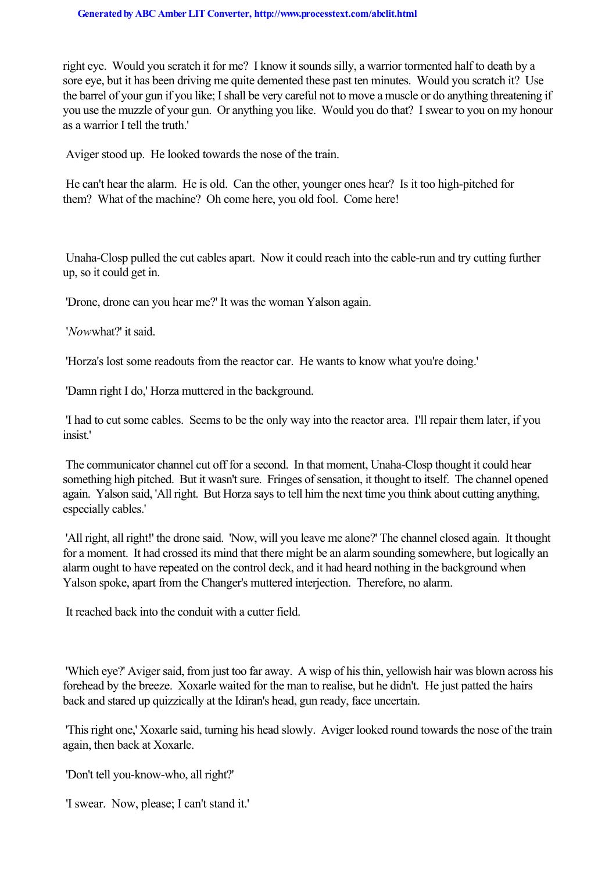right eye. Would you scratch it for me? I know it sounds silly, a warrior tormented half to death by a sore eye, but it has been driving me quite demented these past ten minutes. Would you scratch it? Use the barrel of your gun if you like; I shall be very careful not to move a muscle or do anything threatening if you use the muzzle of your gun. Or anything you like. Would you do that? I swear to you on my honour as a warrior I tell the truth.'

Aviger stood up. He looked towards the nose of the train.

 He can't hear the alarm. He is old. Can the other, younger ones hear? Is it too high-pitched for them? What of the machine? Oh come here, you old fool. Come here!

 Unaha-Closp pulled the cut cables apart. Now it could reach into the cable-run and try cutting further up, so it could get in.

'Drone, drone can you hear me?' It was the woman Yalson again.

'*Now*what?' it said.

'Horza's lost some readouts from the reactor car. He wants to know what you're doing.'

'Damn right I do,' Horza muttered in the background.

 'I had to cut some cables. Seems to be the only way into the reactor area. I'll repair them later, if you insist.'

 The communicator channel cut off for a second. In that moment, Unaha-Closp thought it could hear something high pitched. But it wasn't sure. Fringes of sensation, it thought to itself. The channel opened again. Yalson said, 'All right. But Horza says to tell him the next time you think about cutting anything, especially cables.'

 'All right, all right!' the drone said. 'Now, will you leave me alone?' The channel closed again. It thought for a moment. It had crossed its mind that there might be an alarm sounding somewhere, but logically an alarm ought to have repeated on the control deck, and it had heard nothing in the background when Yalson spoke, apart from the Changer's muttered interjection. Therefore, no alarm.

It reached back into the conduit with a cutter field.

 'Which eye?' Aviger said, from just too far away. A wisp of his thin, yellowish hair was blown across his forehead by the breeze. Xoxarle waited for the man to realise, but he didn't. He just patted the hairs back and stared up quizzically at the Idiran's head, gun ready, face uncertain.

 'This right one,' Xoxarle said, turning his head slowly. Aviger looked round towards the nose of the train again, then back at Xoxarle.

'Don't tell you-know-who, all right?'

'I swear. Now, please; I can't stand it.'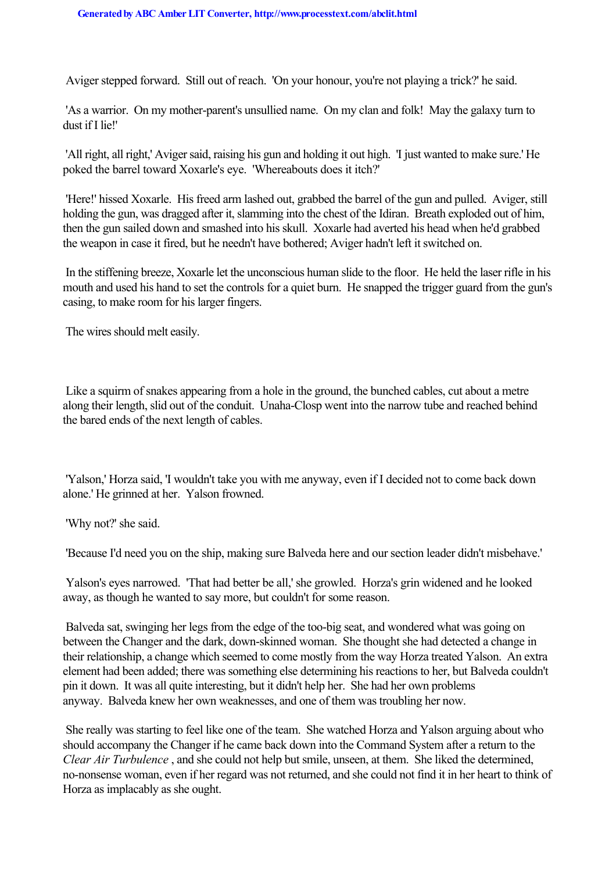Aviger stepped forward. Still out of reach. 'On your honour, you're not playing a trick?' he said.

 'As a warrior. On my mother-parent's unsullied name. On my clan and folk! May the galaxy turn to dust if I lie!'

 'All right, all right,' Aviger said, raising his gun and holding it out high. 'I just wanted to make sure.' He poked the barrel toward Xoxarle's eye. 'Whereabouts does it itch?'

 'Here!' hissed Xoxarle. His freed arm lashed out, grabbed the barrel of the gun and pulled. Aviger, still holding the gun, was dragged after it, slamming into the chest of the Idiran. Breath exploded out of him, then the gun sailed down and smashed into his skull. Xoxarle had averted his head when he'd grabbed the weapon in case it fired, but he needn't have bothered; Aviger hadn't left it switched on.

 In the stiffening breeze, Xoxarle let the unconscious human slide to the floor. He held the laser rifle in his mouth and used his hand to set the controls for a quiet burn. He snapped the trigger guard from the gun's casing, to make room for his larger fingers.

The wires should melt easily.

 Like a squirm of snakes appearing from a hole in the ground, the bunched cables, cut about a metre along their length, slid out of the conduit. Unaha-Closp went into the narrow tube and reached behind the bared ends of the next length of cables.

 'Yalson,' Horza said, 'I wouldn't take you with me anyway, even if I decided not to come back down alone.' He grinned at her. Yalson frowned.

'Why not?' she said.

'Because I'd need you on the ship, making sure Balveda here and our section leader didn't misbehave.'

 Yalson's eyes narrowed. 'That had better be all,' she growled. Horza's grin widened and he looked away, as though he wanted to say more, but couldn't for some reason.

 Balveda sat, swinging her legs from the edge of the too-big seat, and wondered what was going on between the Changer and the dark, down-skinned woman. She thought she had detected a change in their relationship, a change which seemed to come mostly from the way Horza treated Yalson. An extra element had been added; there was something else determining his reactions to her, but Balveda couldn't pin it down. It was all quite interesting, but it didn't help her. She had her own problems anyway. Balveda knew her own weaknesses, and one of them was troubling her now.

 She really was starting to feel like one of the team. She watched Horza and Yalson arguing about who should accompany the Changer if he came back down into the Command System after a return to the *Clear Air Turbulence* , and she could not help but smile, unseen, at them. She liked the determined, no-nonsense woman, even if her regard was not returned, and she could not find it in her heart to think of Horza as implacably as she ought.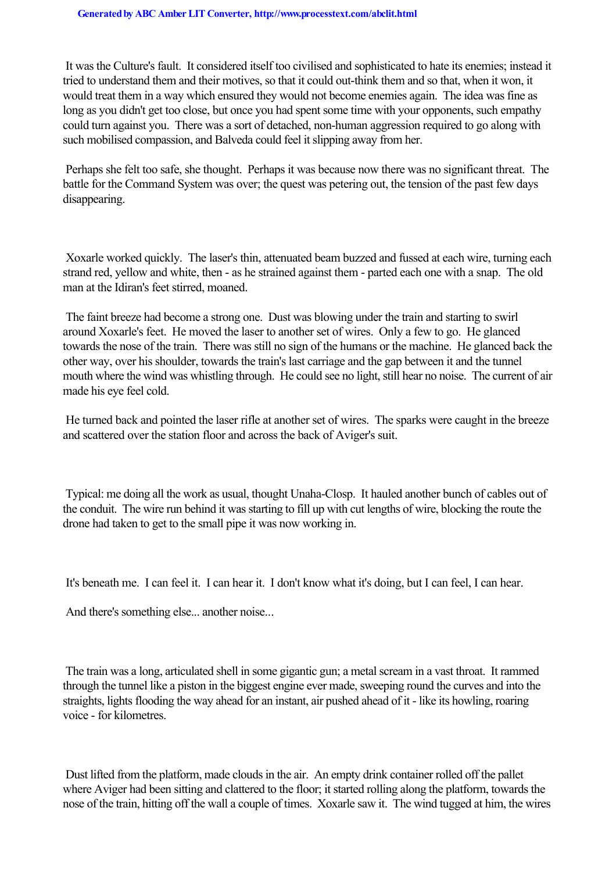It was the Culture's fault. It considered itself too civilised and sophisticated to hate its enemies; instead it tried to understand them and their motives, so that it could out-think them and so that, when it won, it would treat them in a way which ensured they would not become enemies again. The idea was fine as long as you didn't get too close, but once you had spent some time with your opponents, such empathy could turn against you. There was a sort of detached, non-human aggression required to go along with such mobilised compassion, and Balveda could feel it slipping away from her.

 Perhaps she felt too safe, she thought. Perhaps it was because now there was no significant threat. The battle for the Command System was over; the quest was petering out, the tension of the past few days disappearing.

 Xoxarle worked quickly. The laser's thin, attenuated beam buzzed and fussed at each wire, turning each strand red, yellow and white, then - as he strained against them - parted each one with a snap. The old man at the Idiran's feet stirred, moaned.

 The faint breeze had become a strong one. Dust was blowing under the train and starting to swirl around Xoxarle's feet. He moved the laser to another set of wires. Only a few to go. He glanced towards the nose of the train. There was still no sign of the humans or the machine. He glanced back the other way, over his shoulder, towards the train's last carriage and the gap between it and the tunnel mouth where the wind was whistling through. He could see no light, still hear no noise. The current of air made his eye feel cold.

 He turned back and pointed the laser rifle at another set of wires. The sparks were caught in the breeze and scattered over the station floor and across the back of Aviger's suit.

 Typical: me doing all the work as usual, thought Unaha-Closp. It hauled another bunch of cables out of the conduit. The wire run behind it was starting to fill up with cut lengths of wire, blocking the route the drone had taken to get to the small pipe it was now working in.

It's beneath me. I can feel it. I can hear it. I don't know what it's doing, but I can feel, I can hear.

And there's something else... another noise...

 The train was a long, articulated shell in some gigantic gun; a metal scream in a vast throat. It rammed through the tunnel like a piston in the biggest engine ever made, sweeping round the curves and into the straights, lights flooding the way ahead for an instant, air pushed ahead of it - like its howling, roaring voice - for kilometres.

 Dust lifted from the platform, made clouds in the air. An empty drink container rolled off the pallet where Aviger had been sitting and clattered to the floor; it started rolling along the platform, towards the nose of the train, hitting off the wall a couple of times. Xoxarle saw it. The wind tugged at him, the wires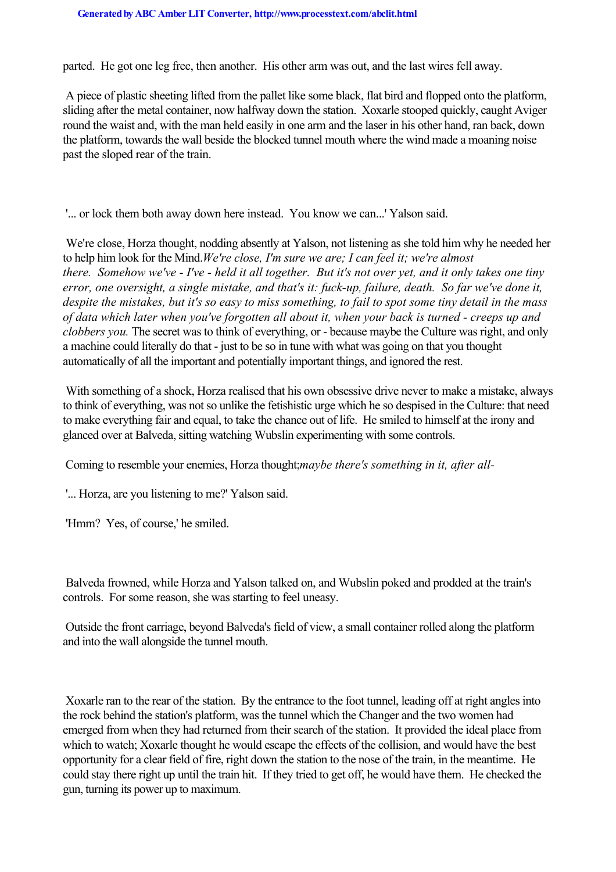parted. He got one leg free, then another. His other arm was out, and the last wires fell away.

 A piece of plastic sheeting lifted from the pallet like some black, flat bird and flopped onto the platform, sliding after the metal container, now halfway down the station. Xoxarle stooped quickly, caught Aviger round the waist and, with the man held easily in one arm and the laser in his other hand, ran back, down the platform, towards the wall beside the blocked tunnel mouth where the wind made a moaning noise past the sloped rear of the train.

'... or lock them both away down here instead. You know we can...' Yalson said.

 We're close, Horza thought, nodding absently at Yalson, not listening as she told him why he needed her to help him look for the Mind.*We're close, I'm sure we are; I can feel it; we're almost there. Somehow we've - I've - held it all together. But it's not over yet, and it only takes one tiny error, one oversight, a single mistake, and that's it: fuck-up, failure, death. So far we've done it, despite the mistakes, but it's so easy to miss something, to fail to spot some tiny detail in the mass of data which later when you've forgotten all about it, when your back is turned - creeps up and clobbers you.* The secret was to think of everything, or - because maybe the Culture was right, and only a machine could literally do that - just to be so in tune with what was going on that you thought automatically of all the important and potentially important things, and ignored the rest.

With something of a shock, Horza realised that his own obsessive drive never to make a mistake, always to think of everything, was not so unlike the fetishistic urge which he so despised in the Culture: that need to make everything fair and equal, to take the chance out of life. He smiled to himself at the irony and glanced over at Balveda, sitting watching Wubslin experimenting with some controls.

Coming to resemble your enemies, Horza thought;*maybe there's something in it, after all-*

'... Horza, are you listening to me?' Yalson said.

'Hmm? Yes, of course,' he smiled.

 Balveda frowned, while Horza and Yalson talked on, and Wubslin poked and prodded at the train's controls. For some reason, she was starting to feel uneasy.

 Outside the front carriage, beyond Balveda's field of view, a small container rolled along the platform and into the wall alongside the tunnel mouth.

 Xoxarle ran to the rear of the station. By the entrance to the foot tunnel, leading off at right angles into the rock behind the station's platform, was the tunnel which the Changer and the two women had emerged from when they had returned from their search of the station. It provided the ideal place from which to watch; Xoxarle thought he would escape the effects of the collision, and would have the best opportunity for a clear field of fire, right down the station to the nose of the train, in the meantime. He could stay there right up until the train hit. If they tried to get off, he would have them. He checked the gun, turning its power up to maximum.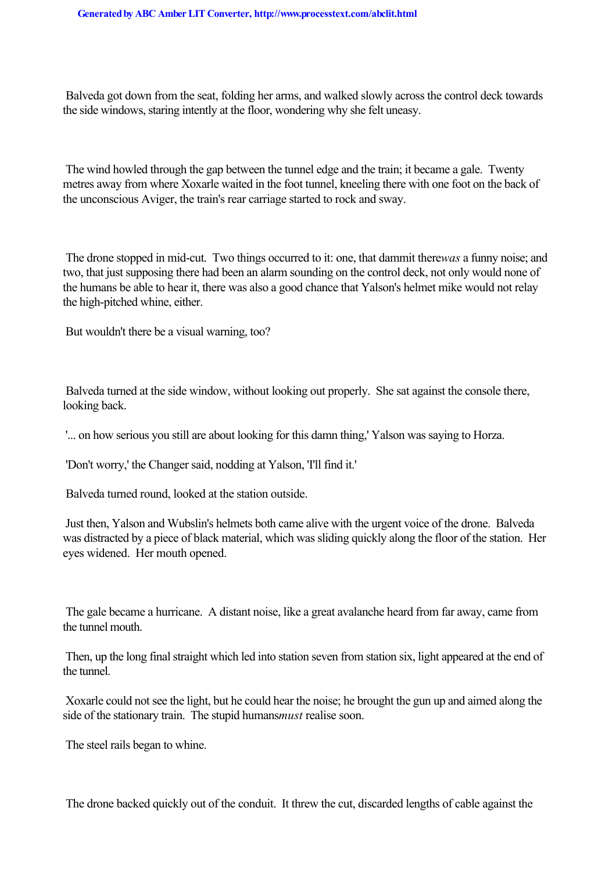Balveda got down from the seat, folding her arms, and walked slowly across the control deck towards the side windows, staring intently at the floor, wondering why she felt uneasy.

 The wind howled through the gap between the tunnel edge and the train; it became a gale. Twenty metres away from where Xoxarle waited in the foot tunnel, kneeling there with one foot on the back of the unconscious Aviger, the train's rear carriage started to rock and sway.

 The drone stopped in mid-cut. Two things occurred to it: one, that dammit there*was* a funny noise; and two, that just supposing there had been an alarm sounding on the control deck, not only would none of the humans be able to hear it, there was also a good chance that Yalson's helmet mike would not relay the high-pitched whine, either.

But wouldn't there be a visual warning, too?

 Balveda turned at the side window, without looking out properly. She sat against the console there, looking back.

'... on how serious you still are about looking for this damn thing,' Yalson was saying to Horza.

'Don't worry,' the Changer said, nodding at Yalson, 'I'll find it.'

Balveda turned round, looked at the station outside.

 Just then, Yalson and Wubslin's helmets both came alive with the urgent voice of the drone. Balveda was distracted by a piece of black material, which was sliding quickly along the floor of the station. Her eyes widened. Her mouth opened.

 The gale became a hurricane. A distant noise, like a great avalanche heard from far away, came from the tunnel mouth.

 Then, up the long final straight which led into station seven from station six, light appeared at the end of the tunnel.

 Xoxarle could not see the light, but he could hear the noise; he brought the gun up and aimed along the side of the stationary train. The stupid humans*must* realise soon.

The steel rails began to whine.

The drone backed quickly out of the conduit. It threw the cut, discarded lengths of cable against the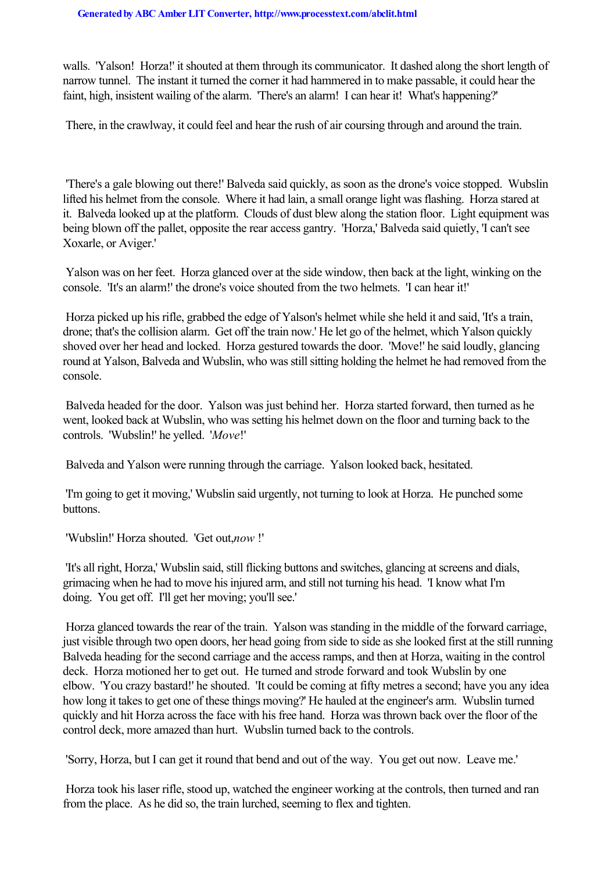walls. 'Yalson! Horza!' it shouted at them through its communicator. It dashed along the short length of narrow tunnel. The instant it turned the corner it had hammered in to make passable, it could hear the faint, high, insistent wailing of the alarm. 'There's an alarm! I can hear it! What's happening?'

There, in the crawlway, it could feel and hear the rush of air coursing through and around the train.

 'There's a gale blowing out there!' Balveda said quickly, as soon as the drone's voice stopped. Wubslin lifted his helmet from the console. Where it had lain, a small orange light was flashing. Horza stared at it. Balveda looked up at the platform. Clouds of dust blew along the station floor. Light equipment was being blown off the pallet, opposite the rear access gantry. 'Horza,' Balveda said quietly, 'I can't see Xoxarle, or Aviger.'

 Yalson was on her feet. Horza glanced over at the side window, then back at the light, winking on the console. 'It's an alarm!' the drone's voice shouted from the two helmets. 'I can hear it!'

 Horza picked up his rifle, grabbed the edge of Yalson's helmet while she held it and said, 'It's a train, drone; that's the collision alarm. Get off the train now.' He let go of the helmet, which Yalson quickly shoved over her head and locked. Horza gestured towards the door. 'Move!' he said loudly, glancing round at Yalson, Balveda and Wubslin, who was still sitting holding the helmet he had removed from the console.

 Balveda headed for the door. Yalson was just behind her. Horza started forward, then turned as he went, looked back at Wubslin, who was setting his helmet down on the floor and turning back to the controls. 'Wubslin!' he yelled. '*Move*!'

Balveda and Yalson were running through the carriage. Yalson looked back, hesitated.

 'I'm going to get it moving,' Wubslin said urgently, not turning to look at Horza. He punched some buttons.

'Wubslin!' Horza shouted. 'Get out,*now* !'

 'It's all right, Horza,' Wubslin said, still flicking buttons and switches, glancing at screens and dials, grimacing when he had to move his injured arm, and still not turning his head. 'I know what I'm doing. You get off. I'll get her moving; you'll see.'

 Horza glanced towards the rear of the train. Yalson was standing in the middle of the forward carriage, just visible through two open doors, her head going from side to side as she looked first at the still running Balveda heading for the second carriage and the access ramps, and then at Horza, waiting in the control deck. Horza motioned her to get out. He turned and strode forward and took Wubslin by one elbow. 'You crazy bastard!' he shouted. 'It could be coming at fifty metres a second; have you any idea how long it takes to get one of these things moving?' He hauled at the engineer's arm. Wubslin turned quickly and hit Horza across the face with his free hand. Horza was thrown back over the floor of the control deck, more amazed than hurt. Wubslin turned back to the controls.

'Sorry, Horza, but I can get it round that bend and out of the way. You get out now. Leave me.'

 Horza took his laser rifle, stood up, watched the engineer working at the controls, then turned and ran from the place. As he did so, the train lurched, seeming to flex and tighten.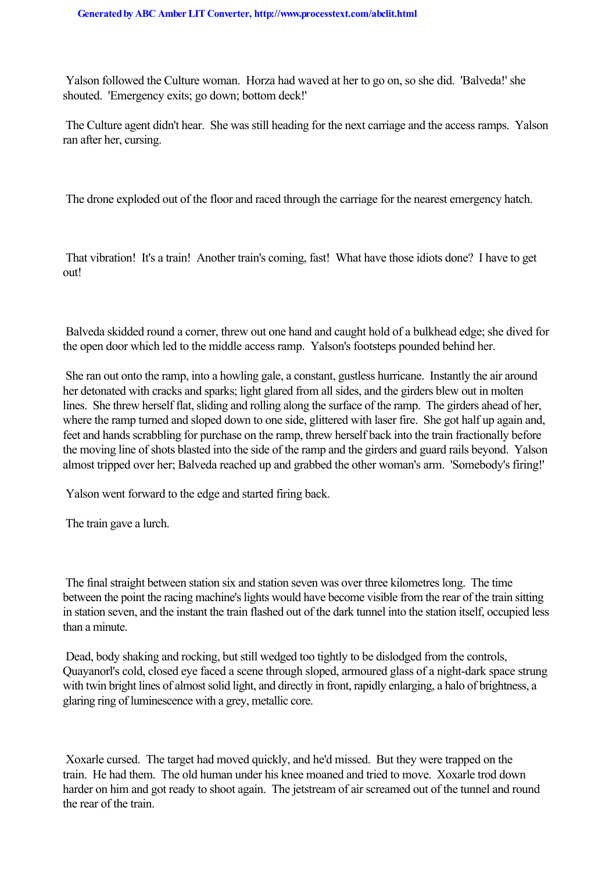Yalson followed the Culture woman. Horza had waved at her to go on, so she did. 'Balveda!' she shouted. 'Emergency exits; go down; bottom deck!'

 The Culture agent didn't hear. She was still heading for the next carriage and the access ramps. Yalson ran after her, cursing.

The drone exploded out of the floor and raced through the carriage for the nearest emergency hatch.

 That vibration! It's a train! Another train's coming, fast! What have those idiots done? I have to get out!

 Balveda skidded round a corner, threw out one hand and caught hold of a bulkhead edge; she dived for the open door which led to the middle access ramp. Yalson's footsteps pounded behind her.

 She ran out onto the ramp, into a howling gale, a constant, gustless hurricane. Instantly the air around her detonated with cracks and sparks; light glared from all sides, and the girders blew out in molten lines. She threw herself flat, sliding and rolling along the surface of the ramp. The girders ahead of her, where the ramp turned and sloped down to one side, glittered with laser fire. She got half up again and, feet and hands scrabbling for purchase on the ramp, threw herself back into the train fractionally before the moving line of shots blasted into the side of the ramp and the girders and guard rails beyond. Yalson almost tripped over her; Balveda reached up and grabbed the other woman's arm. 'Somebody's firing!'

Yalson went forward to the edge and started firing back.

The train gave a lurch.

 The final straight between station six and station seven was over three kilometres long. The time between the point the racing machine's lights would have become visible from the rear of the train sitting in station seven, and the instant the train flashed out of the dark tunnel into the station itself, occupied less than a minute.

 Dead, body shaking and rocking, but still wedged too tightly to be dislodged from the controls, Quayanorl's cold, closed eye faced a scene through sloped, armoured glass of a night-dark space strung with twin bright lines of almost solid light, and directly in front, rapidly enlarging, a halo of brightness, a glaring ring of luminescence with a grey, metallic core.

 Xoxarle cursed. The target had moved quickly, and he'd missed. But they were trapped on the train. He had them. The old human under his knee moaned and tried to move. Xoxarle trod down harder on him and got ready to shoot again. The jetstream of air screamed out of the tunnel and round the rear of the train.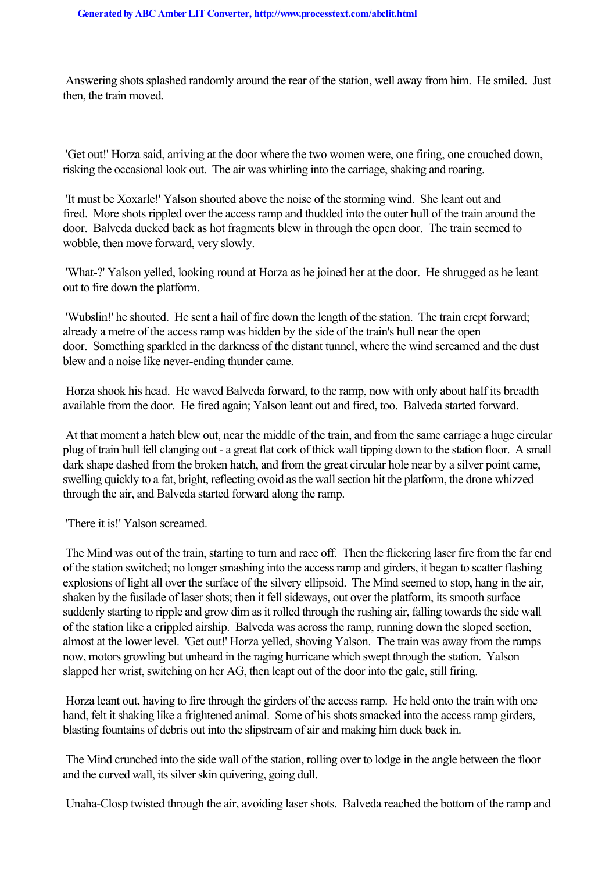Answering shots splashed randomly around the rear of the station, well away from him. He smiled. Just then, the train moved.

 'Get out!' Horza said, arriving at the door where the two women were, one firing, one crouched down, risking the occasional look out. The air was whirling into the carriage, shaking and roaring.

 'It must be Xoxarle!' Yalson shouted above the noise of the storming wind. She leant out and fired. More shots rippled over the access ramp and thudded into the outer hull of the train around the door. Balveda ducked back as hot fragments blew in through the open door. The train seemed to wobble, then move forward, very slowly.

 'What-?' Yalson yelled, looking round at Horza as he joined her at the door. He shrugged as he leant out to fire down the platform.

 'Wubslin!' he shouted. He sent a hail of fire down the length of the station. The train crept forward; already a metre of the access ramp was hidden by the side of the train's hull near the open door. Something sparkled in the darkness of the distant tunnel, where the wind screamed and the dust blew and a noise like never-ending thunder came.

 Horza shook his head. He waved Balveda forward, to the ramp, now with only about half its breadth available from the door. He fired again; Yalson leant out and fired, too. Balveda started forward.

 At that moment a hatch blew out, near the middle of the train, and from the same carriage a huge circular plug of train hull fell clanging out - a great flat cork of thick wall tipping down to the station floor. A small dark shape dashed from the broken hatch, and from the great circular hole near by a silver point came, swelling quickly to a fat, bright, reflecting ovoid as the wall section hit the platform, the drone whizzed through the air, and Balveda started forward along the ramp.

'There it is!' Yalson screamed.

 The Mind was out of the train, starting to turn and race off. Then the flickering laser fire from the far end of the station switched; no longer smashing into the access ramp and girders, it began to scatter flashing explosions of light all over the surface of the silvery ellipsoid. The Mind seemed to stop, hang in the air, shaken by the fusilade of laser shots; then it fell sideways, out over the platform, its smooth surface suddenly starting to ripple and grow dim as it rolled through the rushing air, falling towards the side wall of the station like a crippled airship. Balveda was across the ramp, running down the sloped section, almost at the lower level. 'Get out!' Horza yelled, shoving Yalson. The train was away from the ramps now, motors growling but unheard in the raging hurricane which swept through the station. Yalson slapped her wrist, switching on her AG, then leapt out of the door into the gale, still firing.

 Horza leant out, having to fire through the girders of the access ramp. He held onto the train with one hand, felt it shaking like a frightened animal. Some of his shots smacked into the access ramp girders, blasting fountains of debris out into the slipstream of air and making him duck back in.

 The Mind crunched into the side wall of the station, rolling over to lodge in the angle between the floor and the curved wall, its silver skin quivering, going dull.

Unaha-Closp twisted through the air, avoiding laser shots. Balveda reached the bottom of the ramp and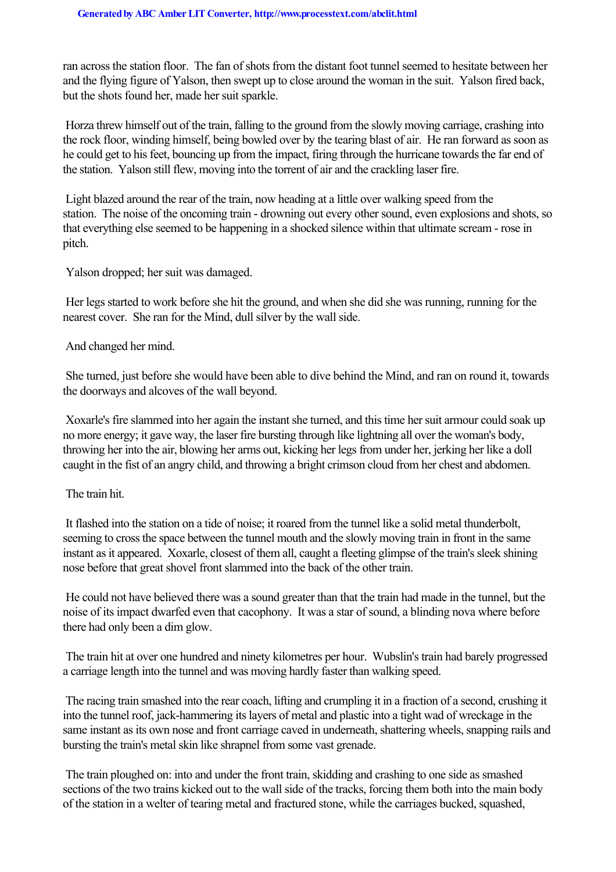ran across the station floor. The fan of shots from the distant foot tunnel seemed to hesitate between her and the flying figure of Yalson, then swept up to close around the woman in the suit. Yalson fired back, but the shots found her, made her suit sparkle.

 Horza threw himself out of the train, falling to the ground from the slowly moving carriage, crashing into the rock floor, winding himself, being bowled over by the tearing blast of air. He ran forward as soon as he could get to his feet, bouncing up from the impact, firing through the hurricane towards the far end of the station. Yalson still flew, moving into the torrent of air and the crackling laser fire.

 Light blazed around the rear of the train, now heading at a little over walking speed from the station. The noise of the oncoming train - drowning out every other sound, even explosions and shots, so that everything else seemed to be happening in a shocked silence within that ultimate scream - rose in pitch.

Yalson dropped; her suit was damaged.

 Her legs started to work before she hit the ground, and when she did she was running, running for the nearest cover. She ran for the Mind, dull silver by the wall side.

## And changed her mind.

 She turned, just before she would have been able to dive behind the Mind, and ran on round it, towards the doorways and alcoves of the wall beyond.

 Xoxarle's fire slammed into her again the instant she turned, and this time her suit armour could soak up no more energy; it gave way, the laser fire bursting through like lightning all over the woman's body, throwing her into the air, blowing her arms out, kicking her legs from under her, jerking her like a doll caught in the fist of an angry child, and throwing a bright crimson cloud from her chest and abdomen.

## The train hit.

 It flashed into the station on a tide of noise; it roared from the tunnel like a solid metal thunderbolt, seeming to cross the space between the tunnel mouth and the slowly moving train in front in the same instant as it appeared. Xoxarle, closest of them all, caught a fleeting glimpse of the train's sleek shining nose before that great shovel front slammed into the back of the other train.

 He could not have believed there was a sound greater than that the train had made in the tunnel, but the noise of its impact dwarfed even that cacophony. It was a star of sound, a blinding nova where before there had only been a dim glow.

 The train hit at over one hundred and ninety kilometres per hour. Wubslin's train had barely progressed a carriage length into the tunnel and was moving hardly faster than walking speed.

 The racing train smashed into the rear coach, lifting and crumpling it in a fraction of a second, crushing it into the tunnel roof, jack-hammering its layers of metal and plastic into a tight wad of wreckage in the same instant as its own nose and front carriage caved in underneath, shattering wheels, snapping rails and bursting the train's metal skin like shrapnel from some vast grenade.

 The train ploughed on: into and under the front train, skidding and crashing to one side as smashed sections of the two trains kicked out to the wall side of the tracks, forcing them both into the main body of the station in a welter of tearing metal and fractured stone, while the carriages bucked, squashed,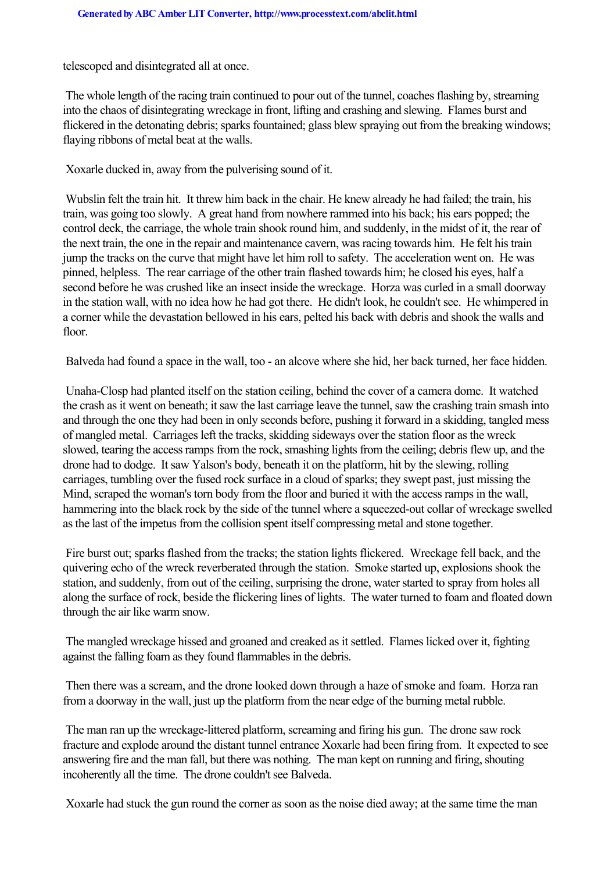telescoped and disintegrated all at once.

 The whole length of the racing train continued to pour out of the tunnel, coaches flashing by, streaming into the chaos of disintegrating wreckage in front, lifting and crashing and slewing. Flames burst and flickered in the detonating debris; sparks fountained; glass blew spraying out from the breaking windows; flaying ribbons of metal beat at the walls.

Xoxarle ducked in, away from the pulverising sound of it.

 Wubslin felt the train hit. It threw him back in the chair. He knew already he had failed; the train, his train, was going too slowly. A great hand from nowhere rammed into his back; his ears popped; the control deck, the carriage, the whole train shook round him, and suddenly, in the midst of it, the rear of the next train, the one in the repair and maintenance cavern, was racing towards him. He felt his train jump the tracks on the curve that might have let him roll to safety. The acceleration went on. He was pinned, helpless. The rear carriage of the other train flashed towards him; he closed his eyes, half a second before he was crushed like an insect inside the wreckage. Horza was curled in a small doorway in the station wall, with no idea how he had got there. He didn't look, he couldn't see. He whimpered in a corner while the devastation bellowed in his ears, pelted his back with debris and shook the walls and floor.

Balveda had found a space in the wall, too - an alcove where she hid, her back turned, her face hidden.

 Unaha-Closp had planted itself on the station ceiling, behind the cover of a camera dome. It watched the crash as it went on beneath; it saw the last carriage leave the tunnel, saw the crashing train smash into and through the one they had been in only seconds before, pushing it forward in a skidding, tangled mess of mangled metal. Carriages left the tracks, skidding sideways over the station floor as the wreck slowed, tearing the access ramps from the rock, smashing lights from the ceiling; debris flew up, and the drone had to dodge. It saw Yalson's body, beneath it on the platform, hit by the slewing, rolling carriages, tumbling over the fused rock surface in a cloud of sparks; they swept past, just missing the Mind, scraped the woman's torn body from the floor and buried it with the access ramps in the wall, hammering into the black rock by the side of the tunnel where a squeezed-out collar of wreckage swelled as the last of the impetus from the collision spent itself compressing metal and stone together.

 Fire burst out; sparks flashed from the tracks; the station lights flickered. Wreckage fell back, and the quivering echo of the wreck reverberated through the station. Smoke started up, explosions shook the station, and suddenly, from out of the ceiling, surprising the drone, water started to spray from holes all along the surface of rock, beside the flickering lines of lights. The water turned to foam and floated down through the air like warm snow.

 The mangled wreckage hissed and groaned and creaked as it settled. Flames licked over it, fighting against the falling foam as they found flammables in the debris.

 Then there was a scream, and the drone looked down through a haze of smoke and foam. Horza ran from a doorway in the wall, just up the platform from the near edge of the burning metal rubble.

 The man ran up the wreckage-littered platform, screaming and firing his gun. The drone saw rock fracture and explode around the distant tunnel entrance Xoxarle had been firing from. It expected to see answering fire and the man fall, but there was nothing. The man kept on running and firing, shouting incoherently all the time. The drone couldn't see Balveda.

Xoxarle had stuck the gun round the corner as soon as the noise died away; at the same time the man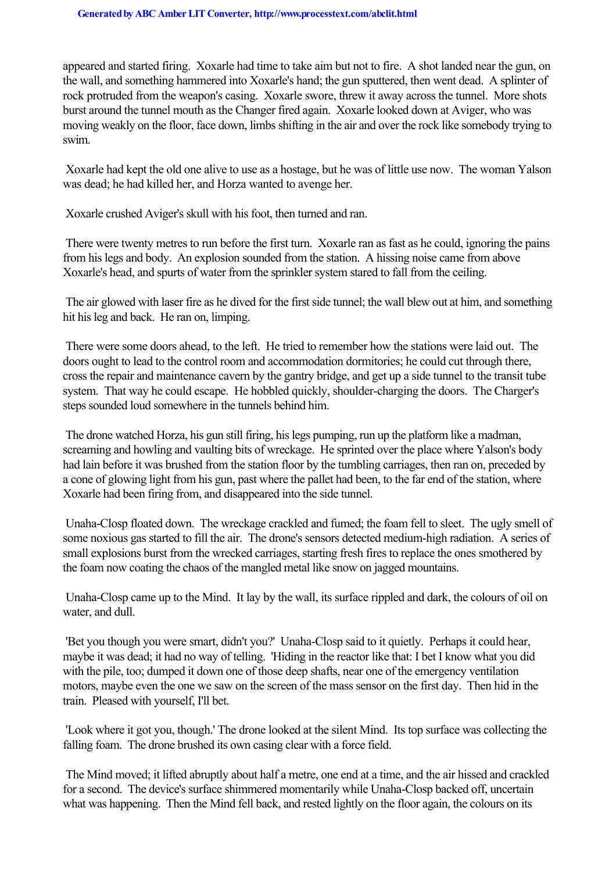appeared and started firing. Xoxarle had time to take aim but not to fire. A shot landed near the gun, on the wall, and something hammered into Xoxarle's hand; the gun sputtered, then went dead. A splinter of rock protruded from the weapon's casing. Xoxarle swore, threw it away across the tunnel. More shots burst around the tunnel mouth as the Changer fired again. Xoxarle looked down at Aviger, who was moving weakly on the floor, face down, limbs shifting in the air and over the rock like somebody trying to swim.

 Xoxarle had kept the old one alive to use as a hostage, but he was of little use now. The woman Yalson was dead; he had killed her, and Horza wanted to avenge her.

Xoxarle crushed Aviger's skull with his foot, then turned and ran.

 There were twenty metres to run before the first turn. Xoxarle ran as fast as he could, ignoring the pains from his legs and body. An explosion sounded from the station. A hissing noise came from above Xoxarle's head, and spurts of water from the sprinkler system stared to fall from the ceiling.

 The air glowed with laser fire as he dived for the first side tunnel; the wall blew out at him, and something hit his leg and back. He ran on, limping.

 There were some doors ahead, to the left. He tried to remember how the stations were laid out. The doors ought to lead to the control room and accommodation dormitories; he could cut through there, cross the repair and maintenance cavern by the gantry bridge, and get up a side tunnel to the transit tube system. That way he could escape. He hobbled quickly, shoulder-charging the doors. The Charger's steps sounded loud somewhere in the tunnels behind him.

 The drone watched Horza, his gun still firing, his legs pumping, run up the platform like a madman, screaming and howling and vaulting bits of wreckage. He sprinted over the place where Yalson's body had lain before it was brushed from the station floor by the tumbling carriages, then ran on, preceded by a cone of glowing light from his gun, past where the pallet had been, to the far end of the station, where Xoxarle had been firing from, and disappeared into the side tunnel.

 Unaha-Closp floated down. The wreckage crackled and fumed; the foam fell to sleet. The ugly smell of some noxious gas started to fill the air. The drone's sensors detected medium-high radiation. A series of small explosions burst from the wrecked carriages, starting fresh fires to replace the ones smothered by the foam now coating the chaos of the mangled metal like snow on jagged mountains.

 Unaha-Closp came up to the Mind. It lay by the wall, its surface rippled and dark, the colours of oil on water, and dull.

 'Bet you though you were smart, didn't you?' Unaha-Closp said to it quietly. Perhaps it could hear, maybe it was dead; it had no way of telling. 'Hiding in the reactor like that: I bet I know what you did with the pile, too; dumped it down one of those deep shafts, near one of the emergency ventilation motors, maybe even the one we saw on the screen of the mass sensor on the first day. Then hid in the train. Pleased with yourself, I'll bet.

 'Look where it got you, though.' The drone looked at the silent Mind. Its top surface was collecting the falling foam. The drone brushed its own casing clear with a force field.

 The Mind moved; it lifted abruptly about half a metre, one end at a time, and the air hissed and crackled for a second. The device's surface shimmered momentarily while Unaha-Closp backed off, uncertain what was happening. Then the Mind fell back, and rested lightly on the floor again, the colours on its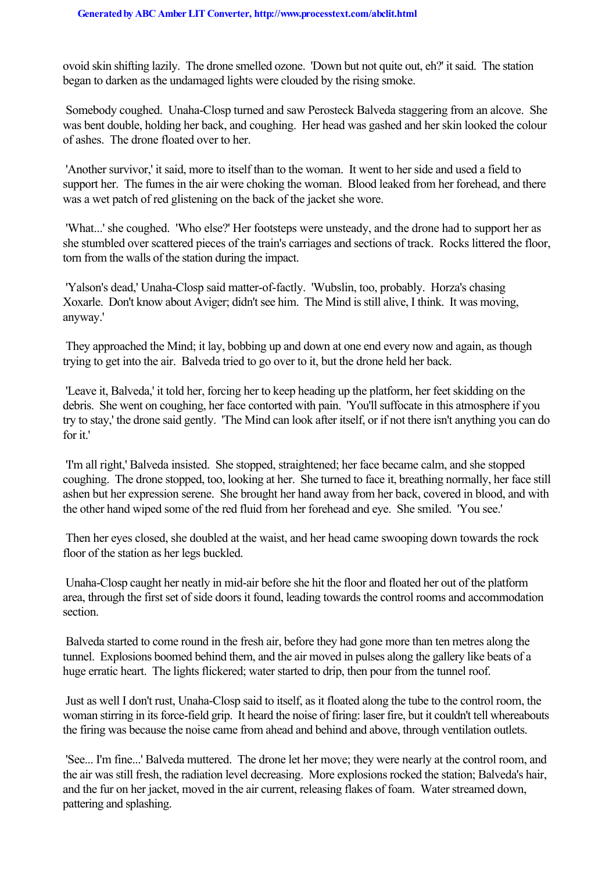ovoid skin shifting lazily. The drone smelled ozone. 'Down but not quite out, eh?' it said. The station began to darken as the undamaged lights were clouded by the rising smoke.

 Somebody coughed. Unaha-Closp turned and saw Perosteck Balveda staggering from an alcove. She was bent double, holding her back, and coughing. Her head was gashed and her skin looked the colour of ashes. The drone floated over to her.

 'Another survivor,' it said, more to itself than to the woman. It went to her side and used a field to support her. The fumes in the air were choking the woman. Blood leaked from her forehead, and there was a wet patch of red glistening on the back of the jacket she wore.

 'What...' she coughed. 'Who else?' Her footsteps were unsteady, and the drone had to support her as she stumbled over scattered pieces of the train's carriages and sections of track. Rocks littered the floor, torn from the walls of the station during the impact.

 'Yalson's dead,' Unaha-Closp said matter-of-factly. 'Wubslin, too, probably. Horza's chasing Xoxarle. Don't know about Aviger; didn't see him. The Mind is still alive, I think. It was moving, anyway.'

 They approached the Mind; it lay, bobbing up and down at one end every now and again, as though trying to get into the air. Balveda tried to go over to it, but the drone held her back.

 'Leave it, Balveda,' it told her, forcing her to keep heading up the platform, her feet skidding on the debris. She went on coughing, her face contorted with pain. 'You'll suffocate in this atmosphere if you try to stay,' the drone said gently. 'The Mind can look after itself, or if not there isn't anything you can do for it.'

 'I'm all right,' Balveda insisted. She stopped, straightened; her face became calm, and she stopped coughing. The drone stopped, too, looking at her. She turned to face it, breathing normally, her face still ashen but her expression serene. She brought her hand away from her back, covered in blood, and with the other hand wiped some of the red fluid from her forehead and eye. She smiled. 'You see.'

 Then her eyes closed, she doubled at the waist, and her head came swooping down towards the rock floor of the station as her legs buckled.

 Unaha-Closp caught her neatly in mid-air before she hit the floor and floated her out of the platform area, through the first set of side doors it found, leading towards the control rooms and accommodation section.

 Balveda started to come round in the fresh air, before they had gone more than ten metres along the tunnel. Explosions boomed behind them, and the air moved in pulses along the gallery like beats of a huge erratic heart. The lights flickered; water started to drip, then pour from the tunnel roof.

 Just as well I don't rust, Unaha-Closp said to itself, as it floated along the tube to the control room, the woman stirring in its force-field grip. It heard the noise of firing: laser fire, but it couldn't tell whereabouts the firing was because the noise came from ahead and behind and above, through ventilation outlets.

 'See... I'm fine...' Balveda muttered. The drone let her move; they were nearly at the control room, and the air was still fresh, the radiation level decreasing. More explosions rocked the station; Balveda's hair, and the fur on her jacket, moved in the air current, releasing flakes of foam. Water streamed down, pattering and splashing.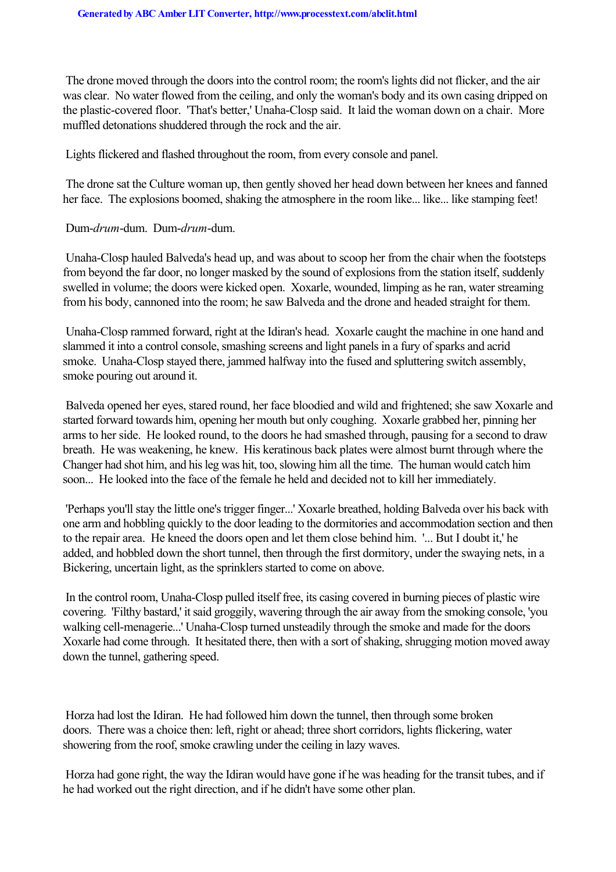The drone moved through the doors into the control room; the room's lights did not flicker, and the air was clear. No water flowed from the ceiling, and only the woman's body and its own casing dripped on the plastic-covered floor. 'That's better,' Unaha-Closp said. It laid the woman down on a chair. More muffled detonations shuddered through the rock and the air.

Lights flickered and flashed throughout the room, from every console and panel.

 The drone sat the Culture woman up, then gently shoved her head down between her knees and fanned her face. The explosions boomed, shaking the atmosphere in the room like... like... like stamping feet!

### Dum-*drum*-dum. Dum-*drum*-dum.

 Unaha-Closp hauled Balveda's head up, and was about to scoop her from the chair when the footsteps from beyond the far door, no longer masked by the sound of explosions from the station itself, suddenly swelled in volume; the doors were kicked open. Xoxarle, wounded, limping as he ran, water streaming from his body, cannoned into the room; he saw Balveda and the drone and headed straight for them.

 Unaha-Closp rammed forward, right at the Idiran's head. Xoxarle caught the machine in one hand and slammed it into a control console, smashing screens and light panels in a fury of sparks and acrid smoke. Unaha-Closp stayed there, jammed halfway into the fused and spluttering switch assembly, smoke pouring out around it.

 Balveda opened her eyes, stared round, her face bloodied and wild and frightened; she saw Xoxarle and started forward towards him, opening her mouth but only coughing. Xoxarle grabbed her, pinning her arms to her side. He looked round, to the doors he had smashed through, pausing for a second to draw breath. He was weakening, he knew. His keratinous back plates were almost burnt through where the Changer had shot him, and his leg was hit, too, slowing him all the time. The human would catch him soon... He looked into the face of the female he held and decided not to kill her immediately.

 'Perhaps you'll stay the little one's trigger finger...' Xoxarle breathed, holding Balveda over his back with one arm and hobbling quickly to the door leading to the dormitories and accommodation section and then to the repair area. He kneed the doors open and let them close behind him. '... But I doubt it,' he added, and hobbled down the short tunnel, then through the first dormitory, under the swaying nets, in a Bickering, uncertain light, as the sprinklers started to come on above.

 In the control room, Unaha-Closp pulled itself free, its casing covered in burning pieces of plastic wire covering. 'Filthy bastard,' it said groggily, wavering through the air away from the smoking console, 'you walking cell-menagerie...' Unaha-Closp turned unsteadily through the smoke and made for the doors Xoxarle had come through. It hesitated there, then with a sort of shaking, shrugging motion moved away down the tunnel, gathering speed.

 Horza had lost the Idiran. He had followed him down the tunnel, then through some broken doors. There was a choice then: left, right or ahead; three short corridors, lights flickering, water showering from the roof, smoke crawling under the ceiling in lazy waves.

 Horza had gone right, the way the Idiran would have gone if he was heading for the transit tubes, and if he had worked out the right direction, and if he didn't have some other plan.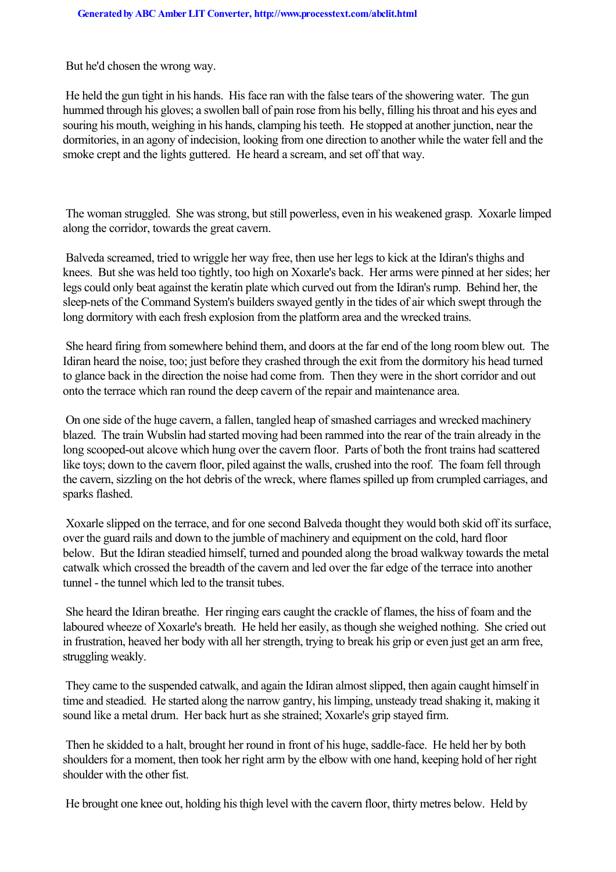But he'd chosen the wrong way.

 He held the gun tight in his hands. His face ran with the false tears of the showering water. The gun hummed through his gloves; a swollen ball of pain rose from his belly, filling his throat and his eyes and souring his mouth, weighing in his hands, clamping his teeth. He stopped at another junction, near the dormitories, in an agony of indecision, looking from one direction to another while the water fell and the smoke crept and the lights guttered. He heard a scream, and set off that way.

 The woman struggled. She was strong, but still powerless, even in his weakened grasp. Xoxarle limped along the corridor, towards the great cavern.

 Balveda screamed, tried to wriggle her way free, then use her legs to kick at the Idiran's thighs and knees. But she was held too tightly, too high on Xoxarle's back. Her arms were pinned at her sides; her legs could only beat against the keratin plate which curved out from the Idiran's rump. Behind her, the sleep-nets of the Command System's builders swayed gently in the tides of air which swept through the long dormitory with each fresh explosion from the platform area and the wrecked trains.

 She heard firing from somewhere behind them, and doors at the far end of the long room blew out. The Idiran heard the noise, too; just before they crashed through the exit from the dormitory his head turned to glance back in the direction the noise had come from. Then they were in the short corridor and out onto the terrace which ran round the deep cavern of the repair and maintenance area.

 On one side of the huge cavern, a fallen, tangled heap of smashed carriages and wrecked machinery blazed. The train Wubslin had started moving had been rammed into the rear of the train already in the long scooped-out alcove which hung over the cavern floor. Parts of both the front trains had scattered like toys; down to the cavern floor, piled against the walls, crushed into the roof. The foam fell through the cavern, sizzling on the hot debris of the wreck, where flames spilled up from crumpled carriages, and sparks flashed.

 Xoxarle slipped on the terrace, and for one second Balveda thought they would both skid off its surface, over the guard rails and down to the jumble of machinery and equipment on the cold, hard floor below. But the Idiran steadied himself, turned and pounded along the broad walkway towards the metal catwalk which crossed the breadth of the cavern and led over the far edge of the terrace into another tunnel - the tunnel which led to the transit tubes.

 She heard the Idiran breathe. Her ringing ears caught the crackle of flames, the hiss of foam and the laboured wheeze of Xoxarle's breath. He held her easily, as though she weighed nothing. She cried out in frustration, heaved her body with all her strength, trying to break his grip or even just get an arm free, struggling weakly.

 They came to the suspended catwalk, and again the Idiran almost slipped, then again caught himself in time and steadied. He started along the narrow gantry, his limping, unsteady tread shaking it, making it sound like a metal drum. Her back hurt as she strained; Xoxarle's grip stayed firm.

 Then he skidded to a halt, brought her round in front of his huge, saddle-face. He held her by both shoulders for a moment, then took her right arm by the elbow with one hand, keeping hold of her right shoulder with the other fist.

He brought one knee out, holding his thigh level with the cavern floor, thirty metres below. Held by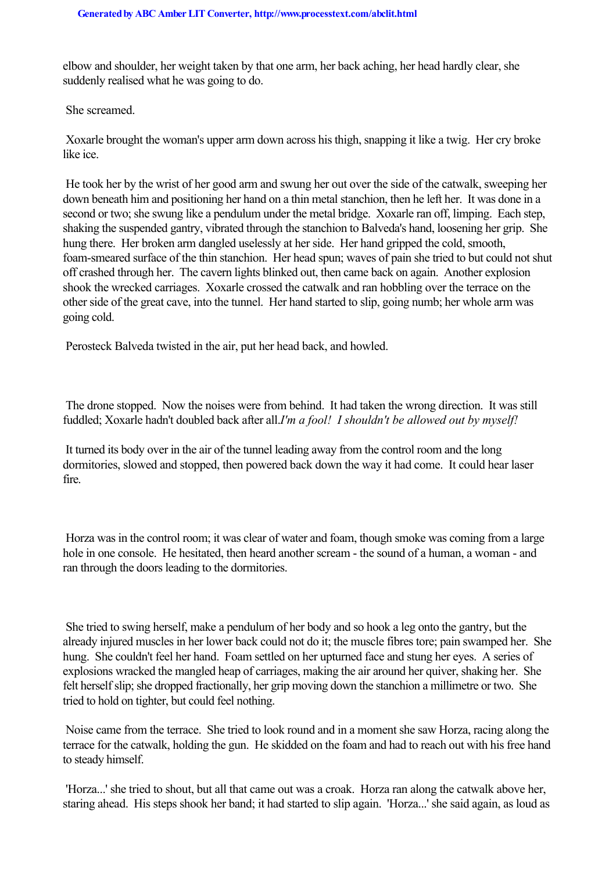elbow and shoulder, her weight taken by that one arm, her back aching, her head hardly clear, she suddenly realised what he was going to do.

She screamed.

 Xoxarle brought the woman's upper arm down across his thigh, snapping it like a twig. Her cry broke like ice.

 He took her by the wrist of her good arm and swung her out over the side of the catwalk, sweeping her down beneath him and positioning her hand on a thin metal stanchion, then he left her. It was done in a second or two; she swung like a pendulum under the metal bridge. Xoxarle ran off, limping. Each step, shaking the suspended gantry, vibrated through the stanchion to Balveda's hand, loosening her grip. She hung there. Her broken arm dangled uselessly at her side. Her hand gripped the cold, smooth, foam-smeared surface of the thin stanchion. Her head spun; waves of pain she tried to but could not shut off crashed through her. The cavern lights blinked out, then came back on again. Another explosion shook the wrecked carriages. Xoxarle crossed the catwalk and ran hobbling over the terrace on the other side of the great cave, into the tunnel. Her hand started to slip, going numb; her whole arm was going cold.

Perosteck Balveda twisted in the air, put her head back, and howled.

 The drone stopped. Now the noises were from behind. It had taken the wrong direction. It was still fuddled; Xoxarle hadn't doubled back after all.*I'm a fool! I shouldn't be allowed out by myself!*

 It turned its body over in the air of the tunnel leading away from the control room and the long dormitories, slowed and stopped, then powered back down the way it had come. It could hear laser fire.

 Horza was in the control room; it was clear of water and foam, though smoke was coming from a large hole in one console. He hesitated, then heard another scream - the sound of a human, a woman - and ran through the doors leading to the dormitories.

 She tried to swing herself, make a pendulum of her body and so hook a leg onto the gantry, but the already injured muscles in her lower back could not do it; the muscle fibres tore; pain swamped her. She hung. She couldn't feel her hand. Foam settled on her upturned face and stung her eyes. A series of explosions wracked the mangled heap of carriages, making the air around her quiver, shaking her. She felt herself slip; she dropped fractionally, her grip moving down the stanchion a millimetre or two. She tried to hold on tighter, but could feel nothing.

 Noise came from the terrace. She tried to look round and in a moment she saw Horza, racing along the terrace for the catwalk, holding the gun. He skidded on the foam and had to reach out with his free hand to steady himself.

 'Horza...' she tried to shout, but all that came out was a croak. Horza ran along the catwalk above her, staring ahead. His steps shook her band; it had started to slip again. 'Horza...' she said again, as loud as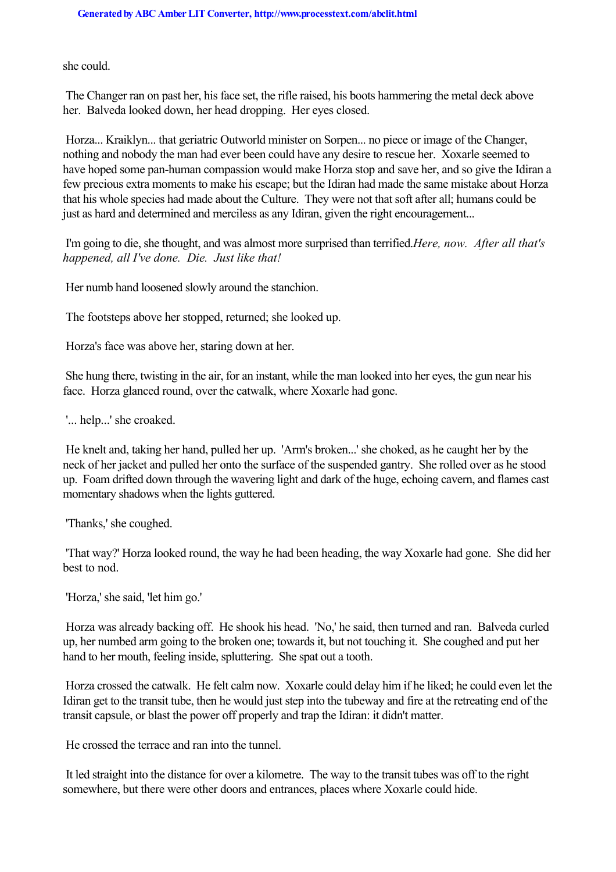she could.

 The Changer ran on past her, his face set, the rifle raised, his boots hammering the metal deck above her. Balveda looked down, her head dropping. Her eyes closed.

 Horza... Kraiklyn... that geriatric Outworld minister on Sorpen... no piece or image of the Changer, nothing and nobody the man had ever been could have any desire to rescue her. Xoxarle seemed to have hoped some pan-human compassion would make Horza stop and save her, and so give the Idiran a few precious extra moments to make his escape; but the Idiran had made the same mistake about Horza that his whole species had made about the Culture. They were not that soft after all; humans could be just as hard and determined and merciless as any Idiran, given the right encouragement...

 I'm going to die, she thought, and was almost more surprised than terrified.*Here, now. After all that's happened, all I've done. Die. Just like that!*

Her numb hand loosened slowly around the stanchion.

The footsteps above her stopped, returned; she looked up.

Horza's face was above her, staring down at her.

 She hung there, twisting in the air, for an instant, while the man looked into her eyes, the gun near his face. Horza glanced round, over the catwalk, where Xoxarle had gone.

'... help...' she croaked.

 He knelt and, taking her hand, pulled her up. 'Arm's broken...' she choked, as he caught her by the neck of her jacket and pulled her onto the surface of the suspended gantry. She rolled over as he stood up. Foam drifted down through the wavering light and dark of the huge, echoing cavern, and flames cast momentary shadows when the lights guttered.

'Thanks,' she coughed.

 'That way?' Horza looked round, the way he had been heading, the way Xoxarle had gone. She did her best to nod.

'Horza,' she said, 'let him go.'

 Horza was already backing off. He shook his head. 'No,' he said, then turned and ran. Balveda curled up, her numbed arm going to the broken one; towards it, but not touching it. She coughed and put her hand to her mouth, feeling inside, spluttering. She spat out a tooth.

 Horza crossed the catwalk. He felt calm now. Xoxarle could delay him if he liked; he could even let the Idiran get to the transit tube, then he would just step into the tubeway and fire at the retreating end of the transit capsule, or blast the power off properly and trap the Idiran: it didn't matter.

He crossed the terrace and ran into the tunnel.

 It led straight into the distance for over a kilometre. The way to the transit tubes was off to the right somewhere, but there were other doors and entrances, places where Xoxarle could hide.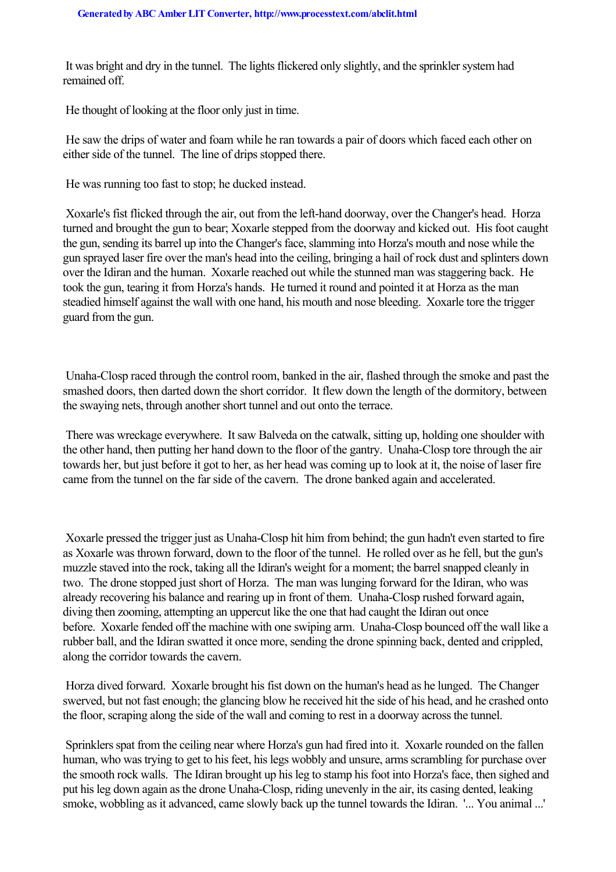It was bright and dry in the tunnel. The lights flickered only slightly, and the sprinkler system had remained off.

He thought of looking at the floor only just in time.

 He saw the drips of water and foam while he ran towards a pair of doors which faced each other on either side of the tunnel. The line of drips stopped there.

He was running too fast to stop; he ducked instead.

 Xoxarle's fist flicked through the air, out from the left-hand doorway, over the Changer's head. Horza turned and brought the gun to bear; Xoxarle stepped from the doorway and kicked out. His foot caught the gun, sending its barrel up into the Changer's face, slamming into Horza's mouth and nose while the gun sprayed laser fire over the man's head into the ceiling, bringing a hail of rock dust and splinters down over the Idiran and the human. Xoxarle reached out while the stunned man was staggering back. He took the gun, tearing it from Horza's hands. He turned it round and pointed it at Horza as the man steadied himself against the wall with one hand, his mouth and nose bleeding. Xoxarle tore the trigger guard from the gun.

 Unaha-Closp raced through the control room, banked in the air, flashed through the smoke and past the smashed doors, then darted down the short corridor. It flew down the length of the dormitory, between the swaying nets, through another short tunnel and out onto the terrace.

 There was wreckage everywhere. It saw Balveda on the catwalk, sitting up, holding one shoulder with the other hand, then putting her hand down to the floor of the gantry. Unaha-Closp tore through the air towards her, but just before it got to her, as her head was coming up to look at it, the noise of laser fire came from the tunnel on the far side of the cavern. The drone banked again and accelerated.

 Xoxarle pressed the trigger just as Unaha-Closp hit him from behind; the gun hadn't even started to fire as Xoxarle was thrown forward, down to the floor of the tunnel. He rolled over as he fell, but the gun's muzzle staved into the rock, taking all the Idiran's weight for a moment; the barrel snapped cleanly in two. The drone stopped just short of Horza. The man was lunging forward for the Idiran, who was already recovering his balance and rearing up in front of them. Unaha-Closp rushed forward again, diving then zooming, attempting an uppercut like the one that had caught the Idiran out once before. Xoxarle fended off the machine with one swiping arm. Unaha-Closp bounced off the wall like a rubber ball, and the Idiran swatted it once more, sending the drone spinning back, dented and crippled, along the corridor towards the cavern.

 Horza dived forward. Xoxarle brought his fist down on the human's head as he lunged. The Changer swerved, but not fast enough; the glancing blow he received hit the side of his head, and he crashed onto the floor, scraping along the side of the wall and coming to rest in a doorway across the tunnel.

 Sprinklers spat from the ceiling near where Horza's gun had fired into it. Xoxarle rounded on the fallen human, who was trying to get to his feet, his legs wobbly and unsure, arms scrambling for purchase over the smooth rock walls. The Idiran brought up his leg to stamp his foot into Horza's face, then sighed and put his leg down again as the drone Unaha-Closp, riding unevenly in the air, its casing dented, leaking smoke, wobbling as it advanced, came slowly back up the tunnel towards the Idiran. '... You animal ...'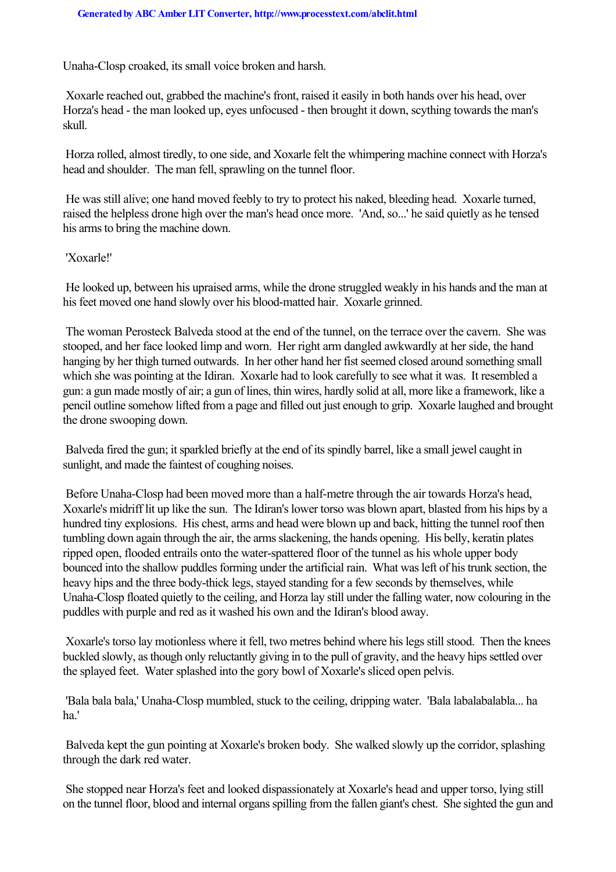Unaha-Closp croaked, its small voice broken and harsh.

 Xoxarle reached out, grabbed the machine's front, raised it easily in both hands over his head, over Horza's head - the man looked up, eyes unfocused - then brought it down, scything towards the man's skull.

 Horza rolled, almost tiredly, to one side, and Xoxarle felt the whimpering machine connect with Horza's head and shoulder. The man fell, sprawling on the tunnel floor.

 He was still alive; one hand moved feebly to try to protect his naked, bleeding head. Xoxarle turned, raised the helpless drone high over the man's head once more. 'And, so...' he said quietly as he tensed his arms to bring the machine down.

# 'Xoxarle!'

 He looked up, between his upraised arms, while the drone struggled weakly in his hands and the man at his feet moved one hand slowly over his blood-matted hair. Xoxarle grinned.

 The woman Perosteck Balveda stood at the end of the tunnel, on the terrace over the cavern. She was stooped, and her face looked limp and worn. Her right arm dangled awkwardly at her side, the hand hanging by her thigh turned outwards. In her other hand her fist seemed closed around something small which she was pointing at the Idiran. Xoxarle had to look carefully to see what it was. It resembled a gun: a gun made mostly of air; a gun of lines, thin wires, hardly solid at all, more like a framework, like a pencil outline somehow lifted from a page and filled out just enough to grip. Xoxarle laughed and brought the drone swooping down.

 Balveda fired the gun; it sparkled briefly at the end of its spindly barrel, like a small jewel caught in sunlight, and made the faintest of coughing noises.

 Before Unaha-Closp had been moved more than a half-metre through the air towards Horza's head, Xoxarle's midriff lit up like the sun. The Idiran's lower torso was blown apart, blasted from his hips by a hundred tiny explosions. His chest, arms and head were blown up and back, hitting the tunnel roof then tumbling down again through the air, the arms slackening, the hands opening. His belly, keratin plates ripped open, flooded entrails onto the water-spattered floor of the tunnel as his whole upper body bounced into the shallow puddles forming under the artificial rain. What was left of his trunk section, the heavy hips and the three body-thick legs, stayed standing for a few seconds by themselves, while Unaha-Closp floated quietly to the ceiling, and Horza lay still under the falling water, now colouring in the puddles with purple and red as it washed his own and the Idiran's blood away.

 Xoxarle's torso lay motionless where it fell, two metres behind where his legs still stood. Then the knees buckled slowly, as though only reluctantly giving in to the pull of gravity, and the heavy hips settled over the splayed feet. Water splashed into the gory bowl of Xoxarle's sliced open pelvis.

 'Bala bala bala,' Unaha-Closp mumbled, stuck to the ceiling, dripping water. 'Bala labalabalabla... ha ha.'

 Balveda kept the gun pointing at Xoxarle's broken body. She walked slowly up the corridor, splashing through the dark red water.

 She stopped near Horza's feet and looked dispassionately at Xoxarle's head and upper torso, lying still on the tunnel floor, blood and internal organs spilling from the fallen giant's chest. She sighted the gun and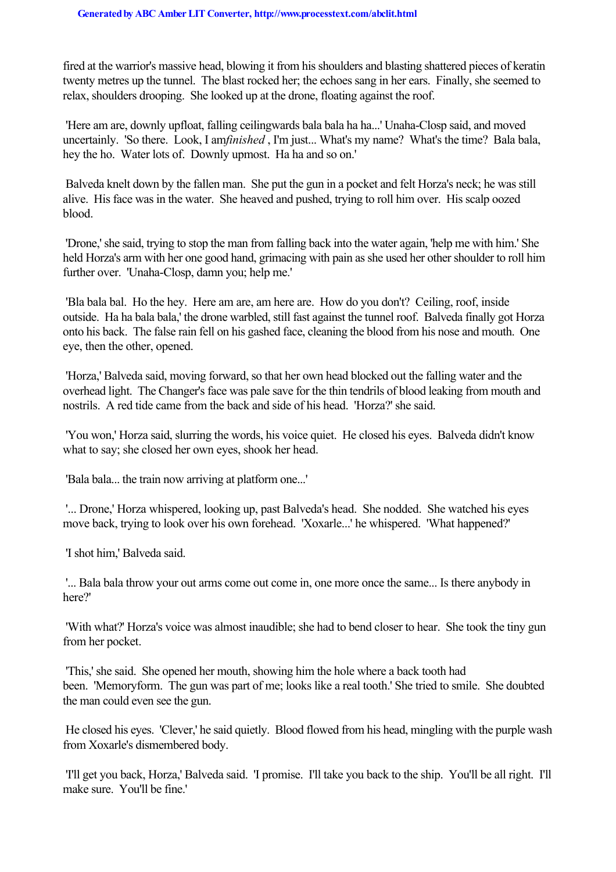fired at the warrior's massive head, blowing it from his shoulders and blasting shattered pieces of keratin twenty metres up the tunnel. The blast rocked her; the echoes sang in her ears. Finally, she seemed to relax, shoulders drooping. She looked up at the drone, floating against the roof.

 'Here am are, downly upfloat, falling ceilingwards bala bala ha ha...' Unaha-Closp said, and moved uncertainly. 'So there. Look, I am*finished* , I'm just... What's my name? What's the time? Bala bala, hey the ho. Water lots of. Downly upmost. Ha ha and so on.'

 Balveda knelt down by the fallen man. She put the gun in a pocket and felt Horza's neck; he was still alive. His face was in the water. She heaved and pushed, trying to roll him over. His scalp oozed blood.

 'Drone,' she said, trying to stop the man from falling back into the water again, 'help me with him.' She held Horza's arm with her one good hand, grimacing with pain as she used her other shoulder to roll him further over. 'Unaha-Closp, damn you; help me.'

 'Bla bala bal. Ho the hey. Here am are, am here are. How do you don't? Ceiling, roof, inside outside. Ha ha bala bala,' the drone warbled, still fast against the tunnel roof. Balveda finally got Horza onto his back. The false rain fell on his gashed face, cleaning the blood from his nose and mouth. One eye, then the other, opened.

 'Horza,' Balveda said, moving forward, so that her own head blocked out the falling water and the overhead light. The Changer's face was pale save for the thin tendrils of blood leaking from mouth and nostrils. A red tide came from the back and side of his head. 'Horza?' she said.

 'You won,' Horza said, slurring the words, his voice quiet. He closed his eyes. Balveda didn't know what to say; she closed her own eyes, shook her head.

'Bala bala... the train now arriving at platform one...'

 '... Drone,' Horza whispered, looking up, past Balveda's head. She nodded. She watched his eyes move back, trying to look over his own forehead. 'Xoxarle...' he whispered. 'What happened?'

'I shot him,' Balveda said.

 '... Bala bala throw your out arms come out come in, one more once the same... Is there anybody in here?'

 'With what?' Horza's voice was almost inaudible; she had to bend closer to hear. She took the tiny gun from her pocket.

 'This,' she said. She opened her mouth, showing him the hole where a back tooth had been. 'Memoryform. The gun was part of me; looks like a real tooth.' She tried to smile. She doubted the man could even see the gun.

 He closed his eyes. 'Clever,' he said quietly. Blood flowed from his head, mingling with the purple wash from Xoxarle's dismembered body.

 'I'll get you back, Horza,' Balveda said. 'I promise. I'll take you back to the ship. You'll be all right. I'll make sure. You'll be fine.'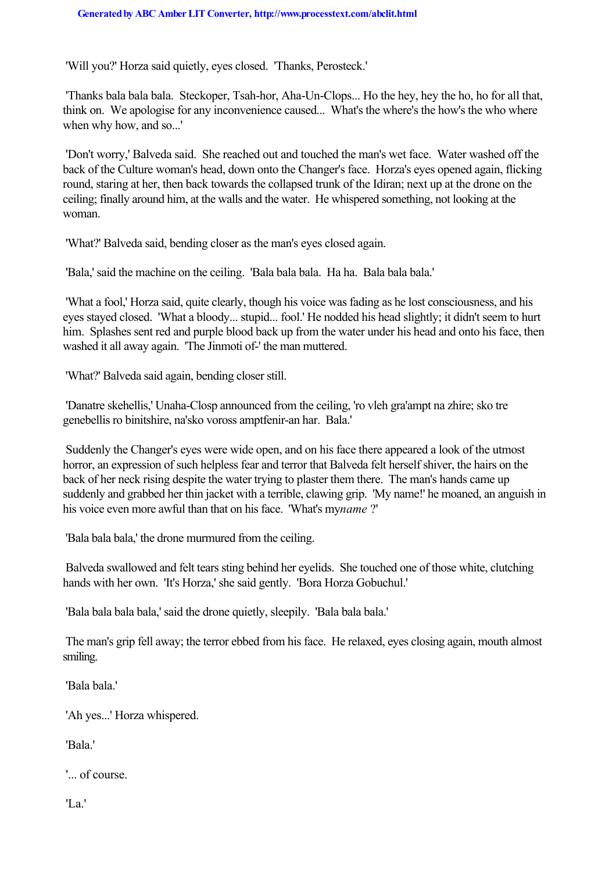'Will you?' Horza said quietly, eyes closed. 'Thanks, Perosteck.'

 'Thanks bala bala bala. Steckoper, Tsah-hor, Aha-Un-Clops... Ho the hey, hey the ho, ho for all that, think on. We apologise for any inconvenience caused... What's the where's the how's the who where when why how, and so...'

 'Don't worry,' Balveda said. She reached out and touched the man's wet face. Water washed off the back of the Culture woman's head, down onto the Changer's face. Horza's eyes opened again, flicking round, staring at her, then back towards the collapsed trunk of the Idiran; next up at the drone on the ceiling; finally around him, at the walls and the water. He whispered something, not looking at the woman.

'What?' Balveda said, bending closer as the man's eyes closed again.

'Bala,' said the machine on the ceiling. 'Bala bala bala. Ha ha. Bala bala bala.'

 'What a fool,' Horza said, quite clearly, though his voice was fading as he lost consciousness, and his eyes stayed closed. 'What a bloody... stupid... fool.' He nodded his head slightly; it didn't seem to hurt him. Splashes sent red and purple blood back up from the water under his head and onto his face, then washed it all away again. 'The Jinmoti of-' the man muttered.

'What?' Balveda said again, bending closer still.

 'Danatre skehellis,' Unaha-Closp announced from the ceiling, 'ro vleh gra'ampt na zhire; sko tre genebellis ro binitshire, na'sko voross amptfenir-an har. Bala.'

 Suddenly the Changer's eyes were wide open, and on his face there appeared a look of the utmost horror, an expression of such helpless fear and terror that Balveda felt herself shiver, the hairs on the back of her neck rising despite the water trying to plaster them there. The man's hands came up suddenly and grabbed her thin jacket with a terrible, clawing grip. 'My name!' he moaned, an anguish in his voice even more awful than that on his face. 'What's my*name* ?'

'Bala bala bala,' the drone murmured from the ceiling.

 Balveda swallowed and felt tears sting behind her eyelids. She touched one of those white, clutching hands with her own. 'It's Horza,' she said gently. 'Bora Horza Gobuchul.'

'Bala bala bala bala,' said the drone quietly, sleepily. 'Bala bala bala.'

 The man's grip fell away; the terror ebbed from his face. He relaxed, eyes closing again, mouth almost smiling.

'Bala bala.'

'Ah yes...' Horza whispered.

'Bala.'

'... of course.

'La.'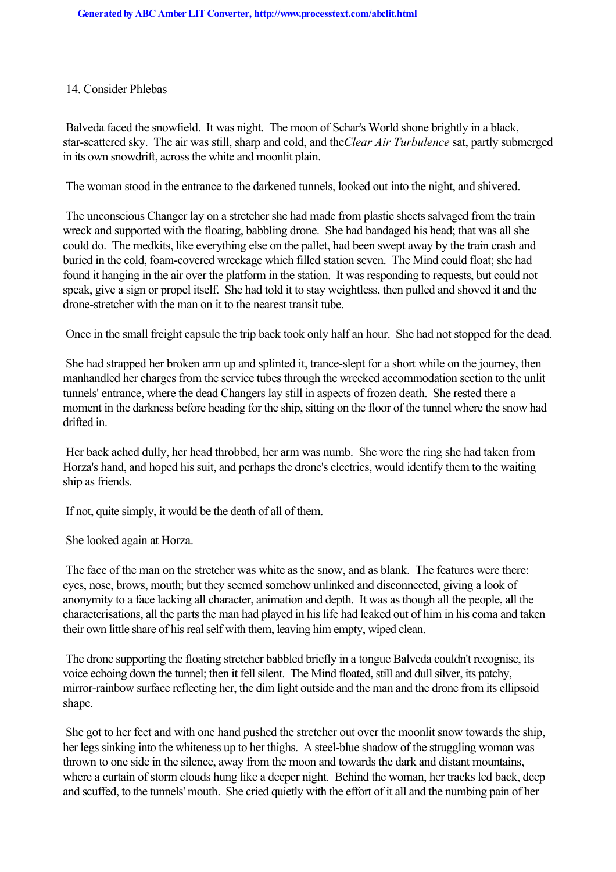## 14. Consider Phlebas

 Balveda faced the snowfield. It was night. The moon of Schar's World shone brightly in a black, star-scattered sky. The air was still, sharp and cold, and the*Clear Air Turbulence* sat, partly submerged in its own snowdrift, across the white and moonlit plain.

The woman stood in the entrance to the darkened tunnels, looked out into the night, and shivered.

 The unconscious Changer lay on a stretcher she had made from plastic sheets salvaged from the train wreck and supported with the floating, babbling drone. She had bandaged his head; that was all she could do. The medkits, like everything else on the pallet, had been swept away by the train crash and buried in the cold, foam-covered wreckage which filled station seven. The Mind could float; she had found it hanging in the air over the platform in the station. It was responding to requests, but could not speak, give a sign or propel itself. She had told it to stay weightless, then pulled and shoved it and the drone-stretcher with the man on it to the nearest transit tube.

Once in the small freight capsule the trip back took only half an hour. She had not stopped for the dead.

 She had strapped her broken arm up and splinted it, trance-slept for a short while on the journey, then manhandled her charges from the service tubes through the wrecked accommodation section to the unlit tunnels' entrance, where the dead Changers lay still in aspects of frozen death. She rested there a moment in the darkness before heading for the ship, sitting on the floor of the tunnel where the snow had drifted in.

 Her back ached dully, her head throbbed, her arm was numb. She wore the ring she had taken from Horza's hand, and hoped his suit, and perhaps the drone's electrics, would identify them to the waiting ship as friends.

If not, quite simply, it would be the death of all of them.

She looked again at Horza.

 The face of the man on the stretcher was white as the snow, and as blank. The features were there: eyes, nose, brows, mouth; but they seemed somehow unlinked and disconnected, giving a look of anonymity to a face lacking all character, animation and depth. It was as though all the people, all the characterisations, all the parts the man had played in his life had leaked out of him in his coma and taken their own little share of his real self with them, leaving him empty, wiped clean.

 The drone supporting the floating stretcher babbled briefly in a tongue Balveda couldn't recognise, its voice echoing down the tunnel; then it fell silent. The Mind floated, still and dull silver, its patchy, mirror-rainbow surface reflecting her, the dim light outside and the man and the drone from its ellipsoid shape.

 She got to her feet and with one hand pushed the stretcher out over the moonlit snow towards the ship, her legs sinking into the whiteness up to her thighs. A steel-blue shadow of the struggling woman was thrown to one side in the silence, away from the moon and towards the dark and distant mountains, where a curtain of storm clouds hung like a deeper night. Behind the woman, her tracks led back, deep and scuffed, to the tunnels' mouth. She cried quietly with the effort of it all and the numbing pain of her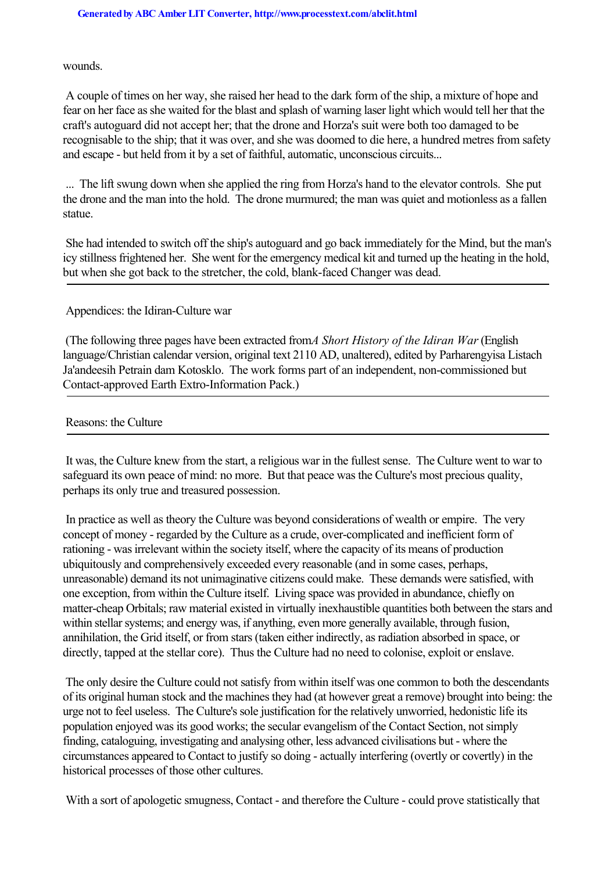wounds.

 A couple of times on her way, she raised her head to the dark form of the ship, a mixture of hope and fear on her face as she waited for the blast and splash of warning laser light which would tell her that the craft's autoguard did not accept her; that the drone and Horza's suit were both too damaged to be recognisable to the ship; that it was over, and she was doomed to die here, a hundred metres from safety and escape - but held from it by a set of faithful, automatic, unconscious circuits...

 ... The lift swung down when she applied the ring from Horza's hand to the elevator controls. She put the drone and the man into the hold. The drone murmured; the man was quiet and motionless as a fallen statue.

 She had intended to switch off the ship's autoguard and go back immediately for the Mind, but the man's icy stillness frightened her. She went for the emergency medical kit and turned up the heating in the hold, but when she got back to the stretcher, the cold, blank-faced Changer was dead.

Appendices: the Idiran-Culture war

 (The following three pages have been extracted from*A Short History of the Idiran War* (English language/Christian calendar version, original text 2110 AD, unaltered), edited by Parharengyisa Listach Ja'andeesih Petrain dam Kotosklo. The work forms part of an independent, non-commissioned but Contact-approved Earth Extro-Information Pack.)

Reasons: the Culture

 It was, the Culture knew from the start, a religious war in the fullest sense. The Culture went to war to safeguard its own peace of mind: no more. But that peace was the Culture's most precious quality, perhaps its only true and treasured possession.

 In practice as well as theory the Culture was beyond considerations of wealth or empire. The very concept of money - regarded by the Culture as a crude, over-complicated and inefficient form of rationing - was irrelevant within the society itself, where the capacity of its means of production ubiquitously and comprehensively exceeded every reasonable (and in some cases, perhaps, unreasonable) demand its not unimaginative citizens could make. These demands were satisfied, with one exception, from within the Culture itself. Living space was provided in abundance, chiefly on matter-cheap Orbitals; raw material existed in virtually inexhaustible quantities both between the stars and within stellar systems; and energy was, if anything, even more generally available, through fusion, annihilation, the Grid itself, or from stars (taken either indirectly, as radiation absorbed in space, or directly, tapped at the stellar core). Thus the Culture had no need to colonise, exploit or enslave.

 The only desire the Culture could not satisfy from within itself was one common to both the descendants of its original human stock and the machines they had (at however great a remove) brought into being: the urge not to feel useless. The Culture's sole justification for the relatively unworried, hedonistic life its population enjoyed was its good works; the secular evangelism of the Contact Section, not simply finding, cataloguing, investigating and analysing other, less advanced civilisations but - where the circumstances appeared to Contact to justify so doing - actually interfering (overtly or covertly) in the historical processes of those other cultures.

With a sort of apologetic smugness, Contact - and therefore the Culture - could prove statistically that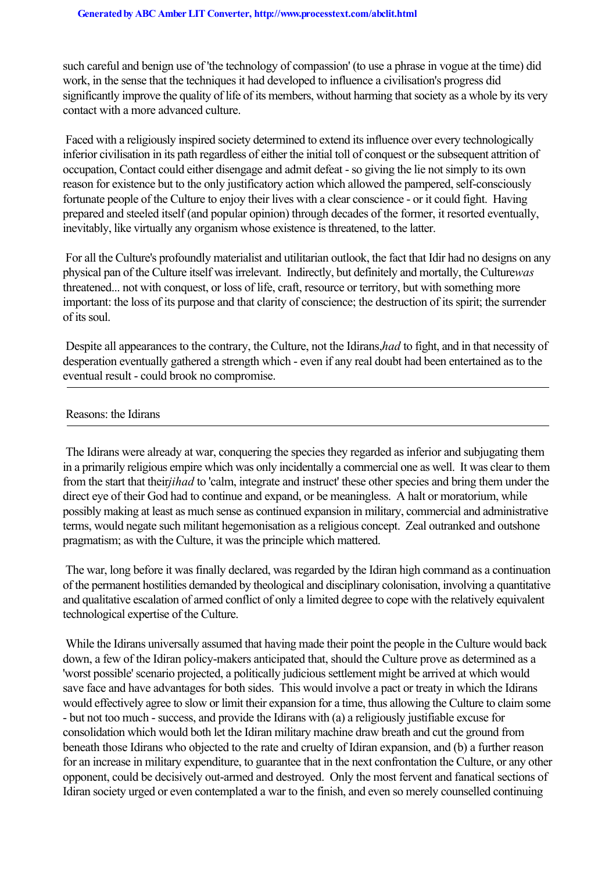such careful and benign use of 'the technology of compassion' (to use a phrase in vogue at the time) did work, in the sense that the techniques it had developed to influence a civilisation's progress did significantly improve the quality of life of its members, without harming that society as a whole by its very contact with a more advanced culture.

 Faced with a religiously inspired society determined to extend its influence over every technologically inferior civilisation in its path regardless of either the initial toll of conquest or the subsequent attrition of occupation, Contact could either disengage and admit defeat - so giving the lie not simply to its own reason for existence but to the only justificatory action which allowed the pampered, self-consciously fortunate people of the Culture to enjoy their lives with a clear conscience - or it could fight. Having prepared and steeled itself (and popular opinion) through decades of the former, it resorted eventually, inevitably, like virtually any organism whose existence is threatened, to the latter.

 For all the Culture's profoundly materialist and utilitarian outlook, the fact that Idir had no designs on any physical pan of the Culture itself was irrelevant. Indirectly, but definitely and mortally, the Culture*was* threatened... not with conquest, or loss of life, craft, resource or territory, but with something more important: the loss of its purpose and that clarity of conscience; the destruction of its spirit; the surrender of its soul.

 Despite all appearances to the contrary, the Culture, not the Idirans,*had* to fight, and in that necessity of desperation eventually gathered a strength which - even if any real doubt had been entertained as to the eventual result - could brook no compromise.

#### Reasons: the Idirans

 The Idirans were already at war, conquering the species they regarded as inferior and subjugating them in a primarily religious empire which was only incidentally a commercial one as well. It was clear to them from the start that their*jihad* to 'calm, integrate and instruct' these other species and bring them under the direct eye of their God had to continue and expand, or be meaningless. A halt or moratorium, while possibly making at least as much sense as continued expansion in military, commercial and administrative terms, would negate such militant hegemonisation as a religious concept. Zeal outranked and outshone pragmatism; as with the Culture, it was the principle which mattered.

 The war, long before it was finally declared, was regarded by the Idiran high command as a continuation of the permanent hostilities demanded by theological and disciplinary colonisation, involving a quantitative and qualitative escalation of armed conflict of only a limited degree to cope with the relatively equivalent technological expertise of the Culture.

 While the Idirans universally assumed that having made their point the people in the Culture would back down, a few of the Idiran policy-makers anticipated that, should the Culture prove as determined as a 'worst possible' scenario projected, a politically judicious settlement might be arrived at which would save face and have advantages for both sides. This would involve a pact or treaty in which the Idirans would effectively agree to slow or limit their expansion for a time, thus allowing the Culture to claim some - but not too much - success, and provide the Idirans with (a) a religiously justifiable excuse for consolidation which would both let the Idiran military machine draw breath and cut the ground from beneath those Idirans who objected to the rate and cruelty of Idiran expansion, and (b) a further reason for an increase in military expenditure, to guarantee that in the next confrontation the Culture, or any other opponent, could be decisively out-armed and destroyed. Only the most fervent and fanatical sections of Idiran society urged or even contemplated a war to the finish, and even so merely counselled continuing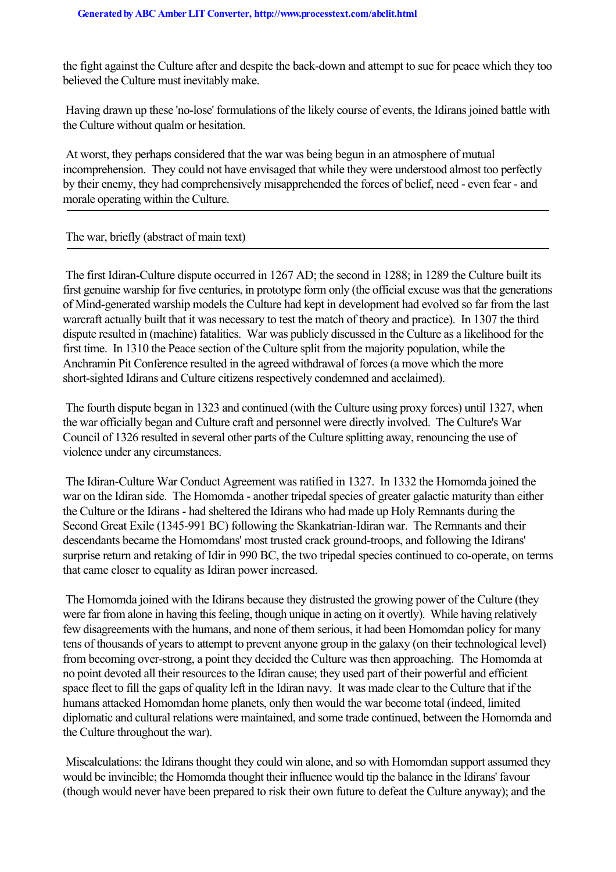the fight against the Culture after and despite the back-down and attempt to sue for peace which they too believed the Culture must inevitably make.

 Having drawn up these 'no-lose' formulations of the likely course of events, the Idirans joined battle with the Culture without qualm or hesitation.

 At worst, they perhaps considered that the war was being begun in an atmosphere of mutual incomprehension. They could not have envisaged that while they were understood almost too perfectly by their enemy, they had comprehensively misapprehended the forces of belief, need - even fear - and morale operating within the Culture.

### The war, briefly (abstract of main text)

 The first Idiran-Culture dispute occurred in 1267 AD; the second in 1288; in 1289 the Culture built its first genuine warship for five centuries, in prototype form only (the official excuse was that the generations of Mind-generated warship models the Culture had kept in development had evolved so far from the last warcraft actually built that it was necessary to test the match of theory and practice). In 1307 the third dispute resulted in (machine) fatalities. War was publicly discussed in the Culture as a likelihood for the first time. In 1310 the Peace section of the Culture split from the majority population, while the Anchramin Pit Conference resulted in the agreed withdrawal of forces (a move which the more short-sighted Idirans and Culture citizens respectively condemned and acclaimed).

 The fourth dispute began in 1323 and continued (with the Culture using proxy forces) until 1327, when the war officially began and Culture craft and personnel were directly involved. The Culture's War Council of 1326 resulted in several other parts of the Culture splitting away, renouncing the use of violence under any circumstances.

 The Idiran-Culture War Conduct Agreement was ratified in 1327. In 1332 the Homomda joined the war on the Idiran side. The Homomda - another tripedal species of greater galactic maturity than either the Culture or the Idirans - had sheltered the Idirans who had made up Holy Remnants during the Second Great Exile (1345-991 BC) following the Skankatrian-Idiran war. The Remnants and their descendants became the Homomdans' most trusted crack ground-troops, and following the Idirans' surprise return and retaking of Idir in 990 BC, the two tripedal species continued to co-operate, on terms that came closer to equality as Idiran power increased.

 The Homomda joined with the Idirans because they distrusted the growing power of the Culture (they were far from alone in having this feeling, though unique in acting on it overtly). While having relatively few disagreements with the humans, and none of them serious, it had been Homomdan policy for many tens of thousands of years to attempt to prevent anyone group in the galaxy (on their technological level) from becoming over-strong, a point they decided the Culture was then approaching. The Homomda at no point devoted all their resources to the Idiran cause; they used part of their powerful and efficient space fleet to fill the gaps of quality left in the Idiran navy. It was made clear to the Culture that if the humans attacked Homomdan home planets, only then would the war become total (indeed, limited diplomatic and cultural relations were maintained, and some trade continued, between the Homomda and the Culture throughout the war).

 Miscalculations: the Idirans thought they could win alone, and so with Homomdan support assumed they would be invincible; the Homomda thought their influence would tip the balance in the Idirans' favour (though would never have been prepared to risk their own future to defeat the Culture anyway); and the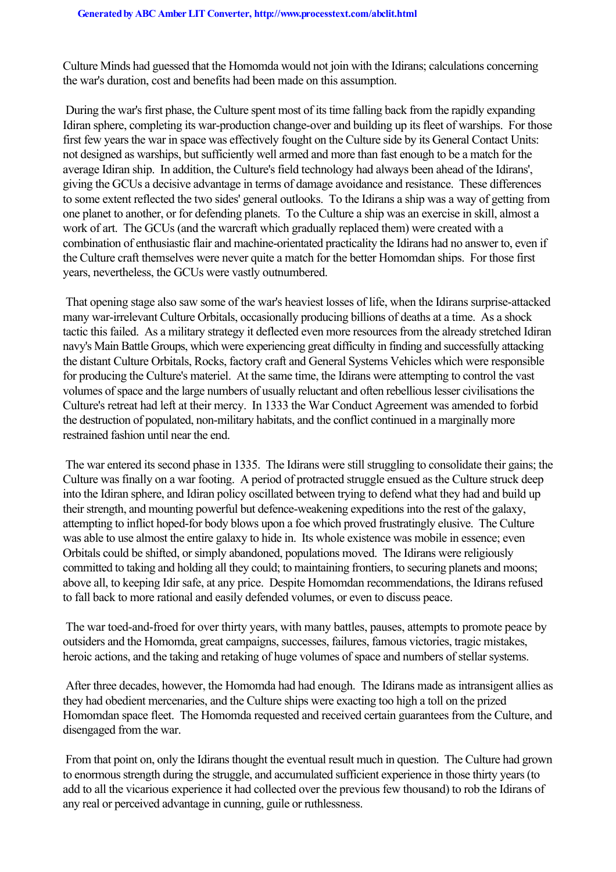Culture Minds had guessed that the Homomda would not join with the Idirans; calculations concerning the war's duration, cost and benefits had been made on this assumption.

 During the war's first phase, the Culture spent most of its time falling back from the rapidly expanding Idiran sphere, completing its war-production change-over and building up its fleet of warships. For those first few years the war in space was effectively fought on the Culture side by its General Contact Units: not designed as warships, but sufficiently well armed and more than fast enough to be a match for the average Idiran ship. In addition, the Culture's field technology had always been ahead of the Idirans', giving the GCUs a decisive advantage in terms of damage avoidance and resistance. These differences to some extent reflected the two sides' general outlooks. To the Idirans a ship was a way of getting from one planet to another, or for defending planets. To the Culture a ship was an exercise in skill, almost a work of art. The GCUs (and the warcraft which gradually replaced them) were created with a combination of enthusiastic flair and machine-orientated practicality the Idirans had no answer to, even if the Culture craft themselves were never quite a match for the better Homomdan ships. For those first years, nevertheless, the GCUs were vastly outnumbered.

 That opening stage also saw some of the war's heaviest losses of life, when the Idirans surprise-attacked many war-irrelevant Culture Orbitals, occasionally producing billions of deaths at a time. As a shock tactic this failed. As a military strategy it deflected even more resources from the already stretched Idiran navy's Main Battle Groups, which were experiencing great difficulty in finding and successfully attacking the distant Culture Orbitals, Rocks, factory craft and General Systems Vehicles which were responsible for producing the Culture's materiel. At the same time, the Idirans were attempting to control the vast volumes of space and the large numbers of usually reluctant and often rebellious lesser civilisations the Culture's retreat had left at their mercy. In 1333 the War Conduct Agreement was amended to forbid the destruction of populated, non-military habitats, and the conflict continued in a marginally more restrained fashion until near the end.

 The war entered its second phase in 1335. The Idirans were still struggling to consolidate their gains; the Culture was finally on a war footing. A period of protracted struggle ensued as the Culture struck deep into the Idiran sphere, and Idiran policy oscillated between trying to defend what they had and build up their strength, and mounting powerful but defence-weakening expeditions into the rest of the galaxy, attempting to inflict hoped-for body blows upon a foe which proved frustratingly elusive. The Culture was able to use almost the entire galaxy to hide in. Its whole existence was mobile in essence; even Orbitals could be shifted, or simply abandoned, populations moved. The Idirans were religiously committed to taking and holding all they could; to maintaining frontiers, to securing planets and moons; above all, to keeping Idir safe, at any price. Despite Homomdan recommendations, the Idirans refused to fall back to more rational and easily defended volumes, or even to discuss peace.

 The war toed-and-froed for over thirty years, with many battles, pauses, attempts to promote peace by outsiders and the Homomda, great campaigns, successes, failures, famous victories, tragic mistakes, heroic actions, and the taking and retaking of huge volumes of space and numbers of stellar systems.

 After three decades, however, the Homomda had had enough. The Idirans made as intransigent allies as they had obedient mercenaries, and the Culture ships were exacting too high a toll on the prized Homomdan space fleet. The Homomda requested and received certain guarantees from the Culture, and disengaged from the war.

 From that point on, only the Idirans thought the eventual result much in question. The Culture had grown to enormous strength during the struggle, and accumulated sufficient experience in those thirty years (to add to all the vicarious experience it had collected over the previous few thousand) to rob the Idirans of any real or perceived advantage in cunning, guile or ruthlessness.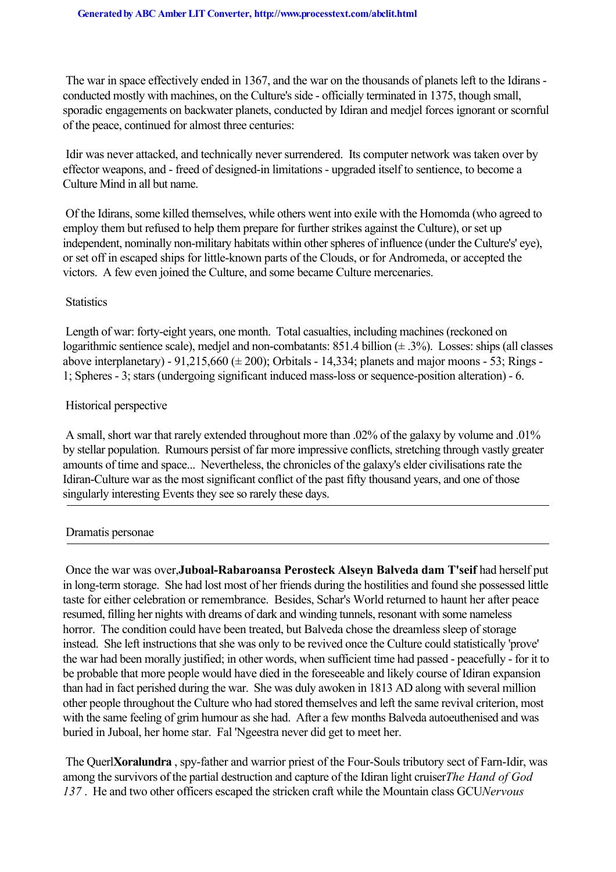The war in space effectively ended in 1367, and the war on the thousands of planets left to the Idirans conducted mostly with machines, on the Culture's side - officially terminated in 1375, though small, sporadic engagements on backwater planets, conducted by Idiran and medjel forces ignorant or scornful of the peace, continued for almost three centuries:

 Idir was never attacked, and technically never surrendered. Its computer network was taken over by effector weapons, and - freed of designed-in limitations - upgraded itself to sentience, to become a Culture Mind in all but name.

 Of the Idirans, some killed themselves, while others went into exile with the Homomda (who agreed to employ them but refused to help them prepare for further strikes against the Culture), or set up independent, nominally non-military habitats within other spheres of influence (under the Culture's' eye), or set off in escaped ships for little-known parts of the Clouds, or for Andromeda, or accepted the victors. A few even joined the Culture, and some became Culture mercenaries.

### **Statistics**

 Length of war: forty-eight years, one month. Total casualties, including machines (reckoned on logarithmic sentience scale), mediel and non-combatants:  $851.4$  billion  $(\pm 0.3\%)$ . Losses: ships (all classes above interplanetary) - 91,215,660 ( $\pm$  200); Orbitals - 14,334; planets and major moons - 53; Rings -1; Spheres - 3; stars (undergoing significant induced mass-loss or sequence-position alteration) - 6.

### Historical perspective

 A small, short war that rarely extended throughout more than .02% of the galaxy by volume and .01% by stellar population. Rumours persist of far more impressive conflicts, stretching through vastly greater amounts of time and space... Nevertheless, the chronicles of the galaxy's elder civilisations rate the Idiran-Culture war as the most significant conflict of the past fifty thousand years, and one of those singularly interesting Events they see so rarely these days.

#### Dramatis personae

 Once the war was over,**Juboal-Rabaroansa Perosteck Alseyn Balveda dam T'seif** had herself put in long-term storage. She had lost most of her friends during the hostilities and found she possessed little taste for either celebration or remembrance. Besides, Schar's World returned to haunt her after peace resumed, filling her nights with dreams of dark and winding tunnels, resonant with some nameless horror. The condition could have been treated, but Balveda chose the dreamless sleep of storage instead. She left instructions that she was only to be revived once the Culture could statistically 'prove' the war had been morally justified; in other words, when sufficient time had passed - peacefully - for it to be probable that more people would have died in the foreseeable and likely course of Idiran expansion than had in fact perished during the war. She was duly awoken in 1813 AD along with several million other people throughout the Culture who had stored themselves and left the same revival criterion, most with the same feeling of grim humour as she had. After a few months Balveda autoeuthenised and was buried in Juboal, her home star. Fal 'Ngeestra never did get to meet her.

 The Querl**Xoralundra** , spy-father and warrior priest of the Four-Souls tributory sect of Farn-Idir, was among the survivors of the partial destruction and capture of the Idiran light cruiser*The Hand of God 137* . He and two other officers escaped the stricken craft while the Mountain class GCU*Nervous*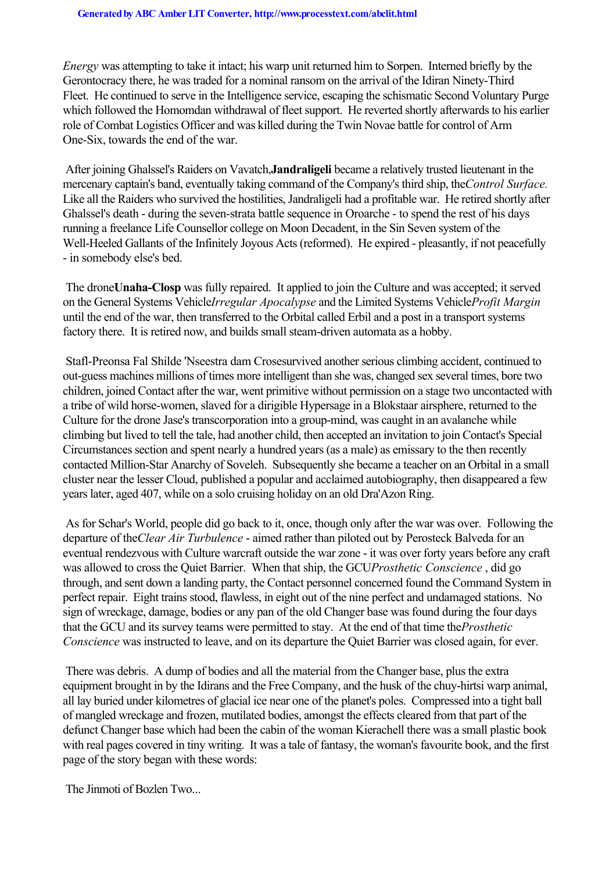*Energy* was attempting to take it intact; his warp unit returned him to Sorpen. Interned briefly by the Gerontocracy there, he was traded for a nominal ransom on the arrival of the Idiran Ninety-Third Fleet. He continued to serve in the Intelligence service, escaping the schismatic Second Voluntary Purge which followed the Homomdan withdrawal of fleet support. He reverted shortly afterwards to his earlier role of Combat Logistics Officer and was killed during the Twin Novae battle for control of Arm One-Six, towards the end of the war.

 After joining Ghalssel's Raiders on Vavatch,**Jandraligeli** became a relatively trusted lieutenant in the mercenary captain's band, eventually taking command of the Company's third ship, the*Control Surface.* Like all the Raiders who survived the hostilities, Jandraligeli had a profitable war. He retired shortly after Ghalssel's death - during the seven-strata battle sequence in Oroarche - to spend the rest of his days running a freelance Life Counsellor college on Moon Decadent, in the Sin Seven system of the Well-Heeled Gallants of the Infinitely Joyous Acts (reformed). He expired - pleasantly, if not peacefully - in somebody else's bed.

 The drone**Unaha-Closp** was fully repaired. It applied to join the Culture and was accepted; it served on the General Systems Vehicle*Irregular Apocalypse* and the Limited Systems Vehicle*Profit Margin* until the end of the war, then transferred to the Orbital called Erbil and a post in a transport systems factory there. It is retired now, and builds small steam-driven automata as a hobby.

 Stafl-Preonsa Fal Shilde 'Nseestra dam Crosesurvived another serious climbing accident, continued to out-guess machines millions of times more intelligent than she was, changed sex several times, bore two children, joined Contact after the war, went primitive without permission on a stage two uncontacted with a tribe of wild horse-women, slaved for a dirigible Hypersage in a Blokstaar airsphere, returned to the Culture for the drone Jase's transcorporation into a group-mind, was caught in an avalanche while climbing but lived to tell the tale, had another child, then accepted an invitation to join Contact's Special Circumstances section and spent nearly a hundred years (as a male) as emissary to the then recently contacted Million-Star Anarchy of Soveleh. Subsequently she became a teacher on an Orbital in a small cluster near the lesser Cloud, published a popular and acclaimed autobiography, then disappeared a few years later, aged 407, while on a solo cruising holiday on an old Dra'Azon Ring.

 As for Schar's World, people did go back to it, once, though only after the war was over. Following the departure of the*Clear Air Turbulence* - aimed rather than piloted out by Perosteck Balveda for an eventual rendezvous with Culture warcraft outside the war zone - it was over forty years before any craft was allowed to cross the Quiet Barrier. When that ship, the GCU*Prosthetic Conscience* , did go through, and sent down a landing party, the Contact personnel concerned found the Command System in perfect repair. Eight trains stood, flawless, in eight out of the nine perfect and undamaged stations. No sign of wreckage, damage, bodies or any pan of the old Changer base was found during the four days that the GCU and its survey teams were permitted to stay. At the end of that time the*Prosthetic Conscience* was instructed to leave, and on its departure the Quiet Barrier was closed again, for ever.

 There was debris. A dump of bodies and all the material from the Changer base, plus the extra equipment brought in by the Idirans and the Free Company, and the husk of the chuy-hirtsi warp animal, all lay buried under kilometres of glacial ice near one of the planet's poles. Compressed into a tight ball of mangled wreckage and frozen, mutilated bodies, amongst the effects cleared from that part of the defunct Changer base which had been the cabin of the woman Kierachell there was a small plastic book with real pages covered in tiny writing. It was a tale of fantasy, the woman's favourite book, and the first page of the story began with these words:

The Jinmoti of Bozlen Two...